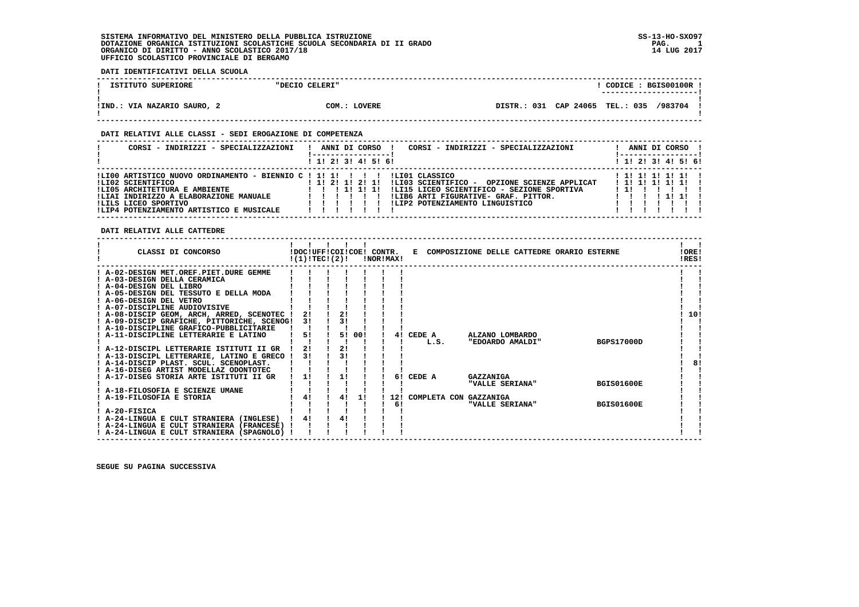### **DATI IDENTIFICATIVI DELLA SCUOLA**

| ISTITUTO SUPERIORE            | "DECIO CELERI" |                             | CODICE: BGIS00100R !<br>----------------------- |
|-------------------------------|----------------|-----------------------------|-------------------------------------------------|
| VIA NAZARIO SAURO, 2<br>!IND. | COM.: LOVERE   | CAP 24065<br>031<br>DISTR.: | /983704<br><b>TEL.: 035</b>                     |

 **------------------------------------------------------------------------------------------------------------------------------------**

### **DATI RELATIVI ALLE CLASSI - SEDI EROGAZIONE DI COMPETENZA**

| CORSI - INDIRIZZI - SPECIALIZZAZIONI                                                                                                                                                                                              | ANNI DI CORSO<br>CORSI - INDIRIZZI - SPECIALIZZAZIONI<br>1 1! 2! 3! 4! 5! 6!                                                                                                                                                      | ANNI DI CORSO !<br>------------<br>$1$ 1! 2! 3! 4! 5! 6! |
|-----------------------------------------------------------------------------------------------------------------------------------------------------------------------------------------------------------------------------------|-----------------------------------------------------------------------------------------------------------------------------------------------------------------------------------------------------------------------------------|----------------------------------------------------------|
| !LI00 ARTISTICO NUOVO ORDINAMENTO - BIENNIO C ! 1! 1! ! ! ! !<br>ILI02 SCIENTIFICO<br>!LI05 ARCHITETTURA E AMBIENTE<br>!LIAI INDIRIZZO A ELABORAZIONE MANUALE<br>ILILS LICEO SPORTIVO<br>!LIP4 POTENZIAMENTO ARTISTICO E MUSICALE | ILIO1 CLASSICO<br>! 1! 2! 1! 2! 1!<br>!LI03 SCIENTIFICO -<br>OPZIONE SCIENZE APPLICAT<br>!LI15 LICEO SCIENTIFICO - SEZIONE SPORTIVA<br>1 1 1 1 1 1 1 1<br>!LIB6 ARTI FIGURATIVE- GRAF. PITTOR.<br>!LIP2 POTENZIAMENTO LINGUISTICO | ! 1! 1! 1! 1! 1! !<br>$1$ 1! 1! 1! 1! 1! 1<br>.          |

### **DATI RELATIVI ALLE CATTEDRE**

| CLASSI DI CONCORSO                                                                         | !(1)!TECI(2)! |                |     | !NOR!MAX! |    |        | !DOC!UFF!COI!COE! CONTR. E COMPOSIZIONE DELLE CATTEDRE ORARIO ESTERNE |  |                   | !ORE!<br>IRES! |
|--------------------------------------------------------------------------------------------|---------------|----------------|-----|-----------|----|--------|-----------------------------------------------------------------------|--|-------------------|----------------|
| ! A-02-DESIGN MET.OREF.PIET.DURE GEMME                                                     |               |                |     |           |    |        |                                                                       |  |                   |                |
| ! A-03-DESIGN DELLA CERAMICA                                                               |               |                |     |           |    |        |                                                                       |  |                   |                |
| ! A-04-DESIGN DEL LIBRO                                                                    |               |                |     |           |    |        |                                                                       |  |                   |                |
| ! A-05-DESIGN DEL TESSUTO E DELLA MODA                                                     |               |                |     |           |    |        |                                                                       |  |                   |                |
| ! A-06-DESIGN DEL VETRO                                                                    |               |                |     |           |    |        |                                                                       |  |                   |                |
| ! A-07-DISCIPLINE AUDIOVISIVE                                                              |               |                |     |           |    |        |                                                                       |  |                   |                |
| ! A-08-DISCIP GEOM, ARCH, ARRED, SCENOTEC !                                                | 21            | 2 <sub>1</sub> |     |           |    |        |                                                                       |  |                   | 10!            |
| ! A-09-DISCIP GRAFICHE, PITTORICHE, SCENOG!                                                | 31            | 31             |     |           |    |        |                                                                       |  |                   |                |
| ! A-10-DISCIPLINE GRAFICO-PUBBLICITARIE                                                    |               |                |     |           |    |        |                                                                       |  |                   |                |
| A-11-DISCIPLINE LETTERARIE E LATINO                                                        | 5!            | 51             | 00! |           | 41 | CEDE A | ALZANO LOMBARDO                                                       |  |                   |                |
|                                                                                            |               |                |     |           |    | L.S.   | "EDOARDO AMALDI"                                                      |  | <b>BGPS17000D</b> |                |
| ! A-12-DISCIPL LETTERARIE ISTITUTI II GR                                                   | 21            | 2!             |     |           |    |        |                                                                       |  |                   |                |
| ! A-13-DISCIPL LETTERARIE, LATINO E GRECO !                                                | 31            | 31             |     |           |    |        |                                                                       |  |                   |                |
| ! A-14-DISCIP PLAST. SCUL. SCENOPLAST.                                                     |               |                |     |           |    |        |                                                                       |  |                   | 81             |
| ! A-16-DISEG ARTIST MODELLAZ ODONTOTEC                                                     |               |                |     |           |    |        |                                                                       |  |                   |                |
| ! A-17-DISEG STORIA ARTE ISTITUTI II GR                                                    | 11            | 11             |     |           | 61 | CEDE A | GAZZANIGA                                                             |  |                   |                |
|                                                                                            |               |                |     |           |    |        | "VALLE SERIANA"                                                       |  | <b>BGIS01600E</b> |                |
| ! A-18-FILOSOFIA E SCIENZE UMANE                                                           |               |                |     |           |    |        |                                                                       |  |                   |                |
| ! A-19-FILOSOFIA E STORIA                                                                  | 4!            | 41             | 11  |           |    |        | 12! COMPLETA CON GAZZANIGA                                            |  |                   |                |
| $I$ A-20-FISICA                                                                            |               |                |     |           | 61 |        | "VALLE SERIANA"                                                       |  | <b>BGIS01600E</b> |                |
|                                                                                            | 41            | 41             |     |           |    |        |                                                                       |  |                   |                |
| ! A-24-LINGUA E CULT STRANIERA (INGLESE)                                                   |               |                |     |           |    |        |                                                                       |  |                   |                |
| ! A-24-LINGUA E CULT STRANIERA (FRANCESE) !<br>! A-24-LINGUA E CULT STRANIERA (SPAGNOLO) ! |               |                |     |           |    |        |                                                                       |  |                   |                |
|                                                                                            |               |                |     |           |    |        |                                                                       |  |                   |                |

 **------------------------------------------------------------------------------------------------------------------------------------**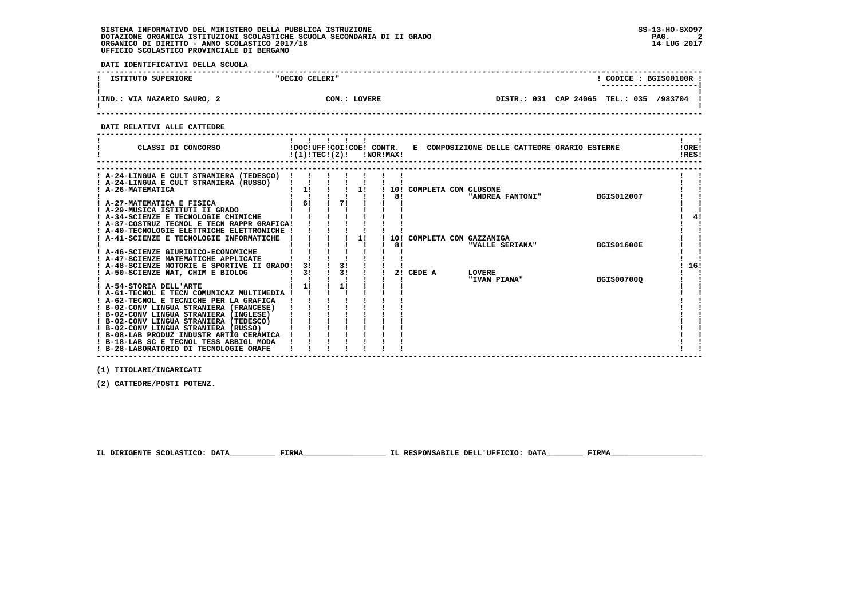**DATI IDENTIFICATIVI DELLA SCUOLA**

| ISTITUTO SUPERIORE          | "DECIO CELERI" |                                         | CODICE: BGIS00100R !<br>---------------------- |  |
|-----------------------------|----------------|-----------------------------------------|------------------------------------------------|--|
| !IND.: VIA NAZARIO SAURO, 2 | COM.: LOVERE   | DISTR.: 031 CAP 24065 TEL.: 035 /983704 |                                                |  |

 **------------------------------------------------------------------------------------------------------------------------------------**

 **DATI RELATIVI ALLE CATTEDRE**

| CLASSI DI CONCORSO                                      |    | $!(1)!TEC!(2)!$ $INORIMAX!$ |    |     |        |                        | !DOC!UFF!COI!COE! CONTR. E COMPOSIZIONE DELLE CATTEDRE ORARIO ESTERNE | !ORE!<br>!RES! |
|---------------------------------------------------------|----|-----------------------------|----|-----|--------|------------------------|-----------------------------------------------------------------------|----------------|
|                                                         |    |                             |    |     |        |                        |                                                                       |                |
| ! A-24-LINGUA E CULT STRANIERA (TEDESCO)                |    |                             |    |     |        |                        |                                                                       |                |
| A-24-LINGUA E CULT STRANIERA (RUSSO)<br>A-26-MATEMATICA | 1! |                             | 11 | 10! |        | COMPLETA CON CLUSONE   |                                                                       |                |
|                                                         |    |                             |    | 81  |        | "ANDREA FANTONI"       | <b>BGIS012007</b>                                                     |                |
| ! A-27-MATEMATICA E FISICA                              | 61 | 71                          |    |     |        |                        |                                                                       |                |
| A-29-MUSICA ISTITUTI II GRADO                           |    |                             |    |     |        |                        |                                                                       |                |
| ! A-34-SCIENZE E TECNOLOGIE CHIMICHE                    |    |                             |    |     |        |                        |                                                                       | 4!             |
| A-37-COSTRUZ TECNOL E TECN RAPPR GRAFICA!               |    |                             |    |     |        |                        |                                                                       |                |
| A-40-TECNOLOGIE ELETTRICHE ELETTRONICHE                 |    |                             |    |     |        |                        |                                                                       |                |
| A-41-SCIENZE E TECNOLOGIE INFORMATICHE                  |    |                             | 11 | 10! |        | COMPLETA CON GAZZANIGA |                                                                       |                |
|                                                         |    |                             |    | 81  |        | "VALLE SERIANA"        | <b>BGIS01600E</b>                                                     |                |
| A-46-SCIENZE GIURIDICO-ECONOMICHE                       |    |                             |    |     |        |                        |                                                                       |                |
| ! A-47-SCIENZE MATEMATICHE APPLICATE                    |    |                             |    |     |        |                        |                                                                       |                |
| ! A-48-SCIENZE MOTORIE E SPORTIVE II GRADO!             | 31 | 3!                          |    |     |        |                        |                                                                       | 16!            |
| A-50-SCIENZE NAT, CHIM E BIOLOG                         | 3! | 3 <sub>1</sub>              |    | 21  | CEDE A | <b>LOVERE</b>          |                                                                       |                |
| ! A-54-STORIA DELL'ARTE                                 | 1! | 11                          |    |     |        | "IVAN PIANA"           | <b>BGIS007000</b>                                                     |                |
| ! A-61-TECNOL E TECN COMUNICAZ MULTIMEDIA !             |    |                             |    |     |        |                        |                                                                       |                |
| ! A-62-TECNOL E TECNICHE PER LA GRAFICA                 |    |                             |    |     |        |                        |                                                                       |                |
| ! B-02-CONV LINGUA STRANIERA (FRANCESE)                 |    |                             |    |     |        |                        |                                                                       |                |
| ! B-02-CONV LINGUA STRANIERA (INGLESE)                  |    |                             |    |     |        |                        |                                                                       |                |
| ! B-02-CONV LINGUA STRANIERA (TEDESCO)                  |    |                             |    |     |        |                        |                                                                       |                |
| ! B-02-CONV LINGUA STRANIERA (RUSSO)                    |    |                             |    |     |        |                        |                                                                       |                |
| ! B-08-LAB PRODUZ INDUSTR ARTIG CERAMICA                |    |                             |    |     |        |                        |                                                                       |                |
| ! B-18-LAB SC E TECNOL TESS ABBIGL MODA                 |    |                             |    |     |        |                        |                                                                       |                |
| ! B-28-LABORATORIO DI TECNOLOGIE ORAFE                  |    |                             |    |     |        |                        |                                                                       |                |

 **(1) TITOLARI/INCARICATI**

 **(2) CATTEDRE/POSTI POTENZ.**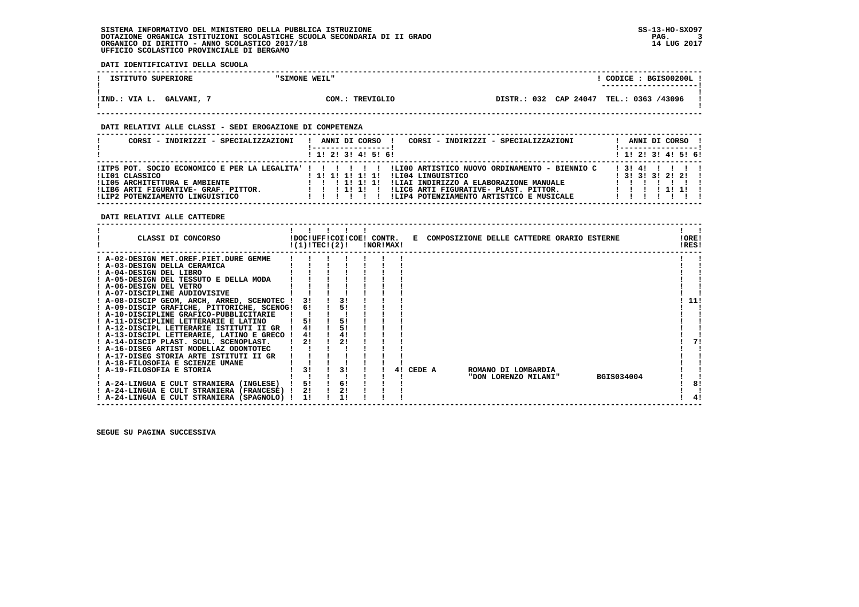**DATI IDENTIFICATIVI DELLA SCUOLA**

| ISTITUTO SUPERIORE                                            | "SIMONE WEIL"      |         | CODICE: BGIS00200L!<br>----------------------- |
|---------------------------------------------------------------|--------------------|---------|------------------------------------------------|
|                                                               |                    |         |                                                |
|                                                               |                    |         |                                                |
| $\overline{\phantom{a}}$ : VIA L.<br><b>GALVANI,</b><br>!IND. | COM.:<br>TREVIGLIO | DISTR.: | : 032 CAP 24047 TEL.: 0363 /43096              |
|                                                               |                    |         |                                                |

 **------------------------------------------------------------------------------------------------------------------------------------**

#### **DATI RELATIVI ALLE CLASSI - SEDI EROGAZIONE DI COMPETENZA**

| CORSI - INDIRIZZI - SPECIALIZZAZIONI                                    | CORSI - INDIRIZZI - SPECIALIZZAZIONI<br>ANNI DI CORSO                                                                                                                                        |       |  | ! ------------------ ! | ANNI DI CORSO !         |
|-------------------------------------------------------------------------|----------------------------------------------------------------------------------------------------------------------------------------------------------------------------------------------|-------|--|------------------------|-------------------------|
|                                                                         | $1$ , 1! 2! 3! 4! 5! 6!                                                                                                                                                                      |       |  |                        | $1$ , 1! 2! 3! 4! 5! 6! |
| ILIO1 CLASSICO<br>!LI05 ARCHITETTURA E AMBIENTE                         | ITP5 POT. SOCIO ECONOMICO E PER LA LEGALITA' !!!!!!!!!!LI00 ARTISTICO NUOVO ORDINAMENTO - BIENNIO C!<br>ILI04 LINGUISTICO<br>!!!!!!!!!!!<br>!LIAI INDIRIZZO A ELABORAZIONE MANUALE<br>111111 | 13141 |  |                        | $1$ 3! 3! 3! 2! 2!!     |
| !LIB6 ARTI FIGURATIVE- GRAF. PITTOR.<br>!LIP2 POTENZIAMENTO LINGUISTICO | ILIC6 ARTI FIGURATIVE- PLAST. PITTOR.<br>111111<br>!LIP4 POTENZIAMENTO ARTISTICO E MUSICALE                                                                                                  |       |  |                        | 1 1 1 1 1 1 1 1         |

 **DATI RELATIVI ALLE CATTEDRE**

| CLASSI DI CONCORSO                          | !DOC!UFF!COI!COE! CONTR.<br>!(1)!TEC!(2)! |  |    | !NOR!MAX! |    |        | E COMPOSIZIONE DELLE CATTEDRE ORARIO ESTERNE |  |                      |            | !ORE!<br>!RES! |    |
|---------------------------------------------|-------------------------------------------|--|----|-----------|----|--------|----------------------------------------------|--|----------------------|------------|----------------|----|
| ! A-02-DESIGN MET.OREF.PIET.DURE GEMME      |                                           |  |    |           |    |        |                                              |  |                      |            |                |    |
| ! A-03-DESIGN DELLA CERAMICA                |                                           |  |    |           |    |        |                                              |  |                      |            |                |    |
| ! A-04-DESIGN DEL LIBRO                     |                                           |  |    |           |    |        |                                              |  |                      |            |                |    |
| ! A-05-DESIGN DEL TESSUTO E DELLA MODA      |                                           |  |    |           |    |        |                                              |  |                      |            |                |    |
| ! A-06-DESIGN DEL VETRO                     |                                           |  |    |           |    |        |                                              |  |                      |            |                |    |
| ! A-07-DISCIPLINE AUDIOVISIVE               |                                           |  |    |           |    |        |                                              |  |                      |            |                |    |
| ! A-08-DISCIP GEOM, ARCH, ARRED, SCENOTEC ! | 31                                        |  |    |           |    |        |                                              |  |                      |            | 11!            |    |
| ! A-09-DISCIP GRAFICHE, PITTORICHE, SCENOG! | 61                                        |  | 51 |           |    |        |                                              |  |                      |            |                |    |
| ! A-10-DISCIPLINE GRAFICO-PUBBLICITARIE     |                                           |  |    |           |    |        |                                              |  |                      |            |                |    |
| ! A-11-DISCIPLINE LETTERARIE E LATINO       | 5!                                        |  | 51 |           |    |        |                                              |  |                      |            |                |    |
| ! A-12-DISCIPL LETTERARIE ISTITUTI II GR    | 41                                        |  | 5! |           |    |        |                                              |  |                      |            |                |    |
| ! A-13-DISCIPL LETTERARIE, LATINO E GRECO ! | 4!                                        |  | 4! |           |    |        |                                              |  |                      |            |                |    |
| ! A-14-DISCIP PLAST. SCUL. SCENOPLAST.      | 2!                                        |  | 21 |           |    |        |                                              |  |                      |            |                | 71 |
| ! A-16-DISEG ARTIST MODELLAZ ODONTOTEC      |                                           |  |    |           |    |        |                                              |  |                      |            |                |    |
| ! A-17-DISEG STORIA ARTE ISTITUTI II GR     |                                           |  |    |           |    |        |                                              |  |                      |            |                |    |
| ! A-18-FILOSOFIA E SCIENZE UMANE            |                                           |  |    |           |    |        |                                              |  |                      |            |                |    |
| ! A-19-FILOSOFIA E STORIA                   | 3!                                        |  | 31 |           | 4! | CEDE A |                                              |  | ROMANO DI LOMBARDIA  |            |                |    |
|                                             |                                           |  |    |           |    |        |                                              |  | "DON LORENZO MILANI" | BGIS034004 |                |    |
| ! A-24-LINGUA E CULT STRANIERA (INGLESE)    | 51                                        |  | 6! |           |    |        |                                              |  |                      |            |                | 8! |
| ! A-24-LINGUA E CULT STRANIERA (FRANCESE) ! | 2!                                        |  |    |           |    |        |                                              |  |                      |            |                |    |
| ! A-24-LINGUA E CULT STRANIERA (SPAGNOLO) ! | 11                                        |  |    |           |    |        |                                              |  |                      |            |                | 4! |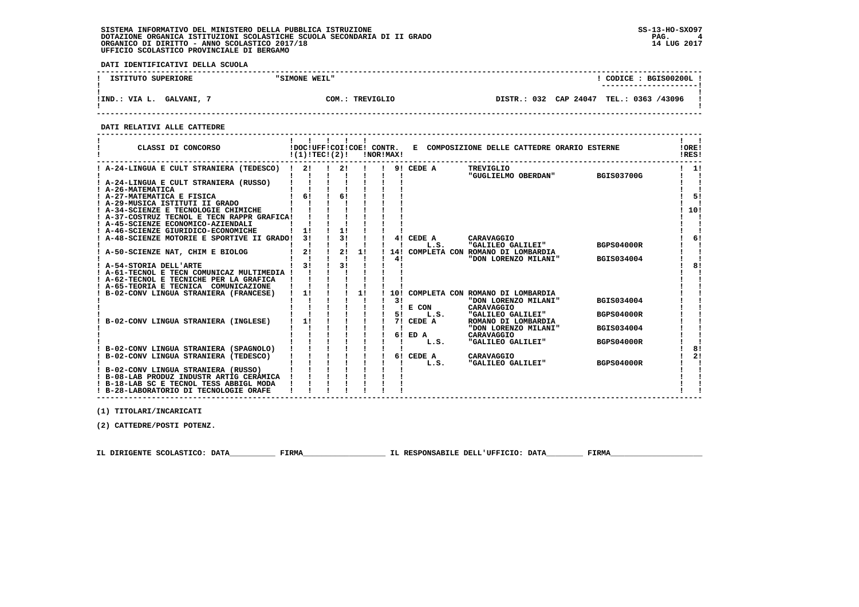**DATI IDENTIFICATIVI DELLA SCUOLA**

| <b>SUPERIORE</b><br>ISTITUTO       | "SIMONE WEIL"    |                             | BGIS00200L<br>CODICE :<br>---------------------- |
|------------------------------------|------------------|-----------------------------|--------------------------------------------------|
| <b>GALVANI,</b><br>VIA L.<br>!IND. | TREVIGLIO<br>COM | CAP 24047<br>032<br>DISTR.: | TEL.: 0363 /43096                                |

 **------------------------------------------------------------------------------------------------------------------------------------**

 **DATI RELATIVI ALLE CATTEDRE**

| CLASSI DI CONCORSO                          | !DOC!UFF!COI!COE! CONTR.<br>!(1)!TEC!(2)! |    |    | !NOR!MAX! |    |                   | E COMPOSIZIONE DELLE CATTEDRE ORARIO ESTERNE |                   | !ORE!<br>!RES! |
|---------------------------------------------|-------------------------------------------|----|----|-----------|----|-------------------|----------------------------------------------|-------------------|----------------|
| ! A-24-LINGUA E CULT STRANIERA (TEDESCO) !  | 2!                                        | 21 |    |           |    | 9! CEDE A         | TREVIGLIO<br>"GUGLIELMO OBERDAN"             | <b>BGIS03700G</b> | 1!             |
| ! A-24-LINGUA E CULT STRANIERA (RUSSO)      |                                           |    |    |           |    |                   |                                              |                   |                |
| ! A-26-MATEMATICA                           |                                           |    |    |           |    |                   |                                              |                   |                |
| ! A-27-MATEMATICA E FISICA                  | $1 \quad 61$                              | 61 |    |           |    |                   |                                              |                   | 51             |
| ! A-29-MUSICA ISTITUTI II GRADO             |                                           |    |    |           |    |                   |                                              |                   |                |
| ! A-34-SCIENZE E TECNOLOGIE CHIMICHE        |                                           |    |    |           |    |                   |                                              |                   | 10!            |
| ! A-37-COSTRUZ TECNOL E TECN RAPPR GRAFICA! |                                           |    |    |           |    |                   |                                              |                   |                |
| ! A-45-SCIENZE ECONOMICO-AZIENDALI          |                                           |    |    |           |    |                   |                                              |                   |                |
| ! A-46-SCIENZE GIURIDICO-ECONOMICHE         | 11                                        | 11 |    |           |    |                   |                                              |                   |                |
| A-48-SCIENZE MOTORIE E SPORTIVE II GRADO!   | 3 I                                       | 3! |    |           |    | 4! CEDE A         | CARAVAGGIO                                   |                   | 61             |
|                                             |                                           |    |    |           |    | L.S.              | "GALILEO GALILEI"                            | <b>BGPS04000R</b> |                |
| ! A-50-SCIENZE NAT, CHIM E BIOLOG           | 2!                                        | 2! | 11 |           |    |                   | 14! COMPLETA CON ROMANO DI LOMBARDIA         |                   |                |
|                                             |                                           |    |    |           | 41 |                   | "DON LORENZO MILANI"                         | BGIS034004        |                |
| ! A-54-STORIA DELL'ARTE                     | 31                                        | 3! |    |           |    |                   |                                              |                   | 81             |
| ! A-61-TECNOL E TECN COMUNICAZ MULTIMEDIA ! |                                           |    |    |           |    |                   |                                              |                   |                |
| ! A-62-TECNOL E TECNICHE PER LA GRAFICA     |                                           |    |    |           |    |                   |                                              |                   |                |
| ! A-65-TEORIA E TECNICA COMUNICAZIONE       |                                           |    |    |           |    |                   |                                              |                   |                |
| B-02-CONV LINGUA STRANIERA (FRANCESE)       | 1!                                        |    | 1! |           |    |                   | 10! COMPLETA CON ROMANO DI LOMBARDIA         |                   |                |
|                                             |                                           |    |    |           | 3! |                   | "DON LORENZO MILANI"                         | <b>BGIS034004</b> |                |
|                                             |                                           |    |    |           |    | ! E COM           | CARAVAGGIO                                   |                   |                |
|                                             |                                           |    |    |           | 51 | L.S.              | "GALILEO GALILEI"                            | <b>BGPS04000R</b> |                |
| B-02-CONV LINGUA STRANIERA (INGLESE)        | 1!                                        |    |    |           |    | 7! CEDE A         | ROMANO DI LOMBARDIA                          |                   |                |
|                                             |                                           |    |    |           |    |                   | "DON LORENZO MILANI"                         | <b>BGIS034004</b> |                |
|                                             |                                           |    |    |           |    | 6! ED A           | CARAVAGGIO                                   |                   |                |
|                                             |                                           |    |    |           |    | L.S.              | "GALILEO GALILEI"                            | <b>BGPS04000R</b> | 81             |
| ! B-02-CONV LINGUA STRANIERA (SPAGNOLO)     |                                           |    |    |           |    |                   |                                              |                   | 2!             |
| ! B-02-CONV LINGUA STRANIERA (TEDESCO)      |                                           |    |    |           |    | 6! CEDE A<br>L.S. | CARAVAGGIO<br>"GALILEO GALILEI"              | <b>BGPS04000R</b> |                |
| ! B-02-CONV LINGUA STRANIERA (RUSSO)        |                                           |    |    |           |    |                   |                                              |                   |                |
| ! B-08-LAB PRODUZ INDUSTR ARTIG CERAMICA    |                                           |    |    |           |    |                   |                                              |                   |                |
| ! B-18-LAB SC E TECNOL TESS ABBIGL MODA     |                                           |    |    |           |    |                   |                                              |                   |                |
| ! B-28-LABORATORIO DI TECNOLOGIE ORAFE      |                                           |    |    |           |    |                   |                                              |                   |                |

 **------------------------------------------------------------------------------------------------------------------------------------**

 **(1) TITOLARI/INCARICATI**

 **(2) CATTEDRE/POSTI POTENZ.**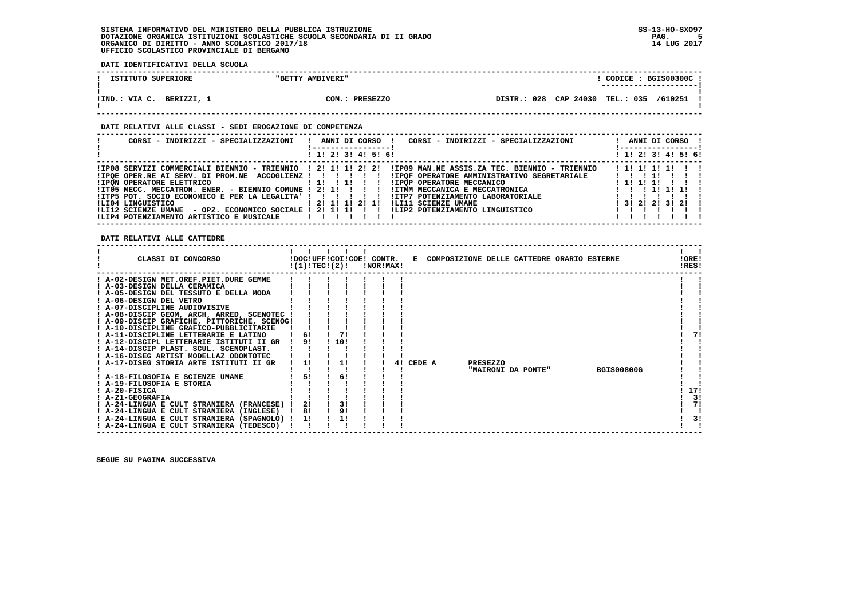**DATI IDENTIFICATIVI DELLA SCUOLA**

| ISTITUTO SUPERIORE    |          | <b>AMBIVERI"</b><br>"BETTY |                 |             |           | CODICE:   | BGIS00300C 1            |  |
|-----------------------|----------|----------------------------|-----------------|-------------|-----------|-----------|-------------------------|--|
|                       |          |                            |                 |             |           |           | _______________________ |  |
| !IND.<br>VIA C.<br>J. | BERIZZI, | 2OM.                       | <b>PRESEZZO</b> | DISTR.: 028 | CAP 24030 | TEL.: 035 | /610251                 |  |

 **------------------------------------------------------------------------------------------------------------------------------------**

#### **DATI RELATIVI ALLE CLASSI - SEDI EROGAZIONE DI COMPETENZA**

| CORSI - INDIRIZZI - SPECIALIZZAZIONI                             | ANNI DI CORSO !<br>CORSI - INDIRIZZI - SPECIALIZZAZIONI                                      | ANNI DI CORSO !<br>----------------- |
|------------------------------------------------------------------|----------------------------------------------------------------------------------------------|--------------------------------------|
|                                                                  | ! 1! 2! 3! 4! 5! 6!                                                                          | ! 1! 2! 3! 4! 5! 6!                  |
| !IP08 SERVIZI COMMERCIALI BIENNIO - TRIENNIO ! 2! 1! 1! 2! 2!    | !IP09 MAN.NE ASSIS.ZA TEC. BIENNIO - TRIENNIO                                                | ! 1! 1! 1! 1!                        |
| !IPOE OPER.RE AI SERV. DI PROM.NE ACCOGLIENZ ! ! ! ! ! !         | !IPOF OPERATORE AMMINISTRATIVO SEGRETARIALE                                                  | $1 \quad 1 \quad 1 \quad 11$         |
| ! IPON OPERATORE ELETTRICO                                       | 1 1 1 1 1 1 1 1<br><b>!IPOP OPERATORE MECCANICO</b>                                          | $1$ 1! 1! 1!                         |
|                                                                  | IIT05 MECC. MECCATRON. ENER. - BIENNIO COMUNE ! 2! 1! ! ! ! ! IITMM MECCANICA E MECCATRONICA | 1 1 1 1 1 1 1 1 1                    |
| !ITP5 POT. SOCIO ECONOMICO E PER LA LEGALITA' ! ! ! ! ! !        | !ITP7 POTENZIAMENTO LABORATORIALE                                                            |                                      |
| ILI04 LINGUISTICO                                                | ! 2! 1! 1! 2! 1!<br>!LI11 SCIENZE UMANE                                                      | 1 3 1 2 1 2 1 3 1 2 1 1              |
| - OPZ. ECONOMICO SOCIALE ! 2! 1! 1! ! ! !<br>!LI12 SCIENZE UMANE | ILIP2 POTENZIAMENTO LINGUISTICO                                                              |                                      |
| !LIP4 POTENZIAMENTO ARTISTICO E MUSICALE                         | $\blacksquare$                                                                               |                                      |

 **DATI RELATIVI ALLE CATTEDRE**

| CLASSI DI CONCORSO                          |    | !DOC!UFF!COI!COE! CONTR.<br>!(1)!TECI(2)! | !NOR!MAX! |    |        | E COMPOSIZIONE DELLE CATTEDRE ORARIO ESTERNE |                    |                   | !ORE!<br>!RES! |
|---------------------------------------------|----|-------------------------------------------|-----------|----|--------|----------------------------------------------|--------------------|-------------------|----------------|
| ! A-02-DESIGN MET.OREF.PIET.DURE GEMME      |    |                                           |           |    |        |                                              |                    |                   |                |
| A-03-DESIGN DELLA CERAMICA                  |    |                                           |           |    |        |                                              |                    |                   |                |
| ! A-05-DESIGN DEL TESSUTO E DELLA MODA      |    |                                           |           |    |        |                                              |                    |                   |                |
| ! A-06-DESIGN DEL VETRO                     |    |                                           |           |    |        |                                              |                    |                   |                |
| ! A-07-DISCIPLINE AUDIOVISIVE               |    |                                           |           |    |        |                                              |                    |                   |                |
| ! A-08-DISCIP GEOM, ARCH, ARRED, SCENOTEC ! |    |                                           |           |    |        |                                              |                    |                   |                |
| ! A-09-DISCIP GRAFICHE, PITTORICHE, SCENOG! |    |                                           |           |    |        |                                              |                    |                   |                |
| ! A-10-DISCIPLINE GRAFICO-PUBBLICITARIE     |    |                                           |           |    |        |                                              |                    |                   |                |
| ! A-11-DISCIPLINE LETTERARIE E LATINO       | 6! | 71                                        |           |    |        |                                              |                    |                   |                |
| A-12-DISCIPL LETTERARIE ISTITUTI II GR      | 91 | 10!                                       |           |    |        |                                              |                    |                   |                |
| ! A-14-DISCIP PLAST. SCUL. SCENOPLAST.      |    |                                           |           |    |        |                                              |                    |                   |                |
| ! A-16-DISEG ARTIST MODELLAZ ODONTOTEC      |    |                                           |           |    |        |                                              |                    |                   |                |
| A-17-DISEG STORIA ARTE ISTITUTI II GR       | 11 | 11                                        |           | 41 | CEDE A | <b>PRESEZZO</b>                              |                    |                   |                |
|                                             |    |                                           |           |    |        |                                              | "MAIRONI DA PONTE" | <b>BGIS00800G</b> |                |
| ! A-18-FILOSOFIA E SCIENZE UMANE            | 51 | 6!                                        |           |    |        |                                              |                    |                   |                |
| ! A-19-FILOSOFIA E STORIA                   |    |                                           |           |    |        |                                              |                    |                   |                |
| ! A-20-FISICA                               |    |                                           |           |    |        |                                              |                    |                   | 17!            |
| ! A-21-GEOGRAFIA                            |    |                                           |           |    |        |                                              |                    |                   | 3!             |
| ! A-24-LINGUA E CULT STRANIERA (FRANCESE)   | 21 | 3!                                        |           |    |        |                                              |                    |                   | 7!             |
| ! A-24-LINGUA E CULT STRANIERA (INGLESE)    | 8! | 9!                                        |           |    |        |                                              |                    |                   |                |
| ! A-24-LINGUA E CULT STRANIERA (SPAGNOLO) ! | 11 | 1!                                        |           |    |        |                                              |                    |                   | 3!             |
| ! A-24-LINGUA E CULT STRANIERA (TEDESCO)    |    |                                           |           |    |        |                                              |                    |                   |                |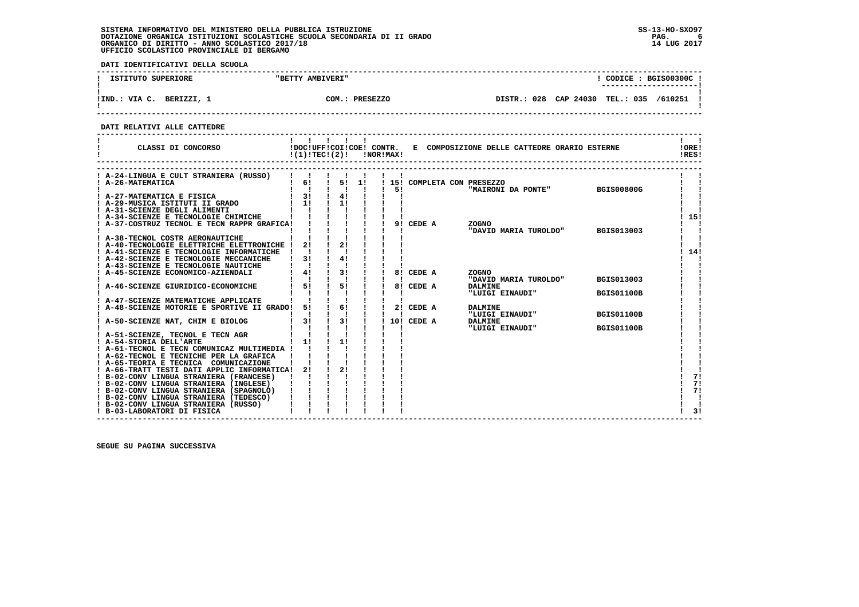**DATI IDENTIFICATIVI DELLA SCUOLA**

| SUPERIORE                   | <b>AMBIVERI"</b>        | CODICE: BGIS00300C!                                 |
|-----------------------------|-------------------------|-----------------------------------------------------|
| ISTITUTO                    | "BETTY                  | ----------------------                              |
| !IND.<br>VIA C.<br>BERIZZI, | COM.<br><b>PRESEZZO</b> | CAP 24030<br>028<br>TEL.: 035<br>/610251<br>DISTR.: |

 **------------------------------------------------------------------------------------------------------------------------------------**

 **DATI RELATIVI ALLE CATTEDRE**

| CLASSI DI CONCORSO                                                                | !(1)!TEC!(2)! |    |      | !NOR!MAX! |            | !DOC!UFF!COI!COE! CONTR. E COMPOSIZIONE DELLE CATTEDRE ORARIO ESTERNE |                   | ! ORE!<br>!RES! |
|-----------------------------------------------------------------------------------|---------------|----|------|-----------|------------|-----------------------------------------------------------------------|-------------------|-----------------|
| A-24-LINGUA E CULT STRANIERA (RUSSO)                                              |               |    |      |           |            |                                                                       |                   |                 |
| ! A-26-MATEMATICA                                                                 | 6!            |    | 5!1! |           |            | 15! COMPLETA CON PRESEZZO                                             |                   |                 |
|                                                                                   | $1 \quad 31$  | 4! |      | 51        |            | "MAIRONI DA PONTE"                                                    | <b>BGIS00800G</b> |                 |
| A-27-MATEMATICA E FISICA<br>! A-29-MUSICA ISTITUTI II GRADO                       | $1 \quad 11$  | 11 |      |           |            |                                                                       |                   |                 |
| ! A-31-SCIENZE DEGLI ALIMENTI                                                     |               |    |      |           |            |                                                                       |                   |                 |
| ! A-34-SCIENZE E TECNOLOGIE CHIMICHE                                              |               |    |      |           |            |                                                                       |                   | 15!             |
| ! A-37-COSTRUZ TECNOL E TECN RAPPR GRAFICA!                                       |               |    |      |           | 9! CEDE A  | <b>ZOGNO</b>                                                          |                   |                 |
|                                                                                   |               |    |      |           |            | "DAVID MARIA TUROLDO"                                                 | BGIS013003        |                 |
| A-38-TECNOL COSTR AERONAUTICHE                                                    |               |    |      |           |            |                                                                       |                   |                 |
| A-40-TECNOLOGIE ELETTRICHE ELETTRONICHE !                                         | 21            | 21 |      |           |            |                                                                       |                   |                 |
| A-41-SCIENZE E TECNOLOGIE INFORMATICHE<br>! A-42-SCIENZE E TECNOLOGIE MECCANICHE  | 31            | 41 |      |           |            |                                                                       |                   | 14!             |
| ! A-43-SCIENZE E TECNOLOGIE NAUTICHE                                              |               |    |      |           |            |                                                                       |                   |                 |
| ! A-45-SCIENZE ECONOMICO-AZIENDALI                                                | 4!            | 3! |      |           | 8! CEDE A  | <b>ZOGNO</b>                                                          |                   |                 |
|                                                                                   |               |    |      |           |            | "DAVID MARIA TUROLDO"                                                 | <b>BGIS013003</b> |                 |
| A-46-SCIENZE GIURIDICO-ECONOMICHE                                                 | 51            | 5! |      |           | 8! CEDE A  | <b>DALMINE</b>                                                        |                   |                 |
|                                                                                   |               |    |      |           |            | "LUIGI EINAUDI"                                                       | <b>BGIS01100B</b> |                 |
| A-47-SCIENZE MATEMATICHE APPLICATE                                                |               |    |      |           |            |                                                                       |                   |                 |
| A-48-SCIENZE MOTORIE E SPORTIVE II GRADO!                                         | 51            | 6! |      |           | 2! CEDE A  | <b>DALMINE</b>                                                        |                   |                 |
|                                                                                   | 3!            | 3! |      |           | 10! CEDE A | "LUIGI EINAUDI"                                                       | <b>BGIS01100B</b> |                 |
| ! A-50-SCIENZE NAT, CHIM E BIOLOG                                                 |               |    |      |           |            | <b>DALMINE</b><br>"LUIGI EINAUDI"                                     | <b>BGIS01100B</b> |                 |
| A-51-SCIENZE, TECNOL E TECN AGR                                                   |               |    |      |           |            |                                                                       |                   |                 |
| A-54-STORIA DELL'ARTE                                                             | 11            | 11 |      |           |            |                                                                       |                   |                 |
| ! A-61-TECNOL E TECN COMUNICAZ MULTIMEDIA !                                       |               |    |      |           |            |                                                                       |                   |                 |
| ! A-62-TECNOL E TECNICHE PER LA GRAFICA                                           |               |    |      |           |            |                                                                       |                   |                 |
| ! A-65-TEORIA E TECNICA COMUNICAZIONE                                             |               |    |      |           |            |                                                                       |                   |                 |
| ! A-66-TRATT TESTI DATI APPLIC INFORMATICA!                                       | 21            | 21 |      |           |            |                                                                       |                   |                 |
| ! B-02-CONV LINGUA STRANIERA (FRANCESE)                                           |               |    |      |           |            |                                                                       |                   | 71              |
| ! B-02-CONV LINGUA STRANIERA (INGLESE)<br>! B-02-CONV LINGUA STRANIERA (SPAGNOLO) |               |    |      |           |            |                                                                       |                   | 71<br>7!        |
| ! B-02-CONV LINGUA STRANIERA (TEDESCO)                                            |               |    |      |           |            |                                                                       |                   |                 |
| ! B-02-CONV LINGUA STRANIERA (RUSSO)                                              |               |    |      |           |            |                                                                       |                   |                 |
| ! B-03-LABORATORI DI FISICA                                                       |               |    |      |           |            |                                                                       |                   | 3!              |

 **------------------------------------------------------------------------------------------------------------------------------------**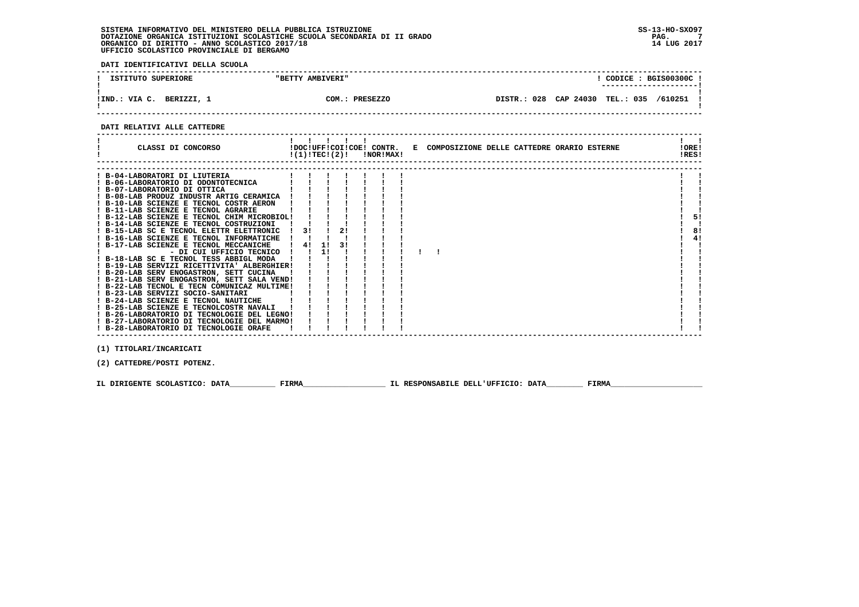**DATI IDENTIFICATIVI DELLA SCUOLA**

| ISTITUTO SUPERIORE        | "BETTY AMBIVERI"  | CODICE: BGIS00300C!<br>----------------------    |
|---------------------------|-------------------|--------------------------------------------------|
| !IND.: VIA C.<br>BERIZZI. | COM.:<br>PRESEZZO | CAP 24030 TEL.: 035<br>028<br>/610251<br>DISTR.: |

 **------------------------------------------------------------------------------------------------------------------------------------**

#### **DATI RELATIVI ALLE CATTEDRE**

| CLASSI DI CONCORSO                          |    | $\mathbf{I}$ and $\mathbf{I}$ |    | $!(1)!TEC!(2)!$ $INORIMAX!$ |  | !DOC!UFF!COI!COE! CONTR. E COMPOSIZIONE DELLE CATTEDRE ORARIO ESTERNE | !ORE!<br>!RES! |    |
|---------------------------------------------|----|-------------------------------|----|-----------------------------|--|-----------------------------------------------------------------------|----------------|----|
|                                             |    |                               |    |                             |  |                                                                       |                |    |
| ! B-04-LABORATORI DI LIUTERIA               |    |                               |    |                             |  |                                                                       |                |    |
| ! B-06-LABORATORIO DI ODONTOTECNICA         |    |                               |    |                             |  |                                                                       |                |    |
| ! B-07-LABORATORIO DI OTTICA                |    |                               |    |                             |  |                                                                       |                |    |
| ! B-08-LAB PRODUZ INDUSTR ARTIG CERAMICA    |    |                               |    |                             |  |                                                                       |                |    |
| ! B-10-LAB SCIENZE E TECNOL COSTR AERON     |    |                               |    |                             |  |                                                                       |                |    |
| ! B-11-LAB SCIENZE E TECNOL AGRARIE         |    |                               |    |                             |  |                                                                       |                |    |
| ! B-12-LAB SCIENZE E TECNOL CHIM MICROBIOL! |    |                               |    |                             |  |                                                                       |                | 51 |
| ! B-14-LAB SCIENZE E TECNOL COSTRUZIONI     |    |                               |    |                             |  |                                                                       |                |    |
| ! B-15-LAB SC E TECNOL ELETTR ELETTRONIC    | 31 |                               | 21 |                             |  |                                                                       |                | 8! |
| ! B-16-LAB SCIENZE E TECNOL INFORMATICHE    |    |                               |    |                             |  |                                                                       |                | 4! |
| ! B-17-LAB SCIENZE E TECNOL MECCANICHE      | 4! | 11                            | 31 |                             |  |                                                                       |                |    |
| - DI CUI UFFICIO TECNICO !                  |    | 11                            |    |                             |  |                                                                       |                |    |
| ! B-18-LAB SC E TECNOL TESS ABBIGL MODA     |    |                               |    |                             |  |                                                                       |                |    |
| ! B-19-LAB SERVIZI RICETTIVITA' ALBERGHIER! |    |                               |    |                             |  |                                                                       |                |    |
| ! B-20-LAB SERV ENOGASTRON, SETT CUCINA     |    |                               |    |                             |  |                                                                       |                |    |
| ! B-21-LAB SERV ENOGASTRON, SETT SALA VEND! |    |                               |    |                             |  |                                                                       |                |    |
| ! B-22-LAB TECNOL E TECN COMUNICAZ MULTIME! |    |                               |    |                             |  |                                                                       |                |    |
| ! B-23-LAB SERVIZI SOCIO-SANITARI           |    |                               |    |                             |  |                                                                       |                |    |
| ! B-24-LAB SCIENZE E TECNOL NAUTICHE        |    |                               |    |                             |  |                                                                       |                |    |
| ! B-25-LAB SCIENZE E TECNOLCOSTR NAVALI     |    |                               |    |                             |  |                                                                       |                |    |
| ! B-26-LABORATORIO DI TECNOLOGIE DEL LEGNO! |    |                               |    |                             |  |                                                                       |                |    |
| ! B-27-LABORATORIO DI TECNOLOGIE DEL MARMO! |    |                               |    |                             |  |                                                                       |                |    |
| B-28-LABORATORIO DI TECNOLOGIE ORAFE        |    |                               |    |                             |  |                                                                       |                |    |
|                                             |    |                               |    |                             |  |                                                                       |                |    |
| (1) TITOLARI/INCARICATI                     |    |                               |    |                             |  |                                                                       |                |    |

 **(2) CATTEDRE/POSTI POTENZ.**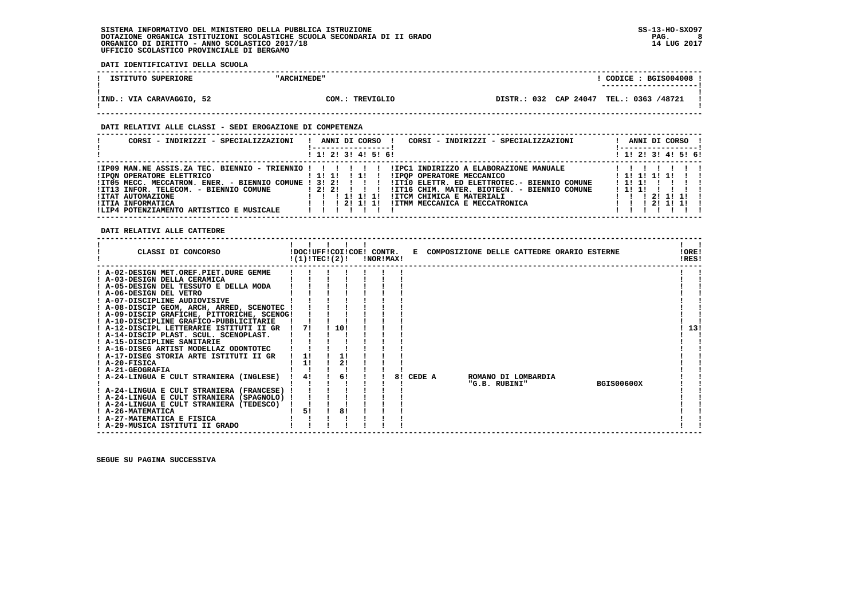**DATI IDENTIFICATIVI DELLA SCUOLA**

| ISTITUTO SUPERIORE        | "ARCHIMEDE"     | CODICE: BGIS004008 !                                              |
|---------------------------|-----------------|-------------------------------------------------------------------|
| !IND.: VIA CARAVAGGIO, 52 | COM.: TREVIGLIO | --------------------- <br>DISTR.: 032 CAP 24047 TEL.: 0363 /48721 |
|                           |                 |                                                                   |

 **------------------------------------------------------------------------------------------------------------------------------------**

#### **DATI RELATIVI ALLE CLASSI - SEDI EROGAZIONE DI COMPETENZA**

| CORSI - INDIRIZZI - SPECIALIZZAZIONI                                                                                                                                                                                             | ANNI DI CORSO<br>CORSI - INDIRIZZI - SPECIALIZZAZIONI<br>! 1! 2! 3! 4! 5! 6!                                                                                                                                                                                                                                                                                             | ANNI DI CORSO !<br>-----------------<br>! 1! 2! 3! 4! 5! 6! |
|----------------------------------------------------------------------------------------------------------------------------------------------------------------------------------------------------------------------------------|--------------------------------------------------------------------------------------------------------------------------------------------------------------------------------------------------------------------------------------------------------------------------------------------------------------------------------------------------------------------------|-------------------------------------------------------------|
| <b>!IPON OPERATORE ELETTRICO</b><br>$!ITO5 MECC. MECCATRON. ENER. - BIENTO COMUNE 1 3! 2! 1! 1!$<br>!IT13 INFOR. TELECOM. - BIENNIO COMUNE<br>!ITAT AUTOMAZIONE<br>!ITIA INFORMATICA<br>!LIP4 POTENZIAMENTO ARTISTICO E MUSICALE | IPO9 MAN.NE ASSIS.ZA TEC. BIENNIO - TRIENNIO !!!!!!!!!!PC1 INDIRIZZO A ELABORAZIONE MANUALE!!!!!!!!!<br>! 1! 1! ! 1! !<br>IIPOP OPERATORE MECCANICO<br>!IT10 ELETTR. ED ELETTROTEC.- BIENNIO COMUNE<br>12121 11<br>!IT16 CHIM. MATER. BIOTECN. - BIENNIO COMUNE<br>!ITCM CHIMICA E MATERIALI<br>1 1 1 1 1 1 1 1 1<br>!ITMM MECCANICA E MECCATRONICA<br>1 1 1 2 1 1 1 1 1 | ! 1! 1! 1! 1!<br>1 1 1 1 1 1<br>1211111<br>211111           |

### **DATI RELATIVI ALLE CATTEDRE**

| CLASSI DI CONCORSO                                            | !(1)!TECI(2)! | !DOC!UFF!COI!COE! CONTR. | !NOR!MAX! |    |        |  |               | E COMPOSIZIONE DELLE CATTEDRE ORARIO ESTERNE |                   | !ORE!<br>!RES! |
|---------------------------------------------------------------|---------------|--------------------------|-----------|----|--------|--|---------------|----------------------------------------------|-------------------|----------------|
| ! A-02-DESIGN MET.OREF.PIET.DURE GEMME                        |               |                          |           |    |        |  |               |                                              |                   |                |
| ! A-03-DESIGN DELLA CERAMICA                                  |               |                          |           |    |        |  |               |                                              |                   |                |
| A-05-DESIGN DEL TESSUTO E DELLA MODA                          |               |                          |           |    |        |  |               |                                              |                   |                |
| ! A-06-DESIGN DEL VETRO                                       |               |                          |           |    |        |  |               |                                              |                   |                |
| ! A-07-DISCIPLINE AUDIOVISIVE                                 |               |                          |           |    |        |  |               |                                              |                   |                |
| ! A-08-DISCIP GEOM, ARCH, ARRED, SCENOTEC !                   |               |                          |           |    |        |  |               |                                              |                   |                |
| ! A-09-DISCIP GRAFICHE, PITTORICHE, SCENOG!                   |               |                          |           |    |        |  |               |                                              |                   |                |
| ! A-10-DISCIPLINE GRAFICO-PUBBLICITARIE                       |               |                          |           |    |        |  |               |                                              |                   |                |
| ! A-12-DISCIPL LETTERARIE ISTITUTI II GR                      | 71            | 10!                      |           |    |        |  |               |                                              |                   | 13!            |
| ! A-14-DISCIP PLAST. SCUL. SCENOPLAST.                        |               |                          |           |    |        |  |               |                                              |                   |                |
| ! A-15-DISCIPLINE SANITARIE                                   |               |                          |           |    |        |  |               |                                              |                   |                |
| ! A-16-DISEG ARTIST MODELLAZ ODONTOTEC                        |               |                          |           |    |        |  |               |                                              |                   |                |
| ! A-17-DISEG STORIA ARTE ISTITUTI II GR                       |               |                          |           |    |        |  |               |                                              |                   |                |
| $I$ A-20-FISICA                                               | 1!            | 2 <sub>1</sub>           |           |    |        |  |               |                                              |                   |                |
| ! A-21-GEOGRAFIA                                              |               |                          |           |    |        |  |               |                                              |                   |                |
| ! A-24-LINGUA E CULT STRANIERA (INGLESE)                      | 4!            | 6!                       |           | 81 | CEDE A |  |               | ROMANO DI LOMBARDIA                          |                   |                |
|                                                               |               |                          |           |    |        |  | "G.B. RUBINI" |                                              | <b>BGIS00600X</b> |                |
| ! A-24-LINGUA E CULT STRANIERA (FRANCESE)                     |               |                          |           |    |        |  |               |                                              |                   |                |
| ! A-24-LINGUA E CULT STRANIERA (SPAGNOLO) !                   |               |                          |           |    |        |  |               |                                              |                   |                |
| ! A-24-LINGUA E CULT STRANIERA (TEDESCO)<br>! A-26-MATEMATICA | 51            | 81                       |           |    |        |  |               |                                              |                   |                |
| ! A-27-MATEMATICA E FISICA                                    |               |                          |           |    |        |  |               |                                              |                   |                |
| ! A-29-MUSICA ISTITUTI II GRADO                               |               |                          |           |    |        |  |               |                                              |                   |                |
|                                                               |               |                          |           |    |        |  |               |                                              |                   |                |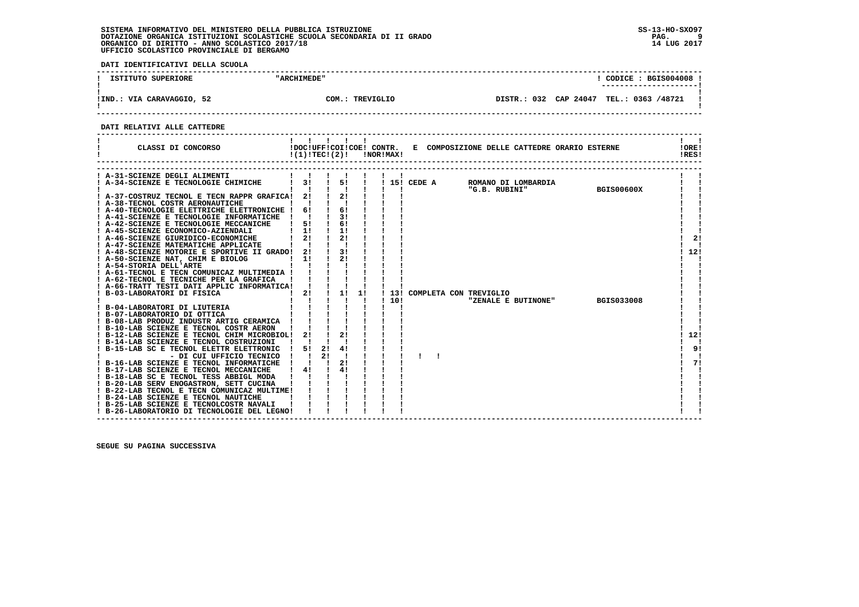**DATI IDENTIFICATIVI DELLA SCUOLA**

| ISTITUTO SUPERIORE        | "ARCHIMEDE"     |  | CODICE: BGIS004008 !<br>---------------------- |
|---------------------------|-----------------|--|------------------------------------------------|
| !IND.: VIA CARAVAGGIO, 52 | COM.: TREVIGLIO |  | DISTR.: 032 CAP 24047 TEL.: 0363 /48721        |

 **------------------------------------------------------------------------------------------------------------------------------------**

 **DATI RELATIVI ALLE CATTEDRE**

| CLASSI DI CONCORSO                                                                 | $!(1)!TEC!(2)!$ $INORIMAX!$ |      |                             |              |      |  | !DOC!UFF!COI!COE! CONTR. E COMPOSIZIONE DELLE CATTEDRE ORARIO ESTERNE |                     |                   | 10RE1<br>IRES! |    |
|------------------------------------------------------------------------------------|-----------------------------|------|-----------------------------|--------------|------|--|-----------------------------------------------------------------------|---------------------|-------------------|----------------|----|
| ! A-31-SCIENZE DEGLI ALIMENTI                                                      |                             |      |                             |              |      |  |                                                                       |                     |                   |                |    |
| ! A-34-SCIENZE E TECNOLOGIE CHIMICHE                                               | 31                          |      | $\frac{1}{5}$ $\frac{1}{1}$ |              |      |  | ! 15! CEDE A ROMANO DI LOMBARDIA                                      |                     |                   |                |    |
|                                                                                    |                             |      |                             |              |      |  | "G.B. RUBINI"                                                         |                     | <b>BGIS00600X</b> |                |    |
| ! A-37-COSTRUZ TECNOL E TECN RAPPR GRAFICA! 2! ! 2!                                |                             |      |                             |              |      |  |                                                                       |                     |                   |                |    |
| ! A-38-TECNOL COSTR AERONAUTICHE                                                   |                             |      |                             |              |      |  |                                                                       |                     |                   |                |    |
| ! A-40-TECNOLOGIE ELETTRICHE ELETTRONICHE ! 6! ! 6!                                |                             |      |                             |              |      |  |                                                                       |                     |                   |                |    |
| ! A-41-SCIENZE E TECNOLOGIE INFORMATICHE ! ! ! 3!                                  |                             |      |                             |              |      |  |                                                                       |                     |                   |                |    |
| ! A-42-SCIENZE E TECNOLOGIE MECCANICHE                                             |                             | 51 1 | 61                          |              |      |  |                                                                       |                     |                   |                |    |
| ! A-45-SCIENZE ECONOMICO-AZIENDALI                                                 | $1 \quad 1!$                |      | $\frac{1}{2}$               |              |      |  |                                                                       |                     |                   |                |    |
| <b>1 A-46-SCIENZE GIURIDICO-ECONOMICHE</b><br>1 A-47-SCIENZE MATEMATICHE APPLICATE | 2!                          |      | 2!                          |              |      |  |                                                                       |                     |                   |                | 2! |
| ! A-47-SCIENZE MATEMATICHE APPLICATE                                               |                             |      |                             |              |      |  |                                                                       |                     |                   |                |    |
| ! A-48-SCIENZE MOTORIE E SPORTIVE II GRADO!                                        | 21                          |      | $\frac{1}{3!}$              |              |      |  |                                                                       |                     |                   | 12!            |    |
| ! A-50-SCIENZE NAT, CHIM E BIOLOG                                                  | 11                          |      | 21                          |              |      |  |                                                                       |                     |                   |                |    |
| ! A-54-STORIA DELL'ARTE                                                            |                             |      |                             |              |      |  |                                                                       |                     |                   |                |    |
| ! A-61-TECNOL E TECN COMUNICAZ MULTIMEDIA !                                        |                             |      |                             |              |      |  |                                                                       |                     |                   |                |    |
| ! A-62-TECNOL E TECNICHE PER LA GRAFICA                                            |                             |      |                             |              |      |  |                                                                       |                     |                   |                |    |
| ! A-66-TRATT TESTI DATI APPLIC INFORMATICA! ! !                                    |                             |      |                             |              |      |  |                                                                       |                     |                   |                |    |
| ! B-03-LABORATORI DI FISICA                                                        | $1 \quad 2! \quad 11$       |      |                             | 1!           |      |  | ! 13! COMPLETA CON TREVIGLIO                                          |                     |                   |                |    |
|                                                                                    |                             |      |                             | $\mathbf{I}$ | 110! |  |                                                                       | "ZENALE E BUTINONE" | <b>BGIS033008</b> |                |    |
| B-04-LABORATORI DI LIUTERIA                                                        |                             |      |                             |              |      |  |                                                                       |                     |                   |                |    |
| ! B-07-LABORATORIO DI OTTICA                                                       |                             |      |                             |              |      |  |                                                                       |                     |                   |                |    |
| <b>B-08-LAB PRODUZ INDUSTR ARTIG CERAMICA !</b>                                    |                             |      |                             |              |      |  |                                                                       |                     |                   |                |    |
| ! B-10-LAB SCIENZE E TECNOL COSTR AERON                                            |                             |      |                             |              |      |  |                                                                       |                     |                   |                |    |
| ! B-12-LAB SCIENZE E TECNOL CHIM MICROBIOL! 2!                                     |                             |      | 21                          |              |      |  |                                                                       |                     |                   | 12!            |    |
| ! B-14-LAB SCIENZE E TECNOL COSTRUZIONI                                            |                             |      |                             |              |      |  |                                                                       |                     |                   |                |    |
| B-15-LAB SC E TECNOL ELETTR ELETTRONIC                                             | 51                          |      | 2!<br>41                    |              |      |  |                                                                       |                     |                   |                | 9! |
| - DI CUI UFFICIO TECNICO                                                           |                             | 21   |                             |              |      |  |                                                                       |                     |                   |                |    |
| ! B-16-LAB SCIENZE E TECNOL INFORMATICHE                                           |                             |      | 2!                          |              |      |  |                                                                       |                     |                   |                | 71 |
| ! B-17-LAB SCIENZE E TECNOL MECCANICHE                                             | $\frac{1}{4}$               |      | 41                          |              |      |  |                                                                       |                     |                   |                |    |
| ! B-18-LAB SC E TECNOL TESS ABBIGL MODA                                            |                             |      |                             |              |      |  |                                                                       |                     |                   |                |    |
| ! B-20-LAB SERV ENOGASTRON, SETT CUCINA                                            |                             |      |                             |              |      |  |                                                                       |                     |                   |                |    |
| ! B-22-LAB TECNOL E TECN COMUNICAZ MULTIME!                                        |                             |      |                             |              |      |  |                                                                       |                     |                   |                |    |
| ! B-24-LAB SCIENZE E TECNOL NAUTICHE                                               |                             |      |                             |              |      |  |                                                                       |                     |                   |                |    |
| ! B-25-LAB SCIENZE E TECNOLCOSTR NAVALI                                            |                             |      |                             |              |      |  |                                                                       |                     |                   |                |    |
| ! B-26-LABORATORIO DI TECNOLOGIE DEL LEGNO!                                        |                             |      |                             |              |      |  |                                                                       |                     |                   |                |    |

 **------------------------------------------------------------------------------------------------------------------------------------**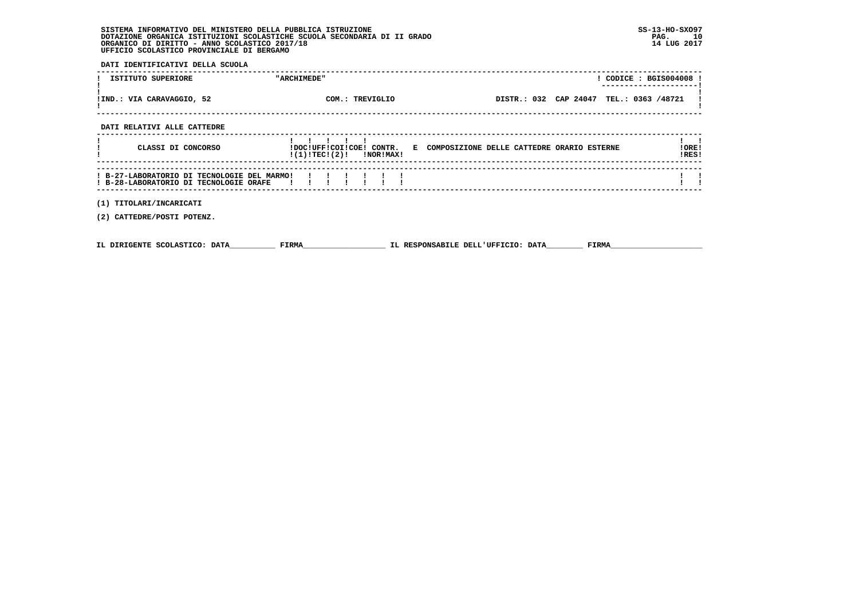**DATI IDENTIFICATIVI DELLA SCUOLA**

| ISTITUTO SUPERIORE                                                                    | "ARCHIMEDE"                 | ! CODICE : BGIS004008 !                                                                 |
|---------------------------------------------------------------------------------------|-----------------------------|-----------------------------------------------------------------------------------------|
| !IND.: VIA CARAVAGGIO, 52                                                             | COM.: TREVIGLIO             | DISTR.: 032 CAP 24047 TEL.: 0363 /48721                                                 |
| DATI RELATIVI ALLE CATTEDRE                                                           |                             |                                                                                         |
| CLASSI DI CONCORSO                                                                    | $!(1)!TEC!(2)!$ $INORIMAX!$ | !DOC!UFF!COI!COE! CONTR. E COMPOSIZIONE DELLE CATTEDRE ORARIO ESTERNE<br>!ORE!<br>!RES! |
| ! B-27-LABORATORIO DI TECNOLOGIE DEL MARMO!<br>! B-28-LABORATORIO DI TECNOLOGIE ORAFE |                             |                                                                                         |
| (1) TITOLARI/INCARICATI<br>(2) CATTEDRE/POSTI POTENZ.                                 |                             |                                                                                         |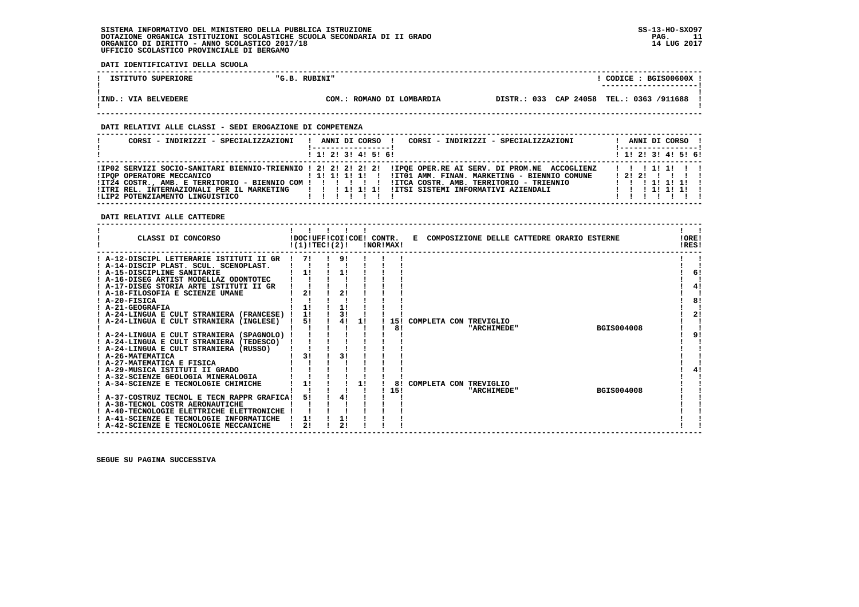**DATI IDENTIFICATIVI DELLA SCUOLA ------------------------------------------------------------------------------------------------------------------------------------** $!$  CODICE : BGIS00600X  $!$ *I* **ISTITUTO SUPERIORE**  $\blacksquare$  $\blacksquare$  $\blacksquare$  $\blacksquare$  $\blacksquare$  **. RUBINI" ! ---------------------! ! ! !IND.: VIA BELVEDERE COM.: ROMANO DI LOMBARDIA DISTR.: 033 CAP 24058 TEL.: 0363 /911688 !**- 1  **! ! ------------------------------------------------------------------------------------------------------------------------------------ DATI RELATIVI ALLE CLASSI - SEDI EROGAZIONE DI COMPETENZA ------------------------------------------------------------------------------------------------------------------------------------ ! CORSI - INDIRIZZI - SPECIALIZZAZIONI ! ANNI DI CORSO ! CORSI - INDIRIZZI - SPECIALIZZAZIONI ! ANNI DI CORSO !**\_\_\_\_\_\_\_\_\_\_\_\_\_\_\_\_\_\_\_\_\_\_  **! !-----------------! !-----------------!**1 1 2 3 3 4 5 6  **! ! 1! 2! 3! 4! 5! 6! ! 1! 2! 3! 4! 5! 6! ------------------------------------------------------------------------------------------------------------------------------------ !IP02 SERVIZI SOCIO-SANITARI BIENNIO-TRIENNIO ! 2! 2! 2! 2! 2! !IPQE OPER.RE AI SERV. DI PROM.NE ACCOGLIENZ ! ! ! 1! 1! ! ! !IPQP OPERATORE MECCANICO ! 1! 1! 1! 1! ! !IT01 AMM. FINAN. MARKETING - BIENNIO COMUNE ! 2! 2! ! ! ! !**ITT24 COSTR., AMB. E TERRITORIO - BIENNIO COM | | | | | | |ITCA COSTR. AMB. TERRITORIO - TRIENNIO | | | | | 1| 1| 1|<br>ITRI REL. INTERNAZIONALI PER IL MARKETING | | | | 1| 1| 1| 1| ITSI SISTEMI INFORMATIVI AZIENDALI | | | |  **------------------------------------------------------------------------------------------------------------------------------------ DATI RELATIVI ALLE CATTEDRE ------------------------------------------------------------------------------------------------------------------------------------** $\mathbf{I}$   $\mathbf{I}$  **! ! ! ! ! ! ! ! ! CLASSI DI CONCORSO !DOC!UFF!COI!COE! CONTR. E COMPOSIZIONE DELLE CATTEDRE ORARIO ESTERNE !ORE! ! !(1)!TEC!(2)! !NOR!MAX! !RES!LORE!**  $IPICI$   **------------------------------------------------------------------------------------------------------------------------------------**- 1  **! A-12-DISCIPL LETTERARIE ISTITUTI II GR ! 7! ! 9! ! ! ! ! ! ! A-14-DISCIP PLAST. SCUL. SCENOPLAST. ! ! ! ! ! ! ! ! !** $\blacksquare$  $1 \quad 61$  **! A-15-DISCIPLINE SANITARIE ! 1! ! 1! ! ! ! ! 6! ! A-16-DISEG ARTIST MODELLAZ ODONTOTEC ! ! ! ! ! ! ! ! ! ! A-17-DISEG STORIA ARTE ISTITUTI II GR ! ! ! ! ! ! ! ! 4!** $\mathbf{I}$  $1 \quad 41$  $\mathbf{I}$  **! A-18-FILOSOFIA E SCIENZE UMANE ! 2! ! 2! ! ! ! ! ! ! A-20-FISICA ! ! ! ! ! ! ! ! 8! ! A-21-GEOGRAFIA ! 1! ! 1! ! ! ! ! ! ! A-24-LINGUA E CULT STRANIERA (FRANCESE) ! 1! ! 3! ! ! ! ! 2!** $\overline{1}$   $\overline{8}$   $\overline{1}$  $\overline{1}$  21  $\mathbf{I}$  and  $\mathbf{I}$  **! A-24-LINGUA E CULT STRANIERA (INGLESE) ! 5! ! 4! 1! ! 15! COMPLETA CON TREVIGLIO ! !** $\blacksquare$ ا !!!!!!!!!!!!!! A-24-LINGUA E CULT STRANIERA (SPAGNOLO) !!!!!!!!!<br>! A-24-LINGUA E CULT STRANIERA (SPAGNOLO) !!!!!!!!!!!!!!  $91$  **! A-24-LINGUA E CULT STRANIERA (SPAGNOLO) ! ! ! ! ! ! ! ! 9! ! A-24-LINGUA E CULT STRANIERA (TEDESCO) ! ! ! ! ! ! ! ! ! ! A-24-LINGUA E CULT STRANIERA (RUSSO) ! ! ! ! ! ! ! ! ! ! A-26-MATEMATICA ! 3! ! 3! ! ! ! ! ! ! A-27-MATEMATICA E FISICA ! ! ! ! ! ! ! ! ! ! A-29-MUSICA ISTITUTI II GRADO ! ! ! ! ! ! ! ! 4! ! A-32-SCIENZE GEOLOGIA MINERALOGIA ! ! ! ! ! ! ! ! ! ! A-34-SCIENZE E TECNOLOGIE CHIMICHE ! 1! ! ! 1! ! 8! COMPLETA CON TREVIGLIO ! !** $\blacksquare$  $\blacksquare$  $\blacksquare$  $\blacksquare$  $41$ - 1  $\mathbf{I}$ - 1  **! ! ! ! ! ! ! 15! "ARCHIMEDE" BGIS004008 ! !**- 1  **! A-37-COSTRUZ TECNOL E TECN RAPPR GRAFICA! 5! ! 4! ! ! ! ! ! ! A-38-TECNOL COSTR AERONAUTICHE ! ! ! ! ! ! ! ! !**- 1  $\blacksquare$  **! A-40-TECNOLOGIE ELETTRICHE ELETTRONICHE ! ! ! ! ! ! ! ! !**- 1  **! A-41-SCIENZE E TECNOLOGIE INFORMATICHE ! 1! ! 1! ! ! ! ! !** $\blacksquare$  **! A-42-SCIENZE E TECNOLOGIE MECCANICHE ! 2! ! 2! ! ! ! ! ! ------------------------------------------------------------------------------------------------------------------------------------**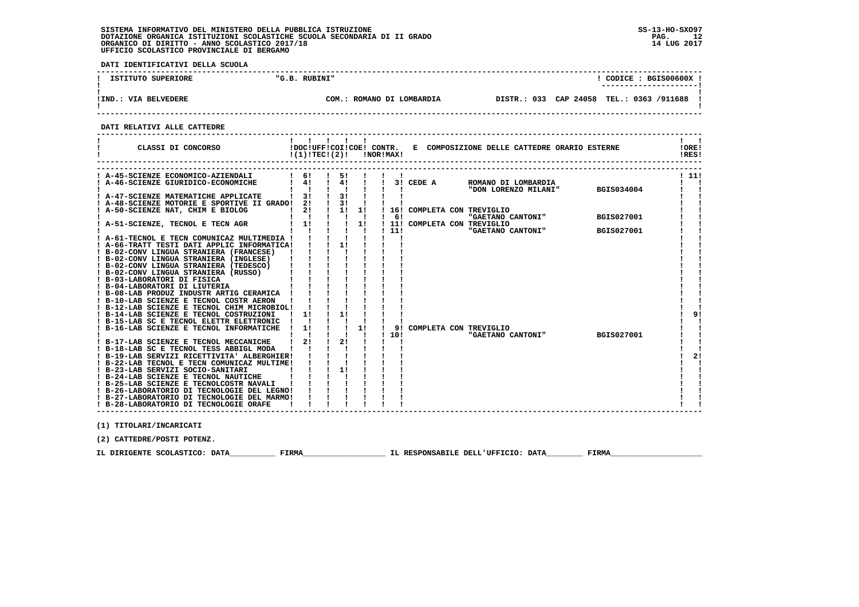**DATI IDENTIFICATIVI DELLA SCUOLA**

| ISTITUTO SUPERIORE   | "G.B. RUBINI"             | CODICE: BGIS00600X                       |
|----------------------|---------------------------|------------------------------------------|
| !IND.: VIA BELVEDERE | COM.: ROMANO DI LOMBARDIA | DISTR.: 033 CAP 24058 TEL.: 0363 /911688 |

 **------------------------------------------------------------------------------------------------------------------------------------**

 **DATI RELATIVI ALLE CATTEDRE**

| ! A-45-SCIENZE ECONOMICO-AZIENDALI<br>$1 \quad 61$<br>$1 \quad 51$<br>! 11!<br>ROMANO DI LOMBARDIA<br>$\frac{1}{2}$ 4! $\frac{1}{2}$<br>A-46-SCIENZE GIURIDICO-ECONOMICHE<br>$\frac{1}{4}$<br>$\frac{1}{1}$ 3! CEDE A<br>$\frac{1}{1}$ $\frac{1}{3}$ $\frac{1}{1}$<br>$\mathbf{1}$ $\mathbf{1}$<br>$1 - 1$ and $1 - 1$ and $1 - 1$<br>! A-47-SCIENZE MATEMATICHE APPLICATE   3!<br>$\mathbf{1}$ $\mathbf{1}$<br>! A-48-SCIENZE MOTORIE E SPORTIVE II GRADO! 2! ! 3! !<br>1 2! 1 1! 1 16! COMPLETA CON TREVIGLIO<br>! A-50-SCIENZE NAT, CHIM E BIOLOG<br>"GAETANO CANTONI" BGIS027001<br>$\mathbf{I}$<br>$\frac{1}{1}$ 6!<br>$\mathbf{1}$ $\mathbf{1}$<br>$\frac{1}{1}$<br>! 11! COMPLETA CON TREVIGLIO<br>! A-51-SCIENZE, TECNOL E TECN AGR<br>TREVIGLIO<br>"GAETANO CANTONI"<br>$\frac{1}{1}$ $\frac{1}{1}$ $\frac{1}{1}$ $\frac{1}{1}$ $\frac{1}{1}$<br>111<br><b>BGIS027001</b><br>$\blacksquare$<br>A-61-TECNOL E TECN COMUNICAZ MULTIMEDIA !<br>Ι.<br>! A-66-TRATT TESTI DATI APPLIC INFORMATICA! ! ! 1!<br>$\mathbf{I}$<br>! B-02-CONV LINGUA STRANIERA (FRANCESE)<br>$\begin{array}{cccccc} 1 & 1 & 1 & 1 \\ 1 & 1 & 1 & 1 \\ 1 & 1 & 1 & 1 \\ 1 & 1 & 1 & 1 \\ 1 & 1 & 1 & 1 \\ 1 & 1 & 1 & 1 \\ 1 & 1 & 1 & 1 \\ \end{array}$<br>! B-02-CONV LINGUA STRANIERA (INGLESE)<br>! B-02-CONV LINGUA STRANIERA (TEDESCO)<br>! B-02-CONV LINGUA STRANIERA (RUSSO)<br>! B-03-LABORATORI DI FISICA<br>! B-04-LABORATORI DI LIUTERIA<br>! B-08-LAB PRODUZ INDUSTR ARTIG CERAMICA !<br>I B-12-LAB SCIENZE E TECNOL COSTR AERON      <br>  B-14-LAB SCIENZE E TECNOL CHIM MICROBIOL     <br>  B-14-LAB SCIENZE E TECNOL COSTRUISTONT<br>$\frac{1}{1}$<br>9!<br>$\left\langle 1\right\rangle$ , $\left\langle 1\right\rangle$ , $\left\langle 1\right\rangle$ , $\left\langle 1\right\rangle$<br>! B-15-LAB SC E TECNOL ELETTR ELETTRONIC<br>$\frac{1}{1}$ $\frac{1}{1}$<br>! B-16-LAB SCIENZE E TECNOL INFORMATICHE<br>$\frac{1}{2}$<br>9! COMPLETA CON TREVIGLIO<br>"GAETANO CANTONI" BGIS027001<br>$\mathbf{r}$<br>1101<br>$\frac{1}{2}$<br>$1 \quad 21$<br>! B-17-LAB SCIENZE E TECNOL MECCANICHE<br>! B-18-LAB SC E TECNOL TESS ABBIGL MODA<br>$\mathbf{1}$<br>$\frac{1}{1}$ $\frac{1}{1}$ $\frac{1}{1}$<br>2!<br>! B-19-LAB SERVIZI RICETTIVITA' ALBERGHIER!<br>! B-22-LAB TECNOL E TECN COMUNICAZ MULTIME!<br>$1 \quad 1 \quad 11$<br>! B-23-LAB SERVIZI SOCIO-SANITARI<br>! B-24-LAB SCIENZE E TECNOL NAUTICHE<br>$3N0!$ $1 \t 1$<br>! B-25-LAB SCIENZE E TECNOLCOSTR NAVALI<br>! B-26-LABORATORIO DI TECNOLOGIE DEL LEGNO!<br>! B-27-LABORATORIO DI TECNOLOGIE DEL MARMO!<br>! B-28-LABORATORIO DI TECNOLOGIE ORAFE | CLASSI DI CONCORSO<br>-1 | $\mathbf{1}$ $\mathbf{1}$<br>!(1)!TEC!(2)! | $\blacksquare$<br>-1 | <b>!NOR!MAX!</b> | !DOC!UFF!COI!COE! CONTR. E COMPOSIZIONE DELLE CATTEDRE ORARIO ESTERNE | !ORE!<br>IRES! |
|-------------------------------------------------------------------------------------------------------------------------------------------------------------------------------------------------------------------------------------------------------------------------------------------------------------------------------------------------------------------------------------------------------------------------------------------------------------------------------------------------------------------------------------------------------------------------------------------------------------------------------------------------------------------------------------------------------------------------------------------------------------------------------------------------------------------------------------------------------------------------------------------------------------------------------------------------------------------------------------------------------------------------------------------------------------------------------------------------------------------------------------------------------------------------------------------------------------------------------------------------------------------------------------------------------------------------------------------------------------------------------------------------------------------------------------------------------------------------------------------------------------------------------------------------------------------------------------------------------------------------------------------------------------------------------------------------------------------------------------------------------------------------------------------------------------------------------------------------------------------------------------------------------------------------------------------------------------------------------------------------------------------------------------------------------------------------------------------------------------------------------------------------------------------------------------------------------------------------------------------------------------------------------------------------------------------------------------------------------------------------------------------------------------------------------------------------------------------------------------------------------------------------------------------------------------------------------------------------------------------------|--------------------------|--------------------------------------------|----------------------|------------------|-----------------------------------------------------------------------|----------------|
|                                                                                                                                                                                                                                                                                                                                                                                                                                                                                                                                                                                                                                                                                                                                                                                                                                                                                                                                                                                                                                                                                                                                                                                                                                                                                                                                                                                                                                                                                                                                                                                                                                                                                                                                                                                                                                                                                                                                                                                                                                                                                                                                                                                                                                                                                                                                                                                                                                                                                                                                                                                                                         |                          |                                            |                      |                  |                                                                       |                |
|                                                                                                                                                                                                                                                                                                                                                                                                                                                                                                                                                                                                                                                                                                                                                                                                                                                                                                                                                                                                                                                                                                                                                                                                                                                                                                                                                                                                                                                                                                                                                                                                                                                                                                                                                                                                                                                                                                                                                                                                                                                                                                                                                                                                                                                                                                                                                                                                                                                                                                                                                                                                                         |                          |                                            |                      |                  |                                                                       |                |
|                                                                                                                                                                                                                                                                                                                                                                                                                                                                                                                                                                                                                                                                                                                                                                                                                                                                                                                                                                                                                                                                                                                                                                                                                                                                                                                                                                                                                                                                                                                                                                                                                                                                                                                                                                                                                                                                                                                                                                                                                                                                                                                                                                                                                                                                                                                                                                                                                                                                                                                                                                                                                         |                          |                                            |                      |                  |                                                                       |                |
|                                                                                                                                                                                                                                                                                                                                                                                                                                                                                                                                                                                                                                                                                                                                                                                                                                                                                                                                                                                                                                                                                                                                                                                                                                                                                                                                                                                                                                                                                                                                                                                                                                                                                                                                                                                                                                                                                                                                                                                                                                                                                                                                                                                                                                                                                                                                                                                                                                                                                                                                                                                                                         |                          |                                            |                      |                  |                                                                       |                |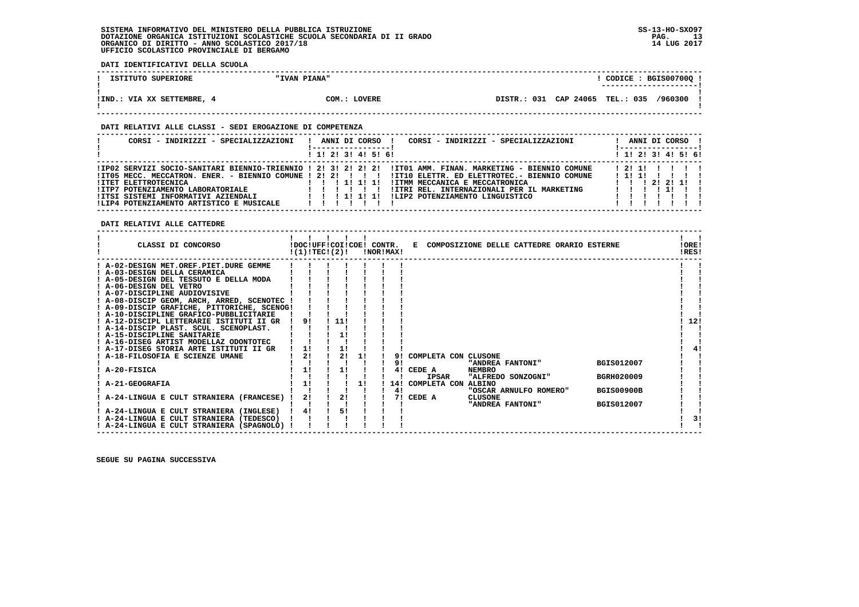**DATI IDENTIFICATIVI DELLA SCUOLA**

| ISTITUTO SUPERIORE       | "IVAN PIANA" | CODICE: BGIS00700Q:                        |  |
|--------------------------|--------------|--------------------------------------------|--|
|                          |              | ----------------------                     |  |
|                          |              |                                            |  |
| !IND.: VIA XX SETTEMBRE, | COM.: LOVERE | DISTR.: 031 CAP 24065 TEL.: 035<br>/960300 |  |
|                          |              |                                            |  |

 **------------------------------------------------------------------------------------------------------------------------------------**

#### **DATI RELATIVI ALLE CLASSI - SEDI EROGAZIONE DI COMPETENZA**

| CORSI - INDIRIZZI - SPECIALIZZAZIONI                                                                                                                | ANNI DI CORSO<br>CORSI - INDIRIZZI - SPECIALIZZAZIONI                                                                                                                                                                                                                                                                                                    | ANNI DI CORSO !<br>! ------------------                                              |
|-----------------------------------------------------------------------------------------------------------------------------------------------------|----------------------------------------------------------------------------------------------------------------------------------------------------------------------------------------------------------------------------------------------------------------------------------------------------------------------------------------------------------|--------------------------------------------------------------------------------------|
|                                                                                                                                                     | 1 1! 2! 3! 4! 5! 6!                                                                                                                                                                                                                                                                                                                                      | $1$ 1! 2! 3! 4! 5! 6!                                                                |
| <b>!ITET ELETTROTECNICA</b><br>!ITP7 POTENZIAMENTO LABORATORIALE<br>IITSI SISTEMI INFORMATIVI AZIENDALI<br>!LIP4 POTENZIAMENTO ARTISTICO E MUSICALE | IIPO2 SERVIZI SOCIO-SANITARI BIENNIO-TRIENNIO ! 2! 3! 2! 2! 2! IITO1 AMM. FINAN. MARKETING - BIENNIO COMUNE<br>ITO5 MECC. MECCATRON. ENER. - BIENNIO COMUNE ! 2! 2! ! !! !ITIO ELETTR. ED ELETTROTEC. - BIENNIO COMUNE<br>! ITMM MECCANICA E MECCATRONICA<br>! 1! 1! 1!<br>!ITRI REL. INTERNAZIONALI PER IL MARKETING<br>ILIP2 POTENZIAMENTO LINGUISTICO | 12111 1 1 1 1<br>111111111<br>$1 \quad 1 \quad 1 \quad 21 \quad 21 \quad 11 \quad 1$ |

 **DATI RELATIVI ALLE CATTEDRE**

| CLASSI DI CONCORSO                          | !DOC!UFF!COI!COE! CONTR.<br>!(1)!TECI(2)! |     |    | !NOR!MAX! | E COMPOSIZIONE DELLE CATTEDRE ORARIO ESTERNE |                        |  |                   | !ORE!<br>!RES! |
|---------------------------------------------|-------------------------------------------|-----|----|-----------|----------------------------------------------|------------------------|--|-------------------|----------------|
| ! A-02-DESIGN MET.OREF.PIET.DURE GEMME      |                                           |     |    |           |                                              |                        |  |                   |                |
| ! A-03-DESIGN DELLA CERAMICA                |                                           |     |    |           |                                              |                        |  |                   |                |
| ! A-05-DESIGN DEL TESSUTO E DELLA MODA      |                                           |     |    |           |                                              |                        |  |                   |                |
| ! A-06-DESIGN DEL VETRO                     |                                           |     |    |           |                                              |                        |  |                   |                |
| ! A-07-DISCIPLINE AUDIOVISIVE               |                                           |     |    |           |                                              |                        |  |                   |                |
| ! A-08-DISCIP GEOM, ARCH, ARRED, SCENOTEC ! |                                           |     |    |           |                                              |                        |  |                   |                |
| ! A-09-DISCIP GRAFICHE, PITTORICHE, SCENOG! |                                           |     |    |           |                                              |                        |  |                   |                |
| ! A-10-DISCIPLINE GRAFICO-PUBBLICITARIE     |                                           |     |    |           |                                              |                        |  |                   |                |
| ! A-12-DISCIPL LETTERARIE ISTITUTI II GR    | 91                                        | 11! |    |           |                                              |                        |  |                   | 12!            |
| ! A-14-DISCIP PLAST. SCUL. SCENOPLAST.      |                                           |     |    |           |                                              |                        |  |                   |                |
| A-15-DISCIPLINE SANITARIE                   |                                           | 11  |    |           |                                              |                        |  |                   |                |
| ! A-16-DISEG ARTIST MODELLAZ ODONTOTEC      |                                           |     |    |           |                                              |                        |  |                   |                |
| ! A-17-DISEG STORIA ARTE ISTITUTI II GR     | 11                                        |     |    |           |                                              |                        |  |                   |                |
| A-18-FILOSOFIA E SCIENZE UMANE              | 2!                                        | 2!  | 11 | 91        | COMPLETA CON CLUSONE                         |                        |  |                   |                |
|                                             |                                           |     |    | 91        |                                              | "ANDREA FANTONI"       |  | BGIS012007        |                |
| A-20-FISICA                                 | 1!                                        | 1!  |    | 41        | CEDE A                                       | <b>NEMBRO</b>          |  |                   |                |
|                                             |                                           |     |    |           | IPSAR                                        | "ALFREDO SONZOGNI"     |  | <b>BGRH020009</b> |                |
| A-21-GEOGRAFIA                              | 11                                        |     | 11 | 14!       | COMPLETA CON                                 | <b>ALBINO</b>          |  |                   |                |
|                                             |                                           |     |    | 4!        |                                              | "OSCAR ARNULFO ROMERO" |  | <b>BGIS00900B</b> |                |
| A-24-LINGUA E CULT STRANIERA (FRANCESE)     | 2!                                        | 21  |    |           | 7! CEDE A                                    | <b>CLUSONE</b>         |  |                   |                |
|                                             |                                           |     |    |           |                                              | "ANDREA FANTONI"       |  | <b>BGIS012007</b> |                |
| ! A-24-LINGUA E CULT STRANIERA (INGLESE)    | 4!                                        | 51  |    |           |                                              |                        |  |                   |                |
| ! A-24-LINGUA E CULT STRANIERA (TEDESCO)    |                                           |     |    |           |                                              |                        |  |                   | 31             |
| ! A-24-LINGUA E CULT STRANIERA (SPAGNOLO)   |                                           |     |    |           |                                              |                        |  |                   |                |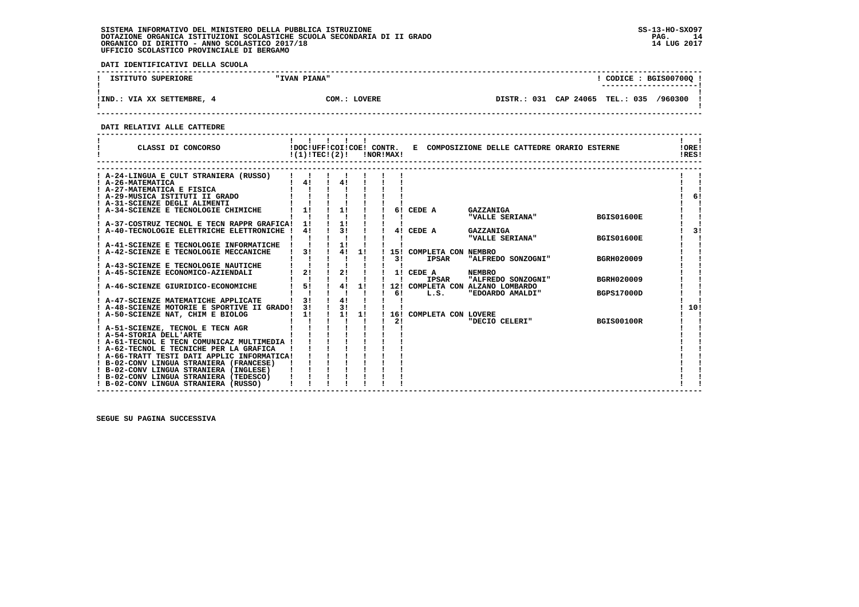**DATI IDENTIFICATIVI DELLA SCUOLA**

| ISTITUTO SUPERIORE       | "IVAN PIANA" |                                         | $\overline{CODICE}: BGIS00700Q:$<br>--------------------- |
|--------------------------|--------------|-----------------------------------------|-----------------------------------------------------------|
| !IND.: VIA XX SETTEMBRE, | COM.: LOVERE | DISTR.: 031 CAP 24065 TEL.: 035 /960300 |                                                           |

 **------------------------------------------------------------------------------------------------------------------------------------**

 **DATI RELATIVI ALLE CATTEDRE**

| CLASSI DI CONCORSO                                           | !DOC!UFF!COI!COE! CONTR.<br>!(1)!TECI(2)! |    |    |    | !NOR!MAX! |                         | E COMPOSIZIONE DELLE CATTEDRE ORARIO ESTERNE |                   | !ORE!<br>IRES! |
|--------------------------------------------------------------|-------------------------------------------|----|----|----|-----------|-------------------------|----------------------------------------------|-------------------|----------------|
|                                                              |                                           |    |    |    |           |                         |                                              |                   |                |
| ! A-24-LINGUA E CULT STRANIERA (RUSSO)                       |                                           | 4! |    |    |           |                         |                                              |                   |                |
| ! A-26-MATEMATICA<br>! A-27-MATEMATICA E FISICA              | 4!                                        |    |    |    |           |                         |                                              |                   |                |
| A-29-MUSICA ISTITUTI II GRADO                                |                                           |    |    |    |           |                         |                                              |                   | 6!             |
| ! A-31-SCIENZE DEGLI ALIMENTI                                |                                           |    |    |    |           |                         |                                              |                   |                |
| A-34-SCIENZE E TECNOLOGIE CHIMICHE                           | 11                                        | 11 |    |    |           | 6! CEDE A               | GAZZANIGA                                    |                   |                |
|                                                              |                                           |    |    |    |           |                         | "VALLE SERIANA"                              | <b>BGIS01600E</b> |                |
| A-37-COSTRUZ TECNOL E TECN RAPPR GRAFICA!                    | 11                                        | 11 |    |    |           |                         |                                              |                   |                |
| A-40-TECNOLOGIE ELETTRICHE ELETTRONICHE                      | 41                                        | 31 |    |    |           | 4! CEDE A               | GAZZANIGA                                    |                   | 31             |
|                                                              |                                           |    |    |    |           |                         | "VALLE SERIANA"                              | <b>BGIS01600E</b> |                |
| A-41-SCIENZE E TECNOLOGIE INFORMATICHE                       |                                           | 1! |    |    |           |                         |                                              |                   |                |
| A-42-SCIENZE E TECNOLOGIE MECCANICHE                         | 31                                        |    | 4! | 1! |           | 15! COMPLETA CON NEMBRO |                                              |                   |                |
|                                                              |                                           |    |    |    | 31        | <b>IPSAR</b>            | "ALFREDO SONZOGNI"                           | BGRH020009        |                |
| A-43-SCIENZE E TECNOLOGIE NAUTICHE                           |                                           |    |    |    |           |                         |                                              |                   |                |
| A-45-SCIENZE ECONOMICO-AZIENDALI                             | 2!                                        | 2! |    |    |           | 1! CEDE A               | <b>NEMBRO</b>                                |                   |                |
|                                                              | J.                                        |    |    |    |           | <b>IPSAR</b>            | "ALFREDO SONZOGNI"                           | BGRH020009        |                |
| A-46-SCIENZE GIURIDICO-ECONOMICHE                            | 5!                                        |    | 4! | 1! |           |                         | 12! COMPLETA CON ALZANO LOMBARDO             |                   |                |
|                                                              |                                           |    |    |    | 61        | L.S.                    | "EDOARDO AMALDI"                             | <b>BGPS17000D</b> |                |
| ! A-47-SCIENZE MATEMATICHE APPLICATE                         | 31                                        | 41 |    |    |           |                         |                                              |                   |                |
| ! A-48-SCIENZE MOTORIE E SPORTIVE II GRADO!                  | 31                                        | 31 |    |    |           |                         |                                              |                   | 10!            |
| A-50-SCIENZE NAT, CHIM E BIOLOG                              | 11                                        | 1! |    | 1! | 16!       | COMPLETA CON LOVERE     |                                              |                   |                |
|                                                              |                                           |    |    |    | 21        |                         | "DECIO CELERI"                               | <b>BGIS00100R</b> |                |
| ! A-51-SCIENZE, TECNOL E TECN AGR<br>! A-54-STORIA DELL'ARTE |                                           |    |    |    |           |                         |                                              |                   |                |
| ! A-61-TECNOL E TECN COMUNICAZ MULTIMEDIA !                  |                                           |    |    |    |           |                         |                                              |                   |                |
| ! A-62-TECNOL E TECNICHE PER LA GRAFICA                      |                                           |    |    |    |           |                         |                                              |                   |                |
| ! A-66-TRATT TESTI DATI APPLIC INFORMATICA!                  |                                           |    |    |    |           |                         |                                              |                   |                |
| ! B-02-CONV LINGUA STRANIERA (FRANCESE)                      |                                           |    |    |    |           |                         |                                              |                   |                |
| ! B-02-CONV LINGUA STRANIERA (INGLESE)                       |                                           |    |    |    |           |                         |                                              |                   |                |
| ! B-02-CONV LINGUA STRANIERA (TEDESCO)                       |                                           |    |    |    |           |                         |                                              |                   |                |
| ! B-02-CONV LINGUA STRANIERA (RUSSO)                         |                                           |    |    |    |           |                         |                                              |                   |                |
|                                                              |                                           |    |    |    |           |                         |                                              |                   |                |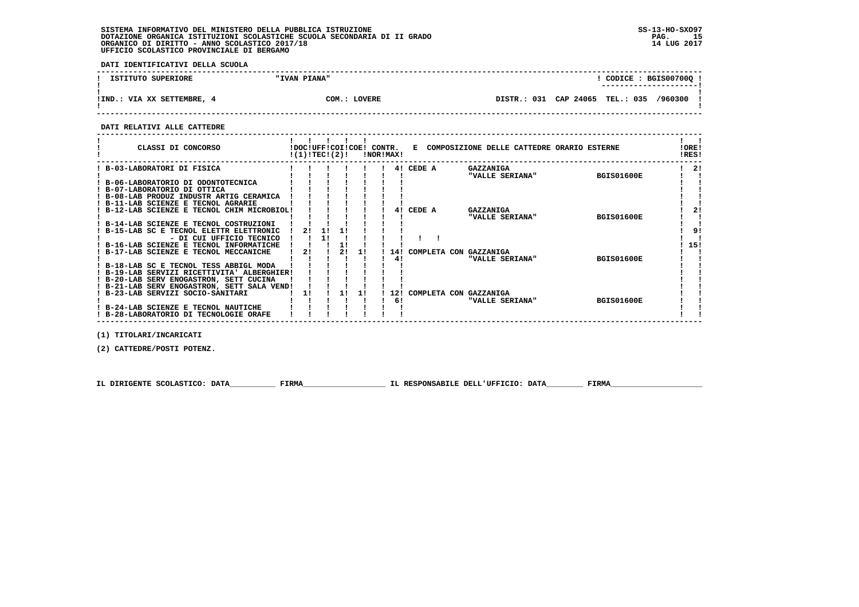**DATI IDENTIFICATIVI DELLA SCUOLA**

| ISTITUTO SUPERIORE         | "IVAN PIANA" |  |                                         |  | CODICE: BGIS00700Q!<br>---------------------- |  |
|----------------------------|--------------|--|-----------------------------------------|--|-----------------------------------------------|--|
| !IND.: VIA XX SETTEMBRE, 4 | COM.: LOVERE |  | DISTR.: 031 CAP 24065 TEL.: 035 /960300 |  |                                               |  |

 **------------------------------------------------------------------------------------------------------------------------------------**

#### **DATI RELATIVI ALLE CATTEDRE**

| CLASSI DI CONCORSO                          | !DOC!UFF!COI!COE! CONTR.<br>!(1)!TEC!(2)! |    |    | !NOR!MAX! |        | E COMPOSIZIONE DELLE CATTEDRE ORARIO ESTERNE |                   | !ORE!<br>!RES! |  |
|---------------------------------------------|-------------------------------------------|----|----|-----------|--------|----------------------------------------------|-------------------|----------------|--|
| B-03-LABORATORI DI FISICA                   |                                           |    |    | 41        | CEDE A | <b>GAZZANIGA</b>                             |                   | 2!             |  |
|                                             |                                           |    |    |           |        | "VALLE SERIANA"                              | <b>BGIS01600E</b> |                |  |
| B-06-LABORATORIO DI ODONTOTECNICA           |                                           |    |    |           |        |                                              |                   |                |  |
| ! B-07-LABORATORIO DI OTTICA                |                                           |    |    |           |        |                                              |                   |                |  |
| ! B-08-LAB PRODUZ INDUSTR ARTIG CERAMICA    |                                           |    |    |           |        |                                              |                   |                |  |
| ! B-11-LAB SCIENZE E TECNOL AGRARIE         |                                           |    |    |           |        |                                              |                   |                |  |
| B-12-LAB SCIENZE E TECNOL CHIM MICROBIOL!   |                                           |    |    | 41        | CEDE A | <b>GAZZANIGA</b>                             |                   | 21             |  |
|                                             |                                           |    |    |           |        | "VALLE SERIANA"                              | <b>BGIS01600E</b> |                |  |
| ! B-14-LAB SCIENZE E TECNOL COSTRUZIONI     |                                           |    |    |           |        |                                              |                   |                |  |
| B-15-LAB SC E TECNOL ELETTR ELETTRONIC      | 21                                        |    |    |           |        |                                              |                   | 9!             |  |
| - DI CUI UFFICIO TECNICO                    |                                           |    |    |           |        |                                              |                   |                |  |
| ! B-16-LAB SCIENZE E TECNOL INFORMATICHE    |                                           |    |    |           |        |                                              |                   | 15!            |  |
| ! B-17-LAB SCIENZE E TECNOL MECCANICHE      | 21                                        | 21 | 11 | 14!       |        | COMPLETA CON GAZZANIGA                       |                   |                |  |
|                                             |                                           |    |    | 41        |        | "VALLE SERIANA"                              | <b>BGIS01600E</b> |                |  |
| ! B-18-LAB SC E TECNOL TESS ABBIGL MODA     |                                           |    |    |           |        |                                              |                   |                |  |
| ! B-19-LAB SERVIZI RICETTIVITA' ALBERGHIER! |                                           |    |    |           |        |                                              |                   |                |  |
| ! B-20-LAB SERV ENOGASTRON, SETT CUCINA     |                                           |    |    |           |        |                                              |                   |                |  |
| ! B-21-LAB SERV ENOGASTRON, SETT SALA VEND! |                                           |    |    |           |        |                                              |                   |                |  |
| ! B-23-LAB SERVIZI SOCIO-SANITARI           | 1!                                        |    | 11 | 12!       |        | COMPLETA CON GAZZANIGA                       |                   |                |  |
|                                             |                                           |    |    | 6!        |        | "VALLE SERIANA"                              | <b>BGIS01600E</b> |                |  |
| B-24-LAB SCIENZE E TECNOL NAUTICHE          |                                           |    |    |           |        |                                              |                   |                |  |
| ! B-28-LABORATORIO DI TECNOLOGIE ORAFE      |                                           |    |    |           |        |                                              |                   |                |  |

 **(1) TITOLARI/INCARICATI**

 **(2) CATTEDRE/POSTI POTENZ.**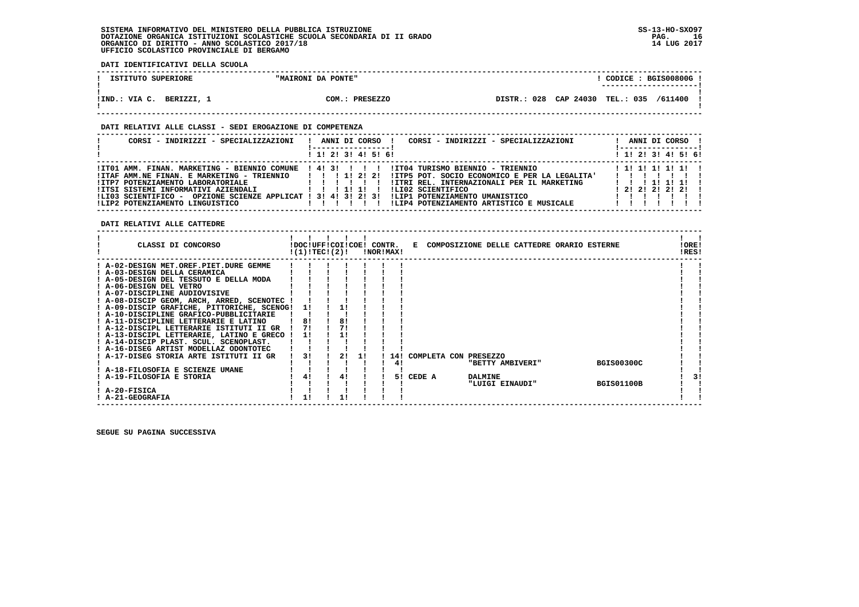**DATI IDENTIFICATIVI DELLA SCUOLA**

| ISTITUTO SUPERIORE        | "MAIRONI DA PONTE" | CODICE: BGIS00800G!                           |  |
|---------------------------|--------------------|-----------------------------------------------|--|
|                           |                    | ---------------------                         |  |
| !IND.: VIA C.<br>BERIZZI. | COM.:<br>PRESEZZO  | 028 CAP 24030<br>TEL.: 035 /611400<br>DISTR.: |  |
|                           |                    |                                               |  |

 **------------------------------------------------------------------------------------------------------------------------------------**

#### **DATI RELATIVI ALLE CLASSI - SEDI EROGAZIONE DI COMPETENZA**

| CORSI - INDIRIZZI - SPECIALIZZAZIONI                                                                                                                                                                                                                                                                                           | ANNI DI CORSO<br>CORSI - INDIRIZZI - SPECIALIZZAZIONI                                                                                                                                                                                            | ANNI DI CORSO !<br>! ------------------!                  |
|--------------------------------------------------------------------------------------------------------------------------------------------------------------------------------------------------------------------------------------------------------------------------------------------------------------------------------|--------------------------------------------------------------------------------------------------------------------------------------------------------------------------------------------------------------------------------------------------|-----------------------------------------------------------|
|                                                                                                                                                                                                                                                                                                                                | 1 1! 2! 3! 4! 5! 6!                                                                                                                                                                                                                              | $1$ 1! 2! 3! 4! 5! 6!                                     |
| !IT01 AMM. FINAN. MARKETING - BIENNIO COMUNE ! 4! 3! ! ! !<br>$IITAF AMM.NE FINAN. E MARKETING - TRIENNIO$ $I$ $I$ $I$ $I$ $I$ $I$ $I$ $I$ $I$<br>IITP7 POTENZIAMENTO LABORATORIALE<br>IITSI SISTEMI INFORMATIVI AZIENDALI<br>!LI03 SCIENTIFICO - OPZIONE SCIENZE APPLICAT ! 3! 4! 3! 2! 3!<br>!LIP2 POTENZIAMENTO LINGUISTICO | IIT04 TURISMO BIENNIO - TRIENNIO<br>!ITP5 POT. SOCIO ECONOMICO E PER LA LEGALITA'<br>!ITRI REL. INTERNAZIONALI PER IL MARKETING<br>!LI02 SCIENTIFICO<br>11111<br>ILIP1 POTENZIAMENTO UMANISTICO<br>!LIP4 POTENZIAMENTO ARTISTICO E MUSICALE<br>. | 1 1 1 1 1 1 1 1 1<br>1 1 1 1 1 1 1 1<br>$1$ 21 21 21 21 1 |

 **DATI RELATIVI ALLE CATTEDRE**

| CLASSI DI CONCORSO                          | !DOC!UFF!COI!COE! CONTR.<br>!(1)!TECI(2)! |    |    | !NOR!MAX! |        |                           |                 | E COMPOSIZIONE DELLE CATTEDRE ORARIO ESTERNE |                   | !ORE!<br>!RES! |    |
|---------------------------------------------|-------------------------------------------|----|----|-----------|--------|---------------------------|-----------------|----------------------------------------------|-------------------|----------------|----|
| ! A-02-DESIGN MET.OREF.PIET.DURE GEMME      |                                           |    |    |           |        |                           |                 |                                              |                   |                |    |
| ! A-03-DESIGN DELLA CERAMICA                |                                           |    |    |           |        |                           |                 |                                              |                   |                |    |
| ! A-05-DESIGN DEL TESSUTO E DELLA MODA      |                                           |    |    |           |        |                           |                 |                                              |                   |                |    |
| ! A-06-DESIGN DEL VETRO                     |                                           |    |    |           |        |                           |                 |                                              |                   |                |    |
| ! A-07-DISCIPLINE AUDIOVISIVE               |                                           |    |    |           |        |                           |                 |                                              |                   |                |    |
| ! A-08-DISCIP GEOM, ARCH, ARRED, SCENOTEC ! |                                           |    |    |           |        |                           |                 |                                              |                   |                |    |
| ! A-09-DISCIP GRAFICHE, PITTORICHE, SCENOG! | -11                                       |    |    |           |        |                           |                 |                                              |                   |                |    |
| ! A-10-DISCIPLINE GRAFICO-PUBBLICITARIE     |                                           |    |    |           |        |                           |                 |                                              |                   |                |    |
| ! A-11-DISCIPLINE LETTERARIE E LATINO       | 8!                                        | 8! |    |           |        |                           |                 |                                              |                   |                |    |
| ! A-12-DISCIPL LETTERARIE ISTITUTI II GR    | 71                                        | 71 |    |           |        |                           |                 |                                              |                   |                |    |
| ! A-13-DISCIPL LETTERARIE, LATINO E GRECO ! | 11                                        | 11 |    |           |        |                           |                 |                                              |                   |                |    |
| ! A-14-DISCIP PLAST. SCUL. SCENOPLAST.      |                                           |    |    |           |        |                           |                 |                                              |                   |                |    |
| ! A-16-DISEG ARTIST MODELLAZ ODONTOTEC      |                                           |    |    |           |        |                           |                 |                                              |                   |                |    |
| ! A-17-DISEG STORIA ARTE ISTITUTI II GR     | 3!                                        | 2! | 11 |           |        | 14! COMPLETA CON PRESEZZO |                 |                                              |                   |                |    |
|                                             |                                           |    |    | 41        |        |                           |                 | "BETTY AMBIVERI"                             | <b>BGIS00300C</b> |                |    |
| ! A-18-FILOSOFIA E SCIENZE UMANE            |                                           |    |    |           |        |                           |                 |                                              |                   |                |    |
| A-19-FILOSOFIA E STORIA                     | 41                                        |    |    | 51        | CEDE A |                           | <b>DALMINE</b>  |                                              |                   |                | 31 |
|                                             |                                           |    |    |           |        |                           | "LUIGI EINAUDI" |                                              | <b>BGIS01100B</b> |                |    |
| ! A-20-FISICA                               |                                           |    |    |           |        |                           |                 |                                              |                   |                |    |
| ! A-21-GEOGRAFIA                            | 11                                        |    |    |           |        |                           |                 |                                              |                   |                |    |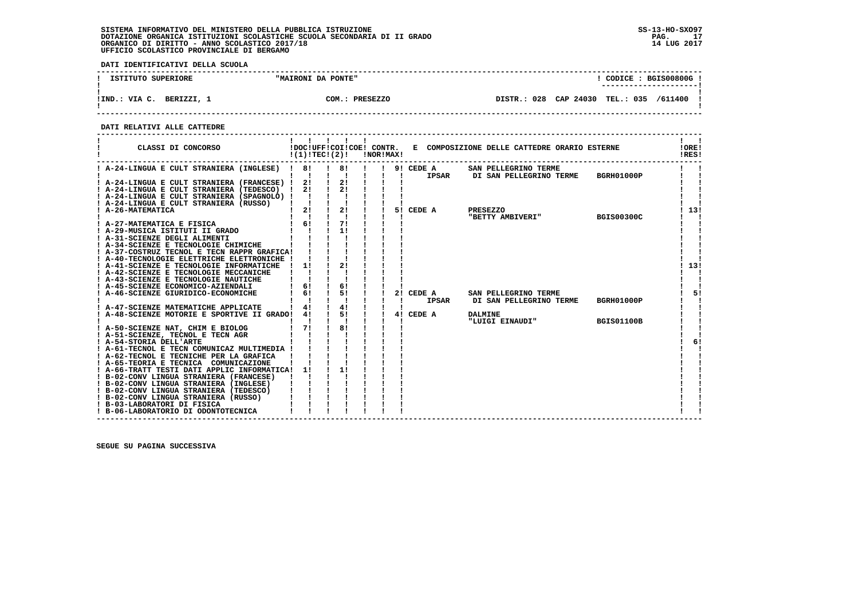**DATI IDENTIFICATIVI DELLA SCUOLA**

| ISTITUTO SUPERIORE          | "MAIRONI DA PONTE"    | CODICE: BGIS00800G<br>----------------------        |
|-----------------------------|-----------------------|-----------------------------------------------------|
| VIA C.<br>BERIZZI,<br>!IND. | ിന<br><b>PRESEZZO</b> | CAP 24030<br>028<br>TEL.: 035<br>/611400<br>DISTR.: |

 **------------------------------------------------------------------------------------------------------------------------------------**

 **DATI RELATIVI ALLE CATTEDRE**

| ! A-24-LINGUA E CULT STRANIERA (INGLESE) ! 8!<br>$\frac{1}{1}$ 8! $\frac{1}{1}$<br>$19!$ CEDE A<br>SAN PELLEGRINO TERME<br>$\frac{1}{2}$ $\frac{1}{2}$ $\frac{1}{2}$<br>IPSAR DI SAN PELLEGRINO TERME<br>BGRH01000P<br>$\blacksquare$<br>$\blacksquare$<br>! A-24-LINGUA E CULT STRANIERA (FRANCESE) ! 2! !<br>2!<br>21<br>$\mathbf{I}$<br>! A-24-LINGUA E CULT STRANIERA (TEDESCO) ! 2!<br>! A-24-LINGUA E CULT STRANIERA (SPAGNOLO) ! ! ! !<br>! A-24-LINGUA E CULT STRANIERA (RUSSO)   ! ! !<br>$1 \quad 2! \quad 1 \quad 2!$<br>5! CEDE A<br>! 13!<br>! A-26-MATEMATICA<br>PRESEZZO<br>$1 \quad 1 \quad 1 \quad 1$<br>"BETTY AMBIVERI" BGIS00300C<br>! 6! 1 7!<br>! A-27-MATEMATICA E FISICA<br>! A-29-MUSICA ISTITUTI II GRADO<br>1!<br>! A-31-SCIENZE DEGLI ALIMENTI<br>! A-34-SCIENZE E TECNOLOGIE CHIMICHE<br>! A-37-COSTRUZ TECNOL E TECN RAPPR GRAFICA!<br>! A-40-TECNOLOGIE ELETTRICHE ELETTRONICHE !<br>21<br>! A-41-SCIENZE E TECNOLOGIE INFORMATICHE<br>11<br>$\mathbf{I}$<br>! A-42-SCIENZE E TECNOLOGIE MECCANICHE<br>! A-43-SCIENZE E TECNOLOGIE NAUTICHE<br>61<br>$\begin{array}{ccc} 1 & 6 & 1 \end{array}$<br>! A-45-SCIENZE ECONOMICO-AZIENDALI | CLASSI DI CONCORSO                  | !(1)!TEC!(2)! |    | !NOR!MAX! |           | !DOC!UFF!COI!COE! CONTR. E COMPOSIZIONE DELLE CATTEDRE ORARIO ESTERNE | $\mathbf{1}$ $\mathbf{1}$<br>!ORE!<br>!RES! |
|----------------------------------------------------------------------------------------------------------------------------------------------------------------------------------------------------------------------------------------------------------------------------------------------------------------------------------------------------------------------------------------------------------------------------------------------------------------------------------------------------------------------------------------------------------------------------------------------------------------------------------------------------------------------------------------------------------------------------------------------------------------------------------------------------------------------------------------------------------------------------------------------------------------------------------------------------------------------------------------------------------------------------------------------------------------------------------------------------------------------------------------------------------------------|-------------------------------------|---------------|----|-----------|-----------|-----------------------------------------------------------------------|---------------------------------------------|
|                                                                                                                                                                                                                                                                                                                                                                                                                                                                                                                                                                                                                                                                                                                                                                                                                                                                                                                                                                                                                                                                                                                                                                      |                                     |               |    |           |           |                                                                       |                                             |
|                                                                                                                                                                                                                                                                                                                                                                                                                                                                                                                                                                                                                                                                                                                                                                                                                                                                                                                                                                                                                                                                                                                                                                      |                                     |               |    |           |           |                                                                       |                                             |
|                                                                                                                                                                                                                                                                                                                                                                                                                                                                                                                                                                                                                                                                                                                                                                                                                                                                                                                                                                                                                                                                                                                                                                      |                                     |               |    |           |           |                                                                       |                                             |
|                                                                                                                                                                                                                                                                                                                                                                                                                                                                                                                                                                                                                                                                                                                                                                                                                                                                                                                                                                                                                                                                                                                                                                      |                                     |               |    |           |           |                                                                       |                                             |
|                                                                                                                                                                                                                                                                                                                                                                                                                                                                                                                                                                                                                                                                                                                                                                                                                                                                                                                                                                                                                                                                                                                                                                      |                                     |               |    |           |           |                                                                       |                                             |
|                                                                                                                                                                                                                                                                                                                                                                                                                                                                                                                                                                                                                                                                                                                                                                                                                                                                                                                                                                                                                                                                                                                                                                      |                                     |               |    |           |           |                                                                       |                                             |
|                                                                                                                                                                                                                                                                                                                                                                                                                                                                                                                                                                                                                                                                                                                                                                                                                                                                                                                                                                                                                                                                                                                                                                      |                                     |               |    |           |           |                                                                       |                                             |
|                                                                                                                                                                                                                                                                                                                                                                                                                                                                                                                                                                                                                                                                                                                                                                                                                                                                                                                                                                                                                                                                                                                                                                      |                                     |               |    |           |           |                                                                       |                                             |
|                                                                                                                                                                                                                                                                                                                                                                                                                                                                                                                                                                                                                                                                                                                                                                                                                                                                                                                                                                                                                                                                                                                                                                      |                                     |               |    |           |           |                                                                       |                                             |
|                                                                                                                                                                                                                                                                                                                                                                                                                                                                                                                                                                                                                                                                                                                                                                                                                                                                                                                                                                                                                                                                                                                                                                      |                                     |               |    |           |           |                                                                       |                                             |
|                                                                                                                                                                                                                                                                                                                                                                                                                                                                                                                                                                                                                                                                                                                                                                                                                                                                                                                                                                                                                                                                                                                                                                      |                                     |               |    |           |           |                                                                       |                                             |
|                                                                                                                                                                                                                                                                                                                                                                                                                                                                                                                                                                                                                                                                                                                                                                                                                                                                                                                                                                                                                                                                                                                                                                      |                                     |               |    |           |           |                                                                       |                                             |
|                                                                                                                                                                                                                                                                                                                                                                                                                                                                                                                                                                                                                                                                                                                                                                                                                                                                                                                                                                                                                                                                                                                                                                      |                                     |               |    |           |           |                                                                       |                                             |
|                                                                                                                                                                                                                                                                                                                                                                                                                                                                                                                                                                                                                                                                                                                                                                                                                                                                                                                                                                                                                                                                                                                                                                      |                                     |               |    |           |           |                                                                       | 13!                                         |
|                                                                                                                                                                                                                                                                                                                                                                                                                                                                                                                                                                                                                                                                                                                                                                                                                                                                                                                                                                                                                                                                                                                                                                      |                                     |               |    |           |           |                                                                       |                                             |
|                                                                                                                                                                                                                                                                                                                                                                                                                                                                                                                                                                                                                                                                                                                                                                                                                                                                                                                                                                                                                                                                                                                                                                      |                                     |               |    |           |           |                                                                       |                                             |
|                                                                                                                                                                                                                                                                                                                                                                                                                                                                                                                                                                                                                                                                                                                                                                                                                                                                                                                                                                                                                                                                                                                                                                      |                                     |               |    |           |           |                                                                       |                                             |
|                                                                                                                                                                                                                                                                                                                                                                                                                                                                                                                                                                                                                                                                                                                                                                                                                                                                                                                                                                                                                                                                                                                                                                      | ! A-46-SCIENZE GIURIDICO-ECONOMICHE | 6!            | 5! |           | 2! CEDE A | SAN PELLEGRINO TERME                                                  | 5!                                          |
| IPSAR DI SAN PELLEGRINO TERME<br>BGRH01000P<br>-1                                                                                                                                                                                                                                                                                                                                                                                                                                                                                                                                                                                                                                                                                                                                                                                                                                                                                                                                                                                                                                                                                                                    |                                     |               |    |           |           |                                                                       |                                             |
| $\frac{1}{4}$<br>4!<br>! A-47-SCIENZE MATEMATICHE APPLICATE                                                                                                                                                                                                                                                                                                                                                                                                                                                                                                                                                                                                                                                                                                                                                                                                                                                                                                                                                                                                                                                                                                          |                                     |               |    |           |           |                                                                       |                                             |
| $\frac{1}{5}$ $\frac{5}{1}$ $\frac{1}{1}$<br>! A-48-SCIENZE MOTORIE E SPORTIVE II GRADO!<br>41<br>4! CEDE A<br><b>DALMINE</b>                                                                                                                                                                                                                                                                                                                                                                                                                                                                                                                                                                                                                                                                                                                                                                                                                                                                                                                                                                                                                                        |                                     |               |    |           |           |                                                                       |                                             |
| "LUIGI EINAUDI"<br><b>BGIS01100B</b>                                                                                                                                                                                                                                                                                                                                                                                                                                                                                                                                                                                                                                                                                                                                                                                                                                                                                                                                                                                                                                                                                                                                 |                                     |               |    |           |           |                                                                       |                                             |
| ! A-50-SCIENZE NAT, CHIM E BIOLOG<br>8!<br>$1 \quad 71$                                                                                                                                                                                                                                                                                                                                                                                                                                                                                                                                                                                                                                                                                                                                                                                                                                                                                                                                                                                                                                                                                                              |                                     |               |    |           |           |                                                                       |                                             |
| ! A-51-SCIENZE, TECNOL E TECN AGR<br>! A-54-STORIA DELL'ARTE                                                                                                                                                                                                                                                                                                                                                                                                                                                                                                                                                                                                                                                                                                                                                                                                                                                                                                                                                                                                                                                                                                         |                                     |               |    |           |           |                                                                       | 6!                                          |
| ! A-61-TECNOL E TECN COMUNICAZ MULTIMEDIA !                                                                                                                                                                                                                                                                                                                                                                                                                                                                                                                                                                                                                                                                                                                                                                                                                                                                                                                                                                                                                                                                                                                          |                                     |               |    |           |           |                                                                       |                                             |
| ! A-62-TECNOL E TECNICHE PER LA GRAFICA                                                                                                                                                                                                                                                                                                                                                                                                                                                                                                                                                                                                                                                                                                                                                                                                                                                                                                                                                                                                                                                                                                                              |                                     |               |    |           |           |                                                                       |                                             |
| ! A-65-TEORIA E TECNICA COMUNICAZIONE                                                                                                                                                                                                                                                                                                                                                                                                                                                                                                                                                                                                                                                                                                                                                                                                                                                                                                                                                                                                                                                                                                                                |                                     |               |    |           |           |                                                                       |                                             |
| 11<br>! A-66-TRATT TESTI DATI APPLIC INFORMATICA! 1!                                                                                                                                                                                                                                                                                                                                                                                                                                                                                                                                                                                                                                                                                                                                                                                                                                                                                                                                                                                                                                                                                                                 |                                     |               |    |           |           |                                                                       |                                             |
| ! B-02-CONV LINGUA STRANIERA (FRANCESE)                                                                                                                                                                                                                                                                                                                                                                                                                                                                                                                                                                                                                                                                                                                                                                                                                                                                                                                                                                                                                                                                                                                              |                                     |               |    |           |           |                                                                       |                                             |
| ! B-02-CONV LINGUA STRANIERA (INGLESE)                                                                                                                                                                                                                                                                                                                                                                                                                                                                                                                                                                                                                                                                                                                                                                                                                                                                                                                                                                                                                                                                                                                               |                                     |               |    |           |           |                                                                       |                                             |
| ! B-02-CONV LINGUA STRANIERA (TEDESCO)                                                                                                                                                                                                                                                                                                                                                                                                                                                                                                                                                                                                                                                                                                                                                                                                                                                                                                                                                                                                                                                                                                                               |                                     |               |    |           |           |                                                                       |                                             |
| ! B-02-CONV LINGUA STRANIERA (RUSSO)                                                                                                                                                                                                                                                                                                                                                                                                                                                                                                                                                                                                                                                                                                                                                                                                                                                                                                                                                                                                                                                                                                                                 |                                     |               |    |           |           |                                                                       |                                             |
| ! B-03-LABORATORI DI FISICA                                                                                                                                                                                                                                                                                                                                                                                                                                                                                                                                                                                                                                                                                                                                                                                                                                                                                                                                                                                                                                                                                                                                          |                                     |               |    |           |           |                                                                       |                                             |
| ! B-06-LABORATORIO DI ODONTOTECNICA                                                                                                                                                                                                                                                                                                                                                                                                                                                                                                                                                                                                                                                                                                                                                                                                                                                                                                                                                                                                                                                                                                                                  |                                     |               |    |           |           |                                                                       |                                             |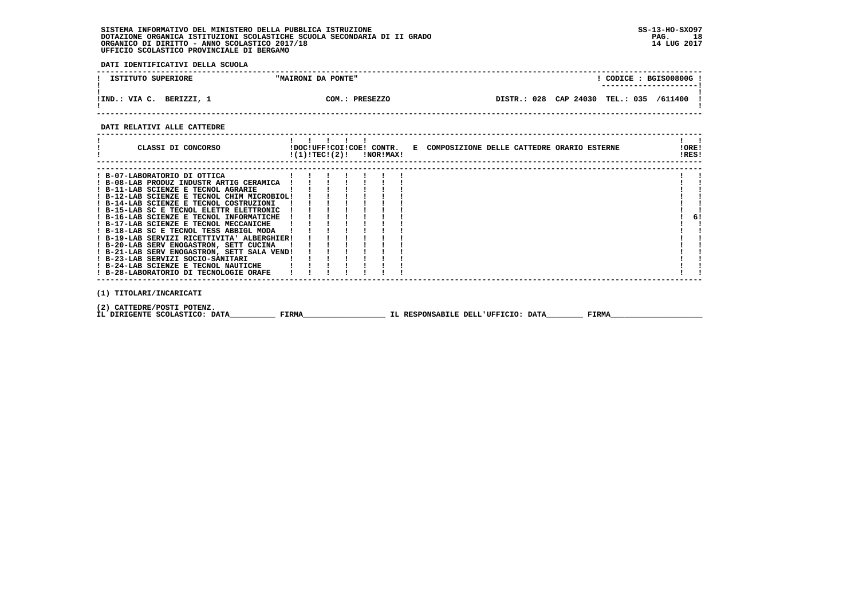**DATI IDENTIFICATIVI DELLA SCUOLA**

| ISTITUTO SUPERIORE          | "MAIRONI DA PONTE"          | CODICE: BGIS00800G!<br>----------------------       |
|-----------------------------|-----------------------------|-----------------------------------------------------|
| VIA C.<br>!IND.<br>BERIZZI, | $COM.$ :<br><b>PRESEZZO</b> | CAP 24030<br>TEL.: 035<br>028<br>/611400<br>DISTR.: |

 **------------------------------------------------------------------------------------------------------------------------------------**

#### **DATI RELATIVI ALLE CATTEDRE**

| CLASSI DI CONCORSO                          |  |  | $!(1)!TEC!(2)!$ $INORIMAX!$ | !DOC!UFF!COI!COE! CONTR. E COMPOSIZIONE DELLE CATTEDRE ORARIO ESTERNE |  |  | IOREI<br>!RES! |  |
|---------------------------------------------|--|--|-----------------------------|-----------------------------------------------------------------------|--|--|----------------|--|
|                                             |  |  |                             |                                                                       |  |  |                |  |
| ! B-07-LABORATORIO DI OTTICA                |  |  |                             |                                                                       |  |  |                |  |
| ! B-08-LAB PRODUZ INDUSTR ARTIG CERAMICA    |  |  |                             |                                                                       |  |  |                |  |
| ! B-11-LAB SCIENZE E TECNOL AGRARIE         |  |  |                             |                                                                       |  |  |                |  |
| ! B-12-LAB SCIENZE E TECNOL CHIM MICROBIOL! |  |  |                             |                                                                       |  |  |                |  |
| ! B-14-LAB SCIENZE E TECNOL COSTRUZIONI     |  |  |                             |                                                                       |  |  |                |  |
| ! B-15-LAB SC E TECNOL ELETTR ELETTRONIC    |  |  |                             |                                                                       |  |  |                |  |
| ! B-16-LAB SCIENZE E TECNOL INFORMATICHE    |  |  |                             |                                                                       |  |  | 6!             |  |
| ! B-17-LAB SCIENZE E TECNOL MECCANICHE      |  |  |                             |                                                                       |  |  |                |  |
| ! B-18-LAB SC E TECNOL TESS ABBIGL MODA     |  |  |                             |                                                                       |  |  |                |  |
| ! B-19-LAB SERVIZI RICETTIVITA' ALBERGHIER! |  |  |                             |                                                                       |  |  |                |  |
| ! B-20-LAB SERV ENOGASTRON, SETT CUCINA     |  |  |                             |                                                                       |  |  |                |  |
| ! B-21-LAB SERV ENOGASTRON, SETT SALA VEND! |  |  |                             |                                                                       |  |  |                |  |
| ! B-23-LAB SERVIZI SOCIO-SANITARI           |  |  |                             |                                                                       |  |  |                |  |
| ! B-24-LAB SCIENZE E TECNOL NAUTICHE        |  |  |                             |                                                                       |  |  |                |  |
| ! B-28-LABORATORIO DI TECNOLOGIE ORAFE      |  |  |                             |                                                                       |  |  |                |  |
|                                             |  |  |                             |                                                                       |  |  |                |  |
| (1) TITOLARI/INCARICATI                     |  |  |                             |                                                                       |  |  |                |  |

 **(2) CATTEDRE/POSTI POTENZ.**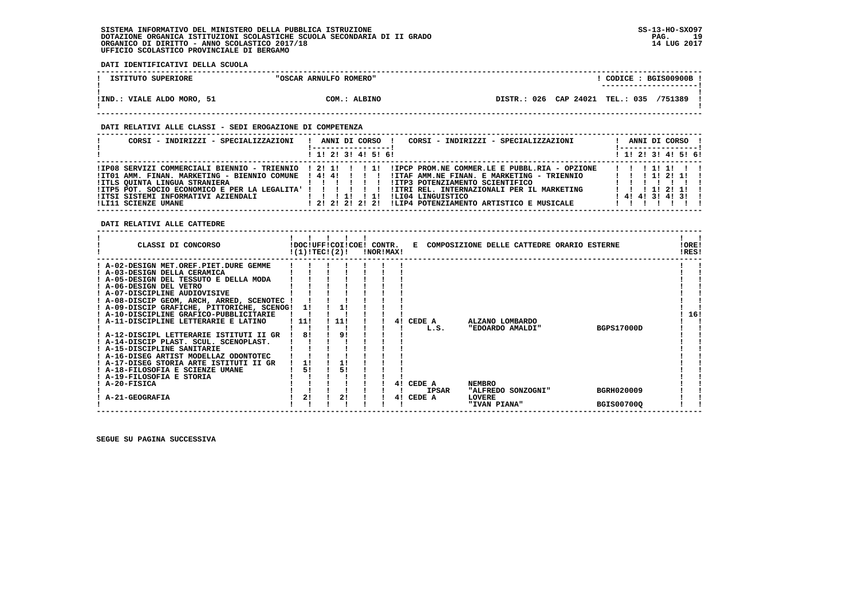**DATI IDENTIFICATIVI DELLA SCUOLA**

| ISTITUTO SUPERIORE         | "OSCAR ARNULFO ROMERO" | CODICE: BGIS00900B !<br>---------------------- |
|----------------------------|------------------------|------------------------------------------------|
| !IND.: VIALE ALDO MORO, 51 | COM.: ALBINO           | DISTR.: 026 CAP 24021 TEL.: 035 /751389        |

#### **DATI RELATIVI ALLE CLASSI - SEDI EROGAZIONE DI COMPETENZA**

| CORSI - INDIRIZZI - SPECIALIZZAZIONI                                                                                                                                                 | CORSI - INDIRIZZI - SPECIALIZZAZIONI<br>ANNI DI CORSO !<br>!------------------                                                                                                                                                                                                                                                                           | ANNI DI CORSO !<br><u>!-----------------</u> !                                                          |
|--------------------------------------------------------------------------------------------------------------------------------------------------------------------------------------|----------------------------------------------------------------------------------------------------------------------------------------------------------------------------------------------------------------------------------------------------------------------------------------------------------------------------------------------------------|---------------------------------------------------------------------------------------------------------|
|                                                                                                                                                                                      | $1$ , 1! 2! 3! 4! 5! 6!                                                                                                                                                                                                                                                                                                                                  | $1$ 1! 2! 3! 4! 5! 6!                                                                                   |
| !IT01 AMM. FINAN. MARKETING - BIENNIO COMUNE ! 4! 4! ! ! ! !<br>IITLS QUINTA LINGUA STRANIERA<br>! ITP5 POT. SOCIO ECONOMICO E PER LA LEGALITA' ! ! ! ! ! ! !<br>!LI11 SCIENZE UMANE | IIP08 SERVIZI COMMERCIALI BIENNIO - TRIENNIO ! 2! 1! ! ! 1! !IPCP PROM.NE COMMER.LE E PUBBL.RIA - OPZIONE<br>!ITAF AMM.NE FINAN. E MARKETING - TRIENNIO<br>.<br>IITP3 POTENZIAMENTO SCIENTIFICO<br>!ITRI REL. INTERNAZIONALI PER IL MARKETING<br>ILI04 LINGUISTICO<br>$\frac{1}{1}$<br>!LIP4 POTENZIAMENTO ARTISTICO E MUSICALE<br>1 2 1 2 1 2 1 2 1 2 1 | 11111111<br>1 1 1 1 1 2 1 1 1<br>$1 \quad 1 \quad 11 \quad 21 \quad 11 \quad 1$<br>$1$ 4! 4! 3! 4! 3! ! |

 **DATI RELATIVI ALLE CATTEDRE**

| CLASSI DI CONCORSO                                                                                                                                                                                                                                                                                                                                                                                                                                                                                                                                                                                                                               | !(1)!TEC!(2)!               | !DOC!UFF!COI!COE! CONTR. | !NOR!MAX! |    | Е                                        | COMPOSIZIONE DELLE CATTEDRE ORARIO ESTERNE                                 |  |                                        | !ORE!<br>!RES! |  |
|--------------------------------------------------------------------------------------------------------------------------------------------------------------------------------------------------------------------------------------------------------------------------------------------------------------------------------------------------------------------------------------------------------------------------------------------------------------------------------------------------------------------------------------------------------------------------------------------------------------------------------------------------|-----------------------------|--------------------------|-----------|----|------------------------------------------|----------------------------------------------------------------------------|--|----------------------------------------|----------------|--|
| A-02-DESIGN MET.OREF.PIET.DURE GEMME<br>! A-03-DESIGN DELLA CERAMICA<br>A-05-DESIGN DEL TESSUTO E DELLA MODA<br>! A-06-DESIGN DEL VETRO<br>! A-07-DISCIPLINE AUDIOVISIVE<br>! A-08-DISCIP GEOM, ARCH, ARRED, SCENOTEC<br>! A-09-DISCIP GRAFICHE, PITTORICHE, SCENOG!<br>! A-10-DISCIPLINE GRAFICO-PUBBLICITARIE<br>! A-11-DISCIPLINE LETTERARIE E LATINO<br>! A-12-DISCIPL LETTERARIE ISTITUTI II GR<br>! A-14-DISCIP PLAST. SCUL. SCENOPLAST.<br>A-15-DISCIPLINE SANITARIE<br>! A-16-DISEG ARTIST MODELLAZ ODONTOTEC<br>! A-17-DISEG STORIA ARTE ISTITUTI II GR<br>! A-18-FILOSOFIA E SCIENZE UMANE<br>! A-19-FILOSOFIA E STORIA<br>A-20-FISICA | 11<br>11!<br>81<br>11<br>51 | 11!<br>91<br>51          |           | 41 | CEDE A<br>L.S.<br>CEDE A<br><b>IPSAR</b> | ALZANO LOMBARDO<br>"EDOARDO AMALDI"<br><b>NEMBRO</b><br>"ALFREDO SONZOGNI" |  | <b>BGPS17000D</b><br><b>BGRH020009</b> | 16!            |  |
| A-21-GEOGRAFIA                                                                                                                                                                                                                                                                                                                                                                                                                                                                                                                                                                                                                                   | 2!                          | 2!                       |           | 4! | CEDE A                                   | LOVERE<br>"IVAN PIANA"                                                     |  | <b>BGIS00700Q</b>                      |                |  |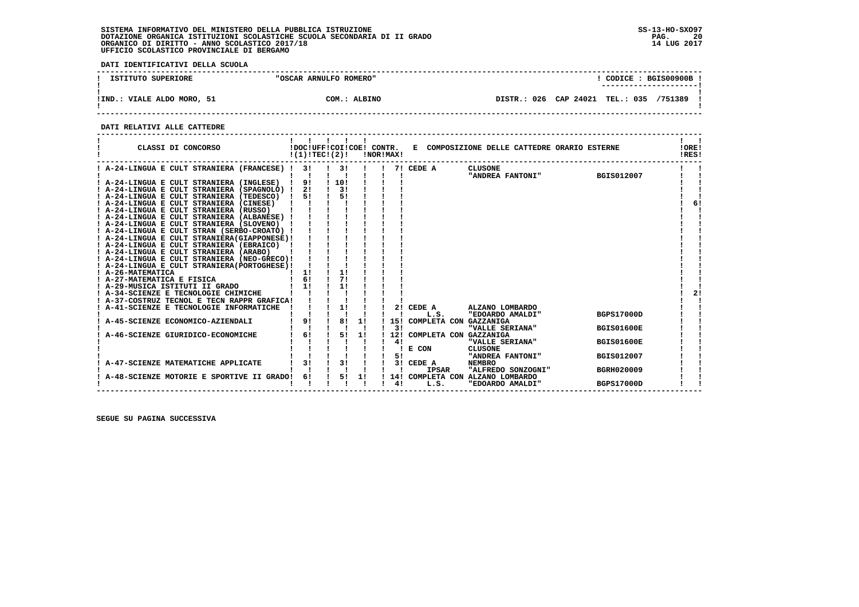**DATI IDENTIFICATIVI DELLA SCUOLA**

| ISTITUTO SUPERIORE         | "OSCAR ARNULFO ROMERO" | CODICE: BGIS00900B!<br>---------------------- |  |
|----------------------------|------------------------|-----------------------------------------------|--|
| !IND.: VIALE ALDO MORO, 51 | COM.: ALBINO           | DISTR.: 026 CAP 24021 TEL.: 035<br>/751389    |  |

 **------------------------------------------------------------------------------------------------------------------------------------**

#### **DATI RELATIVI ALLE CATTEDRE**

| CLASSI DI CONCORSO                          | !DOC!UFF!COI!COE! CONTR.<br>!(1)!TEC!(2)! |      |    | !NOR!MAX! |           |                        | E COMPOSIZIONE DELLE CATTEDRE ORARIO ESTERNE |                   | !ORE!<br>!RES! |
|---------------------------------------------|-------------------------------------------|------|----|-----------|-----------|------------------------|----------------------------------------------|-------------------|----------------|
| ! A-24-LINGUA E CULT STRANIERA (FRANCESE) ! | 3!                                        | 3!   |    |           |           | 7! CEDE A              | <b>CLUSONE</b><br>"ANDREA FANTONI"           | <b>BGIS012007</b> |                |
| ! A-24-LINGUA E CULT STRANIERA (INGLESE)    | 91                                        | 110! |    |           |           |                        |                                              |                   |                |
| A-24-LINGUA E CULT STRANIERA (SPAGNOLO) !   | 21                                        | 31   |    |           |           |                        |                                              |                   |                |
| ! A-24-LINGUA E CULT STRANIERA (TEDESCO) !  | 51                                        | 51   |    |           |           |                        |                                              |                   |                |
| ! A-24-LINGUA E CULT STRANIERA (CINESE)     |                                           |      |    |           |           |                        |                                              |                   | 6!             |
| ! A-24-LINGUA E CULT STRANIERA (RUSSO)      |                                           |      |    |           |           |                        |                                              |                   |                |
| A-24-LINGUA E CULT STRANIERA (ALBANESE) !   |                                           |      |    |           |           |                        |                                              |                   |                |
| A-24-LINGUA E CULT STRANIERA (SLOVENO)      |                                           |      |    |           |           |                        |                                              |                   |                |
| A-24-LINGUA E CULT STRAN (SERBO-CROATO) !   |                                           |      |    |           |           |                        |                                              |                   |                |
| A-24-LINGUA E CULT STRANIERA (GIAPPONESE)!  |                                           |      |    |           |           |                        |                                              |                   |                |
| ! A-24-LINGUA E CULT STRANIERA (EBRAICO) !  |                                           |      |    |           |           |                        |                                              |                   |                |
| A-24-LINGUA E CULT STRANIERA (ARABO)        |                                           |      |    |           |           |                        |                                              |                   |                |
| ! A-24-LINGUA E CULT STRANIERA (NEO-GRECO)! |                                           |      |    |           |           |                        |                                              |                   |                |
| A-24-LINGUA E CULT STRANIERA (PORTOGHESE) ! |                                           |      |    |           |           |                        |                                              |                   |                |
| <b>A-26-MATEMATICA</b>                      | 11                                        | 1!   |    |           |           |                        |                                              |                   |                |
| A-27-MATEMATICA E FISICA                    | 61                                        | 71   |    |           |           |                        |                                              |                   |                |
| A-29-MUSICA ISTITUTI II GRADO               | 11                                        | 11   |    |           |           |                        |                                              |                   |                |
| A-34-SCIENZE E TECNOLOGIE CHIMICHE          |                                           |      |    |           |           |                        |                                              |                   | 21             |
| A-37-COSTRUZ TECNOL E TECN RAPPR GRAFICA!   |                                           |      |    |           |           |                        |                                              |                   |                |
| A-41-SCIENZE E TECNOLOGIE INFORMATICHE      |                                           | 1!   |    |           |           | 2! CEDE A              | ALZANO LOMBARDO                              |                   |                |
|                                             |                                           |      |    |           |           | L.S.                   | "EDOARDO AMALDI"                             | <b>BGPS17000D</b> |                |
| A-45-SCIENZE ECONOMICO-AZIENDALI            | 9!                                        | 8!   | 11 |           | 151<br>31 | COMPLETA CON GAZZANIGA | "VALLE SERIANA"                              | <b>BGIS01600E</b> |                |
| A-46-SCIENZE GIURIDICO-ECONOMICHE           | 61                                        | 51   | 1! |           | 12!       | COMPLETA CON GAZZANIGA |                                              |                   |                |
|                                             |                                           |      |    |           | 41        |                        | "VALLE SERIANA"                              | <b>BGIS01600E</b> |                |
|                                             |                                           |      |    |           |           | E CON                  | CLUSONE                                      |                   |                |
|                                             |                                           |      |    |           | 51        |                        | "ANDREA FANTONI"                             | <b>BGIS012007</b> |                |
| A-47-SCIENZE MATEMATICHE APPLICATE          | 3!                                        | 3!   |    |           |           | 3! CEDE A              | <b>NEMBRO</b>                                |                   |                |
|                                             |                                           |      |    |           |           | <b>IPSAR</b>           | "ALFREDO SONZOGNI"                           | <b>BGRH020009</b> |                |
| A-48-SCIENZE MOTORIE E SPORTIVE II GRADO!   | 6!                                        | 51   | 1! |           |           |                        | 14! COMPLETA CON ALZANO LOMBARDO             |                   |                |
|                                             |                                           |      |    |           | 41        | L.S.                   | "EDOARDO AMALDI"                             | <b>BGPS17000D</b> |                |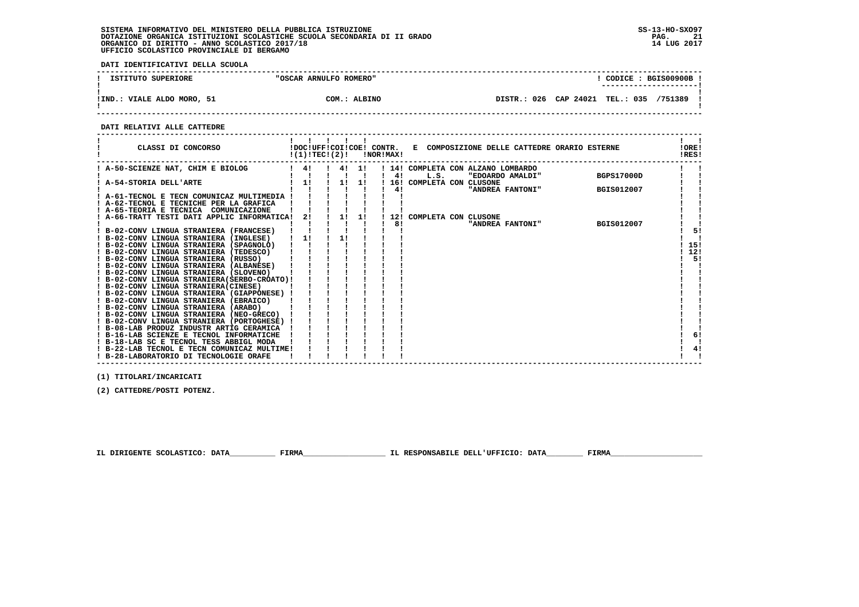**DATI IDENTIFICATIVI DELLA SCUOLA**

| ISTITUTO SUPERIORE         | "OSCAR ARNULFO ROMERO" | $\texttt{COLICE}: \texttt{BGIS00900B}.$    |  |
|----------------------------|------------------------|--------------------------------------------|--|
|                            |                        | ----------------------                     |  |
|                            |                        |                                            |  |
| !IND.: VIALE ALDO MORO, 51 | COM.: ALBINO           | DISTR.: 026 CAP 24021 TEL.: 035<br>/751389 |  |
|                            |                        |                                            |  |

 **------------------------------------------------------------------------------------------------------------------------------------**

 **DATI RELATIVI ALLE CATTEDRE**

| CLASSI DI CONCORSO                                                                      |    | !(1)!TEC!(2)! | <b>!NOR!MAX!</b> |    | !DOC!UFF!COI!COE! CONTR. E COMPOSIZIONE DELLE CATTEDRE ORARIO ESTERNE               | !ORE!<br>!RES! |
|-----------------------------------------------------------------------------------------|----|---------------|------------------|----|-------------------------------------------------------------------------------------|----------------|
| ! A-50-SCIENZE NAT, CHIM E BIOLOG                                                       | 4! |               | 4! 1!            | 41 | ! 14! COMPLETA CON ALZANO LOMBARDO<br>L.S.<br><b>BGPS17000D</b><br>"EDOARDO AMALDI" |                |
| ! A-54-STORIA DELL'ARTE                                                                 | 1! | 11            | 11               |    | 16! COMPLETA CON CLUSONE                                                            |                |
| ! A-61-TECNOL E TECN COMUNICAZ MULTIMEDIA !<br>A-62-TECNOL E TECNICHE PER LA GRAFICA    |    |               |                  | 4! | "ANDREA FANTONI"<br>BGIS012007                                                      |                |
| ! A-65-TEORIA E TECNICA COMUNICAZIONE<br>! A-66-TRATT TESTI DATI APPLIC INFORMATICA!    | 2! | 1!            | 11               |    | 12! COMPLETA CON CLUSONE                                                            |                |
|                                                                                         |    |               |                  | 8! | <b>BGIS012007</b><br>"ANDREA FANTONI"                                               |                |
| ! B-02-CONV LINGUA STRANIERA (FRANCESE)<br>! B-02-CONV LINGUA STRANIERA (INGLESE)       | 1! | 1!            |                  |    |                                                                                     | 5!             |
| ! B-02-CONV LINGUA STRANIERA (SPAGNOLO)<br>! B-02-CONV LINGUA STRANIERA (TEDESCO)       |    |               |                  |    |                                                                                     | 15!<br>12!     |
| ! B-02-CONV LINGUA STRANIERA (RUSSO)<br>! B-02-CONV LINGUA STRANIERA (ALBANESE)         |    |               |                  |    |                                                                                     | 5!             |
| ! B-02-CONV LINGUA STRANIERA (SLOVENO)<br>! B-02-CONV LINGUA STRANIERA (SERBO-CROATO) ! |    |               |                  |    |                                                                                     |                |
| ! B-02-CONV LINGUA STRANIERA(CINESE)<br>! B-02-CONV LINGUA STRANIERA (GIAPPONESE) !     |    |               |                  |    |                                                                                     |                |
| ! B-02-CONV LINGUA STRANIERA (EBRAICO)<br>! B-02-CONV LINGUA STRANIERA (ARABO)          |    |               |                  |    |                                                                                     |                |
| ! B-02-CONV LINGUA STRANIERA (NEO-GRECO)                                                |    |               |                  |    |                                                                                     |                |
| ! B-02-CONV LINGUA STRANIERA (PORTOGHESE) !<br>! B-08-LAB PRODUZ INDUSTR ARTIG CERAMICA |    |               |                  |    |                                                                                     |                |
| ! B-16-LAB SCIENZE E TECNOL INFORMATICHE<br>! B-18-LAB SC E TECNOL TESS ABBIGL MODA     |    |               |                  |    |                                                                                     | 6!             |
| ! B-22-LAB TECNOL E TECN COMUNICAZ MULTIME!<br>! B-28-LABORATORIO DI TECNOLOGIE ORAFE   |    |               |                  |    |                                                                                     | 4!             |

 **(1) TITOLARI/INCARICATI**

 **(2) CATTEDRE/POSTI POTENZ.**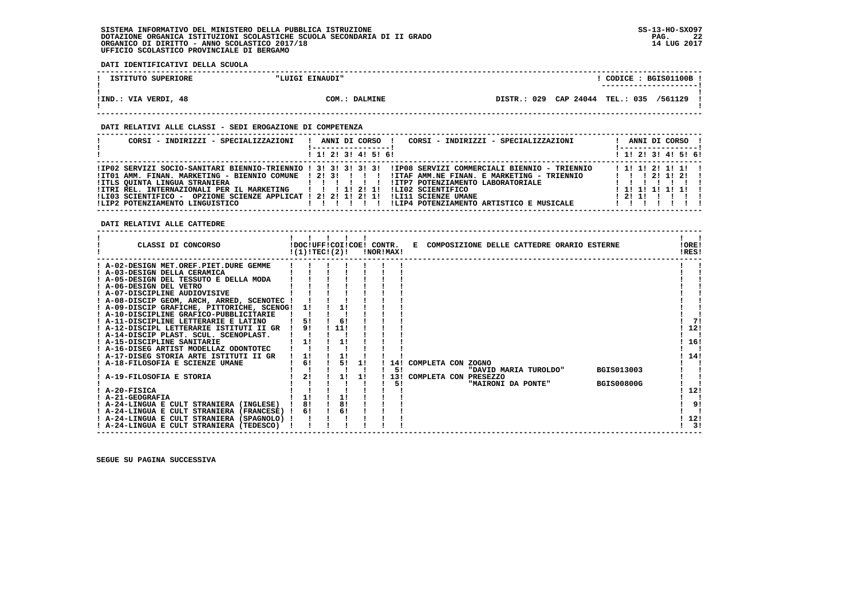**DATI IDENTIFICATIVI DELLA SCUOLA**

| ISTITUTO SUPERIORE   | "LUIGI EINAUDI" | CODICE: BGIS01100B<br>----------------------- |
|----------------------|-----------------|-----------------------------------------------|
| !IND.: VIA VERDI, 48 | COM.: DALMINE   | DISTR.: 029 CAP 24044 TEL.: 035 /561129       |

#### **DATI RELATIVI ALLE CLASSI - SEDI EROGAZIONE DI COMPETENZA**

| CORSI - INDIRIZZI - SPECIALIZZAZIONI                                                                                                                                                       | CORSI - INDIRIZZI - SPECIALIZZAZIONI<br>ANNI DI CORSO !                                                                                                                                                                                                                                                                                                             | ANNI DI CORSO !<br>! ------------------                                                                 |
|--------------------------------------------------------------------------------------------------------------------------------------------------------------------------------------------|---------------------------------------------------------------------------------------------------------------------------------------------------------------------------------------------------------------------------------------------------------------------------------------------------------------------------------------------------------------------|---------------------------------------------------------------------------------------------------------|
|                                                                                                                                                                                            | $1$ , 1! 2! 3! 4! 5! 6!                                                                                                                                                                                                                                                                                                                                             | $1$ 1! 2! 3! 4! 5! 6!                                                                                   |
| IITLS OUINTA LINGUA STRANIERA<br>!ITRI REL. INTERNAZIONALI PER IL MARKETING   !!!!!!!!<br>!LI03 SCIENTIFICO - OPZIONE SCIENZE APPLICAT ! 2! 2! 1! 2! 1!<br>ILIP2 POTENZIAMENTO LINGUISTICO | IIPO2 SERVIZI SOCIO-SANITARI BIENNIO-TRIENNIO ! 3! 3! 3! 3! 3! IIPO8 SERVIZI COMMERCIALI BIENNIO - TRIENNIO<br>ITO1 AMM. FINAN. MARKETING - BIENNIO COMUNE ! 2! 3! ! ! !! !ITAF AMM.NE FINAN. E MARKETING - TRIENNIO<br>IITP7 POTENZIAMENTO LABORATORIALE<br>ILI02 SCIENTIFICO<br>!LI11 SCIENZE UMANE<br>!LIP4 POTENZIAMENTO ARTISTICO E MUSICALE<br>$\blacksquare$ | $1$ 1! 1! 2! 1! 1! 1<br>$1 \quad 1 \quad 1 \quad 21 \quad 11 \quad 21 \quad 1$<br>1111111111<br>1211111 |

 **DATI RELATIVI ALLE CATTEDRE**

|                             | CLASSI DI CONCORSO                          | !DOC!UFF!COI!COE! CONTR.<br>!(1)!TEC!(2)! |     |    | !NOR!MAX! |                    |  | E COMPOSIZIONE DELLE CATTEDRE ORARIO ESTERNE |  |                   | !ORE!<br>!RES! |  |
|-----------------------------|---------------------------------------------|-------------------------------------------|-----|----|-----------|--------------------|--|----------------------------------------------|--|-------------------|----------------|--|
|                             | ! A-02-DESIGN MET.OREF.PIET.DURE GEMME      |                                           |     |    |           |                    |  |                                              |  |                   |                |  |
|                             | ! A-03-DESIGN DELLA CERAMICA                |                                           |     |    |           |                    |  |                                              |  |                   |                |  |
|                             | ! A-05-DESIGN DEL TESSUTO E DELLA MODA      |                                           |     |    |           |                    |  |                                              |  |                   |                |  |
| A-06-DESIGN DEL VETRO       |                                             |                                           |     |    |           |                    |  |                                              |  |                   |                |  |
|                             | ! A-07-DISCIPLINE AUDIOVISIVE               |                                           |     |    |           |                    |  |                                              |  |                   |                |  |
|                             | ! A-08-DISCIP GEOM, ARCH, ARRED, SCENOTEC ! |                                           |     |    |           |                    |  |                                              |  |                   |                |  |
|                             | ! A-09-DISCIP GRAFICHE, PITTORICHE, SCENOG! | 11                                        | 1!  |    |           |                    |  |                                              |  |                   |                |  |
|                             | A-10-DISCIPLINE GRAFICO-PUBBLICITARIE       |                                           |     |    |           |                    |  |                                              |  |                   |                |  |
|                             | ! A-11-DISCIPLINE LETTERARIE E LATINO       |                                           | 6!  |    |           |                    |  |                                              |  |                   | 71             |  |
|                             | ! A-12-DISCIPL LETTERARIE ISTITUTI II GR    | 91                                        | 11! |    |           |                    |  |                                              |  |                   | 12!            |  |
|                             | A-14-DISCIP PLAST. SCUL. SCENOPLAST.        |                                           |     |    |           |                    |  |                                              |  |                   |                |  |
| ! A-15-DISCIPLINE SANITARIE |                                             |                                           | 1!  |    |           |                    |  |                                              |  |                   | 16!            |  |
|                             | ! A-16-DISEG ARTIST MODELLAZ ODONTOTEC      |                                           |     |    |           |                    |  |                                              |  |                   |                |  |
|                             | ! A-17-DISEG STORIA ARTE ISTITUTI II GR     |                                           |     |    |           |                    |  |                                              |  |                   | 14!            |  |
|                             | A-18-FILOSOFIA E SCIENZE UMANE              | 6!                                        | 5!  | 11 | 14!       | COMPLETA CON ZOGNO |  |                                              |  |                   |                |  |
|                             |                                             |                                           |     |    | 51        |                    |  | "DAVID MARIA TUROLDO"                        |  | <b>BGIS013003</b> |                |  |
| A-19-FILOSOFIA E STORIA     |                                             | 2!                                        | 11  | 11 |           |                    |  | 13! COMPLETA CON PRESEZZO                    |  |                   |                |  |
|                             |                                             |                                           |     |    | 5!        |                    |  | "MAIRONI DA PONTE"                           |  | <b>BGIS00800G</b> |                |  |
| ! A-20-FISICA               |                                             |                                           |     |    |           |                    |  |                                              |  |                   | 12!            |  |
| ! A-21-GEOGRAFIA            |                                             |                                           |     |    |           |                    |  |                                              |  |                   |                |  |
|                             | ! A-24-LINGUA E CULT STRANIERA (INGLESE)    | 8!                                        | 8!  |    |           |                    |  |                                              |  |                   | 9!             |  |
|                             | ! A-24-LINGUA E CULT STRANIERA (FRANCESE) ! | 6!                                        | 6!  |    |           |                    |  |                                              |  |                   |                |  |
|                             | ! A-24-LINGUA E CULT STRANIERA (SPAGNOLO) ! |                                           |     |    |           |                    |  |                                              |  |                   | 12!            |  |
|                             | ! A-24-LINGUA E CULT STRANIERA (TEDESCO)    |                                           |     |    |           |                    |  |                                              |  |                   | 3!             |  |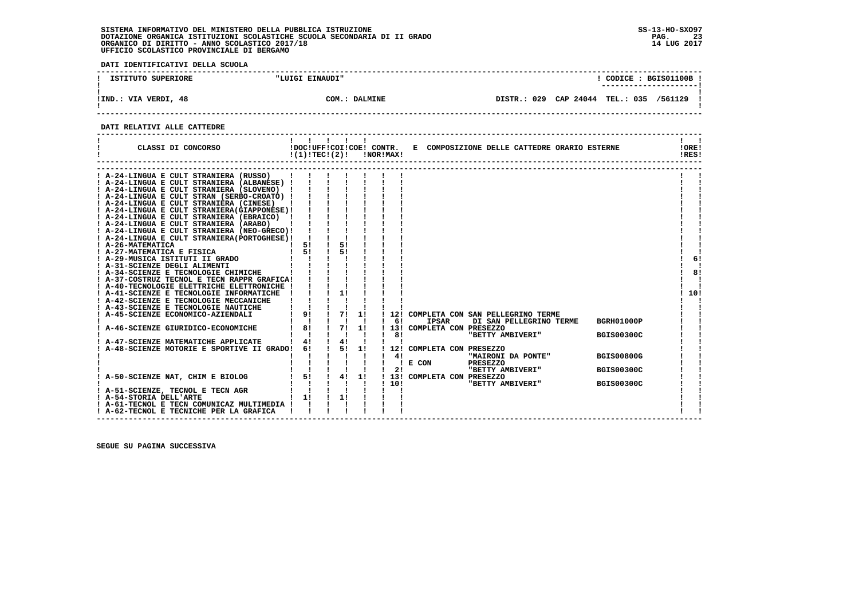**DATI IDENTIFICATIVI DELLA SCUOLA**

| ISTITUTO SUPERIORE   | "LUIGI EINAUDI" | CODICE: BGIS01100B<br>----------------------               |
|----------------------|-----------------|------------------------------------------------------------|
| !IND.: VIA VERDI, 48 | COM.: DALMINE   | CAP 24044<br>029<br><b>TEL.: 035</b><br>/561129<br>DISTR.: |

 **------------------------------------------------------------------------------------------------------------------------------------**

#### **DATI RELATIVI ALLE CATTEDRE**

| CLASSI DI CONCORSO                                                                                                                                                                                                                                                                                                                                                                                                                                                                                                                                                                                                                                                                                                                                                                                                                                                                                                                                                                                                              |                                                                                                                                                | $\mathbf{I}$                                                                                                                  |                      | $!(1)!TEC!(2)!$ $INORIMAX!$  | !DOC!UFF!COI!COE! CONTR. E COMPOSIZIONE DELLE CATTEDRE ORARIO ESTERNE                                                                                                                                          | !ORE!<br>!RES!                                              |          |
|---------------------------------------------------------------------------------------------------------------------------------------------------------------------------------------------------------------------------------------------------------------------------------------------------------------------------------------------------------------------------------------------------------------------------------------------------------------------------------------------------------------------------------------------------------------------------------------------------------------------------------------------------------------------------------------------------------------------------------------------------------------------------------------------------------------------------------------------------------------------------------------------------------------------------------------------------------------------------------------------------------------------------------|------------------------------------------------------------------------------------------------------------------------------------------------|-------------------------------------------------------------------------------------------------------------------------------|----------------------|------------------------------|----------------------------------------------------------------------------------------------------------------------------------------------------------------------------------------------------------------|-------------------------------------------------------------|----------|
| A-24-LINGUA E CULT STRANIERA (RUSSO)<br>! A-24-LINGUA E CULT STRANIERA (ALBANESE) !<br>! A-24-LINGUA E CULT STRANIERA (SLOVENO) !<br>! A-24-LINGUA E CULT STRAN (SERBO-CROATO) !<br>! A-24-LINGUA E CULT STRANIERA (CINESE)  <br>! A-24-LINGUA E CULT STRANIERA (GIAPPONESE) !<br>! A-24-LINGUA E CULT STRANIERA (EBRAICO) !<br>! A-24-LINGUA E CULT STRANIERA (ARABO)<br>! A-24-LINGUA E CULT STRANIERA (NEO-GRECO)!<br>! A-24-LINGUA E CULT STRANIERA(PORTOGHESE)!<br>! A-26-MATEMATICA<br>! A-27-MATEMATICA E FISICA<br>! A-29-MUSICA ISTITUTI II GRADO<br>! A-31-SCIENZE DEGLI ALIMENTI<br>! A-34-SCIENZE E TECNOLOGIE CHIMICHE<br>! A-37-COSTRUZ TECNOL E TECN RAPPR GRAFICA!<br>! A-40-TECNOLOGIE ELETTRICHE ELETTRONICHE !<br>! A-41-SCIENZE E TECNOLOGIE INFORMATICHE !<br>! A-42-SCIENZE E TECNOLOGIE MECCANICHE<br>! A-43-SCIENZE E TECNOLOGIE NAUTICHE<br>! A-45-SCIENZE ECONOMICO-AZIENDALI<br>A-46-SCIENZE GIURIDICO-ECONOMICHE<br>A-47-SCIENZE MATEMATICHE APPLICATE<br>A-48-SCIENZE MOTORIE E SPORTIVE II GRADO! | 51<br>151<br>$1$ 9!<br>$\mathbf{I}$<br>$\frac{1}{1}$ 8!<br>4!<br>61                                                                            | 51<br>51<br>1!<br>$\frac{1}{1}$ $\frac{71}{1}$<br>7! 1!<br>$\mathbf{1}$ $\mathbf{1}$<br>$1 \quad 4!$<br>$1 \quad 5! \quad 1!$ | 11<br>$\blacksquare$ | 121<br>6!<br>81<br>12!<br>4! | COMPLETA CON SAN PELLEGRINO TERME<br><b>IPSAR</b><br>DI SAN PELLEGRINO TERME<br>! 13! COMPLETA CON PRESEZZO<br>"BETTY AMBIVERI"<br>COMPLETA CON PRESEZZO<br>"MAIRONI DA PONTE"<br>$!$ E CON<br><b>PRESEZZO</b> | 10!<br>BGRH01000P<br><b>BGIS00300C</b><br><b>BGIS00800G</b> | 61<br>8! |
| A-50-SCIENZE NAT, CHIM E BIOLOG<br>! A-51-SCIENZE, TECNOL E TECN AGR<br>! A-54-STORIA DELL'ARTE<br>! A-61-TECNOL E TECN COMUNICAZ MULTIMEDIA !<br>! A-62-TECNOL E TECNICHE PER LA GRAFICA                                                                                                                                                                                                                                                                                                                                                                                                                                                                                                                                                                                                                                                                                                                                                                                                                                       | $\begin{array}{cccccccc}\n1 & 1 & 1 & 1 & 1 \\ 1 & 51 & 1 & 41 & 11\n\end{array}$<br>$\mathbf{I}$<br>$\mathbf{1}$ $\mathbf{1}$<br>$1 \quad 11$ | 1!                                                                                                                            |                      | 2!<br>110!                   | "BETTY AMBIVERI"<br>! 13! COMPLETA CON PRESEZZO<br>"BETTY AMBIVERI"                                                                                                                                            | <b>BGIS00300C</b><br><b>BGIS00300C</b>                      |          |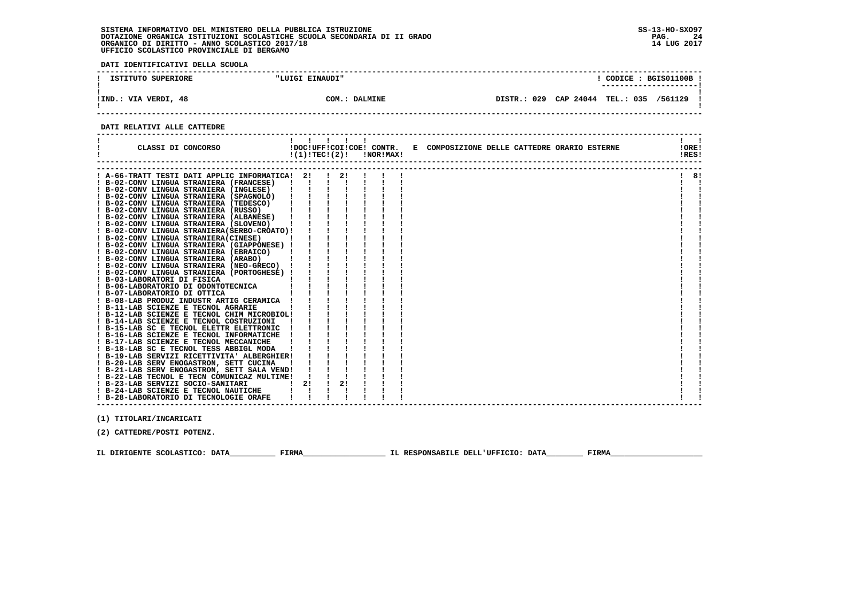**DATI IDENTIFICATIVI DELLA SCUOLA**

| ISTITUTO SUPERIORE   | "LUIGI EINAUDI" | CODICE: BGIS01100B!                                 |  |
|----------------------|-----------------|-----------------------------------------------------|--|
|                      |                 |                                                     |  |
| !IND.: VIA VERDI, 48 | COM.: DALMINE   | 029<br>CAP 24044<br>TEL.: 035<br>/561129<br>DISTR.: |  |

 **------------------------------------------------------------------------------------------------------------------------------------**

#### **DATI RELATIVI ALLE CATTEDRE**

| CLASSI DI CONCORSO                                                                        | $\mathbf{1}$ $\mathbf{1}$<br>!DOC!UFF!COI!COE! CONTR.<br>!(1)!TEC!(2)! |    | !NOR!MAX! | E COMPOSIZIONE DELLE CATTEDRE ORARIO ESTERNE | !ORE!<br>!RES! |    |
|-------------------------------------------------------------------------------------------|------------------------------------------------------------------------|----|-----------|----------------------------------------------|----------------|----|
|                                                                                           |                                                                        |    |           |                                              |                |    |
| ! A-66-TRATT TESTI DATI APPLIC INFORMATICA! 2!<br>! B-02-CONV LINGUA STRANIERA (FRANCESE) | $\mathbf{I}$                                                           |    |           |                                              |                | 8! |
| ! B-02-CONV LINGUA STRANIERA (INGLESE)                                                    |                                                                        |    |           |                                              |                |    |
| ! B-02-CONV LINGUA STRANIERA (SPAGNOLO)                                                   |                                                                        |    |           |                                              |                |    |
| ! B-02-CONV LINGUA STRANIERA (TEDESCO)                                                    |                                                                        |    |           |                                              |                |    |
| ! B-02-CONV LINGUA STRANIERA (RUSSO)                                                      |                                                                        |    |           |                                              |                |    |
| ! B-02-CONV LINGUA STRANIERA (ALBANESE)                                                   |                                                                        |    |           |                                              |                |    |
| ! B-02-CONV LINGUA STRANIERA (SLOVENO)                                                    |                                                                        |    |           |                                              |                |    |
| ! B-02-CONV LINGUA STRANIERA (SERBO-CROATO) !                                             |                                                                        |    |           |                                              |                |    |
| ! B-02-CONV LINGUA STRANIERA (CINESE)                                                     |                                                                        |    |           |                                              |                |    |
| ! B-02-CONV LINGUA STRANIERA (GIAPPONESE) !                                               |                                                                        |    |           |                                              |                |    |
| ! B-02-CONV LINGUA STRANIERA (EBRAICO)                                                    |                                                                        |    |           |                                              |                |    |
| ! B-02-CONV LINGUA STRANIERA (ARABO)                                                      |                                                                        |    |           |                                              |                |    |
| ! B-02-CONV LINGUA STRANIERA (NEO-GRECO) !                                                |                                                                        |    |           |                                              |                |    |
| ! B-02-CONV LINGUA STRANIERA (PORTOGHESE) !                                               |                                                                        |    |           |                                              |                |    |
| ! B-03-LABORATORI DI FISICA                                                               |                                                                        |    |           |                                              |                |    |
| ! B-06-LABORATORIO DI ODONTOTECNICA                                                       |                                                                        |    |           |                                              |                |    |
| ! B-07-LABORATORIO DI OTTICA                                                              |                                                                        |    |           |                                              |                |    |
| ! B-08-LAB PRODUZ INDUSTR ARTIG CERAMICA !                                                |                                                                        |    |           |                                              |                |    |
| ! B-11-LAB SCIENZE E TECNOL AGRARIE                                                       |                                                                        |    |           |                                              |                |    |
| ! B-12-LAB SCIENZE E TECNOL CHIM MICROBIOL!                                               |                                                                        |    |           |                                              |                |    |
| ! B-14-LAB SCIENZE E TECNOL COSTRUZIONI                                                   |                                                                        |    |           |                                              |                |    |
| ! B-15-LAB SC E TECNOL ELETTR ELETTRONIC                                                  |                                                                        |    |           |                                              |                |    |
| ! B-16-LAB SCIENZE E TECNOL INFORMATICHE                                                  |                                                                        |    |           |                                              |                |    |
| ! B-17-LAB SCIENZE E TECNOL MECCANICHE                                                    |                                                                        |    |           |                                              |                |    |
| ! B-18-LAB SC E TECNOL TESS ABBIGL MODA                                                   |                                                                        |    |           |                                              |                |    |
| ! B-19-LAB SERVIZI RICETTIVITA' ALBERGHIER!                                               |                                                                        |    |           |                                              |                |    |
| ! B-20-LAB SERV ENOGASTRON, SETT CUCINA                                                   |                                                                        |    |           |                                              |                |    |
| ! B-21-LAB SERV ENOGASTRON, SETT SALA VEND!                                               |                                                                        |    |           |                                              |                |    |
| ! B-22-LAB TECNOL E TECN COMUNICAZ MULTIME!                                               |                                                                        |    |           |                                              |                |    |
| ! B-23-LAB SERVIZI SOCIO-SANITARI                                                         | 2!                                                                     | 2! |           |                                              |                |    |
| ! B-24-LAB SCIENZE E TECNOL NAUTICHE                                                      |                                                                        |    |           |                                              |                |    |
| ! B-28-LABORATORIO DI TECNOLOGIE ORAFE                                                    |                                                                        |    |           |                                              |                |    |
|                                                                                           |                                                                        |    |           |                                              |                |    |

 **(1) TITOLARI/INCARICATI**

 **(2) CATTEDRE/POSTI POTENZ.**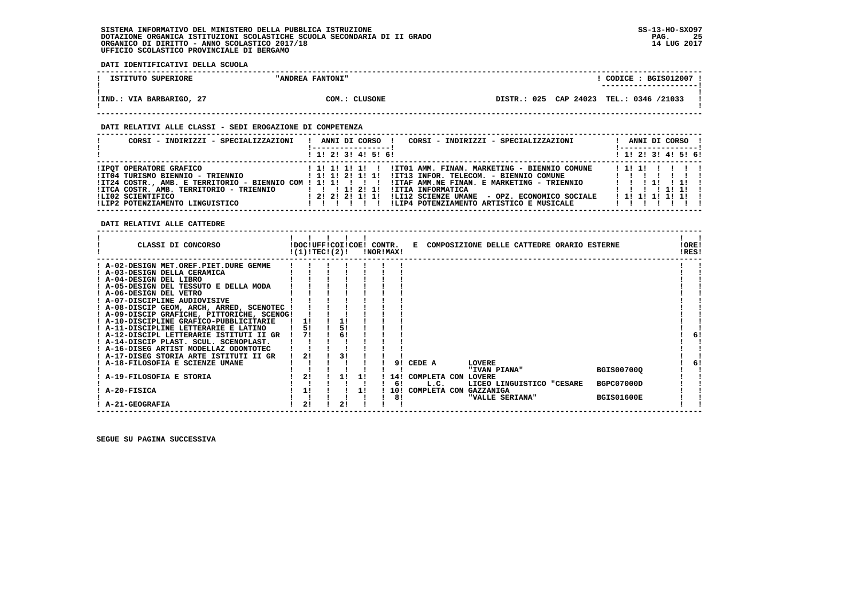**DATI IDENTIFICATIVI DELLA SCUOLA**

| ISTITUTO SUPERIORE       | "ANDREA FANTONI" | CODICE: BGIS012007 !<br>--------------------- |  |
|--------------------------|------------------|-----------------------------------------------|--|
| !IND.: VIA BARBARIGO, 27 | COM.: CLUSONE    | DISTR.: 025 CAP 24023 TEL.: 0346 /21033       |  |

 **------------------------------------------------------------------------------------------------------------------------------------**

#### **DATI RELATIVI ALLE CLASSI - SEDI EROGAZIONE DI COMPETENZA**

| CORSI - INDIRIZZI - SPECIALIZZAZIONI                                                                                                                                                                                                   | ANNI DI CORSO !<br>CORSI - INDIRIZZI - SPECIALIZZAZIONI<br>! ------------------ <u>.</u>                                                                                                                                                                                                                                                   | ANNI DI CORSO !<br>!------------------       |
|----------------------------------------------------------------------------------------------------------------------------------------------------------------------------------------------------------------------------------------|--------------------------------------------------------------------------------------------------------------------------------------------------------------------------------------------------------------------------------------------------------------------------------------------------------------------------------------------|----------------------------------------------|
|                                                                                                                                                                                                                                        | $1$ , 1! 2! 3! 4! 5! 6!                                                                                                                                                                                                                                                                                                                    | $1$ 1! 2! 3! 4! 5! 6!                        |
| <b>!IPOT OPERATORE GRAFICO</b><br>!IT04 TURISMO BIENNIO - TRIENNIO<br>!IT24 COSTR., AMB. E TERRITORIO - BIENNIO COM ! 1! 1! ! ! ! !<br>!ITCA COSTR. AMB. TERRITORIO - TRIENNIO<br>ILI02 SCIENTIFICO<br>ILIP2 POTENZIAMENTO LINGUISTICO | !IT01 AMM. FINAN. MARKETING - BIENNIO COMUNE<br>1 1 1 1 1 1 1 1<br>!IT13 INFOR. TELECOM. - BIENNIO COMUNE                  <br>1 1 1 1 2 1 1 1 1<br>!ITAF AMM.NE FINAN. E MARKETING - TRIENNIO<br>!ITIA INFORMATICA<br>1 1 1 1 2 1 1 1<br>!LI12 SCIENZE UMANE - OPZ. ECONOMICO SOCIALE<br>!LIP4 POTENZIAMENTO ARTISTICO E MUSICALE<br>1111 | 1111<br>1 1 1 1 1 1 1 1<br>1 1 1 1 1 1 1 1 1 |

 **DATI RELATIVI ALLE CATTEDRE**

| CLASSI DI CONCORSO                        | !DOC!UFF!COI!COE! CONTR.<br>!(1)!TEC!(2)! |    |    | !NOR!MAX! | Е            | COMPOSIZIONE DELLE CATTEDRE ORARIO ESTERNE |  |                   | !ORE!<br>!RES! |  |
|-------------------------------------------|-------------------------------------------|----|----|-----------|--------------|--------------------------------------------|--|-------------------|----------------|--|
| A-02-DESIGN MET.OREF.PIET.DURE GEMME      |                                           |    |    |           |              |                                            |  |                   |                |  |
| A-03-DESIGN DELLA CERAMICA                |                                           |    |    |           |              |                                            |  |                   |                |  |
| A-04-DESIGN DEL LIBRO                     |                                           |    |    |           |              |                                            |  |                   |                |  |
| A-05-DESIGN DEL TESSUTO E DELLA MODA      |                                           |    |    |           |              |                                            |  |                   |                |  |
| ! A-06-DESIGN DEL VETRO                   |                                           |    |    |           |              |                                            |  |                   |                |  |
| A-07-DISCIPLINE AUDIOVISIVE               |                                           |    |    |           |              |                                            |  |                   |                |  |
| ! A-08-DISCIP GEOM, ARCH, ARRED, SCENOTEC |                                           |    |    |           |              |                                            |  |                   |                |  |
| A-09-DISCIP GRAFICHE, PITTORICHE, SCENOG! |                                           |    |    |           |              |                                            |  |                   |                |  |
| ! A-10-DISCIPLINE GRAFICO-PUBBLICITARIE   | 11                                        |    |    |           |              |                                            |  |                   |                |  |
| A-11-DISCIPLINE LETTERARIE E LATINO       | 5!                                        |    |    |           |              |                                            |  |                   |                |  |
| ! A-12-DISCIPL LETTERARIE ISTITUTI II GR  | 71                                        | 6! |    |           |              |                                            |  |                   | 6!             |  |
| ! A-14-DISCIP PLAST. SCUL. SCENOPLAST.    |                                           |    |    |           |              |                                            |  |                   |                |  |
| A-16-DISEG ARTIST MODELLAZ ODONTOTEC      |                                           |    |    |           |              |                                            |  |                   |                |  |
| A-17-DISEG STORIA ARTE ISTITUTI II GR     | 21                                        |    |    |           |              |                                            |  |                   |                |  |
| A-18-FILOSOFIA E SCIENZE UMANE            |                                           |    |    | 91        | CEDE A       | LOVERE                                     |  |                   | 6!             |  |
|                                           |                                           |    |    |           |              | "IVAN PIANA"                               |  | <b>BGIS00700Q</b> |                |  |
| A-19-FILOSOFIA E STORIA                   | 21                                        | 1! | 11 | 14!       | COMPLETA CON | LOVERE                                     |  |                   |                |  |
|                                           |                                           |    |    | 6!        | L.C.         | LICEO LINGUISTICO "CESARE                  |  | BGPC07000D        |                |  |
| A-20-FISICA                               | 1!                                        |    | 11 | 10!       | COMPLETA CON | <b>GAZZANIGA</b>                           |  |                   |                |  |
|                                           |                                           | 21 |    | 8!        |              | "VALLE SERIANA"                            |  | <b>BGIS01600E</b> |                |  |
| <b>A-21-GEOGRAFIA</b>                     | 2!                                        |    |    |           |              |                                            |  |                   |                |  |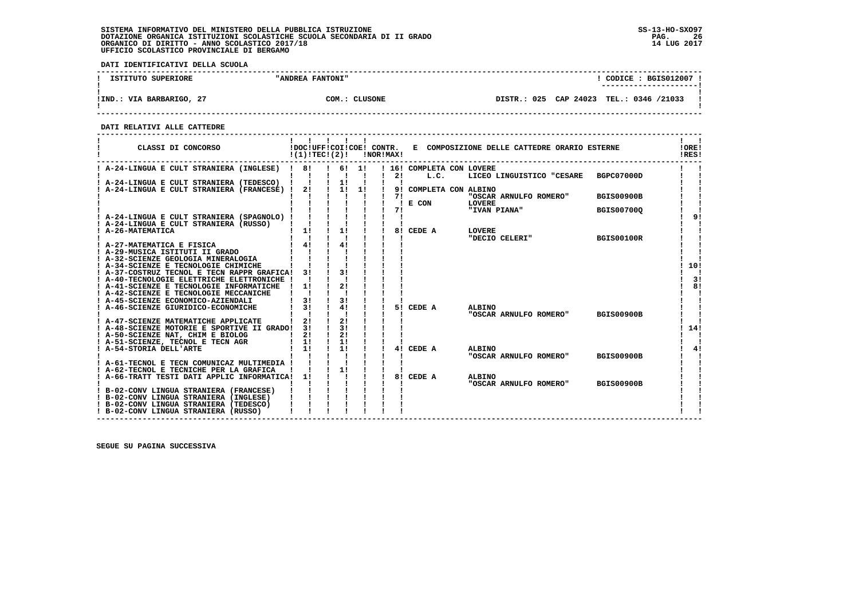**DATI IDENTIFICATIVI DELLA SCUOLA**

| ISTITUTO SUPERIORE       | "ANDREA FANTONI" | CODICE: BGIS012007<br>---------------------- |  |
|--------------------------|------------------|----------------------------------------------|--|
| !IND.: VIA BARBARIGO, 27 | COM.: CLUSONE    | DISTR.: 025 CAP 24023 TEL.: 0346 /21033      |  |

 **------------------------------------------------------------------------------------------------------------------------------------**

 **DATI RELATIVI ALLE CATTEDRE**

| CLASSI DI CONCORSO                                                             | $!(1)!$ TEC $!(2)!$ |                                           | <b>!NOR!MAX!</b> |             | !DOC!UFF!COI!COE! CONTR. E COMPOSIZIONE DELLE CATTEDRE ORARIO ESTERNE | !ORE!<br>!RES! |
|--------------------------------------------------------------------------------|---------------------|-------------------------------------------|------------------|-------------|-----------------------------------------------------------------------|----------------|
| ! A-24-LINGUA E CULT STRANIERA (INGLESE) ! 8!                                  |                     |                                           |                  |             | ! 6! 1! ! 16! COMPLETA CON LOVERE                                     |                |
|                                                                                |                     | $\mathbf{1}$ $\mathbf{1}$ $\mathbf{1}$    | 21               | L.C.        | LICEO LINGUISTICO "CESARE BGPC07000D                                  |                |
| ! A-24-LINGUA E CULT STRANIERA (TEDESCO) ! !                                   |                     | $\frac{1}{2}$ 11<br>$1 \quad 11 \quad 11$ |                  |             |                                                                       |                |
| A-24-LINGUA E CULT STRANIERA (FRANCESE) ! 2!                                   |                     |                                           | 71               |             | 9! COMPLETA CON ALBINO<br>"OSCAR ARNULFO ROMERO"<br><b>BGIS00900B</b> |                |
|                                                                                |                     |                                           |                  | $! \tE$ CON | LOVERE                                                                |                |
|                                                                                |                     |                                           | 71               |             | "IVAN PIANA"<br><b>BGIS007000</b>                                     |                |
| ! A-24-LINGUA E CULT STRANIERA (SPAGNOLO) !                                    |                     |                                           |                  |             |                                                                       | 91             |
| ! A-24-LINGUA E CULT STRANIERA (RUSSO)                                         |                     |                                           |                  |             |                                                                       |                |
| ! A-26-MATEMATICA                                                              | 1!                  | 1!                                        |                  | 8! CEDE A   | <b>LOVERE</b>                                                         |                |
|                                                                                |                     |                                           |                  |             | "DECIO CELERI"<br><b>BGIS00100R</b>                                   |                |
| ! A-27-MATEMATICA E FISICA                                                     | $1 \quad 41$        | 4!                                        |                  |             |                                                                       |                |
| ! A-29-MUSICA ISTITUTI II GRADO                                                |                     |                                           |                  |             |                                                                       |                |
| ! A-32-SCIENZE GEOLOGIA MINERALOGIA<br>! A-34-SCIENZE E TECNOLOGIE CHIMICHE    |                     |                                           |                  |             |                                                                       | 10!            |
| ! A-37-COSTRUZ TECNOL E TECN RAPPR GRAFICA!                                    | 3 I                 | 31                                        |                  |             |                                                                       |                |
| ! A-40-TECNOLOGIE ELETTRICHE ELETTRONICHE !                                    |                     |                                           |                  |             |                                                                       | 3!             |
| ! A-41-SCIENZE E TECNOLOGIE INFORMATICHE                                       | 11                  | 21                                        |                  |             |                                                                       | 81             |
| ! A-42-SCIENZE E TECNOLOGIE MECCANICHE                                         |                     |                                           |                  |             |                                                                       |                |
| ! A-45-SCIENZE ECONOMICO-AZIENDALI                                             | 3!                  | 3!                                        |                  |             |                                                                       |                |
| ! A-46-SCIENZE GIURIDICO-ECONOMICHE                                            | 31                  | 4!                                        | 51               | CEDE A      | <b>ALBINO</b>                                                         |                |
|                                                                                |                     |                                           |                  |             | "OSCAR ARNULFO ROMERO"<br><b>BGIS00900B</b>                           |                |
| ! A-47-SCIENZE MATEMATICHE APPLICATE                                           | 2!                  | 2!                                        |                  |             |                                                                       |                |
| ! A-48-SCIENZE MOTORIE E SPORTIVE II GRADO! 3!                                 | 21                  | 31<br>2!<br>$\mathbf{I}$                  |                  |             |                                                                       | 14!            |
| ! A-50-SCIENZE NAT, CHIM E BIOLOG<br>! A-51-SCIENZE, TECNOL E TECN AGR         | 11                  | 1!                                        |                  |             |                                                                       |                |
| A-54-STORIA DELL'ARTE                                                          | 1!                  | 1!                                        | 41               | CEDE A      | <b>ALBINO</b>                                                         | 4!             |
|                                                                                |                     |                                           |                  |             | "OSCAR ARNULFO ROMERO"<br><b>BGIS00900B</b>                           |                |
| ! A-61-TECNOL E TECN COMUNICAZ MULTIMEDIA !                                    |                     |                                           |                  |             |                                                                       |                |
| ! A-62-TECNOL E TECNICHE PER LA GRAFICA                                        |                     | 1!                                        |                  |             |                                                                       |                |
| ! A-66-TRATT TESTI DATI APPLIC INFORMATICA!                                    | 11                  |                                           |                  | 8! CEDE A   | <b>ALBINO</b>                                                         |                |
|                                                                                |                     |                                           |                  |             | "OSCAR ARNULFO ROMERO"<br><b>BGIS00900B</b>                           |                |
| ! B-02-CONV LINGUA STRANIERA (FRANCESE)                                        |                     |                                           |                  |             |                                                                       |                |
| ! B-02-CONV LINGUA STRANIERA (INGLESE)                                         |                     |                                           |                  |             |                                                                       |                |
| ! B-02-CONV LINGUA STRANIERA (TEDESCO)<br>! B-02-CONV LINGUA STRANIERA (RUSSO) |                     |                                           |                  |             |                                                                       |                |
|                                                                                |                     |                                           |                  |             |                                                                       |                |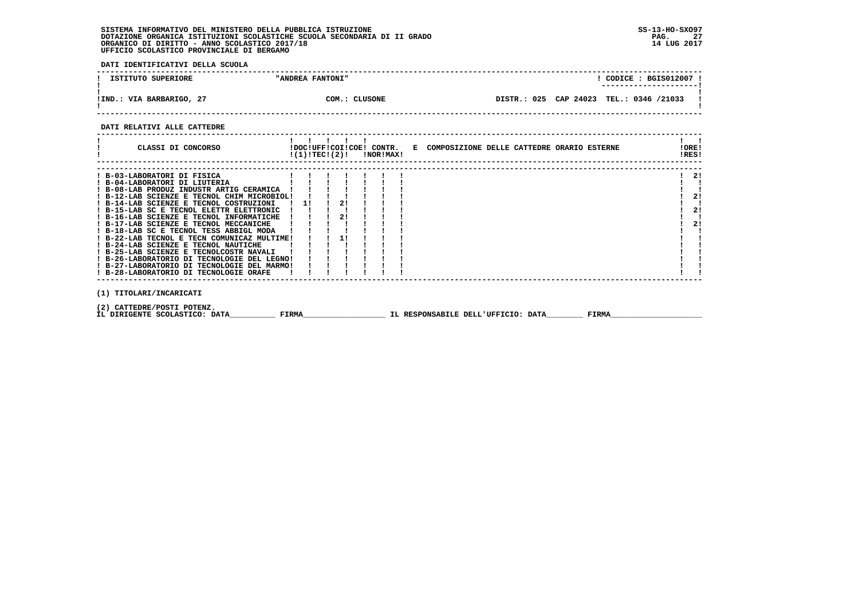**DATI IDENTIFICATIVI DELLA SCUOLA**

| ISTITUTO SUPERIORE       | "ANDREA FANTONI" | CODICE: BGIS012007                      |
|--------------------------|------------------|-----------------------------------------|
| !IND.: VIA BARBARIGO, 27 | COM.: CLUSONE    | DISTR.: 025 CAP 24023 TEL.: 0346 /21033 |

 **------------------------------------------------------------------------------------------------------------------------------------**

#### **DATI RELATIVI ALLE CATTEDRE**

| CLASSI DI CONCORSO                                                                     |                                            |  | $!(1)!TEC!(2)!$ $INORIMAX!$ | !DOC!UFF!COI!COE! CONTR. E COMPOSIZIONE DELLE CATTEDRE ORARIO ESTERNE |  |  | !ORE!<br>!RES! |    |  |
|----------------------------------------------------------------------------------------|--------------------------------------------|--|-----------------------------|-----------------------------------------------------------------------|--|--|----------------|----|--|
| ! B-03-LABORATORI DI FISICA                                                            |                                            |  |                             |                                                                       |  |  |                | 21 |  |
| ! B-04-LABORATORI DI LIUTERIA<br>! B-08-LAB PRODUZ INDUSTR ARTIG CERAMICA              |                                            |  |                             |                                                                       |  |  |                |    |  |
| ! B-12-LAB SCIENZE E TECNOL CHIM MICROBIOL!<br>! B-14-LAB SCIENZE E TECNOL COSTRUZIONI | ! 1! ! 2!                                  |  |                             |                                                                       |  |  |                | 2! |  |
| ! B-15-LAB SC E TECNOL ELETTR ELETTRONIC                                               |                                            |  |                             |                                                                       |  |  |                | 2! |  |
| ! B-16-LAB SCIENZE E TECNOL INFORMATICHE<br>! B-17-LAB SCIENZE E TECNOL MECCANICHE     |                                            |  |                             |                                                                       |  |  |                | 2! |  |
| ! B-18-LAB SC E TECNOL TESS ABBIGL MODA<br>! B-22-LAB TECNOL E TECN COMUNICAZ MULTIME! | $\begin{array}{ccc} 1 & 1 & 1 \end{array}$ |  |                             |                                                                       |  |  |                |    |  |
| ! B-24-LAB SCIENZE E TECNOL NAUTICHE                                                   |                                            |  |                             |                                                                       |  |  |                |    |  |
| ! B-25-LAB SCIENZE E TECNOLCOSTR NAVALI<br>! B-26-LABORATORIO DI TECNOLOGIE DEL LEGNO! |                                            |  |                             |                                                                       |  |  |                |    |  |
| ! B-27-LABORATORIO DI TECNOLOGIE DEL MARMO!<br>! B-28-LABORATORIO DI TECNOLOGIE ORAFE  |                                            |  |                             |                                                                       |  |  |                |    |  |
|                                                                                        |                                            |  |                             |                                                                       |  |  |                |    |  |
| (1) TITOLARI/INCARICATI                                                                |                                            |  |                             |                                                                       |  |  |                |    |  |
|                                                                                        |                                            |  |                             |                                                                       |  |  |                |    |  |

 **(2) CATTEDRE/POSTI POTENZ.**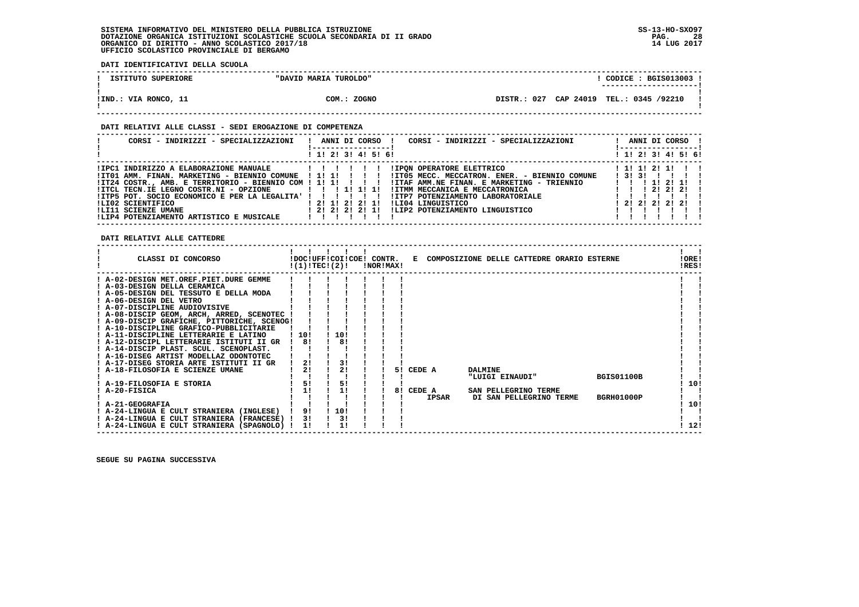**DATI IDENTIFICATIVI DELLA SCUOLA**

| ISTITUTO SUPERIORE   | "DAVID MARIA TUROLDO" | CODICE: BGIS013003 !<br>---------------------- |
|----------------------|-----------------------|------------------------------------------------|
| !IND.: VIA RONCO, 11 | COM.: ZOGNO           | DISTR.: 027 CAP 24019 TEL.: 0345 /92210        |

#### **DATI RELATIVI ALLE CLASSI - SEDI EROGAZIONE DI COMPETENZA**

| CORSI - INDIRIZZI - SPECIALIZZAZIONI                                                                                                                            | ANNI DI CORSO !<br>CORSI - INDIRIZZI - SPECIALIZZAZIONI                                                                                                                                                                                                                                                                                                                                                                           | ANNI DI CORSO !                                                                                                                             |
|-----------------------------------------------------------------------------------------------------------------------------------------------------------------|-----------------------------------------------------------------------------------------------------------------------------------------------------------------------------------------------------------------------------------------------------------------------------------------------------------------------------------------------------------------------------------------------------------------------------------|---------------------------------------------------------------------------------------------------------------------------------------------|
|                                                                                                                                                                 | ! 1! 2! 3! 4! 5! 6!                                                                                                                                                                                                                                                                                                                                                                                                               | ! 1! 2! 3! 4! 5! 6!                                                                                                                         |
| $IITCL TECN.IE LEGNO COSTR.NI - OPZIONE$ $I:I II II I$<br>!ITP5 POT. SOCIO ECONOMICO E PER LA LEGALITA' ! ! ! ! ! !<br>ILI02 SCIENTIFICO<br>!LI11 SCIENZE UMANE | <b>!IPON OPERATORE ELETTRICO</b><br>ITO1 AMM. FINAN. MARKETING - BIENNIO COMUNE ! 1! 1! ! !! !ITO5 MECC. MECCATRON. ENER. - BIENNIO COMUNE<br>IT24 COSTR., AMB. E TERRITORIO - BIENNIO COM ! 1! 1! ! ! ! ! ITAF AMM. NE FINAN. E MARKETING - TRIENNIO<br>!ITMM MECCANICA E MECCATRONICA<br>!ITP7 POTENZIAMENTO LABORATORIALE<br>! 2! 1! 2! 2! 1!<br>ILI04 LINGUISTICO<br>ILIP2 POTENZIAMENTO LINGUISTICO<br>1 2 1 2 1 2 1 2 1 1 1 | ! 1! 1! 2! 1! ! !<br>$1$ 31 31 1 1 1 1<br>1 1 1 1 2 1 1 1<br>$1 \quad 1 \quad 1 \quad 21 \quad 21 \quad 21 \quad 1$<br>$1$ 2! 2! 2! 2! 2! ! |
| !LIP4 POTENZIAMENTO ARTISTICO E MUSICALE                                                                                                                        |                                                                                                                                                                                                                                                                                                                                                                                                                                   |                                                                                                                                             |

 **DATI RELATIVI ALLE CATTEDRE**

| CLASSI DI CONCORSO                          |       | !(1)!TECI(2)! |      | !DOC!UFF!COI!COE! CONTR. | !NOR!MAX! |    |              |                 | E COMPOSIZIONE DELLE CATTEDRE ORARIO ESTERNE |                   | !ORE!<br>!RES! |  |
|---------------------------------------------|-------|---------------|------|--------------------------|-----------|----|--------------|-----------------|----------------------------------------------|-------------------|----------------|--|
| ! A-02-DESIGN MET.OREF.PIET.DURE GEMME      |       |               |      |                          |           |    |              |                 |                                              |                   |                |  |
| A-03-DESIGN DELLA CERAMICA                  |       |               |      |                          |           |    |              |                 |                                              |                   |                |  |
| ! A-05-DESIGN DEL TESSUTO E DELLA MODA      |       |               |      |                          |           |    |              |                 |                                              |                   |                |  |
| ! A-06-DESIGN DEL VETRO                     |       |               |      |                          |           |    |              |                 |                                              |                   |                |  |
| ! A-07-DISCIPLINE AUDIOVISIVE               |       |               |      |                          |           |    |              |                 |                                              |                   |                |  |
| ! A-08-DISCIP GEOM, ARCH, ARRED, SCENOTEC ! |       |               |      |                          |           |    |              |                 |                                              |                   |                |  |
| ! A-09-DISCIP GRAFICHE, PITTORICHE, SCENOG! |       |               |      |                          |           |    |              |                 |                                              |                   |                |  |
| ! A-10-DISCIPLINE GRAFICO-PUBBLICITARIE     |       |               |      |                          |           |    |              |                 |                                              |                   |                |  |
| ! A-11-DISCIPLINE LETTERARIE E LATINO       | ! 10! |               | 10!  |                          |           |    |              |                 |                                              |                   |                |  |
| A-12-DISCIPL LETTERARIE ISTITUTI II GR      |       | 81            |      | 81                       |           |    |              |                 |                                              |                   |                |  |
| ! A-14-DISCIP PLAST. SCUL. SCENOPLAST.      |       |               |      |                          |           |    |              |                 |                                              |                   |                |  |
| ! A-16-DISEG ARTIST MODELLAZ ODONTOTEC      |       |               |      |                          |           |    |              |                 |                                              |                   |                |  |
| ! A-17-DISEG STORIA ARTE ISTITUTI II GR     |       | 21            |      | 3!                       |           |    |              |                 |                                              |                   |                |  |
| ! A-18-FILOSOFIA E SCIENZE UMANE            |       | 2!            |      | 21                       |           | 51 | CEDE A       | <b>DALMINE</b>  |                                              |                   |                |  |
|                                             |       |               |      |                          |           |    |              | "LUIGI EINAUDI" |                                              | <b>BGIS01100B</b> |                |  |
| ! A-19-FILOSOFIA E STORIA                   |       | 51            |      | 5!                       |           |    |              |                 |                                              |                   | 10!            |  |
| ! A-20-FISICA                               |       | 1!            |      | 1!                       |           | 8! | CEDE A       |                 | SAN PELLEGRINO TERME                         |                   |                |  |
|                                             |       |               |      |                          |           |    | <b>IPSAR</b> |                 | DI SAN PELLEGRINO TERME                      | <b>BGRH01000P</b> |                |  |
| ! A-21-GEOGRAFIA                            |       |               |      |                          |           |    |              |                 |                                              |                   | 10!            |  |
| ! A-24-LINGUA E CULT STRANIERA (INGLESE)    |       | 9!            | 110! |                          |           |    |              |                 |                                              |                   |                |  |
| ! A-24-LINGUA E CULT STRANIERA (FRANCESE) ! |       | 3!            |      | 3!                       |           |    |              |                 |                                              |                   |                |  |
| ! A-24-LINGUA E CULT STRANIERA (SPAGNOLO) ! |       | 11            |      |                          |           |    |              |                 |                                              |                   | 12!            |  |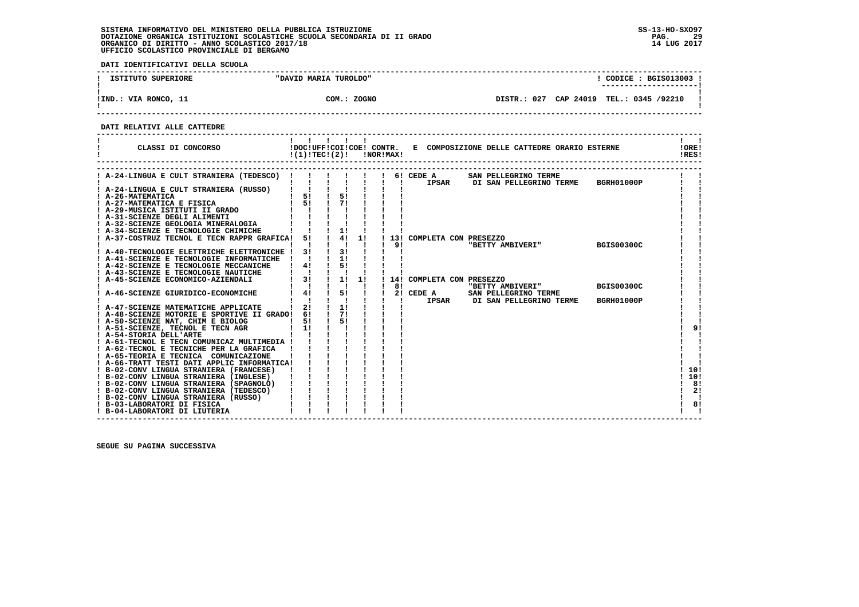**DATI IDENTIFICATIVI DELLA SCUOLA**

| ISTITUTO SUPERIORE   | "DAVID MARIA TUROLDO" | CODICE : BGIS013003 !<br>---------------------- |  |
|----------------------|-----------------------|-------------------------------------------------|--|
| !IND.: VIA RONCO, 11 | COM.: ZOGNO           | DISTR.: 027 CAP 24019 TEL.: 0345 /92210         |  |

 **------------------------------------------------------------------------------------------------------------------------------------**

 **DATI RELATIVI ALLE CATTEDRE**

| CLASSI DI CONCORSO                             | !(1)!TEC!(2)!                                              |                                         |    | !NOR!MAX! |              |                           | !DOC!UFF!COI!COE! CONTR. E COMPOSIZIONE DELLE CATTEDRE ORARIO ESTERNE |                   | 10RE1<br>!RES! |
|------------------------------------------------|------------------------------------------------------------|-----------------------------------------|----|-----------|--------------|---------------------------|-----------------------------------------------------------------------|-------------------|----------------|
| ! A-24-LINGUA E CULT STRANIERA (TEDESCO) !     |                                                            |                                         |    |           |              | 6! CEDE A                 | SAN PELLEGRINO TERME                                                  |                   |                |
|                                                |                                                            |                                         |    |           | $\mathbf{I}$ |                           | IPSAR DI SAN PELLEGRINO TERME                                         | BGRH01000P        |                |
| ! A-24-LINGUA E CULT STRANIERA (RUSSO)         |                                                            |                                         |    |           |              |                           |                                                                       |                   |                |
| ! A-26-MATEMATICA                              | $\begin{array}{cccc} 1 & 51 & 1 \\ 1 & 51 & 1 \end{array}$ | $\begin{array}{c} 5! \\ 7! \end{array}$ |    |           |              |                           |                                                                       |                   |                |
| ! A-27-MATEMATICA E FISICA                     |                                                            |                                         |    |           |              |                           |                                                                       |                   |                |
| ! A-29-MUSICA ISTITUTI II GRADO                |                                                            |                                         |    |           |              |                           |                                                                       |                   |                |
| ! A-31-SCIENZE DEGLI ALIMENTI                  |                                                            |                                         |    |           |              |                           |                                                                       |                   |                |
| ! A-32-SCIENZE GEOLOGIA MINERALOGIA            |                                                            |                                         |    |           |              |                           |                                                                       |                   |                |
| ! A-34-SCIENZE E TECNOLOGIE CHIMICHE           |                                                            | 1!                                      |    |           |              |                           |                                                                       |                   |                |
| ! A-37-COSTRUZ TECNOL E TECN RAPPR GRAFICA!    | 51                                                         | 4!                                      | 1! |           |              | 13! COMPLETA CON PRESEZZO |                                                                       |                   |                |
|                                                |                                                            | $\blacksquare$                          |    |           | 9!           |                           | "BETTY AMBIVERI"                                                      | <b>BGIS00300C</b> |                |
| ! A-40-TECNOLOGIE ELETTRICHE ELETTRONICHE !    | 31                                                         | 31                                      |    |           |              |                           |                                                                       |                   |                |
| ! A-41-SCIENZE E TECNOLOGIE INFORMATICHE       |                                                            | 11                                      |    |           |              |                           |                                                                       |                   |                |
| ! A-42-SCIENZE E TECNOLOGIE MECCANICHE         | 4!                                                         | 51                                      |    |           |              |                           |                                                                       |                   |                |
| ! A-43-SCIENZE E TECNOLOGIE NAUTICHE           |                                                            |                                         |    |           |              |                           |                                                                       |                   |                |
| ! A-45-SCIENZE ECONOMICO-AZIENDALI             | 3!                                                         | 1!                                      | 1! |           |              | 14! COMPLETA CON PRESEZZO |                                                                       |                   |                |
|                                                |                                                            |                                         |    |           | 81           |                           | "BETTY AMBIVERI"                                                      | <b>BGIS00300C</b> |                |
| A-46-SCIENZE GIURIDICO-ECONOMICHE              | 4!                                                         | $\frac{1}{5}$                           |    |           |              | 2! CEDE A                 | SAN PELLEGRINO TERME                                                  |                   |                |
|                                                |                                                            |                                         |    |           |              | <b>IPSAR</b>              | DI SAN PELLEGRINO TERME                                               | <b>BGRH01000P</b> |                |
| ! A-47-SCIENZE MATEMATICHE APPLICATE           | 2!                                                         | 1!                                      |    |           |              |                           |                                                                       |                   |                |
| ! A-48-SCIENZE MOTORIE E SPORTIVE II GRADO! 6! |                                                            | 71                                      |    |           |              |                           |                                                                       |                   |                |
| ! A-50-SCIENZE NAT, CHIM E BIOLOG              | 51                                                         | 51                                      |    |           |              |                           |                                                                       |                   |                |
| ! A-51-SCIENZE, TECNOL E TECN AGR              | 11                                                         |                                         |    |           |              |                           |                                                                       |                   | 9!             |
| ! A-54-STORIA DELL'ARTE                        |                                                            |                                         |    |           |              |                           |                                                                       |                   |                |
| ! A-61-TECNOL E TECN COMUNICAZ MULTIMEDIA !    |                                                            |                                         |    |           |              |                           |                                                                       |                   |                |
| ! A-62-TECNOL E TECNICHE PER LA GRAFICA        |                                                            |                                         |    |           |              |                           |                                                                       |                   |                |
| ! A-65-TEORIA E TECNICA COMUNICAZIONE          |                                                            |                                         |    |           |              |                           |                                                                       |                   |                |
| ! A-66-TRATT TESTI DATI APPLIC INFORMATICA!    |                                                            |                                         |    |           |              |                           |                                                                       |                   |                |
| ! B-02-CONV LINGUA STRANIERA (FRANCESE)        |                                                            |                                         |    |           |              |                           |                                                                       |                   | 10!            |
| ! B-02-CONV LINGUA STRANIERA (INGLESE)         |                                                            |                                         |    |           |              |                           |                                                                       |                   | 10!            |
| ! B-02-CONV LINGUA STRANIERA (SPAGNOLO)        |                                                            |                                         |    |           |              |                           |                                                                       |                   | -81            |
| ! B-02-CONV LINGUA STRANIERA (TEDESCO)         |                                                            |                                         |    |           |              |                           |                                                                       |                   | 2!             |
| ! B-02-CONV LINGUA STRANIERA (RUSSO)           |                                                            |                                         |    |           |              |                           |                                                                       |                   |                |
| ! B-03-LABORATORI DI FISICA                    |                                                            |                                         |    |           |              |                           |                                                                       |                   | 8!             |
| ! B-04-LABORATORI DI LIUTERIA                  |                                                            |                                         |    |           |              |                           |                                                                       |                   |                |

 **------------------------------------------------------------------------------------------------------------------------------------**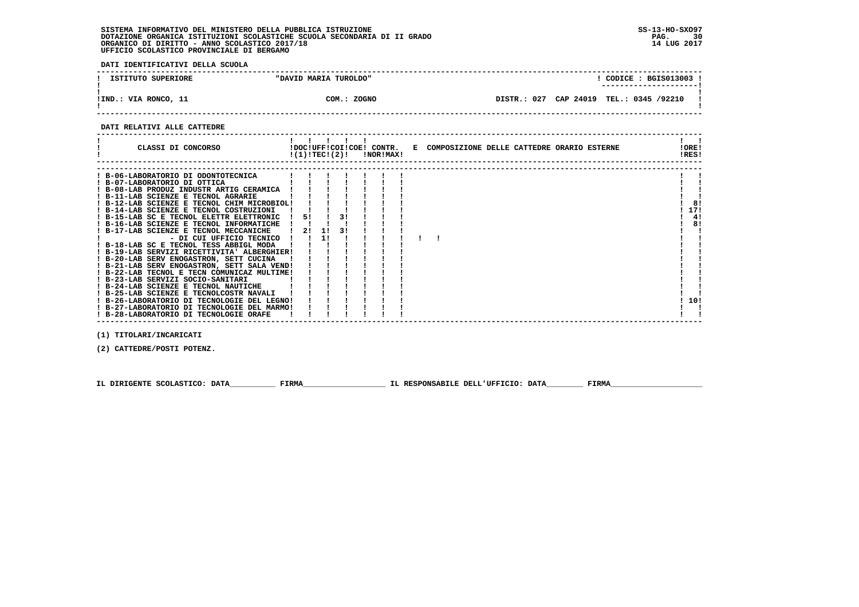**DATI IDENTIFICATIVI DELLA SCUOLA**

| ISTITUTO SUPERIORE   | "DAVID MARIA TUROLDO" | CODICE : BGIS013003 !<br>--------------------- |
|----------------------|-----------------------|------------------------------------------------|
| !IND.: VIA RONCO, 11 | COM.: ZOGNO           | DISTR.: 027 CAP 24019 TEL.: 0345 /92210        |

 **------------------------------------------------------------------------------------------------------------------------------------**

#### **DATI RELATIVI ALLE CATTEDRE**

| CLASSI DI CONCORSO                          |    |    |    | $!(1)!TEC!(2)!$ $INORIMAX!$ |  | !DOC!UFF!COI!COE! CONTR. E COMPOSIZIONE DELLE CATTEDRE ORARIO ESTERNE | !ORE!<br>!RES! |     |
|---------------------------------------------|----|----|----|-----------------------------|--|-----------------------------------------------------------------------|----------------|-----|
|                                             |    |    |    |                             |  |                                                                       |                |     |
| ! B-06-LABORATORIO DI ODONTOTECNICA         |    |    |    |                             |  |                                                                       |                |     |
| ! B-07-LABORATORIO DI OTTICA                |    |    |    |                             |  |                                                                       |                |     |
| ! B-08-LAB PRODUZ INDUSTR ARTIG CERAMICA    |    |    |    |                             |  |                                                                       |                |     |
| ! B-11-LAB SCIENZE E TECNOL AGRARIE         |    |    |    |                             |  |                                                                       |                |     |
| ! B-12-LAB SCIENZE E TECNOL CHIM MICROBIOL! |    |    |    |                             |  |                                                                       |                | 8!  |
| ! B-14-LAB SCIENZE E TECNOL COSTRUZIONI     |    |    |    |                             |  |                                                                       |                | 17! |
| ! B-15-LAB SC E TECNOL ELETTR ELETTRONIC    | 51 |    | 31 |                             |  |                                                                       |                | 4!  |
| ! B-16-LAB SCIENZE E TECNOL INFORMATICHE    |    |    |    |                             |  |                                                                       |                | 8!  |
| ! B-17-LAB SCIENZE E TECNOL MECCANICHE      | 21 | 11 | 31 |                             |  |                                                                       |                |     |
| - DI CUI UFFICIO TECNICO                    |    | 1! |    |                             |  |                                                                       |                |     |
| ! B-18-LAB SC E TECNOL TESS ABBIGL MODA     |    |    |    |                             |  |                                                                       |                |     |
| ! B-19-LAB SERVIZI RICETTIVITA' ALBERGHIER! |    |    |    |                             |  |                                                                       |                |     |
| ! B-20-LAB SERV ENOGASTRON, SETT CUCINA     |    |    |    |                             |  |                                                                       |                |     |
| ! B-21-LAB SERV ENOGASTRON, SETT SALA VEND! |    |    |    |                             |  |                                                                       |                |     |
| ! B-22-LAB TECNOL E TECN COMUNICAZ MULTIME! |    |    |    |                             |  |                                                                       |                |     |
| ! B-23-LAB SERVIZI SOCIO-SANITARI           |    |    |    |                             |  |                                                                       |                |     |
| ! B-24-LAB SCIENZE E TECNOL NAUTICHE        |    |    |    |                             |  |                                                                       |                |     |
| ! B-25-LAB SCIENZE E TECNOLCOSTR NAVALI     |    |    |    |                             |  |                                                                       |                |     |
| ! B-26-LABORATORIO DI TECNOLOGIE DEL LEGNO! |    |    |    |                             |  |                                                                       |                | 10! |
| ! B-27-LABORATORIO DI TECNOLOGIE DEL MARMO! |    |    |    |                             |  |                                                                       |                |     |
| ! B-28-LABORATORIO DI TECNOLOGIE ORAFE      |    |    |    |                             |  |                                                                       |                |     |

 **(1) TITOLARI/INCARICATI**

 **(2) CATTEDRE/POSTI POTENZ.**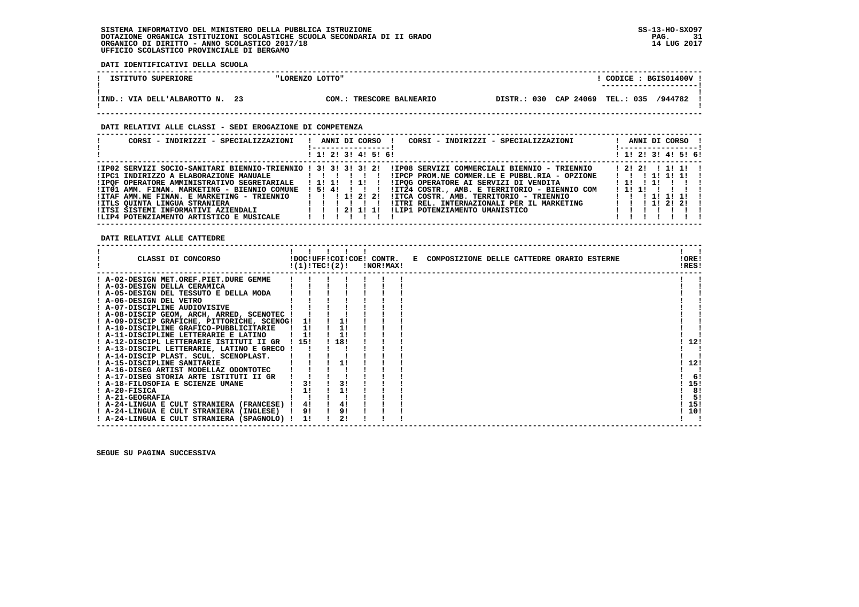**DATI IDENTIFICATIVI DELLA SCUOLA**

| ISTITUTO SUPERIORE                      | "LORENZO LOTTO" |                           |             | CODICE                      | : BGIS01400V |
|-----------------------------------------|-----------------|---------------------------|-------------|-----------------------------|--------------|
| 23<br>IIND.<br>.: VIA DELL'ALBAROTTO N. | COM.:           | <b>TRESCORE BALNEARIO</b> | DISTR.: 030 | CAP 24069 TEL.: 035 /944782 |              |

### **DATI RELATIVI ALLE CLASSI - SEDI EROGAZIONE DI COMPETENZA**

| CORSI - INDIRIZZI - SPECIALIZZAZIONI                                                                                                                                                                                                                                                                                                                             | ANNI DI CORSO !<br>CORSI - INDIRIZZI - SPECIALIZZAZIONI<br>$\blacksquare$<br>1 1! 2! 3! 4! 5! 6!                                                                                                                                                                                                                                    | ANNI DI CORSO !<br>! ----------------- <u>!</u><br>! 1! 2! 3! 4! 5! 6!            |
|------------------------------------------------------------------------------------------------------------------------------------------------------------------------------------------------------------------------------------------------------------------------------------------------------------------------------------------------------------------|-------------------------------------------------------------------------------------------------------------------------------------------------------------------------------------------------------------------------------------------------------------------------------------------------------------------------------------|-----------------------------------------------------------------------------------|
|                                                                                                                                                                                                                                                                                                                                                                  |                                                                                                                                                                                                                                                                                                                                     |                                                                                   |
| !IP02 SERVIZI SOCIO-SANITARI BIENNIO-TRIENNIO ! 3! 3! 3! 3! 2!<br>!IPC1 INDIRIZZO A ELABORAZIONE MANUALE   ! ! ! ! ! !<br>!IPOF OPERATORE AMMINISTRATIVO SEGRETARIALE<br>!IT01 AMM. FINAN. MARKETING - BIENNIO COMUNE ! 5! 4! ! ! ! !<br>!ITAF AMM.NE FINAN. E MARKETING - TRIENNIO<br>!ITLS OUINTA LINGUA STRANIERA<br>!LIP4 POTENZIAMENTO ARTISTICO E MUSICALE | !IP08 SERVIZI COMMERCIALI BIENNIO - TRIENNIO<br>!IPCP PROM.NE COMMER.LE E PUBBL.RIA - OPZIONE<br>IIPOG OPERATORE AI SERVIZI DI VENDITA<br>!IT24 COSTR., AMB. E TERRITORIO - BIENNIO COM<br>1 1 1 1 2 2 1<br>!ITCA COSTR. AMB. TERRITORIO - TRIENNIO<br>!ITRI REL. INTERNAZIONALI PER IL MARKETING<br>!LIP1 POTENZIAMENTO UMANISTICO | 1 1 1 1 1 1 1 1 1<br>11111<br>111111111<br>1 1 1 1 1 1 1 1 1<br>1 1 1 1 1 2 1 2 1 |

 **------------------------------------------------------------------------------------------------------------------------------------**

 **DATI RELATIVI ALLE CATTEDRE**

| CLASSI DI CONCORSO                             |       | !(1)!TEC!(2)! |     | !DOC!UFF!COI!COE! CONTR.<br>!NOR!MAX! | E COMPOSIZIONE DELLE CATTEDRE ORARIO ESTERNE | !ORE!<br>!RES! |
|------------------------------------------------|-------|---------------|-----|---------------------------------------|----------------------------------------------|----------------|
| ! A-02-DESIGN MET.OREF.PIET.DURE GEMME         |       |               |     |                                       |                                              |                |
| ! A-03-DESIGN DELLA CERAMICA                   |       |               |     |                                       |                                              |                |
| ! A-05-DESIGN DEL TESSUTO E DELLA MODA         |       |               |     |                                       |                                              |                |
| ! A-06-DESIGN DEL VETRO                        |       |               |     |                                       |                                              |                |
| ! A-07-DISCIPLINE AUDIOVISIVE                  |       |               |     |                                       |                                              |                |
| ! A-08-DISCIP GEOM, ARCH, ARRED, SCENOTEC !    |       |               |     |                                       |                                              |                |
| ! A-09-DISCIP GRAFICHE, PITTORICHE, SCENOG! 1! |       |               |     |                                       |                                              |                |
| ! A-10-DISCIPLINE GRAFICO-PUBBLICITARIE        |       | 11            |     |                                       |                                              |                |
| ! A-11-DISCIPLINE LETTERARIE E LATINO          |       | 11            | 1!  |                                       |                                              |                |
| ! A-12-DISCIPL LETTERARIE ISTITUTI II GR       | ! 15! |               | 18! |                                       |                                              | 12!            |
| ! A-13-DISCIPL LETTERARIE, LATINO E GRECO !    |       |               |     |                                       |                                              |                |
| ! A-14-DISCIP PLAST. SCUL. SCENOPLAST.         |       |               |     |                                       |                                              |                |
| ! A-15-DISCIPLINE SANITARIE                    |       |               |     |                                       |                                              | 12!            |
| ! A-16-DISEG ARTIST MODELLAZ ODONTOTEC         |       |               |     |                                       |                                              |                |
| ! A-17-DISEG STORIA ARTE ISTITUTI II GR        |       |               |     |                                       |                                              | 6!             |
| ! A-18-FILOSOFIA E SCIENZE UMANE               |       | 3!            | 3!  |                                       |                                              | 15!            |
| ! A-20-FISICA                                  |       | 1!            |     |                                       |                                              | 8!             |
| ! A-21-GEOGRAFIA                               |       |               |     |                                       |                                              | 5!             |
| ! A-24-LINGUA E CULT STRANIERA (FRANCESE) !    |       | 4!            | 4!  |                                       |                                              | 15!            |
| ! A-24-LINGUA E CULT STRANIERA (INGLESE)       |       | 9!            | 9!  |                                       |                                              | 10!            |
| ! A-24-LINGUA E CULT STRANIERA (SPAGNOLO) !    |       | 11            |     |                                       |                                              |                |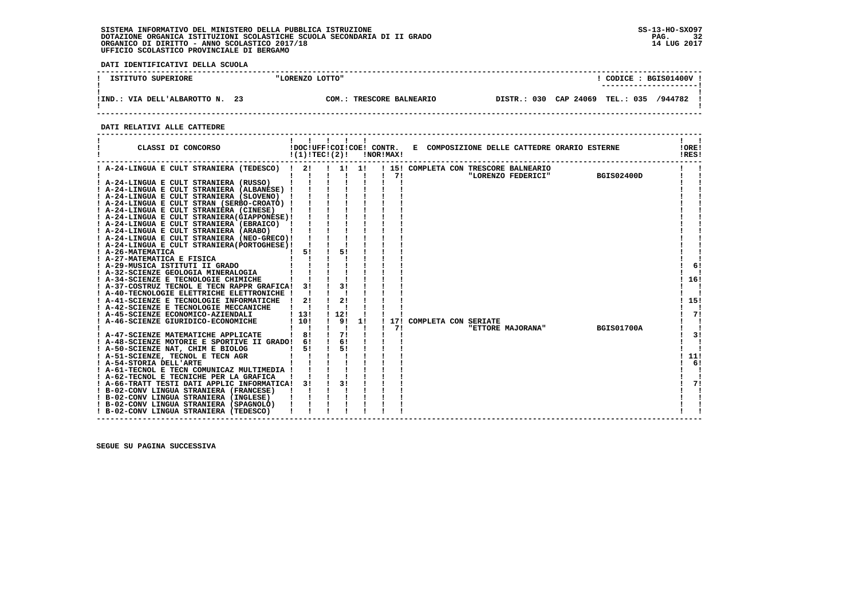**DATI IDENTIFICATIVI DELLA SCUOLA**

| ISTITUTO SUPERIORE                     | "LORENZO LOTTO" |                                      |                  | CODICE: BGIS01400V<br>--------------------- |  |
|----------------------------------------|-----------------|--------------------------------------|------------------|---------------------------------------------|--|
| -23<br>VIA DELL'ALBAROTTO N.<br>! IND. | COM.            | <b>TRESCORE BALNEARIO</b><br>DISTR.: | CAP 24069<br>030 | TEL.: 035<br>/944782                        |  |

 **------------------------------------------------------------------------------------------------------------------------------------**

 **DATI RELATIVI ALLE CATTEDRE**

|                         | CLASSI DI CONCORSO                                                                    |                    | !DOC!UFF!COI!COE! CONTR.<br>!(1)!TECI(2)! |    | !NOR!MAX! |                          |  | E COMPOSIZIONE DELLE CATTEDRE ORARIO ESTERNE |                   | !ORE!<br>!RES! |
|-------------------------|---------------------------------------------------------------------------------------|--------------------|-------------------------------------------|----|-----------|--------------------------|--|----------------------------------------------|-------------------|----------------|
|                         | ! A-24-LINGUA E CULT STRANIERA (TEDESCO) ! 2!                                         |                    | . . 1. 1.                                 |    |           |                          |  | ! 15! COMPLETA CON TRESCORE BALNEARIO        |                   |                |
|                         |                                                                                       |                    |                                           |    | 71        |                          |  | "LORENZO FEDERICI"                           | <b>BGIS02400D</b> |                |
|                         | ! A-24-LINGUA E CULT STRANIERA (RUSSO)                                                |                    |                                           |    |           |                          |  |                                              |                   |                |
|                         | ! A-24-LINGUA E CULT STRANIERA (ALBANESE) !                                           |                    |                                           |    |           |                          |  |                                              |                   |                |
|                         | A-24-LINGUA E CULT STRANIERA (SLOVENO) !                                              |                    |                                           |    |           |                          |  |                                              |                   |                |
|                         | ! A-24-LINGUA E CULT STRAN (SERBO-CROATO) !                                           |                    |                                           |    |           |                          |  |                                              |                   |                |
|                         | ! A-24-LINGUA E CULT STRANIERA (CINESE)                                               |                    |                                           |    |           |                          |  |                                              |                   |                |
|                         | ! A-24-LINGUA E CULT STRANIERA(GIAPPONESE)!                                           |                    |                                           |    |           |                          |  |                                              |                   |                |
|                         | ! A-24-LINGUA E CULT STRANIERA (EBRAICO) !                                            |                    |                                           |    |           |                          |  |                                              |                   |                |
|                         | ! A-24-LINGUA E CULT STRANIERA (ARABO)<br>! A-24-LINGUA E CULT STRANIERA (NEO-GRECO)! |                    |                                           |    |           |                          |  |                                              |                   |                |
|                         | ! A-24-LINGUA E CULT STRANIERA (PORTOGHESE) !                                         |                    |                                           |    |           |                          |  |                                              |                   |                |
| ! A-26-MATEMATICA       |                                                                                       | 51                 | 51                                        |    |           |                          |  |                                              |                   |                |
|                         | ! A-27-MATEMATICA E FISICA                                                            |                    |                                           |    |           |                          |  |                                              |                   |                |
|                         | ! A-29-MUSICA ISTITUTI II GRADO                                                       |                    |                                           |    |           |                          |  |                                              |                   | 6!             |
|                         | ! A-32-SCIENZE GEOLOGIA MINERALOGIA                                                   |                    |                                           |    |           |                          |  |                                              |                   |                |
|                         | ! A-34-SCIENZE E TECNOLOGIE CHIMICHE                                                  |                    |                                           |    |           |                          |  |                                              |                   | 16!            |
|                         | ! A-37-COSTRUZ TECNOL E TECN RAPPR GRAFICA!                                           | 3!                 |                                           |    |           |                          |  |                                              |                   |                |
|                         | ! A-40-TECNOLOGIE ELETTRICHE ELETTRONICHE !                                           |                    |                                           |    |           |                          |  |                                              |                   |                |
|                         | ! A-41-SCIENZE E TECNOLOGIE INFORMATICHE                                              | 2!<br>$\mathbf{I}$ | 2!                                        |    |           |                          |  |                                              |                   | 15!            |
|                         | ! A-42-SCIENZE E TECNOLOGIE MECCANICHE                                                |                    |                                           |    |           |                          |  |                                              |                   |                |
|                         | ! A-45-SCIENZE ECONOMICO-AZIENDALI                                                    | 113!               | 12!                                       |    |           |                          |  |                                              |                   | 71             |
|                         | ! A-46-SCIENZE GIURIDICO-ECONOMICHE                                                   | 110!               | 9!                                        | 11 |           | 17! COMPLETA CON SERIATE |  |                                              |                   |                |
|                         |                                                                                       |                    |                                           |    | 71        |                          |  | "ETTORE MAJORANA"                            | <b>BGIS01700A</b> | $\mathbf{I}$   |
|                         | ! A-47-SCIENZE MATEMATICHE APPLICATE                                                  | 181                | 71                                        |    |           |                          |  |                                              |                   | 3!             |
|                         | A-48-SCIENZE MOTORIE E SPORTIVE II GRADO!                                             | 61                 | 6!                                        |    |           |                          |  |                                              |                   |                |
|                         | ! A-50-SCIENZE NAT, CHIM E BIOLOG                                                     | 51                 | 51                                        |    |           |                          |  |                                              |                   |                |
|                         | ! A-51-SCIENZE, TECNOL E TECN AGR                                                     |                    |                                           |    |           |                          |  |                                              |                   | 11!            |
| ! A-54-STORIA DELL'ARTE |                                                                                       |                    |                                           |    |           |                          |  |                                              |                   | 6!             |
|                         | ! A-61-TECNOL E TECN COMUNICAZ MULTIMEDIA !                                           |                    |                                           |    |           |                          |  |                                              |                   |                |
|                         | ! A-62-TECNOL E TECNICHE PER LA GRAFICA                                               |                    |                                           |    |           |                          |  |                                              |                   |                |
|                         | ! A-66-TRATT TESTI DATI APPLIC INFORMATICA!                                           | 31                 | 31                                        |    |           |                          |  |                                              |                   | 71             |
|                         | ! B-02-CONV LINGUA STRANIERA (FRANCESE)                                               |                    |                                           |    |           |                          |  |                                              |                   |                |
|                         | ! B-02-CONV LINGUA STRANIERA (INGLESE)                                                |                    |                                           |    |           |                          |  |                                              |                   |                |
|                         | ! B-02-CONV LINGUA STRANIERA (SPAGNOLO)                                               |                    |                                           |    |           |                          |  |                                              |                   |                |
|                         | ! B-02-CONV LINGUA STRANIERA (TEDESCO)                                                |                    |                                           |    |           |                          |  |                                              |                   |                |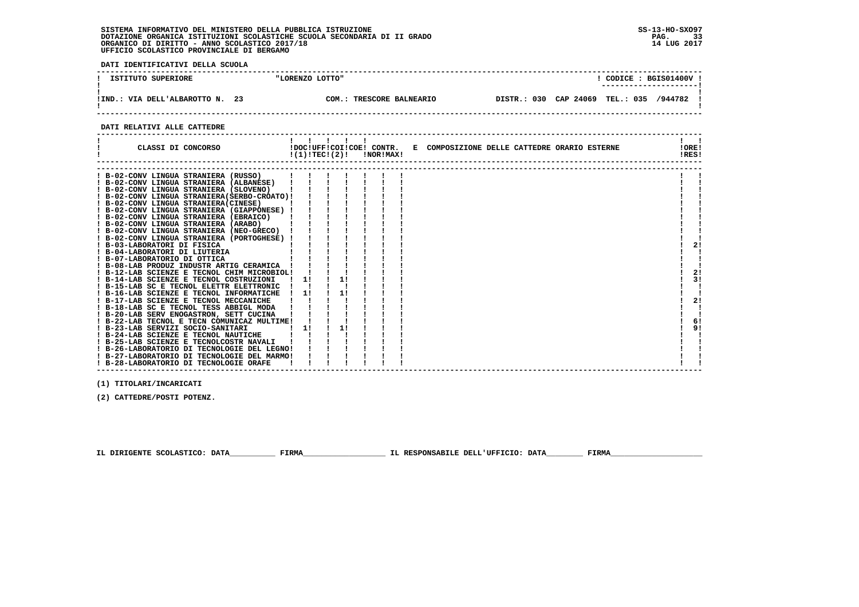**DATI IDENTIFICATIVI DELLA SCUOLA**

| ISTITUTO SUPERIORE              | "LORENZO LOTTO" |                           | CODICE: BGIS01400V                      |
|---------------------------------|-----------------|---------------------------|-----------------------------------------|
| !IND.: VIA DELL'ALBAROTTO N. 23 | COM:            | <b>TRESCORE BALNEARIO</b> | DISTR.: 030 CAP 24069 TEL.: 035 /944782 |

 **DATI RELATIVI ALLE CATTEDRE**

| CLASSI DI CONCORSO                                                                                                                                                                                                                                                                                                                                                                                                                                                                                                                                                                                                                                                                                                                                                                                                                                                                                                                                                                                                                                                                                                                                                                                                 | !(1)!TECI(2)!  |          | !DOC!UFF!COI!COE! CONTR.<br>!NOR!MAX! | E COMPOSIZIONE DELLE CATTEDRE ORARIO ESTERNE | !ORE!<br>!RES!                   |
|--------------------------------------------------------------------------------------------------------------------------------------------------------------------------------------------------------------------------------------------------------------------------------------------------------------------------------------------------------------------------------------------------------------------------------------------------------------------------------------------------------------------------------------------------------------------------------------------------------------------------------------------------------------------------------------------------------------------------------------------------------------------------------------------------------------------------------------------------------------------------------------------------------------------------------------------------------------------------------------------------------------------------------------------------------------------------------------------------------------------------------------------------------------------------------------------------------------------|----------------|----------|---------------------------------------|----------------------------------------------|----------------------------------|
| ! B-02-CONV LINGUA STRANIERA (RUSSO)<br>! B-02-CONV LINGUA STRANIERA (ALBANESE)<br>! B-02-CONV LINGUA STRANIERA (SLOVENO)<br>! B-02-CONV LINGUA STRANIERA(SERBO-CROATO)!<br>! B-02-CONV LINGUA STRANIERA (CINESE)<br>! B-02-CONV LINGUA STRANIERA (GIAPPONESE) !<br>! B-02-CONV LINGUA STRANIERA (EBRAICO)<br>! B-02-CONV LINGUA STRANIERA (ARABO)<br>B-02-CONV LINGUA STRANIERA (NEO-GRECO)<br>! B-02-CONV LINGUA STRANIERA (PORTOGHESE) !<br>! B-03-LABORATORI DI FISICA<br>! B-04-LABORATORI DI LIUTERIA<br>! B-07-LABORATORIO DI OTTICA<br>B-08-LAB PRODUZ INDUSTR ARTIG CERAMICA<br>! B-12-LAB SCIENZE E TECNOL CHIM MICROBIOL!<br>! B-14-LAB SCIENZE E TECNOL COSTRUZIONI<br>! B-15-LAB SC E TECNOL ELETTR ELETTRONIC<br>! B-16-LAB SCIENZE E TECNOL INFORMATICHE<br>! B-17-LAB SCIENZE E TECNOL MECCANICHE<br>! B-18-LAB SC E TECNOL TESS ABBIGL MODA<br>! B-20-LAB SERV ENOGASTRON, SETT CUCINA<br>! B-22-LAB TECNOL E TECN COMUNICAZ MULTIME!<br>! B-23-LAB SERVIZI SOCIO-SANITARI<br>B-24-LAB SCIENZE E TECNOL NAUTICHE<br>B-25-LAB SCIENZE E TECNOLCOSTR NAVALI<br>! B-26-LABORATORIO DI TECNOLOGIE DEL LEGNO!<br>! B-27-LABORATORIO DI TECNOLOGIE DEL MARMO!<br>! B-28-LABORATORIO DI TECNOLOGIE ORAFE | 11<br>11<br>11 | 1!<br>1! |                                       |                                              | 2!<br>2!<br>3!<br>2!<br>6!<br>9! |

 **------------------------------------------------------------------------------------------------------------------------------------**

 **(1) TITOLARI/INCARICATI**

 **(2) CATTEDRE/POSTI POTENZ.**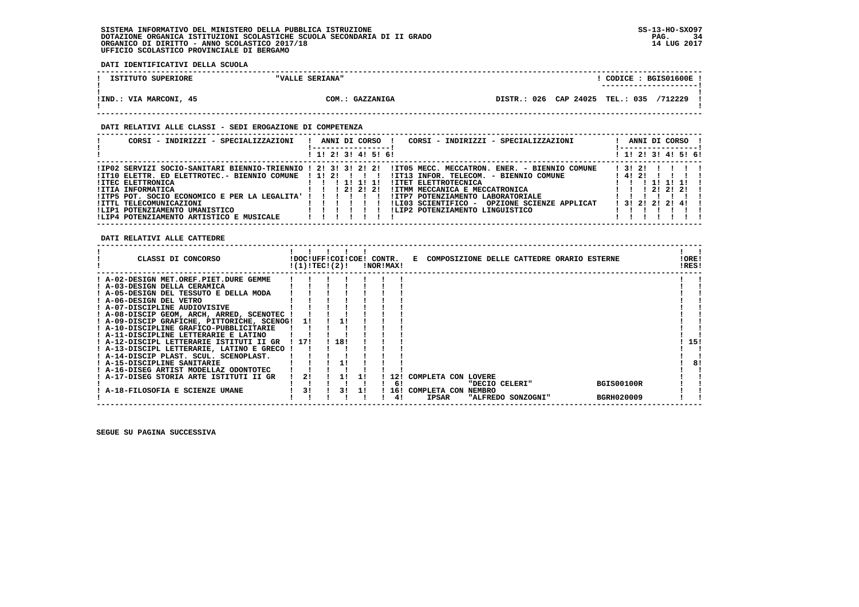**DATI IDENTIFICATIVI DELLA SCUOLA**

| ISTITUTO SUPERIORE     | "VALLE SERIANA" | <b>BGIS01600E</b><br>CODICE :<br>---------------------- |
|------------------------|-----------------|---------------------------------------------------------|
| !IND.: VIA MARCONI, 45 | COM.: GAZZANIGA | DISTR.: 026 CAP 24025 TEL.: 035<br>/712229              |

#### **DATI RELATIVI ALLE CLASSI - SEDI EROGAZIONE DI COMPETENZA**

| CORSI - INDIRIZZI - SPECIALIZZAZIONI                           |  |  | ANNI DI CORSO       |                                   | CORSI - INDIRIZZI - SPECIALIZZAZIONI          |       |       |  | ANNI DI CORSO           |  |
|----------------------------------------------------------------|--|--|---------------------|-----------------------------------|-----------------------------------------------|-------|-------|--|-------------------------|--|
|                                                                |  |  | ! 1! 2! 3! 4! 5! 6! |                                   |                                               |       |       |  | ! 1! 2! 3! 4! 5! 6!     |  |
| !IP02 SERVIZI SOCIO-SANITARI BIENNIO-TRIENNIO ! 2! 3! 3! 2! 2! |  |  |                     |                                   | !IT05 MECC. MECCATRON. ENER. - BIENNIO COMUNE |       | 13121 |  |                         |  |
| $!$ IT10 ELETTR. ED ELETTROTEC.- BIENNIO COMUNE $!$ 1! 2!!!!!  |  |  |                     |                                   | !IT13 INFOR. TELECOM. - BIENNIO COMUNE        | 14121 |       |  |                         |  |
| <b>!ITEC ELETTRONICA</b>                                       |  |  | 1 11 11 11          | <b>!ITET ELETTROTECNICA</b>       |                                               |       |       |  | 111111                  |  |
| !ITIA INFORMATICA                                              |  |  | 1212121             | !ITMM MECCANICA E MECCATRONICA    |                                               |       |       |  | 212121                  |  |
| !ITP5 POT. SOCIO ECONOMICO E PER LA LEGALITA' !!!!!!           |  |  |                     | !ITP7 POTENZIAMENTO LABORATORIALE |                                               |       |       |  |                         |  |
| !ITTL TELECOMUNICAZIONI                                        |  |  |                     |                                   | ILI03 SCIENTIFICO - OPZIONE SCIENZE APPLICAT  |       |       |  | 1 3 1 2 1 2 1 2 1 4 1 1 |  |
| !LIP1 POTENZIAMENTO UMANISTICO                                 |  |  |                     | !LIP2 POTENZIAMENTO LINGUISTICO   |                                               |       |       |  |                         |  |
| !LIP4 POTENZIAMENTO ARTISTICO E MUSICALE                       |  |  |                     |                                   |                                               |       |       |  |                         |  |

 **DATI RELATIVI ALLE CATTEDRE**

| CLASSI DI CONCORSO                          |      | !DOC!UFF!COI!COE! CONTR.<br>!(1)!TEC!(2)! |     |     | <b>!NOR!MAX!</b> |                    | E COMPOSIZIONE DELLE CATTEDRE ORARIO ESTERNE |  |                   | !ORE!<br>!RES! |  |
|---------------------------------------------|------|-------------------------------------------|-----|-----|------------------|--------------------|----------------------------------------------|--|-------------------|----------------|--|
| ! A-02-DESIGN MET.OREF.PIET.DURE GEMME      |      |                                           |     |     |                  |                    |                                              |  |                   |                |  |
| ! A-03-DESIGN DELLA CERAMICA                |      |                                           |     |     |                  |                    |                                              |  |                   |                |  |
| A-05-DESIGN DEL TESSUTO E DELLA MODA        |      |                                           |     |     |                  |                    |                                              |  |                   |                |  |
| ! A-06-DESIGN DEL VETRO                     |      |                                           |     |     |                  |                    |                                              |  |                   |                |  |
| ! A-07-DISCIPLINE AUDIOVISIVE               |      |                                           |     |     |                  |                    |                                              |  |                   |                |  |
| ! A-08-DISCIP GEOM, ARCH, ARRED, SCENOTEC   |      |                                           |     |     |                  |                    |                                              |  |                   |                |  |
| ! A-09-DISCIP GRAFICHE, PITTORICHE, SCENOG! | -11  |                                           |     |     |                  |                    |                                              |  |                   |                |  |
| ! A-10-DISCIPLINE GRAFICO-PUBBLICITARIE     |      |                                           |     |     |                  |                    |                                              |  |                   |                |  |
| ! A-11-DISCIPLINE LETTERARIE E LATINO       |      |                                           |     |     |                  |                    |                                              |  |                   |                |  |
| ! A-12-DISCIPL LETTERARIE ISTITUTI II GR    | 1171 |                                           | 18! |     |                  |                    |                                              |  |                   | 15!            |  |
| ! A-13-DISCIPL LETTERARIE, LATINO E GRECO   |      |                                           |     |     |                  |                    |                                              |  |                   |                |  |
| ! A-14-DISCIP PLAST. SCUL. SCENOPLAST.      |      |                                           |     |     |                  |                    |                                              |  |                   |                |  |
| ! A-15-DISCIPLINE SANITARIE                 |      |                                           |     |     |                  |                    |                                              |  |                   | 81             |  |
| ! A-16-DISEG ARTIST MODELLAZ ODONTOTEC      |      |                                           |     |     |                  |                    |                                              |  |                   |                |  |
| ! A-17-DISEG STORIA ARTE ISTITUTI II GR     | 2!   |                                           |     |     | 121              |                    | COMPLETA CON LOVERE                          |  |                   |                |  |
|                                             |      |                                           |     |     | 6!               |                    | "DECIO CELERI"                               |  | <b>BGIS00100R</b> |                |  |
| A-18-FILOSOFIA E SCIENZE UMANE              |      | 3!                                        | 31  | -11 |                  | ! 16! COMPLETA CON | NEMBRO                                       |  |                   |                |  |
|                                             |      |                                           |     |     | 41               | <b>IPSAR</b>       | "ALFREDO SONZOGNI"                           |  | <b>BGRH020009</b> |                |  |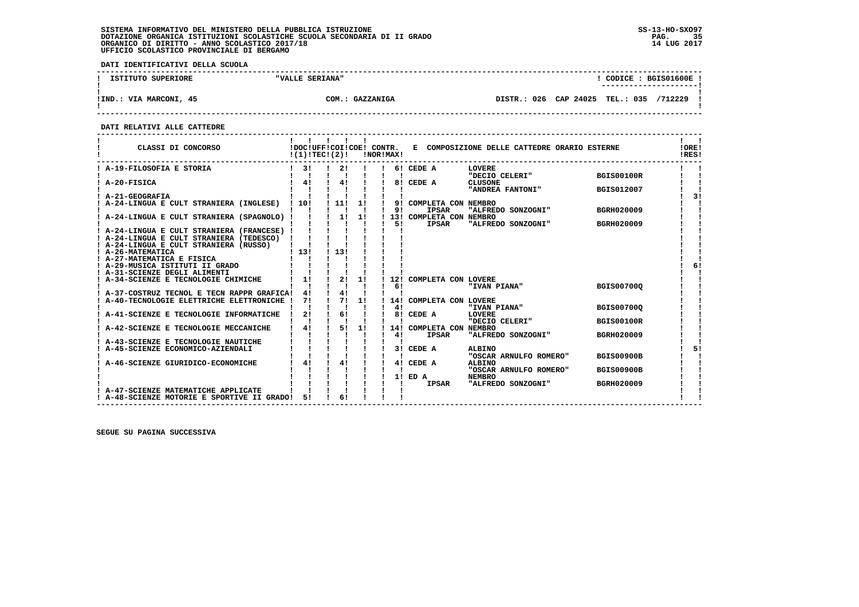**DATI IDENTIFICATIVI DELLA SCUOLA**

| ISTITUTO SUPERIORE     | "VALLE SERIANA" | CODICE: BGIS01600E<br>----------------------- |  |
|------------------------|-----------------|-----------------------------------------------|--|
| !IND.: VIA MARCONI, 45 | COM.: GAZZANIGA | DISTR.: 026 CAP 24025 TEL.: 035<br>/712229    |  |

 **------------------------------------------------------------------------------------------------------------------------------------**

#### **DATI RELATIVI ALLE CATTEDRE**

| CLASSI DI CONCORSO                                                                                                            | !(1)!TEC!(2)! | IDOCIUFFICOIICOEI CONTR. |    | !NOR!MAX! |                                         | E COMPOSIZIONE DELLE CATTEDRE ORARIO ESTERNE |                   | !ORE!<br>!RES! |
|-------------------------------------------------------------------------------------------------------------------------------|---------------|--------------------------|----|-----------|-----------------------------------------|----------------------------------------------|-------------------|----------------|
| ! A-19-FILOSOFIA E STORIA                                                                                                     | $1 \quad 31$  | 2!                       |    |           | 6! CEDE A                               | LOVERE<br>"DECIO CELERI"                     | <b>BGIS00100R</b> |                |
| A-20-FISICA                                                                                                                   | 4!            | 4!                       |    |           | 8! CEDE A                               | <b>CLUSONE</b><br>"ANDREA FANTONI"           | <b>BGIS012007</b> |                |
| A-21-GEOGRAFIA                                                                                                                |               |                          |    |           |                                         |                                              |                   | 31             |
| A-24-LINGUA E CULT STRANIERA (INGLESE)                                                                                        | 110!          | 11!                      | 1! | 9!        | 9! COMPLETA CON NEMBRO<br><b>IPSAR</b>  | "ALFREDO SONZOGNI"                           | <b>BGRH020009</b> |                |
| A-24-LINGUA E CULT STRANIERA (SPAGNOLO) !                                                                                     |               |                          | 1! | 51        | 13! COMPLETA CON NEMBRO<br><b>IPSAR</b> | "ALFREDO SONZOGNI"                           | <b>BGRH020009</b> |                |
| A-24-LINGUA E CULT STRANIERA (FRANCESE) !<br>A-24-LINGUA E CULT STRANIERA (TEDESCO)<br>! A-24-LINGUA E CULT STRANIERA (RUSSO) |               |                          |    |           |                                         |                                              |                   |                |
| ! A-26-MATEMATICA<br>A-27-MATEMATICA E FISICA<br>A-29-MUSICA ISTITUTI II GRADO                                                | 1131          | 1, 131                   |    |           |                                         |                                              |                   | 61             |
| A-31-SCIENZE DEGLI ALIMENTI<br>A-34-SCIENZE E TECNOLOGIE CHIMICHE                                                             | 1!            | 2!                       | 1! | 12!       | COMPLETA CON LOVERE                     |                                              |                   |                |
|                                                                                                                               |               |                          |    | 61        |                                         | "IVAN PIANA"                                 | <b>BGIS007000</b> |                |
| A-37-COSTRUZ TECNOL E TECN RAPPR GRAFICA!<br>A-40-TECNOLOGIE ELETTRICHE ELETTRONICHE                                          | 4!<br>71      | 4!<br>71                 | 1! |           | 14! COMPLETA CON LOVERE                 |                                              |                   |                |
|                                                                                                                               |               |                          |    | 41        |                                         | "IVAN PIANA"                                 | <b>BGIS00700Q</b> |                |
| A-41-SCIENZE E TECNOLOGIE INFORMATICHE                                                                                        | 2!            | 6!                       |    | 81        | CEDE A                                  | LOVERE<br>"DECIO CELERI"                     | <b>BGIS00100R</b> |                |
| A-42-SCIENZE E TECNOLOGIE MECCANICHE                                                                                          | 41            | 5!                       | 1! | 41        | 14! COMPLETA CON NEMBRO<br><b>IPSAR</b> | "ALFREDO SONZOGNI"                           | <b>BGRH020009</b> |                |
| A-43-SCIENZE E TECNOLOGIE NAUTICHE                                                                                            |               |                          |    |           |                                         |                                              |                   | 51             |
| A-45-SCIENZE ECONOMICO-AZIENDALI                                                                                              |               |                          |    |           | 3! CEDE A                               | ALBINO<br>"OSCAR ARNULFO ROMERO"             | <b>BGIS00900B</b> |                |
| A-46-SCIENZE GIURIDICO-ECONOMICHE                                                                                             | 4!            | 41                       |    | 41        | CEDE A                                  | <b>ALBINO</b><br>"OSCAR ARNULFO ROMERO"      | <b>BGIS00900B</b> |                |
|                                                                                                                               |               |                          |    | 11.       | ED A<br><b>IPSAR</b>                    | <b>NEMBRO</b><br>"ALFREDO SONZOGNI"          | <b>BGRH020009</b> |                |
| A-47-SCIENZE MATEMATICHE APPLICATE                                                                                            |               |                          |    |           |                                         |                                              |                   |                |
| ! A-48-SCIENZE MOTORIE E SPORTIVE II GRADO!                                                                                   | 51            | 6!                       |    |           |                                         |                                              |                   |                |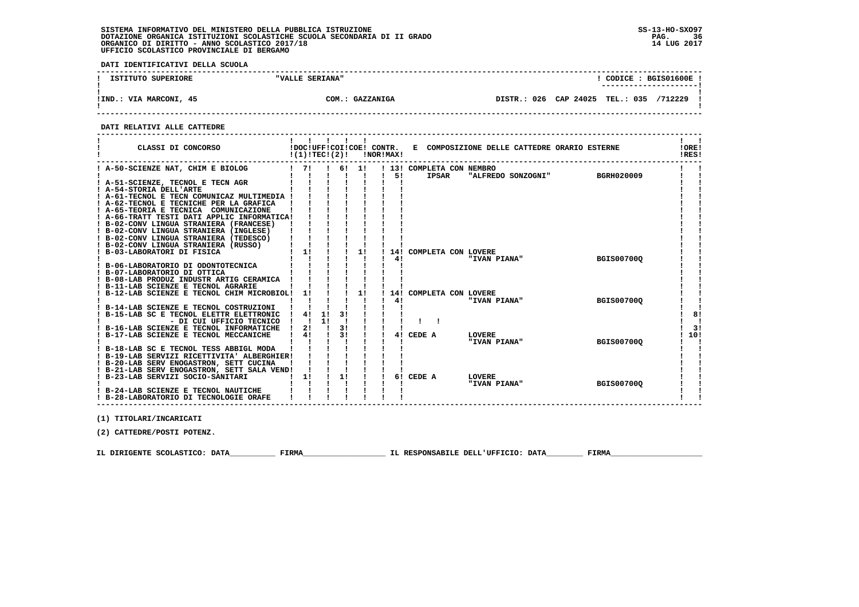**DATI IDENTIFICATIVI DELLA SCUOLA**

| ISTITUTO SUPERIORE     | "VALLE SERIANA" | CODICE: BGIS01600E<br>---------------------- |
|------------------------|-----------------|----------------------------------------------|
| !IND.: VIA MARCONI, 45 | COM.: GAZZANIGA | DISTR.: 026 CAP 24025 TEL.: 035<br>/712229   |

 **------------------------------------------------------------------------------------------------------------------------------------**

#### **DATI RELATIVI ALLE CATTEDRE**

| CLASSI DI CONCORSO                                                                     | !(1)!TECI(2)!             |          |    |       | !NOR!MAX! |    |                                           | !DOC!UFF!COI!COE! CONTR. E COMPOSIZIONE DELLE CATTEDRE ORARIO ESTERNE |                   | !ORE!<br>!RES! |
|----------------------------------------------------------------------------------------|---------------------------|----------|----|-------|-----------|----|-------------------------------------------|-----------------------------------------------------------------------|-------------------|----------------|
| ! A-50-SCIENZE NAT, CHIM E BIOLOG                                                      | $1 \quad 71$              |          |    | 6! 1! |           | 51 | ! 13! COMPLETA CON NEMBRO<br><b>IPSAR</b> | "ALFREDO SONZOGNI"                                                    | <b>BGRH020009</b> |                |
| ! A-51-SCIENZE, TECNOL E TECN AGR                                                      |                           |          |    |       |           |    |                                           |                                                                       |                   |                |
| ! A-54-STORIA DELL'ARTE                                                                |                           |          |    |       |           |    |                                           |                                                                       |                   |                |
| ! A-61-TECNOL E TECN COMUNICAZ MULTIMEDIA !                                            |                           |          |    |       |           |    |                                           |                                                                       |                   |                |
| ! A-62-TECNOL E TECNICHE PER LA GRAFICA                                                |                           |          |    |       |           |    |                                           |                                                                       |                   |                |
| ! A-65-TEORIA E TECNICA COMUNICAZIONE                                                  |                           |          |    |       |           |    |                                           |                                                                       |                   |                |
| ! A-66-TRATT TESTI DATI APPLIC INFORMATICA!                                            |                           |          |    |       |           |    |                                           |                                                                       |                   |                |
| ! B-02-CONV LINGUA STRANIERA (FRANCESE)                                                |                           |          |    |       |           |    |                                           |                                                                       |                   |                |
| ! B-02-CONV LINGUA STRANIERA (INGLESE)                                                 |                           |          |    |       |           |    |                                           |                                                                       |                   |                |
| ! B-02-CONV LINGUA STRANIERA (TEDESCO)                                                 |                           |          |    |       |           |    |                                           |                                                                       |                   |                |
| ! B-02-CONV LINGUA STRANIERA (RUSSO)                                                   |                           |          |    |       |           |    |                                           |                                                                       |                   |                |
| ! B-03-LABORATORI DI FISICA                                                            | 1!                        |          |    | 1!    |           |    | 14! COMPLETA CON LOVERE                   |                                                                       |                   |                |
|                                                                                        |                           |          |    |       |           | 41 |                                           | "IVAN PIANA"                                                          | <b>BGIS007000</b> |                |
| B-06-LABORATORIO DI ODONTOTECNICA                                                      |                           |          |    |       |           |    |                                           |                                                                       |                   |                |
| ! B-07-LABORATORIO DI OTTICA                                                           |                           |          |    |       |           |    |                                           |                                                                       |                   |                |
| B-08-LAB PRODUZ INDUSTR ARTIG CERAMICA                                                 |                           |          |    |       |           |    |                                           |                                                                       |                   |                |
| ! B-11-LAB SCIENZE E TECNOL AGRARIE                                                    |                           |          |    |       |           |    |                                           |                                                                       |                   |                |
| B-12-LAB SCIENZE E TECNOL CHIM MICROBIOL!                                              | 1!                        |          |    | 1!    |           |    | 14! COMPLETA CON LOVERE                   |                                                                       |                   |                |
|                                                                                        |                           |          |    |       |           | 41 |                                           | "IVAN PIANA"                                                          | <b>BGIS00700Q</b> |                |
| B-14-LAB SCIENZE E TECNOL COSTRUZIONI                                                  | 4!                        |          | 31 |       |           |    |                                           |                                                                       |                   |                |
| B-15-LAB SC E TECNOL ELETTR ELETTRONIC                                                 |                           | 1!<br>11 |    |       |           |    |                                           |                                                                       |                   | 8!             |
| - DI CUI UFFICIO TECNICO                                                               | $\mathbf{1}$ $\mathbf{1}$ |          | 31 |       |           |    |                                           |                                                                       |                   |                |
| B-16-LAB SCIENZE E TECNOL INFORMATICHE                                                 | 21                        |          | 3! |       |           |    | CEDE A                                    | <b>LOVERE</b>                                                         |                   | 3!             |
| B-17-LAB SCIENZE E TECNOL MECCANICHE                                                   | 4!                        |          |    |       |           | 41 |                                           | "IVAN PIANA"                                                          | <b>BGIS007000</b> | 10!            |
|                                                                                        |                           |          |    |       |           |    |                                           |                                                                       |                   |                |
| ! B-18-LAB SC E TECNOL TESS ABBIGL MODA<br>! B-19-LAB SERVIZI RICETTIVITA' ALBERGHIER! |                           |          |    |       |           |    |                                           |                                                                       |                   |                |
| ! B-20-LAB SERV ENOGASTRON, SETT CUCINA                                                |                           |          |    |       |           |    |                                           |                                                                       |                   |                |
| ! B-21-LAB SERV ENOGASTRON, SETT SALA VEND!                                            |                           |          |    |       |           |    |                                           |                                                                       |                   |                |
| ! B-23-LAB SERVIZI SOCIO-SANITARI                                                      | 1!                        |          | 1! |       |           |    | 6! CEDE A                                 | <b>LOVERE</b>                                                         |                   |                |
|                                                                                        |                           |          |    |       |           |    |                                           | "IVAN PIANA"                                                          | <b>BGIS007000</b> |                |
| ! B-24-LAB SCIENZE E TECNOL NAUTICHE                                                   |                           |          |    |       |           |    |                                           |                                                                       |                   |                |
| ! B-28-LABORATORIO DI TECNOLOGIE ORAFE                                                 |                           |          |    |       |           |    |                                           |                                                                       |                   |                |
|                                                                                        |                           |          |    |       |           |    |                                           |                                                                       |                   |                |

 **(1) TITOLARI/INCARICATI**

 **(2) CATTEDRE/POSTI POTENZ.**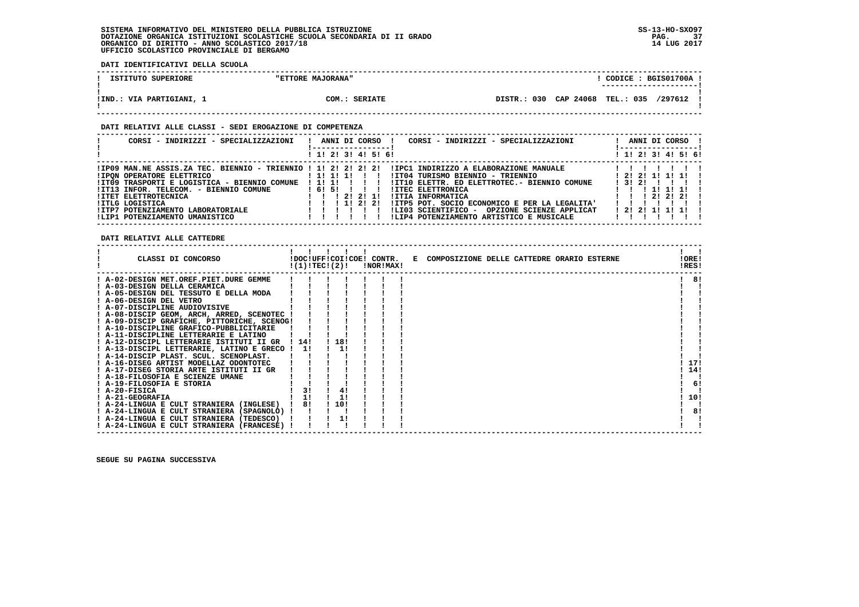**DATI IDENTIFICATIVI DELLA SCUOLA**

| ISTITUTO SUPERIORE       | "ETTORE MAJORANA" | CODICE: BGIS01700A !                    |  |
|--------------------------|-------------------|-----------------------------------------|--|
|                          |                   | ----------------------                  |  |
|                          |                   |                                         |  |
| !IND.: VIA PARTIGIANI, 1 | COM.: SERIATE     | DISTR.: 030 CAP 24068 TEL.: 035 /297612 |  |
|                          |                   |                                         |  |

 **------------------------------------------------------------------------------------------------------------------------------------**

### **DATI RELATIVI ALLE CLASSI - SEDI EROGAZIONE DI COMPETENZA**

| CORSI - INDIRIZZI - SPECIALIZZAZIONI                                                                                                                                                                                                                                                                                  | CORSI - INDIRIZZI - SPECIALIZZAZIONI<br>ANNI DI CORSO !                                                                                                                                                                                                                                                                                                                                                  | ANNI DI CORSO !                                                     |
|-----------------------------------------------------------------------------------------------------------------------------------------------------------------------------------------------------------------------------------------------------------------------------------------------------------------------|----------------------------------------------------------------------------------------------------------------------------------------------------------------------------------------------------------------------------------------------------------------------------------------------------------------------------------------------------------------------------------------------------------|---------------------------------------------------------------------|
|                                                                                                                                                                                                                                                                                                                       | ! 1! 2! 3! 4! 5! 6!                                                                                                                                                                                                                                                                                                                                                                                      | ! 1! 2! 3! 4! 5! 6!                                                 |
| !IP09 MAN.NE ASSIS.ZA TEC. BIENNIO - TRIENNIO ! 1! 2! 2! 2! 2!<br><b>!IPON OPERATORE ELETTRICO</b><br>!IT09 TRASPORTI E LOGISTICA - BIENNIO COMUNE<br>!IT13 INFOR. TELECOM. - BIENNIO COMUNE<br>!ITET ELETTROTECNICA<br><b>!ITLG LOGISTICA</b><br>!ITP7 POTENZIAMENTO LABORATORIALE<br>!LIP1 POTENZIAMENTO UMANISTICO | IIPC1 INDIRIZZO A ELABORAZIONE MANUALE<br>1 1 1 1 1 1 1<br>!IT04 TURISMO BIENNIO - TRIENNIO<br>11111<br>!IT10 ELETTR. ED ELETTROTEC.- BIENNIO COMUNE<br>1615111<br><b>!ITEC ELETTRONICA</b><br>1 1 1 2 1 2 1 1 1<br>!ITIA INFORMATICA<br>1 1 1 1 2 1 2 1<br>!ITP5 POT. SOCIO ECONOMICO E PER LA LEGALITA'<br>!LI03 SCIENTIFICO -<br>OPZIONE SCIENZE APPLICAT<br>!LIP4 POTENZIAMENTO ARTISTICO E MUSICALE | ! 2! 2! 1! 1! 1! !<br>13121<br>1 1 1 1 1 1 1 1<br>1 1 1 2 1 2 1 2 1 |

 **DATI RELATIVI ALLE CATTEDRE**

| CLASSI DI CONCORSO                             |       | !(1)!TEC!(2)! |       | !NOR!MAX! | !DOC!UFF!COI!COE! CONTR. E COMPOSIZIONE DELLE CATTEDRE ORARIO ESTERNE | !ORE!<br>!RES! |    |
|------------------------------------------------|-------|---------------|-------|-----------|-----------------------------------------------------------------------|----------------|----|
| ! A-02-DESIGN MET.OREF.PIET.DURE GEMME         |       |               |       |           |                                                                       |                | 81 |
| A-03-DESIGN DELLA CERAMICA                     |       |               |       |           |                                                                       |                |    |
| ! A-05-DESIGN DEL TESSUTO E DELLA MODA         |       |               |       |           |                                                                       |                |    |
| ! A-06-DESIGN DEL VETRO                        |       |               |       |           |                                                                       |                |    |
| ! A-07-DISCIPLINE AUDIOVISIVE                  |       |               |       |           |                                                                       |                |    |
| ! A-08-DISCIP GEOM, ARCH, ARRED, SCENOTEC !    |       |               |       |           |                                                                       |                |    |
| ! A-09-DISCIP GRAFICHE, PITTORICHE, SCENOG!    |       |               |       |           |                                                                       |                |    |
| ! A-10-DISCIPLINE GRAFICO-PUBBLICITARIE        |       |               |       |           |                                                                       |                |    |
| ! A-11-DISCIPLINE LETTERARIE E LATINO          |       |               |       |           |                                                                       |                |    |
| ! A-12-DISCIPL LETTERARIE ISTITUTI II GR       | ! 14! |               | ! 18! |           |                                                                       |                |    |
| ! A-13-DISCIPL LETTERARIE, LATINO E GRECO ! 1! |       |               | -1.1  |           |                                                                       |                |    |
| ! A-14-DISCIP PLAST. SCUL. SCENOPLAST.         |       |               |       |           |                                                                       |                |    |
| ! A-16-DISEG ARTIST MODELLAZ ODONTOTEC         |       |               |       |           |                                                                       | 17!            |    |
| ! A-17-DISEG STORIA ARTE ISTITUTI II GR        |       |               |       |           |                                                                       | 14!            |    |
| ! A-18-FILOSOFIA E SCIENZE UMANE               |       |               |       |           |                                                                       |                |    |
| ! A-19-FILOSOFIA E STORIA                      |       |               |       |           |                                                                       |                | 6! |
| ! A-20-FISICA                                  |       |               | 4!    |           |                                                                       |                |    |
| ! A-21-GEOGRAFIA                               |       |               |       |           |                                                                       | 10!            |    |
| ! A-24-LINGUA E CULT STRANIERA (INGLESE) !     |       | 81            | ! 10! |           |                                                                       |                |    |
| ! A-24-LINGUA E CULT STRANIERA (SPAGNOLO) !    |       |               |       |           |                                                                       |                | 8! |
| ! A-24-LINGUA E CULT STRANIERA (TEDESCO)       |       |               |       |           |                                                                       |                |    |
| ! A-24-LINGUA E CULT STRANIERA (FRANCESE) !    |       |               |       |           |                                                                       |                |    |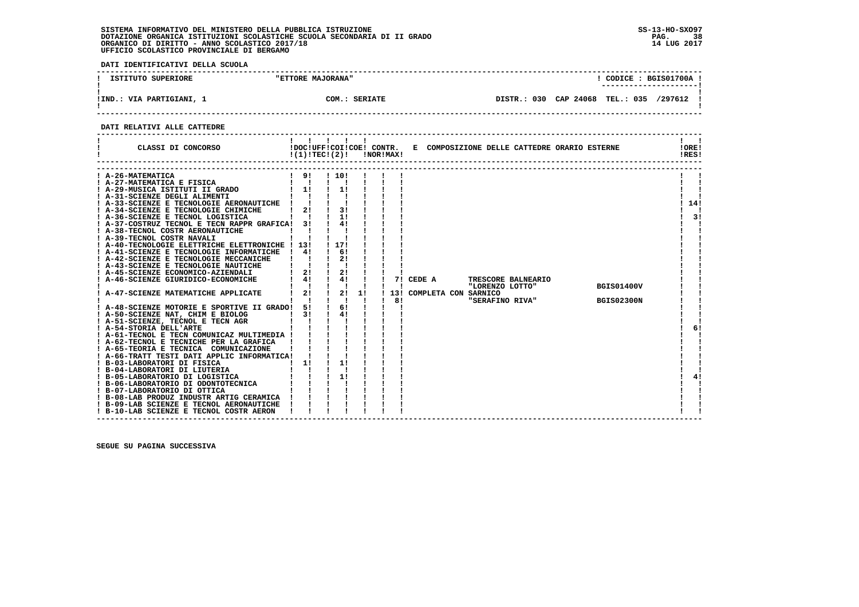**DATI IDENTIFICATIVI DELLA SCUOLA**

| ISTITUTO SUPERIORE       | "ETTORE MAJORANA" | CODICE: BGIS01700A<br>--------------------- |
|--------------------------|-------------------|---------------------------------------------|
| !IND.: VIA PARTIGIANI, 1 | COM.: SERIATE     | DISTR.: 030 CAP 24068 TEL.: 035<br>/297612  |

 **------------------------------------------------------------------------------------------------------------------------------------**

### **DATI RELATIVI ALLE CATTEDRE**

| CLASSI DI CONCORSO                                                                                                                                                                                                                                                                                                                                                                                                                                                                                                                                                                                                                                                                                                                                                                                                                                                                                                                                                                                                                                                                                                                                                                                                                                                                                                                                                                                                                                                                                                                                                            | $!(1)!TEC!(2)!$ $INORIMAX!$                                                                                               | $\blacksquare$                                                                                                                                                         |    |           |                                         |                 | !DOC!UFF!COI!COE! CONTR. E COMPOSIZIONE DELLE CATTEDRE ORARIO ESTERNE |                                        | !ORE!<br>!RES!        |
|-------------------------------------------------------------------------------------------------------------------------------------------------------------------------------------------------------------------------------------------------------------------------------------------------------------------------------------------------------------------------------------------------------------------------------------------------------------------------------------------------------------------------------------------------------------------------------------------------------------------------------------------------------------------------------------------------------------------------------------------------------------------------------------------------------------------------------------------------------------------------------------------------------------------------------------------------------------------------------------------------------------------------------------------------------------------------------------------------------------------------------------------------------------------------------------------------------------------------------------------------------------------------------------------------------------------------------------------------------------------------------------------------------------------------------------------------------------------------------------------------------------------------------------------------------------------------------|---------------------------------------------------------------------------------------------------------------------------|------------------------------------------------------------------------------------------------------------------------------------------------------------------------|----|-----------|-----------------------------------------|-----------------|-----------------------------------------------------------------------|----------------------------------------|-----------------------|
| ! A-26-MATEMATICA<br>! A-27-MATEMATICA E FISICA<br>: A-2/-EALERBLILLER = -------<br>! A-29-MUSICA ISTITUTI II GRADO<br>' * 21-CATENTE DEGIT ALIMENTI<br>! A-33-SCIENZE E TECNOLOGIE AERONAUTICHE ! ! !<br>! A-34-SCIENZE E TECNOLOGIE CHIMICHE<br>$\blacksquare$ $\blacksquare$ $\blacksquare$ $\blacksquare$ $\blacksquare$<br>! A-36-SCIENZE E TECNOL LOGISTICA<br>! A-37-COSTRUZ TECNOL E TECN RAPPR GRAFICA! 3!<br>! A-38-TECNOL COSTR AERONAUTICHE<br>! A-39-TECNOL COSTR NAVALI<br>! A-40-TECNOLOGIE ELETTRICHE ELETTRONICHE ! 13!<br>! A-41-SCIENZE E TECNOLOGIE INFORMATICHE<br>! A-42-SCIENZE E TECNOLOGIE MECCANICHE<br>! A-43-SCIENZE E TECNOLOGIE NAUTICHE<br>! A-45-SCIENZE ECONOMICO-AZIENDALI<br>! A-46-SCIENZE GIURIDICO-ECONOMICHE<br>! A-47-SCIENZE MATEMATICHE APPLICATE<br>! A-48-SCIENZE MOTORIE E SPORTIVE II GRADO! 5!<br>! A-50-SCIENZE NAT, CHIM E BIOLOG<br>! A-51-SCIENZE, TECNOL E TECN AGR<br>! A-54-STORIA DELL'ARTE<br>! A-61-TECNOL E TECN COMUNICAZ MULTIMEDIA !<br>! A-62-TECNOL E TECNICHE PER LA GRAFICA<br>! A-65-TEORIA E TECNICA COMUNICAZIONE<br>! A-66-TRATT TESTI DATI APPLIC INFORMATICA! ! !<br>! B-03-LABORATORI DI FISICA<br>B-04-LABORATORI DI LIUTERIA<br>POSTIBORATORIO DI LOGISTICA (CONSTRUERE IN ESSENTICA (CONSTRUERE IN ESSENTICA (CONSTRUERE IN ESSENTICA (CONSTRUERE IN ESSENTICA (CONSTRUERE IN ESSENTICA (CONSTRUERE IN ESSENTICA (CONSTRUERE IN EUROPE IN EUROPE IN EUROPE IN<br>! B-08-LAB PRODUZ INDUSTR ARTIG CERAMICA !<br>! B-09-LAB SCIENZE E TECNOL AERONAUTICHE<br>! B-10-LAB SCIENZE E TECNOL COSTR AERON | 191<br>$\mathbf{1}$ $\mathbf{1}$<br>$1 \quad 11$<br>$2!$ $1$<br>41<br>$\frac{1}{2}$<br>$1 \quad 41$<br>$1 \quad 21$<br>3! | ! 10!<br>$\blacksquare$<br>11<br>3!<br>11<br>41<br>! 17!<br>61<br>2!<br>2!<br>4!<br>$\mathbf{I}$<br>$\frac{1}{2}$<br>$\mathbf{I}$ $\mathbf{I}$<br>6!<br>4!<br>11<br>1! | 1! | - 1<br>81 | 7! CEDE A<br>! 13! COMPLETA CON SARNICO | "LORENZO LOTTO" | TRESCORE BALNEARIO<br>"SERAFINO RIVA"                                 | <b>BGIS01400V</b><br><b>BGIS02300N</b> | 14!<br>31<br>6!<br>41 |

 **------------------------------------------------------------------------------------------------------------------------------------**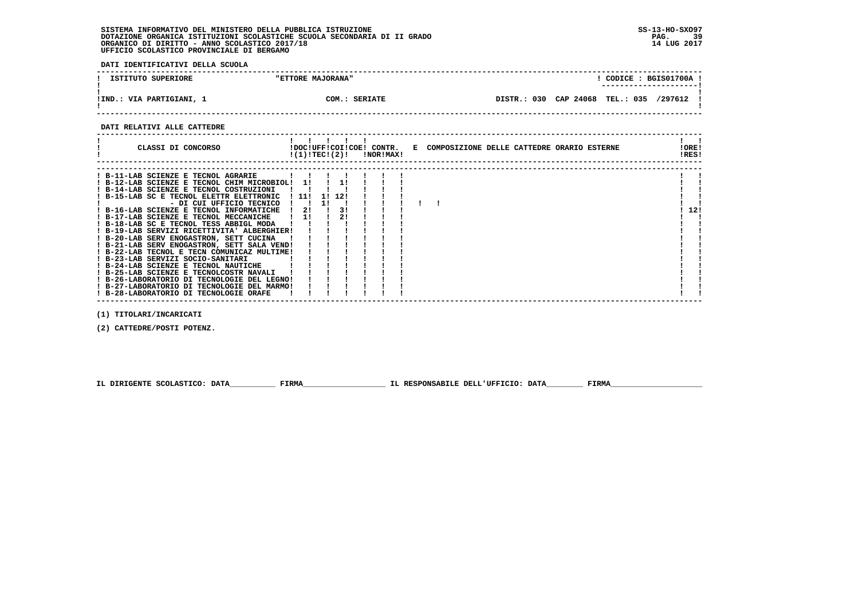**DATI IDENTIFICATIVI DELLA SCUOLA**

| ISTITUTO SUPERIORE       | "ETTORE MAJORANA" | CODICE: BGIS01700A<br>----------------------         |
|--------------------------|-------------------|------------------------------------------------------|
| !IND.: VIA PARTIGIANI, 1 | COM.: SERIATE     | DISTR.: 030 CAP 24068<br><b>TEL.: 035</b><br>/297612 |

 **------------------------------------------------------------------------------------------------------------------------------------**

#### **DATI RELATIVI ALLE CATTEDRE**

| CLASSI DI CONCORSO                                                                                                                                                                                                                                                                                                                                                                                                                                                                                                                                                                                                                                                                                                                                   |       | !(1)!TEC!(2)!         |                 | !NOR!MAX! |  | !DOC!UFF!COI!COE! CONTR. E COMPOSIZIONE DELLE CATTEDRE ORARIO ESTERNE |  |  | !ORE!<br>!RES! |  |
|------------------------------------------------------------------------------------------------------------------------------------------------------------------------------------------------------------------------------------------------------------------------------------------------------------------------------------------------------------------------------------------------------------------------------------------------------------------------------------------------------------------------------------------------------------------------------------------------------------------------------------------------------------------------------------------------------------------------------------------------------|-------|-----------------------|-----------------|-----------|--|-----------------------------------------------------------------------|--|--|----------------|--|
| ! B-11-LAB SCIENZE E TECNOL AGRARIE<br>! B-12-LAB SCIENZE E TECNOL CHIM MICROBIOL!<br>! B-14-LAB SCIENZE E TECNOL COSTRUZIONI<br>! B-15-LAB SC E TECNOL ELETTR ELETTRONIC<br>- DI CUI UFFICIO TECNICO<br>! B-16-LAB SCIENZE E TECNOL INFORMATICHE<br>! B-17-LAB SCIENZE E TECNOL MECCANICHE<br>! B-18-LAB SC E TECNOL TESS ABBIGL MODA<br>! B-19-LAB SERVIZI RICETTIVITA' ALBERGHIER!<br>! B-20-LAB SERV ENOGASTRON, SETT CUCINA<br>! B-21-LAB SERV ENOGASTRON, SETT SALA VEND!<br>! B-22-LAB TECNOL E TECN COMUNICAZ MULTIME!<br>! B-23-LAB SERVIZI SOCIO-SANITARI<br>! B-24-LAB SCIENZE E TECNOL NAUTICHE<br>! B-25-LAB SCIENZE E TECNOLCOSTR NAVALI<br>! B-26-LABORATORIO DI TECNOLOGIE DEL LEGNO!<br>! B-27-LABORATORIO DI TECNOLOGIE DEL MARMO! | ! 11! | 11<br>11<br>-21<br>11 | 12!<br>31<br>21 |           |  |                                                                       |  |  | 12!            |  |
| ! B-28-LABORATORIO DI TECNOLOGIE ORAFE                                                                                                                                                                                                                                                                                                                                                                                                                                                                                                                                                                                                                                                                                                               |       |                       |                 |           |  |                                                                       |  |  |                |  |

 **------------------------------------------------------------------------------------------------------------------------------------**

 **(1) TITOLARI/INCARICATI**

 **(2) CATTEDRE/POSTI POTENZ.**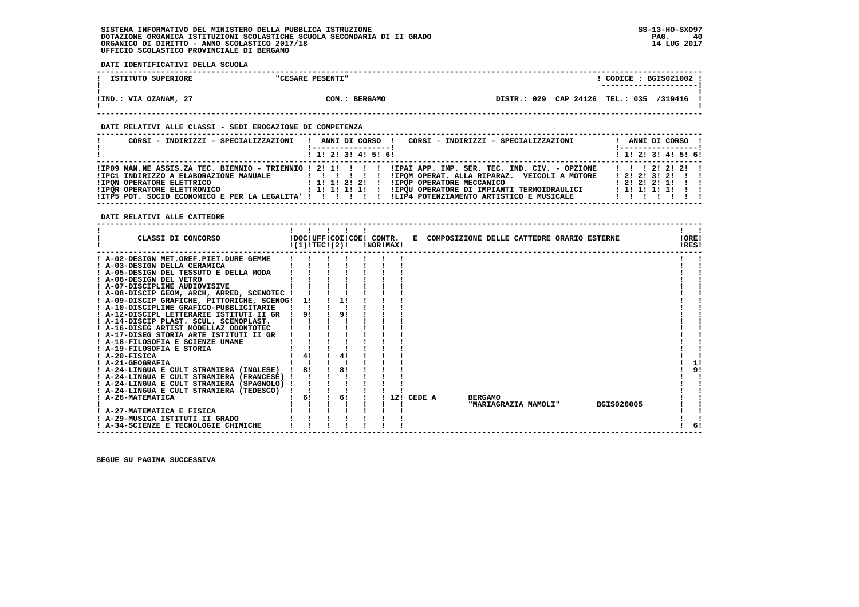**DATI IDENTIFICATIVI DELLA SCUOLA**

| ISTITUTO SUPERIORE    | "CESARE PESENTI" | CODICE: BGIS021002 !<br>________________________ |  |
|-----------------------|------------------|--------------------------------------------------|--|
| !IND.: VIA OZANAM, 27 | COM.: BERGAMO    | DISTR.: 029 CAP 24126 TEL.: 035 /319416          |  |

 **------------------------------------------------------------------------------------------------------------------------------------**

### **DATI RELATIVI ALLE CLASSI - SEDI EROGAZIONE DI COMPETENZA**

| CORSI - INDIRIZZI - SPECIALIZZAZIONI                                                                             | CORSI - INDIRIZZI - SPECIALIZZAZIONI<br>ANNI DI CORSO !<br>'-----------------                                                                                                                                                                                                   | ANNI DI CORSO !<br>! -----------------                                |  |
|------------------------------------------------------------------------------------------------------------------|---------------------------------------------------------------------------------------------------------------------------------------------------------------------------------------------------------------------------------------------------------------------------------|-----------------------------------------------------------------------|--|
|                                                                                                                  | $1$ , 1! 2! 3! 4! 5! 6!                                                                                                                                                                                                                                                         | ! 1! 2! 3! 4! 5! 6!                                                   |  |
| !IPC1 INDIRIZZO A ELABORAZIONE MANUALE<br><b>!IPON OPERATORE ELETTRICO</b><br><b>!IPOR OPERATORE ELETTRONICO</b> | IPO9 MAN.NE ASSIS.ZA TEC. BIENNIO - TRIENNIO ! 2! 1! ! ! ! ! IPAI APP. IMP. SER. TEC. IND. CIV. - OPZIONE!<br>!IPOM OPERAT. ALLA RIPARAZ. VEICOLI A MOTORE<br>, , , , , , , , , ,<br>! 1! 1! 2! 2! !<br>!IPOP OPERATORE MECCANICO<br>!IPQU OPERATORE DI IMPIANTI TERMOIDRAULICI | 1 1 1 2 1 2 1 2 1<br>12121312111<br>1212121111<br>1 1! 1! 1! 1! 1! 1! |  |
| ! ITP5 POT. SOCIO ECONOMICO E PER LA LEGALITA' ! ! ! ! ! ! !                                                     | !LIP4 POTENZIAMENTO ARTISTICO E MUSICALE                                                                                                                                                                                                                                        | .                                                                     |  |

 **------------------------------------------------------------------------------------------------------------------------------------**

 **DATI RELATIVI ALLE CATTEDRE**

| CLASSI DI CONCORSO                          | !(1)!TEC!(2)! |  |    | !NOR!MAX! |            |                | !DOC!UFF!COI!COE! CONTR. E COMPOSIZIONE DELLE CATTEDRE ORARIO ESTERNE |            | !ORE!<br>!RES! |  |
|---------------------------------------------|---------------|--|----|-----------|------------|----------------|-----------------------------------------------------------------------|------------|----------------|--|
| ! A-02-DESIGN MET.OREF.PIET.DURE GEMME      |               |  |    |           |            |                |                                                                       |            |                |  |
| ! A-03-DESIGN DELLA CERAMICA                |               |  |    |           |            |                |                                                                       |            |                |  |
| ! A-05-DESIGN DEL TESSUTO E DELLA MODA      |               |  |    |           |            |                |                                                                       |            |                |  |
| ! A-06-DESIGN DEL VETRO                     |               |  |    |           |            |                |                                                                       |            |                |  |
| ! A-07-DISCIPLINE AUDIOVISIVE               |               |  |    |           |            |                |                                                                       |            |                |  |
| ! A-08-DISCIP GEOM, ARCH, ARRED, SCENOTEC ! |               |  |    |           |            |                |                                                                       |            |                |  |
| ! A-09-DISCIP GRAFICHE, PITTORICHE, SCENOG! | 11            |  | 1! |           |            |                |                                                                       |            |                |  |
| ! A-10-DISCIPLINE GRAFICO-PUBBLICITARIE     |               |  |    |           |            |                |                                                                       |            |                |  |
| ! A-12-DISCIPL LETTERARIE ISTITUTI II GR    | 91            |  | 91 |           |            |                |                                                                       |            |                |  |
| ! A-14-DISCIP PLAST. SCUL. SCENOPLAST.      |               |  |    |           |            |                |                                                                       |            |                |  |
| ! A-16-DISEG ARTIST MODELLAZ ODONTOTEC      |               |  |    |           |            |                |                                                                       |            |                |  |
| ! A-17-DISEG STORIA ARTE ISTITUTI II GR     |               |  |    |           |            |                |                                                                       |            |                |  |
| ! A-18-FILOSOFIA E SCIENZE UMANE            |               |  |    |           |            |                |                                                                       |            |                |  |
| ! A-19-FILOSOFIA E STORIA                   |               |  |    |           |            |                |                                                                       |            |                |  |
| $I$ A-20-FISICA                             | 4!            |  | 4! |           |            |                |                                                                       |            |                |  |
| ! A-21-GEOGRAFIA                            |               |  |    |           |            |                |                                                                       |            | 11             |  |
| ! A-24-LINGUA E CULT STRANIERA (INGLESE)    | 81            |  | 81 |           |            |                |                                                                       |            | 91             |  |
| ! A-24-LINGUA E CULT STRANIERA (FRANCESE)   |               |  |    |           |            |                |                                                                       |            |                |  |
| ! A-24-LINGUA E CULT STRANIERA (SPAGNOLO) ! |               |  |    |           |            |                |                                                                       |            |                |  |
| ! A-24-LINGUA E CULT STRANIERA (TEDESCO)    |               |  |    |           |            |                |                                                                       |            |                |  |
| ! A-26-MATEMATICA                           | 6!            |  | 6! |           | 12! CEDE A | <b>BERGAMO</b> |                                                                       |            |                |  |
|                                             |               |  |    |           |            |                | "MARIAGRAZIA MAMOLI"                                                  | BGIS026005 |                |  |
| ! A-27-MATEMATICA E FISICA                  |               |  |    |           |            |                |                                                                       |            |                |  |
| ! A-29-MUSICA ISTITUTI II GRADO             |               |  |    |           |            |                |                                                                       |            |                |  |
| ! A-34-SCIENZE E TECNOLOGIE CHIMICHE        |               |  |    |           |            |                |                                                                       |            | 6!             |  |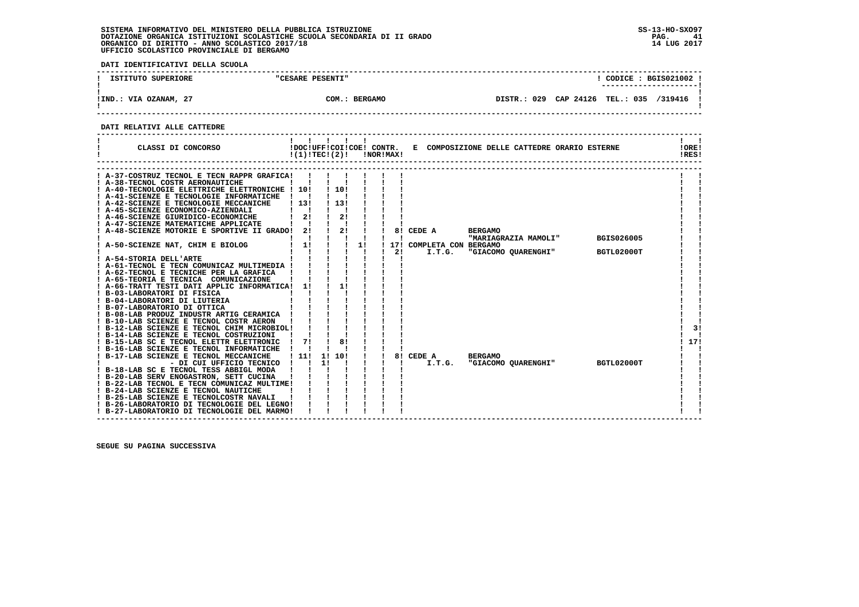**DATI IDENTIFICATIVI DELLA SCUOLA**

| ISTITUTO SUPERIORE    | "CESARE PESENTI"        | CODICE: BGIS021002 !<br>----------------------      |
|-----------------------|-------------------------|-----------------------------------------------------|
| !IND.: VIA OZANAM, 27 | <b>BERGAMO</b><br>COM.: | 029<br>CAP 24126<br>TEL.: 035<br>/319416<br>DISTR.: |

 **------------------------------------------------------------------------------------------------------------------------------------**

### **DATI RELATIVI ALLE CATTEDRE**

| CLASSI DI CONCORSO                                                                                                                                                            |              | !DOC!UFF!COI!COE! CONTR.<br>!(1)!TEC!(2)! | $\mathbf{I}$ |                    | !NOR!MAX! |                 |                                          | E COMPOSIZIONE DELLE CATTEDRE ORARIO ESTERNE                  |                                 | !ORE!<br>!RES! |
|-------------------------------------------------------------------------------------------------------------------------------------------------------------------------------|--------------|-------------------------------------------|--------------|--------------------|-----------|-----------------|------------------------------------------|---------------------------------------------------------------|---------------------------------|----------------|
| A-37-COSTRUZ TECNOL E TECN RAPPR GRAFICA!<br>A-38-TECNOL COSTR AERONAUTICHE<br>A-40-TECNOLOGIE ELETTRICHE ELETTRONICHE ! 10!<br>! A-41-SCIENZE E TECNOLOGIE INFORMATICHE      |              | 110!                                      |              |                    |           |                 |                                          |                                                               |                                 |                |
| ! A-42-SCIENZE E TECNOLOGIE MECCANICHE<br>! A-45-SCIENZE ECONOMICO-AZIENDALI<br>A-46-SCIENZE GIURIDICO-ECONOMICHE<br>A-47-SCIENZE MATEMATICHE APPLICATE                       | 1131<br>21   | ! 13!                                     | 21           |                    |           |                 |                                          |                                                               |                                 |                |
| A-48-SCIENZE MOTORIE E SPORTIVE II GRADO! 2!<br>A-50-SCIENZE NAT, CHIM E BIOLOG                                                                                               | 1!           | $\frac{1}{2}$                             |              | 1!<br>$\mathbf{I}$ |           | 8!<br>171<br>2! | CEDE A<br>COMPLETA CON BERGAMO<br>I.T.G. | <b>BERGAMO</b><br>"MARIAGRAZIA MAMOLI"<br>"GIACOMO QUARENGHI" | <b>BGIS026005</b><br>BGTL02000T |                |
| ! A-54-STORIA DELL'ARTE<br>A-61-TECNOL E TECN COMUNICAZ MULTIMEDIA !<br>! A-62-TECNOL E TECNICHE PER LA GRAFICA<br>! A-65-TEORIA E TECNICA COMUNICAZIONE                      |              |                                           |              |                    |           |                 |                                          |                                                               |                                 |                |
| A-66-TRATT TESTI DATI APPLIC INFORMATICA!<br>! B-03-LABORATORI DI FISICA<br>! B-04-LABORATORI DI LIUTERIA                                                                     | 11           |                                           |              |                    |           |                 |                                          |                                                               |                                 |                |
| ! B-07-LABORATORIO DI OTTICA<br>! B-08-LAB PRODUZ INDUSTR ARTIG CERAMICA !<br>! B-10-LAB SCIENZE E TECNOL COSTR AERON<br>B-12-LAB SCIENZE E TECNOL CHIM MICROBIOL!            |              |                                           |              |                    |           |                 |                                          |                                                               |                                 | 3!             |
| ! B-14-LAB SCIENZE E TECNOL COSTRUZIONI<br>! B-15-LAB SC E TECNOL ELETTR ELETTRONIC<br>! B-16-LAB SCIENZE E TECNOL INFORMATICHE                                               | $1 \quad 71$ |                                           | 81           |                    |           |                 |                                          |                                                               |                                 | 17!            |
| B-17-LAB SCIENZE E TECNOL MECCANICHE<br>- DI CUI UFFICIO TECNICO<br>! B-18-LAB SC E TECNOL TESS ABBIGL MODA<br>! B-20-LAB SERV ENOGASTRON, SETT CUCINA                        | 1111         | 1! 10!<br>11                              |              |                    |           |                 | 8! CEDE A<br>I.T.G.                      | <b>BERGAMO</b><br>"GIACOMO QUARENGHI"                         | BGTL02000T                      |                |
| ! B-22-LAB TECNOL E TECN COMUNICAZ MULTIME!<br>! B-24-LAB SCIENZE E TECNOL NAUTICHE<br>! B-25-LAB SCIENZE E TECNOLCOSTR NAVALI<br>! B-26-LABORATORIO DI TECNOLOGIE DEL LEGNO! |              |                                           |              |                    |           |                 |                                          |                                                               |                                 |                |
| ! B-27-LABORATORIO DI TECNOLOGIE DEL MARMO!                                                                                                                                   |              |                                           |              |                    |           |                 |                                          |                                                               |                                 |                |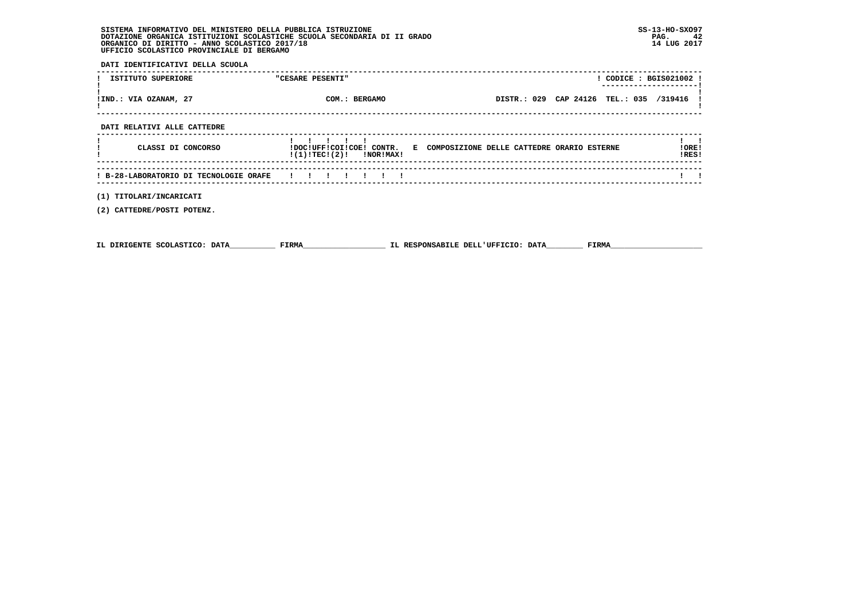**DATI IDENTIFICATIVI DELLA SCUOLA**

| ISTITUTO SUPERIORE                     | "CESARE PESENTI"            | ! CODICE : BGIS021002 !                                               | ---------------- |
|----------------------------------------|-----------------------------|-----------------------------------------------------------------------|------------------|
| !IND.: VIA OZANAM, 27                  | COM.: BERGAMO               | DISTR.: 029 CAP 24126 TEL.: 035 /319416                               |                  |
| DATI RELATIVI ALLE CATTEDRE            |                             |                                                                       |                  |
| CLASSI DI CONCORSO                     | $!(1)!TEC!(2)!$ $!NORIMAX!$ | !DOC!UFF!COI!COE! CONTR. E COMPOSIZIONE DELLE CATTEDRE ORARIO ESTERNE | !ORE!<br>!RES!   |
| ! B-28-LABORATORIO DI TECNOLOGIE ORAFE | .                           |                                                                       |                  |
| (1) TITOLARI/INCARICATI                |                             |                                                                       |                  |

 **(2) CATTEDRE/POSTI POTENZ.**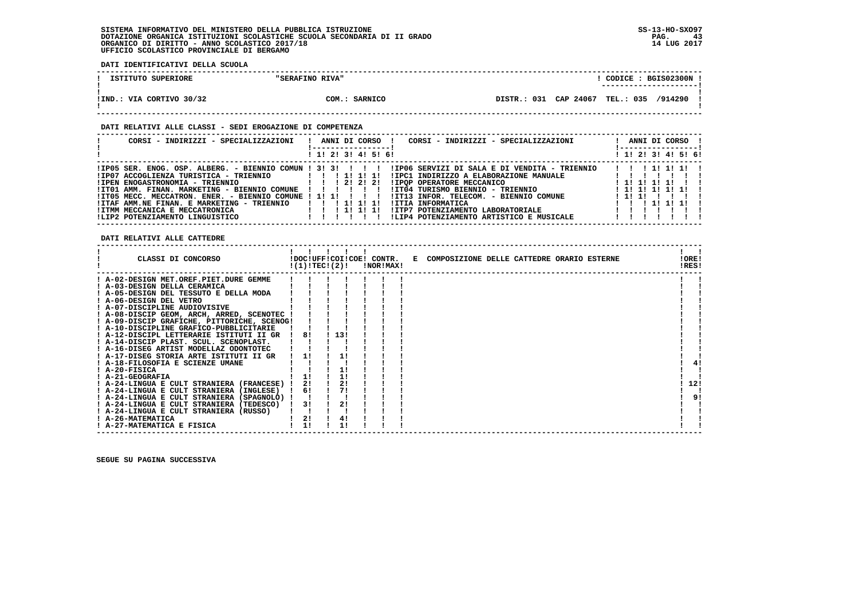**DATI IDENTIFICATIVI DELLA SCUOLA**

| ISTITUTO SUPERIORE       | "SERAFINO RIVA" | CODICE: BGIS02300N !                    |
|--------------------------|-----------------|-----------------------------------------|
| !IND.: VIA CORTIVO 30/32 | COM.: SARNICO   | DISTR.: 031 CAP 24067 TEL.: 035 /914290 |

### **DATI RELATIVI ALLE CLASSI - SEDI EROGAZIONE DI COMPETENZA**

| CORSI - INDIRIZZI - SPECIALIZZAZIONI                                                                                                                                                                                                                                                                                                                                   | ANNI DI CORSO !<br>CORSI - INDIRIZZI - SPECIALIZZAZIONI                                                                                                                                                                                                                                                   | ANNI DI CORSO !                                                                        |
|------------------------------------------------------------------------------------------------------------------------------------------------------------------------------------------------------------------------------------------------------------------------------------------------------------------------------------------------------------------------|-----------------------------------------------------------------------------------------------------------------------------------------------------------------------------------------------------------------------------------------------------------------------------------------------------------|----------------------------------------------------------------------------------------|
|                                                                                                                                                                                                                                                                                                                                                                        | ! 1! 2! 3! 4! 5! 6!                                                                                                                                                                                                                                                                                       | ! 1! 2! 3! 4! 5! 6!                                                                    |
| $IIP05$ SER. ENOG. OSP. ALBERG. - BIENNIO COMUN ! 3! 3! ! ! ! !<br>!IP07 ACCOGLIENZA TURISTICA - TRIENNIO           !!!!!!!!!<br>!IPEN ENOGASTRONOMIA - TRIENNIO<br>!ITO1 AMM. FINAN. MARKETING - BIENNIO COMUNE !!!!<br>!IT05 MECC. MECCATRON. ENER. - BIENNIO COMUNE ! 1! 1! ! ! ! !<br>!ITAF AMM.NE FINAN. E MARKETING - TRIENNIO<br>IITMM MECCANICA E MECCATRONICA | !IP06 SERVIZI DI SALA E DI VENDITA - TRIENNIO<br>IIPC1 INDIRIZZO A ELABORAZIONE MANUALE<br>1 1 2 2 2 2 2 1<br>IIPOP OPERATORE MECCANICO<br>!IT04 TURISMO BIENNIO - TRIENNIO<br>!IT13 INFOR. TELECOM. - BIENNIO COMUNE<br><b>!ITIA INFORMATICA</b><br>1 1 1 1 1 1 1 1<br>!ITP7 POTENZIAMENTO LABORATORIALE | 1 1 1 1 1 1 1 1 1<br>1 11 11 11 11<br>! 1! 1! 1! 1! 1!<br>111111111<br>1 1 1 1 1 1 1 1 |
| !LIP2 POTENZIAMENTO LINGUISTICO                                                                                                                                                                                                                                                                                                                                        | !LIP4 POTENZIAMENTO ARTISTICO E MUSICALE<br>$\mathbf{I}$                                                                                                                                                                                                                                                  |                                                                                        |

 **DATI RELATIVI ALLE CATTEDRE**

| CLASSI DI CONCORSO<br>!DOC!UFF!COI!COE! CONTR. E COMPOSIZIONE DELLE CATTEDRE ORARIO ESTERNE<br>!(1)!TEC!(2)!<br>!NOR!MAX! | !ORE!<br>!RES! |
|---------------------------------------------------------------------------------------------------------------------------|----------------|
| ! A-02-DESIGN MET.OREF.PIET.DURE GEMME                                                                                    |                |
| A-03-DESIGN DELLA CERAMICA                                                                                                |                |
| ! A-05-DESIGN DEL TESSUTO E DELLA MODA                                                                                    |                |
| ! A-06-DESIGN DEL VETRO                                                                                                   |                |
| ! A-07-DISCIPLINE AUDIOVISIVE                                                                                             |                |
| ! A-08-DISCIP GEOM, ARCH, ARRED, SCENOTEC !                                                                               |                |
| ! A-09-DISCIP GRAFICHE, PITTORICHE, SCENOG!                                                                               |                |
| ! A-10-DISCIPLINE GRAFICO-PUBBLICITARIE                                                                                   |                |
| 1131<br>81<br>! A-12-DISCIPL LETTERARIE ISTITUTI II GR                                                                    |                |
| ! A-14-DISCIP PLAST. SCUL. SCENOPLAST.                                                                                    |                |
| ! A-16-DISEG ARTIST MODELLAZ ODONTOTEC                                                                                    |                |
| ! A-17-DISEG STORIA ARTE ISTITUTI II GR<br>11                                                                             |                |
| ! A-18-FILOSOFIA E SCIENZE UMANE                                                                                          |                |
| ! A-20-FISICA                                                                                                             |                |
| ! A-21-GEOGRAFIA                                                                                                          |                |
| 2!<br>21<br>! A-24-LINGUA E CULT STRANIERA (FRANCESE) !                                                                   | 12!            |
| 71<br>! A-24-LINGUA E CULT STRANIERA (INGLESE)<br>61                                                                      |                |
| ! A-24-LINGUA E CULT STRANIERA (SPAGNOLO) !                                                                               | 91             |
| 2!<br>3!<br>! A-24-LINGUA E CULT STRANIERA (TEDESCO)                                                                      |                |
| ! A-24-LINGUA E CULT STRANIERA (RUSSO)                                                                                    |                |
| 2!<br>4!<br>! A-26-MATEMATICA                                                                                             |                |
| 11<br>! A-27-MATEMATICA E FISICA                                                                                          |                |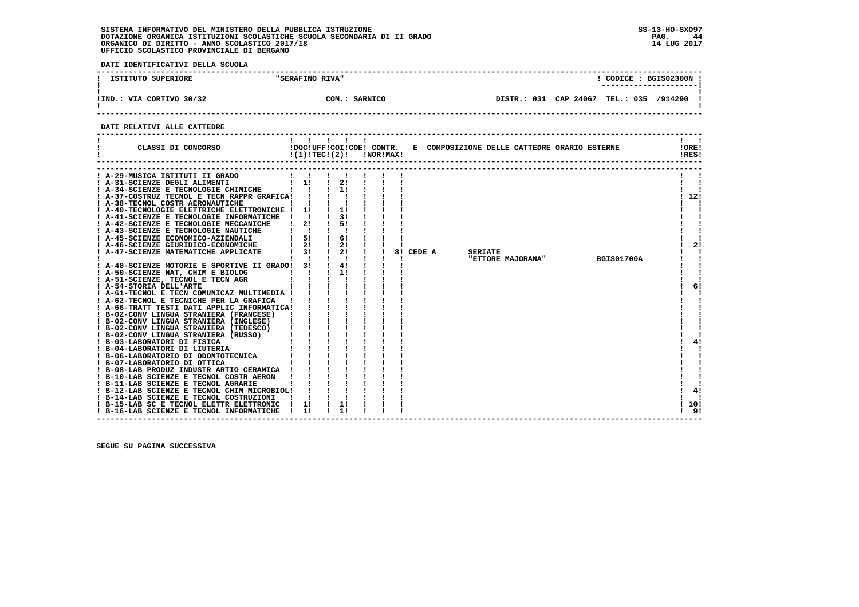**DATI IDENTIFICATIVI DELLA SCUOLA**

| ISTITUTO SUPERIORE                   | "SERAFINO RIVA" |                       | CODICE: BGIS02300N<br>---------------------- |         |  |
|--------------------------------------|-----------------|-----------------------|----------------------------------------------|---------|--|
| $\cdot$ : VIA CORTIVO 30/32<br>!IND. | COM.: SARNICO   | DISTR.: 031 CAP 24067 | <b>TEL.: 035</b>                             | /914290 |  |

 **------------------------------------------------------------------------------------------------------------------------------------**

### **DATI RELATIVI ALLE CATTEDRE**

| CLASSI DI CONCORSO                                                                                                                                                                                                                                                                                                                                                                                                                                                                                                                                                                                                                                                                                                                                                                                                                                                                                                                                                                                                                                                                                                                                                                                                                                                                                                    | 11111<br>!DOC!UFF!COI!COE! CONTR.<br>$!(1)!TEC!(2)!$ $INORIMAX!$ |                                                                                                       |    |        | E COMPOSIZIONE DELLE CATTEDRE ORARIO ESTERNE |                |                   |                   | !ORE!<br>IRES!                     |
|-----------------------------------------------------------------------------------------------------------------------------------------------------------------------------------------------------------------------------------------------------------------------------------------------------------------------------------------------------------------------------------------------------------------------------------------------------------------------------------------------------------------------------------------------------------------------------------------------------------------------------------------------------------------------------------------------------------------------------------------------------------------------------------------------------------------------------------------------------------------------------------------------------------------------------------------------------------------------------------------------------------------------------------------------------------------------------------------------------------------------------------------------------------------------------------------------------------------------------------------------------------------------------------------------------------------------|------------------------------------------------------------------|-------------------------------------------------------------------------------------------------------|----|--------|----------------------------------------------|----------------|-------------------|-------------------|------------------------------------|
| A-29-MUSICA ISTITUTI II GRADO<br>! A-31-SCIENZE DEGLI ALIMENTI<br>! A-34-SCIENZE E TECNOLOGIE CHIMICHE<br>! A-37-COSTRUZ TECNOL E TECN RAPPR GRAFICA! !<br>! A-38-TECNOL COSTR AERONAUTICHE<br>! A-40-TECNOLOGIE ELETTRICHE ELETTRONICHE ! 1!<br>! A-41-SCIENZE E TECNOLOGIE INFORMATICHE ! !<br>! A-42-SCIENZE E TECNOLOGIE MECCANICHE<br>! A-43-SCIENZE E TECNOLOGIE NAUTICHE<br>! A-45-SCIENZE ECONOMICO-AZIENDALI<br>! A-46-SCIENZE GIURIDICO-ECONOMICHE<br>A-47-SCIENZE MATEMATICHE APPLICATE<br>! A-48-SCIENZE MOTORIE E SPORTIVE II GRADO!<br>! A-50-SCIENZE NAT, CHIM E BIOLOG<br>! A-51-SCIENZE, TECNOL E TECN AGR<br>! A-54-STORIA DELL'ARTE<br>! A-61-TECNOL E TECN COMUNICAZ MULTIMEDIA !<br>! A-62-TECNOL E TECNICHE PER LA GRAFICA<br>! A-66-TRATT TESTI DATI APPLIC INFORMATICA!<br>! B-02-CONV LINGUA STRANIERA (FRANCESE)<br>.<br>$b = 02$ -CONV LINGUA STRANIERA (INGLESE)<br>1 B-02-CONV LINGUA STRANIERA (TEDESCO)<br>1 1 1<br>1 B-03-LABORATORI DI FISICA<br>1 9-04-LABORATORI DI LUITERIA<br>1 9-06-LABORATORIO DI ODONTOTECNICA<br>1 1 1<br>B-07-LABORATORIO DI ODONTO<br>! B-10-LAB SCIENZE E TECNOL COSTR AERON<br>! B-11-LAB SCIENZE E TECNOL AGRARIE<br>! B-12-LAB SCIENZE E TECNOL CHIM MICROBIOL!<br>! B-14-LAB SCIENZE E TECNOL COSTRUZIONI<br>! B-15-LAB SC E TECNOL ELETTR ELETTRONIC | 1!<br>21<br>$1 \quad 51$<br>2!<br>3 I<br>3!<br>1!                | $\frac{1}{2}$<br>$\frac{1}{2}$<br>11<br>3 I<br>51<br>6!<br>2!<br>$\mathbf{I}$<br>2!<br>4!<br>1!<br>1! | 81 | CEDE A |                                              | <b>SERIATE</b> | "ETTORE MAJORANA" | <b>BGIS01700A</b> | 12!<br>2!<br>6!<br>41<br>4!<br>10! |
| ! B-16-LAB SCIENZE E TECNOL INFORMATICHE                                                                                                                                                                                                                                                                                                                                                                                                                                                                                                                                                                                                                                                                                                                                                                                                                                                                                                                                                                                                                                                                                                                                                                                                                                                                              | 11                                                               |                                                                                                       |    |        |                                              |                |                   |                   | ! 9!                               |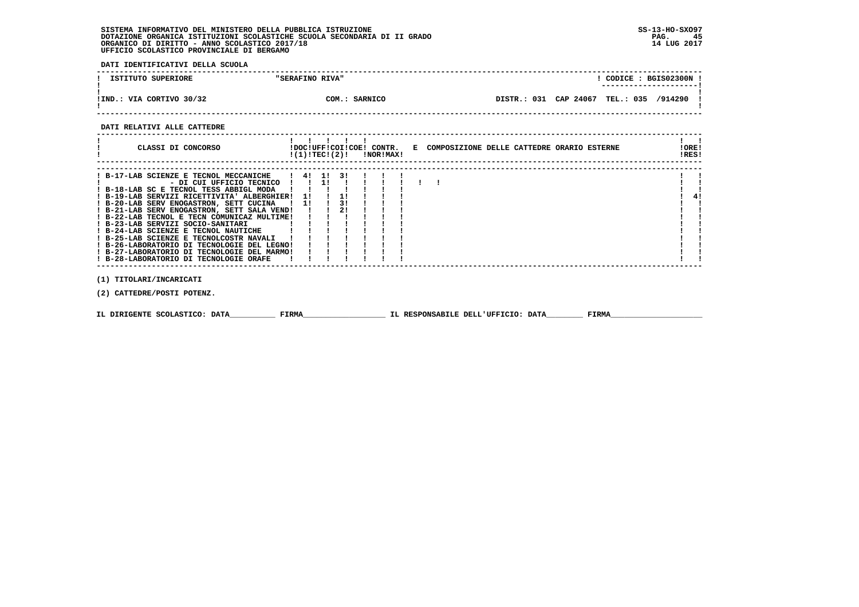**DATI IDENTIFICATIVI DELLA SCUOLA**

| ISTITUTO SUPERIORE       | "SERAFINO RIVA"  |             |           | CODICE: BGIS02300N |         |  |
|--------------------------|------------------|-------------|-----------|--------------------|---------|--|
| !IND.: VIA CORTIVO 30/32 | COM.:<br>SARNICO | DISTR.: 031 | CAP 24067 | <b>TEL.: 035</b>   | /914290 |  |

 **------------------------------------------------------------------------------------------------------------------------------------**

#### **DATI RELATIVI ALLE CATTEDRE**

| CLASSI DI CONCORSO                                                                                                                                                                                                                                                                                                                                                                                                                                                                                                                                                       |                  |                            | !(1)!TEC!(2)!       | <b>INORIMAX!</b> |  | !DOC!UFF!COI!COE! CONTR. E COMPOSIZIONE DELLE CATTEDRE ORARIO ESTERNE | !ORE!<br>!RES! |
|--------------------------------------------------------------------------------------------------------------------------------------------------------------------------------------------------------------------------------------------------------------------------------------------------------------------------------------------------------------------------------------------------------------------------------------------------------------------------------------------------------------------------------------------------------------------------|------------------|----------------------------|---------------------|------------------|--|-----------------------------------------------------------------------|----------------|
| ! B-17-LAB SCIENZE E TECNOL MECCANICHE<br>- DI CUI UFFICIO TECNICO<br>! B-18-LAB SC E TECNOL TESS ABBIGL MODA<br>! B-19-LAB SERVIZI RICETTIVITA' ALBERGHIER! 1!<br>! B-20-LAB SERV ENOGASTRON, SETT CUCINA<br>! B-21-LAB SERV ENOGASTRON, SETT SALA VEND!<br>! B-22-LAB TECNOL E TECN COMUNICAZ MULTIME!<br>! B-23-LAB SERVIZI SOCIO-SANITARI<br>! B-24-LAB SCIENZE E TECNOL NAUTICHE<br>! B-25-LAB SCIENZE E TECNOLCOSTR NAVALI<br>! B-26-LABORATORIO DI TECNOLOGIE DEL LEGNO!<br>! B-27-LABORATORIO DI TECNOLOGIE DEL MARMO!<br>! B-28-LABORATORIO DI TECNOLOGIE ORAFE | 1 41 11 31<br>11 | <b>11</b><br>$\frac{1}{1}$ | $\frac{1}{3}$<br>21 |                  |  |                                                                       | 41             |

 **(1) TITOLARI/INCARICATI**

 **(2) CATTEDRE/POSTI POTENZ.**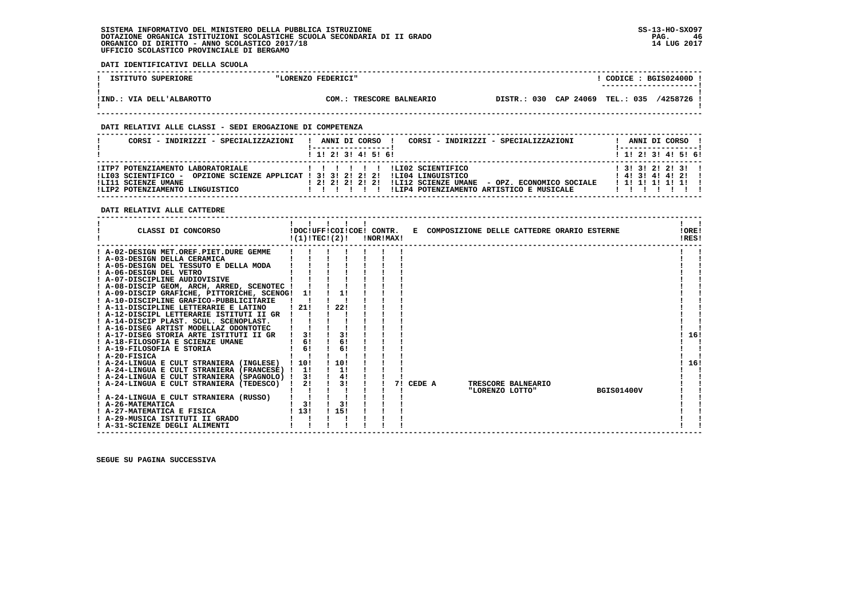**DATI IDENTIFICATIVI DELLA SCUOLA**

| ISTITUTO SUPERIORE        | "LORENZO FEDERICI"       | CODICE: BGIS02400D !<br>--------------------- |
|---------------------------|--------------------------|-----------------------------------------------|
| !IND.: VIA DELL'ALBAROTTO | COM.: TRESCORE BALNEARIO | DISTR.: 030 CAP 24069 TEL.: 035<br>/4258726 ! |

 **------------------------------------------------------------------------------------------------------------------------------------**

### **DATI RELATIVI ALLE CLASSI - SEDI EROGAZIONE DI COMPETENZA**

| CORSI - INDIRIZZI - SPECIALIZZAZIONI                                                                                                                                           | CORSI - INDIRIZZI - SPECIALIZZAZIONI<br>ANNI DI CORSO !<br>1 1! 2! 3! 4! 5! 6!                                                               | ANNI DI CORSO !<br>! -----------------<br>$1$ 1! 2! 3! 4! 5! 6!     |
|--------------------------------------------------------------------------------------------------------------------------------------------------------------------------------|----------------------------------------------------------------------------------------------------------------------------------------------|---------------------------------------------------------------------|
| !ITP7 POTENZIAMENTO LABORATORIALE<br>!LI03 SCIENTIFICO - OPZIONE SCIENZE APPLICAT ! 3! 3! 2! 2! 2! !LI04 LINGUISTICO<br>ILI11 SCIENZE UMANE<br>!LIP2 POTENZIAMENTO LINGUISTICO | ILI02 SCIENTIFICO<br>.<br>! 2! 2! 2! 2! 2! !LI12 SCIENZE UMANE - OPZ. ECONOMICO SOCIALE<br>!LIP4 POTENZIAMENTO ARTISTICO E MUSICALE<br>11111 | $1$ 31 31 21 21 31 1<br>$1$ 4! 3! 4! 4! 2!!<br>$1$ 1! 1! 1! 1! 1! 1 |

 **DATI RELATIVI ALLE CATTEDRE**

| ! A-02-DESIGN MET.OREF.PIET.DURE GEMME                                                     |     |
|--------------------------------------------------------------------------------------------|-----|
| ! A-03-DESIGN DELLA CERAMICA                                                               |     |
| ! A-05-DESIGN DEL TESSUTO E DELLA MODA                                                     |     |
| ! A-06-DESIGN DEL VETRO                                                                    |     |
| ! A-07-DISCIPLINE AUDIOVISIVE                                                              |     |
| ! A-08-DISCIP GEOM, ARCH, ARRED, SCENOTEC !                                                |     |
| ! A-09-DISCIP GRAFICHE, PITTORICHE, SCENOG! 1!                                             |     |
| ! A-10-DISCIPLINE GRAFICO-PUBBLICITARIE                                                    |     |
| 22!<br>! A-11-DISCIPLINE LETTERARIE E LATINO<br>! 21!                                      |     |
| ! A-12-DISCIPL LETTERARIE ISTITUTI II GR                                                   |     |
| ! A-14-DISCIP PLAST, SCUL, SCENOPLAST,                                                     |     |
| ! A-16-DISEG ARTIST MODELLAZ ODONTOTEC                                                     |     |
| 3!<br>! A-17-DISEG STORIA ARTE ISTITUTI II GR<br>3!                                        | 16! |
| 6!<br>6!<br>! A-18-FILOSOFIA E SCIENZE UMANE                                               |     |
| 6!<br>6!<br>! A-19-FILOSOFIA E STORIA                                                      |     |
| ! A-20-FISICA                                                                              |     |
| 10!<br>1101<br>! A-24-LINGUA E CULT STRANIERA (INGLESE)                                    | 16! |
| 1!<br>! A-24-LINGUA E CULT STRANIERA (FRANCESE) ! 1!                                       |     |
| 4!<br>! A-24-LINGUA E CULT STRANIERA (SPAGNOLO) !<br>3!                                    |     |
| 3!<br>! A-24-LINGUA E CULT STRANIERA (TEDESCO)<br>2!<br>CEDE A<br>TRESCORE BALNEARIO<br>71 |     |
| <b>BGIS01400V</b><br>"LORENZO LOTTO"                                                       |     |
| ! A-24-LINGUA E CULT STRANIERA (RUSSO)                                                     |     |
| 3!<br>3!<br>! A-26-MATEMATICA                                                              |     |
| 1131<br>115!<br>! A-27-MATEMATICA E FISICA                                                 |     |
| ! A-29-MUSICA ISTITUTI II GRADO                                                            |     |
| ! A-31-SCIENZE DEGLI ALIMENTI                                                              |     |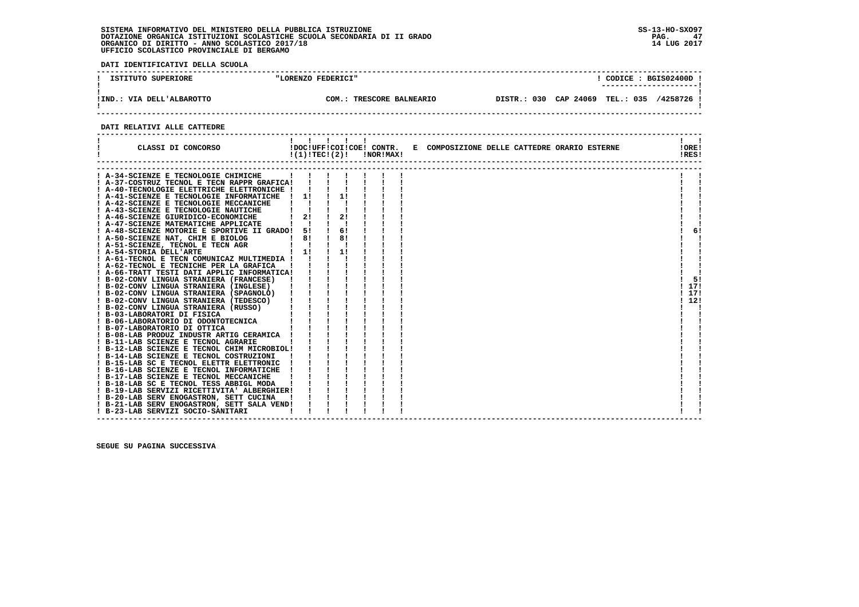**DATI IDENTIFICATIVI DELLA SCUOLA**

| ISTITUTO SUPERIORE        | "LORENZO FEDERICI"       | CODICE: BGIS02400D!                              |  |
|---------------------------|--------------------------|--------------------------------------------------|--|
| !IND.: VIA DELL'ALBAROTTO | COM.: TRESCORE BALNEARIO | CAP 24069 TEL.: 035<br>/4258726 !<br>DISTR.: 030 |  |
|                           |                          |                                                  |  |

### **DATI RELATIVI ALLE CATTEDRE**

| CLASSI DI CONCORSO                                                                     |                                                                                                                                  | 1111<br>$!(1)!TEC!(2)!$ $INORIMAX!$ |  |  |  | !DOC!UFF!COI!COE! CONTR. E COMPOSIZIONE DELLE CATTEDRE ORARIO ESTERNE | !ORE!<br>!RES! |  |
|----------------------------------------------------------------------------------------|----------------------------------------------------------------------------------------------------------------------------------|-------------------------------------|--|--|--|-----------------------------------------------------------------------|----------------|--|
| ! A-34-SCIENZE E TECNOLOGIE CHIMICHE                                                   |                                                                                                                                  |                                     |  |  |  |                                                                       |                |  |
| ! A-37-COSTRUZ TECNOL E TECN RAPPR GRAFICA!                                            |                                                                                                                                  |                                     |  |  |  |                                                                       |                |  |
| ! A-40-TECNOLOGIE ELETTRICHE ELETTRONICHE !                                            |                                                                                                                                  |                                     |  |  |  |                                                                       |                |  |
| ! A-41-SCIENZE E TECNOLOGIE INFORMATICHE ! 1! ! 1!                                     |                                                                                                                                  |                                     |  |  |  |                                                                       |                |  |
| ! A-42-SCIENZE E TECNOLOGIE MECCANICHE                                                 | $\mathbf{1}$ $\mathbf{1}$                                                                                                        |                                     |  |  |  |                                                                       |                |  |
| ! A-43-SCIENZE E TECNOLOGIE NAUTICHE                                                   |                                                                                                                                  |                                     |  |  |  |                                                                       |                |  |
| A-46-SCIENZE GIURIDICO-ECONOMICHE                                                      | $1 \quad 2! \quad 1 \quad 2!$                                                                                                    |                                     |  |  |  |                                                                       |                |  |
| ! A-47-SCIENZE MATEMATICHE APPLICATE                                                   |                                                                                                                                  |                                     |  |  |  |                                                                       |                |  |
| ! A-48-SCIENZE MOTORIE E SPORTIVE II GRADO! 5!                                         |                                                                                                                                  | 6!                                  |  |  |  |                                                                       | 6!             |  |
| ! A-50-SCIENZE NAT, CHIM E BIOLOG                                                      | $\frac{1}{2}$ 8!                                                                                                                 | <b>1</b> 81                         |  |  |  |                                                                       |                |  |
| ! A-51-SCIENZE, TECNOL E TECN AGR                                                      | $\mathbf{1}$ $\mathbf{1}$                                                                                                        |                                     |  |  |  |                                                                       |                |  |
| ! A-54-STORIA DELL'ARTE                                                                | a Tanzania (n. 1879).<br>1900: Carlos Carlos III, principal (n. 1890).<br>1900: Carlos II, principal (n. 1890).<br>$\frac{1}{1}$ | 1!                                  |  |  |  |                                                                       |                |  |
| ! A-61-TECNOL E TECN COMUNICAZ MULTIMEDIA ! !                                          |                                                                                                                                  |                                     |  |  |  |                                                                       |                |  |
|                                                                                        |                                                                                                                                  |                                     |  |  |  |                                                                       |                |  |
|                                                                                        |                                                                                                                                  |                                     |  |  |  |                                                                       |                |  |
|                                                                                        |                                                                                                                                  |                                     |  |  |  |                                                                       | 5!             |  |
|                                                                                        |                                                                                                                                  |                                     |  |  |  |                                                                       | ! 17!          |  |
|                                                                                        |                                                                                                                                  |                                     |  |  |  |                                                                       | ! 17!          |  |
|                                                                                        |                                                                                                                                  |                                     |  |  |  |                                                                       | 112!           |  |
|                                                                                        |                                                                                                                                  |                                     |  |  |  |                                                                       |                |  |
|                                                                                        |                                                                                                                                  |                                     |  |  |  |                                                                       |                |  |
|                                                                                        |                                                                                                                                  |                                     |  |  |  |                                                                       |                |  |
|                                                                                        |                                                                                                                                  |                                     |  |  |  |                                                                       |                |  |
|                                                                                        |                                                                                                                                  |                                     |  |  |  |                                                                       |                |  |
|                                                                                        |                                                                                                                                  |                                     |  |  |  |                                                                       |                |  |
| ! B-12-LAB SCIENZE E TECNOL CHIM MICROBIOL!                                            |                                                                                                                                  |                                     |  |  |  |                                                                       |                |  |
| ! B-14-LAB SCIENZE E TECNOL COSTRUZIONI                                                |                                                                                                                                  |                                     |  |  |  |                                                                       |                |  |
| ! B-15-LAB SC E TECNOL ELETTR ELETTRONIC                                               |                                                                                                                                  |                                     |  |  |  |                                                                       |                |  |
| ! B-16-LAB SCIENZE E TECNOL INFORMATICHE                                               |                                                                                                                                  |                                     |  |  |  |                                                                       |                |  |
| ! B-17-LAB SCIENZE E TECNOL MECCANICHE                                                 |                                                                                                                                  |                                     |  |  |  |                                                                       |                |  |
| ! B-18-LAB SC E TECNOL TESS ABBIGL MODA<br>! B-19-LAB SERVIZI RICETTIVITA' ALBERGHIER! |                                                                                                                                  |                                     |  |  |  |                                                                       |                |  |
| ! B-20-LAB SERV ENOGASTRON, SETT CUCINA                                                |                                                                                                                                  |                                     |  |  |  |                                                                       |                |  |
| ! B-21-LAB SERV ENOGASTRON, SETT SALA VEND!                                            |                                                                                                                                  |                                     |  |  |  |                                                                       |                |  |
| ! B-23-LAB SERVIZI SOCIO-SANITARI                                                      |                                                                                                                                  |                                     |  |  |  |                                                                       |                |  |
|                                                                                        |                                                                                                                                  |                                     |  |  |  |                                                                       |                |  |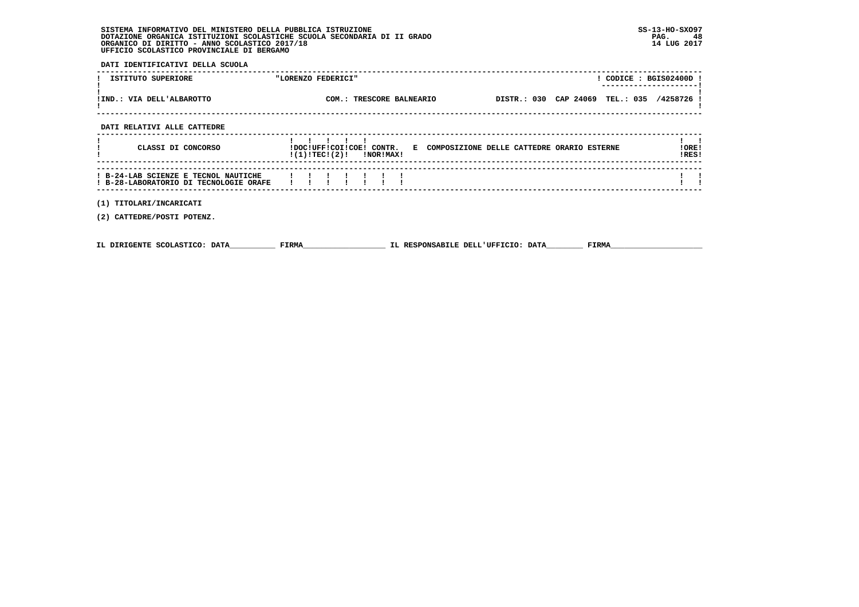| SISTEMA INFORMATIVO DEL MINISTERO DELLA PUBBLICA ISTRUZIONE              | $SS-13-HO-SXO97$ |
|--------------------------------------------------------------------------|------------------|
| DOTAZIONE ORGANICA ISTITUZIONI SCOLASTICHE SCUOLA SECONDARIA DI II GRADO | 48<br>PAG.       |
| ORGANICO DI DIRITTO - ANNO SCOLASTICO 2017/18                            | 14 LUG 2017      |
| UFFICIO SCOLASTICO PROVINCIALE DI BERGAMO                                |                  |

 **DATI IDENTIFICATIVI DELLA SCUOLA**

| ISTITUTO SUPERIORE                                                             | "LORENZO FEDERICI"                                                                                   | ! CODICE : BGIS02400D ! |
|--------------------------------------------------------------------------------|------------------------------------------------------------------------------------------------------|-------------------------|
| !IND.: VIA DELL'ALBAROTTO                                                      | COM.: TRESCORE BALNEARIO  DISTR.: 030 CAP 24069 TEL.: 035 /4258726                                   |                         |
| DATI RELATIVI ALLE CATTEDRE                                                    |                                                                                                      |                         |
| CLASSI DI CONCORSO                                                             | !DOC!UFF!COI!COE! CONTR. E COMPOSIZIONE DELLE CATTEDRE ORARIO ESTERNE<br>$!(1)!TEC!(2)!$ $INORIMAX!$ | !ORE!<br>!RES!          |
| ! B-24-LAB SCIENZE E TECNOL NAUTICHE<br>! B-28-LABORATORIO DI TECNOLOGIE ORAFE |                                                                                                      |                         |
| (1) TITOLARI/INCARICATI<br>(2) CATTEDRE/POSTI POTENZ.                          |                                                                                                      |                         |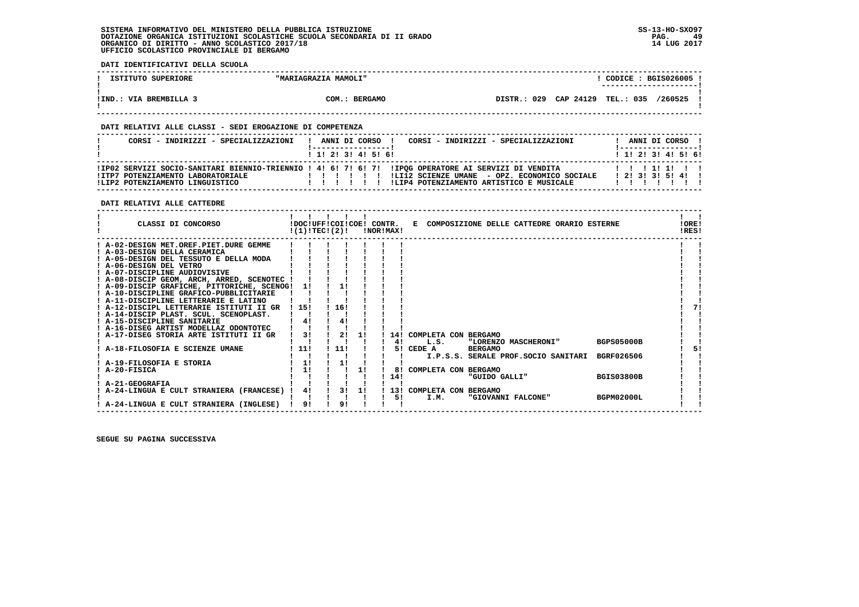**DATI IDENTIFICATIVI DELLA SCUOLA**

| ISTITUTO SUPERIORE     | "MARIAGRAZIA MAMOLI"       | CODICE: BGIS026005                               |  |
|------------------------|----------------------------|--------------------------------------------------|--|
|                        |                            | ----------------------                           |  |
| !IND.: VIA BREMBILLA 3 | $COM.$ :<br><b>BERGAMO</b> | CAP 24129 TEL.: 035<br>029<br>/260525<br>DISTR.: |  |

 **------------------------------------------------------------------------------------------------------------------------------------**

### **DATI RELATIVI ALLE CLASSI - SEDI EROGAZIONE DI COMPETENZA**

| CORSI - INDIRIZZI - SPECIALIZZAZIONI                                 | CORSI - INDIRIZZI - SPECIALIZZAZIONI<br>ANNI DI CORSO !                                                                                                                                                            | ANNI DI CORSO !                  |
|----------------------------------------------------------------------|--------------------------------------------------------------------------------------------------------------------------------------------------------------------------------------------------------------------|----------------------------------|
|                                                                      | 1 1 1 2 1 3 1 4 1 5 1 6 1                                                                                                                                                                                          | 1 1 1 2 1 3 1 4 1 5 1 6 1        |
| !ITP7 POTENZIAMENTO LABORATORIALE<br>!LIP2 POTENZIAMENTO LINGUISTICO | IP02 SERVIZI SOCIO-SANITARI BIENNIO-TRIENNIO ! 4! 6! 7! 6! 7! IIPOG OPERATORE AI SERVIZI DI VENDITA!<br>!LI12 SCIENZE UMANE - OPZ. ECONOMICO SOCIALE<br>ILIP4 POTENZIAMENTO ARTISTICO E MUSICALE<br>$\blacksquare$ | 11111111<br>$1$ 21 31 31 51 41 1 |

### **DATI RELATIVI ALLE CATTEDRE**

| CLASSI DI CONCORSO                          |       | !DOC!UFF!COI!COE! CONTR.<br>!(1)!TEC!(2)! |    | !NOR!MAX! |     | E COMPOSIZIONE DELLE CATTEDRE ORARIO ESTERNE      | !ORE!<br>!RES! |
|---------------------------------------------|-------|-------------------------------------------|----|-----------|-----|---------------------------------------------------|----------------|
| A-02-DESIGN MET.OREF.PIET.DURE GEMME        |       |                                           |    |           |     |                                                   |                |
| ! A-03-DESIGN DELLA CERAMICA                |       |                                           |    |           |     |                                                   |                |
| ! A-05-DESIGN DEL TESSUTO E DELLA MODA      |       |                                           |    |           |     |                                                   |                |
| ! A-06-DESIGN DEL VETRO                     |       |                                           |    |           |     |                                                   |                |
| ! A-07-DISCIPLINE AUDIOVISIVE               |       |                                           |    |           |     |                                                   |                |
| ! A-08-DISCIP GEOM, ARCH, ARRED, SCENOTEC ! |       |                                           |    |           |     |                                                   |                |
| ! A-09-DISCIP GRAFICHE, PITTORICHE, SCENOG! | 11    |                                           |    |           |     |                                                   |                |
| ! A-10-DISCIPLINE GRAFICO-PUBBLICITARIE     |       |                                           |    |           |     |                                                   |                |
| ! A-11-DISCIPLINE LETTERARIE E LATINO       |       |                                           |    |           |     |                                                   |                |
| ! A-12-DISCIPL LETTERARIE ISTITUTI II GR    | 1151  | 16!                                       |    |           |     |                                                   | 71             |
| ! A-14-DISCIP PLAST. SCUL. SCENOPLAST.      |       |                                           |    |           |     |                                                   |                |
| ! A-15-DISCIPLINE SANITARIE                 | 4!    | 4!                                        |    |           |     |                                                   |                |
| ! A-16-DISEG ARTIST MODELLAZ ODONTOTEC      |       |                                           |    |           |     |                                                   |                |
| A-17-DISEG STORIA ARTE ISTITUTI II GR       | 3!    | 2!                                        | 11 |           | 14! | COMPLETA CON BERGAMO                              |                |
|                                             |       |                                           |    |           | 41  | <b>BGPS05000B</b><br>"LORENZO MASCHERONI"<br>L.S. |                |
| A-18-FILOSOFIA E SCIENZE UMANE              | ! 11! | 111                                       |    |           |     | 5! CEDE A<br><b>BERGAMO</b>                       | 51             |
|                                             |       |                                           |    |           |     | I.P.S.S. SERALE PROF.SOCIO SANITARI<br>BGRF026506 |                |
| A-19-FILOSOFIA E STORIA                     | 11    | 11                                        |    |           |     |                                                   |                |
| A-20-FISICA                                 | 1!    |                                           | 11 |           | 81  | COMPLETA CON BERGAMO                              |                |
|                                             |       |                                           |    |           | 14! | "GUIDO GALLI"<br><b>BGIS03800B</b>                |                |
| ! A-21-GEOGRAFIA                            |       |                                           |    |           |     |                                                   |                |
| A-24-LINGUA E CULT STRANIERA (FRANCESE)     | 4!    | 31                                        | 11 |           |     | 13! COMPLETA CON BERGAMO                          |                |
|                                             |       |                                           |    |           | 51  | <b>BGPM02000L</b><br>I.M.<br>"GIOVANNI FALCONE"   |                |
| ! A-24-LINGUA E CULT STRANIERA (INGLESE)    | 91    | 91                                        |    |           |     |                                                   |                |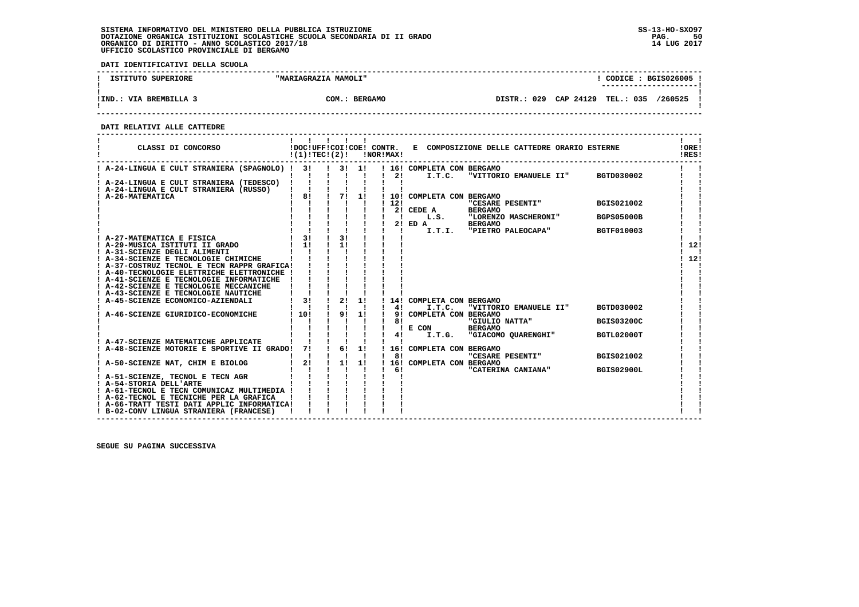**DATI IDENTIFICATIVI DELLA SCUOLA**

| ISTITUTO SUPERIORE     | "MARIAGRAZIA MAMOLI"    | CODICE: BGIS026005<br>---------------------- |  |
|------------------------|-------------------------|----------------------------------------------|--|
| !IND.: VIA BREMBILLA 3 | <b>BERGAMO</b><br>COM.: | DISTR.: 029 CAP 24129 TEL.: 035<br>/260525   |  |

 **------------------------------------------------------------------------------------------------------------------------------------**

 **DATI RELATIVI ALLE CATTEDRE**

| CLASSI DI CONCORSO                                                                 | 11111<br>!(1)!TECI(2)! |               |    |                | !NOR!MAX! |                    |                            | !DOC!UFF!COI!COE! CONTR. E COMPOSIZIONE DELLE CATTEDRE ORARIO ESTERNE |                   | !ORE!<br>!RES! |
|------------------------------------------------------------------------------------|------------------------|---------------|----|----------------|-----------|--------------------|----------------------------|-----------------------------------------------------------------------|-------------------|----------------|
| ! A-24-LINGUA E CULT STRANIERA (SPAGNOLO) ! 3!                                     |                        | ! 3! 1!       |    | $\blacksquare$ |           | 21                 | ! 16! COMPLETA CON BERGAMO | I.T.C. "VITTORIO EMANUELE II" BGTD030002                              |                   |                |
| ! A-24-LINGUA E CULT STRANIERA (TEDESCO) !                                         |                        |               |    |                |           |                    |                            |                                                                       |                   |                |
| A-24-LINGUA E CULT STRANIERA (RUSSO)                                               |                        |               |    |                |           |                    |                            |                                                                       |                   |                |
| ! A-26-MATEMATICA                                                                  | 8!                     |               | 71 | 1!             |           | 1121               | ! 10! COMPLETA CON BERGAMO | "CESARE PESENTI"                                                      | BGIS021002        |                |
|                                                                                    |                        |               |    |                |           |                    | 2! CEDE A                  | <b>BERGAMO</b>                                                        |                   |                |
|                                                                                    |                        |               |    |                |           | -1                 |                            | L.S. "LORENZO MASCHERONI"                                             | <b>BGPS05000B</b> |                |
|                                                                                    |                        |               |    |                |           |                    | 2! ED A BERGAMO            |                                                                       |                   |                |
|                                                                                    | $\frac{1}{1}$ 3!       |               | 31 |                |           |                    |                            | I.T.I. "PIETRO PALEOCAPA"                                             | <b>BGTF010003</b> |                |
| ! A-27-MATEMATICA E FISICA<br>! A-29-MUSICA ISTITUTI II GRADO                      | $1 \quad 11$           |               | 11 |                |           |                    |                            |                                                                       |                   | 12!            |
| ! A-31-SCIENZE DEGLI ALIMENTI                                                      |                        |               |    |                |           |                    |                            |                                                                       |                   |                |
| ! A-34-SCIENZE E TECNOLOGIE CHIMICHE                                               |                        |               |    |                |           |                    |                            |                                                                       |                   | 1121           |
| ! A-37-COSTRUZ TECNOL E TECN RAPPR GRAFICA!                                        |                        |               |    |                |           |                    |                            |                                                                       |                   |                |
| ! A-40-TECNOLOGIE ELETTRICHE ELETTRONICHE !                                        |                        |               |    |                |           |                    |                            |                                                                       |                   |                |
| ! A-41-SCIENZE E TECNOLOGIE INFORMATICHE<br>! A-42-SCIENZE E TECNOLOGIE MECCANICHE |                        |               |    |                |           |                    |                            |                                                                       |                   |                |
| ! A-43-SCIENZE E TECNOLOGIE NAUTICHE                                               |                        |               |    |                |           |                    |                            |                                                                       |                   |                |
| A-45-SCIENZE ECONOMICO-AZIENDALI                                                   | $1 \quad 31$           | $\frac{1}{2}$ |    | 1!             |           |                    | 14! COMPLETA CON BERGAMO   |                                                                       |                   |                |
|                                                                                    |                        |               |    |                |           | 4!                 | I.T.C.                     | "VITTORIO EMANUELE II"                                                | BGTD030002        |                |
| ! A-46-SCIENZE GIURIDICO-ECONOMICHE                                                | 110!                   |               | 9! | 1!             |           |                    | 9! COMPLETA CON BERGAMO    |                                                                       |                   |                |
|                                                                                    |                        |               |    |                |           | 81                 |                            | "GIULIO NATTA"                                                        | <b>BGIS03200C</b> |                |
|                                                                                    |                        |               |    |                |           | $\mathbf{I}$<br>4! | E CON<br>I.T.G.            | <b>BERGAMO</b><br>"GIACOMO QUARENGHI"                                 | BGTL02000T        |                |
| A-47-SCIENZE MATEMATICHE APPLICATE                                                 |                        |               |    |                |           |                    |                            |                                                                       |                   |                |
| ! A-48-SCIENZE MOTORIE E SPORTIVE II GRADO!                                        | 71                     |               | 6! | 1!             |           |                    | ! 16! COMPLETA CON BERGAMO |                                                                       |                   |                |
|                                                                                    |                        |               |    |                |           | 8!                 |                            | "CESARE PESENTI"                                                      | BGIS021002        |                |
| ! A-50-SCIENZE NAT, CHIM E BIOLOG                                                  | 2!                     | $\frac{1}{2}$ |    | 1!             |           |                    | 16! COMPLETA CON BERGAMO   |                                                                       |                   |                |
|                                                                                    |                        |               |    |                |           |                    | 6!                         | "CATERINA CANIANA"                                                    | <b>BGIS02900L</b> |                |
| ! A-51-SCIENZE, TECNOL E TECN AGR<br>! A-54-STORIA DELL'ARTE                       |                        |               |    |                |           |                    |                            |                                                                       |                   |                |
| ! A-61-TECNOL E TECN COMUNICAZ MULTIMEDIA !                                        |                        |               |    |                |           |                    |                            |                                                                       |                   |                |
| ! A-62-TECNOL E TECNICHE PER LA GRAFICA                                            |                        |               |    |                |           |                    |                            |                                                                       |                   |                |
| ! A-66-TRATT TESTI DATI APPLIC INFORMATICA!                                        |                        |               |    |                |           |                    |                            |                                                                       |                   |                |
| ! B-02-CONV LINGUA STRANIERA (FRANCESE)                                            |                        |               |    |                |           |                    |                            |                                                                       |                   |                |

 **------------------------------------------------------------------------------------------------------------------------------------**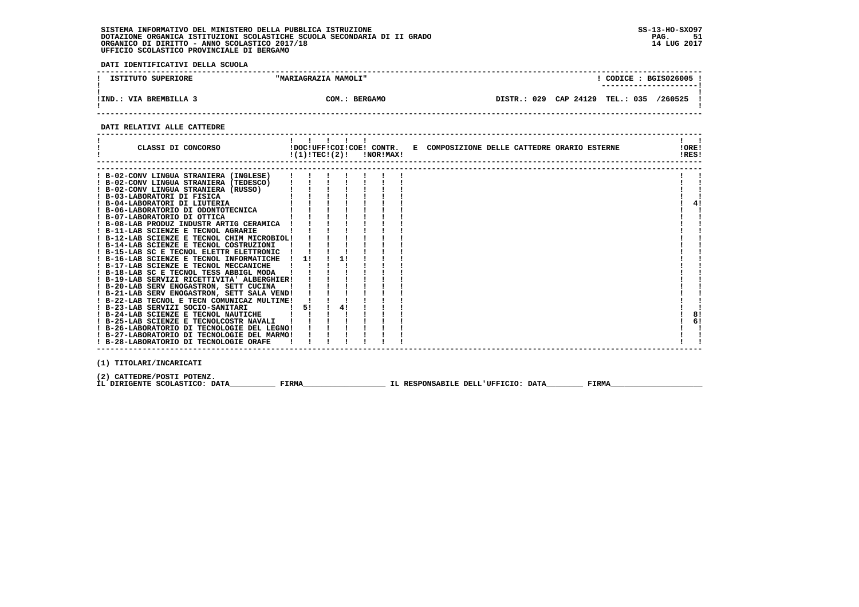**DATI IDENTIFICATIVI DELLA SCUOLA**

| ISTITUTO SUPERIORE           | "MARIAGRAZIA MAMOLI" | CODICE: BGIS026005!<br>----------------------        |
|------------------------------|----------------------|------------------------------------------------------|
| VIA BREMBILLA 3<br>$!$ IND.: | COM.: BERGAMO        | DISTR.: 029 CAP 24129<br><b>TEL.: 035</b><br>/260525 |

 **------------------------------------------------------------------------------------------------------------------------------------**

### **DATI RELATIVI ALLE CATTEDRE**

| CLASSI DI CONCORSO                                                                     |    | . |    | $!(1)!TEC!(2)!$ $INORIMAX!$ | !DOC!UFF!COI!COE! CONTR. E COMPOSIZIONE DELLE CATTEDRE ORARIO ESTERNE | !ORE!<br>!RES! |    |
|----------------------------------------------------------------------------------------|----|---|----|-----------------------------|-----------------------------------------------------------------------|----------------|----|
|                                                                                        |    |   |    |                             |                                                                       |                |    |
| ! B-02-CONV LINGUA STRANIERA (INGLESE)                                                 |    |   |    |                             |                                                                       |                |    |
| ! B-02-CONV LINGUA STRANIERA (TEDESCO)                                                 |    |   |    |                             |                                                                       |                |    |
| ! B-02-CONV LINGUA STRANIERA (RUSSO)<br>! B-03-LABORATORI DI FISICA                    |    |   |    |                             |                                                                       |                |    |
| ! B-04-LABORATORI DI LIUTERIA                                                          |    |   |    |                             |                                                                       |                | 4! |
| ! B-06-LABORATORIO DI ODONTOTECNICA                                                    |    |   |    |                             |                                                                       |                |    |
| ! B-07-LABORATORIO DI OTTICA                                                           |    |   |    |                             |                                                                       |                |    |
| ! B-08-LAB PRODUZ INDUSTR ARTIG CERAMICA                                               |    |   |    |                             |                                                                       |                |    |
| ! B-11-LAB SCIENZE E TECNOL AGRARIE                                                    |    |   |    |                             |                                                                       |                |    |
| ! B-12-LAB SCIENZE E TECNOL CHIM MICROBIOL!                                            |    |   |    |                             |                                                                       |                |    |
| ! B-14-LAB SCIENZE E TECNOL COSTRUZIONI                                                |    |   |    |                             |                                                                       |                |    |
| ! B-15-LAB SC E TECNOL ELETTR ELETTRONIC                                               |    |   |    |                             |                                                                       |                |    |
| ! B-16-LAB SCIENZE E TECNOL INFORMATICHE                                               | 1! |   | 1! |                             |                                                                       |                |    |
| ! B-17-LAB SCIENZE E TECNOL MECCANICHE                                                 |    |   |    |                             |                                                                       |                |    |
| ! B-18-LAB SC E TECNOL TESS ABBIGL MODA                                                |    |   |    |                             |                                                                       |                |    |
| ! B-19-LAB SERVIZI RICETTIVITA' ALBERGHIER!                                            |    |   |    |                             |                                                                       |                |    |
| ! B-20-LAB SERV ENOGASTRON, SETT CUCINA                                                |    |   |    |                             |                                                                       |                |    |
| ! B-21-LAB SERV ENOGASTRON, SETT SALA VEND!                                            |    |   |    |                             |                                                                       |                |    |
| ! B-22-LAB TECNOL E TECN COMUNICAZ MULTIME!                                            |    |   |    |                             |                                                                       |                |    |
| ! B-23-LAB SERVIZI SOCIO-SANITARI                                                      | 5! |   | 4! |                             |                                                                       |                |    |
| ! B-24-LAB SCIENZE E TECNOL NAUTICHE                                                   |    |   |    |                             |                                                                       |                | 8! |
| ! B-25-LAB SCIENZE E TECNOLCOSTR NAVALI<br>! B-26-LABORATORIO DI TECNOLOGIE DEL LEGNO! |    |   |    |                             |                                                                       |                | 6! |
| ! B-27-LABORATORIO DI TECNOLOGIE DEL MARMO!                                            |    |   |    |                             |                                                                       |                |    |
| ! B-28-LABORATORIO DI TECNOLOGIE ORAFE                                                 |    |   |    |                             |                                                                       |                |    |
|                                                                                        |    |   |    |                             |                                                                       |                |    |
|                                                                                        |    |   |    |                             |                                                                       |                |    |

 **(1) TITOLARI/INCARICATI**

(2) CATTEDRE/POSTI POTENZ**.**<br>IL DIRIGENTE SCOLASTICO: DATA\_\_\_\_\_\_\_\_\_\_\_\_ FIRMA\_\_\_\_\_\_\_\_\_\_\_\_\_\_\_\_\_\_\_\_\_\_\_\_IL RESPONSABILE DELL'UFFICIO: DATA\_\_\_\_\_\_\_\_\_\_\_ FIRMA\_\_\_\_\_\_\_\_\_\_\_\_\_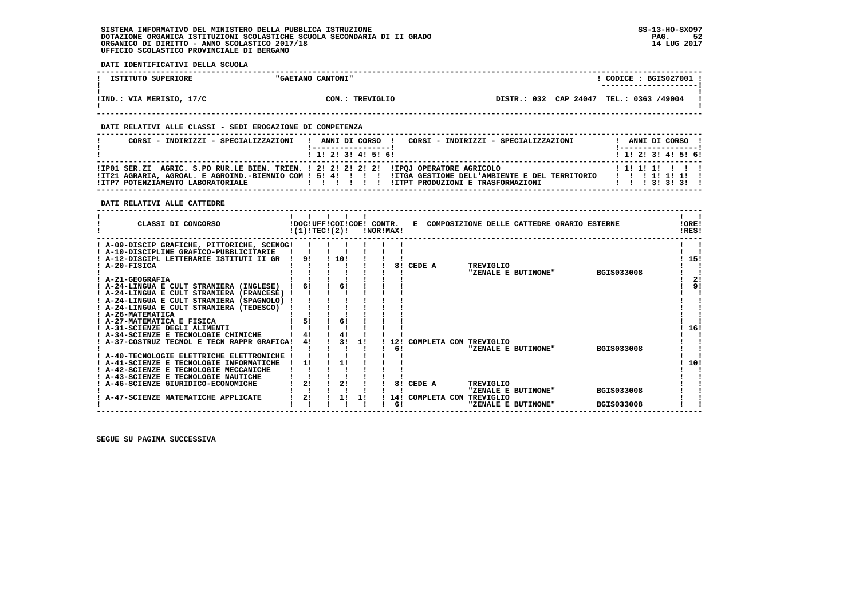**DATI IDENTIFICATIVI DELLA SCUOLA**

| ISTITUTO SUPERIORE       | "GAETANO CANTONI" | CODICE: BGIS027001 !                    |  |
|--------------------------|-------------------|-----------------------------------------|--|
|                          |                   | ---------------------                   |  |
|                          |                   |                                         |  |
| !IND.: VIA MERISIO, 17/C | COM.: TREVIGLIO   | DISTR.: 032 CAP 24047 TEL.: 0363 /49004 |  |
|                          |                   |                                         |  |

 **------------------------------------------------------------------------------------------------------------------------------------**

### **DATI RELATIVI ALLE CLASSI - SEDI EROGAZIONE DI COMPETENZA**

| CORSI - INDIRIZZI - SPECIALIZZAZIONI                                                                                         | CORSI - INDIRIZZI - SPECIALIZZAZIONI<br>ANNI DI CORSO !                                                                                      | ANNI DI CORSO !                                     |
|------------------------------------------------------------------------------------------------------------------------------|----------------------------------------------------------------------------------------------------------------------------------------------|-----------------------------------------------------|
|                                                                                                                              | $1$ , 1! 2! 3! 4! 5! 6!                                                                                                                      | 1 1 1 2 1 3 1 4 1 5 1 6 1                           |
| !IP01 SER.ZI AGRIC. S.PO RUR.LE BIEN. TRIEN. ! 2! 2! 2! 2! 2! !IPOJ OPERATORE AGRICOLO<br>! ITP7 POTENZIAMENTO LABORATORIALE | ITZ1 AGRARIA, AGROAL. E AGROIND.-BIENNIO COM ! 5! 4! !!!! !ITGA GESTIONE DELL'AMBIENTE E DEL TERRITORIO<br>!ITPT PRODUZIONI E TRASFORMAZIONI | 111111111<br>1 1 1 1 1 1 1 1 1<br>1 1 1 3 1 3 1 3 1 |

### **DATI RELATIVI ALLE CATTEDRE**

| CLASSI DI CONCORSO                                                                                                                                                                                                                                               |                | !DOC!UFF!COI!COE! CONTR.<br>!(1)!TECI(2)! |    | !NOR!MAX! |           |        |                                         | E COMPOSIZIONE DELLE CATTEDRE ORARIO ESTERNE |                                        | !ORE!<br>!RES!  |
|------------------------------------------------------------------------------------------------------------------------------------------------------------------------------------------------------------------------------------------------------------------|----------------|-------------------------------------------|----|-----------|-----------|--------|-----------------------------------------|----------------------------------------------|----------------------------------------|-----------------|
| ! A-09-DISCIP GRAFICHE, PITTORICHE, SCENOG!<br>! A-10-DISCIPLINE GRAFICO-PUBBLICITARIE<br>A-12-DISCIPL LETTERARIE ISTITUTI II GR<br>A-20-FISICA<br>! A-21-GEOGRAFIA<br>A-24-LINGUA E CULT STRANIERA (INGLESE)<br>! A-24-LINGUA E CULT STRANIERA (FRANCESE) !     | 91             | 10!<br>6!                                 |    |           | 81        | CEDE A | TREVIGLIO                               | "ZENALE E BUTINONE"                          | <b>BGIS033008</b>                      | 15!<br>21<br>91 |
| ! A-24-LINGUA E CULT STRANIERA (SPAGNOLO) !<br>! A-24-LINGUA E CULT STRANIERA (TEDESCO)<br>! A-26-MATEMATICA<br>! A-27-MATEMATICA E FISICA<br>! A-31-SCIENZE DEGLI ALIMENTI<br>A-34-SCIENZE E TECNOLOGIE CHIMICHE<br>! A-37-COSTRUZ TECNOL E TECN RAPPR GRAFICA! | 41             | 6!<br>31                                  | 11 |           | 12!<br>6! |        | COMPLETA CON TREVIGLIO                  | "ZENALE E BUTINONE"                          | <b>BGIS033008</b>                      | 16!             |
| ! A-40-TECNOLOGIE ELETTRICHE ELETTRONICHE<br>A-41-SCIENZE E TECNOLOGIE INFORMATICHE<br>! A-42-SCIENZE E TECNOLOGIE MECCANICHE<br>A-43-SCIENZE E TECNOLOGIE NAUTICHE<br>A-46-SCIENZE GIURIDICO-ECONOMICHE<br>A-47-SCIENZE MATEMATICHE APPLICATE                   | 11<br>2!<br>2! | 11<br>21<br>1!                            | 11 |           | 81<br>6!  | CEDE A | TREVIGLIO<br>14! COMPLETA CON TREVIGLIO | "ZENALE E BUTINONE"<br>"ZENALE E BUTINONE"   | <b>BGIS033008</b><br><b>BGIS033008</b> | 10!             |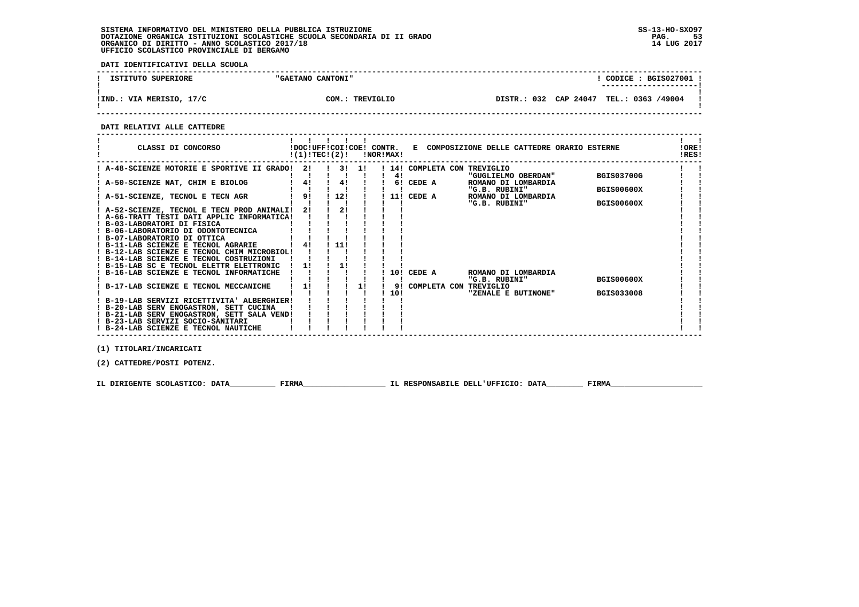**DATI IDENTIFICATIVI DELLA SCUOLA**

| ISTITUTO SUPERIORE | "GAETANO CANTONI" | CODICE: BGIS027001    |  |
|--------------------|-------------------|-----------------------|--|
| VIA MERISIO, 17/C  | TREVIGLIO         | DISTR.: 032 CAP 24047 |  |
| !IND.              | ∩∩м               | TEL.: 0363 /49004     |  |

 **------------------------------------------------------------------------------------------------------------------------------------**

 **DATI RELATIVI ALLE CATTEDRE**

| CLASSI DI CONCORSO                                                                  |    | !(1)!TEC!(2)! |      | !NOR!MAX! |                 | !DOC!UFF!COI!COE! CONTR. E COMPOSIZIONE DELLE CATTEDRE ORARIO ESTERNE |                   | !ORE!<br>!RES! |
|-------------------------------------------------------------------------------------|----|---------------|------|-----------|-----------------|-----------------------------------------------------------------------|-------------------|----------------|
| A-48-SCIENZE MOTORIE E SPORTIVE II GRADO!                                           | 21 |               | 3!1! |           |                 | ! 14! COMPLETA CON TREVIGLIO                                          |                   |                |
|                                                                                     |    |               |      | 41        |                 | "GUGLIELMO OBERDAN"                                                   | <b>BGIS03700G</b> |                |
| A-50-SCIENZE NAT, CHIM E BIOLOG                                                     | 4! | 4!            |      |           | 6! CEDE A       | ROMANO DI LOMBARDIA                                                   |                   |                |
|                                                                                     | 9! |               |      |           |                 | "G.B. RUBINI"                                                         | BGIS00600X        |                |
| A-51-SCIENZE, TECNOL E TECN AGR                                                     |    | 12!           |      |           | 11! CEDE A      | ROMANO DI LOMBARDIA<br>"G.B. RUBINI"                                  | <b>BGIS00600X</b> |                |
| ! A-52-SCIENZE, TECNOL E TECN PROD ANIMALI!                                         | 2! | 21            |      |           |                 |                                                                       |                   |                |
| ! A-66-TRATT TESTI DATI APPLIC INFORMATICA!                                         |    |               |      |           |                 |                                                                       |                   |                |
| ! B-03-LABORATORI DI FISICA                                                         |    |               |      |           |                 |                                                                       |                   |                |
| ! B-06-LABORATORIO DI ODONTOTECNICA                                                 |    |               |      |           |                 |                                                                       |                   |                |
| ! B-07-LABORATORIO DI OTTICA                                                        |    |               |      |           |                 |                                                                       |                   |                |
| ! B-11-LAB SCIENZE E TECNOL AGRARIE                                                 | 4! | 11!           |      |           |                 |                                                                       |                   |                |
| ! B-12-LAB SCIENZE E TECNOL CHIM MICROBIOL!                                         |    |               |      |           |                 |                                                                       |                   |                |
| ! B-14-LAB SCIENZE E TECNOL COSTRUZIONI<br>! B-15-LAB SC E TECNOL ELETTR ELETTRONIC | 11 |               |      |           |                 |                                                                       |                   |                |
| ! B-16-LAB SCIENZE E TECNOL INFORMATICHE                                            |    |               |      |           | 10! CEDE A      | ROMANO DI LOMBARDIA                                                   |                   |                |
|                                                                                     |    |               |      |           |                 | "G.B. RUBINI"                                                         | <b>BGIS00600X</b> |                |
| ! B-17-LAB SCIENZE E TECNOL MECCANICHE                                              | 11 |               | 11   |           | 9! COMPLETA CON | TREVIGLIO                                                             |                   |                |
|                                                                                     |    |               |      | 10!       |                 | "ZENALE E BUTINONE"                                                   | <b>BGIS033008</b> |                |
| ! B-19-LAB SERVIZI RICETTIVITA' ALBERGHIER!                                         |    |               |      |           |                 |                                                                       |                   |                |
| ! B-20-LAB SERV ENOGASTRON, SETT CUCINA                                             |    |               |      |           |                 |                                                                       |                   |                |
| ! B-21-LAB SERV ENOGASTRON, SETT SALA VEND!                                         |    |               |      |           |                 |                                                                       |                   |                |
| ! B-23-LAB SERVIZI SOCIO-SANITARI                                                   |    |               |      |           |                 |                                                                       |                   |                |
| ! B-24-LAB SCIENZE E TECNOL NAUTICHE                                                |    |               |      |           |                 |                                                                       |                   |                |

 **(1) TITOLARI/INCARICATI**

 **(2) CATTEDRE/POSTI POTENZ.**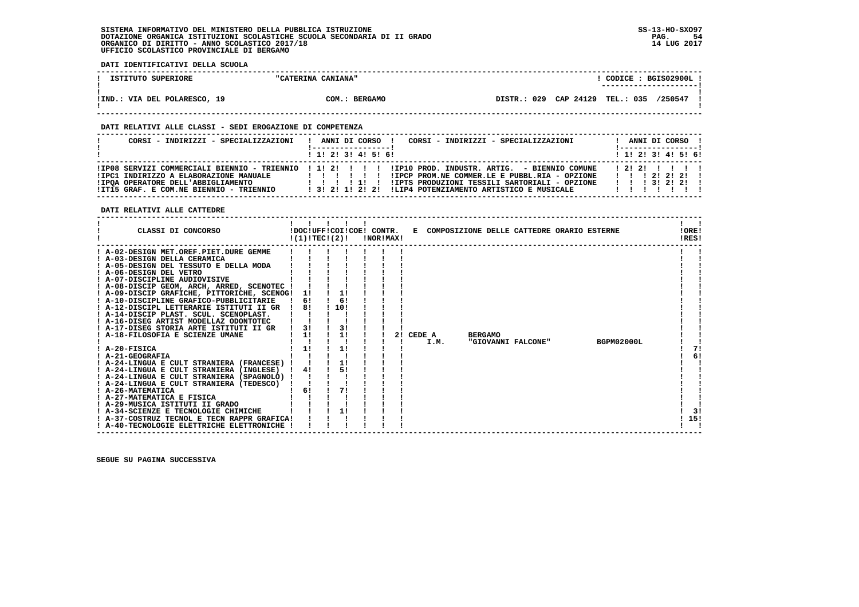**DATI IDENTIFICATIVI DELLA SCUOLA**

| CODICE: BGIS02900L<br>"CATERINA CANIANA"<br>ISTITUTO SUPERIORE                                            |         |
|-----------------------------------------------------------------------------------------------------------|---------|
| ----------------------                                                                                    |         |
|                                                                                                           |         |
| CAP 24129<br>029<br><b>TEL.: 035</b><br>!IND.: VIA DEL POLARESCO, 19<br>COM.<br><b>BERGAMO</b><br>DISTR.: | /250547 |
|                                                                                                           |         |

 **------------------------------------------------------------------------------------------------------------------------------------**

### **DATI RELATIVI ALLE CLASSI - SEDI EROGAZIONE DI COMPETENZA**

| CORSI - INDIRIZZI - SPECIALIZZAZIONI                                                                                     | CORSI - INDIRIZZI - SPECIALIZZAZIONI<br>ANNI DI CORSO !                                                                                                                                                                                                                                        |  | ANNI DI CORSO !                                    |  |  |
|--------------------------------------------------------------------------------------------------------------------------|------------------------------------------------------------------------------------------------------------------------------------------------------------------------------------------------------------------------------------------------------------------------------------------------|--|----------------------------------------------------|--|--|
|                                                                                                                          | $1$ , 1! 2! 3! 4! 5! 6!                                                                                                                                                                                                                                                                        |  | 1 1 2 3 3 4 5 6 1                                  |  |  |
| !IPC1 INDIRIZZO A ELABORAZIONE MANUALE<br>! IPOA OPERATORE DELL'ABBIGLIAMENTO<br>!IT15 GRAF. E COM.NE BIENNIO - TRIENNIO | IIPO8 SERVIZI COMMERCIALI BIENNIO - TRIENNIO 11121 111110 IROD. INDUSTR. ARTIG. - BIENNIO COMUNE<br>!IPCP PROM.NE COMMER.LE E PUBBL.RIA - OPZIONE<br>, , , , , ,<br>!IPTS PRODUZIONI TESSILI SARTORIALI - OPZIONE<br>111111<br>!LIP4 POTENZIAMENTO ARTISTICO E MUSICALE<br>1 3 1 2 1 1 2 1 2 1 |  | 12121111<br>1 1 1 2 1 2 1 2 1<br>1 1 1 3 1 2 1 2 1 |  |  |

 **DATI RELATIVI ALLE CATTEDRE**

| CLASSI DI CONCORSO                                                                                                                                                                                                                                                                                                                                                                                                                                                                                                                                                                                                                                                                                                                                                                                                                                                                                                                                                                  | !DOC!UFF!COI!COE! CONTR.<br>!(1)!TECI(2)! |     |                                                    | !NOR!MAX! |    |                | E COMPOSIZIONE DELLE CATTEDRE ORARIO ESTERNE |  |            | !ORE!<br>!RES!        |
|-------------------------------------------------------------------------------------------------------------------------------------------------------------------------------------------------------------------------------------------------------------------------------------------------------------------------------------------------------------------------------------------------------------------------------------------------------------------------------------------------------------------------------------------------------------------------------------------------------------------------------------------------------------------------------------------------------------------------------------------------------------------------------------------------------------------------------------------------------------------------------------------------------------------------------------------------------------------------------------|-------------------------------------------|-----|----------------------------------------------------|-----------|----|----------------|----------------------------------------------|--|------------|-----------------------|
| ! A-02-DESIGN MET.OREF.PIET.DURE GEMME<br>! A-03-DESIGN DELLA CERAMICA<br>! A-05-DESIGN DEL TESSUTO E DELLA MODA<br>! A-06-DESIGN DEL VETRO<br>! A-07-DISCIPLINE AUDIOVISIVE<br>! A-08-DISCIP GEOM, ARCH, ARRED, SCENOTEC !<br>! A-09-DISCIP GRAFICHE, PITTORICHE, SCENOG!<br>! A-10-DISCIPLINE GRAFICO-PUBBLICITARIE<br>! A-12-DISCIPL LETTERARIE ISTITUTI II GR<br>! A-14-DISCIP PLAST. SCUL. SCENOPLAST.<br>! A-16-DISEG ARTIST MODELLAZ ODONTOTEC<br>A-17-DISEG STORIA ARTE ISTITUTI II GR<br>! A-18-FILOSOFIA E SCIENZE UMANE<br>! A-20-FISICA<br>! A-21-GEOGRAFIA<br>! A-24-LINGUA E CULT STRANIERA (FRANCESE)<br>! A-24-LINGUA E CULT STRANIERA (INGLESE)<br>! A-24-LINGUA E CULT STRANIERA (SPAGNOLO) !<br>! A-24-LINGUA E CULT STRANIERA (TEDESCO)<br>! A-26-MATEMATICA<br>A-27-MATEMATICA E FISICA<br>! A-29-MUSICA ISTITUTI II GRADO<br>! A-34-SCIENZE E TECNOLOGIE CHIMICHE<br>! A-37-COSTRUZ TECNOL E TECN RAPPR GRAFICA!<br>! A-40-TECNOLOGIE ELETTRICHE ELETTRONICHE | 6!<br>81<br>31<br>11<br>4!<br>6!          | 10! | 1!<br>6!<br>3!<br>1!<br>1!<br>11<br>51<br>71<br>1! |           | 21 | CEDE A<br>I.M. | <b>BERGAMO</b><br>"GIOVANNI FALCONE"         |  | BGPM02000L | 7!<br>6!<br>3!<br>15! |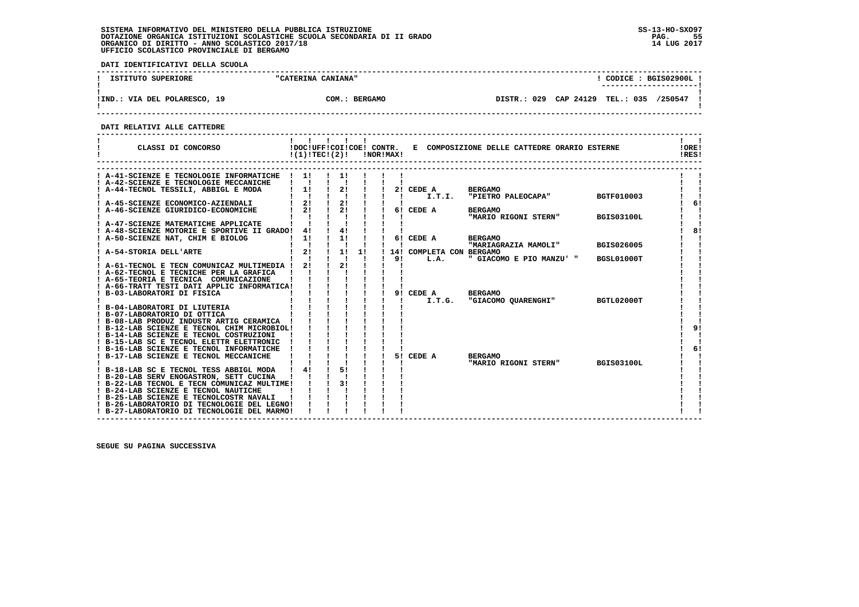**DATI IDENTIFICATIVI DELLA SCUOLA**

| ISTITUTO SUPERIORE           | "CATERINA CANIANA"      | CODICE: BGIS02900L                               |
|------------------------------|-------------------------|--------------------------------------------------|
|                              |                         | ----------------------                           |
| !IND.: VIA DEL POLARESCO, 19 | COM.:<br><b>BERGAMO</b> | CAP 24129<br>/250547<br>DISTR.: 029<br>TEL.: 035 |
|                              |                         |                                                  |

 **------------------------------------------------------------------------------------------------------------------------------------**

 **DATI RELATIVI ALLE CATTEDRE**

| CLASSI DI CONCORSO                                                                     |                               | !(1)!TEC!(2)!                              | !NOR!MAX!      |                |                          | !DOC!UFF!COI!COE! CONTR. E COMPOSIZIONE DELLE CATTEDRE ORARIO ESTERNE |                   | !ORE!<br>!RES! |
|----------------------------------------------------------------------------------------|-------------------------------|--------------------------------------------|----------------|----------------|--------------------------|-----------------------------------------------------------------------|-------------------|----------------|
|                                                                                        |                               |                                            |                |                |                          |                                                                       |                   |                |
| A-41-SCIENZE E TECNOLOGIE INFORMATICHE ! 1!<br>! A-42-SCIENZE E TECNOLOGIE MECCANICHE  | $\mathbf{I}$ $\mathbf{I}$     | $\frac{1}{1}$<br>$\mathbf{I}$ $\mathbf{I}$ |                |                |                          |                                                                       |                   |                |
| ! A-44-TECNOL TESSILI, ABBIGL E MODA                                                   | $1 \quad 11$                  | $\frac{1}{2}$                              |                |                | 2! CEDE A                | <b>BERGAMO</b>                                                        |                   |                |
|                                                                                        | $\mathbf{I}$ $\mathbf{I}$     | $\frac{1}{2}$ $\frac{1}{2}$                |                | $\blacksquare$ | I.T.I.                   | "PIETRO PALEOCAPA"                                                    | <b>BGTF010003</b> |                |
| ! A-45-SCIENZE ECONOMICO-AZIENDALI                                                     |                               | $2!$ $1$ $2!$                              |                |                |                          |                                                                       |                   | 6!             |
| A-46-SCIENZE GIURIDICO-ECONOMICHE                                                      | $1 \quad 2! \quad 1 \quad 2!$ |                                            | $\blacksquare$ |                | 6! CEDE A                | <b>BERGAMO</b>                                                        |                   |                |
|                                                                                        |                               |                                            |                |                |                          | "MARIO RIGONI STERN"                                                  | <b>BGIS03100L</b> |                |
| ! A-47-SCIENZE MATEMATICHE APPLICATE                                                   |                               |                                            |                |                |                          |                                                                       |                   |                |
| ! A-48-SCIENZE MOTORIE E SPORTIVE II GRADO! 4!                                         |                               | 4!                                         |                |                |                          |                                                                       |                   | 81             |
| ! A-50-SCIENZE NAT, CHIM E BIOLOG                                                      | 11                            | $\frac{1}{1}$ 11                           |                |                | 6! CEDE A                | <b>BERGAMO</b><br>"MARIAGRAZIA MAMOLI"                                | <b>BGIS026005</b> |                |
| A-54-STORIA DELL'ARTE                                                                  | 2!                            | 11                                         | 1!             |                | 14! COMPLETA CON BERGAMO |                                                                       |                   |                |
|                                                                                        |                               |                                            |                | 91             | L.A.                     | " GIACOMO E PIO MANZU' "                                              | BGSL01000T        |                |
| ! A-61-TECNOL E TECN COMUNICAZ MULTIMEDIA !                                            | 21                            | 21                                         |                |                |                          |                                                                       |                   |                |
| ! A-62-TECNOL E TECNICHE PER LA GRAFICA                                                |                               |                                            |                |                |                          |                                                                       |                   |                |
| ! A-65-TEORIA E TECNICA COMUNICAZIONE                                                  |                               |                                            |                |                |                          |                                                                       |                   |                |
| ! A-66-TRATT TESTI DATI APPLIC INFORMATICA!                                            |                               |                                            |                |                |                          |                                                                       |                   |                |
| B-03-LABORATORI DI FISICA                                                              |                               | $1 \quad 1 \quad 1$                        |                |                | 9! CEDE A                | <b>BERGAMO</b>                                                        |                   |                |
|                                                                                        |                               |                                            |                |                | I.T.G.                   | "GIACOMO QUARENGHI"                                                   | BGTL02000T        |                |
| ! B-04-LABORATORI DI LIUTERIA<br>! B-07-LABORATORIO DI OTTICA                          |                               |                                            |                |                |                          |                                                                       |                   |                |
| ! B-08-LAB PRODUZ INDUSTR ARTIG CERAMICA !                                             |                               |                                            |                |                |                          |                                                                       |                   |                |
| ! B-12-LAB SCIENZE E TECNOL CHIM MICROBIOL!                                            |                               |                                            |                |                |                          |                                                                       |                   | 9!             |
| ! B-14-LAB SCIENZE E TECNOL COSTRUZIONI                                                |                               |                                            |                |                |                          |                                                                       |                   |                |
| ! B-15-LAB SC E TECNOL ELETTR ELETTRONIC                                               |                               |                                            |                |                |                          |                                                                       |                   |                |
| ! B-16-LAB SCIENZE E TECNOL INFORMATICHE                                               |                               |                                            |                |                |                          |                                                                       |                   | 6!             |
| ! B-17-LAB SCIENZE E TECNOL MECCANICHE                                                 |                               |                                            |                |                | 5! CEDE A                | <b>BERGAMO</b>                                                        |                   |                |
|                                                                                        |                               |                                            |                |                |                          | "MARIO RIGONI STERN"                                                  | <b>BGIS03100L</b> |                |
| ! B-18-LAB SC E TECNOL TESS ABBIGL MODA ! 4!                                           |                               | 51                                         |                |                |                          |                                                                       |                   |                |
| ! B-20-LAB SERV ENOGASTRON, SETT CUCINA<br>! B-22-LAB TECNOL E TECN COMUNICAZ MULTIME! |                               | 3!                                         |                |                |                          |                                                                       |                   |                |
| ! B-24-LAB SCIENZE E TECNOL NAUTICHE                                                   |                               |                                            |                |                |                          |                                                                       |                   |                |
| ! B-25-LAB SCIENZE E TECNOLCOSTR NAVALI                                                |                               |                                            |                |                |                          |                                                                       |                   |                |
| ! B-26-LABORATORIO DI TECNOLOGIE DEL LEGNO!                                            |                               |                                            |                |                |                          |                                                                       |                   |                |
| ! B-27-LABORATORIO DI TECNOLOGIE DEL MARMO!                                            |                               |                                            |                |                |                          |                                                                       |                   |                |

 **------------------------------------------------------------------------------------------------------------------------------------**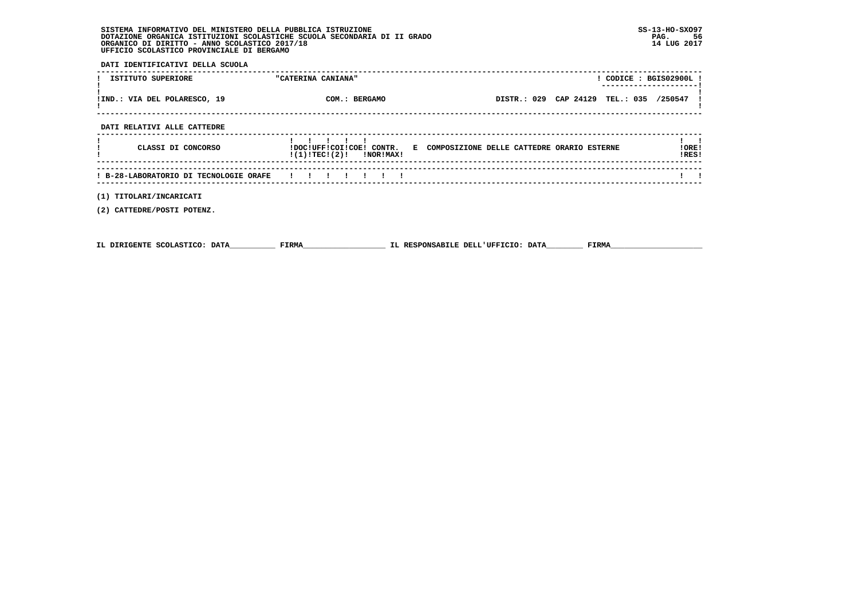**DATI IDENTIFICATIVI DELLA SCUOLA**

| ISTITUTO SUPERIORE                     | $!$ CODICE : BGIS02900L $!$<br>"CATERINA CANIANA"<br>---------------------                           |                |
|----------------------------------------|------------------------------------------------------------------------------------------------------|----------------|
| !IND.: VIA DEL POLARESCO, 19           | DISTR.: 029 CAP 24129 TEL.: 035 /250547<br>COM.: BERGAMO                                             |                |
| DATI RELATIVI ALLE CATTEDRE            |                                                                                                      |                |
| CLASSI DI CONCORSO                     | !DOC!UFF!COI!COE! CONTR. E COMPOSIZIONE DELLE CATTEDRE ORARIO ESTERNE<br>$!(1)!TEC!(2)!$ $INORIMAX!$ | !ORE!<br>!RES! |
| ! B-28-LABORATORIO DI TECNOLOGIE ORAFE |                                                                                                      |                |
| (1) TITOLARI/INCARICATI                |                                                                                                      |                |

 **(2) CATTEDRE/POSTI POTENZ.**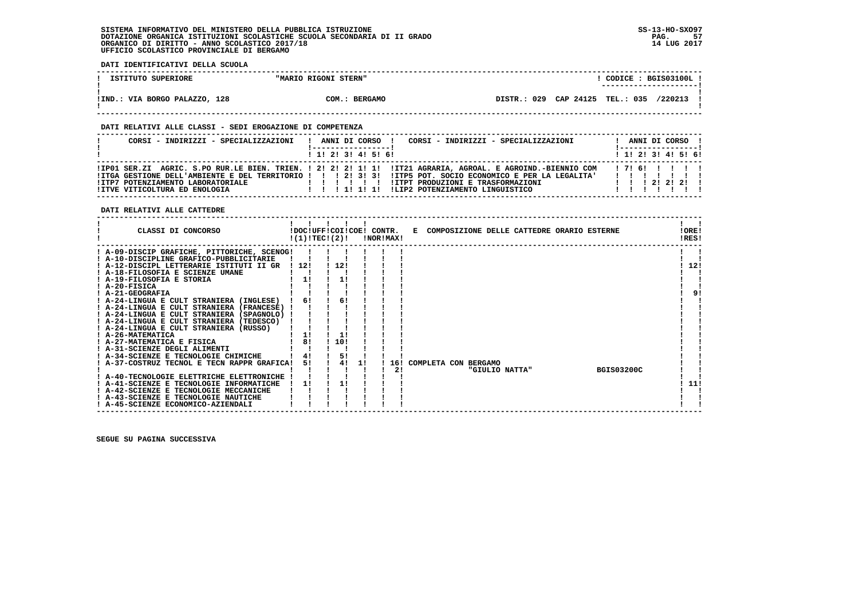**DATI IDENTIFICATIVI DELLA SCUOLA**

| ISTITUTO SUPERIORE            | "MARIO RIGONI STERN" | CODICE: BGIS03100L.<br>---------------------- |  |
|-------------------------------|----------------------|-----------------------------------------------|--|
| !IND.: VIA BORGO PALAZZO, 128 | COM.: BERGAMO        | DISTR.: 029 CAP 24125 TEL.: 035<br>/220213    |  |

### **DATI RELATIVI ALLE CLASSI - SEDI EROGAZIONE DI COMPETENZA**

| CORSI - INDIRIZZI - SPECIALIZZAZIONI                               | CORSI - INDIRIZZI - SPECIALIZZAZIONI<br>ANNI DI CORSO !                                                                                                                                                                                                                                                               | ANNI DI CORSO !           |
|--------------------------------------------------------------------|-----------------------------------------------------------------------------------------------------------------------------------------------------------------------------------------------------------------------------------------------------------------------------------------------------------------------|---------------------------|
|                                                                    | $1$ , 1! 2! 3! 4! 5! 6!                                                                                                                                                                                                                                                                                               | ! 1! 2! 3! 4! 5! 6!       |
| !ITP7 POTENZIAMENTO LABORATORIALE<br>IITVE VITICOLTURA ED ENOLOGIA | IIPO1 SER.ZI AGRIC. S.PO RUR.LE BIEN. TRIEN. ! 2! 2! 2! 1! 1! IIT21 AGRARIA, AGROAL. E AGROIND.-BIENNIO COM<br>ITGA GESTIONE DELL'AMBIENTE E DEL TERRITORIO ! ! ! 2! 3! 3! ITP5 POT. SOCIO ECONOMICO E PER LA LEGALITA'<br><b>!ITPT PRODUZIONI E TRASFORMAZIONI</b><br>.<br>!!!!!!!!!!!!!P2 POTENZIAMENTO LINGUISTICO | 171611111<br>.<br>1122221 |

 **DATI RELATIVI ALLE CATTEDRE**

| CLASSI DI CONCORSO                          | !DOC!UFF!COI!COE! CONTR.<br>!(1)!TEC!(2)! |     |    | !NOR!MAX! |  |                      |                | E COMPOSIZIONE DELLE CATTEDRE ORARIO ESTERNE |                   | !ORE!<br>!RES! |
|---------------------------------------------|-------------------------------------------|-----|----|-----------|--|----------------------|----------------|----------------------------------------------|-------------------|----------------|
| ! A-09-DISCIP GRAFICHE, PITTORICHE, SCENOG! |                                           |     |    |           |  |                      |                |                                              |                   |                |
| ! A-10-DISCIPLINE GRAFICO-PUBBLICITARIE     |                                           |     |    |           |  |                      |                |                                              |                   |                |
| ! A-12-DISCIPL LETTERARIE ISTITUTI II GR    | 112!                                      | 12! |    |           |  |                      |                |                                              |                   | 12!            |
| ! A-18-FILOSOFIA E SCIENZE UMANE            |                                           |     |    |           |  |                      |                |                                              |                   |                |
| ! A-19-FILOSOFIA E STORIA                   | 11                                        | 11  |    |           |  |                      |                |                                              |                   |                |
| ! A-20-FISICA                               |                                           |     |    |           |  |                      |                |                                              |                   |                |
| ! A-21-GEOGRAFIA                            |                                           |     |    |           |  |                      |                |                                              |                   | 9!             |
| ! A-24-LINGUA E CULT STRANIERA (INGLESE)    | 6!                                        | 6!  |    |           |  |                      |                |                                              |                   |                |
| ! A-24-LINGUA E CULT STRANIERA (FRANCESE)   |                                           |     |    |           |  |                      |                |                                              |                   |                |
| ! A-24-LINGUA E CULT STRANIERA (SPAGNOLO)   |                                           |     |    |           |  |                      |                |                                              |                   |                |
| ! A-24-LINGUA E CULT STRANIERA (TEDESCO)    |                                           |     |    |           |  |                      |                |                                              |                   |                |
| ! A-24-LINGUA E CULT STRANIERA (RUSSO)      |                                           |     |    |           |  |                      |                |                                              |                   |                |
| ! A-26-MATEMATICA                           | 1!                                        | 1!  |    |           |  |                      |                |                                              |                   |                |
| ! A-27-MATEMATICA E FISICA                  | 81                                        | 10! |    |           |  |                      |                |                                              |                   |                |
| ! A-31-SCIENZE DEGLI ALIMENTI               |                                           |     |    |           |  |                      |                |                                              |                   |                |
| ! A-34-SCIENZE E TECNOLOGIE CHIMICHE        | 4!                                        | 5!  |    |           |  |                      |                |                                              |                   |                |
| ! A-37-COSTRUZ TECNOL E TECN RAPPR GRAFICA! | 5!                                        | 4!  | 11 | 16!       |  | COMPLETA CON BERGAMO |                |                                              |                   |                |
|                                             |                                           |     |    | 21        |  |                      | "GIULIO NATTA" |                                              | <b>BGIS03200C</b> |                |
| ! A-40-TECNOLOGIE ELETTRICHE ELETTRONICHE   |                                           |     |    |           |  |                      |                |                                              |                   |                |
| ! A-41-SCIENZE E TECNOLOGIE INFORMATICHE    | 11                                        | 1!  |    |           |  |                      |                |                                              |                   | 11!            |
| : A-42-SCIENZE E TECNOLOGIE MECCANICHE      |                                           |     |    |           |  |                      |                |                                              |                   |                |
| ! A-43-SCIENZE E TECNOLOGIE NAUTICHE        |                                           |     |    |           |  |                      |                |                                              |                   |                |
| ! A-45-SCIENZE ECONOMICO-AZIENDALI          |                                           |     |    |           |  |                      |                |                                              |                   |                |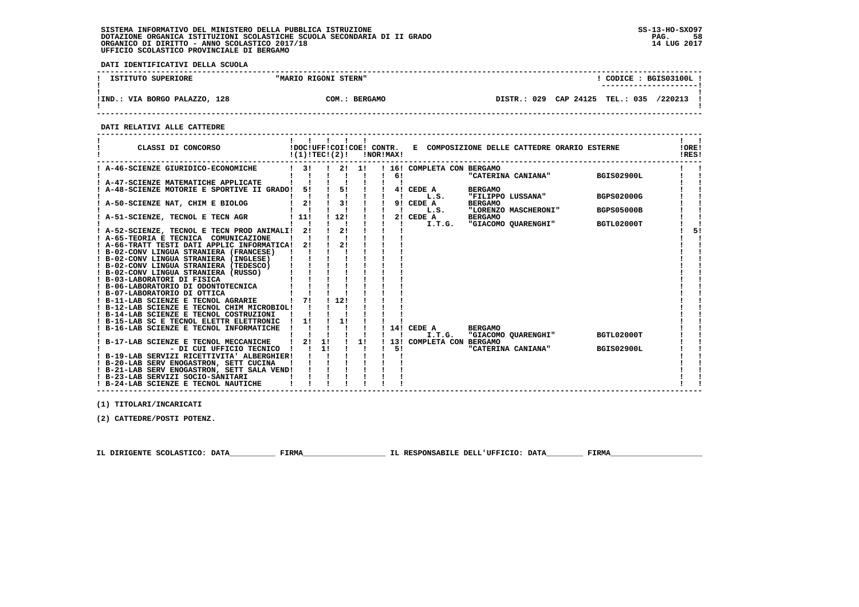**DATI IDENTIFICATIVI DELLA SCUOLA**

| ISTITUTO SUPERIORE            | "MARIO RIGONI STERN" | CODICE: BGIS03100L<br>--------------------- |
|-------------------------------|----------------------|---------------------------------------------|
| !IND.: VIA BORGO PALAZZO, 128 | COM.: BERGAMO        | DISTR.: 029 CAP 24125 TEL.: 035<br>/220213  |

 **------------------------------------------------------------------------------------------------------------------------------------**

 **DATI RELATIVI ALLE CATTEDRE**

| CLASSI DI CONCORSO                                                  | !(1)!TEC!(2)! |    |                |      | !NOR!MAX! |                            |                | !DOC!UFF!COI!COE! CONTR. E COMPOSIZIONE DELLE CATTEDRE ORARIO ESTERNE |                   | !ORE!<br>!RES! |
|---------------------------------------------------------------------|---------------|----|----------------|------|-----------|----------------------------|----------------|-----------------------------------------------------------------------|-------------------|----------------|
| ! A-46-SCIENZE GIURIDICO-ECONOMICHE                                 | 31            |    |                | 2!1! | 61        | ! 16! COMPLETA CON BERGAMO |                | "CATERINA CANIANA"                                                    | BGIS02900L        |                |
| ! A-47-SCIENZE MATEMATICHE APPLICATE                                |               |    |                |      |           |                            |                |                                                                       |                   |                |
| A-48-SCIENZE MOTORIE E SPORTIVE II GRADO! 5!                        |               |    | 51             |      |           | 4! CEDE A                  | <b>BERGAMO</b> |                                                                       |                   |                |
|                                                                     |               |    |                |      |           | L.S.                       |                | "FILIPPO LUSSANA"                                                     | <b>BGPS02000G</b> |                |
| A-50-SCIENZE NAT, CHIM E BIOLOG                                     | 2!            |    | 3!             |      |           | 9! CEDE A                  | <b>BERGAMO</b> |                                                                       |                   |                |
|                                                                     |               |    |                |      |           | L.S.                       |                | "LORENZO MASCHERONI"                                                  | <b>BGPS05000B</b> |                |
| ! A-51-SCIENZE, TECNOL E TECN AGR                                   | 111           |    | ! 12!          |      |           | 2! CEDE A                  | <b>BERGAMO</b> |                                                                       |                   |                |
|                                                                     |               |    |                |      |           | I.T.G.                     |                | "GIACOMO QUARENGHI"                                                   | BGTL02000T        |                |
| ! A-52-SCIENZE, TECNOL E TECN PROD ANIMALI! 2!                      |               |    | 2!             |      |           |                            |                |                                                                       |                   | 51             |
| ! A-65-TEORIA E TECNICA COMUNICAZIONE                               |               |    |                |      |           |                            |                |                                                                       |                   |                |
| ! A-66-TRATT TESTI DATI APPLIC INFORMATICA!                         | 21            |    | 21             |      |           |                            |                |                                                                       |                   |                |
| ! B-02-CONV LINGUA STRANIERA (FRANCESE)                             |               |    |                |      |           |                            |                |                                                                       |                   |                |
| ! B-02-CONV LINGUA STRANIERA (INGLESE)                              |               |    |                |      |           |                            |                |                                                                       |                   |                |
| ! B-02-CONV LINGUA STRANIERA (TEDESCO)                              |               |    |                |      |           |                            |                |                                                                       |                   |                |
| ! B-02-CONV LINGUA STRANIERA (RUSSO)                                |               |    |                |      |           |                            |                |                                                                       |                   |                |
| ! B-03-LABORATORI DI FISICA                                         |               |    |                |      |           |                            |                |                                                                       |                   |                |
| ! B-06-LABORATORIO DI ODONTOTECNICA<br>! B-07-LABORATORIO DI OTTICA |               |    |                |      |           |                            |                |                                                                       |                   |                |
| ! B-11-LAB SCIENZE E TECNOL AGRARIE                                 | 71            |    | 1121           |      |           |                            |                |                                                                       |                   |                |
| ! B-12-LAB SCIENZE E TECNOL CHIM MICROBIOL!                         |               |    |                |      |           |                            |                |                                                                       |                   |                |
| ! B-14-LAB SCIENZE E TECNOL COSTRUZIONI                             |               |    |                |      |           |                            |                |                                                                       |                   |                |
| ! B-15-LAB SC E TECNOL ELETTR ELETTRONIC                            | 1!            |    | 11             |      |           |                            |                |                                                                       |                   |                |
| B-16-LAB SCIENZE E TECNOL INFORMATICHE                              |               |    |                |      |           | 14! CEDE A                 | <b>BERGAMO</b> |                                                                       |                   |                |
|                                                                     |               |    |                |      |           | I.T.G.                     |                | "GIACOMO OUARENGHI"                                                   | BGTL02000T        |                |
| B-17-LAB SCIENZE E TECNOL MECCANICHE                                | 21            | 11 | $\blacksquare$ | 1!   |           | 13! COMPLETA CON BERGAMO   |                |                                                                       |                   |                |
| - DI CUI UFFICIO TECNICO                                            |               | 11 |                |      | 51        |                            |                | "CATERINA CANIANA"                                                    | <b>BGIS02900L</b> |                |
| ! B-19-LAB SERVIZI RICETTIVITA' ALBERGHIER!                         |               |    |                |      |           |                            |                |                                                                       |                   |                |
| ! B-20-LAB SERV ENOGASTRON, SETT CUCINA                             |               |    |                |      |           |                            |                |                                                                       |                   |                |
| ! B-21-LAB SERV ENOGASTRON, SETT SALA VEND!                         |               |    |                |      |           |                            |                |                                                                       |                   |                |
| ! B-23-LAB SERVIZI SOCIO-SANITARI                                   |               |    |                |      |           |                            |                |                                                                       |                   |                |
| ! B-24-LAB SCIENZE E TECNOL NAUTICHE                                |               |    |                |      |           |                            |                |                                                                       |                   |                |

 **------------------------------------------------------------------------------------------------------------------------------------**

 **(1) TITOLARI/INCARICATI**

 **(2) CATTEDRE/POSTI POTENZ.**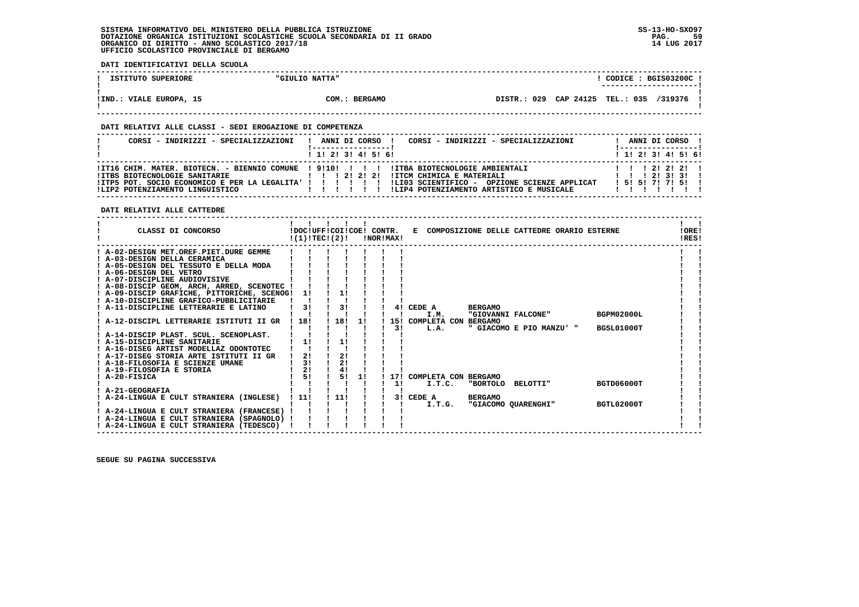**DATI IDENTIFICATIVI DELLA SCUOLA**

| ISTITUTO SUPERIORE        | "GIULIO NATTA"          | CODICE: BGIS03200C!<br>-----------------------             |
|---------------------------|-------------------------|------------------------------------------------------------|
| VIALE EUROPA, 15<br>!IND. | COM.:<br><b>BERGAMO</b> | CAP 24125<br>029<br><b>TEL.: 035</b><br>/319376<br>DISTR.: |

 **------------------------------------------------------------------------------------------------------------------------------------**

### **DATI RELATIVI ALLE CLASSI - SEDI EROGAZIONE DI COMPETENZA**

| CORSI - INDIRIZZI - SPECIALIZZAZIONI                                                                                                                                                                                         | ANNI DI CORSO !<br>1 1 2 3 3 4 5 5 6 |  |  | CORSI - INDIRIZZI - SPECIALIZZAZIONI                                                                                                       |  |  | ANNI DI CORSO !<br>! ------------------!<br>$1$ , 1!, 2!, 3!, 4!, 5!, 6! |  |
|------------------------------------------------------------------------------------------------------------------------------------------------------------------------------------------------------------------------------|--------------------------------------|--|--|--------------------------------------------------------------------------------------------------------------------------------------------|--|--|--------------------------------------------------------------------------|--|
| ITT16 CHIM. MATER. BIOTECN. - BIENNIO COMUNE 191101 1 1 1 1ITBA BIOTECNOLOGIE AMBIENTALI<br>IITBS BIOTECNOLOGIE SANITARIE<br>! ITP5 POT. SOCIO ECONOMICO E PER LA LEGALITA' ! ! ! ! ! ! !<br>!LIP2 POTENZIAMENTO LINGUISTICO | 1 1 1 2 1 2 1 2 1<br>1 1 1 1 1 1 1   |  |  | !ITCM CHIMICA E MATERIALI<br>1 1 1 2 1 3 1 3 1<br>ILI03 SCIENTIFICO - OPZIONE SCIENZE APPLICAT<br>!LIP4 POTENZIAMENTO ARTISTICO E MUSICALE |  |  | 1 1 1 2 1 2 1 2 1<br>1 5 1 5 1 7 1 7 1 5 1                               |  |

 **DATI RELATIVI ALLE CATTEDRE**

| CLASSI DI CONCORSO                          | !(1)!TEC!(2)! | $\blacksquare$<br>!DOC!UFF!COI!COE! CONTR. |    | !NOR!MAX! |                          |                    | E COMPOSIZIONE DELLE CATTEDRE ORARIO ESTERNE |                   | !ORE!<br>IRES! |
|---------------------------------------------|---------------|--------------------------------------------|----|-----------|--------------------------|--------------------|----------------------------------------------|-------------------|----------------|
| ! A-02-DESIGN MET.OREF.PIET.DURE GEMME      |               |                                            |    |           |                          |                    |                                              |                   |                |
| ! A-03-DESIGN DELLA CERAMICA                |               |                                            |    |           |                          |                    |                                              |                   |                |
| ! A-05-DESIGN DEL TESSUTO E DELLA MODA      |               |                                            |    |           |                          |                    |                                              |                   |                |
| ! A-06-DESIGN DEL VETRO                     |               |                                            |    |           |                          |                    |                                              |                   |                |
| ! A-07-DISCIPLINE AUDIOVISIVE               |               |                                            |    |           |                          |                    |                                              |                   |                |
| ! A-08-DISCIP GEOM, ARCH, ARRED, SCENOTEC ! |               |                                            |    |           |                          |                    |                                              |                   |                |
| ! A-09-DISCIP GRAFICHE, PITTORICHE, SCENOG! | -11           | 1!                                         |    |           |                          |                    |                                              |                   |                |
| ! A-10-DISCIPLINE GRAFICO-PUBBLICITARIE     |               |                                            |    |           |                          |                    |                                              |                   |                |
| ! A-11-DISCIPLINE LETTERARIE E LATINO       | 31            | 3!                                         |    |           | 4! CEDE A                | <b>BERGAMO</b>     |                                              |                   |                |
|                                             |               |                                            |    |           | I.M.                     | "GIOVANNI FALCONE" |                                              | <b>BGPM02000L</b> |                |
| A-12-DISCIPL LETTERARIE ISTITUTI II GR      | ! 18!         | 18!                                        | 1! |           | 15! COMPLETA CON         | <b>BERGAMO</b>     |                                              |                   |                |
|                                             |               |                                            |    | 31        | L.A.                     |                    | " GIACOMO E PIO MANZU' "                     | <b>BGSL01000T</b> |                |
| ! A-14-DISCIP PLAST. SCUL. SCENOPLAST.      |               |                                            |    |           |                          |                    |                                              |                   |                |
| ! A-15-DISCIPLINE SANITARIE                 | 1!            | 1!                                         |    |           |                          |                    |                                              |                   |                |
| ! A-16-DISEG ARTIST MODELLAZ ODONTOTEC      |               |                                            |    |           |                          |                    |                                              |                   |                |
| ! A-17-DISEG STORIA ARTE ISTITUTI II GR     | 2!            | 2!                                         |    |           |                          |                    |                                              |                   |                |
| A-18-FILOSOFIA E SCIENZE UMANE              | 31            | 21                                         |    |           |                          |                    |                                              |                   |                |
| ! A-19-FILOSOFIA E STORIA                   | 21            | 4!                                         |    |           |                          |                    |                                              |                   |                |
| ! A-20-FISICA                               | 51            | 51                                         | 1! |           | 17! COMPLETA CON BERGAMO |                    |                                              |                   |                |
|                                             |               |                                            |    | 11        | I.T.C.                   | "BORTOLO BELOTTI"  |                                              | <b>BGTD06000T</b> |                |
| ! A-21-GEOGRAFIA                            |               |                                            |    |           |                          |                    |                                              |                   |                |
| A-24-LINGUA E CULT STRANIERA (INGLESE)      | ! 11!         | 11!                                        |    |           | 3! CEDE A                | <b>BERGAMO</b>     |                                              |                   |                |
|                                             |               |                                            |    |           | I.T.G.                   |                    | "GIACOMO QUARENGHI"                          | BGTL02000T        |                |
| ! A-24-LINGUA E CULT STRANIERA (FRANCESE) ! |               |                                            |    |           |                          |                    |                                              |                   |                |
| ! A-24-LINGUA E CULT STRANIERA (SPAGNOLO)   |               |                                            |    |           |                          |                    |                                              |                   |                |
| ! A-24-LINGUA E CULT STRANIERA (TEDESCO)    |               |                                            |    |           |                          |                    |                                              |                   |                |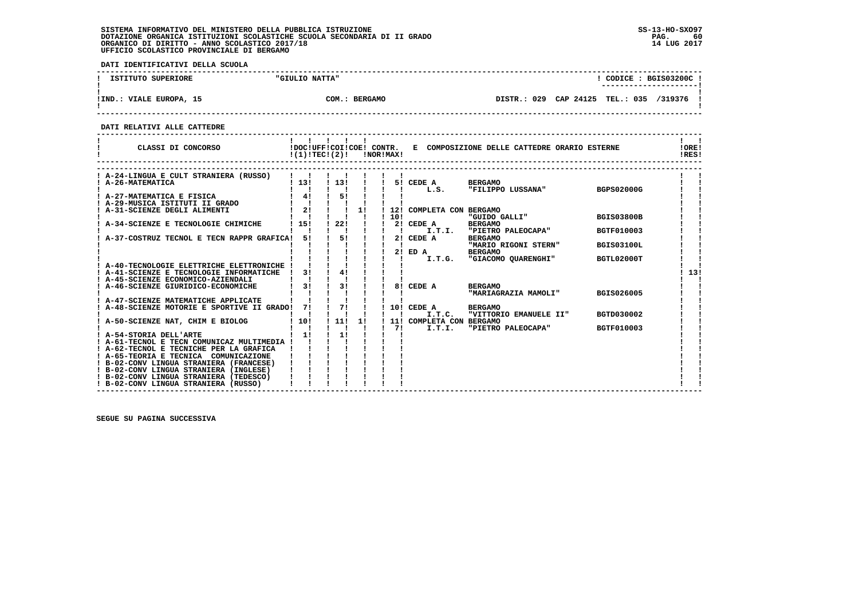**DATI IDENTIFICATIVI DELLA SCUOLA**

| ISTITUTO SUPERIORE        | "GIULIO NATTA" |         |                                 |  | CODICE: BGIS03200C!<br>--------------------- |  |
|---------------------------|----------------|---------|---------------------------------|--|----------------------------------------------|--|
| VIALE EUROPA, 15<br>!IND. | COM.: BERGAMO  | DISTR.: | 029 CAP 24125 TEL.: 035 /319376 |  |                                              |  |

 **------------------------------------------------------------------------------------------------------------------------------------**

 **DATI RELATIVI ALLE CATTEDRE**

| CLASSI DI CONCORSO                                                               |      | !DOC!UFF!COI!COE! CONTR.<br>!(1)!TEC!(2)! |    | !NOR!MAX! |                          | E COMPOSIZIONE DELLE CATTEDRE ORARIO ESTERNE |                   | !ORE!<br>!RES! |
|----------------------------------------------------------------------------------|------|-------------------------------------------|----|-----------|--------------------------|----------------------------------------------|-------------------|----------------|
| A-24-LINGUA E CULT STRANIERA (RUSSO)                                             |      |                                           |    |           |                          |                                              |                   |                |
| A-26-MATEMATICA                                                                  | 1131 | 113!                                      |    |           | 5! CEDE A                | <b>BERGAMO</b>                               |                   |                |
|                                                                                  |      |                                           |    |           | L.S.                     | "FILIPPO LUSSANA"                            | <b>BGPS02000G</b> |                |
| ! A-27-MATEMATICA E FISICA                                                       | 41   | 51                                        |    |           |                          |                                              |                   |                |
| ! A-29-MUSICA ISTITUTI II GRADO                                                  |      |                                           |    |           |                          |                                              |                   |                |
| A-31-SCIENZE DEGLI ALIMENTI                                                      | 2!   |                                           | 1! |           | 12! COMPLETA CON BERGAMO |                                              |                   |                |
|                                                                                  |      |                                           |    | 10!       |                          | "GUIDO GALLI"                                | <b>BGIS03800B</b> |                |
| A-34-SCIENZE E TECNOLOGIE CHIMICHE                                               | 15!  | 22!                                       |    |           | 2! CEDE A                | <b>BERGAMO</b>                               |                   |                |
|                                                                                  |      |                                           |    |           | I.T.I.                   | "PIETRO PALEOCAPA"                           | BGTF010003        |                |
| A-37-COSTRUZ TECNOL E TECN RAPPR GRAFICA!                                        | 51   | 51                                        |    |           | 2! CEDE A                | <b>BERGAMO</b>                               |                   |                |
|                                                                                  |      |                                           |    |           |                          | "MARIO RIGONI STERN"                         | <b>BGIS03100L</b> |                |
|                                                                                  |      |                                           |    | 2!        | ED A                     | <b>BERGAMO</b>                               |                   |                |
|                                                                                  |      |                                           |    |           | I.T.G.                   | "GIACOMO OUARENGHI"                          | BGTL02000T        |                |
| ! A-40-TECNOLOGIE ELETTRICHE ELETTRONICHE !                                      | 31   | 41                                        |    |           |                          |                                              |                   | 13!            |
| ! A-41-SCIENZE E TECNOLOGIE INFORMATICHE<br>! A-45-SCIENZE ECONOMICO-AZIENDALI   |      |                                           |    |           |                          |                                              |                   |                |
| A-46-SCIENZE GIURIDICO-ECONOMICHE                                                | 31   | 31                                        |    | 81        | CEDE A                   | <b>BERGAMO</b>                               |                   |                |
|                                                                                  |      |                                           |    |           |                          | "MARIAGRAZIA MAMOLI"                         | BGIS026005        |                |
| ! A-47-SCIENZE MATEMATICHE APPLICATE                                             |      |                                           |    |           |                          |                                              |                   |                |
| A-48-SCIENZE MOTORIE E SPORTIVE II GRADO!                                        | 71   | 71                                        |    |           | 10! CEDE A               | <b>BERGAMO</b>                               |                   |                |
|                                                                                  |      |                                           |    |           | I.T.C.                   | "VITTORIO EMANUELE II"                       | BGTD030002        |                |
| A-50-SCIENZE NAT, CHIM E BIOLOG                                                  | 10!  | 11!                                       | 11 |           | 11! COMPLETA CON BERGAMO |                                              |                   |                |
|                                                                                  |      |                                           |    | 71        | I.T.I.                   | "PIETRO PALEOCAPA"                           | <b>BGTF010003</b> |                |
| ! A-54-STORIA DELL'ARTE                                                          | 11   | 1!                                        |    |           |                          |                                              |                   |                |
| ! A-61-TECNOL E TECN COMUNICAZ MULTIMEDIA !                                      |      |                                           |    |           |                          |                                              |                   |                |
| ! A-62-TECNOL E TECNICHE PER LA GRAFICA                                          |      |                                           |    |           |                          |                                              |                   |                |
| ! A-65-TEORIA E TECNICA COMUNICAZIONE                                            |      |                                           |    |           |                          |                                              |                   |                |
| ! B-02-CONV LINGUA STRANIERA (FRANCESE)                                          |      |                                           |    |           |                          |                                              |                   |                |
| ! B-02-CONV LINGUA STRANIERA (INGLESE)<br>! B-02-CONV LINGUA STRANIERA (TEDESCO) |      |                                           |    |           |                          |                                              |                   |                |
| ! B-02-CONV LINGUA STRANIERA (RUSSO)                                             |      |                                           |    |           |                          |                                              |                   |                |
|                                                                                  |      |                                           |    |           |                          |                                              |                   |                |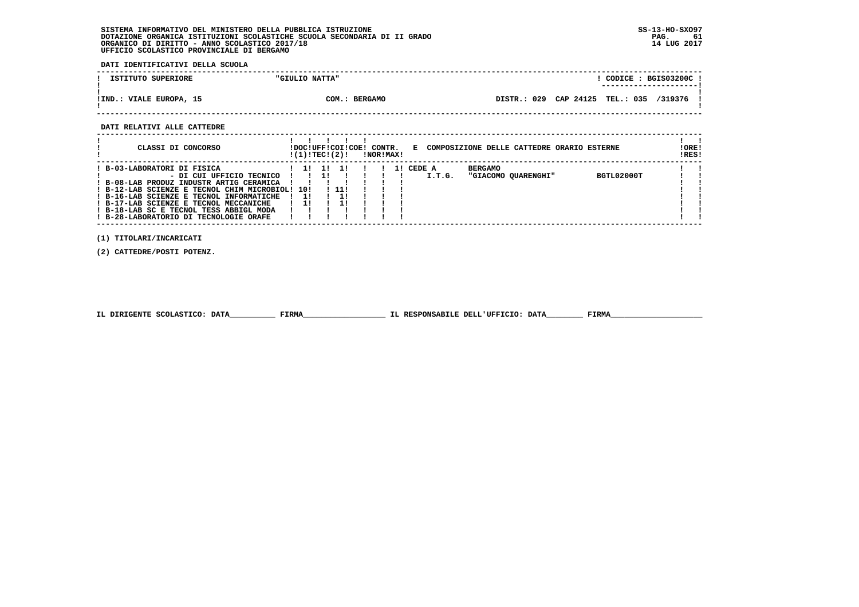**DATI IDENTIFICATIVI DELLA SCUOLA**

| ISTITUTO SUPERIORE        | "GIULIO NATTA"          |             | CODICE: BGIS03200C<br>---------------------- |  |
|---------------------------|-------------------------|-------------|----------------------------------------------|--|
| VIALE EUROPA, 15<br>!IND. | COM.:<br><b>BERGAMO</b> | DISTR.: 029 | CAP 24125 TEL.: 035 /319376                  |  |

 **------------------------------------------------------------------------------------------------------------------------------------**

#### **DATI RELATIVI ALLE CATTEDRE**

| CLASSI DI CONCORSO                                                                                                                                                                                                                                                                                                            | ! (1) ! TEC! (2) !     |                 |       | !DOC!UFF!COI!COE! CONTR. | !NOR!MAX! |                     | E COMPOSIZIONE DELLE CATTEDRE ORARIO ESTERNE |            | ! ORE!<br>!RES! |
|-------------------------------------------------------------------------------------------------------------------------------------------------------------------------------------------------------------------------------------------------------------------------------------------------------------------------------|------------------------|-----------------|-------|--------------------------|-----------|---------------------|----------------------------------------------|------------|-----------------|
| B-03-LABORATORI DI FISICA<br>- DI CUI UFFICIO TECNICO<br>B-08-LAB PRODUZ INDUSTR ARTIG CERAMICA<br>! B-12-LAB SCIENZE E TECNOL CHIM MICROBIOL! 10!<br>! B-16-LAB SCIENZE E TECNOL INFORMATICHE<br>! B-17-LAB SCIENZE E TECNOL MECCANICHE<br>! B-18-LAB SC E TECNOL TESS ABBIGL MODA<br>! B-28-LABORATORIO DI TECNOLOGIE ORAFE | -11<br>$\overline{11}$ | <b>11</b><br>11 | ! 11! |                          |           | 1! CEDE A<br>I.T.G. | <b>BERGAMO</b><br>"GIACOMO OUARENGHI"        | BGTL02000T |                 |

 **(1) TITOLARI/INCARICATI**

 **(2) CATTEDRE/POSTI POTENZ.**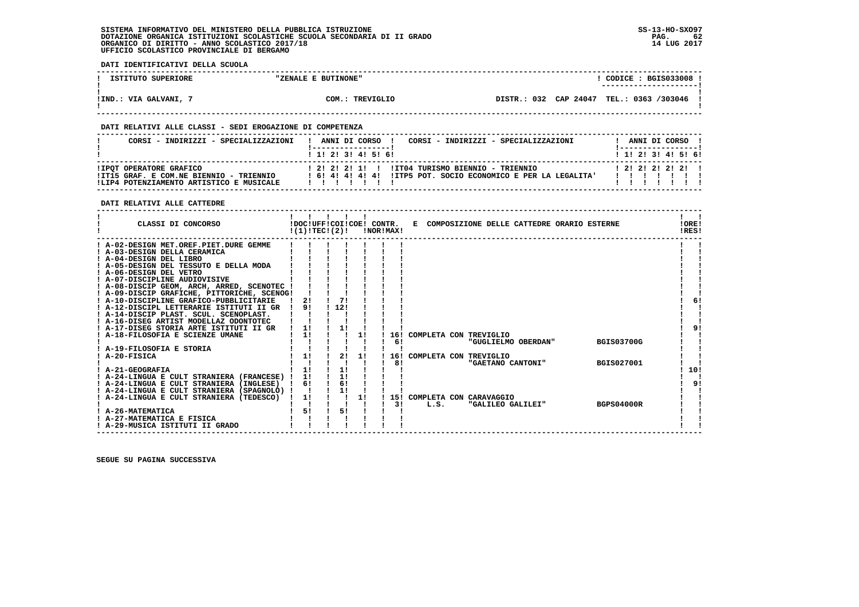**DATI IDENTIFICATIVI DELLA SCUOLA**

| ISTITUTO SUPERIORE    | "ZENALE E BUTINONE" | CODICE: BGIS033008 !                     |  |
|-----------------------|---------------------|------------------------------------------|--|
|                       |                     | ---------------------                    |  |
|                       |                     |                                          |  |
| !IND.: VIA GALVANI, 7 | COM.: TREVIGLIO     | DISTR.: 032 CAP 24047 TEL.: 0363 /303046 |  |
|                       |                     |                                          |  |

 **------------------------------------------------------------------------------------------------------------------------------------**

### **DATI RELATIVI ALLE CLASSI - SEDI EROGAZIONE DI COMPETENZA**

| CORSI - INDIRIZZI - SPECIALIZZAZIONI                                                | CORSI - INDIRIZZI - SPECIALIZZAZIONI<br>ANNI DI CORSO !                   |  | ANNI DI CORSO !           |  |
|-------------------------------------------------------------------------------------|---------------------------------------------------------------------------|--|---------------------------|--|
|                                                                                     | 1 1 1 2 1 3 1 4 1 5 1 6 1                                                 |  | 1 1 1 2 1 3 1 4 1 5 1 6 1 |  |
| !IPOT OPERATORE GRAFICO                                                             |                                                                           |  | $1$ 21 21 21 21 1         |  |
| !IT15 GRAF. E COM.NE BIENNIO - TRIENNIO<br>!LIP4 POTENZIAMENTO ARTISTICO E MUSICALE | ! 6! 4! 4! 4! 4! ! ITP5 POT. SOCIO ECONOMICO E PER LA LEGALITA'<br>111111 |  | .                         |  |
|                                                                                     |                                                                           |  |                           |  |

### **DATI RELATIVI ALLE CATTEDRE**

| CLASSI DI CONCORSO                                                                      | !DOC!UFF!COI!COE! CONTR.<br>!(1)!TECI(2)! |          |    |    | !NOR!MAX! |           |                            |                   | E COMPOSIZIONE DELLE CATTEDRE ORARIO ESTERNE |                   | !ORE!<br>!RES! |     |
|-----------------------------------------------------------------------------------------|-------------------------------------------|----------|----|----|-----------|-----------|----------------------------|-------------------|----------------------------------------------|-------------------|----------------|-----|
| ! A-02-DESIGN MET.OREF.PIET.DURE GEMME                                                  |                                           |          |    |    |           |           |                            |                   |                                              |                   |                |     |
| ! A-03-DESIGN DELLA CERAMICA                                                            |                                           |          |    |    |           |           |                            |                   |                                              |                   |                |     |
| A-04-DESIGN DEL LIBRO                                                                   |                                           |          |    |    |           |           |                            |                   |                                              |                   |                |     |
| ! A-05-DESIGN DEL TESSUTO E DELLA MODA                                                  |                                           |          |    |    |           |           |                            |                   |                                              |                   |                |     |
| ! A-06-DESIGN DEL VETRO                                                                 |                                           |          |    |    |           |           |                            |                   |                                              |                   |                |     |
| ! A-07-DISCIPLINE AUDIOVISIVE                                                           |                                           |          |    |    |           |           |                            |                   |                                              |                   |                |     |
| ! A-08-DISCIP GEOM, ARCH, ARRED, SCENOTEC !                                             |                                           |          |    |    |           |           |                            |                   |                                              |                   |                |     |
| ! A-09-DISCIP GRAFICHE, PITTORICHE, SCENOG!                                             |                                           |          |    |    |           |           |                            |                   |                                              |                   |                |     |
| ! A-10-DISCIPLINE GRAFICO-PUBBLICITARIE                                                 | 21                                        |          | 71 |    |           |           |                            |                   |                                              |                   |                | 61  |
| ! A-12-DISCIPL LETTERARIE ISTITUTI II GR                                                | 9!                                        | 1121     |    |    |           |           |                            |                   |                                              |                   |                |     |
| ! A-14-DISCIP PLAST, SCUL, SCENOPLAST,                                                  |                                           |          |    |    |           |           |                            |                   |                                              |                   |                |     |
| ! A-16-DISEG ARTIST MODELLAZ ODONTOTEC                                                  |                                           |          |    |    |           |           |                            |                   |                                              |                   |                |     |
| ! A-17-DISEG STORIA ARTE ISTITUTI II GR                                                 | 11                                        | 1!       |    |    |           |           |                            |                   |                                              |                   |                | 9!  |
| A-18-FILOSOFIA E SCIENZE UMANE                                                          | 1!                                        |          |    | 11 |           |           | 16! COMPLETA CON TREVIGLIO |                   |                                              |                   |                |     |
|                                                                                         |                                           |          |    |    |           | 6!        |                            |                   | "GUGLIELMO OBERDAN"                          | <b>BGIS03700G</b> |                |     |
| A-19-FILOSOFIA E STORIA                                                                 |                                           |          |    |    |           |           |                            |                   |                                              |                   |                |     |
| A-20-FISICA                                                                             | 1!                                        | 2!       |    | 11 |           | 16!<br>81 | COMPLETA CON TREVIGLIO     |                   |                                              |                   |                |     |
|                                                                                         |                                           |          |    |    |           |           |                            | "GAETANO CANTONI" |                                              | <b>BGIS027001</b> |                |     |
| <b>A-21-GEOGRAFIA</b>                                                                   | 1!<br>11                                  | 1!<br>1! |    |    |           |           |                            |                   |                                              |                   |                | 10! |
| ! A-24-LINGUA E CULT STRANIERA (FRANCESE) !<br>! A-24-LINGUA E CULT STRANIERA (INGLESE) | 61                                        | 6!       |    |    |           |           |                            |                   |                                              |                   |                | 91  |
| A-24-LINGUA E CULT STRANIERA (SPAGNOLO) !                                               |                                           | 1!       |    |    |           |           |                            |                   |                                              |                   |                |     |
| A-24-LINGUA E CULT STRANIERA (TEDESCO)                                                  | 1!                                        |          |    | 11 |           | 151       | COMPLETA CON CARAVAGGIO    |                   |                                              |                   |                |     |
|                                                                                         |                                           |          |    |    |           | 3!        | L.S.                       | "GALILEO GALILEI" |                                              | <b>BGPS04000R</b> |                |     |
| A-26-MATEMATICA                                                                         | 51                                        |          | 51 |    |           |           |                            |                   |                                              |                   |                |     |
| ! A-27-MATEMATICA E FISICA                                                              |                                           |          |    |    |           |           |                            |                   |                                              |                   |                |     |
| ! A-29-MUSICA ISTITUTI II GRADO                                                         |                                           |          |    |    |           |           |                            |                   |                                              |                   |                |     |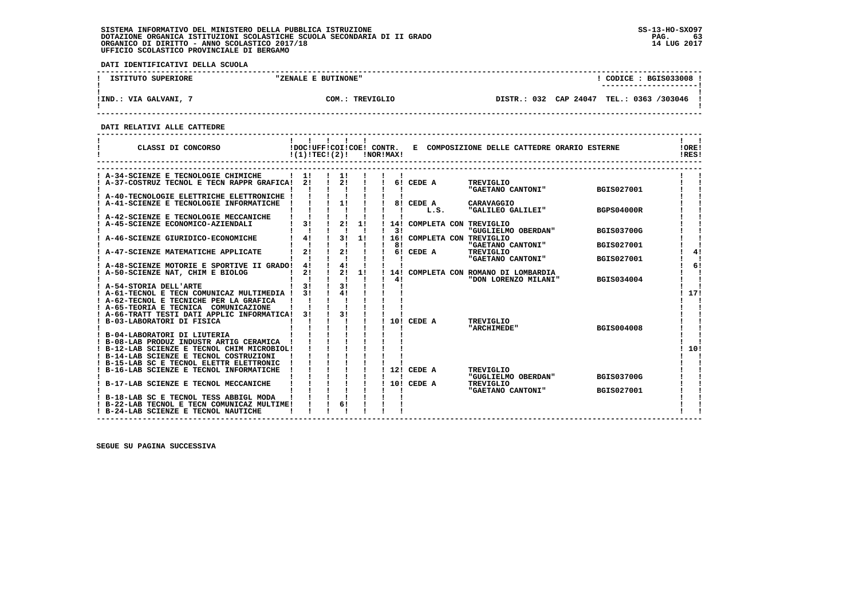**DATI IDENTIFICATIVI DELLA SCUOLA**

| ISTITUTO SUPERIORE    | "ZENALE E BUTINONE" | $\texttt{CODE}: \texttt{BGIS033008}.$<br>---------------------- |  |
|-----------------------|---------------------|-----------------------------------------------------------------|--|
| !IND.: VIA GALVANI, 7 | COM.: TREVIGLIO     | DISTR.: 032 CAP 24047 TEL.: 0363 /303046                        |  |

 **------------------------------------------------------------------------------------------------------------------------------------**

 **DATI RELATIVI ALLE CATTEDRE**

| A-34-SCIENZE E TECNOLOGIE CHIMICHE<br>$\frac{1}{2}$<br>$\frac{1}{1}$<br>$2!$ $1$<br>! A-37-COSTRUZ TECNOL E TECN RAPPR GRAFICA!<br>21<br><b>Contract Contract</b><br>6! CEDE A<br>TREVIGLIO<br>"GAETANO CANTONI"<br>BGIS027001<br>A-40-TECNOLOGIE ELETTRICHE ELETTRONICHE !<br>1!<br>A-41-SCIENZE E TECNOLOGIE INFORMATICHE<br>8! CEDE A<br>CARAVAGGIO<br>L.S.<br>"GALILEO GALILEI"<br><b>BGPS04000R</b> |
|----------------------------------------------------------------------------------------------------------------------------------------------------------------------------------------------------------------------------------------------------------------------------------------------------------------------------------------------------------------------------------------------------------|
|                                                                                                                                                                                                                                                                                                                                                                                                          |
|                                                                                                                                                                                                                                                                                                                                                                                                          |
|                                                                                                                                                                                                                                                                                                                                                                                                          |
|                                                                                                                                                                                                                                                                                                                                                                                                          |
|                                                                                                                                                                                                                                                                                                                                                                                                          |
|                                                                                                                                                                                                                                                                                                                                                                                                          |
| A-42-SCIENZE E TECNOLOGIE MECCANICHE<br>3!<br>2!<br>1!                                                                                                                                                                                                                                                                                                                                                   |
| A-45-SCIENZE ECONOMICO-AZIENDALI<br>14! COMPLETA CON TREVIGLIO<br>31<br>"GUGLIELMO OBERDAN"<br><b>BGIS03700G</b>                                                                                                                                                                                                                                                                                         |
| 3!<br>4!<br>1!<br>16! COMPLETA CON TREVIGLIO<br>A-46-SCIENZE GIURIDICO-ECONOMICHE                                                                                                                                                                                                                                                                                                                        |
| "GAETANO CANTONI"<br>81<br><b>BGIS027001</b>                                                                                                                                                                                                                                                                                                                                                             |
| 21<br>21<br>6! CEDE A<br>TREVIGLIO<br>41<br>A-47-SCIENZE MATEMATICHE APPLICATE                                                                                                                                                                                                                                                                                                                           |
| "GAETANO CANTONI"<br>BGIS027001                                                                                                                                                                                                                                                                                                                                                                          |
| 41<br>41<br>61<br>! A-48-SCIENZE MOTORIE E SPORTIVE II GRADO!                                                                                                                                                                                                                                                                                                                                            |
| 2!<br>$\mathbf{I}$<br>1!<br>21<br>A-50-SCIENZE NAT, CHIM E BIOLOG<br>14! COMPLETA CON ROMANO DI LOMBARDIA<br>$\mathbf{I}$<br>4!                                                                                                                                                                                                                                                                          |
| "DON LORENZO MILANI"<br>BGIS034004<br>3!<br>31<br>A-54-STORIA DELL'ARTE                                                                                                                                                                                                                                                                                                                                  |
| 4!<br>31<br>17!<br>A-61-TECNOL E TECN COMUNICAZ MULTIMEDIA !                                                                                                                                                                                                                                                                                                                                             |
| ! A-62-TECNOL E TECNICHE PER LA GRAFICA                                                                                                                                                                                                                                                                                                                                                                  |
| ! A-65-TEORIA E TECNICA COMUNICAZIONE                                                                                                                                                                                                                                                                                                                                                                    |
| 3 <sub>1</sub><br>! A-66-TRATT TESTI DATI APPLIC INFORMATICA!<br>31                                                                                                                                                                                                                                                                                                                                      |
| 10! CEDE A<br>! B-03-LABORATORI DI FISICA<br>TREVIGLIO                                                                                                                                                                                                                                                                                                                                                   |
| <b>BGIS004008</b><br>"ARCHIMEDE"                                                                                                                                                                                                                                                                                                                                                                         |
| B-04-LABORATORI DI LIUTERIA<br>B-08-LAB PRODUZ INDUSTR ARTIG CERAMICA !                                                                                                                                                                                                                                                                                                                                  |
| 10!<br>! B-12-LAB SCIENZE E TECNOL CHIM MICROBIOL!                                                                                                                                                                                                                                                                                                                                                       |
| ! B-14-LAB SCIENZE E TECNOL COSTRUZIONI                                                                                                                                                                                                                                                                                                                                                                  |
| ! B-15-LAB SC E TECNOL ELETTR ELETTRONIC                                                                                                                                                                                                                                                                                                                                                                 |
| B-16-LAB SCIENZE E TECNOL INFORMATICHE<br>12! CEDE A<br>TREVIGLIO                                                                                                                                                                                                                                                                                                                                        |
| "GUGLIELMO OBERDAN"<br><b>BGIS03700G</b>                                                                                                                                                                                                                                                                                                                                                                 |
| B-17-LAB SCIENZE E TECNOL MECCANICHE<br>10! CEDE A<br>TREVIGLIO                                                                                                                                                                                                                                                                                                                                          |
| "GAETANO CANTONI"<br><b>BGIS027001</b>                                                                                                                                                                                                                                                                                                                                                                   |
| B-18-LAB SC E TECNOL TESS ABBIGL MODA<br>61<br>! B-22-LAB TECNOL E TECN COMUNICAZ MULTIME!                                                                                                                                                                                                                                                                                                               |
| ! B-24-LAB SCIENZE E TECNOL NAUTICHE                                                                                                                                                                                                                                                                                                                                                                     |

 **------------------------------------------------------------------------------------------------------------------------------------**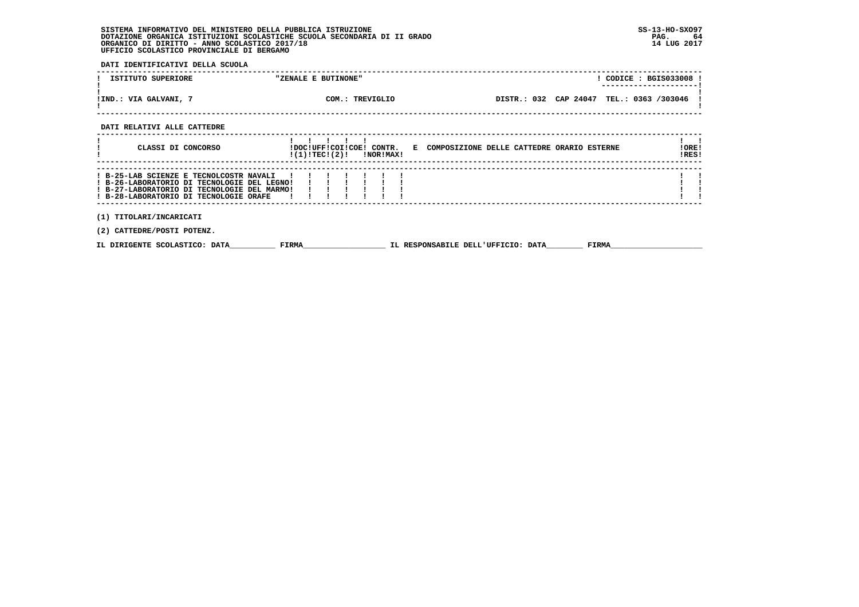**DATI IDENTIFICATIVI DELLA SCUOLA**

| ISTITUTO SUPERIORE                                                                                                                                                              | "ZENALE E BUTINONE"         | ! CODICE : BGIS033008 !                                                                 |
|---------------------------------------------------------------------------------------------------------------------------------------------------------------------------------|-----------------------------|-----------------------------------------------------------------------------------------|
| !IND.: VIA GALVANI, 7                                                                                                                                                           | COM.: TREVIGLIO             | DISTR.: 032 CAP 24047 TEL.: 0363 /303046                                                |
| DATI RELATIVI ALLE CATTEDRE                                                                                                                                                     |                             |                                                                                         |
| CLASSI DI CONCORSO                                                                                                                                                              | $!(1)!TEC!(2)!$ $INORIMAX!$ | !DOC!UFF!COI!COE! CONTR. E COMPOSIZIONE DELLE CATTEDRE ORARIO ESTERNE<br>!ORE!<br>!RES! |
| ! B-25-LAB SCIENZE E TECNOLCOSTR NAVALI<br>! B-26-LABORATORIO DI TECNOLOGIE DEL LEGNO!<br>! B-27-LABORATORIO DI TECNOLOGIE DEL MARMO!<br>! B-28-LABORATORIO DI TECNOLOGIE ORAFE |                             |                                                                                         |
| (1) TITOLARI/INCARICATI<br>(2) CATTEDRE/POSTI POTENZ.                                                                                                                           |                             |                                                                                         |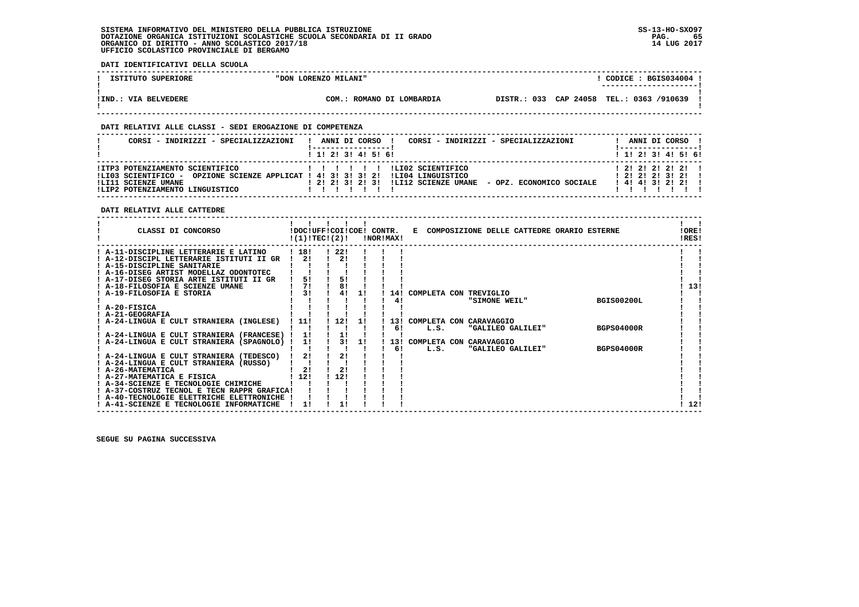$\blacksquare$ 

  **------------------------------------------------------------------------------------------------------------------------------------**! CODICE: BGIS034004 ! **EXECUTE IS IT IS EXECUTE IS SUPERIORE TO A LORENZO MILANI" ! ---------------------! ! ! !IND.: VIA BELVEDERE COM.: ROMANO DI LOMBARDIA DISTR.: 033 CAP 24058 TEL.: 0363 /910639 ! ! ! ------------------------------------------------------------------------------------------------------------------------------------ DATI RELATIVI ALLE CLASSI - SEDI EROGAZIONE DI COMPETENZA ------------------------------------------------------------------------------------------------------------------------------------**! ANNI DI CORSO !  **! CORSI - INDIRIZZI - SPECIALIZZAZIONI ! ANNI DI CORSO ! CORSI - INDIRIZZI - SPECIALIZZAZIONI ! ANNI DI CORSO ! ! !-----------------! !-----------------!**1 1 2 1 3 1 4 1 5 1 6 1  **! ! 1! 2! 3! 4! 5! 6! ! 1! 2! 3! 4! 5! 6! ------------------------------------------------------------------------------------------------------------------------------------** $12121212121$  **!ITP3 POTENZIAMENTO SCIENTIFICO ! ! ! ! ! ! !LI02 SCIENTIFICO ! 2! 2! 2! 2! 2! ! !LI03 SCIENTIFICO - OPZIONE SCIENZE APPLICAT ! 4! 3! 3! 3! 2! !LI04 LINGUISTICO ! 2! 2! 2! 3! 2! ! !LI11 SCIENZE UMANE ! 2! 2! 3! 2! 3! !LI12 SCIENZE UMANE - OPZ. ECONOMICO SOCIALE ! 4! 4! 3! 2! 2! ! !LIP2 POTENZIAMENTO LINGUISTICO ! ! ! ! ! ! ! ! ! ! ! ! ! !**

 **------------------------------------------------------------------------------------------------------------------------------------**

 **DATI RELATIVI ALLE CATTEDRE**

 **DATI IDENTIFICATIVI DELLA SCUOLA**

| CLASSI DI CONCORSO                          |       | !DOC!UFF!COI!COE! CONTR.<br>!(1)!TECI(2)! |    | !NOR!MAX! |                             | E COMPOSIZIONE DELLE CATTEDRE ORARIO ESTERNE |                   | !ORE!<br>!RES! |
|---------------------------------------------|-------|-------------------------------------------|----|-----------|-----------------------------|----------------------------------------------|-------------------|----------------|
| ! A-11-DISCIPLINE LETTERARIE E LATINO       | ! 18! | 1221                                      |    |           |                             |                                              |                   |                |
| ! A-12-DISCIPL LETTERARIE ISTITUTI II GR    | 21    | 21                                        |    |           |                             |                                              |                   |                |
| ! A-15-DISCIPLINE SANITARIE                 |       |                                           |    |           |                             |                                              |                   |                |
| ! A-16-DISEG ARTIST MODELLAZ ODONTOTEC      |       |                                           |    |           |                             |                                              |                   |                |
| ! A-17-DISEG STORIA ARTE ISTITUTI II GR     | 5!    | 5!                                        |    |           |                             |                                              |                   |                |
| ! A-18-FILOSOFIA E SCIENZE UMANE            | 71    | 8!                                        |    |           |                             |                                              |                   | 13!            |
| ! A-19-FILOSOFIA E STORIA                   | 31    | 4!                                        | 11 |           | 14! COMPLETA CON TREVIGLIO  |                                              |                   |                |
|                                             |       |                                           |    | 41        |                             | "SIMONE WEIL"                                | <b>BGIS00200L</b> |                |
| ! A-20-FISICA                               |       |                                           |    |           |                             |                                              |                   |                |
| ! A-21-GEOGRAFIA                            |       |                                           |    |           |                             |                                              |                   |                |
| ! A-24-LINGUA E CULT STRANIERA (INGLESE)    | 111   | 12!                                       | 11 | 131       | COMPLETA CON CARAVAGGIO     |                                              |                   |                |
|                                             |       |                                           |    | 61        | L.S.                        | "GALILEO GALILEI"                            | <b>BGPS04000R</b> |                |
| ! A-24-LINGUA E CULT STRANIERA (FRANCESE) ! | 1!    | 1!                                        |    |           |                             |                                              |                   |                |
| ! A-24-LINGUA E CULT STRANIERA (SPAGNOLO) ! | 1!    | 31                                        | 11 |           | 13! COMPLETA CON CARAVAGGIO |                                              |                   |                |
|                                             |       |                                           |    | 6!        | L.S.                        | "GALILEO GALILEI"                            | <b>BGPS04000R</b> |                |
| ! A-24-LINGUA E CULT STRANIERA (TEDESCO)    | 2!    | 2!                                        |    |           |                             |                                              |                   |                |
| ! A-24-LINGUA E CULT STRANIERA (RUSSO)      |       |                                           |    |           |                             |                                              |                   |                |
| ! A-26-MATEMATICA                           | 21    | 2!                                        |    |           |                             |                                              |                   |                |
| ! A-27-MATEMATICA E FISICA                  | ! 12! | 12!                                       |    |           |                             |                                              |                   |                |
| ! A-34-SCIENZE E TECNOLOGIE CHIMICHE        |       |                                           |    |           |                             |                                              |                   |                |
| ! A-37-COSTRUZ TECNOL E TECN RAPPR GRAFICA! |       |                                           |    |           |                             |                                              |                   |                |
| ! A-40-TECNOLOGIE ELETTRICHE ELETTRONICHE   |       |                                           |    |           |                             |                                              |                   |                |
| ! A-41-SCIENZE E TECNOLOGIE INFORMATICHE    |       |                                           |    |           |                             |                                              |                   | 12!            |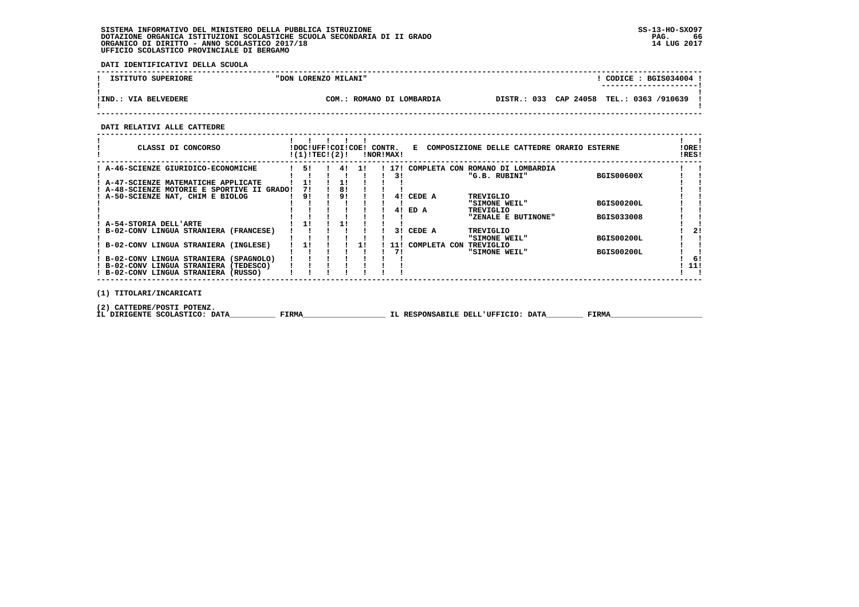**DATI IDENTIFICATIVI DELLA SCUOLA**

| ISTITUTO SUPERIORE    | "DON LORENZO MILANI"      | CODICE: BGIS034004:<br>---------------------- |
|-----------------------|---------------------------|-----------------------------------------------|
| ! IND.: VIA BELVEDERE | COM.: ROMANO DI LOMBARDIA | DISTR.: 033 CAP 24058 TEL.: 0363 /910639      |

 **------------------------------------------------------------------------------------------------------------------------------------**

### **DATI RELATIVI ALLE CATTEDRE**

| CLASSI DI CONCORSO                          | !DOC!UFF!COI!COE! CONTR.<br>!(1)!TEC!(2)! |    |      | !NOR!MAX! |      | Е            |  | COMPOSIZIONE DELLE CATTEDRE ORARIO ESTERNE |                   | !ORE!<br>!RES! |
|---------------------------------------------|-------------------------------------------|----|------|-----------|------|--------------|--|--------------------------------------------|-------------------|----------------|
| A-46-SCIENZE GIURIDICO-ECONOMICHE           | 51                                        | 4! | - 11 |           | 171  | COMPLETA CON |  | ROMANO DI LOMBARDIA                        |                   |                |
|                                             |                                           |    |      |           | 3!   |              |  | "G.B. RUBINI"                              | <b>BGIS00600X</b> |                |
| A-47-SCIENZE MATEMATICHE APPLICATE          | 11                                        | 11 |      |           |      |              |  |                                            |                   |                |
| ! A-48-SCIENZE MOTORIE E SPORTIVE II GRADO! | 71                                        | 81 |      |           |      |              |  |                                            |                   |                |
| A-50-SCIENZE NAT, CHIM E BIOLOG             | 91                                        | 91 |      |           | 41   | CEDE A       |  | TREVIGLIO                                  |                   |                |
|                                             |                                           |    |      |           |      |              |  | "SIMONE WEIL"                              | <b>BGIS00200L</b> |                |
|                                             |                                           |    |      |           | 41   | ED A         |  | TREVIGLIO                                  |                   |                |
|                                             |                                           |    |      |           |      |              |  | "ZENALE E BUTINONE"                        | <b>BGIS033008</b> |                |
| A-54-STORIA DELL'ARTE                       |                                           |    |      |           |      |              |  |                                            |                   |                |
| B-02-CONV LINGUA STRANIERA (FRANCESE)       |                                           |    |      |           | 31   | CEDE A       |  | TREVIGLIO                                  |                   | 21             |
|                                             |                                           |    |      |           |      |              |  | "SIMONE WEIL"                              | <b>BGIS00200L</b> |                |
| B-02-CONV LINGUA STRANIERA (INGLESE)        |                                           |    |      |           | 11 1 | COMPLETA CON |  | TREVIGLIO                                  |                   |                |
|                                             |                                           |    |      |           | 71   |              |  | "SIMONE WEIL"                              | <b>BGIS00200L</b> |                |
| ! B-02-CONV LINGUA STRANIERA (SPAGNOLO)     |                                           |    |      |           |      |              |  |                                            |                   | -61            |
| ! B-02-CONV LINGUA STRANIERA<br>(TEDESCO)   |                                           |    |      |           |      |              |  |                                            |                   | -11!           |
| ! B-02-CONV LINGUA STRANIERA (RUSSO)        |                                           |    |      |           |      |              |  |                                            |                   |                |
|                                             |                                           |    |      |           |      |              |  |                                            |                   |                |
| TITOLARI/INCARICATI<br>(1)                  |                                           |    |      |           |      |              |  |                                            |                   |                |

 **(2) CATTEDRE/POSTI POTENZ.**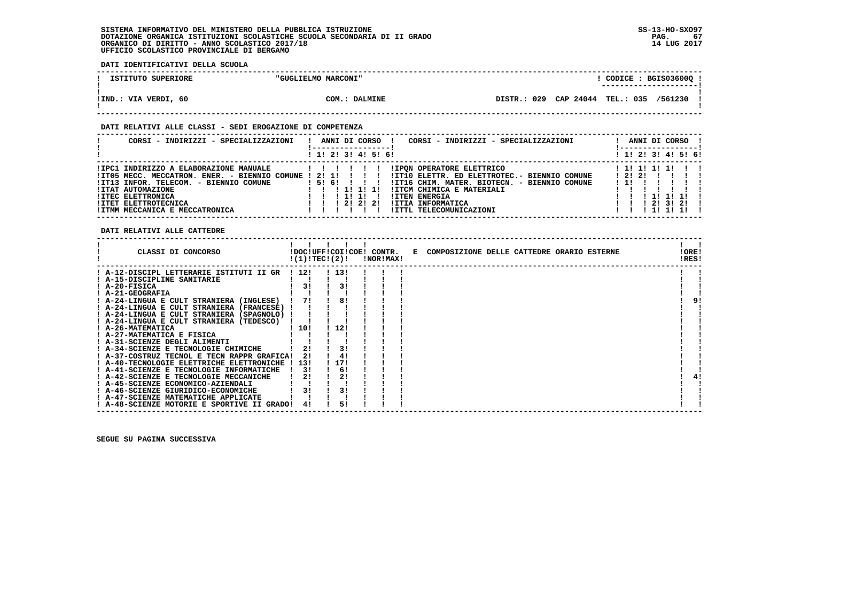**DATI IDENTIFICATIVI DELLA SCUOLA**

| ISTITUTO SUPERIORE   | "GUGLIELMO MARCONI" | CODICE: BGIS03600Q !<br>--------------------- |
|----------------------|---------------------|-----------------------------------------------|
| !IND.: VIA VERDI, 60 | COM.: DALMINE       | DISTR.: 029 CAP 24044 TEL.: 035 /561230       |

### **DATI RELATIVI ALLE CLASSI - SEDI EROGAZIONE DI COMPETENZA**

| CORSI - INDIRIZZI - SPECIALIZZAZIONI                                                                                                                                                                                                                         | ANNI DI CORSO<br>CORSI - INDIRIZZI - SPECIALIZZAZIONI                                                                                                                                                                                                                          | ANNI DI CORSO                                       |
|--------------------------------------------------------------------------------------------------------------------------------------------------------------------------------------------------------------------------------------------------------------|--------------------------------------------------------------------------------------------------------------------------------------------------------------------------------------------------------------------------------------------------------------------------------|-----------------------------------------------------|
|                                                                                                                                                                                                                                                              | ! 1! 2! 3! 4! 5! 6!                                                                                                                                                                                                                                                            | ! 1! 2! 3! 4! 5! 6!                                 |
| IIPC1 INDIRIZZO A ELABORAZIONE MANUALE<br>!IT05 MECC. MECCATRON. ENER. - BIENNIO COMUNE ! 2! 1!<br>!IT13 INFOR. TELECOM. - BIENNIO COMUNE<br>!ITAT AUTOMAZIONE<br><b>!ITEC ELETTRONICA</b><br><b>!ITET ELETTROTECNICA</b><br>! ITMM MECCANICA E MECCATRONICA | <b>!IPON OPERATORE ELETTRICO</b><br>!IT10 ELETTR. ED ELETTROTEC.- BIENNIO COMUNE<br>151611<br>!IT16 CHIM. MATER. BIOTECN. - BIENNIO COMUNE<br>!ITCM CHIMICA E MATERIALI<br>1 11 11 11<br><b>!ITEN ENERGIA</b><br>1 2 1 2 1 2 1<br>!ITIA INFORMATICA<br>!ITTL TELECOMUNICAZIONI | 1 11 11 11 11<br>12121<br>111111<br>213121<br>11111 |

### **DATI RELATIVI ALLE CATTEDRE**

| CLASSI DI CONCORSO                          |       | !DOC!UFF!COI!COE! CONTR.<br>!(1)!TEC!(2)! | !NOR!MAX! | E COMPOSIZIONE DELLE CATTEDRE ORARIO ESTERNE | !ORE!<br>!RES! |
|---------------------------------------------|-------|-------------------------------------------|-----------|----------------------------------------------|----------------|
| ! A-12-DISCIPL LETTERARIE ISTITUTI II GR    | 1121  | 113!                                      |           |                                              |                |
| ! A-15-DISCIPLINE SANITARIE                 |       |                                           |           |                                              |                |
| ! A-20-FISICA                               | 31    | 3!                                        |           |                                              |                |
| ! A-21-GEOGRAFIA                            |       |                                           |           |                                              |                |
| ! A-24-LINGUA E CULT STRANIERA (INGLESE)    |       | 81                                        |           |                                              |                |
| ! A-24-LINGUA E CULT STRANIERA (FRANCESE)   |       |                                           |           |                                              |                |
| ! A-24-LINGUA E CULT STRANIERA (SPAGNOLO)   |       |                                           |           |                                              |                |
| ! A-24-LINGUA E CULT STRANIERA (TEDESCO)    |       |                                           |           |                                              |                |
| ! A-26-MATEMATICA                           | ! 10! | 12!                                       |           |                                              |                |
| ! A-27-MATEMATICA E FISICA                  |       |                                           |           |                                              |                |
| A-31-SCIENZE DEGLI ALIMENTI                 |       |                                           |           |                                              |                |
| ! A-34-SCIENZE E TECNOLOGIE CHIMICHE        |       | 3!                                        |           |                                              |                |
| ! A-37-COSTRUZ TECNOL E TECN RAPPR GRAFICA! | 21    | 4!                                        |           |                                              |                |
| ! A-40-TECNOLOGIE ELETTRICHE ELETTRONICHE   | 131   | ! 17!                                     |           |                                              |                |
| ! A-41-SCIENZE E TECNOLOGIE INFORMATICHE    | 31    | 6!                                        |           |                                              |                |
| ! A-42-SCIENZE E TECNOLOGIE MECCANICHE      |       | 21                                        |           |                                              | 4!             |
| ! A-45-SCIENZE ECONOMICO-AZIENDALI          |       |                                           |           |                                              |                |
| ! A-46-SCIENZE GIURIDICO-ECONOMICHE         |       | 31                                        |           |                                              |                |
| ! A-47-SCIENZE MATEMATICHE APPLICATE        |       |                                           |           |                                              |                |
| ! A-48-SCIENZE MOTORIE E SPORTIVE II GRADO! |       | 51                                        |           |                                              |                |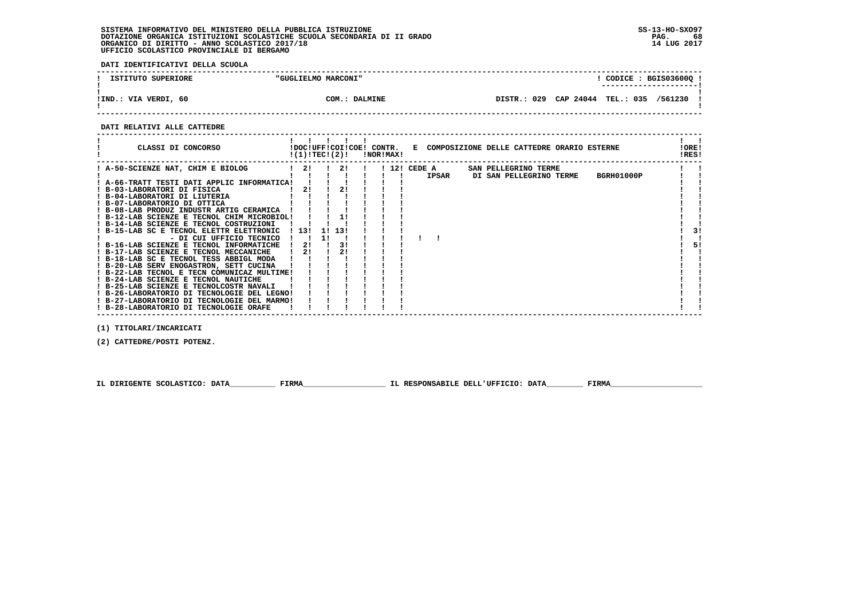**DATI IDENTIFICATIVI DELLA SCUOLA**

| ISTITUTO SUPERIORE   | "GUGLIELMO MARCONI" | CODICE: BGIS03600Q !<br>--------------------- |
|----------------------|---------------------|-----------------------------------------------|
| !IND.: VIA VERDI, 60 | COM.: DALMINE       | DISTR.: 029 CAP 24044 TEL.: 035 /561230       |

 **------------------------------------------------------------------------------------------------------------------------------------**

#### **DATI RELATIVI ALLE CATTEDRE**

| CLASSI DI CONCORSO                          | !(1)!TEC!(2)! |    |     | <b>!NOR!MAX!</b> |  |              |  | !DOC!UFF!COI!COE! CONTR. E COMPOSIZIONE DELLE CATTEDRE ORARIO ESTERNE |            | !ORE!<br>!RES! |    |
|---------------------------------------------|---------------|----|-----|------------------|--|--------------|--|-----------------------------------------------------------------------|------------|----------------|----|
| ! A-50-SCIENZE NAT, CHIM E BIOLOG           | 21            |    | 2!  |                  |  | ! 12! CEDE A |  | SAN PELLEGRINO TERME                                                  |            |                |    |
|                                             |               |    |     |                  |  | IPSAR        |  | DI SAN PELLEGRINO TERME                                               | BGRH01000P |                |    |
| ! A-66-TRATT TESTI DATI APPLIC INFORMATICA! |               |    |     |                  |  |              |  |                                                                       |            |                |    |
| ! B-03-LABORATORI DI FISICA                 | 21            |    | 2!  |                  |  |              |  |                                                                       |            |                |    |
| ! B-04-LABORATORI DI LIUTERIA               |               |    |     |                  |  |              |  |                                                                       |            |                |    |
| ! B-07-LABORATORIO DI OTTICA                |               |    |     |                  |  |              |  |                                                                       |            |                |    |
| ! B-08-LAB PRODUZ INDUSTR ARTIG CERAMICA    |               |    |     |                  |  |              |  |                                                                       |            |                |    |
| ! B-12-LAB SCIENZE E TECNOL CHIM MICROBIOL! |               |    |     |                  |  |              |  |                                                                       |            |                |    |
| ! B-14-LAB SCIENZE E TECNOL COSTRUZIONI     |               |    |     |                  |  |              |  |                                                                       |            |                |    |
| ! B-15-LAB SC E TECNOL ELETTR ELETTRONIC    | 1131          | 11 | 131 |                  |  |              |  |                                                                       |            |                | 31 |
| - DI CUI UFFICIO TECNICO                    |               |    |     |                  |  |              |  |                                                                       |            |                |    |
| ! B-16-LAB SCIENZE E TECNOL INFORMATICHE    | 21            |    | 3!  |                  |  |              |  |                                                                       |            |                | 51 |
| ! B-17-LAB SCIENZE E TECNOL MECCANICHE      | 21            |    | 21  |                  |  |              |  |                                                                       |            |                |    |
| ! B-18-LAB SC E TECNOL TESS ABBIGL MODA     |               |    |     |                  |  |              |  |                                                                       |            |                |    |
| ! B-20-LAB SERV ENOGASTRON, SETT CUCINA     |               |    |     |                  |  |              |  |                                                                       |            |                |    |
| ! B-22-LAB TECNOL E TECN COMUNICAZ MULTIME! |               |    |     |                  |  |              |  |                                                                       |            |                |    |
| ! B-24-LAB SCIENZE E TECNOL NAUTICHE        |               |    |     |                  |  |              |  |                                                                       |            |                |    |
| ! B-25-LAB SCIENZE E TECNOLCOSTR NAVALI     |               |    |     |                  |  |              |  |                                                                       |            |                |    |
| ! B-26-LABORATORIO DI TECNOLOGIE DEL LEGNO! |               |    |     |                  |  |              |  |                                                                       |            |                |    |
| ! B-27-LABORATORIO DI TECNOLOGIE DEL MARMO! |               |    |     |                  |  |              |  |                                                                       |            |                |    |
| ! B-28-LABORATORIO DI TECNOLOGIE ORAFE      |               |    |     |                  |  |              |  |                                                                       |            |                |    |

 **(1) TITOLARI/INCARICATI**

 **(2) CATTEDRE/POSTI POTENZ.**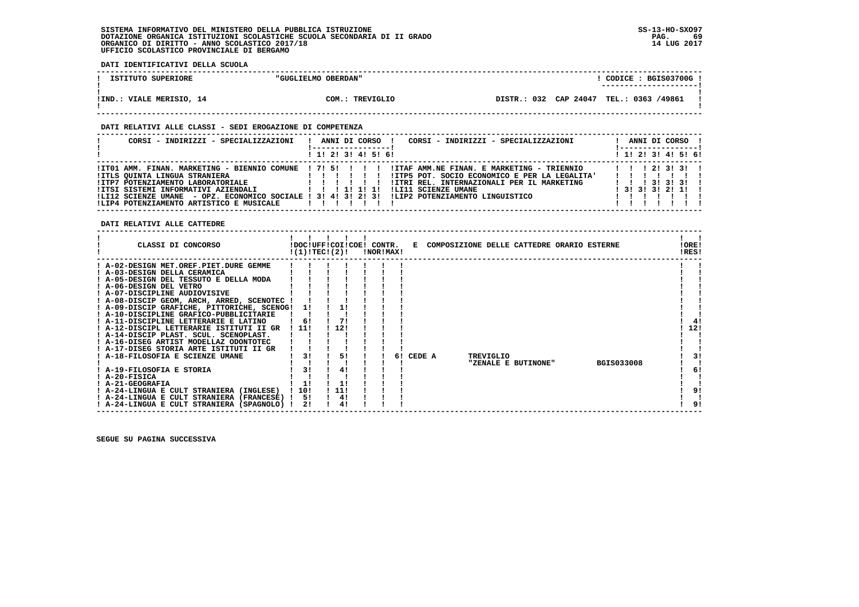**DATI IDENTIFICATIVI DELLA SCUOLA**

| ISTITUTO SUPERIORE       | "GUGLIELMO OBERDAN" | CODICE: BGIS03700G!                     |  |
|--------------------------|---------------------|-----------------------------------------|--|
|                          |                     | ---------------------                   |  |
|                          |                     |                                         |  |
| IIND.: VIALE MERISIO, 14 | COM.: TREVIGLIO     | DISTR.: 032 CAP 24047 TEL.: 0363 /49861 |  |
|                          |                     |                                         |  |

 **------------------------------------------------------------------------------------------------------------------------------------**

### **DATI RELATIVI ALLE CLASSI - SEDI EROGAZIONE DI COMPETENZA**

| CORSI - INDIRIZZI - SPECIALIZZAZIONI                                                                           | CORSI - INDIRIZZI - SPECIALIZZAZIONI<br>ANNI DI CORSO !                                                                                                                                                                                                                                                                                                                                                                                                                    | ANNI DI CORSO !<br><u>!----------------- </u>                                                         |
|----------------------------------------------------------------------------------------------------------------|----------------------------------------------------------------------------------------------------------------------------------------------------------------------------------------------------------------------------------------------------------------------------------------------------------------------------------------------------------------------------------------------------------------------------------------------------------------------------|-------------------------------------------------------------------------------------------------------|
|                                                                                                                | 1 1! 2! 3! 4! 5! 6!                                                                                                                                                                                                                                                                                                                                                                                                                                                        | $1$ 1! 2! 3! 4! 5! 6!                                                                                 |
| !ITLS OUINTA LINGUA STRANIERA<br>IITP7 POTENZIAMENTO LABORATORIALE<br>!LIP4 POTENZIAMENTO ARTISTICO E MUSICALE | ITO1 AMM. FINAN. MARKETING - BIENNIO COMUNE ! 7! 5! ! ! ! !ITAF AMM.NE FINAN. E MARKETING - TRIENNIO<br>!ITP5 POT. SOCIO ECONOMICO E PER LA LEGALITA'<br>$\frac{1}{2}$ $\frac{1}{2}$ $\frac{1}{2}$ $\frac{1}{2}$ $\frac{1}{2}$ $\frac{1}{2}$ $\frac{1}{2}$ $\frac{1}{2}$ $\frac{1}{2}$ $\frac{1}{2}$<br>!ITRI REL. INTERNAZIONALI PER IL MARKETING<br>!LI11 SCIENZE UMANE<br>ILI12 SCIENZE UMANE - OPZ. ECONOMICO SOCIALE ! 3! 4! 3! 2! 3! !LIP2 POTENZIAMENTO LINGUISTICO | 1 1 1 2 1 3 1 3 1 1<br>$1 \quad 1 \quad 1 \quad 31 \quad 31 \quad 31 \quad 1$<br>$1$ 31 31 31 21 11 1 |

 **DATI RELATIVI ALLE CATTEDRE**

| CLASSI DI CONCORSO                                                   |     | !DOC!UFF!COI!COE! CONTR.<br>!(1)!TEC!(2)! | !NOR!MAX! |    |        |  |           | E COMPOSIZIONE DELLE CATTEDRE ORARIO ESTERNE |                   | !ORE!<br>!RES! |
|----------------------------------------------------------------------|-----|-------------------------------------------|-----------|----|--------|--|-----------|----------------------------------------------|-------------------|----------------|
| ! A-02-DESIGN MET.OREF.PIET.DURE GEMME                               |     |                                           |           |    |        |  |           |                                              |                   |                |
| ! A-03-DESIGN DELLA CERAMICA<br>A-05-DESIGN DEL TESSUTO E DELLA MODA |     |                                           |           |    |        |  |           |                                              |                   |                |
| ! A-06-DESIGN DEL VETRO                                              |     |                                           |           |    |        |  |           |                                              |                   |                |
| ! A-07-DISCIPLINE AUDIOVISIVE                                        |     |                                           |           |    |        |  |           |                                              |                   |                |
| ! A-08-DISCIP GEOM, ARCH, ARRED, SCENOTEC !                          |     |                                           |           |    |        |  |           |                                              |                   |                |
| ! A-09-DISCIP GRAFICHE, PITTORICHE, SCENOG!                          |     |                                           |           |    |        |  |           |                                              |                   |                |
| ! A-10-DISCIPLINE GRAFICO-PUBBLICITARIE                              |     |                                           |           |    |        |  |           |                                              |                   |                |
| ! A-11-DISCIPLINE LETTERARIE E LATINO                                | 6!  |                                           |           |    |        |  |           |                                              |                   |                |
| ! A-12-DISCIPL LETTERARIE ISTITUTI II GR                             | 11! | 12!                                       |           |    |        |  |           |                                              |                   | 12!            |
| ! A-14-DISCIP PLAST. SCUL. SCENOPLAST.                               |     |                                           |           |    |        |  |           |                                              |                   |                |
| ! A-16-DISEG ARTIST MODELLAZ ODONTOTEC                               |     |                                           |           |    |        |  |           |                                              |                   |                |
| ! A-17-DISEG STORIA ARTE ISTITUTI II GR                              |     |                                           |           |    |        |  |           |                                              |                   |                |
| ! A-18-FILOSOFIA E SCIENZE UMANE                                     |     | 51                                        |           | 61 | CEDE A |  | TREVIGLIO |                                              |                   |                |
|                                                                      |     |                                           |           |    |        |  |           | "ZENALE E BUTINONE"                          | <b>BGIS033008</b> |                |
| ! A-19-FILOSOFIA E STORIA                                            | 31  |                                           |           |    |        |  |           |                                              |                   | 6!             |
| ! A-20-FISICA                                                        |     |                                           |           |    |        |  |           |                                              |                   |                |
| ! A-21-GEOGRAFIA                                                     | 1!  |                                           |           |    |        |  |           |                                              |                   |                |
| ! A-24-LINGUA E CULT STRANIERA (INGLESE)                             | 10! | 11!                                       |           |    |        |  |           |                                              |                   | 9!             |
| ! A-24-LINGUA E CULT STRANIERA (FRANCESE)                            | 51  | 4!                                        |           |    |        |  |           |                                              |                   |                |
| ! A-24-LINGUA E CULT STRANIERA (SPAGNOLO)                            | 21  |                                           |           |    |        |  |           |                                              |                   | 9!             |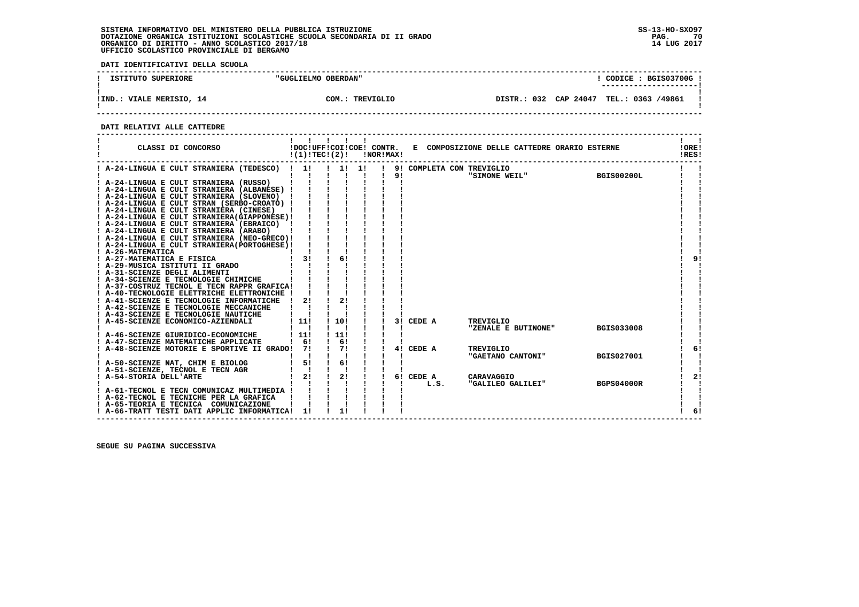**DATI IDENTIFICATIVI DELLA SCUOLA**

| ISTITUTO SUPERIORE       | "GUGLIELMO OBERDAN" | CODICE: BGIS03700G<br>---------------------- |  |
|--------------------------|---------------------|----------------------------------------------|--|
| !IND.: VIALE MERISIO, 14 | COM.: TREVIGLIO     | DISTR.: 032 CAP 24047 TEL.: 0363 /49861      |  |

 **------------------------------------------------------------------------------------------------------------------------------------**

#### **DATI RELATIVI ALLE CATTEDRE**

| CLASSI DI CONCORSO                                                                    | !(1)!TECI(2)!      |                  | <b>!NOR!MAX!</b> |    |                           | !DOC!UFF!COI!COE! CONTR. E COMPOSIZIONE DELLE CATTEDRE ORARIO ESTERNE |                   | !ORE!<br>IRES! |
|---------------------------------------------------------------------------------------|--------------------|------------------|------------------|----|---------------------------|-----------------------------------------------------------------------|-------------------|----------------|
| ! A-24-LINGUA E CULT STRANIERA (TEDESCO) ! 1!                                         |                    |                  |                  |    | 9! COMPLETA CON TREVIGLIO |                                                                       |                   |                |
|                                                                                       |                    | $\mathbf{I}$     | - 11             | 91 |                           | "SIMONE WEIL" BGIS00200L                                              |                   |                |
| ! A-24-LINGUA E CULT STRANIERA (RUSSO)<br>! A-24-LINGUA E CULT STRANIERA (ALBANESE) ! |                    |                  |                  |    |                           |                                                                       |                   |                |
| ! A-24-LINGUA E CULT STRANIERA (SLOVENO) !                                            |                    |                  |                  |    |                           |                                                                       |                   |                |
| ! A-24-LINGUA E CULT STRAN (SERBO-CROATO) !                                           |                    |                  |                  |    |                           |                                                                       |                   |                |
| ! A-24-LINGUA E CULT STRANIERA (CINESE)                                               |                    |                  |                  |    |                           |                                                                       |                   |                |
| ! A-24-LINGUA E CULT STRANIERA (GIAPPONESE) !                                         |                    |                  |                  |    |                           |                                                                       |                   |                |
| ! A-24-LINGUA E CULT STRANIERA (EBRAICO) !                                            |                    |                  |                  |    |                           |                                                                       |                   |                |
| ! A-24-LINGUA E CULT STRANIERA (ARABO)                                                |                    |                  |                  |    |                           |                                                                       |                   |                |
| ! A-24-LINGUA E CULT STRANIERA (NEO-GRECO)!                                           |                    |                  |                  |    |                           |                                                                       |                   |                |
| ! A-24-LINGUA E CULT STRANIERA (PORTOGHESE) !                                         |                    |                  |                  |    |                           |                                                                       |                   |                |
| ! A-26-MATEMATICA                                                                     |                    |                  |                  |    |                           |                                                                       |                   |                |
| ! A-27-MATEMATICA E FISICA                                                            | 3!                 | 6!               |                  |    |                           |                                                                       |                   | 9 <sub>1</sub> |
| ! A-29-MUSICA ISTITUTI II GRADO                                                       |                    |                  |                  |    |                           |                                                                       |                   |                |
| ! A-31-SCIENZE DEGLI ALIMENTI                                                         |                    |                  |                  |    |                           |                                                                       |                   |                |
| ! A-34-SCIENZE E TECNOLOGIE CHIMICHE                                                  |                    |                  |                  |    |                           |                                                                       |                   |                |
| ! A-37-COSTRUZ TECNOL E TECN RAPPR GRAFICA!                                           |                    |                  |                  |    |                           |                                                                       |                   |                |
| ! A-40-TECNOLOGIE ELETTRICHE ELETTRONICHE !                                           |                    |                  |                  |    |                           |                                                                       |                   |                |
| ! A-41-SCIENZE E TECNOLOGIE INFORMATICHE                                              | 21<br>$\mathbf{I}$ | 21               |                  |    |                           |                                                                       |                   |                |
| ! A-42-SCIENZE E TECNOLOGIE MECCANICHE                                                |                    |                  |                  |    |                           |                                                                       |                   |                |
| ! A-43-SCIENZE E TECNOLOGIE NAUTICHE                                                  |                    |                  |                  |    |                           |                                                                       |                   |                |
| ! A-45-SCIENZE ECONOMICO-AZIENDALI                                                    | 111                | 110!             |                  |    | 3! CEDE A                 | TREVIGLIO                                                             |                   |                |
|                                                                                       |                    |                  |                  |    |                           | "ZENALE E BUTINONE"                                                   | <b>BGIS033008</b> |                |
| ! A-46-SCIENZE GIURIDICO-ECONOMICHE                                                   | $\frac{1}{2}$      | 111              |                  |    |                           |                                                                       |                   |                |
| ! A-47-SCIENZE MATEMATICHE APPLICATE                                                  | 1 <sub>61</sub>    | $\frac{1}{6}$ 6! |                  |    |                           |                                                                       |                   |                |
| A-48-SCIENZE MOTORIE E SPORTIVE II GRADO! 7!                                          |                    | $\frac{1}{2}$    |                  |    | 4! CEDE A                 | TREVIGLIO                                                             |                   | 6!             |
|                                                                                       |                    |                  |                  |    |                           | "GAETANO CANTONI"                                                     | <b>BGIS027001</b> |                |
| ! A-50-SCIENZE NAT, CHIM E BIOLOG                                                     | 5!                 | $\frac{1}{6}$    |                  |    |                           |                                                                       |                   |                |
| ! A-51-SCIENZE, TECNOL E TECN AGR                                                     | $\mathbf{I}$       |                  |                  |    |                           |                                                                       |                   |                |
| ! A-54-STORIA DELL'ARTE                                                               | 2!                 | $\frac{1}{2}$    |                  |    | 6! CEDE A                 | CARAVAGGIO                                                            |                   | 2!             |
|                                                                                       |                    |                  |                  |    | L.S.                      | "GALILEO GALILEI"                                                     | <b>BGPS04000R</b> |                |
| ! A-61-TECNOL E TECN COMUNICAZ MULTIMEDIA !                                           |                    |                  |                  |    |                           |                                                                       |                   |                |
| ! A-62-TECNOL E TECNICHE PER LA GRAFICA                                               |                    |                  |                  |    |                           |                                                                       |                   |                |
| ! A-65-TEORIA E TECNICA COMUNICAZIONE                                                 |                    |                  |                  |    |                           |                                                                       |                   |                |
| ! A-66-TRATT TESTI DATI APPLIC INFORMATICA! 1!                                        |                    |                  |                  |    |                           |                                                                       |                   | 61             |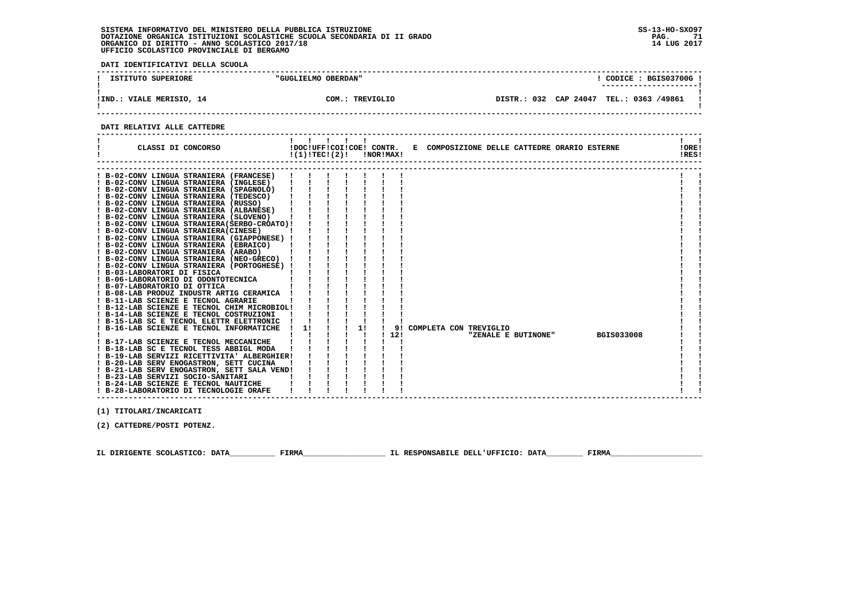**DATI IDENTIFICATIVI DELLA SCUOLA**

| ISTITUTO SUPERIORE             | "GUGLIELMO OBERDAN" | CODICE: BGIS03700G!<br>---------------------- |  |
|--------------------------------|---------------------|-----------------------------------------------|--|
| VIALE MERISIO, 14<br>$!$ IND.: | COM.: TREVIGLIO     | DISTR.: 032 CAP 24047<br>TEL.: 0363 /49861    |  |

 **------------------------------------------------------------------------------------------------------------------------------------**

#### **DATI RELATIVI ALLE CATTEDRE**

| CLASSI DI CONCORSO                                                                    | !DOC!UFF!COI!COE! CONTR.<br>!(1)!TECI(2)! | $\mathbf{1}$ |    | !NOR!MAX! |     |                           |  |                     | E COMPOSIZIONE DELLE CATTEDRE ORARIO ESTERNE | !ORE!<br>!RES! |  |
|---------------------------------------------------------------------------------------|-------------------------------------------|--------------|----|-----------|-----|---------------------------|--|---------------------|----------------------------------------------|----------------|--|
|                                                                                       |                                           |              |    |           |     |                           |  |                     |                                              |                |  |
| ! B-02-CONV LINGUA STRANIERA (FRANCESE)                                               |                                           |              |    |           |     |                           |  |                     |                                              |                |  |
| ! B-02-CONV LINGUA STRANIERA (INGLESE)                                                |                                           |              |    |           |     |                           |  |                     |                                              |                |  |
| ! B-02-CONV LINGUA STRANIERA (SPAGNOLO)                                               |                                           |              |    |           |     |                           |  |                     |                                              |                |  |
| ! B-02-CONV LINGUA STRANIERA (TEDESCO)                                                |                                           |              |    |           |     |                           |  |                     |                                              |                |  |
| ! B-02-CONV LINGUA STRANIERA (RUSSO)                                                  |                                           |              |    |           |     |                           |  |                     |                                              |                |  |
| ! B-02-CONV LINGUA STRANIERA (ALBANESE)                                               |                                           |              |    |           |     |                           |  |                     |                                              |                |  |
| ! B-02-CONV LINGUA STRANIERA (SLOVENO)                                                |                                           |              |    |           |     |                           |  |                     |                                              |                |  |
| ! B-02-CONV LINGUA STRANIERA (SERBO-CROATO) !                                         |                                           |              |    |           |     |                           |  |                     |                                              |                |  |
| ! B-02-CONV LINGUA STRANIERA(CINESE)                                                  |                                           |              |    |           |     |                           |  |                     |                                              |                |  |
| ! B-02-CONV LINGUA STRANIERA (GIAPPONESE) !<br>! B-02-CONV LINGUA STRANIERA (EBRAICO) |                                           |              |    |           |     |                           |  |                     |                                              |                |  |
| ! B-02-CONV LINGUA STRANIERA (ARABO)                                                  |                                           |              |    |           |     |                           |  |                     |                                              |                |  |
| ! B-02-CONV LINGUA STRANIERA (NEO-GRECO) !                                            |                                           |              |    |           |     |                           |  |                     |                                              |                |  |
| ! B-02-CONV LINGUA STRANIERA (PORTOGHESE) !                                           |                                           |              |    |           |     |                           |  |                     |                                              |                |  |
| ! B-03-LABORATORI DI FISICA                                                           |                                           |              |    |           |     |                           |  |                     |                                              |                |  |
| ! B-06-LABORATORIO DI ODONTOTECNICA                                                   |                                           |              |    |           |     |                           |  |                     |                                              |                |  |
| ! B-07-LABORATORIO DI OTTICA                                                          |                                           |              |    |           |     |                           |  |                     |                                              |                |  |
| ! B-08-LAB PRODUZ INDUSTR ARTIG CERAMICA                                              |                                           |              |    |           |     |                           |  |                     |                                              |                |  |
| ! B-11-LAB SCIENZE E TECNOL AGRARIE                                                   |                                           |              |    |           |     |                           |  |                     |                                              |                |  |
| ! B-12-LAB SCIENZE E TECNOL CHIM MICROBIOL!                                           |                                           |              |    |           |     |                           |  |                     |                                              |                |  |
| ! B-14-LAB SCIENZE E TECNOL COSTRUZIONI                                               |                                           |              |    |           |     |                           |  |                     |                                              |                |  |
| ! B-15-LAB SC E TECNOL ELETTR ELETTRONIC                                              |                                           |              |    |           |     |                           |  |                     |                                              |                |  |
| ! B-16-LAB SCIENZE E TECNOL INFORMATICHE                                              | 11                                        |              | 1! |           |     | 9! COMPLETA CON TREVIGLIO |  |                     |                                              |                |  |
|                                                                                       |                                           |              |    |           | 12! |                           |  | "ZENALE E BUTINONE" | <b>BGIS033008</b>                            |                |  |
| ! B-17-LAB SCIENZE E TECNOL MECCANICHE                                                |                                           |              |    |           |     |                           |  |                     |                                              |                |  |
| ! B-18-LAB SC E TECNOL TESS ABBIGL MODA                                               |                                           |              |    |           |     |                           |  |                     |                                              |                |  |
| ! B-19-LAB SERVIZI RICETTIVITA' ALBERGHIER!                                           |                                           |              |    |           |     |                           |  |                     |                                              |                |  |
| ! B-20-LAB SERV ENOGASTRON, SETT CUCINA                                               |                                           |              |    |           |     |                           |  |                     |                                              |                |  |
| ! B-21-LAB SERV ENOGASTRON, SETT SALA VEND!                                           |                                           |              |    |           |     |                           |  |                     |                                              |                |  |
| ! B-23-LAB SERVIZI SOCIO-SANITARI                                                     |                                           |              |    |           |     |                           |  |                     |                                              |                |  |
| ! B-24-LAB SCIENZE E TECNOL NAUTICHE                                                  |                                           |              |    |           |     |                           |  |                     |                                              |                |  |
| ! B-28-LABORATORIO DI TECNOLOGIE ORAFE                                                |                                           |              |    |           |     |                           |  |                     |                                              |                |  |

 **------------------------------------------------------------------------------------------------------------------------------------**

 **(1) TITOLARI/INCARICATI**

 **(2) CATTEDRE/POSTI POTENZ.**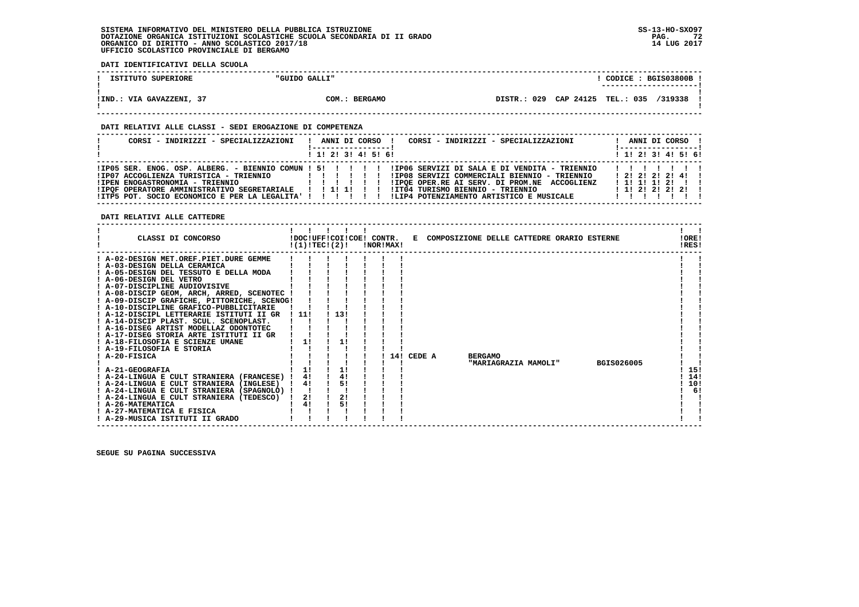**DATI IDENTIFICATIVI DELLA SCUOLA**

| ISTITUTO SUPERIORE      | "GUIDO GALLI"          |                |           | CODICE :         | BGIS03800B |  |
|-------------------------|------------------------|----------------|-----------|------------------|------------|--|
|                         |                        |                |           |                  |            |  |
|                         |                        |                |           |                  |            |  |
| VIA GAVAZZENI,<br>!IND. | <b>BERGAMO</b><br>COM. | 029<br>DISTR.: | CAP 24125 | <b>TEL.: 035</b> | /319338    |  |
|                         |                        |                |           |                  |            |  |

 **------------------------------------------------------------------------------------------------------------------------------------**

### **DATI RELATIVI ALLE CLASSI - SEDI EROGAZIONE DI COMPETENZA**

| CORSI - INDIRIZZI - SPECIALIZZAZIONI                                                                                                 | CORSI - INDIRIZZI - SPECIALIZZAZIONI<br>ANNI DI CORSO                                                                                                                                                                                | ANNI DI CORSO !<br>! ------------------                                        |
|--------------------------------------------------------------------------------------------------------------------------------------|--------------------------------------------------------------------------------------------------------------------------------------------------------------------------------------------------------------------------------------|--------------------------------------------------------------------------------|
|                                                                                                                                      | $1$ , 1! 2! 3! 4! 5! 6!                                                                                                                                                                                                              | $1$ , 1! 2! 3! 4! 5! 6!                                                        |
| IIP07 ACCOGLIENZA TURISTICA - TRIENNIO<br>!IPEN ENOGASTRONOMIA - TRIENNIO<br>! IPOF OPERATORE AMMINISTRATIVO SEGRETARIALE   !!!!! !! | !IP08 SERVIZI COMMERCIALI BIENNIO - TRIENNIO<br>!IPQE OPER.RE AI SERV. DI PROM.NE ACCOGLIENZ<br>!IT04 TURISMO BIENNIO - TRIENNIO<br>IITP5 POT. SOCIO ECONOMICO E PER LA LEGALITA' ! ! !! !! ILIP4 POTENZIAMENTO ARTISTICO E MUSICALE | 1111111<br>1 2 1 2 1 2 1 2 1 4 1<br>$1$ 1! 1! 1! 2! !!<br>$1$ 1! 2! 2! 2! 2! ! |

 **DATI RELATIVI ALLE CATTEDRE**

| CLASSI DI CONCORSO                                                           | !DOC!UFF!COI!COE! CONTR.<br>!(1)!TECI(2)! |     | !NOR!MAX! |     |        |                | E COMPOSIZIONE DELLE CATTEDRE ORARIO ESTERNE |                   | !ORE!<br>!RES! |
|------------------------------------------------------------------------------|-------------------------------------------|-----|-----------|-----|--------|----------------|----------------------------------------------|-------------------|----------------|
| ! A-02-DESIGN MET.OREF.PIET.DURE GEMME                                       |                                           |     |           |     |        |                |                                              |                   |                |
| ! A-03-DESIGN DELLA CERAMICA                                                 |                                           |     |           |     |        |                |                                              |                   |                |
| ! A-05-DESIGN DEL TESSUTO E DELLA MODA<br>! A-06-DESIGN DEL VETRO            |                                           |     |           |     |        |                |                                              |                   |                |
|                                                                              |                                           |     |           |     |        |                |                                              |                   |                |
| ! A-07-DISCIPLINE AUDIOVISIVE<br>! A-08-DISCIP GEOM, ARCH, ARRED, SCENOTEC ! |                                           |     |           |     |        |                |                                              |                   |                |
| ! A-09-DISCIP GRAFICHE, PITTORICHE, SCENOG!                                  |                                           |     |           |     |        |                |                                              |                   |                |
| ! A-10-DISCIPLINE GRAFICO-PUBBLICITARIE                                      |                                           |     |           |     |        |                |                                              |                   |                |
| ! A-12-DISCIPL LETTERARIE ISTITUTI II GR                                     | ! 11!                                     | 13! |           |     |        |                |                                              |                   |                |
| ! A-14-DISCIP PLAST, SCUL, SCENOPLAST,                                       |                                           |     |           |     |        |                |                                              |                   |                |
| ! A-16-DISEG ARTIST MODELLAZ ODONTOTEC                                       |                                           |     |           |     |        |                |                                              |                   |                |
| ! A-17-DISEG STORIA ARTE ISTITUTI II GR                                      |                                           |     |           |     |        |                |                                              |                   |                |
| ! A-18-FILOSOFIA E SCIENZE UMANE                                             | 1!                                        |     |           |     |        |                |                                              |                   |                |
| ! A-19-FILOSOFIA E STORIA                                                    |                                           |     |           |     |        |                |                                              |                   |                |
| ! A-20-FISICA                                                                |                                           |     |           | 141 | CEDE A | <b>BERGAMO</b> |                                              |                   |                |
|                                                                              |                                           |     |           |     |        |                | "MARIAGRAZIA MAMOLI"                         | <b>BGIS026005</b> |                |
| ! A-21-GEOGRAFIA                                                             | 1!                                        | 1!  |           |     |        |                |                                              |                   | 15!            |
| ! A-24-LINGUA E CULT STRANIERA (FRANCESE) !                                  | 41                                        | 4!  |           |     |        |                |                                              |                   | 14!            |
| ! A-24-LINGUA E CULT STRANIERA (INGLESE)                                     | 4!                                        | 5!  |           |     |        |                |                                              |                   | 10!            |
| ! A-24-LINGUA E CULT STRANIERA (SPAGNOLO) !                                  |                                           |     |           |     |        |                |                                              |                   | 6!             |
| ! A-24-LINGUA E CULT STRANIERA (TEDESCO)                                     | 2!                                        | 2!  |           |     |        |                |                                              |                   |                |
| ! A-26-MATEMATICA                                                            | 4!                                        | 51  |           |     |        |                |                                              |                   |                |
| ! A-27-MATEMATICA E FISICA                                                   |                                           |     |           |     |        |                |                                              |                   |                |
| ! A-29-MUSICA ISTITUTI II GRADO                                              |                                           |     |           |     |        |                |                                              |                   |                |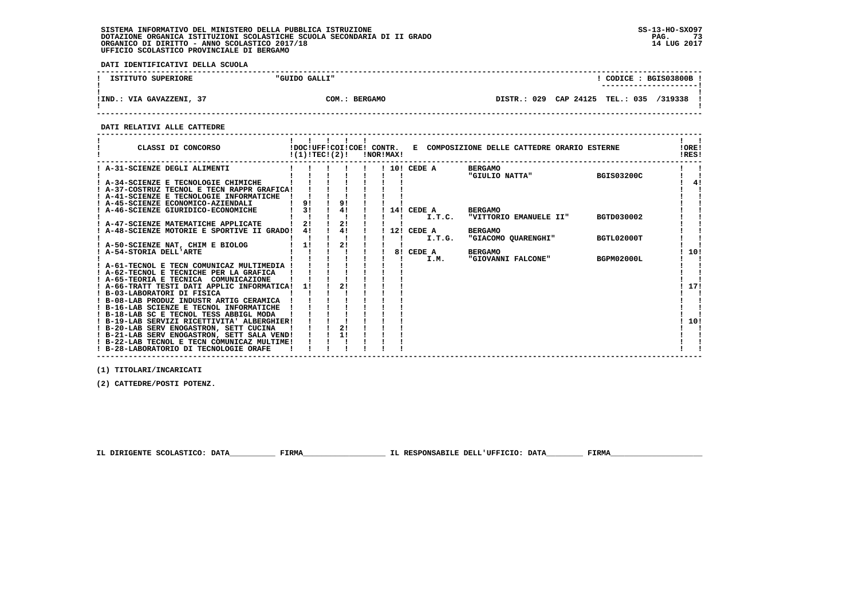**DATI IDENTIFICATIVI DELLA SCUOLA**

| ISTITUTO SUPERIORE       | "GUIDO GALLI" | CODICE: BGIS03800B !<br>---------------------- |
|--------------------------|---------------|------------------------------------------------|
| !IND.: VIA GAVAZZENI, 37 | COM.: BERGAMO | DISTR.: 029 CAP 24125 TEL.: 035 /319338        |

 **------------------------------------------------------------------------------------------------------------------------------------**

#### **DATI RELATIVI ALLE CATTEDRE**

| CLASSI DI CONCORSO                                                                         |    | !(1)!TEC!(2)! | !NOR!MAX! |              | !DOC!UFF!COI!COE! CONTR. E COMPOSIZIONE DELLE CATTEDRE ORARIO ESTERNE |                   | !ORE!<br>!RES! |
|--------------------------------------------------------------------------------------------|----|---------------|-----------|--------------|-----------------------------------------------------------------------|-------------------|----------------|
| A-31-SCIENZE DEGLI ALIMENTI                                                                |    |               |           | ! 10! CEDE A | <b>BERGAMO</b>                                                        |                   |                |
|                                                                                            |    |               |           |              | "GIULIO NATTA"                                                        | <b>BGIS03200C</b> |                |
| A-34-SCIENZE E TECNOLOGIE CHIMICHE                                                         |    |               |           |              |                                                                       |                   | 4!             |
| ! A-37-COSTRUZ TECNOL E TECN RAPPR GRAFICA!<br>! A-41-SCIENZE E TECNOLOGIE INFORMATICHE    |    |               |           |              |                                                                       |                   |                |
| ! A-45-SCIENZE ECONOMICO-AZIENDALI                                                         | 9! | 9!            |           |              |                                                                       |                   |                |
| A-46-SCIENZE GIURIDICO-ECONOMICHE                                                          | 3! | 4!            |           | 14! CEDE A   | <b>BERGAMO</b>                                                        |                   |                |
|                                                                                            |    |               |           | I.T.C.       | "VITTORIO EMANUELE II"                                                | BGTD030002        |                |
| A-47-SCIENZE MATEMATICHE APPLICATE                                                         |    | 2!            |           |              |                                                                       |                   |                |
| A-48-SCIENZE MOTORIE E SPORTIVE II GRADO!                                                  | 41 | 4!            |           | 12! CEDE A   | <b>BERGAMO</b>                                                        |                   |                |
|                                                                                            |    |               |           | I.T.G.       | "GIACOMO QUARENGHI"                                                   | BGTL02000T        |                |
| A-50-SCIENZE NAT, CHIM E BIOLOG                                                            | 11 | 21            |           |              |                                                                       |                   |                |
| ! A-54-STORIA DELL'ARTE                                                                    |    |               |           | 8! CEDE A    | <b>BERGAMO</b>                                                        |                   | 10!            |
|                                                                                            |    |               |           | I.M.         | "GIOVANNI FALCONE"                                                    | BGPM02000L        |                |
| ! A-61-TECNOL E TECN COMUNICAZ MULTIMEDIA<br>! A-62-TECNOL E TECNICHE PER LA GRAFICA       |    |               |           |              |                                                                       |                   |                |
| ! A-65-TEORIA E TECNICA COMUNICAZIONE                                                      |    |               |           |              |                                                                       |                   |                |
| ! A-66-TRATT TESTI DATI APPLIC INFORMATICA!                                                | 11 | 2!            |           |              |                                                                       |                   | 17!            |
| ! B-03-LABORATORI DI FISICA                                                                |    |               |           |              |                                                                       |                   |                |
| ! B-08-LAB PRODUZ INDUSTR ARTIG CERAMICA                                                   |    |               |           |              |                                                                       |                   |                |
| ! B-16-LAB SCIENZE E TECNOL INFORMATICHE                                                   |    |               |           |              |                                                                       |                   |                |
| ! B-18-LAB SC E TECNOL TESS ABBIGL MODA                                                    |    |               |           |              |                                                                       |                   |                |
| ! B-19-LAB SERVIZI RICETTIVITA' ALBERGHIER!                                                |    |               |           |              |                                                                       |                   | 10!            |
| ! B-20-LAB SERV ENOGASTRON, SETT CUCINA                                                    |    | 2!            |           |              |                                                                       |                   |                |
| ! B-21-LAB SERV ENOGASTRON, SETT SALA VEND!<br>! B-22-LAB TECNOL E TECN COMUNICAZ MULTIME! |    | 11            |           |              |                                                                       |                   |                |
| ! B-28-LABORATORIO DI TECNOLOGIE ORAFE                                                     |    |               |           |              |                                                                       |                   |                |
|                                                                                            |    |               |           |              |                                                                       |                   |                |

 **(1) TITOLARI/INCARICATI**

 **(2) CATTEDRE/POSTI POTENZ.**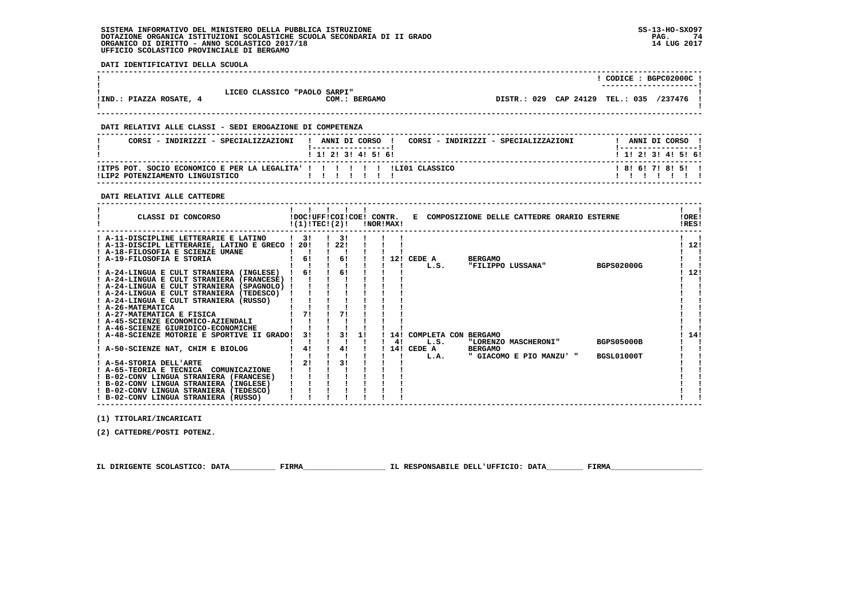**DATI IDENTIFICATIVI DELLA SCUOLA**

|                                                                                           |                              |                     |                |                                      | $!$ CODICE : BGPC02000C $!$             |
|-------------------------------------------------------------------------------------------|------------------------------|---------------------|----------------|--------------------------------------|-----------------------------------------|
| !IND.: PIAZZA ROSATE, 4                                                                   | LICEO CLASSICO "PAOLO SARPI" | COM.: BERGAMO       |                |                                      | DISTR.: 029 CAP 24129 TEL.: 035 /237476 |
| DATI RELATIVI ALLE CLASSI - SEDI EROGAZIONE DI COMPETENZA                                 |                              |                     |                |                                      |                                         |
| CORSI - INDIRIZZI - SPECIALIZZAZIONI                                                      |                              | ANNI DI CORSO !     |                | CORSI - INDIRIZZI - SPECIALIZZAZIONI | ANNI DI CORSO !                         |
|                                                                                           |                              | ! 1! 2! 3! 4! 5! 6! |                |                                      | ! 1! 2! 3! 4! 5! 6!                     |
| ! ITP5 POT. SOCIO ECONOMICO E PER LA LEGALITA' ! ! ! !<br>ILIP2 POTENZIAMENTO LINGUISTICO |                              |                     | ILIO1 CLASSICO |                                      | 8161718151                              |

 **------------------------------------------------------------------------------------------------------------------------------------**

 **------------------------------------------------------------------------------------------------------------------------------------**

 **DATI RELATIVI ALLE CATTEDRE**

| CLASSI DI CONCORSO                              |               |    | !DOC!UFF!COI!COE! CONTR. |    | $!(1)!TEC!(2)!$ $INORIMAX!$ |            |      |                          | E COMPOSIZIONE DELLE CATTEDRE ORARIO ESTERNE |                   | !ORE!<br>!RES! |
|-------------------------------------------------|---------------|----|--------------------------|----|-----------------------------|------------|------|--------------------------|----------------------------------------------|-------------------|----------------|
| ! A-11-DISCIPLINE LETTERARIE E LATINO           | $\frac{1}{3}$ |    | -31                      |    |                             |            |      |                          |                                              |                   |                |
| ! A-13-DISCIPL LETTERARIE, LATINO E GRECO ! 20! |               |    | 1221                     |    |                             |            |      |                          |                                              |                   | 12!            |
| ! A-18-FILOSOFIA E SCIENZE UMANE                |               |    |                          |    |                             |            |      |                          |                                              |                   |                |
| ! A-19-FILOSOFIA E STORIA                       |               | 6! | 6!                       |    |                             | 12! CEDE A |      | <b>BERGAMO</b>           |                                              |                   |                |
|                                                 |               |    |                          |    |                             | L.S.       |      |                          | "FILIPPO LUSSANA"                            | <b>BGPS02000G</b> |                |
| ! A-24-LINGUA E CULT STRANIERA (INGLESE)        |               | 61 | 6!                       |    |                             |            |      |                          |                                              |                   | 12!            |
| ! A-24-LINGUA E CULT STRANIERA (FRANCESE) !     |               |    |                          |    |                             |            |      |                          |                                              |                   |                |
| ! A-24-LINGUA E CULT STRANIERA (SPAGNOLO)       |               |    |                          |    |                             |            |      |                          |                                              |                   |                |
| ! A-24-LINGUA E CULT STRANIERA (TEDESCO)        |               |    |                          |    |                             |            |      |                          |                                              |                   |                |
| ! A-24-LINGUA E CULT STRANIERA (RUSSO)          |               |    |                          |    |                             |            |      |                          |                                              |                   |                |
| ! A-26-MATEMATICA                               |               |    |                          |    |                             |            |      |                          |                                              |                   |                |
| ! A-27-MATEMATICA E FISICA                      |               | 71 | 71                       |    |                             |            |      |                          |                                              |                   |                |
| ! A-45-SCIENZE ECONOMICO-AZIENDALI              |               |    |                          |    |                             |            |      |                          |                                              |                   |                |
| ! A-46-SCIENZE GIURIDICO-ECONOMICHE             |               |    |                          |    |                             |            |      |                          |                                              |                   |                |
| A-48-SCIENZE MOTORIE E SPORTIVE II GRADO!       |               | 31 | 31                       | 11 |                             |            |      | 14! COMPLETA CON BERGAMO |                                              |                   | 14!            |
|                                                 |               |    |                          |    | 4!                          |            | L.S. |                          | "LORENZO MASCHERONI"                         | <b>BGPS05000B</b> |                |
| A-50-SCIENZE NAT, CHIM E BIOLOG                 |               | 41 | 41                       |    |                             | 14! CEDE A |      | <b>BERGAMO</b>           |                                              |                   |                |
|                                                 |               |    |                          |    |                             | L.A.       |      |                          | " GIACOMO E PIO MANZU' "                     | BGSL01000T        |                |
| ! A-54-STORIA DELL'ARTE                         |               | 21 | 31                       |    |                             |            |      |                          |                                              |                   |                |
| ! A-65-TEORIA E TECNICA<br>COMUNICAZIONE        |               |    |                          |    |                             |            |      |                          |                                              |                   |                |
| ! B-02-CONV LINGUA STRANIERA (FRANCESE)         |               |    |                          |    |                             |            |      |                          |                                              |                   |                |
| ! B-02-CONV LINGUA STRANIERA (INGLESE)          |               |    |                          |    |                             |            |      |                          |                                              |                   |                |
| ! B-02-CONV LINGUA STRANIERA (TEDESCO)          |               |    |                          |    |                             |            |      |                          |                                              |                   |                |
| ! B-02-CONV LINGUA STRANIERA (RUSSO)            |               |    |                          |    |                             |            |      |                          |                                              |                   |                |

 **(1) TITOLARI/INCARICATI**

 **(2) CATTEDRE/POSTI POTENZ.**

 **IL DIRIGENTE SCOLASTICO: DATA\_\_\_\_\_\_\_\_\_\_ FIRMA\_\_\_\_\_\_\_\_\_\_\_\_\_\_\_\_\_\_ IL RESPONSABILE DELL'UFFICIO: DATA\_\_\_\_\_\_\_\_ FIRMA\_\_\_\_\_\_\_\_\_\_\_\_\_\_\_\_\_\_\_\_**

 **------------------------------------------------------------------------------------------------------------------------------------**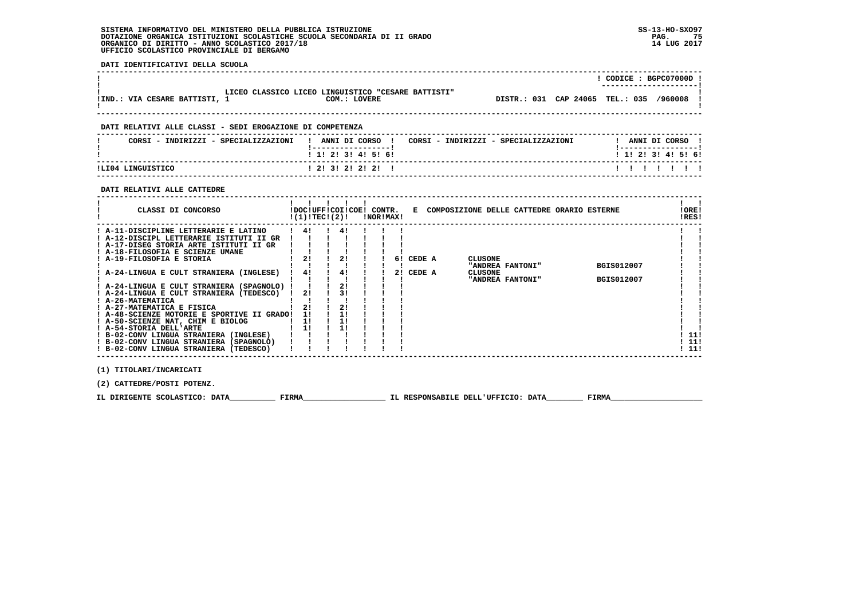**DATI IDENTIFICATIVI DELLA SCUOLA ------------------------------------------------------------------------------------------------------------------------------------ ! ! CODICE : BGPC07000D ! ! ---------------------! ! LICEO CLASSICO LICEO LINGUISTICO "CESARE BATTISTI" ! !IND.: VIA CESARE BATTISTI, 1 COM.: LOVERE DISTR.: 031 CAP 24065 TEL.: 035 /960008 !**- 1  **! ! ------------------------------------------------------------------------------------------------------------------------------------ DATI RELATIVI ALLE CLASSI - SEDI EROGAZIONE DI COMPETENZA ------------------------------------------------------------------------------------------------------------------------------------**! ANNI DI CORSO !  **! CORSI - INDIRIZZI - SPECIALIZZAZIONI ! ANNI DI CORSO ! CORSI - INDIRIZZI - SPECIALIZZAZIONI ! ANNI DI CORSO !**\_\_\_\_\_\_\_\_\_\_\_\_\_\_\_\_\_\_\_\_\_\_  **! !-----------------! !-----------------!**1 1 1 2 1 3 1 4 1 5 1 6 1  **! ! 1! 2! 3! 4! 5! 6! ! 1! 2! 3! 4! 5! 6! ------------------------------------------------------------------------------------------------------------------------------------** $11111111$  **!LI04 LINGUISTICO ! 2! 3! 2! 2! 2! ! ! ! ! ! ! ! ! ------------------------------------------------------------------------------------------------------------------------------------ DATI RELATIVI ALLE CATTEDRE ------------------------------------------------------------------------------------------------------------------------------------** $\mathbf{I}$  and  $\mathbf{I}$  **! ! ! ! ! ! ! !IORE! ! CLASSI DI CONCORSO !DOC!UFF!COI!COE! CONTR. E COMPOSIZIONE DELLE CATTEDRE ORARIO ESTERNE !ORE! ! !(1)!TEC!(2)! !NOR!MAX! !RES!** $RRSI$   **------------------------------------------------------------------------------------------------------------------------------------** $\mathbf{I}$  **! A-11-DISCIPLINE LETTERARIE E LATINO ! 4! ! 4! ! ! ! ! ! ! A-12-DISCIPL LETTERARIE ISTITUTI II GR ! ! ! ! ! ! ! ! ! ! A-17-DISEG STORIA ARTE ISTITUTI II GR ! ! ! ! ! ! ! ! !**- 1  **! A-18-FILOSOFIA E SCIENZE UMANE ! ! ! ! ! ! ! ! ! ! A-19-FILOSOFIA E STORIA ! 2! ! 2! ! ! 6! CEDE A CLUSONE ! ! ! ! ! ! ! ! ! ! "ANDREA FANTONI" BGIS012007 ! ! ! A-24-LINGUA E CULT STRANIERA (INGLESE) ! 4! ! 4! ! ! 2! CEDE A CLUSONE ! ! ! ! ! ! ! ! ! ! "ANDREA FANTONI" BGIS012007 ! ! ! A-24-LINGUA E CULT STRANIERA (SPAGNOLO) ! ! ! 2! ! ! ! ! !** $\mathbf{I}$  **! A-24-LINGUA E CULT STRANIERA (TEDESCO) ! 2! ! 3! ! ! ! ! ! ! A-26-MATEMATICA ! ! ! ! ! ! ! ! ! ! A-27-MATEMATICA E FISICA ! 2! ! 2! ! ! ! ! ! ! A-48-SCIENZE MOTORIE E SPORTIVE II GRADO! 1! ! 1! ! ! ! ! !** $\blacksquare$  $\blacksquare$  **! A-50-SCIENZE NAT, CHIM E BIOLOG ! 1! ! 1! ! ! ! ! !** $\blacksquare$  **! A-54-STORIA DELL'ARTE ! 1! ! 1! ! ! ! ! ! ! B-02-CONV LINGUA STRANIERA (INGLESE) ! ! ! ! ! ! ! ! 11! ! B-02-CONV LINGUA STRANIERA (SPAGNOLO) ! ! ! ! ! ! ! ! 11!** $1111$  $1.111$  $1.111$  **! B-02-CONV LINGUA STRANIERA (TEDESCO) ! ! ! ! ! ! ! ! 11!**

 **(1) TITOLARI/INCARICATI**

 **(2) CATTEDRE/POSTI POTENZ.**

**IL DIRIGENTE SCOLASTICO: DATA** FIRMA FIRMA TL RESPONSABILE DELL'UFFICIO: DATA FIRMA

 **------------------------------------------------------------------------------------------------------------------------------------**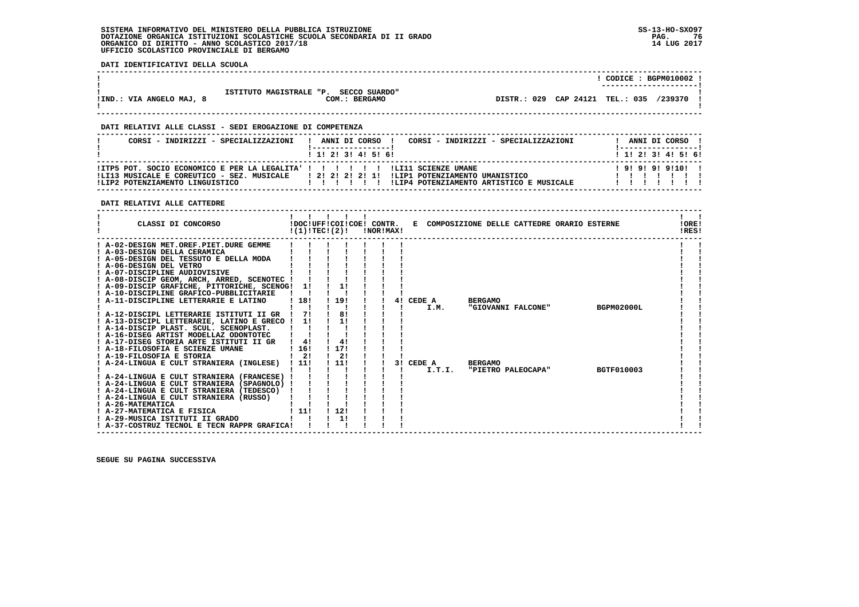**DATI IDENTIFICATIVI DELLA SCUOLA**

|                          |                                       | CODICE: BGPM010002 !<br>--------------------- |
|--------------------------|---------------------------------------|-----------------------------------------------|
|                          | ISTITUTO MAGISTRALE "P. SECCO SUARDO" |                                               |
| !IND.: VIA ANGELO MAJ, 8 | COM.:<br><b>BERGAMO</b>               | DISTR.: 029 CAP 24121 TEL.: 035<br>/239370    |

 **------------------------------------------------------------------------------------------------------------------------------------**

 **------------------------------------------------------------------------------------------------------------------------------------**

### **DATI RELATIVI ALLE CLASSI - SEDI EROGAZIONE DI COMPETENZA**

| CORSI - INDIRIZZI - SPECIALIZZAZIONI                                                                                | ANNI DI CORSO<br>CORSI - INDIRIZZI - SPECIALIZZAZIONI                                                                                  | ANNI DI CORSO !           |
|---------------------------------------------------------------------------------------------------------------------|----------------------------------------------------------------------------------------------------------------------------------------|---------------------------|
|                                                                                                                     | 1 1 2 3 3 4 5 5 6                                                                                                                      | 1 1 2 2 1 3 1 4 1 5 1 6 1 |
| !ITP5 POT. SOCIO ECONOMICO E PER LA LEGALITA' ! ! ! ! ! ! ! ! LI11 SCIENZE UMANE<br>ILIP2 POTENZIAMENTO LINGUISTICO | ILI13 MUSICALE E COREUTICO - SEZ. MUSICALE   2! 2! 2! 2! 1! ILIP1 POTENZIAMENTO UMANISTICO<br>!LIP4 POTENZIAMENTO ARTISTICO E MUSICALE | 1919191911011             |

### **DATI RELATIVI ALLE CATTEDRE**

| CLASSI DI CONCORSO                                          |                      | $!(1)!TEC!(2)!$ $INORIMAX!$ |  |           |        | !DOC!UFF!COI!COE! CONTR. E COMPOSIZIONE DELLE CATTEDRE ORARIO ESTERNE |                    |                   | !ORE!<br>!RES! |
|-------------------------------------------------------------|----------------------|-----------------------------|--|-----------|--------|-----------------------------------------------------------------------|--------------------|-------------------|----------------|
| ! A-02-DESIGN MET.OREF.PIET.DURE GEMME                      |                      |                             |  |           |        |                                                                       |                    |                   |                |
| ! A-03-DESIGN DELLA CERAMICA                                |                      |                             |  |           |        |                                                                       |                    |                   |                |
| ! A-05-DESIGN DEL TESSUTO E DELLA MODA                      |                      |                             |  |           |        |                                                                       |                    |                   |                |
| ! A-06-DESIGN DEL VETRO                                     |                      |                             |  |           |        |                                                                       |                    |                   |                |
| ! A-07-DISCIPLINE AUDIOVISIVE                               |                      |                             |  |           |        |                                                                       |                    |                   |                |
| ! A-08-DISCIP GEOM, ARCH, ARRED, SCENOTEC !                 |                      |                             |  |           |        |                                                                       |                    |                   |                |
| ! A-09-DISCIP GRAFICHE, PITTORICHE, SCENOG! 1!              |                      |                             |  |           |        |                                                                       |                    |                   |                |
| ! A-10-DISCIPLINE GRAFICO-PUBBLICITARIE                     |                      |                             |  |           |        |                                                                       |                    |                   |                |
| A-11-DISCIPLINE LETTERARIE E LATINO                         | ! 18!                | ! 19!                       |  | 4! CEDE A |        | <b>BERGAMO</b>                                                        |                    |                   |                |
|                                                             |                      |                             |  |           | I.M.   |                                                                       | "GIOVANNI FALCONE" | BGPM02000L        |                |
| ! A-12-DISCIPL LETTERARIE ISTITUTI II GR                    |                      | 8!                          |  |           |        |                                                                       |                    |                   |                |
| ! A-13-DISCIPL LETTERARIE, LATINO E GRECO !                 | 11                   | 11                          |  |           |        |                                                                       |                    |                   |                |
| ! A-14-DISCIP PLAST. SCUL. SCENOPLAST.                      |                      |                             |  |           |        |                                                                       |                    |                   |                |
| ! A-16-DISEG ARTIST MODELLAZ ODONTOTEC                      |                      |                             |  |           |        |                                                                       |                    |                   |                |
| ! A-17-DISEG STORIA ARTE ISTITUTI II GR                     | 41                   | 4!                          |  |           |        |                                                                       |                    |                   |                |
| A-18-FILOSOFIA E SCIENZE UMANE<br>! A-19-FILOSOFIA E STORIA | 116!<br>$1 \quad 21$ | ! 17!<br>$\frac{1}{2}$      |  |           |        |                                                                       |                    |                   |                |
| ! A-24-LINGUA E CULT STRANIERA (INGLESE) ! 11!              |                      | $\frac{1}{2}$               |  | 3! CEDE A |        | <b>BERGAMO</b>                                                        |                    |                   |                |
|                                                             |                      |                             |  |           | I.T.I. |                                                                       | "PIETRO PALEOCAPA" | <b>BGTF010003</b> |                |
| ! A-24-LINGUA E CULT STRANIERA (FRANCESE) !                 |                      |                             |  |           |        |                                                                       |                    |                   |                |
| ! A-24-LINGUA E CULT STRANIERA (SPAGNOLO) !                 |                      |                             |  |           |        |                                                                       |                    |                   |                |
| ! A-24-LINGUA E CULT STRANIERA (TEDESCO)                    |                      |                             |  |           |        |                                                                       |                    |                   |                |
| ! A-24-LINGUA E CULT STRANIERA (RUSSO)                      |                      |                             |  |           |        |                                                                       |                    |                   |                |
| ! A-26-MATEMATICA                                           |                      |                             |  |           |        |                                                                       |                    |                   |                |
| ! A-27-MATEMATICA E FISICA                                  | 111                  | 1121                        |  |           |        |                                                                       |                    |                   |                |
| ! A-29-MUSICA ISTITUTI II GRADO                             |                      | 1!                          |  |           |        |                                                                       |                    |                   |                |
| ! A-37-COSTRUZ TECNOL E TECN RAPPR GRAFICA!                 |                      |                             |  |           |        |                                                                       |                    |                   |                |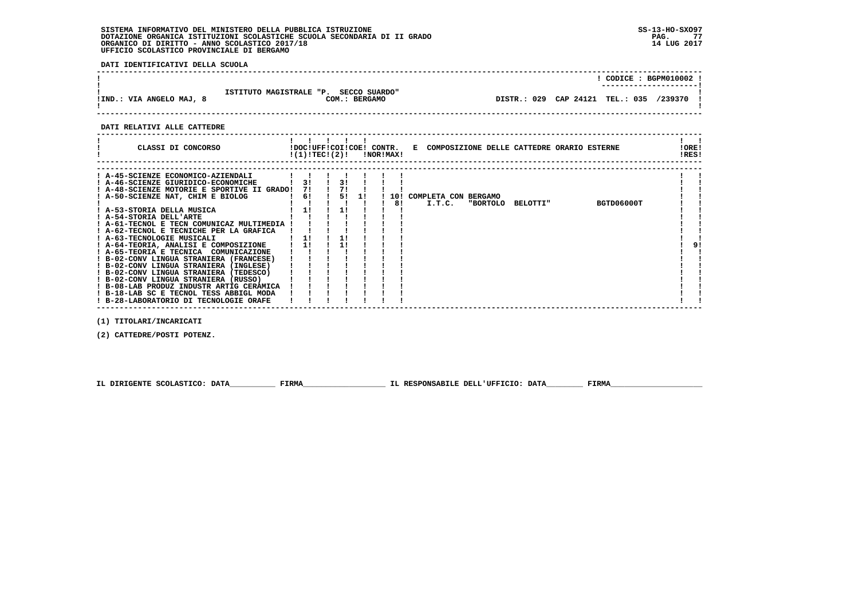**DATI IDENTIFICATIVI DELLA SCUOLA**

|                          |                                                        | CODICE: BGPM010002 !<br>--------------------- |         |
|--------------------------|--------------------------------------------------------|-----------------------------------------------|---------|
| !IND.: VIA ANGELO MAJ, 8 | ISTITUTO MAGISTRALE "P. SECCO SUARDO"<br>COM.: BERGAMO | DISTR.: 029 CAP 24121 TEL.: 035               | /239370 |

 **------------------------------------------------------------------------------------------------------------------------------------**

#### **DATI RELATIVI ALLE CATTEDRE**

| CLASSI DI CONCORSO                          | $!(1)!TEC!(2)!$ $INORIMAX!$ |    |      |     | !DOC!UFF!COI!COE! CONTR. E COMPOSIZIONE DELLE CATTEDRE ORARIO ESTERNE | !ORE!<br>!RES! |    |
|---------------------------------------------|-----------------------------|----|------|-----|-----------------------------------------------------------------------|----------------|----|
|                                             |                             |    |      |     |                                                                       |                |    |
| ! A-45-SCIENZE ECONOMICO-AZIENDALI          |                             |    |      |     |                                                                       |                |    |
| ! A-46-SCIENZE GIURIDICO-ECONOMICHE         | 31                          |    |      |     |                                                                       |                |    |
| ! A-48-SCIENZE MOTORIE E SPORTIVE II GRADO! | 71                          |    |      |     |                                                                       |                |    |
| ! A-50-SCIENZE NAT, CHIM E BIOLOG           | 6!                          | 51 | - 11 | 10! | COMPLETA CON BERGAMO                                                  |                |    |
|                                             |                             |    |      | 81  | I.T.C.<br>BGTD06000T<br><b>"BORTOLO</b><br><b>BELOTTI"</b>            |                |    |
| ! A-53-STORIA DELLA MUSICA                  | 11                          |    |      |     |                                                                       |                |    |
| ! A-54-STORIA DELL'ARTE                     |                             |    |      |     |                                                                       |                |    |
| ! A-61-TECNOL E TECN COMUNICAZ MULTIMEDIA   |                             |    |      |     |                                                                       |                |    |
| ! A-62-TECNOL E TECNICHE PER LA GRAFICA     |                             |    |      |     |                                                                       |                |    |
| ! A-63-TECNOLOGIE MUSICALI                  | 1!                          |    |      |     |                                                                       |                |    |
| ! A-64-TEORIA, ANALISI E COMPOSIZIONE       | 11                          |    |      |     |                                                                       |                | 91 |
| ! A-65-TEORIA E TECNICA COMUNICAZIONE       |                             |    |      |     |                                                                       |                |    |
| ! B-02-CONV LINGUA STRANIERA (FRANCESE)     |                             |    |      |     |                                                                       |                |    |
| ! B-02-CONV LINGUA STRANIERA (INGLESE)      |                             |    |      |     |                                                                       |                |    |
| ! B-02-CONV LINGUA STRANIERA (TEDESCO)      |                             |    |      |     |                                                                       |                |    |
| ! B-02-CONV LINGUA STRANIERA (RUSSO)        |                             |    |      |     |                                                                       |                |    |
| ! B-08-LAB PRODUZ INDUSTR ARTIG CERAMICA    |                             |    |      |     |                                                                       |                |    |
| ! B-18-LAB SC E TECNOL TESS ABBIGL MODA     |                             |    |      |     |                                                                       |                |    |
| ! B-28-LABORATORIO DI TECNOLOGIE ORAFE      |                             |    |      |     |                                                                       |                |    |

 **(1) TITOLARI/INCARICATI**

 **(2) CATTEDRE/POSTI POTENZ.**

 **IL DIRIGENTE SCOLASTICO: DATA\_\_\_\_\_\_\_\_\_\_ FIRMA\_\_\_\_\_\_\_\_\_\_\_\_\_\_\_\_\_\_ IL RESPONSABILE DELL'UFFICIO: DATA\_\_\_\_\_\_\_\_ FIRMA\_\_\_\_\_\_\_\_\_\_\_\_\_\_\_\_\_\_\_\_**

 **------------------------------------------------------------------------------------------------------------------------------------**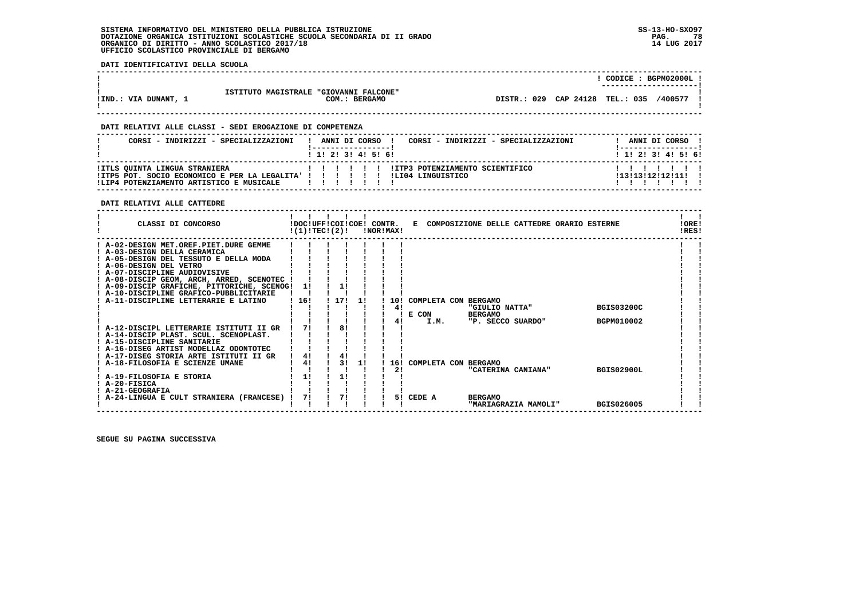**DATI IDENTIFICATIVI DELLA SCUOLA**

|                      |                                        | CODICE: BGPM02000L                         |
|----------------------|----------------------------------------|--------------------------------------------|
|                      | ISTITUTO MAGISTRALE "GIOVANNI FALCONE" | ----------------------                     |
| !IND.: VIA DUNANT, 1 | COM.:<br><b>BERGAMO</b>                | DISTR.: 029 CAP 24128 TEL.: 035<br>/400577 |
|                      |                                        |                                            |

 **------------------------------------------------------------------------------------------------------------------------------------**

 **------------------------------------------------------------------------------------------------------------------------------------**

### **DATI RELATIVI ALLE CLASSI - SEDI EROGAZIONE DI COMPETENZA**

| CORSI - INDIRIZZI - SPECIALIZZAZIONI                                                                                                                                   |  |  | 1 1 1 2 1 3 1 4 1 5 1 6 1 | CORSI - INDIRIZZI - SPECIALIZZAZIONI<br>ANNI DI CORSO ! |  | ANNI DI CORSO !<br>$1$ , 1! 2! 3! 4! 5! 6! |  |
|------------------------------------------------------------------------------------------------------------------------------------------------------------------------|--|--|---------------------------|---------------------------------------------------------|--|--------------------------------------------|--|
| !ITLS QUINTA LINGUA STRANIERA<br>!ITP5 POT. SOCIO ECONOMICO E PER LA LEGALITA' ! ! ! ! ! ! ! !LI04 LINGUISTICO<br>!LIP4 POTENZIAMENTO ARTISTICO E MUSICALE   ! ! ! ! ! |  |  |                           | I !!!!!!ITP3 POTENZIAMENTO SCIENTIFICO                  |  | 1131131121121111 1                         |  |

### **DATI RELATIVI ALLE CATTEDRE**

| CLASSI DI CONCORSO                          | !DOC!UFF!COI!COE! CONTR.<br>!(1)!TEC!(2)! |     |    | !NOR!MAX! |                      |                    | E COMPOSIZIONE DELLE CATTEDRE ORARIO ESTERNE |                   | !ORE!<br>IRES! |  |
|---------------------------------------------|-------------------------------------------|-----|----|-----------|----------------------|--------------------|----------------------------------------------|-------------------|----------------|--|
| A-02-DESIGN MET.OREF.PIET.DURE GEMME        |                                           |     |    |           |                      |                    |                                              |                   |                |  |
| ! A-03-DESIGN DELLA CERAMICA                |                                           |     |    |           |                      |                    |                                              |                   |                |  |
| A-05-DESIGN DEL TESSUTO E DELLA MODA        |                                           |     |    |           |                      |                    |                                              |                   |                |  |
| ! A-06-DESIGN DEL VETRO                     |                                           |     |    |           |                      |                    |                                              |                   |                |  |
| ! A-07-DISCIPLINE AUDIOVISIVE               |                                           |     |    |           |                      |                    |                                              |                   |                |  |
| ! A-08-DISCIP GEOM, ARCH, ARRED, SCENOTEC ! |                                           |     |    |           |                      |                    |                                              |                   |                |  |
| ! A-09-DISCIP GRAFICHE, PITTORICHE, SCENOG! | 11                                        |     |    |           |                      |                    |                                              |                   |                |  |
| ! A-10-DISCIPLINE GRAFICO-PUBBLICITARIE     |                                           |     |    |           |                      |                    |                                              |                   |                |  |
| A-11-DISCIPLINE LETTERARIE E LATINO         | 16!                                       | 17! | 11 | 10!       | COMPLETA CON BERGAMO |                    |                                              |                   |                |  |
|                                             |                                           |     |    | 4!        |                      | "GIULIO NATTA"     |                                              | <b>BGIS03200C</b> |                |  |
|                                             |                                           |     |    |           | E CON                | <b>BERGAMO</b>     |                                              |                   |                |  |
|                                             |                                           |     |    |           | I.M.                 | "P. SECCO SUARDO"  |                                              | BGPM010002        |                |  |
| ! A-12-DISCIPL LETTERARIE ISTITUTI II GR    | 71                                        | 81  |    |           |                      |                    |                                              |                   |                |  |
| : A-14-DISCIP PLAST. SCUL. SCENOPLAST.      |                                           |     |    |           |                      |                    |                                              |                   |                |  |
| ! A-15-DISCIPLINE SANITARIE                 |                                           |     |    |           |                      |                    |                                              |                   |                |  |
| ! A-16-DISEG ARTIST MODELLAZ ODONTOTEC      |                                           |     |    |           |                      |                    |                                              |                   |                |  |
| ! A-17-DISEG STORIA ARTE ISTITUTI II GR     | 4!                                        | 4!  |    |           |                      |                    |                                              |                   |                |  |
| A-18-FILOSOFIA E SCIENZE UMANE              | 4!                                        | 31  | 11 | 16!       | COMPLETA CON BERGAMO |                    |                                              |                   |                |  |
|                                             |                                           |     |    | 21        |                      | "CATERINA CANIANA" |                                              | <b>BGIS02900L</b> |                |  |
| ! A-19-FILOSOFIA E STORIA                   | 11                                        | 11  |    |           |                      |                    |                                              |                   |                |  |
| ! A-20-FISICA                               |                                           |     |    |           |                      |                    |                                              |                   |                |  |
| <b>A-21-GEOGRAFIA</b>                       |                                           |     |    |           |                      |                    |                                              |                   |                |  |
| A-24-LINGUA E CULT STRANIERA (FRANCESE)     | 71                                        | 71  |    |           | 5! CEDE A            | <b>BERGAMO</b>     |                                              |                   |                |  |
|                                             |                                           |     |    |           |                      |                    | "MARIAGRAZIA MAMOLI"                         | <b>BGIS026005</b> |                |  |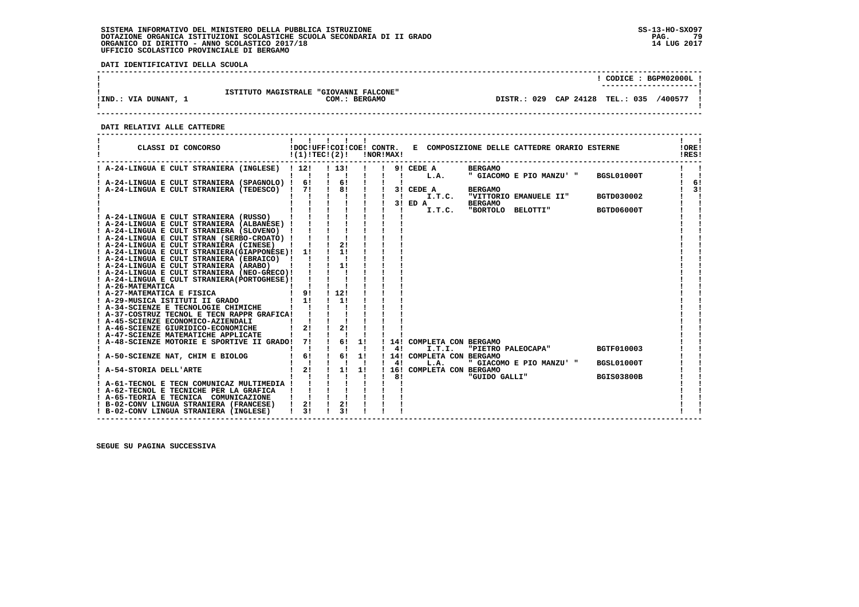**DATI IDENTIFICATIVI DELLA SCUOLA**

|                      |                                                         | CODICE: BGPM02000L!                              |
|----------------------|---------------------------------------------------------|--------------------------------------------------|
| !IND.: VIA DUNANT, 1 | ISTITUTO MAGISTRALE "GIOVANNI FALCONE"<br>COM.: BERGAMO | CAP 24128 TEL.: 035<br>029<br>400577/<br>DISTR.: |

 **------------------------------------------------------------------------------------------------------------------------------------**

### **DATI RELATIVI ALLE CATTEDRE**

| ! A-24-LINGUA E CULT STRANIERA (INGLESE) ! 12!<br>! 13!<br>9! CEDE A<br><b>BERGAMO</b><br>" GIACOMO E PIO MANZU' "<br>BGSL01000T<br>$\blacksquare$<br>L.A.<br>6!<br>! A-24-LINGUA E CULT STRANIERA (SPAGNOLO) ! 6!<br>6!<br>8!<br>3!<br>A-24-LINGUA E CULT STRANIERA (TEDESCO) ! 7!<br>$\mathbf{I}$<br>3! CEDE A<br><b>BERGAMO</b><br><b>BGTD030002</b><br>I.T.C.<br>"VITTORIO EMANUELE II"<br>3! ED A<br><b>BERGAMO</b><br>I.T.C.<br>"BORTOLO BELOTTI"<br>BGTD06000T<br>! A-24-LINGUA E CULT STRANIERA (RUSSO)<br>! A-24-LINGUA E CULT STRANIERA (ALBANESE) !<br>! A-24-LINGUA E CULT STRANIERA (SLOVENO) !<br>! A-24-LINGUA E CULT STRAN (SERBO-CROATO) !<br>2!<br>! A-24-LINGUA E CULT STRANIERA (CINESE)<br>11<br>! A-24-LINGUA E CULT STRANIERA (GIAPPONESE)! 1!<br>! A-24-LINGUA E CULT STRANIERA (EBRAICO) !<br>11<br>! A-24-LINGUA E CULT STRANIERA (ARABO)<br>! A-24-LINGUA E CULT STRANIERA (NEO-GRECO)!<br>! A-24-LINGUA E CULT STRANIERA (PORTOGHESE) !<br>! A-26-MATEMATICA<br>9!<br>! 12!<br>! A-27-MATEMATICA E FISICA<br>11<br>11<br>! A-29-MUSICA ISTITUTI II GRADO<br>! A-34-SCIENZE E TECNOLOGIE CHIMICHE<br>! A-37-COSTRUZ TECNOL E TECN RAPPR GRAFICA!<br>! A-45-SCIENZE ECONOMICO-AZIENDALI<br>2!<br>2!<br>! A-46-SCIENZE GIURIDICO-ECONOMICHE<br>! A-47-SCIENZE MATEMATICHE APPLICATE<br>-1<br>6!<br>A-48-SCIENZE MOTORIE E SPORTIVE II GRADO!<br>71<br>1!<br>14!<br>COMPLETA CON BERGAMO<br>$\mathbf{1}$ $\mathbf{1}$<br>"PIETRO PALEOCAPA"<br><b>BGTF010003</b><br>4!<br>I.T.I.<br>$\mathbf{I}$<br>$1 \quad 61$<br>6!<br>1!<br>! A-50-SCIENZE NAT, CHIM E BIOLOG<br>14! COMPLETA CON BERGAMO<br>" GIACOMO E PIO MANZU' "<br>4!<br>L.A.<br>BGSL01000T<br>2!<br>$\frac{1}{2}$<br>1!<br>16! COMPLETA CON BERGAMO<br>! A-54-STORIA DELL'ARTE<br>"GUIDO GALLI"<br>8!<br><b>BGIS03800B</b><br>! A-61-TECNOL E TECN COMUNICAZ MULTIMEDIA !<br>! A-62-TECNOL E TECNICHE PER LA GRAFICA<br>! A-65-TEORIA E TECNICA COMUNICAZIONE<br>2!<br>2!<br>! B-02-CONV LINGUA STRANIERA (FRANCESE)<br>31<br>31<br>! B-02-CONV LINGUA STRANIERA (INGLESE) | CLASSI DI CONCORSO | !(1)!TECI(2)! | !NOR!MAX! | !DOC!UFF!COI!COE! CONTR. E COMPOSIZIONE DELLE CATTEDRE ORARIO ESTERNE | !ORE!<br>!RES! |
|---------------------------------------------------------------------------------------------------------------------------------------------------------------------------------------------------------------------------------------------------------------------------------------------------------------------------------------------------------------------------------------------------------------------------------------------------------------------------------------------------------------------------------------------------------------------------------------------------------------------------------------------------------------------------------------------------------------------------------------------------------------------------------------------------------------------------------------------------------------------------------------------------------------------------------------------------------------------------------------------------------------------------------------------------------------------------------------------------------------------------------------------------------------------------------------------------------------------------------------------------------------------------------------------------------------------------------------------------------------------------------------------------------------------------------------------------------------------------------------------------------------------------------------------------------------------------------------------------------------------------------------------------------------------------------------------------------------------------------------------------------------------------------------------------------------------------------------------------------------------------------------------------------------------------------------------------------------------------------------------------------------------------------------------------------------|--------------------|---------------|-----------|-----------------------------------------------------------------------|----------------|
|                                                                                                                                                                                                                                                                                                                                                                                                                                                                                                                                                                                                                                                                                                                                                                                                                                                                                                                                                                                                                                                                                                                                                                                                                                                                                                                                                                                                                                                                                                                                                                                                                                                                                                                                                                                                                                                                                                                                                                                                                                                               |                    |               |           |                                                                       |                |
|                                                                                                                                                                                                                                                                                                                                                                                                                                                                                                                                                                                                                                                                                                                                                                                                                                                                                                                                                                                                                                                                                                                                                                                                                                                                                                                                                                                                                                                                                                                                                                                                                                                                                                                                                                                                                                                                                                                                                                                                                                                               |                    |               |           |                                                                       |                |
|                                                                                                                                                                                                                                                                                                                                                                                                                                                                                                                                                                                                                                                                                                                                                                                                                                                                                                                                                                                                                                                                                                                                                                                                                                                                                                                                                                                                                                                                                                                                                                                                                                                                                                                                                                                                                                                                                                                                                                                                                                                               |                    |               |           |                                                                       |                |
|                                                                                                                                                                                                                                                                                                                                                                                                                                                                                                                                                                                                                                                                                                                                                                                                                                                                                                                                                                                                                                                                                                                                                                                                                                                                                                                                                                                                                                                                                                                                                                                                                                                                                                                                                                                                                                                                                                                                                                                                                                                               |                    |               |           |                                                                       |                |
|                                                                                                                                                                                                                                                                                                                                                                                                                                                                                                                                                                                                                                                                                                                                                                                                                                                                                                                                                                                                                                                                                                                                                                                                                                                                                                                                                                                                                                                                                                                                                                                                                                                                                                                                                                                                                                                                                                                                                                                                                                                               |                    |               |           |                                                                       |                |
|                                                                                                                                                                                                                                                                                                                                                                                                                                                                                                                                                                                                                                                                                                                                                                                                                                                                                                                                                                                                                                                                                                                                                                                                                                                                                                                                                                                                                                                                                                                                                                                                                                                                                                                                                                                                                                                                                                                                                                                                                                                               |                    |               |           |                                                                       |                |
|                                                                                                                                                                                                                                                                                                                                                                                                                                                                                                                                                                                                                                                                                                                                                                                                                                                                                                                                                                                                                                                                                                                                                                                                                                                                                                                                                                                                                                                                                                                                                                                                                                                                                                                                                                                                                                                                                                                                                                                                                                                               |                    |               |           |                                                                       |                |
|                                                                                                                                                                                                                                                                                                                                                                                                                                                                                                                                                                                                                                                                                                                                                                                                                                                                                                                                                                                                                                                                                                                                                                                                                                                                                                                                                                                                                                                                                                                                                                                                                                                                                                                                                                                                                                                                                                                                                                                                                                                               |                    |               |           |                                                                       |                |
|                                                                                                                                                                                                                                                                                                                                                                                                                                                                                                                                                                                                                                                                                                                                                                                                                                                                                                                                                                                                                                                                                                                                                                                                                                                                                                                                                                                                                                                                                                                                                                                                                                                                                                                                                                                                                                                                                                                                                                                                                                                               |                    |               |           |                                                                       |                |
|                                                                                                                                                                                                                                                                                                                                                                                                                                                                                                                                                                                                                                                                                                                                                                                                                                                                                                                                                                                                                                                                                                                                                                                                                                                                                                                                                                                                                                                                                                                                                                                                                                                                                                                                                                                                                                                                                                                                                                                                                                                               |                    |               |           |                                                                       |                |
|                                                                                                                                                                                                                                                                                                                                                                                                                                                                                                                                                                                                                                                                                                                                                                                                                                                                                                                                                                                                                                                                                                                                                                                                                                                                                                                                                                                                                                                                                                                                                                                                                                                                                                                                                                                                                                                                                                                                                                                                                                                               |                    |               |           |                                                                       |                |
|                                                                                                                                                                                                                                                                                                                                                                                                                                                                                                                                                                                                                                                                                                                                                                                                                                                                                                                                                                                                                                                                                                                                                                                                                                                                                                                                                                                                                                                                                                                                                                                                                                                                                                                                                                                                                                                                                                                                                                                                                                                               |                    |               |           |                                                                       |                |
|                                                                                                                                                                                                                                                                                                                                                                                                                                                                                                                                                                                                                                                                                                                                                                                                                                                                                                                                                                                                                                                                                                                                                                                                                                                                                                                                                                                                                                                                                                                                                                                                                                                                                                                                                                                                                                                                                                                                                                                                                                                               |                    |               |           |                                                                       |                |
|                                                                                                                                                                                                                                                                                                                                                                                                                                                                                                                                                                                                                                                                                                                                                                                                                                                                                                                                                                                                                                                                                                                                                                                                                                                                                                                                                                                                                                                                                                                                                                                                                                                                                                                                                                                                                                                                                                                                                                                                                                                               |                    |               |           |                                                                       |                |
|                                                                                                                                                                                                                                                                                                                                                                                                                                                                                                                                                                                                                                                                                                                                                                                                                                                                                                                                                                                                                                                                                                                                                                                                                                                                                                                                                                                                                                                                                                                                                                                                                                                                                                                                                                                                                                                                                                                                                                                                                                                               |                    |               |           |                                                                       |                |
|                                                                                                                                                                                                                                                                                                                                                                                                                                                                                                                                                                                                                                                                                                                                                                                                                                                                                                                                                                                                                                                                                                                                                                                                                                                                                                                                                                                                                                                                                                                                                                                                                                                                                                                                                                                                                                                                                                                                                                                                                                                               |                    |               |           |                                                                       |                |
|                                                                                                                                                                                                                                                                                                                                                                                                                                                                                                                                                                                                                                                                                                                                                                                                                                                                                                                                                                                                                                                                                                                                                                                                                                                                                                                                                                                                                                                                                                                                                                                                                                                                                                                                                                                                                                                                                                                                                                                                                                                               |                    |               |           |                                                                       |                |
|                                                                                                                                                                                                                                                                                                                                                                                                                                                                                                                                                                                                                                                                                                                                                                                                                                                                                                                                                                                                                                                                                                                                                                                                                                                                                                                                                                                                                                                                                                                                                                                                                                                                                                                                                                                                                                                                                                                                                                                                                                                               |                    |               |           |                                                                       |                |
|                                                                                                                                                                                                                                                                                                                                                                                                                                                                                                                                                                                                                                                                                                                                                                                                                                                                                                                                                                                                                                                                                                                                                                                                                                                                                                                                                                                                                                                                                                                                                                                                                                                                                                                                                                                                                                                                                                                                                                                                                                                               |                    |               |           |                                                                       |                |
|                                                                                                                                                                                                                                                                                                                                                                                                                                                                                                                                                                                                                                                                                                                                                                                                                                                                                                                                                                                                                                                                                                                                                                                                                                                                                                                                                                                                                                                                                                                                                                                                                                                                                                                                                                                                                                                                                                                                                                                                                                                               |                    |               |           |                                                                       |                |
|                                                                                                                                                                                                                                                                                                                                                                                                                                                                                                                                                                                                                                                                                                                                                                                                                                                                                                                                                                                                                                                                                                                                                                                                                                                                                                                                                                                                                                                                                                                                                                                                                                                                                                                                                                                                                                                                                                                                                                                                                                                               |                    |               |           |                                                                       |                |
|                                                                                                                                                                                                                                                                                                                                                                                                                                                                                                                                                                                                                                                                                                                                                                                                                                                                                                                                                                                                                                                                                                                                                                                                                                                                                                                                                                                                                                                                                                                                                                                                                                                                                                                                                                                                                                                                                                                                                                                                                                                               |                    |               |           |                                                                       |                |
|                                                                                                                                                                                                                                                                                                                                                                                                                                                                                                                                                                                                                                                                                                                                                                                                                                                                                                                                                                                                                                                                                                                                                                                                                                                                                                                                                                                                                                                                                                                                                                                                                                                                                                                                                                                                                                                                                                                                                                                                                                                               |                    |               |           |                                                                       |                |
|                                                                                                                                                                                                                                                                                                                                                                                                                                                                                                                                                                                                                                                                                                                                                                                                                                                                                                                                                                                                                                                                                                                                                                                                                                                                                                                                                                                                                                                                                                                                                                                                                                                                                                                                                                                                                                                                                                                                                                                                                                                               |                    |               |           |                                                                       |                |
|                                                                                                                                                                                                                                                                                                                                                                                                                                                                                                                                                                                                                                                                                                                                                                                                                                                                                                                                                                                                                                                                                                                                                                                                                                                                                                                                                                                                                                                                                                                                                                                                                                                                                                                                                                                                                                                                                                                                                                                                                                                               |                    |               |           |                                                                       |                |
|                                                                                                                                                                                                                                                                                                                                                                                                                                                                                                                                                                                                                                                                                                                                                                                                                                                                                                                                                                                                                                                                                                                                                                                                                                                                                                                                                                                                                                                                                                                                                                                                                                                                                                                                                                                                                                                                                                                                                                                                                                                               |                    |               |           |                                                                       |                |
|                                                                                                                                                                                                                                                                                                                                                                                                                                                                                                                                                                                                                                                                                                                                                                                                                                                                                                                                                                                                                                                                                                                                                                                                                                                                                                                                                                                                                                                                                                                                                                                                                                                                                                                                                                                                                                                                                                                                                                                                                                                               |                    |               |           |                                                                       |                |
|                                                                                                                                                                                                                                                                                                                                                                                                                                                                                                                                                                                                                                                                                                                                                                                                                                                                                                                                                                                                                                                                                                                                                                                                                                                                                                                                                                                                                                                                                                                                                                                                                                                                                                                                                                                                                                                                                                                                                                                                                                                               |                    |               |           |                                                                       |                |
|                                                                                                                                                                                                                                                                                                                                                                                                                                                                                                                                                                                                                                                                                                                                                                                                                                                                                                                                                                                                                                                                                                                                                                                                                                                                                                                                                                                                                                                                                                                                                                                                                                                                                                                                                                                                                                                                                                                                                                                                                                                               |                    |               |           |                                                                       |                |
|                                                                                                                                                                                                                                                                                                                                                                                                                                                                                                                                                                                                                                                                                                                                                                                                                                                                                                                                                                                                                                                                                                                                                                                                                                                                                                                                                                                                                                                                                                                                                                                                                                                                                                                                                                                                                                                                                                                                                                                                                                                               |                    |               |           |                                                                       |                |
|                                                                                                                                                                                                                                                                                                                                                                                                                                                                                                                                                                                                                                                                                                                                                                                                                                                                                                                                                                                                                                                                                                                                                                                                                                                                                                                                                                                                                                                                                                                                                                                                                                                                                                                                                                                                                                                                                                                                                                                                                                                               |                    |               |           |                                                                       |                |
|                                                                                                                                                                                                                                                                                                                                                                                                                                                                                                                                                                                                                                                                                                                                                                                                                                                                                                                                                                                                                                                                                                                                                                                                                                                                                                                                                                                                                                                                                                                                                                                                                                                                                                                                                                                                                                                                                                                                                                                                                                                               |                    |               |           |                                                                       |                |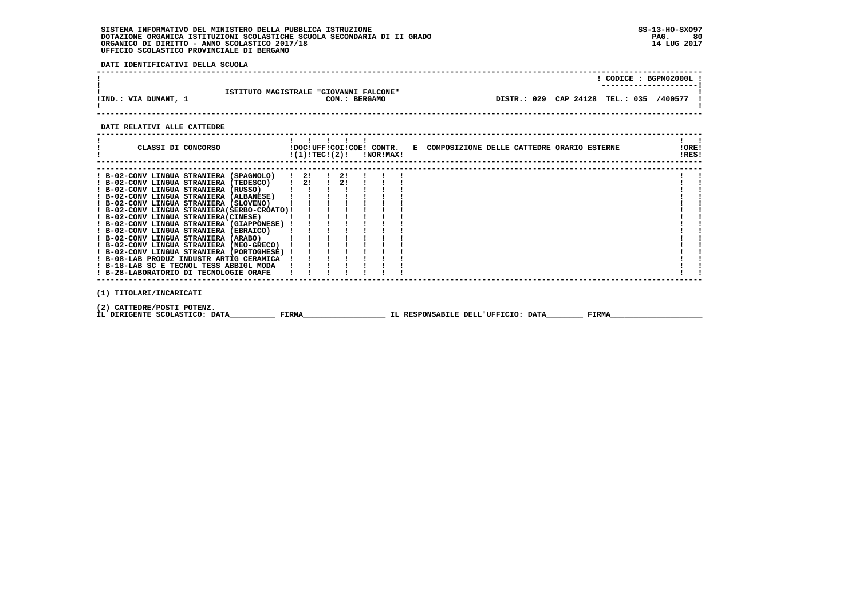**DATI IDENTIFICATIVI DELLA SCUOLA**

|                      |                                                         | CODICE: BGPM02000L!                        |
|----------------------|---------------------------------------------------------|--------------------------------------------|
| !IND.: VIA DUNANT, 1 | ISTITUTO MAGISTRALE "GIOVANNI FALCONE"<br>COM.: BERGAMO | DISTR.: 029 CAP 24128 TEL.: 035<br>/400577 |

## **DATI RELATIVI ALLE CATTEDRE**

| CLASSI DI CONCORSO                                                                   |  |       |    |               |                             | $!(1)!TEC!(2)!$ $INORIMAX!$ | !DOC!UFF!COI!COE! CONTR. E COMPOSIZIONE DELLE CATTEDRE ORARIO ESTERNE |  |       | IORE!<br>!RES! |  |
|--------------------------------------------------------------------------------------|--|-------|----|---------------|-----------------------------|-----------------------------|-----------------------------------------------------------------------|--|-------|----------------|--|
| ! B-02-CONV LINGUA STRANIERA (SPAGNOLO) ! 2!                                         |  |       |    | $\frac{1}{2}$ |                             |                             |                                                                       |  |       |                |  |
| ! B-02-CONV LINGUA STRANIERA (TEDESCO) !<br>! B-02-CONV LINGUA STRANIERA (RUSSO) [ ! |  |       | 21 |               | $\frac{1}{2}$ $\frac{1}{2}$ |                             |                                                                       |  |       |                |  |
| ! B-02-CONV LINGUA STRANIERA (ALBANESE)                                              |  |       |    |               |                             |                             |                                                                       |  |       |                |  |
| ! B-02-CONV LINGUA STRANIERA (SLOVENO)                                               |  |       |    |               |                             |                             |                                                                       |  |       |                |  |
| ! B-02-CONV LINGUA STRANIERA(SERBO-CROATO)!                                          |  |       |    |               |                             |                             |                                                                       |  |       |                |  |
| ! B-02-CONV LINGUA STRANIERA(CINESE)                                                 |  |       |    |               |                             |                             |                                                                       |  |       |                |  |
| ! B-02-CONV LINGUA STRANIERA (GIAPPONESE) !                                          |  |       |    |               |                             |                             |                                                                       |  |       |                |  |
| ! B-02-CONV LINGUA STRANIERA (EBRAICO)<br>! B-02-CONV LINGUA STRANIERA (ARABO)       |  |       |    |               |                             |                             |                                                                       |  |       |                |  |
| ! B-02-CONV LINGUA STRANIERA (NEO-GRECO)                                             |  |       |    |               |                             |                             |                                                                       |  |       |                |  |
| ! B-02-CONV LINGUA STRANIERA (PORTOGHESE) !                                          |  |       |    |               |                             |                             |                                                                       |  |       |                |  |
| ! B-08-LAB PRODUZ INDUSTR ARTIG CERAMICA                                             |  |       |    |               |                             |                             |                                                                       |  |       |                |  |
| ! B-18-LAB SC E TECNOL TESS ABBIGL MODA                                              |  |       |    |               |                             |                             |                                                                       |  |       |                |  |
| ! B-28-LABORATORIO DI TECNOLOGIE ORAFE                                               |  |       |    |               |                             |                             |                                                                       |  |       |                |  |
| (1) TITOLARI/INCARICATI                                                              |  |       |    |               |                             |                             |                                                                       |  |       |                |  |
| (2) CATTEDRE/POSTI POTENZ.<br>IL DIRIGENTE SCOLASTICO: DATA                          |  | FIRMA |    |               |                             |                             | IL RESPONSABILE DELL'UFFICIO: DATA                                    |  | FIRMA |                |  |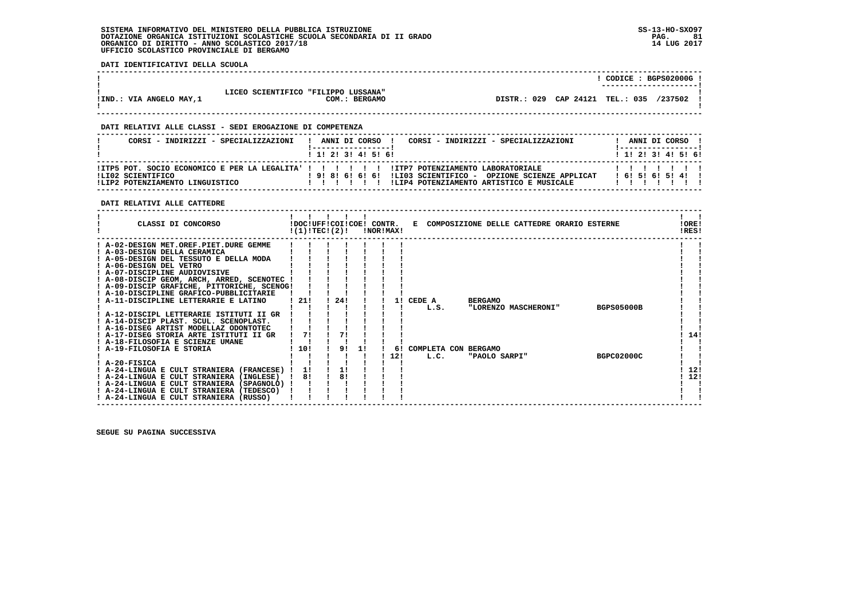**DATI IDENTIFICATIVI DELLA SCUOLA**

|                          |                                     |               |                                 | CODICE: BGPS02000G!<br>----------------------- |         |  |
|--------------------------|-------------------------------------|---------------|---------------------------------|------------------------------------------------|---------|--|
| !IND.: VIA ANGELO MAY, 1 | LICEO SCIENTIFICO "FILIPPO LUSSANA" | COM.: BERGAMO | DISTR.: 029 CAP 24121 TEL.: 035 |                                                | /237502 |  |
|                          |                                     |               |                                 |                                                |         |  |

 **------------------------------------------------------------------------------------------------------------------------------------**

### **DATI RELATIVI ALLE CLASSI - SEDI EROGAZIONE DI COMPETENZA**

| CORSI - INDIRIZZI - SPECIALIZZAZIONI                 | CORSI - INDIRIZZI - SPECIALIZZAZIONI<br>ANNI DI CORSO !                                                                                                                                                | ANNI DI CORSO !           |
|------------------------------------------------------|--------------------------------------------------------------------------------------------------------------------------------------------------------------------------------------------------------|---------------------------|
|                                                      | 1 1 1 2 1 3 1 4 1 5 1 6 1                                                                                                                                                                              | 1 1 1 2 1 3 1 4 1 5 1 6 1 |
| ILI02 SCIENTIFICO<br>!LIP2 POTENZIAMENTO LINGUISTICO | ITP5 POT. SOCIO ECONOMICO E PER LA LEGALITA' ! ! ! ! ! ! ITP7 POTENZIAMENTO LABORATORIALE<br>! 9! 8! 6! 6! 6! !LIO3 SCIENTIFICO - OPZIONE SCIENZE APPLICAT<br>ILIP4 POTENZIAMENTO ARTISTICO E MUSICALE | 16!5!6!5!4!1              |

### **DATI RELATIVI ALLE CATTEDRE**

| CLASSI DI CONCORSO                          |        | !DOC!UFF!COI!COE! CONTR.<br>!(1)!TEC!(2)! |    | !NOR!MAX! |     | Е                    |                | COMPOSIZIONE DELLE CATTEDRE ORARIO ESTERNE |                   | !ORE!<br>!RES! |  |
|---------------------------------------------|--------|-------------------------------------------|----|-----------|-----|----------------------|----------------|--------------------------------------------|-------------------|----------------|--|
| ! A-02-DESIGN MET.OREF.PIET.DURE GEMME      |        |                                           |    |           |     |                      |                |                                            |                   |                |  |
| ! A-03-DESIGN DELLA CERAMICA                |        |                                           |    |           |     |                      |                |                                            |                   |                |  |
| ! A-05-DESIGN DEL TESSUTO E DELLA MODA      |        |                                           |    |           |     |                      |                |                                            |                   |                |  |
| ! A-06-DESIGN DEL VETRO                     |        |                                           |    |           |     |                      |                |                                            |                   |                |  |
| ! A-07-DISCIPLINE AUDIOVISIVE               |        |                                           |    |           |     |                      |                |                                            |                   |                |  |
| ! A-08-DISCIP GEOM, ARCH, ARRED, SCENOTEC ! |        |                                           |    |           |     |                      |                |                                            |                   |                |  |
| ! A-09-DISCIP GRAFICHE, PITTORICHE, SCENOG! |        |                                           |    |           |     |                      |                |                                            |                   |                |  |
| ! A-10-DISCIPLINE GRAFICO-PUBBLICITARIE     |        |                                           |    |           |     |                      |                |                                            |                   |                |  |
| A-11-DISCIPLINE LETTERARIE E LATINO         | - 21 ! | 24!                                       |    |           | 11  | CEDE A               | <b>BERGAMO</b> |                                            |                   |                |  |
|                                             |        |                                           |    |           |     | L.S.                 |                | "LORENZO MASCHERONI"                       | <b>BGPS05000B</b> |                |  |
| ! A-12-DISCIPL LETTERARIE ISTITUTI II GR    |        |                                           |    |           |     |                      |                |                                            |                   |                |  |
| A-14-DISCIP PLAST, SCUL, SCENOPLAST,        |        |                                           |    |           |     |                      |                |                                            |                   |                |  |
| ! A-16-DISEG ARTIST MODELLAZ ODONTOTEC      |        |                                           |    |           |     |                      |                |                                            |                   |                |  |
| ! A-17-DISEG STORIA ARTE ISTITUTI II GR     | 71     | 71                                        |    |           |     |                      |                |                                            |                   | 14!            |  |
| A-18-FILOSOFIA E SCIENZE UMANE              |        |                                           |    |           |     |                      |                |                                            |                   |                |  |
| ! A-19-FILOSOFIA E STORIA                   | 10!    | 91                                        | 11 |           | 61  | COMPLETA CON BERGAMO |                |                                            |                   |                |  |
|                                             |        |                                           |    |           | 12! | L.C.                 | "PAOLO SARPI"  |                                            | <b>BGPC02000C</b> |                |  |
| ! A-20-FISICA                               |        |                                           |    |           |     |                      |                |                                            |                   |                |  |
| ! A-24-LINGUA E CULT STRANIERA (FRANCESE)   | 11     | 11                                        |    |           |     |                      |                |                                            |                   | 12!            |  |
| ! A-24-LINGUA E CULT STRANIERA (INGLESE)    | 8!     | 8!                                        |    |           |     |                      |                |                                            |                   | 12!            |  |
| ! A-24-LINGUA E CULT STRANIERA (SPAGNOLO) ! |        |                                           |    |           |     |                      |                |                                            |                   |                |  |
| ! A-24-LINGUA E CULT STRANIERA (TEDESCO)    |        |                                           |    |           |     |                      |                |                                            |                   |                |  |
| ! A-24-LINGUA E CULT STRANIERA (RUSSO)      |        |                                           |    |           |     |                      |                |                                            |                   |                |  |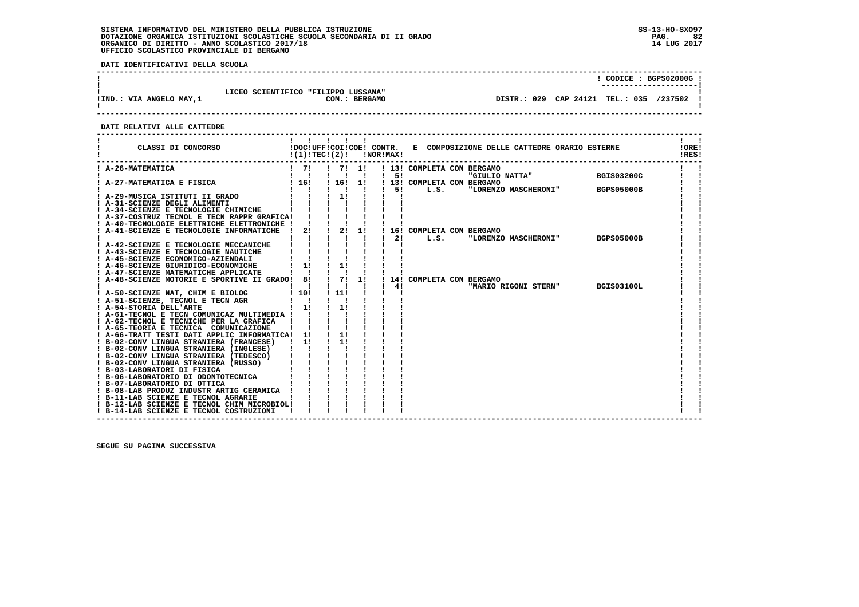**DATI IDENTIFICATIVI DELLA SCUOLA**

|                          |                                     |                         |         |  |  | CODICE: BGPS02000G!<br>---------------------- |  |
|--------------------------|-------------------------------------|-------------------------|---------|--|--|-----------------------------------------------|--|
| !IND.: VIA ANGELO MAY, 1 | LICEO SCIENTIFICO "FILIPPO LUSSANA" | COM.:<br><b>BERGAMO</b> | DISTR.: |  |  | 029 CAP 24121 TEL.: 035 /237502               |  |

 **------------------------------------------------------------------------------------------------------------------------------------**

 **DATI RELATIVI ALLE CATTEDRE**

| CLASSI DI CONCORSO                                                                      | !(1)!TECI(2)!                             |                           |                      | <b>!NOR!MAX!</b> |                            | !DOC!UFF!COI!COE! CONTR. E COMPOSIZIONE DELLE CATTEDRE ORARIO ESTERNE |                   | !ORE!<br>!RES! |
|-----------------------------------------------------------------------------------------|-------------------------------------------|---------------------------|----------------------|------------------|----------------------------|-----------------------------------------------------------------------|-------------------|----------------|
| ! A-26-MATEMATICA                                                                       | $1 \quad 71$<br>$\mathbf{I}$ $\mathbf{I}$ | $1 \t 71 \t 11$           |                      |                  | ! 13! COMPLETA CON BERGAMO |                                                                       |                   |                |
| A-27-MATEMATICA E FISICA                                                                | ! 16!                                     | ! 16!                     | $\blacksquare$<br>1! | $1 \quad 51$     | ! 13! COMPLETA CON BERGAMO | "GIULIO NATTA" BGIS03200C                                             |                   |                |
| ! A-29-MUSICA ISTITUTI II GRADO                                                         | $1 \quad 1 \quad 1 \quad 11$              | $\mathbf{I}$ $\mathbf{I}$ |                      |                  | $1 \quad 5! \quad L.S.$    | "LORENZO MASCHERONI"                                                  | <b>BGPS05000B</b> |                |
| ! A-31-SCIENZE DEGLI ALIMENTI                                                           |                                           |                           |                      |                  |                            |                                                                       |                   |                |
| ! A-34-SCIENZE E TECNOLOGIE CHIMICHE                                                    |                                           |                           |                      |                  |                            |                                                                       |                   |                |
| ! A-37-COSTRUZ TECNOL E TECN RAPPR GRAFICA!                                             |                                           |                           |                      |                  |                            |                                                                       |                   |                |
| ! A-40-TECNOLOGIE ELETTRICHE ELETTRONICHE !<br>! A-41-SCIENZE E TECNOLOGIE INFORMATICHE | $\mathbf{I}$                              | $2!$ $1$ $2!$             | 1!                   |                  | ! 16! COMPLETA CON BERGAMO |                                                                       |                   |                |
|                                                                                         |                                           |                           |                      |                  | 21<br>L.S.                 | "LORENZO MASCHERONI" BGPS05000B                                       |                   |                |
| ! A-42-SCIENZE E TECNOLOGIE MECCANICHE                                                  |                                           |                           |                      |                  |                            |                                                                       |                   |                |
| ! A-43-SCIENZE E TECNOLOGIE NAUTICHE                                                    |                                           |                           |                      |                  |                            |                                                                       |                   |                |
| ! A-45-SCIENZE ECONOMICO-AZIENDALI                                                      |                                           |                           |                      |                  |                            |                                                                       |                   |                |
| ! A-46-SCIENZE GIURIDICO-ECONOMICHE                                                     | 1!                                        | 1!                        |                      |                  |                            |                                                                       |                   |                |
| ! A-47-SCIENZE MATEMATICHE APPLICATE                                                    |                                           |                           |                      |                  |                            |                                                                       |                   |                |
| A-48-SCIENZE MOTORIE E SPORTIVE II GRADO! 8!                                            |                                           | $\frac{1}{2}$             | 11                   | $\frac{1}{4}$    | 14! COMPLETA CON BERGAMO   |                                                                       | <b>BGIS03100L</b> |                |
| ! A-50-SCIENZE NAT, CHIM E BIOLOG                                                       | !10!                                      | $\frac{1}{111}$           |                      |                  |                            | "MARIO RIGONI STERN"                                                  |                   |                |
| ! A-51-SCIENZE, TECNOL E TECN AGR                                                       | $\mathbf{I}$ $\mathbf{I}$                 |                           |                      |                  |                            |                                                                       |                   |                |
| ! A-54-STORIA DELL'ARTE                                                                 | ! 1!                                      | $\frac{1}{1}$             |                      |                  |                            |                                                                       |                   |                |
| ! A-61-TECNOL E TECN COMUNICAZ MULTIMEDIA !                                             |                                           |                           |                      |                  |                            |                                                                       |                   |                |
| ! A-62-TECNOL E TECNICHE PER LA GRAFICA                                                 |                                           |                           |                      |                  |                            |                                                                       |                   |                |
| ! A-65-TEORIA E TECNICA COMUNICAZIONE                                                   |                                           |                           |                      |                  |                            |                                                                       |                   |                |
| ! A-66-TRATT TESTI DATI APPLIC INFORMATICA! 1!                                          |                                           | 1!                        |                      |                  |                            |                                                                       |                   |                |
| ! B-02-CONV LINGUA STRANIERA (FRANCESE) ! 1!                                            |                                           | 11                        |                      |                  |                            |                                                                       |                   |                |
| ! B-02-CONV LINGUA STRANIERA (INGLESE)                                                  |                                           |                           |                      |                  |                            |                                                                       |                   |                |
| ! B-02-CONV LINGUA STRANIERA (TEDESCO)<br>! B-02-CONV LINGUA STRANIERA (RUSSO)          |                                           |                           |                      |                  |                            |                                                                       |                   |                |
| ! B-03-LABORATORI DI FISICA                                                             |                                           |                           |                      |                  |                            |                                                                       |                   |                |
| ! B-06-LABORATORIO DI ODONTOTECNICA                                                     |                                           |                           |                      |                  |                            |                                                                       |                   |                |
| ! B-07-LABORATORIO DI OTTICA                                                            |                                           |                           |                      |                  |                            |                                                                       |                   |                |
| ! B-08-LAB PRODUZ INDUSTR ARTIG CERAMICA !                                              |                                           |                           |                      |                  |                            |                                                                       |                   |                |
| ! B-11-LAB SCIENZE E TECNOL AGRARIE                                                     |                                           |                           |                      |                  |                            |                                                                       |                   |                |
| ! B-12-LAB SCIENZE E TECNOL CHIM MICROBIOL!                                             |                                           |                           |                      |                  |                            |                                                                       |                   |                |
| ! B-14-LAB SCIENZE E TECNOL COSTRUZIONI                                                 |                                           |                           |                      |                  |                            |                                                                       |                   |                |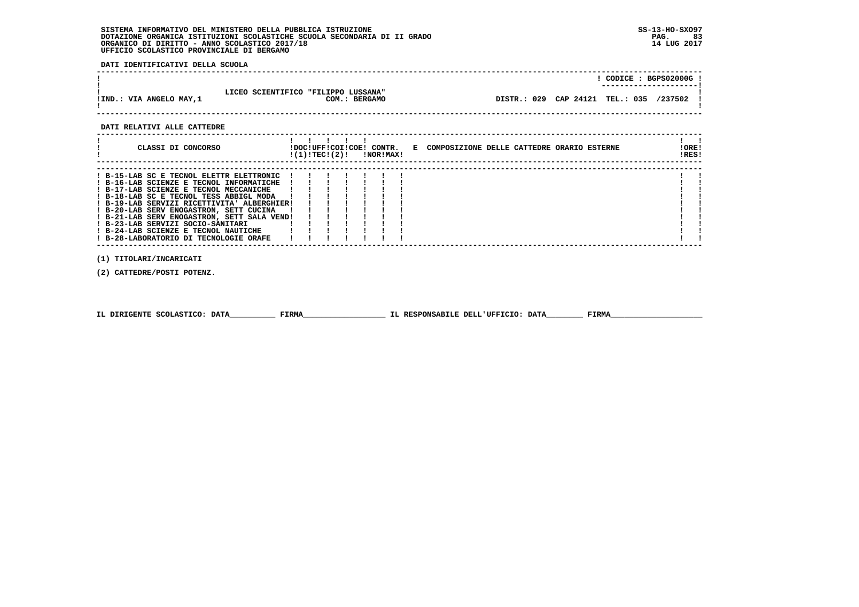**DATI IDENTIFICATIVI DELLA SCUOLA**

|                         |                                                      |                                           | CODICE: BGPS02000G! |
|-------------------------|------------------------------------------------------|-------------------------------------------|---------------------|
| !IND.: VIA ANGELO MAY,1 | LICEO SCIENTIFICO "FILIPPO LUSSANA"<br>COM.: BERGAMO | DISTR.: 029 CAP 24121 TEL.: 035 /237502 ! |                     |

 **DATI RELATIVI ALLE CATTEDRE**

| CLASSI DI CONCORSO                          | !(1)!TEC!(2)! |  | !NOR!MAX! |  | !DOC!UFF!COI!COE! CONTR. E COMPOSIZIONE DELLE CATTEDRE ORARIO ESTERNE | !RES! | !ORE! |
|---------------------------------------------|---------------|--|-----------|--|-----------------------------------------------------------------------|-------|-------|
|                                             |               |  |           |  |                                                                       |       |       |
| ! B-15-LAB SC E TECNOL ELETTR ELETTRONIC    |               |  |           |  |                                                                       |       |       |
| ! B-16-LAB SCIENZE E TECNOL INFORMATICHE    |               |  |           |  |                                                                       |       |       |
| ! B-17-LAB SCIENZE E TECNOL MECCANICHE      |               |  |           |  |                                                                       |       |       |
| ! B-18-LAB SC E TECNOL TESS ABBIGL MODA     |               |  |           |  |                                                                       |       |       |
| ! B-19-LAB SERVIZI RICETTIVITA' ALBERGHIER! |               |  |           |  |                                                                       |       |       |
| ! B-20-LAB SERV ENOGASTRON, SETT CUCINA     |               |  |           |  |                                                                       |       |       |
| ! B-21-LAB SERV ENOGASTRON, SETT SALA VEND! |               |  |           |  |                                                                       |       |       |
| ! B-23-LAB SERVIZI SOCIO-SANITARI           |               |  |           |  |                                                                       |       |       |
| ! B-24-LAB SCIENZE E TECNOL NAUTICHE        |               |  |           |  |                                                                       |       |       |
| ! B-28-LABORATORIO DI TECNOLOGIE ORAFE      |               |  |           |  |                                                                       |       |       |
|                                             |               |  |           |  |                                                                       |       |       |
| (1) TITOLARI/INCARICATI                     |               |  |           |  |                                                                       |       |       |

 **(2) CATTEDRE/POSTI POTENZ.**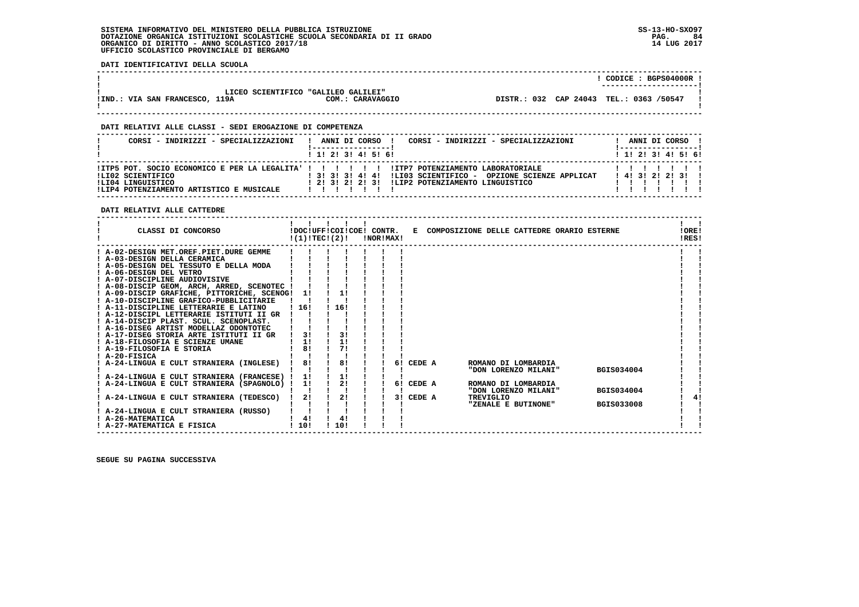**DATI IDENTIFICATIVI DELLA SCUOLA**

|                                |                                     |                  |  | CODICE: BGPS04000R!<br>----------------------- |  |
|--------------------------------|-------------------------------------|------------------|--|------------------------------------------------|--|
|                                | LICEO SCIENTIFICO "GALILEO GALILEI" |                  |  |                                                |  |
| !IND.: VIA SAN FRANCESCO, 119A |                                     | COM.: CARAVAGGIO |  | DISTR.: 032 CAP 24043 TEL.: 0363 /50547        |  |

 **------------------------------------------------------------------------------------------------------------------------------------**

 **------------------------------------------------------------------------------------------------------------------------------------**

### **DATI RELATIVI ALLE CLASSI - SEDI EROGAZIONE DI COMPETENZA**

| CORSI - INDIRIZZI - SPECIALIZZAZIONI                                               | CORSI - INDIRIZZI - SPECIALIZZAZIONI<br>ANNI DI CORSO !                                                                                                                                                               |  |  |                       | ANNI DI CORSO !   |
|------------------------------------------------------------------------------------|-----------------------------------------------------------------------------------------------------------------------------------------------------------------------------------------------------------------------|--|--|-----------------------|-------------------|
|                                                                                    | 1 1! 2! 3! 4! 5! 6!                                                                                                                                                                                                   |  |  |                       | 1 1 2 3 3 4 5 5 6 |
| ILI02 SCIENTIFICO<br>ILI04 LINGUISTICO<br>!LIP4 POTENZIAMENTO ARTISTICO E MUSICALE | !ITP5 POT. SOCIO ECONOMICO E PER LA LEGALITA' ! ! ! ! ! ! !ITP7 POTENZIAMENTO LABORATORIALE<br>$1$ 31 31 31 41 41<br>!LI03 SCIENTIFICO - OPZIONE SCIENZE APPLICAT<br>1 21 31 21 21 31 ILIP2 POTENZIAMENTO LINGUISTICO |  |  | 1 4 1 3 1 2 1 2 1 3 1 |                   |

 **DATI RELATIVI ALLE CATTEDRE**

| CLASSI DI CONCORSO                                                                                                                                                                                                                                                                                                                                                                                                                                                                                                                                                                                                                                                         | !(1)!TEC!(2)!                | !DOC!UFF!COI!COE! CONTR.           | !NOR!MAX! |    |                     |                     | E COMPOSIZIONE DELLE CATTEDRE ORARIO ESTERNE                       |                                        | !ORE!<br>IRES! |  |
|----------------------------------------------------------------------------------------------------------------------------------------------------------------------------------------------------------------------------------------------------------------------------------------------------------------------------------------------------------------------------------------------------------------------------------------------------------------------------------------------------------------------------------------------------------------------------------------------------------------------------------------------------------------------------|------------------------------|------------------------------------|-----------|----|---------------------|---------------------|--------------------------------------------------------------------|----------------------------------------|----------------|--|
| ! A-02-DESIGN MET.OREF.PIET.DURE GEMME<br>! A-03-DESIGN DELLA CERAMICA<br>! A-05-DESIGN DEL TESSUTO E DELLA MODA<br>! A-06-DESIGN DEL VETRO<br>! A-07-DISCIPLINE AUDIOVISIVE<br>! A-08-DISCIP GEOM, ARCH, ARRED, SCENOTEC !<br>! A-09-DISCIP GRAFICHE, PITTORICHE, SCENOG! 1!<br>! A-10-DISCIPLINE GRAFICO-PUBBLICITARIE<br>! A-11-DISCIPLINE LETTERARIE E LATINO<br>! A-12-DISCIPL LETTERARIE ISTITUTI II GR<br>! A-14-DISCIP PLAST, SCUL, SCENOPLAST,<br>! A-16-DISEG ARTIST MODELLAZ ODONTOTEC<br>! A-17-DISEG STORIA ARTE ISTITUTI II GR<br>! A-18-FILOSOFIA E SCIENZE UMANE<br>! A-19-FILOSOFIA E STORIA<br>$I$ A-20-FISICA<br>A-24-LINGUA E CULT STRANIERA (INGLESE) | 116!<br>3!<br>1!<br>81<br>8! | 1!<br>116!<br>3!<br>1!<br>71<br>8! |           |    | 6! CEDE A           | ROMANO DI LOMBARDIA | "DON LORENZO MILANI"                                               | <b>BGIS034004</b>                      |                |  |
| ! A-24-LINGUA E CULT STRANIERA (FRANCESE) !<br>! A-24-LINGUA E CULT STRANIERA (SPAGNOLO) !<br>A-24-LINGUA E CULT STRANIERA (TEDESCO)<br>! A-24-LINGUA E CULT STRANIERA (RUSSO)<br>! A-26-MATEMATICA<br>! A-27-MATEMATICA E FISICA                                                                                                                                                                                                                                                                                                                                                                                                                                          | 1!<br>1!<br>2!<br>4!<br>1101 | 1!<br>2!<br>2!<br>4!<br>110!       |           | 31 | 6! CEDE A<br>CEDE A | TREVIGLIO           | ROMANO DI LOMBARDIA<br>"DON LORENZO MILANI"<br>"ZENALE E BUTINONE" | <b>BGIS034004</b><br><b>BGIS033008</b> |                |  |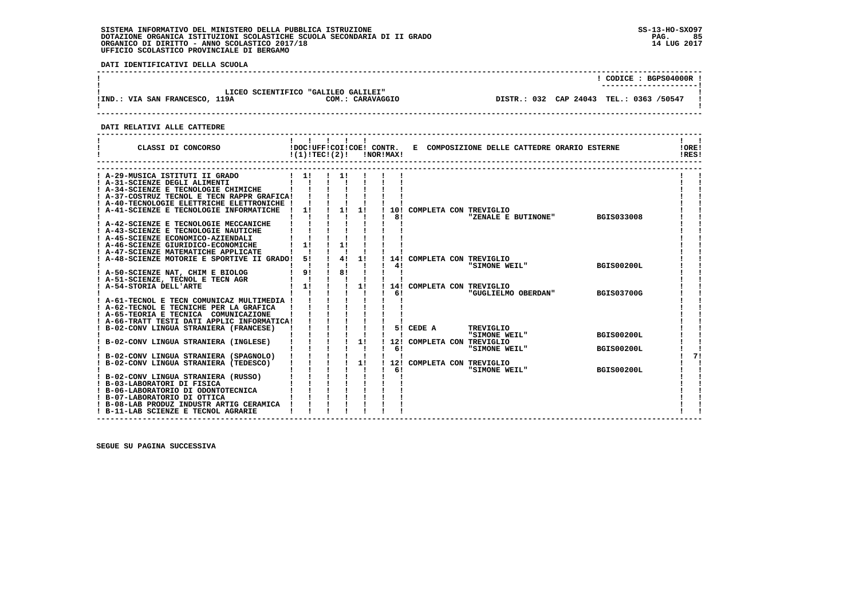**DATI IDENTIFICATIVI DELLA SCUOLA**

| LICEO SCIENTIFICO "GALILEO GALILEI"<br>!IND.: VIA SAN FRANCESCO, 119A<br>COM.: CARAVAGGIO | CODICE: BGPS04000R!<br>DISTR.: 032 CAP 24043 TEL.: 0363 /50547 |  |
|-------------------------------------------------------------------------------------------|----------------------------------------------------------------|--|
|                                                                                           |                                                                |  |

 **DATI RELATIVI ALLE CATTEDRE**

| ! A-29-MUSICA ISTITUTI II GRADO<br>$\frac{1}{1}$<br>$\frac{1}{2}$<br>! A-31-SCIENZE DEGLI ALIMENTI<br>! A-34-SCIENZE E TECNOLOGIE CHIMICHE<br>! A-37-COSTRUZ TECNOL E TECN RAPPR GRAFICA!<br>! A-40-TECNOLOGIE ELETTRICHE ELETTRONICHE !<br>$\frac{1}{2}$<br>1!<br>$\frac{1}{1}$<br>! A-41-SCIENZE E TECNOLOGIE INFORMATICHE<br>10! COMPLETA CON TREVIGLIO<br>81<br>"ZENALE E BUTINONE"<br><b>BGIS033008</b><br>! A-42-SCIENZE E TECNOLOGIE MECCANICHE<br>! A-43-SCIENZE E TECNOLOGIE NAUTICHE<br>! A-45-SCIENZE ECONOMICO-AZIENDALI<br>1!<br>11<br>! A-46-SCIENZE GIURIDICO-ECONOMICHE<br>! A-47-SCIENZE MATEMATICHE APPLICATE<br>$1 \quad 4! \quad 1!$<br>51<br>! A-48-SCIENZE MOTORIE E SPORTIVE II GRADO!<br>14! COMPLETA CON TREVIGLIO<br>$\mathbf{I}$ $\mathbf{I}$<br>41<br><b>BGIS00200L</b><br>"SIMONE WEIL"<br>$\frac{1}{8}$<br>91<br>! A-50-SCIENZE NAT, CHIM E BIOLOG<br>! A-51-SCIENZE, TECNOL E TECN AGR<br>$\mathbf{I}$<br>$1 \quad 11$<br>1!<br>! A-54-STORIA DELL'ARTE<br>14! COMPLETA CON TREVIGLIO<br>61<br>"GUGLIELMO OBERDAN"<br><b>BGIS03700G</b><br>A-61-TECNOL E TECN COMUNICAZ MULTIMEDIA !<br>! A-62-TECNOL E TECNICHE PER LA GRAFICA<br>! A-65-TEORIA E TECNICA COMUNICAZIONE<br>! A-66-TRATT TESTI DATI APPLIC INFORMATICA!<br>$\begin{array}{cccccc} 1 & 1 & 1 & 1 & 1 \\ 1 & 1 & 1 & 1 & 1 \\ 1 & 1 & 1 & 1 & 1 \\ 1 & 1 & 1 & 1 & 1 \end{array}$<br>B-02-CONV LINGUA STRANIERA (FRANCESE)<br>5! CEDE A<br>TREVIGLIO<br>"SIMONE WEIL"<br><b>BGIS00200L</b><br>- 11<br>B-02-CONV LINGUA STRANIERA (INGLESE)<br>12! COMPLETA CON TREVIGLIO<br>61<br>"SIMONE WEIL"<br><b>BGIS00200L</b><br>Ι.<br>71<br>B-02-CONV LINGUA STRANIERA (SPAGNOLO)<br>$\mathbf{I}$<br>1!<br>! B-02-CONV LINGUA STRANIERA (TEDESCO)<br>12! COMPLETA CON TREVIGLIO<br>"SIMONE WEIL"<br>61<br>1<br><b>BGIS00200L</b><br>B-02-CONV LINGUA STRANIERA (RUSSO)<br>B-03-LABORATORI DI FISICA<br>! B-06-LABORATORIO DI ODONTOTECNICA<br>! B-07-LABORATORIO DI OTTICA<br>! B-08-LAB PRODUZ INDUSTR ARTIG CERAMICA<br>! B-11-LAB SCIENZE E TECNOL AGRARIE | CLASSI DI CONCORSO | $!(1)!$ TEC! $(2)!$ |  | <b>!NOR!MAX!</b> |  | !DOC!UFF!COI!COE! CONTR. E COMPOSIZIONE DELLE CATTEDRE ORARIO ESTERNE | !ORE!<br>IRES! |
|----------------------------------------------------------------------------------------------------------------------------------------------------------------------------------------------------------------------------------------------------------------------------------------------------------------------------------------------------------------------------------------------------------------------------------------------------------------------------------------------------------------------------------------------------------------------------------------------------------------------------------------------------------------------------------------------------------------------------------------------------------------------------------------------------------------------------------------------------------------------------------------------------------------------------------------------------------------------------------------------------------------------------------------------------------------------------------------------------------------------------------------------------------------------------------------------------------------------------------------------------------------------------------------------------------------------------------------------------------------------------------------------------------------------------------------------------------------------------------------------------------------------------------------------------------------------------------------------------------------------------------------------------------------------------------------------------------------------------------------------------------------------------------------------------------------------------------------------------------------------------------------------------------------------------------------------------------------------------------------------------------------------------------------------------|--------------------|---------------------|--|------------------|--|-----------------------------------------------------------------------|----------------|
|                                                                                                                                                                                                                                                                                                                                                                                                                                                                                                                                                                                                                                                                                                                                                                                                                                                                                                                                                                                                                                                                                                                                                                                                                                                                                                                                                                                                                                                                                                                                                                                                                                                                                                                                                                                                                                                                                                                                                                                                                                                    |                    |                     |  |                  |  |                                                                       |                |
|                                                                                                                                                                                                                                                                                                                                                                                                                                                                                                                                                                                                                                                                                                                                                                                                                                                                                                                                                                                                                                                                                                                                                                                                                                                                                                                                                                                                                                                                                                                                                                                                                                                                                                                                                                                                                                                                                                                                                                                                                                                    |                    |                     |  |                  |  |                                                                       |                |
|                                                                                                                                                                                                                                                                                                                                                                                                                                                                                                                                                                                                                                                                                                                                                                                                                                                                                                                                                                                                                                                                                                                                                                                                                                                                                                                                                                                                                                                                                                                                                                                                                                                                                                                                                                                                                                                                                                                                                                                                                                                    |                    |                     |  |                  |  |                                                                       |                |
|                                                                                                                                                                                                                                                                                                                                                                                                                                                                                                                                                                                                                                                                                                                                                                                                                                                                                                                                                                                                                                                                                                                                                                                                                                                                                                                                                                                                                                                                                                                                                                                                                                                                                                                                                                                                                                                                                                                                                                                                                                                    |                    |                     |  |                  |  |                                                                       |                |
|                                                                                                                                                                                                                                                                                                                                                                                                                                                                                                                                                                                                                                                                                                                                                                                                                                                                                                                                                                                                                                                                                                                                                                                                                                                                                                                                                                                                                                                                                                                                                                                                                                                                                                                                                                                                                                                                                                                                                                                                                                                    |                    |                     |  |                  |  |                                                                       |                |
|                                                                                                                                                                                                                                                                                                                                                                                                                                                                                                                                                                                                                                                                                                                                                                                                                                                                                                                                                                                                                                                                                                                                                                                                                                                                                                                                                                                                                                                                                                                                                                                                                                                                                                                                                                                                                                                                                                                                                                                                                                                    |                    |                     |  |                  |  |                                                                       |                |
|                                                                                                                                                                                                                                                                                                                                                                                                                                                                                                                                                                                                                                                                                                                                                                                                                                                                                                                                                                                                                                                                                                                                                                                                                                                                                                                                                                                                                                                                                                                                                                                                                                                                                                                                                                                                                                                                                                                                                                                                                                                    |                    |                     |  |                  |  |                                                                       |                |
|                                                                                                                                                                                                                                                                                                                                                                                                                                                                                                                                                                                                                                                                                                                                                                                                                                                                                                                                                                                                                                                                                                                                                                                                                                                                                                                                                                                                                                                                                                                                                                                                                                                                                                                                                                                                                                                                                                                                                                                                                                                    |                    |                     |  |                  |  |                                                                       |                |
|                                                                                                                                                                                                                                                                                                                                                                                                                                                                                                                                                                                                                                                                                                                                                                                                                                                                                                                                                                                                                                                                                                                                                                                                                                                                                                                                                                                                                                                                                                                                                                                                                                                                                                                                                                                                                                                                                                                                                                                                                                                    |                    |                     |  |                  |  |                                                                       |                |
|                                                                                                                                                                                                                                                                                                                                                                                                                                                                                                                                                                                                                                                                                                                                                                                                                                                                                                                                                                                                                                                                                                                                                                                                                                                                                                                                                                                                                                                                                                                                                                                                                                                                                                                                                                                                                                                                                                                                                                                                                                                    |                    |                     |  |                  |  |                                                                       |                |
|                                                                                                                                                                                                                                                                                                                                                                                                                                                                                                                                                                                                                                                                                                                                                                                                                                                                                                                                                                                                                                                                                                                                                                                                                                                                                                                                                                                                                                                                                                                                                                                                                                                                                                                                                                                                                                                                                                                                                                                                                                                    |                    |                     |  |                  |  |                                                                       |                |
|                                                                                                                                                                                                                                                                                                                                                                                                                                                                                                                                                                                                                                                                                                                                                                                                                                                                                                                                                                                                                                                                                                                                                                                                                                                                                                                                                                                                                                                                                                                                                                                                                                                                                                                                                                                                                                                                                                                                                                                                                                                    |                    |                     |  |                  |  |                                                                       |                |
|                                                                                                                                                                                                                                                                                                                                                                                                                                                                                                                                                                                                                                                                                                                                                                                                                                                                                                                                                                                                                                                                                                                                                                                                                                                                                                                                                                                                                                                                                                                                                                                                                                                                                                                                                                                                                                                                                                                                                                                                                                                    |                    |                     |  |                  |  |                                                                       |                |
|                                                                                                                                                                                                                                                                                                                                                                                                                                                                                                                                                                                                                                                                                                                                                                                                                                                                                                                                                                                                                                                                                                                                                                                                                                                                                                                                                                                                                                                                                                                                                                                                                                                                                                                                                                                                                                                                                                                                                                                                                                                    |                    |                     |  |                  |  |                                                                       |                |
|                                                                                                                                                                                                                                                                                                                                                                                                                                                                                                                                                                                                                                                                                                                                                                                                                                                                                                                                                                                                                                                                                                                                                                                                                                                                                                                                                                                                                                                                                                                                                                                                                                                                                                                                                                                                                                                                                                                                                                                                                                                    |                    |                     |  |                  |  |                                                                       |                |
|                                                                                                                                                                                                                                                                                                                                                                                                                                                                                                                                                                                                                                                                                                                                                                                                                                                                                                                                                                                                                                                                                                                                                                                                                                                                                                                                                                                                                                                                                                                                                                                                                                                                                                                                                                                                                                                                                                                                                                                                                                                    |                    |                     |  |                  |  |                                                                       |                |
|                                                                                                                                                                                                                                                                                                                                                                                                                                                                                                                                                                                                                                                                                                                                                                                                                                                                                                                                                                                                                                                                                                                                                                                                                                                                                                                                                                                                                                                                                                                                                                                                                                                                                                                                                                                                                                                                                                                                                                                                                                                    |                    |                     |  |                  |  |                                                                       |                |
|                                                                                                                                                                                                                                                                                                                                                                                                                                                                                                                                                                                                                                                                                                                                                                                                                                                                                                                                                                                                                                                                                                                                                                                                                                                                                                                                                                                                                                                                                                                                                                                                                                                                                                                                                                                                                                                                                                                                                                                                                                                    |                    |                     |  |                  |  |                                                                       |                |
|                                                                                                                                                                                                                                                                                                                                                                                                                                                                                                                                                                                                                                                                                                                                                                                                                                                                                                                                                                                                                                                                                                                                                                                                                                                                                                                                                                                                                                                                                                                                                                                                                                                                                                                                                                                                                                                                                                                                                                                                                                                    |                    |                     |  |                  |  |                                                                       |                |
|                                                                                                                                                                                                                                                                                                                                                                                                                                                                                                                                                                                                                                                                                                                                                                                                                                                                                                                                                                                                                                                                                                                                                                                                                                                                                                                                                                                                                                                                                                                                                                                                                                                                                                                                                                                                                                                                                                                                                                                                                                                    |                    |                     |  |                  |  |                                                                       |                |
|                                                                                                                                                                                                                                                                                                                                                                                                                                                                                                                                                                                                                                                                                                                                                                                                                                                                                                                                                                                                                                                                                                                                                                                                                                                                                                                                                                                                                                                                                                                                                                                                                                                                                                                                                                                                                                                                                                                                                                                                                                                    |                    |                     |  |                  |  |                                                                       |                |
|                                                                                                                                                                                                                                                                                                                                                                                                                                                                                                                                                                                                                                                                                                                                                                                                                                                                                                                                                                                                                                                                                                                                                                                                                                                                                                                                                                                                                                                                                                                                                                                                                                                                                                                                                                                                                                                                                                                                                                                                                                                    |                    |                     |  |                  |  |                                                                       |                |
|                                                                                                                                                                                                                                                                                                                                                                                                                                                                                                                                                                                                                                                                                                                                                                                                                                                                                                                                                                                                                                                                                                                                                                                                                                                                                                                                                                                                                                                                                                                                                                                                                                                                                                                                                                                                                                                                                                                                                                                                                                                    |                    |                     |  |                  |  |                                                                       |                |
|                                                                                                                                                                                                                                                                                                                                                                                                                                                                                                                                                                                                                                                                                                                                                                                                                                                                                                                                                                                                                                                                                                                                                                                                                                                                                                                                                                                                                                                                                                                                                                                                                                                                                                                                                                                                                                                                                                                                                                                                                                                    |                    |                     |  |                  |  |                                                                       |                |
|                                                                                                                                                                                                                                                                                                                                                                                                                                                                                                                                                                                                                                                                                                                                                                                                                                                                                                                                                                                                                                                                                                                                                                                                                                                                                                                                                                                                                                                                                                                                                                                                                                                                                                                                                                                                                                                                                                                                                                                                                                                    |                    |                     |  |                  |  |                                                                       |                |
|                                                                                                                                                                                                                                                                                                                                                                                                                                                                                                                                                                                                                                                                                                                                                                                                                                                                                                                                                                                                                                                                                                                                                                                                                                                                                                                                                                                                                                                                                                                                                                                                                                                                                                                                                                                                                                                                                                                                                                                                                                                    |                    |                     |  |                  |  |                                                                       |                |
|                                                                                                                                                                                                                                                                                                                                                                                                                                                                                                                                                                                                                                                                                                                                                                                                                                                                                                                                                                                                                                                                                                                                                                                                                                                                                                                                                                                                                                                                                                                                                                                                                                                                                                                                                                                                                                                                                                                                                                                                                                                    |                    |                     |  |                  |  |                                                                       |                |
|                                                                                                                                                                                                                                                                                                                                                                                                                                                                                                                                                                                                                                                                                                                                                                                                                                                                                                                                                                                                                                                                                                                                                                                                                                                                                                                                                                                                                                                                                                                                                                                                                                                                                                                                                                                                                                                                                                                                                                                                                                                    |                    |                     |  |                  |  |                                                                       |                |
|                                                                                                                                                                                                                                                                                                                                                                                                                                                                                                                                                                                                                                                                                                                                                                                                                                                                                                                                                                                                                                                                                                                                                                                                                                                                                                                                                                                                                                                                                                                                                                                                                                                                                                                                                                                                                                                                                                                                                                                                                                                    |                    |                     |  |                  |  |                                                                       |                |
|                                                                                                                                                                                                                                                                                                                                                                                                                                                                                                                                                                                                                                                                                                                                                                                                                                                                                                                                                                                                                                                                                                                                                                                                                                                                                                                                                                                                                                                                                                                                                                                                                                                                                                                                                                                                                                                                                                                                                                                                                                                    |                    |                     |  |                  |  |                                                                       |                |
|                                                                                                                                                                                                                                                                                                                                                                                                                                                                                                                                                                                                                                                                                                                                                                                                                                                                                                                                                                                                                                                                                                                                                                                                                                                                                                                                                                                                                                                                                                                                                                                                                                                                                                                                                                                                                                                                                                                                                                                                                                                    |                    |                     |  |                  |  |                                                                       |                |
|                                                                                                                                                                                                                                                                                                                                                                                                                                                                                                                                                                                                                                                                                                                                                                                                                                                                                                                                                                                                                                                                                                                                                                                                                                                                                                                                                                                                                                                                                                                                                                                                                                                                                                                                                                                                                                                                                                                                                                                                                                                    |                    |                     |  |                  |  |                                                                       |                |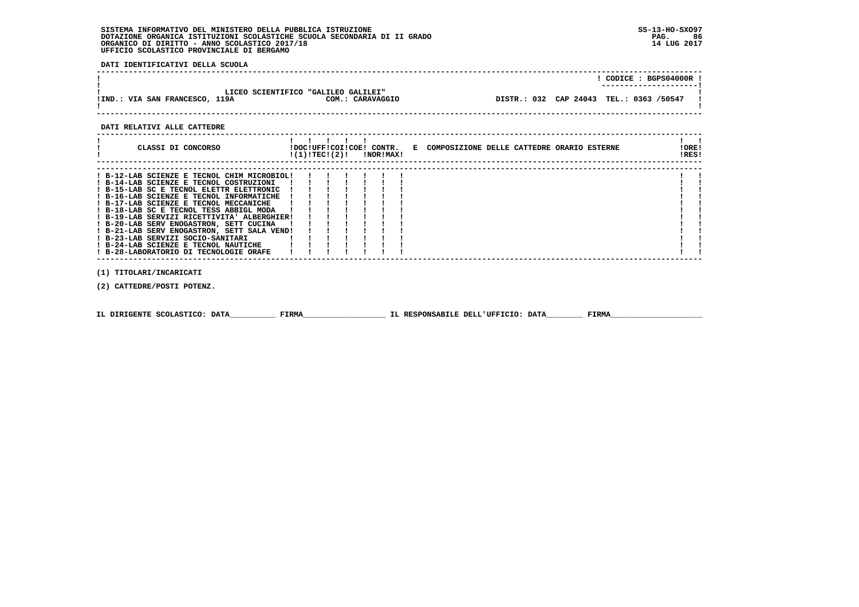**DATI IDENTIFICATIVI DELLA SCUOLA**

|                                |                                                         | CODICE: BGPS04000R:                     |  |
|--------------------------------|---------------------------------------------------------|-----------------------------------------|--|
| !IND.: VIA SAN FRANCESCO, 119A | LICEO SCIENTIFICO "GALILEO GALILEI"<br>COM.: CARAVAGGIO | DISTR.: 032 CAP 24043 TEL.: 0363 /50547 |  |
|                                |                                                         |                                         |  |

## **DATI RELATIVI ALLE CATTEDRE**

| CLASSI DI CONCORSO                                                                                                                                                                                                                                                                                                                                                                                                                                                                                                                  | !DOC!UFF!COI!COE! CONTR.<br>!(1)!TEC!(2)! |  | !NOR!MAX! |  | E COMPOSIZIONE DELLE CATTEDRE ORARIO ESTERNE | ! ORE!<br>IRES! |
|-------------------------------------------------------------------------------------------------------------------------------------------------------------------------------------------------------------------------------------------------------------------------------------------------------------------------------------------------------------------------------------------------------------------------------------------------------------------------------------------------------------------------------------|-------------------------------------------|--|-----------|--|----------------------------------------------|-----------------|
| ! B-12-LAB SCIENZE E TECNOL CHIM MICROBIOL!<br>! B-14-LAB SCIENZE E TECNOL COSTRUZIONI<br>! B-15-LAB SC E TECNOL ELETTR ELETTRONIC<br>! B-16-LAB SCIENZE E TECNOL INFORMATICHE<br>! B-17-LAB SCIENZE E TECNOL MECCANICHE<br>! B-18-LAB SC E TECNOL TESS ABBIGL MODA<br>! B-19-LAB SERVIZI RICETTIVITA' ALBERGHIER!<br>! B-20-LAB SERV ENOGASTRON, SETT CUCINA<br>! B-21-LAB SERV ENOGASTRON, SETT SALA VEND!<br>! B-23-LAB SERVIZI SOCIO-SANITARI<br>! B-24-LAB SCIENZE E TECNOL NAUTICHE<br>! B-28-LABORATORIO DI TECNOLOGIE ORAFE |                                           |  |           |  |                                              |                 |

 **(1) TITOLARI/INCARICATI**

 **(2) CATTEDRE/POSTI POTENZ.**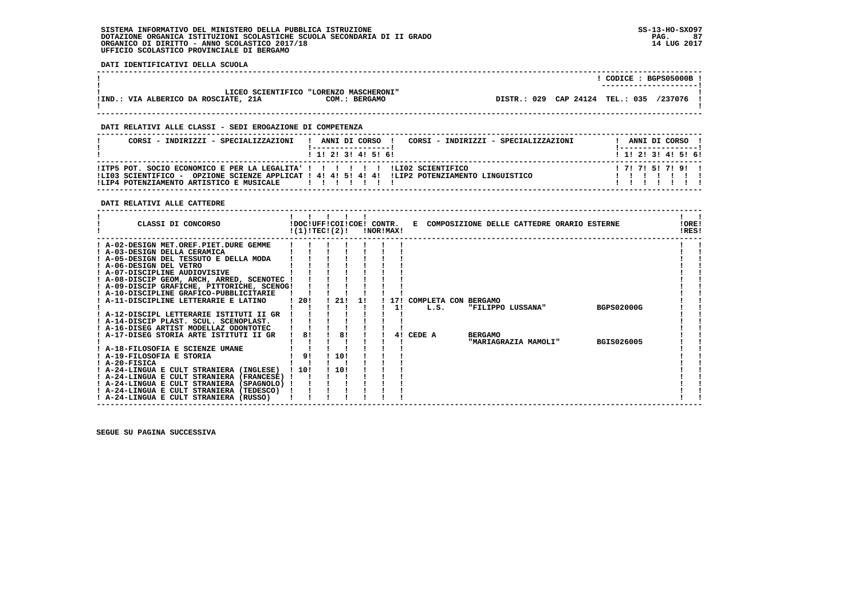**DATI IDENTIFICATIVI DELLA SCUOLA**

|                                           |                                                         |                                 | CODICE: BGPS05000B ! |
|-------------------------------------------|---------------------------------------------------------|---------------------------------|----------------------|
| .: VIA ALBERICO DA ROSCIATE, 21A<br>!IND. | LICEO SCIENTIFICO "LORENZO MASCHERONI"<br>COM.: BERGAMO | DISTR.: 029 CAP 24124 TEL.: 035 | /237076              |
|                                           |                                                         |                                 |                      |

## **DATI RELATIVI ALLE CLASSI - SEDI EROGAZIONE DI COMPETENZA**

| CORSI - INDIRIZZI - SPECIALIZZAZIONI                                                                                       | ANNI DI CORSO<br>CORSI - INDIRIZZI - SPECIALIZZAZIONI                                                           | ANNI DI CORSO !     |
|----------------------------------------------------------------------------------------------------------------------------|-----------------------------------------------------------------------------------------------------------------|---------------------|
|                                                                                                                            | 1 1 2 3 3 4 5 5 6                                                                                               | 1 1 2 3 3 4 5 5 6 1 |
| !ITP5 POT. SOCIO ECONOMICO E PER LA LEGALITA' ! ! ! ! ! ! ! ! LI02 SCIENTIFICO<br>!LIP4 POTENZIAMENTO ARTISTICO E MUSICALE | ILI03 SCIENTIFICO - OPZIONE SCIENZE APPLICAT ! 4! 4! 5! 4! 4! ILIP2 POTENZIAMENTO LINGUISTICO<br>$\blacksquare$ | 171715171911        |

### **DATI RELATIVI ALLE CATTEDRE**

| CLASSI DI CONCORSO                                                                 | !DOC!UFF!COI!COE! CONTR.<br>!(1)!TECI(2)! |      |    | !NOR!MAX! |                      |                | E COMPOSIZIONE DELLE CATTEDRE ORARIO ESTERNE |            | ! ORE!<br>!RES! |  |
|------------------------------------------------------------------------------------|-------------------------------------------|------|----|-----------|----------------------|----------------|----------------------------------------------|------------|-----------------|--|
| ! A-02-DESIGN MET.OREF.PIET.DURE GEMME                                             |                                           |      |    |           |                      |                |                                              |            |                 |  |
| ! A-03-DESIGN DELLA CERAMICA                                                       |                                           |      |    |           |                      |                |                                              |            |                 |  |
| ! A-05-DESIGN DEL TESSUTO E DELLA MODA                                             |                                           |      |    |           |                      |                |                                              |            |                 |  |
| ! A-06-DESIGN DEL VETRO                                                            |                                           |      |    |           |                      |                |                                              |            |                 |  |
| ! A-07-DISCIPLINE AUDIOVISIVE                                                      |                                           |      |    |           |                      |                |                                              |            |                 |  |
| ! A-08-DISCIP GEOM, ARCH, ARRED, SCENOTEC !                                        |                                           |      |    |           |                      |                |                                              |            |                 |  |
| ! A-09-DISCIP GRAFICHE, PITTORICHE, SCENOG!                                        |                                           |      |    |           |                      |                |                                              |            |                 |  |
| ! A-10-DISCIPLINE GRAFICO-PUBBLICITARIE                                            |                                           |      |    |           |                      |                |                                              |            |                 |  |
| A-11-DISCIPLINE LETTERARIE E LATINO                                                | 1201                                      | 21!  | 11 | 171       | COMPLETA CON BERGAMO |                |                                              |            |                 |  |
|                                                                                    |                                           |      |    | 11        | L.S.                 |                | "FILIPPO LUSSANA"                            | BGPS02000G |                 |  |
| ! A-12-DISCIPL LETTERARIE ISTITUTI II GR                                           |                                           |      |    |           |                      |                |                                              |            |                 |  |
| ! A-14-DISCIP PLAST. SCUL. SCENOPLAST.                                             |                                           |      |    |           |                      |                |                                              |            |                 |  |
| ! A-16-DISEG ARTIST MODELLAZ ODONTOTEC                                             |                                           |      |    |           |                      |                |                                              |            |                 |  |
| A-17-DISEG STORIA ARTE ISTITUTI II GR                                              | 81                                        | 81   |    | 41        | CEDE A               | <b>BERGAMO</b> |                                              |            |                 |  |
|                                                                                    |                                           |      |    |           |                      |                | "MARIAGRAZIA MAMOLI"                         | BGIS026005 |                 |  |
| ! A-18-FILOSOFIA E SCIENZE UMANE                                                   |                                           |      |    |           |                      |                |                                              |            |                 |  |
| ! A-19-FILOSOFIA E STORIA                                                          | 9!                                        | 10!  |    |           |                      |                |                                              |            |                 |  |
| ! A-20-FISICA                                                                      |                                           |      |    |           |                      |                |                                              |            |                 |  |
| ! A-24-LINGUA E CULT STRANIERA (INGLESE)                                           | 1101                                      | 110! |    |           |                      |                |                                              |            |                 |  |
| ! A-24-LINGUA E CULT STRANIERA (FRANCESE) !                                        |                                           |      |    |           |                      |                |                                              |            |                 |  |
| ! A-24-LINGUA E CULT STRANIERA (SPAGNOLO) !                                        |                                           |      |    |           |                      |                |                                              |            |                 |  |
| ! A-24-LINGUA E CULT STRANIERA (TEDESCO)<br>! A-24-LINGUA E CULT STRANIERA (RUSSO) |                                           |      |    |           |                      |                |                                              |            |                 |  |
|                                                                                    |                                           |      |    |           |                      |                |                                              |            |                 |  |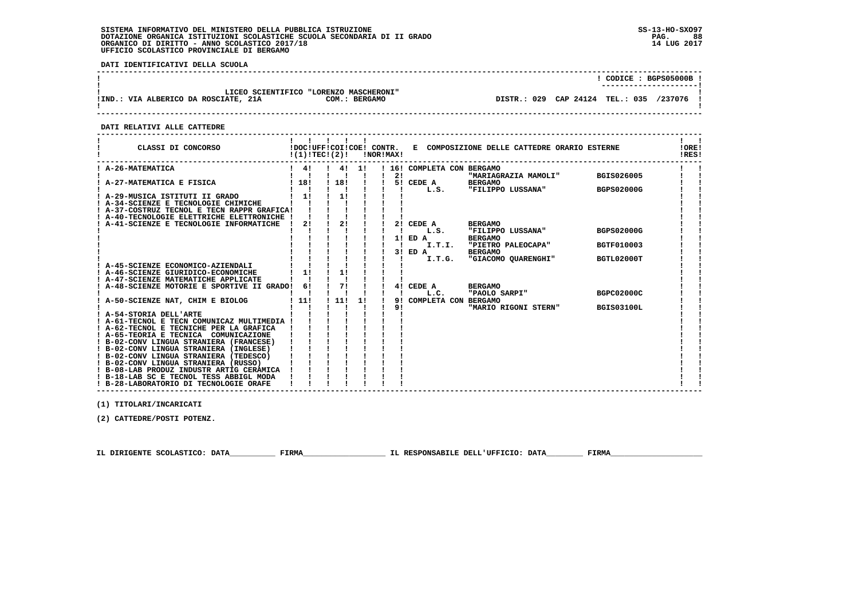**DATI IDENTIFICATIVI DELLA SCUOLA**

|                                      |                                                         |                                 | --------------------- | CODICE: BGPS05000B ! |
|--------------------------------------|---------------------------------------------------------|---------------------------------|-----------------------|----------------------|
| !IND.: VIA ALBERICO DA ROSCIATE, 21A | LICEO SCIENTIFICO "LORENZO MASCHERONI"<br>COM.: BERGAMO | DISTR.: 029 CAP 24124 TEL.: 035 |                       | /237076              |

 **------------------------------------------------------------------------------------------------------------------------------------**

 **DATI RELATIVI ALLE CATTEDRE**

| CLASSI DI CONCORSO                                                                                                 |              | !DOC!UFF!COI!COE! CONTR.<br>!(1)!TECI(2)! |    | !NOR!MAX! |                              | E COMPOSIZIONE DELLE CATTEDRE ORARIO ESTERNE           |                   | !ORE!<br>IRES! |
|--------------------------------------------------------------------------------------------------------------------|--------------|-------------------------------------------|----|-----------|------------------------------|--------------------------------------------------------|-------------------|----------------|
| ! A-26-MATEMATICA                                                                                                  | $1 \quad 41$ | 4!                                        | 11 |           | 16! COMPLETA CON BERGAMO     |                                                        |                   |                |
|                                                                                                                    |              |                                           |    | 2!        |                              | "MARIAGRAZIA MAMOLI"                                   | BGIS026005        |                |
| A-27-MATEMATICA E FISICA                                                                                           | ! 18!        | ! 18!                                     |    |           | 5! CEDE A<br>L.S.            | <b>BERGAMO</b><br>"FILIPPO LUSSANA"                    | <b>BGPS02000G</b> |                |
| A-29-MUSICA ISTITUTI II GRADO<br>A-34-SCIENZE E TECNOLOGIE CHIMICHE<br>! A-37-COSTRUZ TECNOL E TECN RAPPR GRAFICA! | 11           | 11                                        |    |           |                              |                                                        |                   |                |
| ! A-40-TECNOLOGIE ELETTRICHE ELETTRONICHE !                                                                        |              |                                           |    |           |                              |                                                        |                   |                |
| A-41-SCIENZE E TECNOLOGIE INFORMATICHE                                                                             | 2!           | 2!                                        |    |           | 2! CEDE A<br>L.S.            | <b>BERGAMO</b><br>"FILIPPO LUSSANA"                    | <b>BGPS02000G</b> |                |
|                                                                                                                    |              |                                           |    |           | 1! ED A<br>I.T.I.<br>3! ED A | <b>BERGAMO</b><br>"PIETRO PALEOCAPA"<br><b>BERGAMO</b> | <b>BGTF010003</b> |                |
|                                                                                                                    |              |                                           |    |           | I.T.G.                       | "GIACOMO QUARENGHI"                                    | BGTL02000T        |                |
| ! A-45-SCIENZE ECONOMICO-AZIENDALI                                                                                 |              |                                           |    |           |                              |                                                        |                   |                |
| ! A-46-SCIENZE GIURIDICO-ECONOMICHE                                                                                | 1!           | 1!                                        |    |           |                              |                                                        |                   |                |
| ! A-47-SCIENZE MATEMATICHE APPLICATE                                                                               |              |                                           |    |           |                              |                                                        |                   |                |
| ! A-48-SCIENZE MOTORIE E SPORTIVE II GRADO!                                                                        | 6!           | 71                                        |    |           | 4! CEDE A<br>L.C.            | <b>BERGAMO</b><br>"PAOLO SARPI"                        | BGPC02000C        |                |
| ! A-50-SCIENZE NAT, CHIM E BIOLOG                                                                                  | 111          | 1111                                      | 1! | 91        | COMPLETA CON BERGAMO         |                                                        |                   |                |
|                                                                                                                    |              |                                           |    | 9!        |                              | "MARIO RIGONI STERN"                                   | <b>BGIS03100L</b> |                |
| ! A-54-STORIA DELL'ARTE                                                                                            |              |                                           |    |           |                              |                                                        |                   |                |
| ! A-61-TECNOL E TECN COMUNICAZ MULTIMEDIA !                                                                        |              |                                           |    |           |                              |                                                        |                   |                |
| ! A-62-TECNOL E TECNICHE PER LA GRAFICA<br>! A-65-TEORIA E TECNICA COMUNICAZIONE                                   |              |                                           |    |           |                              |                                                        |                   |                |
| ! B-02-CONV LINGUA STRANIERA (FRANCESE)                                                                            |              |                                           |    |           |                              |                                                        |                   |                |
| ! B-02-CONV LINGUA STRANIERA (INGLESE)                                                                             |              |                                           |    |           |                              |                                                        |                   |                |
| ! B-02-CONV LINGUA STRANIERA (TEDESCO)                                                                             |              |                                           |    |           |                              |                                                        |                   |                |
| ! B-02-CONV LINGUA STRANIERA (RUSSO)                                                                               |              |                                           |    |           |                              |                                                        |                   |                |
| ! B-08-LAB PRODUZ INDUSTR ARTIG CERAMICA<br>! B-18-LAB SC E TECNOL TESS ABBIGL MODA                                |              |                                           |    |           |                              |                                                        |                   |                |
| ! B-28-LABORATORIO DI TECNOLOGIE ORAFE                                                                             |              |                                           |    |           |                              |                                                        |                   |                |

 **------------------------------------------------------------------------------------------------------------------------------------**

 **(1) TITOLARI/INCARICATI**

 **(2) CATTEDRE/POSTI POTENZ.**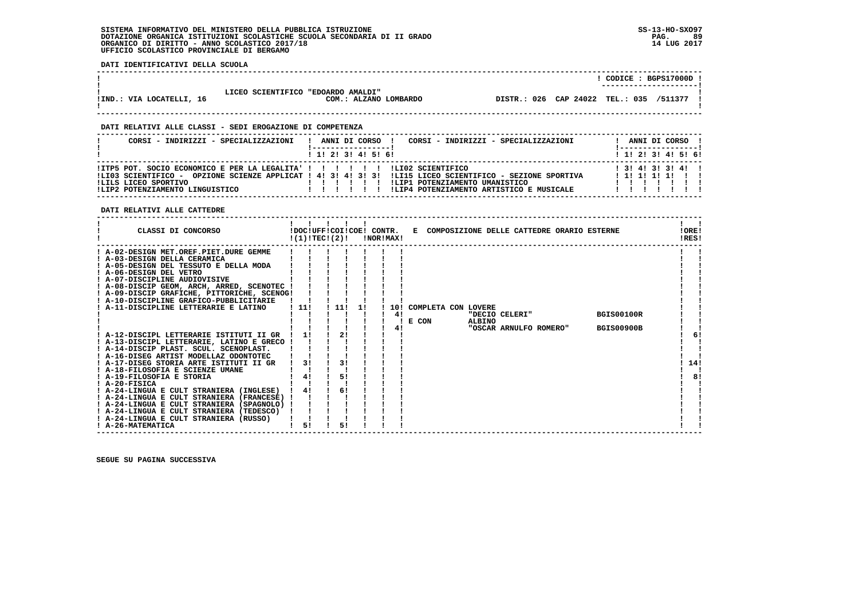**DATI IDENTIFICATIVI DELLA SCUOLA**

|                          |                                    |                       |                                         | CODICE: BGPS17000D !<br>----------------------- |  |
|--------------------------|------------------------------------|-----------------------|-----------------------------------------|-------------------------------------------------|--|
| IIND.: VIA LOCATELLI, 16 | LICEO SCIENTIFICO "EDOARDO AMALDI" | COM.: ALZANO LOMBARDO | DISTR.: 026 CAP 24022 TEL.: 035 /511377 |                                                 |  |

 **------------------------------------------------------------------------------------------------------------------------------------**

 **------------------------------------------------------------------------------------------------------------------------------------**

### **DATI RELATIVI ALLE CLASSI - SEDI EROGAZIONE DI COMPETENZA**

| CORSI - INDIRIZZI - SPECIALIZZAZIONI                                                                                                    | CORSI - INDIRIZZI - SPECIALIZZAZIONI<br>ANNI DI CORSO !                                                                                                                                     |  | ANNI DI CORSO !                           |  |
|-----------------------------------------------------------------------------------------------------------------------------------------|---------------------------------------------------------------------------------------------------------------------------------------------------------------------------------------------|--|-------------------------------------------|--|
|                                                                                                                                         | $1$ , 1! 2! 3! 4! 5! 6!                                                                                                                                                                     |  | 1 1 1 2 1 3 1 4 1 5 1 6 1                 |  |
| !ITP5 POT. SOCIO ECONOMICO E PER LA LEGALITA' ! ! ! ! ! ! ! LIO2 SCIENTIFICO<br>ILILS LICEO SPORTIVO<br>!LIP2 POTENZIAMENTO LINGUISTICO | ILI03 SCIENTIFICO - OPZIONE SCIENZE APPLICAT ! 4! 3! 4! 3! 3! ILI15 LICEO SCIENTIFICO - SEZIONE SPORTIVA<br>ILIP1 POTENZIAMENTO UMANISTICO<br>!LIP4 POTENZIAMENTO ARTISTICO E MUSICALE<br>. |  | $1$ 3! 4! 3! 3! 4! !<br>$1$ 1! 1! 1! 1! 1 |  |

 **DATI RELATIVI ALLE CATTEDRE**

| CLASSI DI CONCORSO                                                                                                                                                                                                                                                                                                    | !DOC!UFF!COI!COE! CONTR.<br>!(1)!TEC!(2)! |     |    | !NOR!MAX! |     | Е                   |               | COMPOSIZIONE DELLE CATTEDRE ORARIO ESTERNE |                   | !ORE!<br>!RES! |
|-----------------------------------------------------------------------------------------------------------------------------------------------------------------------------------------------------------------------------------------------------------------------------------------------------------------------|-------------------------------------------|-----|----|-----------|-----|---------------------|---------------|--------------------------------------------|-------------------|----------------|
| ! A-02-DESIGN MET.OREF.PIET.DURE GEMME<br>! A-03-DESIGN DELLA CERAMICA<br>! A-05-DESIGN DEL TESSUTO E DELLA MODA<br>! A-06-DESIGN DEL VETRO<br>! A-07-DISCIPLINE AUDIOVISIVE<br>! A-08-DISCIP GEOM, ARCH, ARRED, SCENOTEC !<br>! A-09-DISCIP GRAFICHE, PITTORICHE, SCENOG!<br>! A-10-DISCIPLINE GRAFICO-PUBBLICITARIE |                                           |     |    |           |     |                     |               |                                            |                   |                |
| A-11-DISCIPLINE LETTERARIE E LATINO                                                                                                                                                                                                                                                                                   | ! 11!                                     | 11! | 11 |           | 10! | COMPLETA CON LOVERE |               | "DECIO CELERI"                             | <b>BGIS00100R</b> |                |
|                                                                                                                                                                                                                                                                                                                       |                                           |     |    |           | 41  | E CON               | <b>ALBINO</b> |                                            |                   |                |
|                                                                                                                                                                                                                                                                                                                       |                                           |     |    |           | 41  |                     |               | "OSCAR ARNULFO ROMERO"                     | <b>BGIS00900B</b> |                |
| ! A-12-DISCIPL LETTERARIE ISTITUTI II GR                                                                                                                                                                                                                                                                              |                                           | 21  |    |           |     |                     |               |                                            |                   | 61             |
| ! A-13-DISCIPL LETTERARIE, LATINO E GRECO !                                                                                                                                                                                                                                                                           |                                           |     |    |           |     |                     |               |                                            |                   |                |
| ! A-14-DISCIP PLAST. SCUL. SCENOPLAST.<br>! A-16-DISEG ARTIST MODELLAZ ODONTOTEC                                                                                                                                                                                                                                      |                                           |     |    |           |     |                     |               |                                            |                   |                |
| A-17-DISEG STORIA ARTE ISTITUTI II GR                                                                                                                                                                                                                                                                                 | 31                                        | 31  |    |           |     |                     |               |                                            |                   | 14!            |
| ! A-18-FILOSOFIA E SCIENZE UMANE                                                                                                                                                                                                                                                                                      |                                           |     |    |           |     |                     |               |                                            |                   |                |
| ! A-19-FILOSOFIA E STORIA                                                                                                                                                                                                                                                                                             |                                           | 51  |    |           |     |                     |               |                                            |                   | 8!             |
| $I$ A-20-FISICA                                                                                                                                                                                                                                                                                                       |                                           |     |    |           |     |                     |               |                                            |                   |                |
| ! A-24-LINGUA E CULT STRANIERA (INGLESE)                                                                                                                                                                                                                                                                              | 4!                                        | 6!  |    |           |     |                     |               |                                            |                   |                |
| ! A-24-LINGUA E CULT STRANIERA (FRANCESE)                                                                                                                                                                                                                                                                             |                                           |     |    |           |     |                     |               |                                            |                   |                |
| ! A-24-LINGUA E CULT STRANIERA (SPAGNOLO)                                                                                                                                                                                                                                                                             |                                           |     |    |           |     |                     |               |                                            |                   |                |
| ! A-24-LINGUA E CULT STRANIERA (TEDESCO)                                                                                                                                                                                                                                                                              |                                           |     |    |           |     |                     |               |                                            |                   |                |
| ! A-24-LINGUA E CULT STRANIERA (RUSSO)                                                                                                                                                                                                                                                                                |                                           |     |    |           |     |                     |               |                                            |                   |                |
| ! A-26-MATEMATICA                                                                                                                                                                                                                                                                                                     | 51                                        | 51  |    |           |     |                     |               |                                            |                   |                |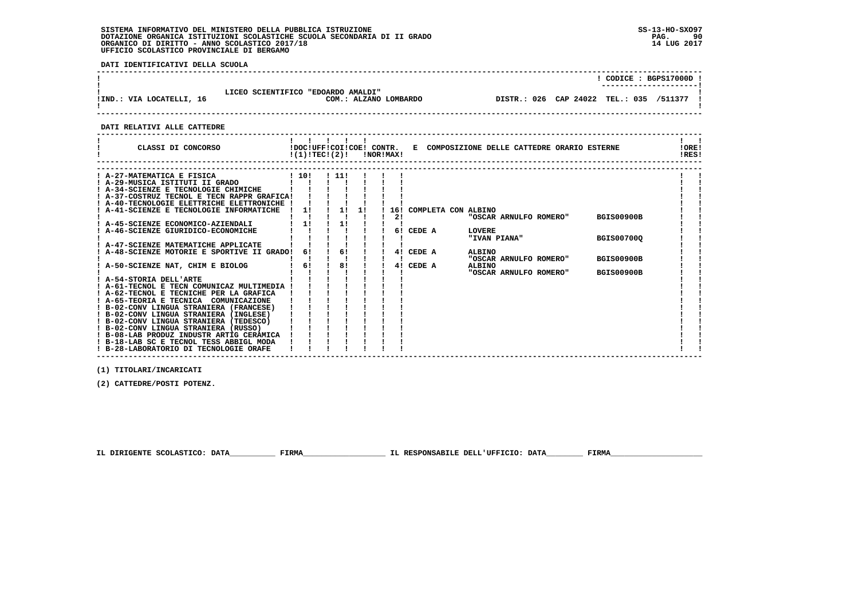**DATI IDENTIFICATIVI DELLA SCUOLA**

|                          |                                    |                       |                                         | CODICE: BGPS17000D !<br>----------------------- |
|--------------------------|------------------------------------|-----------------------|-----------------------------------------|-------------------------------------------------|
| IIND.: VIA LOCATELLI, 16 | LICEO SCIENTIFICO "EDOARDO AMALDI" | COM.: ALZANO LOMBARDO | DISTR.: 026 CAP 24022 TEL.: 035 /511377 |                                                 |

 **DATI RELATIVI ALLE CATTEDRE**

| CLASSI DI CONCORSO                          | $!(1)!TEC!(2)!$ $INORIMAX!$ |       |    |    |                         |               | !DOC!UFF!COI!COE! CONTR. E COMPOSIZIONE DELLE CATTEDRE ORARIO ESTERNE |                   | !ORE!<br>!RES! |  |
|---------------------------------------------|-----------------------------|-------|----|----|-------------------------|---------------|-----------------------------------------------------------------------|-------------------|----------------|--|
|                                             |                             |       |    |    |                         |               |                                                                       |                   |                |  |
| ! A-27-MATEMATICA E FISICA                  | ! 10!                       | ! 11! |    |    |                         |               |                                                                       |                   |                |  |
| ! A-29-MUSICA ISTITUTI II GRADO             |                             |       |    |    |                         |               |                                                                       |                   |                |  |
| ! A-34-SCIENZE E TECNOLOGIE CHIMICHE        |                             |       |    |    |                         |               |                                                                       |                   |                |  |
| ! A-37-COSTRUZ TECNOL E TECN RAPPR GRAFICA! |                             |       |    |    |                         |               |                                                                       |                   |                |  |
| ! A-40-TECNOLOGIE ELETTRICHE ELETTRONICHE ! |                             |       |    |    |                         |               |                                                                       |                   |                |  |
| A-41-SCIENZE E TECNOLOGIE INFORMATICHE      | 1!                          | 1!    | 1! |    | 16! COMPLETA CON ALBINO |               |                                                                       |                   |                |  |
|                                             |                             |       |    | 2! |                         |               | "OSCAR ARNULFO ROMERO"                                                | <b>BGIS00900B</b> |                |  |
| ! A-45-SCIENZE ECONOMICO-AZIENDALI          | 11                          | 1!    |    |    |                         |               |                                                                       |                   |                |  |
| : A-46-SCIENZE GIURIDICO-ECONOMICHE         |                             |       |    |    | 6! CEDE A               | <b>LOVERE</b> |                                                                       |                   |                |  |
|                                             |                             |       |    |    |                         |               | "IVAN PIANA"                                                          | <b>BGIS007000</b> |                |  |
| ! A-47-SCIENZE MATEMATICHE APPLICATE        |                             |       |    |    |                         |               |                                                                       |                   |                |  |
| A-48-SCIENZE MOTORIE E SPORTIVE II GRADO!   | 61                          | 61    |    | 41 | CEDE A                  | ALBINO        |                                                                       |                   |                |  |
|                                             |                             |       |    |    |                         |               | "OSCAR ARNULFO ROMERO"                                                | <b>BGIS00900B</b> |                |  |
| A-50-SCIENZE NAT, CHIM E BIOLOG             | 6!                          | 8!    |    | 41 | CEDE A                  | ALBINO        |                                                                       |                   |                |  |
|                                             |                             |       |    |    |                         |               | "OSCAR ARNULFO ROMERO"                                                | <b>BGIS00900B</b> |                |  |
| ! A-54-STORIA DELL'ARTE                     |                             |       |    |    |                         |               |                                                                       |                   |                |  |
| ! A-61-TECNOL E TECN COMUNICAZ MULTIMEDIA ! |                             |       |    |    |                         |               |                                                                       |                   |                |  |
| ! A-62-TECNOL E TECNICHE PER LA GRAFICA     |                             |       |    |    |                         |               |                                                                       |                   |                |  |
| ! A-65-TEORIA E TECNICA COMUNICAZIONE       |                             |       |    |    |                         |               |                                                                       |                   |                |  |
| ! B-02-CONV LINGUA STRANIERA (FRANCESE)     |                             |       |    |    |                         |               |                                                                       |                   |                |  |
| ! B-02-CONV LINGUA STRANIERA (INGLESE)      |                             |       |    |    |                         |               |                                                                       |                   |                |  |
| ! B-02-CONV LINGUA STRANIERA (TEDESCO)      |                             |       |    |    |                         |               |                                                                       |                   |                |  |
| ! B-02-CONV LINGUA STRANIERA (RUSSO)        |                             |       |    |    |                         |               |                                                                       |                   |                |  |
| ! B-08-LAB PRODUZ INDUSTR ARTIG CERAMICA    |                             |       |    |    |                         |               |                                                                       |                   |                |  |
| ! B-18-LAB SC E TECNOL TESS ABBIGL MODA     |                             |       |    |    |                         |               |                                                                       |                   |                |  |
| ! B-28-LABORATORIO DI TECNOLOGIE ORAFE      |                             |       |    |    |                         |               |                                                                       |                   |                |  |

 **------------------------------------------------------------------------------------------------------------------------------------**

 **(1) TITOLARI/INCARICATI**

 **(2) CATTEDRE/POSTI POTENZ.**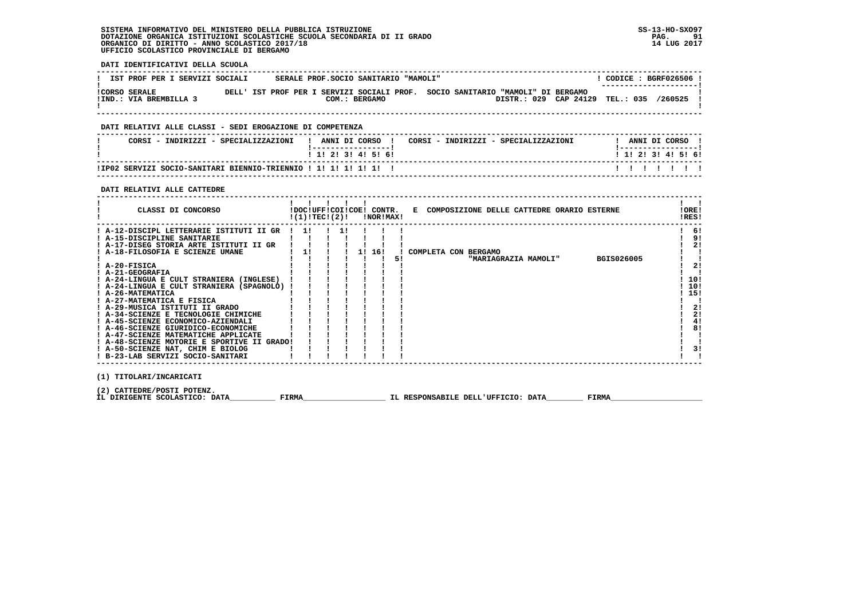**DATI IDENTIFICATIVI DELLA SCUOLA**

| IST PROF PER I SERVIZI SOCIALI                 |  |  | SERALE PROF. SOCIO SANITARIO "MAMOLI" |               |  |                                                                                                         |                  | CODICE: BGRF026506!<br>---------------------- |  |
|------------------------------------------------|--|--|---------------------------------------|---------------|--|---------------------------------------------------------------------------------------------------------|------------------|-----------------------------------------------|--|
| <b>!CORSO SERALE</b><br>!IND.: VIA BREMBILLA 3 |  |  |                                       | COM.: BERGAMO |  | DELL' IST PROF PER I SERVIZI SOCIALI PROF. SOCIO SANITARIO "MAMOLI" DI BERGAMO<br>DISTR.: 029 CAP 24129 | <b>TEL.: 035</b> | 7260525                                       |  |

 **------------------------------------------------------------------------------------------------------------------------------------**

### **DATI RELATIVI ALLE CLASSI - SEDI EROGAZIONE DI COMPETENZA**

| CORSI - INDIRIZZI - SPECIALIZZAZIONI                             | ANNI DI CORSO !           | CORSI - INDIRIZZI - SPECIALIZZAZIONI | ANNI DI CORSO             |  |  |
|------------------------------------------------------------------|---------------------------|--------------------------------------|---------------------------|--|--|
|                                                                  | 1 1 1 2 1 3 1 4 1 5 1 6 1 |                                      | 1 1 1 2 1 3 1 4 1 5 1 6 1 |  |  |
| ITP02 SERVIZI SOCIO-SANITARI BIENNIO-TRIENNIO ! 1! 1! 1! 1! 1! ! |                           |                                      | .                         |  |  |

 **------------------------------------------------------------------------------------------------------------------------------------**

## **DATI RELATIVI ALLE CATTEDRE**

| CLASSI DI CONCORSO                          |  | !(1)!TECI(2)! |     | !DOC!UFF!COI!COE! CONTR.<br>!NOR!MAX! |    | E COMPOSIZIONE DELLE CATTEDRE ORARIO ESTERNE | ! ORE!<br>!RES! |
|---------------------------------------------|--|---------------|-----|---------------------------------------|----|----------------------------------------------|-----------------|
| ! A-12-DISCIPL LETTERARIE ISTITUTI II GR    |  | -11           | -11 |                                       |    |                                              | 6!              |
| ! A-15-DISCIPLINE SANITARIE                 |  |               |     |                                       |    |                                              | 9!              |
| ! A-17-DISEG STORIA ARTE ISTITUTI II GR     |  |               |     |                                       |    |                                              | 2!              |
| ! A-18-FILOSOFIA E SCIENZE UMANE            |  | 1!            |     | 1! 16!                                |    | COMPLETA CON BERGAMO                         |                 |
|                                             |  |               |     |                                       | 5! | BGIS026005<br>"MARIAGRAZIA MAMOLI"           |                 |
| ! A-20-FISICA                               |  |               |     |                                       |    |                                              | 2!              |
| ! A-21-GEOGRAFIA                            |  |               |     |                                       |    |                                              |                 |
| ! A-24-LINGUA E CULT STRANIERA (INGLESE)    |  |               |     |                                       |    |                                              | 10!             |
| ! A-24-LINGUA E CULT STRANIERA (SPAGNOLO) ! |  |               |     |                                       |    |                                              | 10!             |
| ! A-26-MATEMATICA                           |  |               |     |                                       |    |                                              | 15!             |
| ! A-27-MATEMATICA E FISICA                  |  |               |     |                                       |    |                                              |                 |
| ! A-29-MUSICA ISTITUTI II GRADO             |  |               |     |                                       |    |                                              | 2!              |
| ! A-34-SCIENZE E TECNOLOGIE CHIMICHE        |  |               |     |                                       |    |                                              | 2!              |
| ! A-45-SCIENZE ECONOMICO-AZIENDALI          |  |               |     |                                       |    |                                              | 4!              |
| ! A-46-SCIENZE GIURIDICO-ECONOMICHE         |  |               |     |                                       |    |                                              | 8!              |
| ! A-47-SCIENZE MATEMATICHE APPLICATE        |  |               |     |                                       |    |                                              |                 |
| ! A-48-SCIENZE MOTORIE E SPORTIVE II GRADO! |  |               |     |                                       |    |                                              |                 |
| ! A-50-SCIENZE NAT, CHIM E BIOLOG           |  |               |     |                                       |    |                                              | 3!              |
| ! B-23-LAB SERVIZI SOCIO-SANITARI           |  |               |     |                                       |    |                                              |                 |
| (1) TITOLARI/INCARICATI                     |  |               |     |                                       |    |                                              |                 |

 **(2) CATTEDRE/POSTI POTENZ.**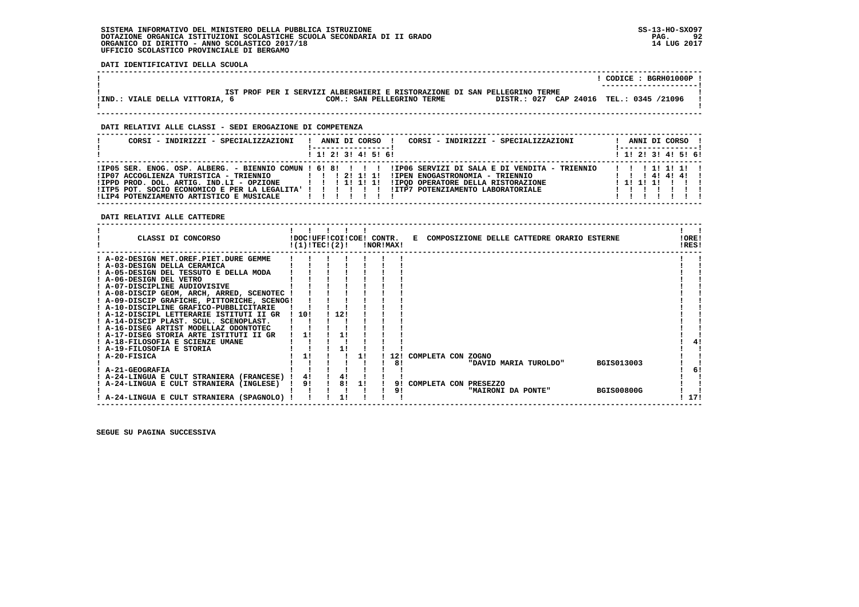**DATI IDENTIFICATIVI DELLA SCUOLA**

|                                                                                                                                                                                                                                                                                                                                                                                                                                                                                                                                                                                                                                                                                                                                                                                                                                                                      |                                                                                                                                                                                                                                                                                                                                      | $!$ CODICE : BGRH01000P $!$                    |
|----------------------------------------------------------------------------------------------------------------------------------------------------------------------------------------------------------------------------------------------------------------------------------------------------------------------------------------------------------------------------------------------------------------------------------------------------------------------------------------------------------------------------------------------------------------------------------------------------------------------------------------------------------------------------------------------------------------------------------------------------------------------------------------------------------------------------------------------------------------------|--------------------------------------------------------------------------------------------------------------------------------------------------------------------------------------------------------------------------------------------------------------------------------------------------------------------------------------|------------------------------------------------|
| !IND.: VIALE DELLA VITTORIA, 6                                                                                                                                                                                                                                                                                                                                                                                                                                                                                                                                                                                                                                                                                                                                                                                                                                       | IST PROF PER I SERVIZI ALBERGHIERI E RISTORAZIONE DI SAN PELLEGRINO TERME<br>COM.: SAN PELLEGRINO TERME DISTR.: 027 CAP 24016 TEL.: 0345 /21096                                                                                                                                                                                      |                                                |
| DATI RELATIVI ALLE CLASSI - SEDI EROGAZIONE DI COMPETENZA                                                                                                                                                                                                                                                                                                                                                                                                                                                                                                                                                                                                                                                                                                                                                                                                            |                                                                                                                                                                                                                                                                                                                                      |                                                |
| CORSI - INDIRIZZI - SPECIALIZZAZIONI                                                                                                                                                                                                                                                                                                                                                                                                                                                                                                                                                                                                                                                                                                                                                                                                                                 | ! ANNI DI CORSO ! CORSI - INDIRIZZI - SPECIALIZZAZIONI<br>! 1! 2! 3! 4! 5! 6!                                                                                                                                                                                                                                                        | ! ANNI DI CORSO !<br>1 1 1 2 1 3 1 4 1 5 1 6 1 |
| !LIP4 POTENZIAMENTO ARTISTICO E MUSICALE                                                                                                                                                                                                                                                                                                                                                                                                                                                                                                                                                                                                                                                                                                                                                                                                                             | IIP05 SER. ENOG. OSP. ALBERG. - BIENNIO COMUN ! 6! 8! !!!!! IIP06 SERVIZI DI SALA E DI VENDITA - TRIENNIO<br>1997 ACCOGLIENZA TURISTICA – TRIENNIO 1112111111 EPEN ENOGASTRONOMIA – TRIENNIO 111414141<br>1999 PROD. DOL. ARTIG. IND.LI – OPZIONE 11111111111111112<br>1999 POT. SOCIO ECONOMICO E PER LA LEGALITA' 1111111111111112 | !!!!!!!!!!                                     |
| DATI RELATIVI ALLE CATTEDRE                                                                                                                                                                                                                                                                                                                                                                                                                                                                                                                                                                                                                                                                                                                                                                                                                                          |                                                                                                                                                                                                                                                                                                                                      |                                                |
|                                                                                                                                                                                                                                                                                                                                                                                                                                                                                                                                                                                                                                                                                                                                                                                                                                                                      | $!(1)!TEC!(2)!$ $INORIMAX!$                                                                                                                                                                                                                                                                                                          | $\mathbf{I}$<br>IOREI<br>IRES!                 |
| ! A-02-DESIGN MET.OREF.PIET.DURE GEMME ! ! ! ! ! !<br>! A-03-DESIGN DELLA CERAMICA<br>$A-05-DESTGN DEL TESSUTO E DELLA MODA$<br>$\vdots$<br>$\vdots$<br>$\vdots$<br>$\vdots$<br>$\vdots$<br>$\vdots$<br>$\vdots$<br>$\vdots$<br>$\vdots$<br>$\vdots$<br><br>! A-06-DESIGN DEL VETRO<br>$P = 0.7 - 0.5$<br>$P = 0.7 - 0.5$<br>$P = 0.7 - 0.5$<br>$P = 0.7 - 0.5$<br>$P = 0.7 - 0.5$<br>$P = 0.7 - 0.5$<br>$P = 0.7 - 0.5$<br>$P = 0.7 - 0.5$<br>$P = 0.7 - 0.5$<br>$P = 0.7 - 0.5$<br>$P = 0.7 - 0.5$<br>! A-08-DISCIP GEOM, ARCH, ARRED, SCENOTEC ! ! ! !<br>! A-09-DISCIP GRAFICHE, PITTORICHE, SCENOG!<br>! A-10-DISCIPLINE GRAFICO-PUBBLICITARIE<br>! A-12-DISCIPL LETTERARIE ISTITUTI II GR ! 10! ! 12!<br>! A-14-DISCIP PLAST. SCUL. SCENOPLAST.        <br>! A-16-DISEG ARTIST MODELLAZ ODONTOTEC   ! ! !<br>! A-17-DISEG STORIA ARTE ISTITUTI II GR   1! ! 1! | $\mathbf{r}$ and $\mathbf{r}$ are the set of $\mathbf{r}$ and $\mathbf{r}$ are the set of $\mathbf{r}$<br>$\frac{1}{2}$ $\frac{1}{2}$ $\frac{1}{2}$ $\frac{1}{2}$<br>! 12! COMPLETA CON ZOGNO<br>"DAVID MARIA TUROLDO" BGIS013003                                                                                                    | 41                                             |
| ! A-24-LINGUA E CULT STRANIERA (SPAGNOLO) !                                                                                                                                                                                                                                                                                                                                                                                                                                                                                                                                                                                                                                                                                                                                                                                                                          | I A-24-LINGUA E CULT STRANIERA (FRANCESE) I 41 I 41 I 1 I 1<br>! A-24-LINGUA E CULT STRANIERA (INGLESE) ! 91 ! 81 11 ! 91 COMPLETA CON PRESEZZO<br>"MAIRONI DA PONTE" BGIS00800G<br>$\frac{1}{1}$ $\frac{1}{1}$<br>$\mathbf{I}$ $\mathbf{I}$                                                                                         | 6!<br>1171                                     |

 **------------------------------------------------------------------------------------------------------------------------------------**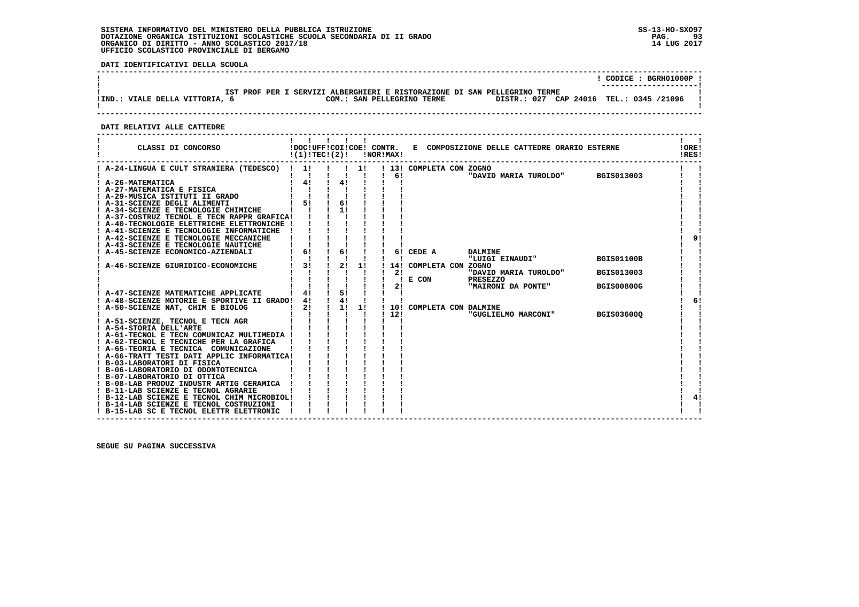**DATI IDENTIFICATIVI DELLA SCUOLA**

|                                                                                                       | CODICE: BGRH01000P!    |
|-------------------------------------------------------------------------------------------------------|------------------------|
| IST PROF PER I SERVIZI ALBERGHIERI E RISTORAZIONE DI SAN PELLEGRINO TERME                             | ---------------------- |
| DISTR.: 027 CAP 24016 TEL.: 0345 /21096<br>!IND.: VIALE DELLA VITTORIA,<br>COM.: SAN PELLEGRINO TERME |                        |
|                                                                                                       |                        |

 **DATI RELATIVI ALLE CATTEDRE**

| CLASSI DI CONCORSO                            | !DOC!UFF!COI!COE! CONTR.<br>!(1)!TEC!(2)! |    |    | !NOR!MAX! |                          | E COMPOSIZIONE DELLE CATTEDRE ORARIO ESTERNE    |                   | !ORE!<br>!RES! |
|-----------------------------------------------|-------------------------------------------|----|----|-----------|--------------------------|-------------------------------------------------|-------------------|----------------|
| ! A-24-LINGUA E CULT STRANIERA (TEDESCO) ! 1! |                                           |    | 11 |           | ! 13! COMPLETA CON ZOGNO |                                                 |                   |                |
|                                               |                                           |    |    | 6!        |                          | "DAVID MARIA TUROLDO"                           | BGIS013003        |                |
| ! A-26-MATEMATICA                             | 4!                                        | 4! |    |           |                          |                                                 |                   |                |
| ! A-27-MATEMATICA E FISICA                    |                                           |    |    |           |                          |                                                 |                   |                |
| ! A-29-MUSICA ISTITUTI II GRADO               |                                           |    |    |           |                          |                                                 |                   |                |
| ! A-31-SCIENZE DEGLI ALIMENTI                 | 51                                        | 61 |    |           |                          |                                                 |                   |                |
| ! A-34-SCIENZE E TECNOLOGIE CHIMICHE          |                                           | 11 |    |           |                          |                                                 |                   |                |
| ! A-37-COSTRUZ TECNOL E TECN RAPPR GRAFICA!   |                                           |    |    |           |                          |                                                 |                   |                |
| ! A-40-TECNOLOGIE ELETTRICHE ELETTRONICHE !   |                                           |    |    |           |                          |                                                 |                   |                |
| ! A-41-SCIENZE E TECNOLOGIE INFORMATICHE      |                                           |    |    |           |                          |                                                 |                   |                |
| ! A-42-SCIENZE E TECNOLOGIE MECCANICHE        |                                           |    |    |           |                          |                                                 |                   |                |
| ! A-43-SCIENZE E TECNOLOGIE NAUTICHE          |                                           |    |    |           |                          |                                                 |                   |                |
| ! A-45-SCIENZE ECONOMICO-AZIENDALI            | 6!                                        | 6! |    |           | 6! CEDE A                | <b>DALMINE</b>                                  |                   |                |
|                                               |                                           |    |    |           |                          | "LUIGI EINAUDI"                                 | <b>BGIS01100B</b> |                |
| ! A-46-SCIENZE GIURIDICO-ECONOMICHE           | 3!                                        | 2! | 1! |           | 14! COMPLETA CON ZOGNO   |                                                 |                   |                |
|                                               |                                           |    |    | 2!        |                          | "DAVID MARIA TUROLDO"                           | <b>BGIS013003</b> |                |
|                                               |                                           |    |    |           | $E$ CON                  | <b>PRESEZZO</b>                                 |                   |                |
|                                               |                                           | 5! |    | 21        |                          | "MAIRONI DA PONTE"                              | <b>BGIS00800G</b> |                |
| ! A-47-SCIENZE MATEMATICHE APPLICATE          | 4!<br>4!                                  | 4! |    |           |                          |                                                 |                   | 6!             |
| ! A-48-SCIENZE MOTORIE E SPORTIVE II GRADO!   | 2!                                        | 1! | 11 |           |                          |                                                 |                   |                |
| ! A-50-SCIENZE NAT, CHIM E BIOLOG             |                                           |    |    | 1121      |                          | 10! COMPLETA CON DALMINE<br>"GUGLIELMO MARCONI" | <b>BGIS036000</b> |                |
| ! A-51-SCIENZE, TECNOL E TECN AGR             |                                           |    |    |           |                          |                                                 |                   |                |
| ! A-54-STORIA DELL'ARTE                       |                                           |    |    |           |                          |                                                 |                   |                |
| ! A-61-TECNOL E TECN COMUNICAZ MULTIMEDIA !   |                                           |    |    |           |                          |                                                 |                   |                |
| ! A-62-TECNOL E TECNICHE PER LA GRAFICA       |                                           |    |    |           |                          |                                                 |                   |                |
| ! A-65-TEORIA E TECNICA COMUNICAZIONE         |                                           |    |    |           |                          |                                                 |                   |                |
| ! A-66-TRATT TESTI DATI APPLIC INFORMATICA!   |                                           |    |    |           |                          |                                                 |                   |                |
| ! B-03-LABORATORI DI FISICA                   |                                           |    |    |           |                          |                                                 |                   |                |
| ! B-06-LABORATORIO DI ODONTOTECNICA           |                                           |    |    |           |                          |                                                 |                   |                |
| ! B-07-LABORATORIO DI OTTICA                  |                                           |    |    |           |                          |                                                 |                   |                |
| ! B-08-LAB PRODUZ INDUSTR ARTIG CERAMICA      |                                           |    |    |           |                          |                                                 |                   |                |
| ! B-11-LAB SCIENZE E TECNOL AGRARIE           |                                           |    |    |           |                          |                                                 |                   |                |
| ! B-12-LAB SCIENZE E TECNOL CHIM MICROBIOL!   |                                           |    |    |           |                          |                                                 |                   |                |
| ! B-14-LAB SCIENZE E TECNOL COSTRUZIONI       |                                           |    |    |           |                          |                                                 |                   |                |
| ! B-15-LAB SC E TECNOL ELETTR ELETTRONIC      |                                           |    |    |           |                          |                                                 |                   |                |
|                                               |                                           |    |    |           |                          |                                                 |                   |                |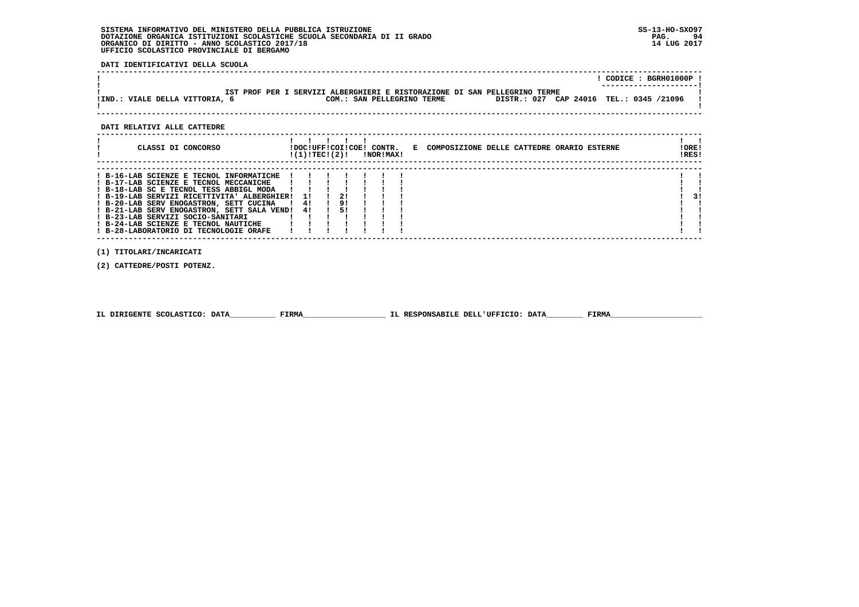**DATI IDENTIFICATIVI DELLA SCUOLA**

|                                                                                                                                                                                                                                                                                                                                                                                                       |  |                                                                                 |  |                                                                           |  | $!$ CODICE : BGRH01000P $!$               |
|-------------------------------------------------------------------------------------------------------------------------------------------------------------------------------------------------------------------------------------------------------------------------------------------------------------------------------------------------------------------------------------------------------|--|---------------------------------------------------------------------------------|--|---------------------------------------------------------------------------|--|-------------------------------------------|
| !IND.: VIALE DELLA VITTORIA, 6<br>COM.: SAN PELLEGRINO TERME                                                                                                                                                                                                                                                                                                                                          |  |                                                                                 |  | IST PROF PER I SERVIZI ALBERGHIERI E RISTORAZIONE DI SAN PELLEGRINO TERME |  | DISTR.: 027 CAP 24016 TEL.: 0345 /21096 ! |
| DATI RELATIVI ALLE CATTEDRE                                                                                                                                                                                                                                                                                                                                                                           |  |                                                                                 |  |                                                                           |  |                                           |
| ! CLASSI DI CONCORSO                                                                                                                                                                                                                                                                                                                                                                                  |  | $!(1)!$ TEC! $(2)!$ $\blacksquare$ $\blacksquare$ $\blacksquare$ $\blacksquare$ |  | !DOC!UFF!COI!COE! CONTR. E COMPOSIZIONE DELLE CATTEDRE ORARIO ESTERNE     |  | $1 \quad 1$<br>!ORE!<br>!RES!             |
| $\mathbf{1} \qquad \qquad \mathbf{1} \qquad \mathbf{1} \qquad \mathbf{1} \qquad \mathbf{1} \qquad \mathbf{1} \qquad \mathbf{1} \qquad \mathbf{1}$<br>! B-23-LAB SERVIZI SOCIO-SANITARI<br>1 B-24-LAB SCIENZE E TECNOL NAUTICHE          <br>  B-24-LAB SCIENZE E TECNOL NAUTICHE          <br>  ¤-28-LABORATORIO DI TECNOLOGIE ORAFE        <br>(1) TITOLARI/INCARICATI<br>(2) CATTEDRE/POSTI POTENZ. |  |                                                                                 |  |                                                                           |  | 31                                        |

|  | IL DIRIGENTE SCOLASTICO: DATA | <b>FIRMA</b> | IL RESPONSABILE DELL'UFFICIO: DATA | FIRMZ |
|--|-------------------------------|--------------|------------------------------------|-------|
|--|-------------------------------|--------------|------------------------------------|-------|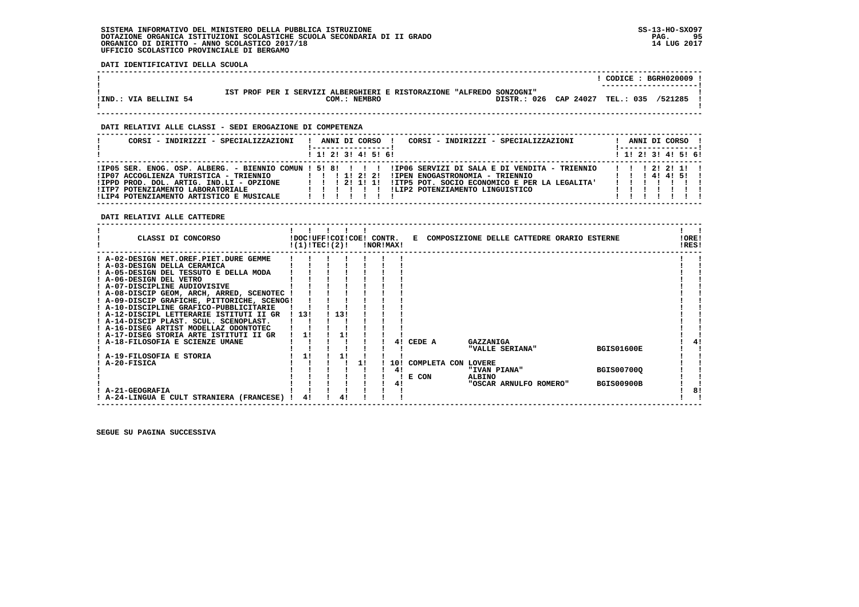**DATI IDENTIFICATIVI DELLA SCUOLA**

|                       |                                                                      | $CODE : BGRH020009$ !  |
|-----------------------|----------------------------------------------------------------------|------------------------|
|                       |                                                                      | ---------------------- |
|                       | IST PROF PER I SERVIZI ALBERGHIERI E RISTORAZIONE "ALFREDO SONZOGNI" |                        |
| IIND.: VIA BELLINI 54 | DISTR.: 026 CAP 24027 TEL.: 035<br>COM.: NEMBRO                      | /521285                |
|                       |                                                                      |                        |
|                       |                                                                      |                        |

 **------------------------------------------------------------------------------------------------------------------------------------**

### **DATI RELATIVI ALLE CLASSI - SEDI EROGAZIONE DI COMPETENZA**

| CORSI - INDIRIZZI - SPECIALIZZAZIONI                                                                                                                                | CORSI - INDIRIZZI - SPECIALIZZAZIONI<br>ANNI DI CORSO !                                                                                                                                                                                                                        | ANNI DI CORSO !<br>! ------------------ |
|---------------------------------------------------------------------------------------------------------------------------------------------------------------------|--------------------------------------------------------------------------------------------------------------------------------------------------------------------------------------------------------------------------------------------------------------------------------|-----------------------------------------|
|                                                                                                                                                                     | $1$ , 1! 2! 3! 4! 5! 6!                                                                                                                                                                                                                                                        | ! 1! 2! 3! 4! 5! 6!                     |
| !IP07 ACCOGLIENZA TURISTICA - TRIENNIO<br>!IPPD PROD, DOL, ARTIG, IND.LI - OPZIONE<br>!ITP7 POTENZIAMENTO LABORATORIALE<br>!LIP4 POTENZIAMENTO ARTISTICO E MUSICALE | IIP05 SER. ENOG. OSP. ALBERG. - BIENNIO COMUN ! 5! 8! ! ! ! ! IIP06 SERVIZI DI SALA E DI VENDITA - TRIENNIO<br>1 1 1 1 1 2 1 2 1<br>!IPEN ENOGASTRONOMIA - TRIENNIO<br>!ITP5 POT. SOCIO ECONOMICO E PER LA LEGALITA'<br>1121111<br>ILIP2 POTENZIAMENTO LINGUISTICO<br>,,,,,,,, | 1 1 1 2 1 2 1 1 1<br>1 1 1 4 1 4 1 5 1  |

 **DATI RELATIVI ALLE CATTEDRE**

| CLASSI DI CONCORSO                                                 | !DOC!UFF!COI!COE! CONTR.<br>!(1)!TECI(2)! |  |     |  | !NOR!MAX! |                     |                 | E COMPOSIZIONE DELLE CATTEDRE ORARIO ESTERNE |                   | !ORE!<br>!RES! |  |
|--------------------------------------------------------------------|-------------------------------------------|--|-----|--|-----------|---------------------|-----------------|----------------------------------------------|-------------------|----------------|--|
| ! A-02-DESIGN MET.OREF.PIET.DURE GEMME                             |                                           |  |     |  |           |                     |                 |                                              |                   |                |  |
| ! A-03-DESIGN DELLA CERAMICA                                       |                                           |  |     |  |           |                     |                 |                                              |                   |                |  |
| ! A-05-DESIGN DEL TESSUTO E DELLA MODA                             |                                           |  |     |  |           |                     |                 |                                              |                   |                |  |
| ! A-06-DESIGN DEL VETRO                                            |                                           |  |     |  |           |                     |                 |                                              |                   |                |  |
| ! A-07-DISCIPLINE AUDIOVISIVE                                      |                                           |  |     |  |           |                     |                 |                                              |                   |                |  |
| ! A-08-DISCIP GEOM, ARCH, ARRED, SCENOTEC                          |                                           |  |     |  |           |                     |                 |                                              |                   |                |  |
| ! A-09-DISCIP GRAFICHE, PITTORICHE, SCENOG!                        |                                           |  |     |  |           |                     |                 |                                              |                   |                |  |
| ! A-10-DISCIPLINE GRAFICO-PUBBLICITARIE                            |                                           |  |     |  |           |                     |                 |                                              |                   |                |  |
| ! A-12-DISCIPL LETTERARIE ISTITUTI II GR                           | -13!                                      |  | 13! |  |           |                     |                 |                                              |                   |                |  |
| ! A-14-DISCIP PLAST. SCUL. SCENOPLAST.                             |                                           |  |     |  |           |                     |                 |                                              |                   |                |  |
| ! A-16-DISEG ARTIST MODELLAZ ODONTOTEC                             |                                           |  |     |  |           |                     |                 |                                              |                   |                |  |
| ! A-17-DISEG STORIA ARTE ISTITUTI II GR                            |                                           |  |     |  |           |                     |                 |                                              |                   |                |  |
| A-18-FILOSOFIA E SCIENZE UMANE                                     |                                           |  |     |  | 41        | CEDE A              | GAZZANIGA       |                                              |                   |                |  |
|                                                                    |                                           |  |     |  |           |                     | "VALLE SERIANA" |                                              | <b>BGIS01600E</b> |                |  |
| A-19-FILOSOFIA E STORIA                                            | 1!                                        |  | 11  |  |           |                     |                 |                                              |                   |                |  |
| A-20-FISICA                                                        |                                           |  |     |  | 10!       | COMPLETA CON LOVERE |                 |                                              |                   |                |  |
|                                                                    |                                           |  |     |  | 41        |                     | "IVAN PIANA"    |                                              | <b>BGIS00700Q</b> |                |  |
|                                                                    |                                           |  |     |  |           | E CON               | ALBINO          |                                              | <b>BGIS00900B</b> |                |  |
|                                                                    |                                           |  |     |  | 41        |                     |                 | "OSCAR ARNULFO ROMERO"                       |                   |                |  |
| <b>A-21-GEOGRAFIA</b><br>! A-24-LINGUA E CULT STRANIERA (FRANCESE) | 41                                        |  |     |  |           |                     |                 |                                              |                   | 8!             |  |
|                                                                    |                                           |  |     |  |           |                     |                 |                                              |                   |                |  |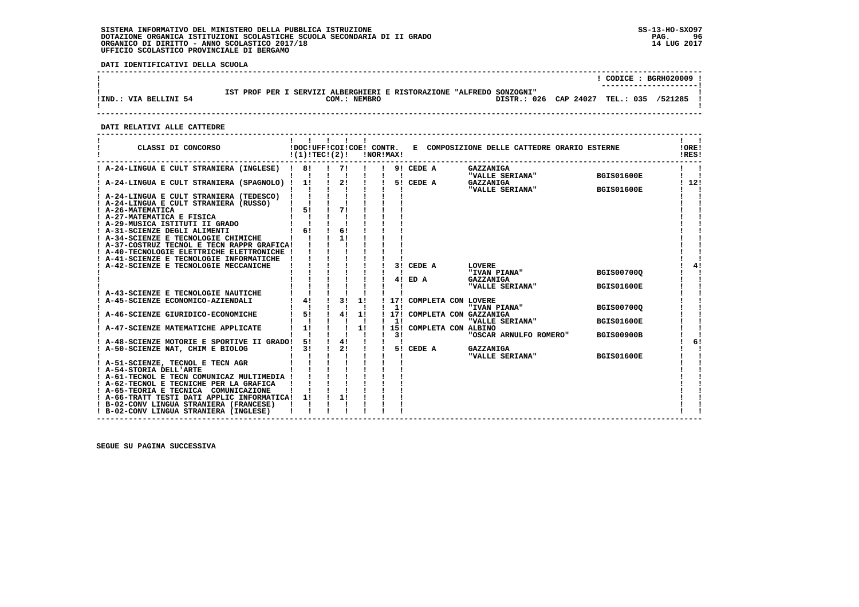**DATI IDENTIFICATIVI DELLA SCUOLA**

|                       |                                                                                         | CODICE: BGRH020009 !                                                           |
|-----------------------|-----------------------------------------------------------------------------------------|--------------------------------------------------------------------------------|
| IIND.: VIA BELLINI 54 | SERVIZI ALBERGHIERI E RISTORAZIONE "ALFREDO SONZOGNI"<br>TST PROF PER T<br>COM.: NEMBRO | ----------------------<br>DISTR.: 026 CAP 24027<br><b>TEL.: 035</b><br>/521285 |

 **------------------------------------------------------------------------------------------------------------------------------------**

 **DATI RELATIVI ALLE CATTEDRE**

| CLASSI DI CONCORSO                                                                         | !(1)!TECI(2)! |                                    |    | <b>!NOR!MAX!</b> |                         | !DOC!UFF!COI!COE! CONTR. E COMPOSIZIONE DELLE CATTEDRE ORARIO ESTERNE |                   | !ORE!<br>!RES! |
|--------------------------------------------------------------------------------------------|---------------|------------------------------------|----|------------------|-------------------------|-----------------------------------------------------------------------|-------------------|----------------|
| ! A-24-LINGUA E CULT STRANIERA (INGLESE) ! 8!                                              |               | 71                                 |    |                  | 9! CEDE A               | GAZZANIGA                                                             | <b>BGIS01600E</b> |                |
| ! A-24-LINGUA E CULT STRANIERA (SPAGNOLO) !                                                | 11            | 2!                                 |    |                  | 5! CEDE A               | "VALLE SERIANA"<br><b>GAZZANIGA</b>                                   |                   | 12!            |
| ! A-24-LINGUA E CULT STRANIERA (TEDESCO)                                                   |               |                                    |    |                  |                         | "VALLE SERIANA"                                                       | <b>BGIS01600E</b> |                |
| ! A-24-LINGUA E CULT STRANIERA (RUSSO)                                                     |               |                                    |    |                  |                         |                                                                       |                   |                |
| ! A-26-MATEMATICA                                                                          | 5!            | 71                                 |    |                  |                         |                                                                       |                   |                |
| ! A-27-MATEMATICA E FISICA<br>! A-29-MUSICA ISTITUTI II GRADO                              |               |                                    |    |                  |                         |                                                                       |                   |                |
| ! A-31-SCIENZE DEGLI ALIMENTI                                                              | 61            | 6!                                 |    |                  |                         |                                                                       |                   |                |
| ! A-34-SCIENZE E TECNOLOGIE CHIMICHE                                                       |               | 11                                 |    |                  |                         |                                                                       |                   |                |
| ! A-37-COSTRUZ TECNOL E TECN RAPPR GRAFICA!<br>! A-40-TECNOLOGIE ELETTRICHE ELETTRONICHE ! |               |                                    |    |                  |                         |                                                                       |                   |                |
| ! A-41-SCIENZE E TECNOLOGIE INFORMATICHE                                                   |               |                                    |    |                  |                         |                                                                       |                   |                |
| A-42-SCIENZE E TECNOLOGIE MECCANICHE                                                       |               |                                    |    |                  | 3! CEDE A               | <b>LOVERE</b>                                                         |                   | 41             |
|                                                                                            |               |                                    |    |                  |                         | "IVAN PIANA"                                                          | <b>BGIS00700Q</b> |                |
|                                                                                            |               |                                    |    |                  | 4! ED A                 | <b>GAZZANIGA</b><br>"VALLE SERIANA"                                   | <b>BGIS01600E</b> |                |
| A-43-SCIENZE E TECNOLOGIE NAUTICHE                                                         |               |                                    |    |                  |                         |                                                                       |                   |                |
| A-45-SCIENZE ECONOMICO-AZIENDALI                                                           | 4!            | 31                                 | 1! |                  | 17! COMPLETA CON LOVERE |                                                                       |                   |                |
| A-46-SCIENZE GIURIDICO-ECONOMICHE                                                          | 5!            | 4!                                 | 1! | 11               |                         | "IVAN PIANA"<br>! 17! COMPLETA CON GAZZANIGA                          | <b>BGIS00700Q</b> |                |
|                                                                                            |               |                                    |    | 11               |                         | "VALLE SERIANA"                                                       | <b>BGIS01600E</b> |                |
| A-47-SCIENZE MATEMATICHE APPLICATE                                                         | 11            |                                    | 1! |                  | 15! COMPLETA CON ALBINO |                                                                       |                   |                |
|                                                                                            |               |                                    |    | 3 I              |                         | "OSCAR ARNULFO ROMERO"                                                | <b>BGIS00900B</b> |                |
| A-48-SCIENZE MOTORIE E SPORTIVE II GRADO!<br>A-50-SCIENZE NAT, CHIM E BIOLOG               | 51<br>31      | $1 \quad 41$<br>$\frac{1}{2}$ 2! 1 |    |                  | 5! CEDE A               | <b>GAZZANIGA</b>                                                      |                   | 6!             |
|                                                                                            |               |                                    |    |                  |                         | "VALLE SERIANA"                                                       | <b>BGIS01600E</b> |                |
| ! A-51-SCIENZE, TECNOL E TECN AGR                                                          |               |                                    |    |                  |                         |                                                                       |                   |                |
| ! A-54-STORIA DELL'ARTE<br>! A-61-TECNOL E TECN COMUNICAZ MULTIMEDIA !                     |               |                                    |    |                  |                         |                                                                       |                   |                |
| ! A-62-TECNOL E TECNICHE PER LA GRAFICA                                                    |               |                                    |    |                  |                         |                                                                       |                   |                |
| ! A-65-TEORIA E TECNICA COMUNICAZIONE                                                      |               |                                    |    |                  |                         |                                                                       |                   |                |
| ! A-66-TRATT TESTI DATI APPLIC INFORMATICA! 1!                                             |               | 11                                 |    |                  |                         |                                                                       |                   |                |
| ! B-02-CONV LINGUA STRANIERA (FRANCESE)<br>! B-02-CONV LINGUA STRANIERA (INGLESE)          |               |                                    |    |                  |                         |                                                                       |                   |                |
|                                                                                            |               |                                    |    |                  |                         |                                                                       |                   |                |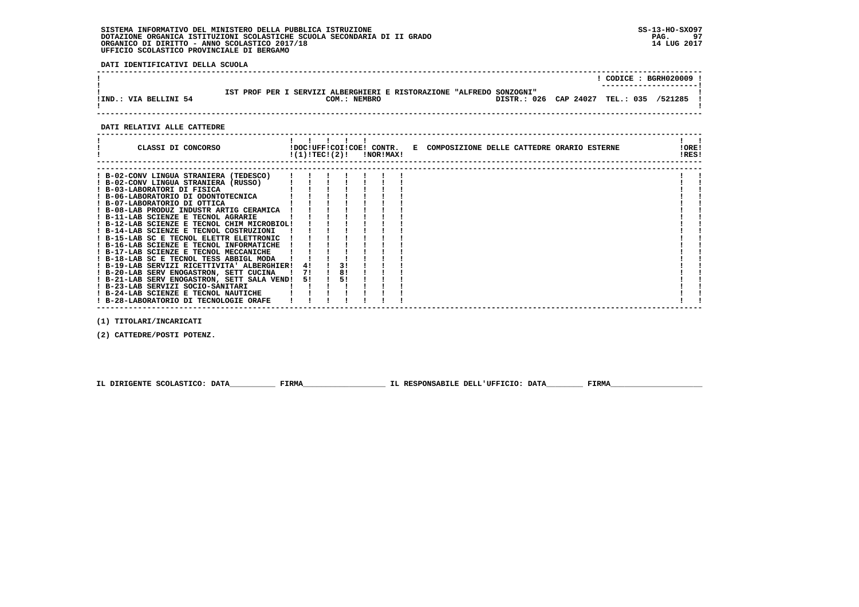**DATI IDENTIFICATIVI DELLA SCUOLA**

|                       |                                                                                                                                 | $\overline{COLICE}$ : BGRH020009 ! |
|-----------------------|---------------------------------------------------------------------------------------------------------------------------------|------------------------------------|
| !IND.: VIA BELLINI 54 | IST PROF PER I SERVIZI ALBERGHIERI E RISTORAZIONE "ALFREDO SONZOGNI"<br>DISTR.: 026 CAP 24027 TEL.: 035 /521285<br>COM.: NEMBRO |                                    |
|                       |                                                                                                                                 |                                    |

## **DATI RELATIVI ALLE CATTEDRE**

| CLASSI DI CONCORSO                          | !(1)!TEC!(2)! |    | <b>!NOR!MAX!</b> | !DOC!UFF!COI!COE! CONTR. E COMPOSIZIONE DELLE CATTEDRE ORARIO ESTERNE | ! ORE!<br>!RES! |  |
|---------------------------------------------|---------------|----|------------------|-----------------------------------------------------------------------|-----------------|--|
|                                             |               |    |                  |                                                                       |                 |  |
| ! B-02-CONV LINGUA STRANIERA (TEDESCO)      |               |    |                  |                                                                       |                 |  |
| ! B-02-CONV LINGUA STRANIERA (RUSSO)        |               |    |                  |                                                                       |                 |  |
| ! B-03-LABORATORI DI FISICA                 |               |    |                  |                                                                       |                 |  |
| ! B-06-LABORATORIO DI ODONTOTECNICA         |               |    |                  |                                                                       |                 |  |
| ! B-07-LABORATORIO DI OTTICA                |               |    |                  |                                                                       |                 |  |
| ! B-08-LAB PRODUZ INDUSTR ARTIG CERAMICA    |               |    |                  |                                                                       |                 |  |
| ! B-11-LAB SCIENZE E TECNOL AGRARIE         |               |    |                  |                                                                       |                 |  |
| ! B-12-LAB SCIENZE E TECNOL CHIM MICROBIOL! |               |    |                  |                                                                       |                 |  |
| ! B-14-LAB SCIENZE E TECNOL COSTRUZIONI     |               |    |                  |                                                                       |                 |  |
| ! B-15-LAB SC E TECNOL ELETTR ELETTRONIC    |               |    |                  |                                                                       |                 |  |
| ! B-16-LAB SCIENZE E TECNOL INFORMATICHE    |               |    |                  |                                                                       |                 |  |
| ! B-17-LAB SCIENZE E TECNOL MECCANICHE      |               |    |                  |                                                                       |                 |  |
| ! B-18-LAB SC E TECNOL TESS ABBIGL MODA     |               |    |                  |                                                                       |                 |  |
| ! B-19-LAB SERVIZI RICETTIVITA' ALBERGHIER! | 41            |    |                  |                                                                       |                 |  |
| ! B-20-LAB SERV ENOGASTRON, SETT CUCINA     | 71            | 8! |                  |                                                                       |                 |  |
| ! B-21-LAB SERV ENOGASTRON, SETT SALA VEND! | 51            | 51 |                  |                                                                       |                 |  |
| ! B-23-LAB SERVIZI SOCIO-SANITARI           |               |    |                  |                                                                       |                 |  |
| ! B-24-LAB SCIENZE E TECNOL NAUTICHE        |               |    |                  |                                                                       |                 |  |
| ! B-28-LABORATORIO DI TECNOLOGIE ORAFE      |               |    |                  |                                                                       |                 |  |

 **(1) TITOLARI/INCARICATI**

 **(2) CATTEDRE/POSTI POTENZ.**

 **IL DIRIGENTE SCOLASTICO: DATA\_\_\_\_\_\_\_\_\_\_ FIRMA\_\_\_\_\_\_\_\_\_\_\_\_\_\_\_\_\_\_ IL RESPONSABILE DELL'UFFICIO: DATA\_\_\_\_\_\_\_\_ FIRMA\_\_\_\_\_\_\_\_\_\_\_\_\_\_\_\_\_\_\_\_**

 **------------------------------------------------------------------------------------------------------------------------------------**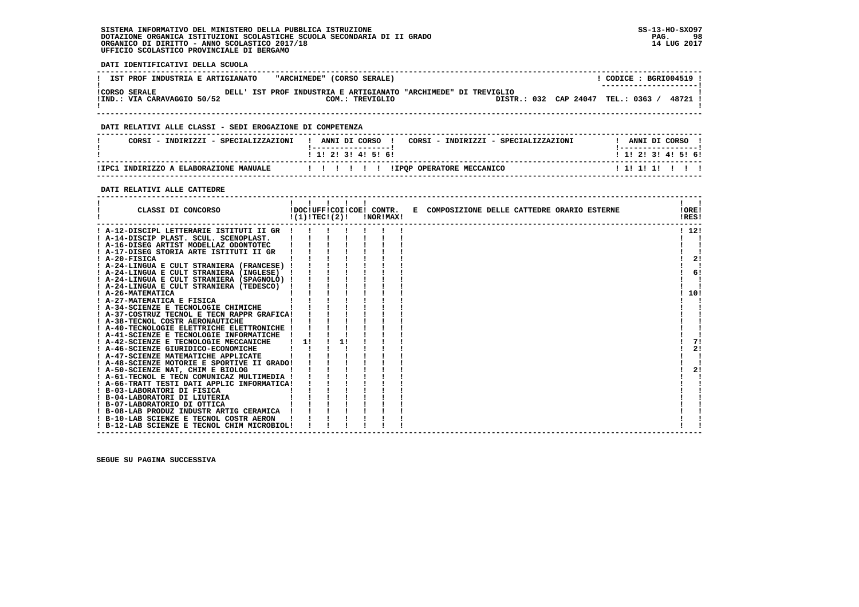**! B-12-LAB SCIENZE E TECNOL CHIM MICROBIOL! ! ! ! ! ! ! ! !**

- 1

 $\blacksquare$ 

 **DATI IDENTIFICATIVI DELLA SCUOLA ------------------------------------------------------------------------------------------------------------------------------------**! CODICE: BGRI004519 ! **! IST PROF INDUSTRIA E ARTIGIANATO "ARCHIMEDE" (CORSO SERALE)** \_\_\_\_\_\_\_\_\_\_\_\_\_\_\_\_\_\_\_\_\_\_\_\_  **! ---------------------! !CORSO SERALE DELL' IST PROF INDUSTRIA E ARTIGIANATO "ARCHIMEDE" DI TREVIGLIO ! !IND.: VIA CARAVAGGIO 50/52 COM.: TREVIGLIO DISTR.: 032 CAP 24047 TEL.: 0363 / 48721 !**- 1  **! ! ------------------------------------------------------------------------------------------------------------------------------------ DATI RELATIVI ALLE CLASSI - SEDI EROGAZIONE DI COMPETENZA ------------------------------------------------------------------------------------------------------------------------------------**! ANNI DI CORSO !  **! CORSI - INDIRIZZI - SPECIALIZZAZIONI ! ANNI DI CORSO ! CORSI - INDIRIZZI - SPECIALIZZAZIONI ! ANNI DI CORSO !**\_\_\_\_\_\_\_\_\_\_\_\_\_\_\_\_\_\_\_\_\_\_  **! !-----------------! !-----------------!**1 1 2 3 3 4 5 6  **! ! 1! 2! 3! 4! 5! 6! ! 1! 2! 3! 4! 5! 6! ------------------------------------------------------------------------------------------------------------------------------------ !IPC1 INDIRIZZO A ELABORAZIONE MANUALE ! ! ! ! ! ! !IPQP OPERATORE MECCANICO ! 1! 1! 1! ! ! ! ------------------------------------------------------------------------------------------------------------------------------------ DATI RELATIVI ALLE CATTEDRE ------------------------------------------------------------------------------------------------------------------------------------** $\mathbf{I}$  and  $\mathbf{I}$  **! ! ! ! ! ! ! ! ! CLASSI DI CONCORSO !DOC!UFF!COI!COE! CONTR. E COMPOSIZIONE DELLE CATTEDRE ORARIO ESTERNE !ORE! ! !(1)!TEC!(2)! !NOR!MAX! !RES!LORE!**  $RRSI$   **------------------------------------------------------------------------------------------------------------------------------------** $1, 121$  **! A-12-DISCIPL LETTERARIE ISTITUTI II GR ! ! ! ! ! ! ! ! 12! ! A-14-DISCIP PLAST. SCUL. SCENOPLAST. ! ! ! ! ! ! ! ! ! ! A-16-DISEG ARTIST MODELLAZ ODONTOTEC ! ! ! ! ! ! ! ! !** $\mathbf{I}$  $\blacksquare$  **! A-17-DISEG STORIA ARTE ISTITUTI II GR ! ! ! ! ! ! ! ! ! ! A-20-FISICA ! ! ! ! ! ! ! ! 2! ! A-24-LINGUA E CULT STRANIERA (FRANCESE) ! ! ! ! ! ! ! ! !** $1 \quad 21$  $\blacksquare$  $61$  **! A-24-LINGUA E CULT STRANIERA (INGLESE) ! ! ! ! ! ! ! ! 6! ! A-24-LINGUA E CULT STRANIERA (SPAGNOLO) ! ! ! ! ! ! ! ! ! ! A-24-LINGUA E CULT STRANIERA (TEDESCO) ! ! ! ! ! ! ! ! ! ! A-26-MATEMATICA ! ! ! ! ! ! ! ! 10! ! A-27-MATEMATICA E FISICA ! ! ! ! ! ! ! ! ! ! A-34-SCIENZE E TECNOLOGIE CHIMICHE ! ! ! ! ! ! ! ! ! ! A-37-COSTRUZ TECNOL E TECN RAPPR GRAFICA! ! ! ! ! ! ! ! !** $\mathbf{I}$ - 1  $1.101$ - 1  $\blacksquare$ - 1  **! A-38-TECNOL COSTR AERONAUTICHE ! ! ! ! ! ! ! ! !**- 1  **! A-40-TECNOLOGIE ELETTRICHE ELETTRONICHE ! ! ! ! ! ! ! ! ! ! A-41-SCIENZE E TECNOLOGIE INFORMATICHE ! ! ! ! ! ! ! ! !**71  **! A-42-SCIENZE E TECNOLOGIE MECCANICHE ! 1! ! 1! ! ! ! ! 7!** $2.1$  **! A-46-SCIENZE GIURIDICO-ECONOMICHE ! ! ! ! ! ! ! ! 2! ! A-47-SCIENZE MATEMATICHE APPLICATE ! ! ! ! ! ! ! ! ! ! A-48-SCIENZE MOTORIE E SPORTIVE II GRADO! ! ! ! ! ! ! ! !** $\blacksquare$ - 1  $21$  **! A-50-SCIENZE NAT, CHIM E BIOLOG ! ! ! ! ! ! ! ! 2! ! A-61-TECNOL E TECN COMUNICAZ MULTIMEDIA ! ! ! ! ! ! ! ! ! ! A-66-TRATT TESTI DATI APPLIC INFORMATICA! ! ! ! ! ! ! ! !**- 1  **! B-03-LABORATORI DI FISICA ! ! ! ! ! ! ! ! ! ! B-04-LABORATORI DI LIUTERIA ! ! ! ! ! ! ! ! ! ! B-07-LABORATORIO DI OTTICA ! ! ! ! ! ! ! ! !**- 1  **! B-08-LAB PRODUZ INDUSTR ARTIG CERAMICA ! ! ! ! ! ! ! ! ! ! B-10-LAB SCIENZE E TECNOL COSTR AERON ! ! ! ! ! ! ! ! !**

 **SEGUE SU PAGINA SUCCESSIVA**

 **------------------------------------------------------------------------------------------------------------------------------------**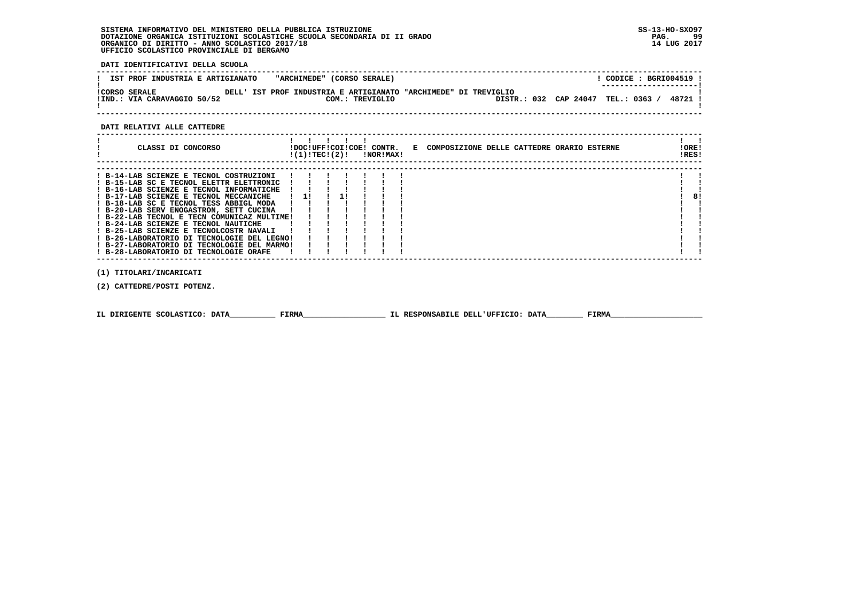**DATI IDENTIFICATIVI DELLA SCUOLA**

| IST PROF INDUSTRIA E ARTIGIANATO                    |  |  |  | "ARCHIMEDE" (CORSO SERALE)                                                         |  |                                  |  | CODICE: BGRI004519 !  |  |       |  |
|-----------------------------------------------------|--|--|--|------------------------------------------------------------------------------------|--|----------------------------------|--|-----------------------|--|-------|--|
| <b>!CORSO SERALE</b><br>!IND.: VIA CARAVAGGIO 50/52 |  |  |  | DELL' IST PROF INDUSTRIA E ARTIGIANATO "ARCHIMEDE" DI TREVIGLIO<br>COM.: TREVIGLIO |  | DISTR.: 032 CAP 24047 TEL.: 0363 |  | --------------------- |  | 48721 |  |
|                                                     |  |  |  |                                                                                    |  |                                  |  |                       |  |       |  |

 **------------------------------------------------------------------------------------------------------------------------------------**

#### **DATI RELATIVI ALLE CATTEDRE**

| CLASSI DI CONCORSO                                                                                                                                                                                                                                                                                                                                                                                                                                                                                                                        | !DOC!UFF!COI!COE! CONTR.<br>!(1)!TEC!(2)! |  | !NOR!MAX! |  | E COMPOSIZIONE DELLE CATTEDRE ORARIO ESTERNE | ! ORE!<br>!RES! |
|-------------------------------------------------------------------------------------------------------------------------------------------------------------------------------------------------------------------------------------------------------------------------------------------------------------------------------------------------------------------------------------------------------------------------------------------------------------------------------------------------------------------------------------------|-------------------------------------------|--|-----------|--|----------------------------------------------|-----------------|
| ! B-14-LAB SCIENZE E TECNOL COSTRUZIONI<br>! B-15-LAB SC E TECNOL ELETTR ELETTRONIC<br>! B-16-LAB SCIENZE E TECNOL INFORMATICHE<br>! B-17-LAB SCIENZE E TECNOL MECCANICHE<br>! B-18-LAB SC E TECNOL TESS ABBIGL MODA<br>! B-20-LAB SERV ENOGASTRON, SETT CUCINA<br>! B-22-LAB TECNOL E TECN COMUNICAZ MULTIME!<br>! B-24-LAB SCIENZE E TECNOL NAUTICHE<br>! B-25-LAB SCIENZE E TECNOLCOSTR NAVALI<br>! B-26-LABORATORIO DI TECNOLOGIE DEL LEGNO!<br>! B-27-LABORATORIO DI TECNOLOGIE DEL MARMO!<br>! B-28-LABORATORIO DI TECNOLOGIE ORAFE | $1 \quad 11$                              |  |           |  |                                              | 81              |

 **(1) TITOLARI/INCARICATI**

 **(2) CATTEDRE/POSTI POTENZ.**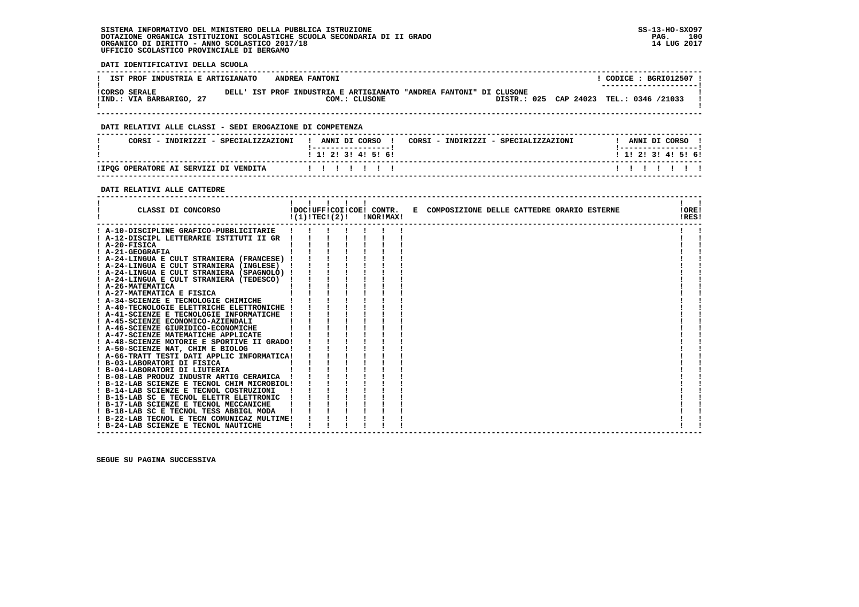**DATI IDENTIFICATIVI DELLA SCUOLA**

| IST PROF INDUSTRIA E ARTIGIANATO                 |  |  | ANDREA FANTONI |                                                                                     |  |                                         |  | CODE : BGRI012507 :<br>--------------------- |  |  |
|--------------------------------------------------|--|--|----------------|-------------------------------------------------------------------------------------|--|-----------------------------------------|--|----------------------------------------------|--|--|
| <b>!CORSO SERALE</b><br>!IND.: VIA BARBARIGO, 27 |  |  |                | DELL' IST PROF INDUSTRIA E ARTIGIANATO "ANDREA FANTONI" DI CLUSONE<br>COM.: CLUSONE |  | DISTR.: 025 CAP 24023 TEL.: 0346 /21033 |  |                                              |  |  |

 **------------------------------------------------------------------------------------------------------------------------------------**

### **DATI RELATIVI ALLE CLASSI - SEDI EROGAZIONE DI COMPETENZA**

| CORSI - INDIRIZZI - SPECIALIZZAZIONI  | ANNI DI CORSO<br>CORSI - INDIRIZZI - SPECIALIZZAZIONI | ANNI DI CORSO       |
|---------------------------------------|-------------------------------------------------------|---------------------|
|                                       | ! 1! 2! 3! 4! 5! 6!                                   | ! 1! 2! 3! 4! 5! 6! |
| IIPQG OPERATORE AI SERVIZI DI VENDITA | .                                                     | .                   |

 **------------------------------------------------------------------------------------------------------------------------------------**

## **DATI RELATIVI ALLE CATTEDRE**

| CLASSI DI CONCORSO                          |  |  | $!(1)!TEC!(2)!$ $INORIMAX!$ | !DOC!UFF!COI!COE! CONTR. E COMPOSIZIONE DELLE CATTEDRE ORARIO ESTERNE | !ORE!<br>!RES! |  |
|---------------------------------------------|--|--|-----------------------------|-----------------------------------------------------------------------|----------------|--|
| ! A-10-DISCIPLINE GRAFICO-PUBBLICITARIE     |  |  |                             |                                                                       |                |  |
| ! A-12-DISCIPL LETTERARIE ISTITUTI II GR    |  |  |                             |                                                                       |                |  |
| $I$ A-20-FISICA                             |  |  |                             |                                                                       |                |  |
| ! A-21-GEOGRAFIA                            |  |  |                             |                                                                       |                |  |
| ! A-24-LINGUA E CULT STRANIERA (FRANCESE) ! |  |  |                             |                                                                       |                |  |
| ! A-24-LINGUA E CULT STRANIERA (INGLESE)    |  |  |                             |                                                                       |                |  |
| A-24-LINGUA E CULT STRANIERA (SPAGNOLO) !   |  |  |                             |                                                                       |                |  |
| ! A-24-LINGUA E CULT STRANIERA (TEDESCO)    |  |  |                             |                                                                       |                |  |
| ! A-26-MATEMATICA                           |  |  |                             |                                                                       |                |  |
| ! A-27-MATEMATICA E FISICA                  |  |  |                             |                                                                       |                |  |
| ! A-34-SCIENZE E TECNOLOGIE CHIMICHE        |  |  |                             |                                                                       |                |  |
| ! A-40-TECNOLOGIE ELETTRICHE ELETTRONICHE ! |  |  |                             |                                                                       |                |  |
| ! A-41-SCIENZE E TECNOLOGIE INFORMATICHE    |  |  |                             |                                                                       |                |  |
| ! A-45-SCIENZE ECONOMICO-AZIENDALI          |  |  |                             |                                                                       |                |  |
| ! A-46-SCIENZE GIURIDICO-ECONOMICHE         |  |  |                             |                                                                       |                |  |
| ! A-47-SCIENZE MATEMATICHE APPLICATE        |  |  |                             |                                                                       |                |  |
| ! A-48-SCIENZE MOTORIE E SPORTIVE II GRADO! |  |  |                             |                                                                       |                |  |
| ! A-50-SCIENZE NAT, CHIM E BIOLOG           |  |  |                             |                                                                       |                |  |
| ! A-66-TRATT TESTI DATI APPLIC INFORMATICA! |  |  |                             |                                                                       |                |  |
| ! B-03-LABORATORI DI FISICA                 |  |  |                             |                                                                       |                |  |
| ! B-04-LABORATORI DI LIUTERIA               |  |  |                             |                                                                       |                |  |
| ! B-08-LAB PRODUZ INDUSTR ARTIG CERAMICA    |  |  |                             |                                                                       |                |  |
| ! B-12-LAB SCIENZE E TECNOL CHIM MICROBIOL! |  |  |                             |                                                                       |                |  |
| ! B-14-LAB SCIENZE E TECNOL COSTRUZIONI     |  |  |                             |                                                                       |                |  |
| ! B-15-LAB SC E TECNOL ELETTR ELETTRONIC    |  |  |                             |                                                                       |                |  |
| ! B-17-LAB SCIENZE E TECNOL MECCANICHE      |  |  |                             |                                                                       |                |  |
| ! B-18-LAB SC E TECNOL TESS ABBIGL MODA     |  |  |                             |                                                                       |                |  |
| ! B-22-LAB TECNOL E TECN COMUNICAZ MULTIME! |  |  |                             |                                                                       |                |  |
| ! B-24-LAB SCIENZE E TECNOL NAUTICHE        |  |  |                             |                                                                       |                |  |
|                                             |  |  |                             |                                                                       |                |  |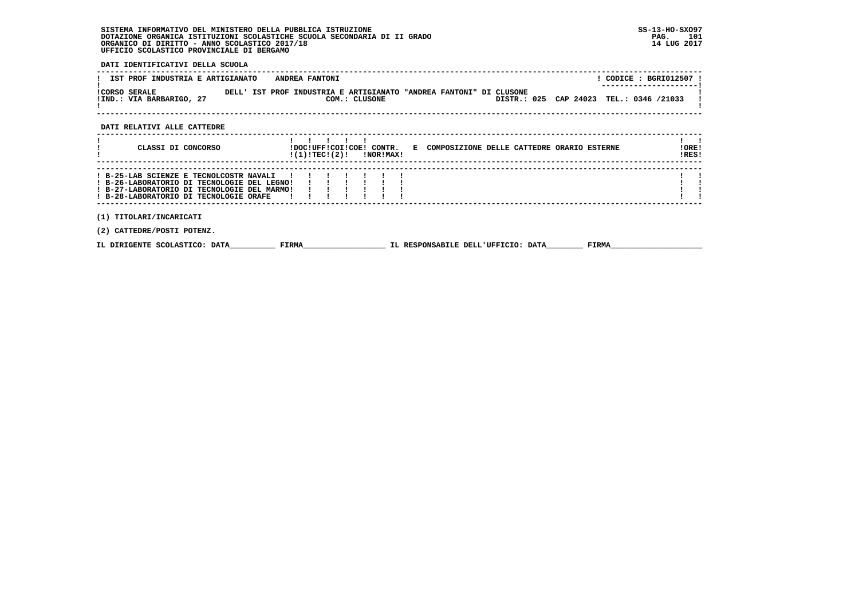**DATI IDENTIFICATIVI DELLA SCUOLA**

|                      | IST PROF INDUSTRIA E ARTIGIANATO |  |  | ANDREA FANTONI |                                                                                     |  |                                         |  | CODE : BGRI012507 :<br>--------------------- |  |  |
|----------------------|----------------------------------|--|--|----------------|-------------------------------------------------------------------------------------|--|-----------------------------------------|--|----------------------------------------------|--|--|
| <b>!CORSO SERALE</b> | !IND.: VIA BARBARIGO, 27         |  |  |                | DELL' IST PROF INDUSTRIA E ARTIGIANATO "ANDREA FANTONI" DI CLUSONE<br>COM.: CLUSONE |  | DISTR.: 025 CAP 24023 TEL.: 0346 /21033 |  |                                              |  |  |

 **------------------------------------------------------------------------------------------------------------------------------------**

### **DATI RELATIVI ALLE CATTEDRE**

| CLASSI DI CONCORSO                                                                                                                                                              |  |       | !(1)!TECI(2)! |  | !DOC!UFF!COI!COE! CONTR.<br>!NOR!MAX! | E COMPOSIZIONE DELLE CATTEDRE ORARIO ESTERNE |  |  |       | !ORE!<br>!RES! |  |
|---------------------------------------------------------------------------------------------------------------------------------------------------------------------------------|--|-------|---------------|--|---------------------------------------|----------------------------------------------|--|--|-------|----------------|--|
| ! B-25-LAB SCIENZE E TECNOLCOSTR NAVALI<br>! B-26-LABORATORIO DI TECNOLOGIE DEL LEGNO!<br>! B-27-LABORATORIO DI TECNOLOGIE DEL MARMO!<br>! B-28-LABORATORIO DI TECNOLOGIE ORAFE |  |       |               |  |                                       |                                              |  |  |       |                |  |
| (1) TITOLARI/INCARICATI<br>(2) CATTEDRE/POSTI POTENZ.                                                                                                                           |  |       |               |  |                                       |                                              |  |  |       |                |  |
| IL DIRIGENTE SCOLASTICO: DATA                                                                                                                                                   |  | FIRMA |               |  |                                       | IL RESPONSABILE DELL'UFFICIO: DATA           |  |  | FIRMA |                |  |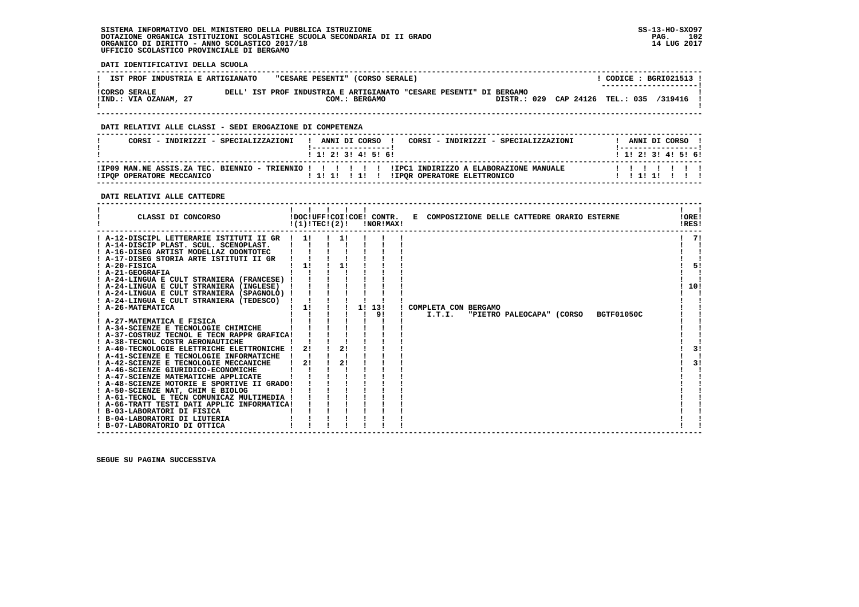**DATI IDENTIFICATIVI DELLA SCUOLA**

| IST PROF INDUSTRIA E ARTIGIANATO              | "CESARE PESENTI" (CORSO SERALE) |               |                                                                                                               |  | CODICE: BGRI021513 !<br>----------------------- |
|-----------------------------------------------|---------------------------------|---------------|---------------------------------------------------------------------------------------------------------------|--|-------------------------------------------------|
| <b>!CORSO SERALE</b><br>!IND.: VIA OZANAM, 27 |                                 | COM.: BERGAMO | DELL' IST PROF INDUSTRIA E ARTIGIANATO "CESARE PESENTI" DI BERGAMO<br>DISTR.: 029 CAP 24126 TEL.: 035 /319416 |  |                                                 |

 **------------------------------------------------------------------------------------------------------------------------------------**

### **DATI RELATIVI ALLE CLASSI - SEDI EROGAZIONE DI COMPETENZA**

| CORST - INDIRIZZI - SPECIALIZZAZIONI | ANNI DI CORSO<br>CORST - INDIRIZZI - SPECIALIZZAZIONI<br>1 1 2 3 3 4 5 6 1                                                     | ANNI DI CORSO<br>1 1 2 3 3 4 5 6 1 |
|--------------------------------------|--------------------------------------------------------------------------------------------------------------------------------|------------------------------------|
| IIPOP OPERATORE MECCANICO            | IPO9 MAN.NE ASSIS.ZA TEC. BIENNIO - TRIENNIO ! ! ! ! ! ! IPC1 INDIRIZZO A ELABORAZIONE MANUALE!<br>IIPOR OPERATORE ELETTRONICO |                                    |

#### **DATI RELATIVI ALLE CATTEDRE**

| CLASSI DI CONCORSO                                                                 | !(1)!TECI(2)! |    | !DOC!UFF!COI!COE! CONTR.<br>!NOR!MAX! | E COMPOSIZIONE DELLE CATTEDRE ORARIO ESTERNE        | !ORE!<br>!RES! |
|------------------------------------------------------------------------------------|---------------|----|---------------------------------------|-----------------------------------------------------|----------------|
| ! A-12-DISCIPL LETTERARIE ISTITUTI II GR<br>! A-14-DISCIP PLAST. SCUL. SCENOPLAST. | 11            |    |                                       |                                                     | -71            |
| ! A-16-DISEG ARTIST MODELLAZ ODONTOTEC                                             |               |    |                                       |                                                     |                |
| ! A-17-DISEG STORIA ARTE ISTITUTI II GR                                            |               |    |                                       |                                                     |                |
| $I$ A-20-FISICA                                                                    | 11            | 11 |                                       |                                                     | 51             |
| ! A-21-GEOGRAFIA                                                                   |               |    |                                       |                                                     |                |
| ! A-24-LINGUA E CULT STRANIERA (FRANCESE) !                                        |               |    |                                       |                                                     |                |
| ! A-24-LINGUA E CULT STRANIERA (INGLESE)                                           |               |    |                                       |                                                     | 10!            |
| ! A-24-LINGUA E CULT STRANIERA (SPAGNOLO) !                                        |               |    |                                       |                                                     |                |
| ! A-24-LINGUA E CULT STRANIERA (TEDESCO)                                           |               |    |                                       |                                                     |                |
| A-26-MATEMATICA                                                                    | 11            |    | 1! 13!<br>91                          | COMPLETA CON BERGAMO<br>I.T.I.<br><b>BGTF01050C</b> |                |
| ! A-27-MATEMATICA E FISICA                                                         |               |    |                                       | "PIETRO PALEOCAPA" (CORSO                           |                |
| ! A-34-SCIENZE E TECNOLOGIE CHIMICHE                                               |               |    |                                       |                                                     |                |
| ! A-37-COSTRUZ TECNOL E TECN RAPPR GRAFICA!                                        |               |    |                                       |                                                     |                |
| ! A-38-TECNOL COSTR AERONAUTICHE                                                   |               |    |                                       |                                                     |                |
| ! A-40-TECNOLOGIE ELETTRICHE ELETTRONICHE !                                        | 2!            | 2! |                                       |                                                     | 3!             |
| ! A-41-SCIENZE E TECNOLOGIE INFORMATICHE                                           |               |    |                                       |                                                     |                |
| ! A-42-SCIENZE E TECNOLOGIE MECCANICHE                                             | 2!            | 21 |                                       |                                                     | 31             |
| ! A-46-SCIENZE GIURIDICO-ECONOMICHE                                                |               |    |                                       |                                                     |                |
| ! A-47-SCIENZE MATEMATICHE APPLICATE                                               |               |    |                                       |                                                     |                |
| ! A-48-SCIENZE MOTORIE E SPORTIVE II GRADO!                                        |               |    |                                       |                                                     |                |
| ! A-50-SCIENZE NAT, CHIM E BIOLOG                                                  |               |    |                                       |                                                     |                |
| ! A-61-TECNOL E TECN COMUNICAZ MULTIMEDIA !                                        |               |    |                                       |                                                     |                |
| ! A-66-TRATT TESTI DATI APPLIC INFORMATICA!                                        |               |    |                                       |                                                     |                |
| ! B-03-LABORATORI DI FISICA                                                        |               |    |                                       |                                                     |                |
| ! B-04-LABORATORI DI LIUTERIA                                                      |               |    |                                       |                                                     |                |
| ! B-07-LABORATORIO DI OTTICA                                                       |               |    |                                       |                                                     |                |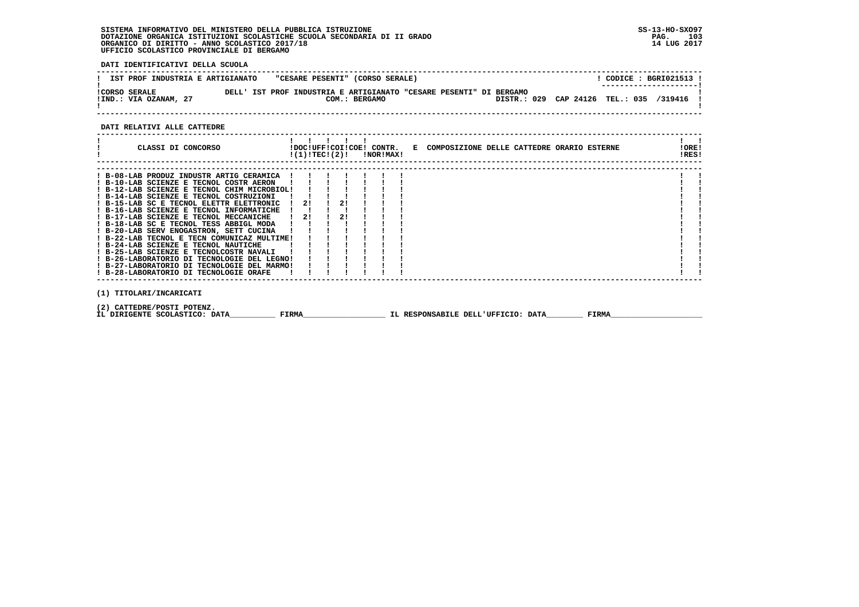**DATI IDENTIFICATIVI DELLA SCUOLA**

| IST PROF INDUSTRIA E ARTIGIANATO              |  | "CESARE PESENTI" (CORSO SERALE)                                                     |                                         |  | CODICE : BGRI021513 !<br>--------------------- |
|-----------------------------------------------|--|-------------------------------------------------------------------------------------|-----------------------------------------|--|------------------------------------------------|
| <b>!CORSO SERALE</b><br>!IND.: VIA OZANAM, 27 |  | DELL' IST PROF INDUSTRIA E ARTIGIANATO "CESARE PESENTI" DI BERGAMO<br>COM.: BERGAMO | DISTR.: 029 CAP 24126 TEL.: 035 /319416 |  |                                                |

 **------------------------------------------------------------------------------------------------------------------------------------**

### **DATI RELATIVI ALLE CATTEDRE**

| CLASSI DI CONCORSO                                                                                         |               |                               |    | $!(1)!TEC!(2)!$ $INORIMAX!$ | !DOC!UFF!COI!COE! CONTR. E COMPOSIZIONE DELLE CATTEDRE ORARIO ESTERNE |  |       | !ORE!<br>!RES! |  |
|------------------------------------------------------------------------------------------------------------|---------------|-------------------------------|----|-----------------------------|-----------------------------------------------------------------------|--|-------|----------------|--|
| ! B-08-LAB PRODUZ INDUSTR ARTIG CERAMICA<br>! B-10-LAB SCIENZE E TECNOL COSTR AERON                        |               |                               |    |                             |                                                                       |  |       |                |  |
| ! B-12-LAB SCIENZE E TECNOL CHIM MICROBIOL!<br>! B-14-LAB SCIENZE E TECNOL COSTRUZIONI                     |               |                               |    |                             |                                                                       |  |       |                |  |
| ! B-15-LAB SC E TECNOL ELETTR ELETTRONIC<br>$!$ B-16-LAB SCIENZE E TECNOL INFORMATICHE $!$ $!$ $!$ $!$ $!$ |               | $1 \quad 21 \quad 1 \quad 21$ |    |                             |                                                                       |  |       |                |  |
| ! B-17-LAB SCIENZE E TECNOL MECCANICHE<br>! B-18-LAB SC E TECNOL TESS ABBIGL MODA !!                       | $\frac{1}{2}$ |                               | 21 |                             |                                                                       |  |       |                |  |
| ! B-20-LAB SERV ENOGASTRON, SETT CUCINA ! !<br>! B-22-LAB TECNOL E TECN COMUNICAZ MULTIME!                 |               |                               |    |                             |                                                                       |  |       |                |  |
| ! B-24-LAB SCIENZE E TECNOL NAUTICHE<br>! B-25-LAB SCIENZE E TECNOLCOSTR NAVALI                            |               |                               |    |                             |                                                                       |  |       |                |  |
| ! B-26-LABORATORIO DI TECNOLOGIE DEL LEGNO!<br>! B-27-LABORATORIO DI TECNOLOGIE DEL MARMO!                 |               |                               |    |                             |                                                                       |  |       |                |  |
| ! B-28-LABORATORIO DI TECNOLOGIE ORAFE                                                                     |               |                               |    |                             |                                                                       |  |       |                |  |
| (1) TITOLARI/INCARICATI                                                                                    |               |                               |    |                             |                                                                       |  |       |                |  |
| (2) CATTEDRE/POSTI POTENZ.<br>IL DIRIGENTE SCOLASTICO: DATA                                                | FIRMA         |                               |    |                             | IL RESPONSABILE DELL'UFFICIO: DATA                                    |  | FIRMA |                |  |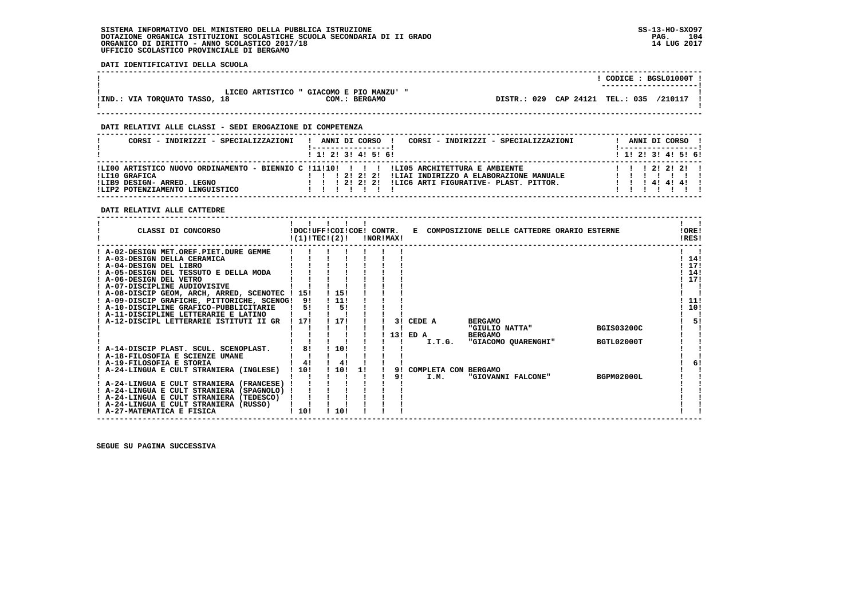**DATI IDENTIFICATIVI DELLA SCUOLA**

|                               |                                                                     |                                    | CODICE: BGSL01000T!<br>---------------------- |
|-------------------------------|---------------------------------------------------------------------|------------------------------------|-----------------------------------------------|
| IIND.: VIA TORQUATO TASSO, 18 | LICEO ARTISTICO " GIACOMO E PIO MANZU' "<br>COM.:<br><b>BERGAMO</b> | 029 CAP 24121 TEL.: 035<br>DISTR.: | /210117                                       |

 **------------------------------------------------------------------------------------------------------------------------------------**

### **DATI RELATIVI ALLE CLASSI - SEDI EROGAZIONE DI COMPETENZA**

| CORSI - INDIRIZZI - SPECIALIZZAZIONI                                           | CORSI - INDIRIZZI - SPECIALIZZAZIONI<br>ANNI DI CORSO !                                                                                                                                                     |  | ANNI DI CORSO !                                                             |  |  |
|--------------------------------------------------------------------------------|-------------------------------------------------------------------------------------------------------------------------------------------------------------------------------------------------------------|--|-----------------------------------------------------------------------------|--|--|
|                                                                                | $1$ , 1! 2! 3! 4! 5! 6!                                                                                                                                                                                     |  | 1 1 1 2 1 3 1 4 1 5 1 6 1                                                   |  |  |
| ILI10 GRAFICA<br>!LIB9 DESIGN- ARRED, LEGNO<br>!LIP2 POTENZIAMENTO LINGUISTICO | ILI00 ARTISTICO NUOVO ORDINAMENTO - BIENNIO C !11!10! !!!! ILI05 ARCHITETTURA E AMBIENTE<br>!LIAI INDIRIZZO A ELABORAZIONE MANUALE<br>1212121<br>ILIC6 ARTI FIGURATIVE- PLAST. PITTOR.<br>1 1 1 2 1 2 1 2 1 |  | $1 \quad 1 \quad 1 \quad 21 \quad 21 \quad 21 \quad 1$<br>1 1 1 4 1 4 1 4 1 |  |  |

 **DATI RELATIVI ALLE CATTEDRE**

| CLASSI DI CONCORSO                                            | !DOC!UFF!COI!COE! CONTR.<br>!(1)!TEC!(2)! |      |    | !NOR!MAX! |    |              | E COMPOSIZIONE DELLE CATTEDRE ORARIO ESTERNE |  |                   | !ORE!<br>!RES! |
|---------------------------------------------------------------|-------------------------------------------|------|----|-----------|----|--------------|----------------------------------------------|--|-------------------|----------------|
| A-02-DESIGN MET.OREF.PIET.DURE GEMME                          |                                           |      |    |           |    |              |                                              |  |                   |                |
| ! A-03-DESIGN DELLA CERAMICA                                  |                                           |      |    |           |    |              |                                              |  |                   | 14!            |
| A-04-DESIGN DEL LIBRO                                         |                                           |      |    |           |    |              |                                              |  |                   | 17!            |
| A-05-DESIGN DEL TESSUTO E DELLA MODA                          |                                           |      |    |           |    |              |                                              |  |                   | 14!            |
| ! A-06-DESIGN DEL VETRO                                       |                                           |      |    |           |    |              |                                              |  |                   | 171            |
| ! A-07-DISCIPLINE AUDIOVISIVE                                 |                                           |      |    |           |    |              |                                              |  |                   |                |
| A-08-DISCIP GEOM, ARCH, ARRED, SCENOTEC ! 15!                 |                                           | 115! |    |           |    |              |                                              |  |                   |                |
| ! A-09-DISCIP GRAFICHE, PITTORICHE, SCENOG!                   | 9!                                        | 111  |    |           |    |              |                                              |  |                   | 11!            |
| ! A-10-DISCIPLINE GRAFICO-PUBBLICITARIE                       | 51                                        | 5!   |    |           |    |              |                                              |  |                   | 10!            |
| ! A-11-DISCIPLINE LETTERARIE E LATINO                         |                                           |      |    |           |    |              |                                              |  |                   |                |
| A-12-DISCIPL LETTERARIE ISTITUTI II GR                        | ! 17!                                     | 17!  |    |           | 31 | CEDE A       | <b>BERGAMO</b>                               |  |                   | 5!             |
|                                                               |                                           |      |    |           |    |              | "GIULIO NATTA"                               |  | <b>BGIS03200C</b> |                |
|                                                               |                                           |      |    |           |    | 13! ED A     | <b>BERGAMO</b>                               |  |                   |                |
|                                                               |                                           |      |    |           |    | I.T.G.       | "GIACOMO QUARENGHI"                          |  | BGTL02000T        |                |
| ! A-14-DISCIP PLAST. SCUL. SCENOPLAST.                        | 81                                        | 10!  |    |           |    |              |                                              |  |                   |                |
| ! A-18-FILOSOFIA E SCIENZE UMANE<br>! A-19-FILOSOFIA E STORIA | 41                                        | 4!   |    |           |    |              |                                              |  |                   | 6!             |
|                                                               | 110!                                      | 10!  |    |           | 91 | COMPLETA CON | <b>BERGAMO</b>                               |  |                   |                |
| A-24-LINGUA E CULT STRANIERA (INGLESE)                        |                                           |      | 11 |           | 91 | I.M.         | "GIOVANNI FALCONE"                           |  | <b>BGPM02000L</b> |                |
| ! A-24-LINGUA E CULT STRANIERA (FRANCESE)                     |                                           |      |    |           |    |              |                                              |  |                   |                |
| ! A-24-LINGUA E CULT STRANIERA<br>(SPAGNOLO)                  |                                           |      |    |           |    |              |                                              |  |                   |                |
| A-24-LINGUA E CULT STRANIERA (TEDESCO)                        |                                           |      |    |           |    |              |                                              |  |                   |                |
| ! A-24-LINGUA E CULT STRANIERA (RUSSO)                        |                                           |      |    |           |    |              |                                              |  |                   |                |
| ! A-27-MATEMATICA E FISICA                                    | ! 10!                                     | 10!  |    |           |    |              |                                              |  |                   |                |
|                                                               |                                           |      |    |           |    |              |                                              |  |                   |                |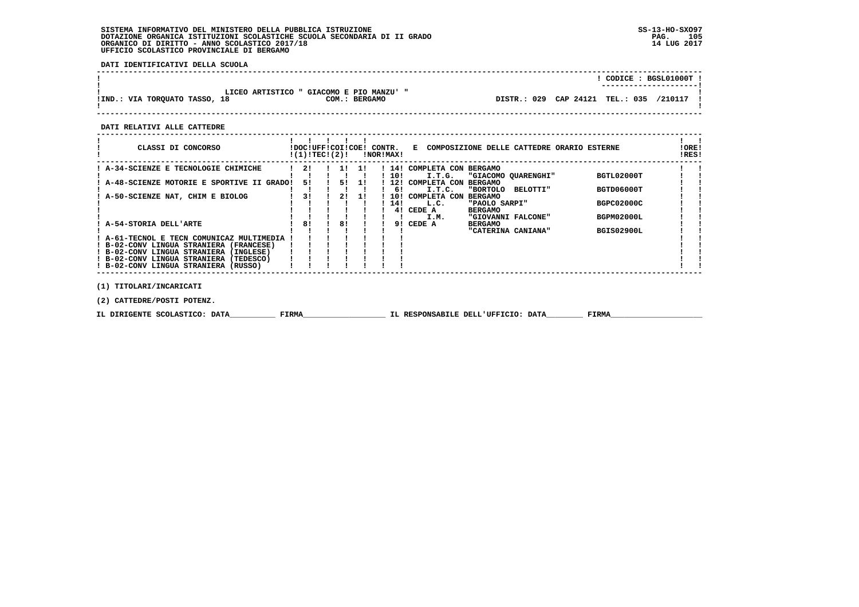**DATI IDENTIFICATIVI DELLA SCUOLA**

|                               |                                          |                                 | CODICE: BGSL01000T!<br>---------------------- |
|-------------------------------|------------------------------------------|---------------------------------|-----------------------------------------------|
|                               | LICEO ARTISTICO " GIACOMO E PIO MANZU' " |                                 | /210117                                       |
| !IND.: VIA TORQUATO TASSO, 18 | COM.: BERGAMO                            | DISTR.: 029 CAP 24121 TEL.: 035 |                                               |

 **------------------------------------------------------------------------------------------------------------------------------------**

 **DATI RELATIVI ALLE CATTEDRE**

| CLASSI DI CONCORSO                                                                   | !DOC!UFF!COI!COE! CONTR.<br>!(1)!TEC!(2)! |    |     | !NOR!MAX!  | E COMPOSIZIONE DELLE CATTEDRE ORARIO ESTERNE                                          | !ORE!<br>!RES! |
|--------------------------------------------------------------------------------------|-------------------------------------------|----|-----|------------|---------------------------------------------------------------------------------------|----------------|
| A-34-SCIENZE E TECNOLOGIE CHIMICHE                                                   | 21                                        | 11 | -11 | 14!<br>10! | COMPLETA CON<br><b>BERGAMO</b><br>BGTL02000T<br>I.T.G.<br>"GIACOMO OUARENGHI"         |                |
| A-48-SCIENZE MOTORIE E SPORTIVE II GRADO!                                            | 51                                        | 51 | -11 | 12!        | <b>BERGAMO</b><br>COMPLETA CON                                                        |                |
| A-50-SCIENZE NAT, CHIM E BIOLOG                                                      | 31                                        | 2! | -11 | 61<br>10!  | BGTD06000T<br>I.T.C.<br><b>"BORTOLO</b><br>BELOTTI"<br><b>BERGAMO</b><br>COMPLETA CON |                |
|                                                                                      |                                           |    |     | 14!<br>41  | <b>BGPC02000C</b><br>L.C.<br>"PAOLO SARPI"<br>CEDE A<br><b>BERGAMO</b>                |                |
|                                                                                      |                                           |    |     |            | BGPM02000L<br>I.M.<br>"GIOVANNI FALCONE"                                              |                |
| A-54-STORIA DELL'ARTE                                                                | 81                                        | 81 |     | 91         | CEDE A<br><b>BERGAMO</b><br><b>BGIS02900L</b><br>"CATERINA CANIANA"                   |                |
| ! A-61-TECNOL E TECN COMUNICAZ MULTIMEDIA<br>! B-02-CONV LINGUA STRANIERA (FRANCESE) |                                           |    |     |            |                                                                                       |                |
| ! B-02-CONV LINGUA STRANIERA<br>(INGLESE)                                            |                                           |    |     |            |                                                                                       |                |
| ! B-02-CONV LINGUA STRANIERA<br>(TEDESCO)<br>! B-02-CONV LINGUA STRANIERA (RUSSO)    |                                           |    |     |            |                                                                                       |                |
| (1) TITOLARI/INCARICATI                                                              |                                           |    |     |            |                                                                                       |                |

 **(2) CATTEDRE/POSTI POTENZ.**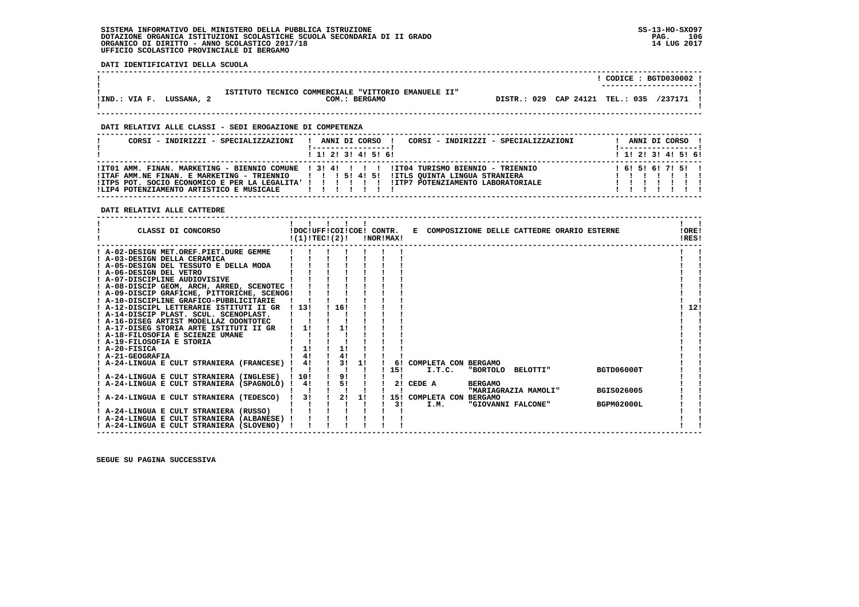**DATI IDENTIFICATIVI DELLA SCUOLA**

| ISTITUTO TECNICO COMMERCIALE "VITTORIO EMANUELE II"                           | ---------------------- |
|-------------------------------------------------------------------------------|------------------------|
| DISTR.: 029 CAP 24121 TEL.: 035<br>!IND.: VIA F.<br>COM.: BERGAMO<br>LUSSANA, | /237171                |

 **------------------------------------------------------------------------------------------------------------------------------------**

 **------------------------------------------------------------------------------------------------------------------------------------**

### **DATI RELATIVI ALLE CLASSI - SEDI EROGAZIONE DI COMPETENZA**

| CORSI - INDIRIZZI - SPECIALIZZAZIONI     | CORSI - INDIRIZZI - SPECIALIZZAZIONI<br>ANNI DI CORSO !                                                                                                                                                                                                                               |  | ANNI DI CORSO !              |  |  |
|------------------------------------------|---------------------------------------------------------------------------------------------------------------------------------------------------------------------------------------------------------------------------------------------------------------------------------------|--|------------------------------|--|--|
|                                          | $1$ , 1! 2! 3! 4! 5! 6!                                                                                                                                                                                                                                                               |  | $1$ , 1!, 2!, 3!, 4!, 5!, 6! |  |  |
| !LIP4 POTENZIAMENTO ARTISTICO E MUSICALE | ITT01 AMM. FINAN. MARKETING - BIENNIO COMUNE ! 3! 4! ! ! ! ! IT04 TURISMO BIENNIO - TRIENNIO<br>!ITAF AMM.NE FINAN. E MARKETING - TRIENNIO   !! 5! 4! 5! !ITLS QUINTA LINGUA STRANIERA<br>!ITP5 POT. SOCIO ECONOMICO E PER LA LEGALITA' ! ! ! ! ! ! !ITP7 POTENZIAMENTO LABORATORIALE |  | 161516171511                 |  |  |

 **DATI RELATIVI ALLE CATTEDRE**

| CLASSI DI CONCORSO                          |      | !DOC!UFF!COI!COE! CONTR.<br>!(1)!TECI(2)! |    | !NOR!MAX! |           |                         |                | E COMPOSIZIONE DELLE CATTEDRE ORARIO ESTERNE |                   | !ORE!<br>!RES! |
|---------------------------------------------|------|-------------------------------------------|----|-----------|-----------|-------------------------|----------------|----------------------------------------------|-------------------|----------------|
| ! A-02-DESIGN MET.OREF.PIET.DURE GEMME      |      |                                           |    |           |           |                         |                |                                              |                   |                |
| ! A-03-DESIGN DELLA CERAMICA                |      |                                           |    |           |           |                         |                |                                              |                   |                |
| ! A-05-DESIGN DEL TESSUTO E DELLA MODA      |      |                                           |    |           |           |                         |                |                                              |                   |                |
| ! A-06-DESIGN DEL VETRO                     |      |                                           |    |           |           |                         |                |                                              |                   |                |
| ! A-07-DISCIPLINE AUDIOVISIVE               |      |                                           |    |           |           |                         |                |                                              |                   |                |
| ! A-08-DISCIP GEOM, ARCH, ARRED, SCENOTEC ! |      |                                           |    |           |           |                         |                |                                              |                   |                |
| ! A-09-DISCIP GRAFICHE, PITTORICHE, SCENOG! |      |                                           |    |           |           |                         |                |                                              |                   |                |
| ! A-10-DISCIPLINE GRAFICO-PUBBLICITARIE     |      |                                           |    |           |           |                         |                |                                              |                   |                |
| ! A-12-DISCIPL LETTERARIE ISTITUTI II GR    | 1131 | 16!                                       |    |           |           |                         |                |                                              |                   | 12!            |
| ! A-14-DISCIP PLAST. SCUL. SCENOPLAST.      |      |                                           |    |           |           |                         |                |                                              |                   |                |
| ! A-16-DISEG ARTIST MODELLAZ ODONTOTEC      |      |                                           |    |           |           |                         |                |                                              |                   |                |
| ! A-17-DISEG STORIA ARTE ISTITUTI II GR     | 11   | 1!                                        |    |           |           |                         |                |                                              |                   |                |
| ! A-18-FILOSOFIA E SCIENZE UMANE            |      |                                           |    |           |           |                         |                |                                              |                   |                |
| ! A-19-FILOSOFIA E STORIA                   |      |                                           |    |           |           |                         |                |                                              |                   |                |
| ! A-20-FISICA                               | 11   | 1!                                        |    |           |           |                         |                |                                              |                   |                |
| ! A-21-GEOGRAFIA                            |      | 4!                                        |    |           |           |                         |                |                                              |                   |                |
| A-24-LINGUA E CULT STRANIERA (FRANCESE)     | 4!   | 3!                                        | 11 |           |           | 6! COMPLETA CON BERGAMO |                |                                              |                   |                |
|                                             |      |                                           |    | 15!       |           | I.T.C.                  |                | "BORTOLO BELOTTI"                            | BGTD06000T        |                |
| ! A-24-LINGUA E CULT STRANIERA (INGLESE)    | 110! | 9!                                        |    |           |           |                         |                |                                              |                   |                |
| A-24-LINGUA E CULT STRANIERA (SPAGNOLO) !   | 4!   | 5!                                        |    |           | 2! CEDE A |                         | <b>BERGAMO</b> |                                              |                   |                |
|                                             |      |                                           |    |           |           |                         |                | "MARIAGRAZIA MAMOLI"                         | <b>BGIS026005</b> |                |
| A-24-LINGUA E CULT STRANIERA (TEDESCO)      | 31   | 2!                                        | 11 |           |           | 15! COMPLETA CON        | <b>BERGAMO</b> |                                              |                   |                |
|                                             |      |                                           |    | 31        |           | I.M.                    |                | "GIOVANNI FALCONE"                           | <b>BGPM02000L</b> |                |
| ! A-24-LINGUA E CULT STRANIERA (RUSSO)      |      |                                           |    |           |           |                         |                |                                              |                   |                |
| ! A-24-LINGUA E CULT STRANIERA (ALBANESE)   |      |                                           |    |           |           |                         |                |                                              |                   |                |
| ! A-24-LINGUA E CULT STRANIERA (SLOVENO)    |      |                                           |    |           |           |                         |                |                                              |                   |                |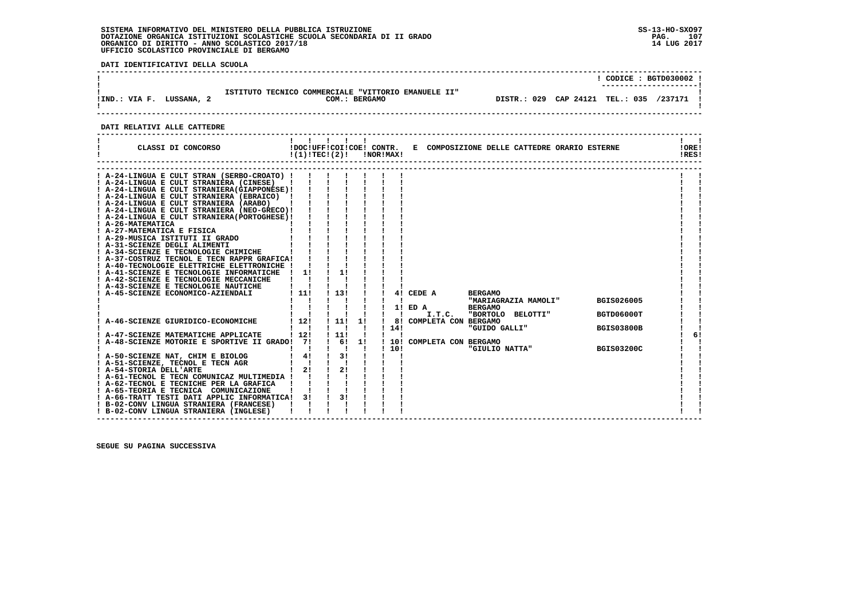**DATI IDENTIFICATIVI DELLA SCUOLA**

|                           |                                                                      | $CODE: BGTD030002$ !<br>---------------------- |  |
|---------------------------|----------------------------------------------------------------------|------------------------------------------------|--|
| !IND.: VIA F.<br>LUSSANA, | ISTITUTO TECNICO COMMERCIALE "VITTORIO EMANUELE II"<br>COM.: BERGAMO | DISTR.: 029 CAP 24121 TEL.: 035 /237171        |  |

## **DATI RELATIVI ALLE CATTEDRE**

| CLASSI DI CONCORSO                                                                        |               | 11111<br>$!(1)!TEC!(2)!$ $INORIMAX!$ |              |              |                            | !DOC!UFF!COI!COE! CONTR. E COMPOSIZIONE DELLE CATTEDRE ORARIO ESTERNE |                   | !ORE!<br>!RES! |
|-------------------------------------------------------------------------------------------|---------------|--------------------------------------|--------------|--------------|----------------------------|-----------------------------------------------------------------------|-------------------|----------------|
|                                                                                           |               |                                      |              |              |                            |                                                                       |                   |                |
| ! A-24-LINGUA E CULT STRAN (SERBO-CROATO) !                                               |               |                                      |              |              |                            |                                                                       |                   |                |
| ! A-24-LINGUA E CULT STRANIERA (CINESE)<br>! A-24-LINGUA E CULT STRANIERA (GIAPPONESE) !  |               |                                      |              |              |                            |                                                                       |                   |                |
| ! A-24-LINGUA E CULT STRANIERA (EBRAICO) !                                                |               |                                      |              |              |                            |                                                                       |                   |                |
| ! A-24-LINGUA E CULT STRANIERA (ARABO)                                                    |               |                                      |              |              |                            |                                                                       |                   |                |
| ! A-24-LINGUA E CULT STRANIERA (NEO-GRECO)!                                               |               |                                      |              |              |                            |                                                                       |                   |                |
| ! A-24-LINGUA E CULT STRANIERA (PORTOGHESE) !                                             |               |                                      |              |              |                            |                                                                       |                   |                |
| ! A-26-MATEMATICA                                                                         |               |                                      |              |              |                            |                                                                       |                   |                |
| ! A-27-MATEMATICA E FISICA                                                                |               |                                      |              |              |                            |                                                                       |                   |                |
| ! A-29-MUSICA ISTITUTI II GRADO                                                           |               |                                      |              |              |                            |                                                                       |                   |                |
| ! A-31-SCIENZE DEGLI ALIMENTI                                                             |               |                                      |              |              |                            |                                                                       |                   |                |
| ! A-34-SCIENZE E TECNOLOGIE CHIMICHE                                                      |               |                                      |              |              |                            |                                                                       |                   |                |
| ! A-37-COSTRUZ TECNOL E TECN RAPPR GRAFICA!                                               |               |                                      |              |              |                            |                                                                       |                   |                |
| ! A-40-TECNOLOGIE ELETTRICHE ELETTRONICHE !                                               |               |                                      |              |              |                            |                                                                       |                   |                |
| ! A-41-SCIENZE E TECNOLOGIE INFORMATICHE                                                  | $\frac{1}{1}$ |                                      |              |              |                            |                                                                       |                   |                |
| ! A-42-SCIENZE E TECNOLOGIE MECCANICHE                                                    |               |                                      |              |              |                            |                                                                       |                   |                |
| ! A-43-SCIENZE E TECNOLOGIE NAUTICHE<br>! A-45-SCIENZE ECONOMICO-AZIENDALI                | 111           | 1131                                 |              |              | 4! CEDE A                  | <b>BERGAMO</b>                                                        |                   |                |
|                                                                                           |               |                                      |              |              |                            | "MARIAGRAZIA MAMOLI"                                                  | BGIS026005        |                |
|                                                                                           |               |                                      |              |              | 1! ED A                    | <b>BERGAMO</b>                                                        |                   |                |
|                                                                                           |               |                                      |              | $\mathbf{I}$ | I.T.C.                     | "BORTOLO BELOTTI"                                                     | BGTD06000T        |                |
| ! A-46-SCIENZE GIURIDICO-ECONOMICHE                                                       | 1121          | 111                                  | 1!           |              | 8! COMPLETA CON BERGAMO    |                                                                       |                   |                |
|                                                                                           |               |                                      |              | 114!         |                            | "GUIDO GALLI"                                                         | <b>BGIS03800B</b> |                |
| ! A-47-SCIENZE MATEMATICHE APPLICATE                                                      | 1121          | 1 111                                | $\mathbf{I}$ |              |                            |                                                                       |                   | 6!             |
| ! A-48-SCIENZE MOTORIE E SPORTIVE II GRADO! 7!                                            |               | $\frac{1}{6}$ 6!                     | 1!           |              | ! 10! COMPLETA CON BERGAMO |                                                                       |                   |                |
|                                                                                           |               | $\mathbf{I}$ $\mathbf{I}$            | п.           | 1101         |                            | "GIULIO NATTA"                                                        | <b>BGIS03200C</b> |                |
| ! A-50-SCIENZE NAT, CHIM E BIOLOG                                                         | $1 \quad 41$  | $\frac{1}{3}$                        |              |              |                            |                                                                       |                   |                |
| ! A-51-SCIENZE, TECNOL E TECN AGR                                                         | $1 \quad 1$   |                                      |              |              |                            |                                                                       |                   |                |
| ! A-54-STORIA DELL'ARTE                                                                   | 21            | 2!                                   |              |              |                            |                                                                       |                   |                |
| ! A-61-TECNOL E TECN COMUNICAZ MULTIMEDIA !                                               |               |                                      |              |              |                            |                                                                       |                   |                |
| ! A-62-TECNOL E TECNICHE PER LA GRAFICA                                                   |               |                                      |              |              |                            |                                                                       |                   |                |
| ! A-65-TEORIA E TECNICA COMUNICAZIONE                                                     |               | 31                                   |              |              |                            |                                                                       |                   |                |
| ! A-66-TRATT TESTI DATI APPLIC INFORMATICA! 3!<br>! B-02-CONV LINGUA STRANIERA (FRANCESE) |               |                                      |              |              |                            |                                                                       |                   |                |
| ! B-02-CONV LINGUA STRANIERA (INGLESE)                                                    |               |                                      |              |              |                            |                                                                       |                   |                |
|                                                                                           |               |                                      |              |              |                            |                                                                       |                   |                |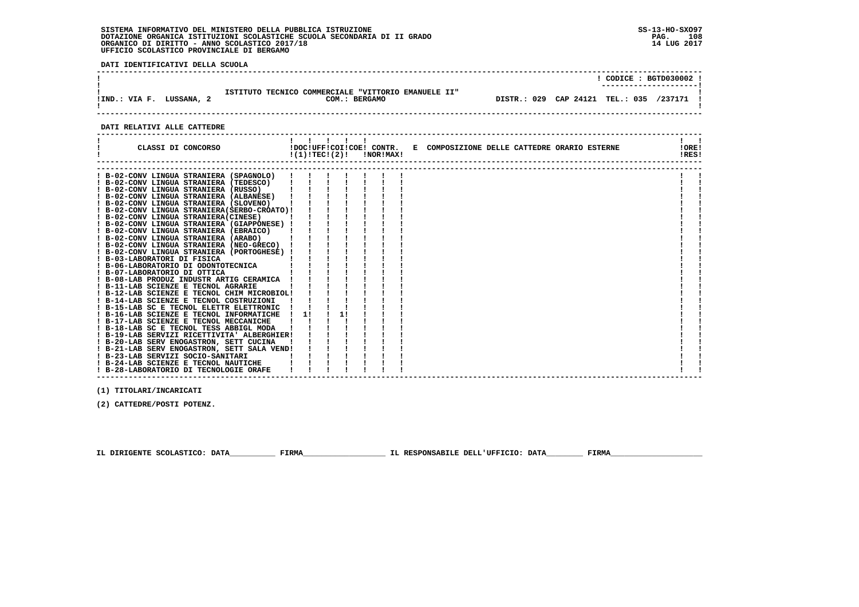**DATI IDENTIFICATIVI DELLA SCUOLA**

| CODE : BGTD030002 :<br>ISTITUTO TECNICO COMMERCIALE "VITTORIO EMANUELE II"<br>DISTR.: 029 CAP 24121 TEL.: 035 /237171 !<br>COM.: BERGAMO<br>LUSSANA, |               |  |
|------------------------------------------------------------------------------------------------------------------------------------------------------|---------------|--|
|                                                                                                                                                      | !IND.: VIA F. |  |

# **DATI RELATIVI ALLE CATTEDRE**

| CLASSI DI CONCORSO                                                                                                                                                                                                                                                                                                                                                                                                                                                                                                                                                                                                                                                                                                                                                                                                                                                                                                                                                                                                                                                                                                                          | $1 \quad 1 \quad 1 \quad 1$ | $!(1)!TEC!(2)!$ $INORIMAX!$ | !DOC!UFF!COI!COE! CONTR. E COMPOSIZIONE DELLE CATTEDRE ORARIO ESTERNE | !ORE!<br>!RES! |
|---------------------------------------------------------------------------------------------------------------------------------------------------------------------------------------------------------------------------------------------------------------------------------------------------------------------------------------------------------------------------------------------------------------------------------------------------------------------------------------------------------------------------------------------------------------------------------------------------------------------------------------------------------------------------------------------------------------------------------------------------------------------------------------------------------------------------------------------------------------------------------------------------------------------------------------------------------------------------------------------------------------------------------------------------------------------------------------------------------------------------------------------|-----------------------------|-----------------------------|-----------------------------------------------------------------------|----------------|
| ! B-02-CONV LINGUA STRANIERA (SPAGNOLO)<br>! B-02-CONV LINGUA STRANIERA (TEDESCO)<br>! B-02-CONV LINGUA STRANIERA (RUSSO)<br>! B-02-CONV LINGUA STRANIERA (ALBANESE)<br>! B-02-CONV LINGUA STRANIERA (SLOVENO)<br>! B-02-CONV LINGUA STRANIERA(SERBO-CROATO)!<br>! B-02-CONV LINGUA STRANIERA (CINESE)<br>! B-02-CONV LINGUA STRANIERA (GIAPPONESE) !<br>! B-02-CONV LINGUA STRANIERA (EBRAICO)<br>! B-02-CONV LINGUA STRANIERA (ARABO)<br>! B-02-CONV LINGUA STRANIERA (NEO-GRECO)<br>! B-02-CONV LINGUA STRANIERA (PORTOGHESE) !<br>! B-03-LABORATORI DI FISICA<br>! B-06-LABORATORIO DI ODONTOTECNICA<br>! B-07-LABORATORIO DI OTTICA<br>! B-08-LAB PRODUZ INDUSTR ARTIG CERAMICA<br>! B-11-LAB SCIENZE E TECNOL AGRARIE<br>! B-12-LAB SCIENZE E TECNOL CHIM MICROBIOL!<br>! B-14-LAB SCIENZE E TECNOL COSTRUZIONI<br>! B-15-LAB SC E TECNOL ELETTR ELETTRONIC<br>! B-16-LAB SCIENZE E TECNOL INFORMATICHE<br>! B-17-LAB SCIENZE E TECNOL MECCANICHE<br>! B-18-LAB SC E TECNOL TESS ABBIGL MODA<br>! B-19-LAB SERVIZI RICETTIVITA' ALBERGHIER!<br>! B-20-LAB SERV ENOGASTRON, SETT CUCINA<br>! B-21-LAB SERV ENOGASTRON, SETT SALA VEND! | 11                          | 11                          |                                                                       |                |
| ! B-23-LAB SERVIZI SOCIO-SANITARI<br>! B-24-LAB SCIENZE E TECNOL NAUTICHE<br>! B-28-LABORATORIO DI TECNOLOGIE ORAFE                                                                                                                                                                                                                                                                                                                                                                                                                                                                                                                                                                                                                                                                                                                                                                                                                                                                                                                                                                                                                         |                             |                             |                                                                       |                |

 **------------------------------------------------------------------------------------------------------------------------------------**

 **(1) TITOLARI/INCARICATI**

 **(2) CATTEDRE/POSTI POTENZ.**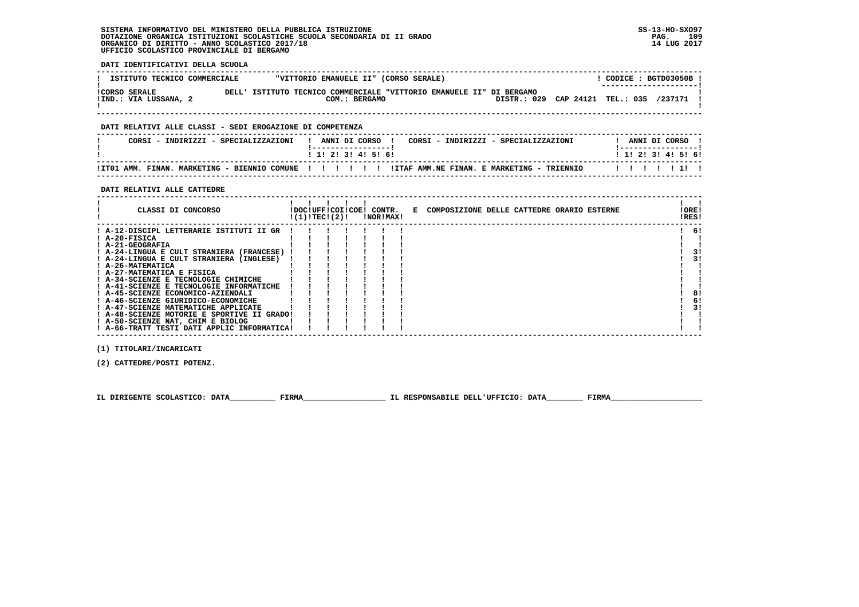**DATI IDENTIFICATIVI DELLA SCUOLA**

| ISTITUTO TECNICO COMMERCIALE                  | "VITTORIO EMANUELE II" (CORSO SERALE)                                                    | CODICE: BGTD03050B !<br>----------------------          |
|-----------------------------------------------|------------------------------------------------------------------------------------------|---------------------------------------------------------|
| <b>!CORSO SERALE</b><br>!IND.: VIA LUSSANA, 2 | ISTITUTO TECNICO COMMERCIALE "VITTORIO EMANUELE II" DI BERGAMO<br>DELL'<br>COM.: BERGAMO | <b>TEL.: 035</b><br>/237171<br>CAP 24121<br>DISTR.: 029 |

 **------------------------------------------------------------------------------------------------------------------------------------**

## **DATI RELATIVI ALLE CLASSI - SEDI EROGAZIONE DI COMPETENZA**

| CORSI - INDIRIZZI - SPECIALIZZAZIONI | ANNI DI CORSO<br>CORSI - INDIRIZZI - SPECIALIZZAZIONI                                                | ANNI DI CORSO             |
|--------------------------------------|------------------------------------------------------------------------------------------------------|---------------------------|
|                                      | 1 1 1 2 1 3 1 4 1 5 1 6 1                                                                            | 1 1 1 2 1 3 1 4 1 5 1 6 1 |
|                                      | ITTO1 AMM. FINAN. MARKETING - BIENNIO COMUNE !!!!!!!!!!!ITAF AMM.NE FINAN. E MARKETING - TRIENNIO!!! | 1111111                   |

 **------------------------------------------------------------------------------------------------------------------------------------**

#### **DATI RELATIVI ALLE CATTEDRE**

| CLASSI DI CONCORSO                          | !(1)!TEC!(2)! |  | !DOC!UFF!COI!COE! CONTR.<br>INORIMAXI | E COMPOSIZIONE DELLE CATTEDRE ORARIO ESTERNE | !ORE!<br>!RES! |
|---------------------------------------------|---------------|--|---------------------------------------|----------------------------------------------|----------------|
| ! A-12-DISCIPL LETTERARIE ISTITUTI II GR    |               |  |                                       |                                              | 6!             |
| ! A-20-FISICA                               |               |  |                                       |                                              |                |
| ! A-21-GEOGRAFIA                            |               |  |                                       |                                              |                |
| ! A-24-LINGUA E CULT STRANIERA (FRANCESE)   |               |  |                                       |                                              | 3!             |
| ! A-24-LINGUA E CULT STRANIERA (INGLESE)    |               |  |                                       |                                              | 31             |
| ! A-26-MATEMATICA                           |               |  |                                       |                                              |                |
| ! A-27-MATEMATICA E FISICA                  |               |  |                                       |                                              |                |
| ! A-34-SCIENZE E TECNOLOGIE CHIMICHE        |               |  |                                       |                                              |                |
| ! A-41-SCIENZE E TECNOLOGIE INFORMATICHE    |               |  |                                       |                                              |                |
| ! A-45-SCIENZE ECONOMICO-AZIENDALI          |               |  |                                       |                                              | 8!             |
| ! A-46-SCIENZE GIURIDICO-ECONOMICHE         |               |  |                                       |                                              | 6!             |
| ! A-47-SCIENZE MATEMATICHE APPLICATE        |               |  |                                       |                                              | 3!             |
| ! A-48-SCIENZE MOTORIE E SPORTIVE II GRADO! |               |  |                                       |                                              |                |
| ! A-50-SCIENZE NAT, CHIM E BIOLOG           |               |  |                                       |                                              |                |
| ! A-66-TRATT TESTI DATI APPLIC INFORMATICA! |               |  |                                       |                                              |                |

 **(1) TITOLARI/INCARICATI**

 **(2) CATTEDRE/POSTI POTENZ.**

 **IL DIRIGENTE SCOLASTICO: DATA\_\_\_\_\_\_\_\_\_\_ FIRMA\_\_\_\_\_\_\_\_\_\_\_\_\_\_\_\_\_\_ IL RESPONSABILE DELL'UFFICIO: DATA\_\_\_\_\_\_\_\_ FIRMA\_\_\_\_\_\_\_\_\_\_\_\_\_\_\_\_\_\_\_\_**

 **------------------------------------------------------------------------------------------------------------------------------------**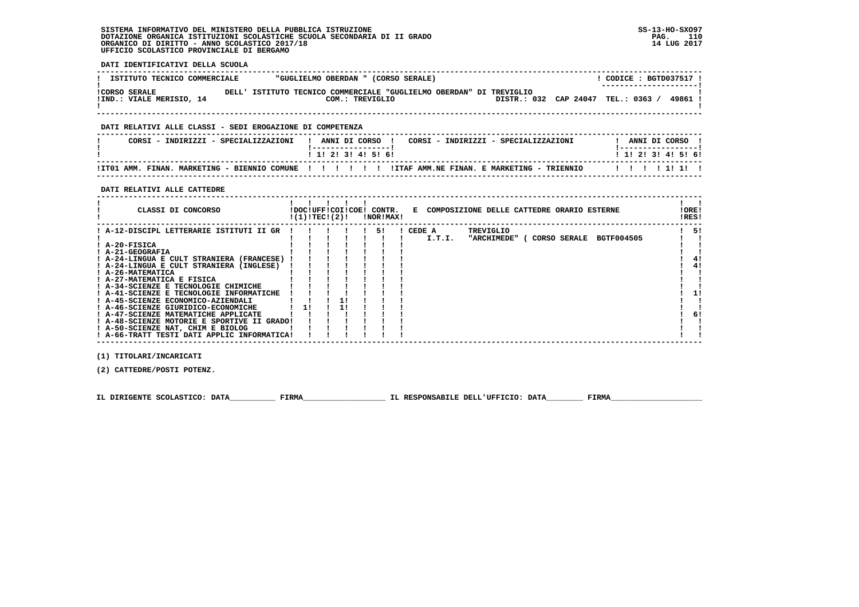**DATI IDENTIFICATIVI DELLA SCUOLA**

| ISTITUTO TECNICO COMMERCIALE                     | "GUGLIELMO OBERDAN " (CORSO SERALE)                                                        | CODICE: BGTD037517 !<br>--------------------- |
|--------------------------------------------------|--------------------------------------------------------------------------------------------|-----------------------------------------------|
| <b>!CORSO SERALE</b><br>!IND.: VIALE MERISIO, 14 | ISTITUTO TECNICO COMMERCIALE "GUGLIELMO OBERDAN" DI TREVIGLIO<br>DELT.'<br>COM.: TREVIGLIO | 49861<br>DISTR.: 032 CAP 24047<br>TEL.: 0363  |

 **------------------------------------------------------------------------------------------------------------------------------------**

#### **DATI RELATIVI ALLE CLASSI - SEDI EROGAZIONE DI COMPETENZA**

| CORSI - INDIRIZZI - SPECIALIZZAZIONI | ANNI DI CORSO<br>CORSI - INDIRIZZI - SPECIALIZZAZIONI                                                | ANNI DI CORSO             |
|--------------------------------------|------------------------------------------------------------------------------------------------------|---------------------------|
|                                      | 1 1 1 2 1 3 1 4 1 5 1 6 1                                                                            | 1 1 1 2 1 3 1 4 1 5 1 6 1 |
|                                      | ITO1 AMM. FINAN. MARKETING - BIENNIO COMUNE !!!!!!!!!ITAF AMM.NE FINAN. E MARKETING - TRIENNIO!!!!!! |                           |

 **------------------------------------------------------------------------------------------------------------------------------------**

#### **DATI RELATIVI ALLE CATTEDRE**

| CLASSI DI CONCORSO<br>!DOC!UFF!COI!COE!<br>CONTR.<br>E COMPOSIZIONE DELLE CATTEDRE ORARIO ESTERNE<br>!(1)!TECI(2)!<br>!NOR!MAX!                                                                                                                                                                                                                                                                                                                                                                                                                                                                                                                                        | !ORE!<br>!RES!             |
|------------------------------------------------------------------------------------------------------------------------------------------------------------------------------------------------------------------------------------------------------------------------------------------------------------------------------------------------------------------------------------------------------------------------------------------------------------------------------------------------------------------------------------------------------------------------------------------------------------------------------------------------------------------------|----------------------------|
| ! A-12-DISCIPL LETTERARIE ISTITUTI II GR<br>CEDE A<br>TREVIGLIO<br>51<br><b>BGTF004505</b><br>I.T.I.<br>"ARCHIMEDE"<br>CORSO SERALE<br>! A-20-FISICA<br>! A-21-GEOGRAFIA<br>! A-24-LINGUA E CULT STRANIERA (FRANCESE)<br>! A-24-LINGUA E CULT STRANIERA (INGLESE)<br>! A-26-MATEMATICA<br>! A-27-MATEMATICA E FISICA<br>! A-34-SCIENZE E TECNOLOGIE CHIMICHE<br>! A-41-SCIENZE E TECNOLOGIE INFORMATICHE<br>! A-45-SCIENZE ECONOMICO-AZIENDALI<br>! A-46-SCIENZE GIURIDICO-ECONOMICHE<br>11<br>! A-47-SCIENZE MATEMATICHE APPLICATE<br>! A-48-SCIENZE MOTORIE E SPORTIVE II GRADO!<br>! A-50-SCIENZE NAT, CHIM E BIOLOG<br>! A-66-TRATT TESTI DATI APPLIC INFORMATICA! | 5!<br>4!<br>4!<br>1!<br>6! |

 **(1) TITOLARI/INCARICATI**

 **(2) CATTEDRE/POSTI POTENZ.**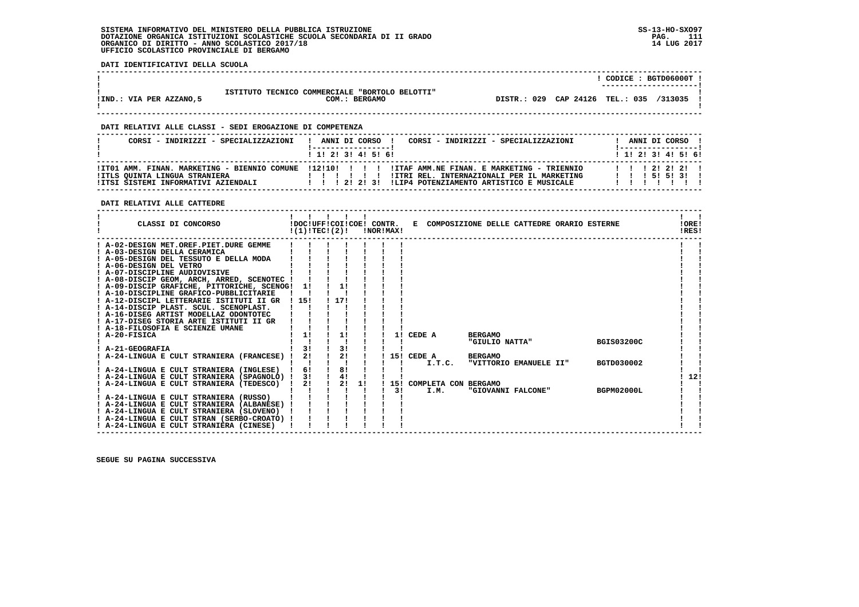**DATI IDENTIFICATIVI DELLA SCUOLA**

|                         |                                                                 |                                 | CODICE: BGTD06000T<br>---------------------- |         |  |
|-------------------------|-----------------------------------------------------------------|---------------------------------|----------------------------------------------|---------|--|
| IIND.: VIA PER AZZANO,5 | ISTITUTO TECNICO COMMERCIALE "BORTOLO BELOTTI"<br>COM.: BERGAMO | DISTR.: 029 CAP 24126 TEL.: 035 |                                              | /313035 |  |

 **------------------------------------------------------------------------------------------------------------------------------------**

 **------------------------------------------------------------------------------------------------------------------------------------**

#### **DATI RELATIVI ALLE CLASSI - SEDI EROGAZIONE DI COMPETENZA**

| CORSI - INDIRIZZI - SPECIALIZZAZIONI | CORSI - INDIRIZZI - SPECIALIZZAZIONI<br>ANNI DI CORSO !<br>$\mathbf{I}$                                                                                                                                | ANNI DI CORSO !<br>!------------------!  |
|--------------------------------------|--------------------------------------------------------------------------------------------------------------------------------------------------------------------------------------------------------|------------------------------------------|
|                                      | $1$ , 1, 2, 3, 4, 5, 6,                                                                                                                                                                                | 1 1 1 2 1 3 1 4 1 5 1 6 1                |
| <b>!ITLS OUINTA LINGUA STRANIERA</b> | ITO1 AMM. FINAN. MARKETING - BIENNIO COMUNE 112!10! !!!! ITAF AMM.NE FINAN. E MARKETING - TRIENNIO<br>!ITRI REL. INTERNAZIONALI PER IL MARKETING<br>111111<br>!LIP4 POTENZIAMENTO ARTISTICO E MUSICALE | 1 1 1 2 1 2 1 2 1<br>1 1 1 5 1 5 1 3 1 1 |

### **DATI RELATIVI ALLE CATTEDRE**

| CLASSI DI CONCORSO                             |       | !(1)!TECI(2)! |      |    | !NOR!MAX! |    | !DOC!UFF!COI!COE! CONTR. E COMPOSIZIONE DELLE CATTEDRE ORARIO ESTERNE |                |                        |                   | !ORE!<br>!RES! |
|------------------------------------------------|-------|---------------|------|----|-----------|----|-----------------------------------------------------------------------|----------------|------------------------|-------------------|----------------|
| ! A-02-DESIGN MET.OREF.PIET.DURE GEMME         |       |               |      |    |           |    |                                                                       |                |                        |                   |                |
| ! A-03-DESIGN DELLA CERAMICA                   |       |               |      |    |           |    |                                                                       |                |                        |                   |                |
| ! A-05-DESIGN DEL TESSUTO E DELLA MODA         |       |               |      |    |           |    |                                                                       |                |                        |                   |                |
| ! A-06-DESIGN DEL VETRO                        |       |               |      |    |           |    |                                                                       |                |                        |                   |                |
| ! A-07-DISCIPLINE AUDIOVISIVE                  |       |               |      |    |           |    |                                                                       |                |                        |                   |                |
| ! A-08-DISCIP GEOM, ARCH, ARRED, SCENOTEC !    |       |               |      |    |           |    |                                                                       |                |                        |                   |                |
| ! A-09-DISCIP GRAFICHE, PITTORICHE, SCENOG! 1! |       |               | 1!   |    |           |    |                                                                       |                |                        |                   |                |
| ! A-10-DISCIPLINE GRAFICO-PUBBLICITARIE        |       |               |      |    |           |    |                                                                       |                |                        |                   |                |
| ! A-12-DISCIPL LETTERARIE ISTITUTI II GR       | ! 15! |               | 1171 |    |           |    |                                                                       |                |                        |                   |                |
| ! A-14-DISCIP PLAST. SCUL. SCENOPLAST.         |       |               |      |    |           |    |                                                                       |                |                        |                   |                |
| ! A-16-DISEG ARTIST MODELLAZ ODONTOTEC         |       |               |      |    |           |    |                                                                       |                |                        |                   |                |
| ! A-17-DISEG STORIA ARTE ISTITUTI II GR        |       |               |      |    |           |    |                                                                       |                |                        |                   |                |
| ! A-18-FILOSOFIA E SCIENZE UMANE               |       |               |      |    |           |    |                                                                       |                |                        |                   |                |
| ! A-20-FISICA                                  | 1!    |               | 1!   |    |           |    | 1! CEDE A                                                             | <b>BERGAMO</b> | "GIULIO NATTA"         | <b>BGIS03200C</b> |                |
| A-21-GEOGRAFIA                                 | 31    |               | 3!   |    |           |    |                                                                       |                |                        |                   |                |
| ! A-24-LINGUA E CULT STRANIERA (FRANCESE) !    | 2!    |               | 2!   |    |           |    | 15! CEDE A                                                            | <b>BERGAMO</b> |                        |                   |                |
|                                                |       |               |      |    |           |    | I.T.C.                                                                |                | "VITTORIO EMANUELE II" | <b>BGTD030002</b> |                |
| ! A-24-LINGUA E CULT STRANIERA (INGLESE) !     | 6!    |               | 8!   |    |           |    |                                                                       |                |                        |                   |                |
| ! A-24-LINGUA E CULT STRANIERA (SPAGNOLO) ! 3! |       |               | 4!   |    |           |    |                                                                       |                |                        |                   | 12!            |
| A-24-LINGUA E CULT STRANIERA (TEDESCO) !       | 21    |               | 2!   | 11 |           |    | ! 15! COMPLETA CON BERGAMO                                            |                |                        |                   |                |
|                                                |       |               |      |    |           | 31 | I.M.                                                                  |                | "GIOVANNI FALCONE"     | BGPM02000L        |                |
| ! A-24-LINGUA E CULT STRANIERA (RUSSO)         |       |               |      |    |           |    |                                                                       |                |                        |                   |                |
| ! A-24-LINGUA E CULT STRANIERA (ALBANESE) !    |       |               |      |    |           |    |                                                                       |                |                        |                   |                |
| ! A-24-LINGUA E CULT STRANIERA (SLOVENO)       |       |               |      |    |           |    |                                                                       |                |                        |                   |                |
| ! A-24-LINGUA E CULT STRAN (SERBO-CROATO) !    |       |               |      |    |           |    |                                                                       |                |                        |                   |                |
| ! A-24-LINGUA E CULT STRANIERA (CINESE)        |       |               |      |    |           |    |                                                                       |                |                        |                   |                |
|                                                |       |               |      |    |           |    |                                                                       |                |                        |                   |                |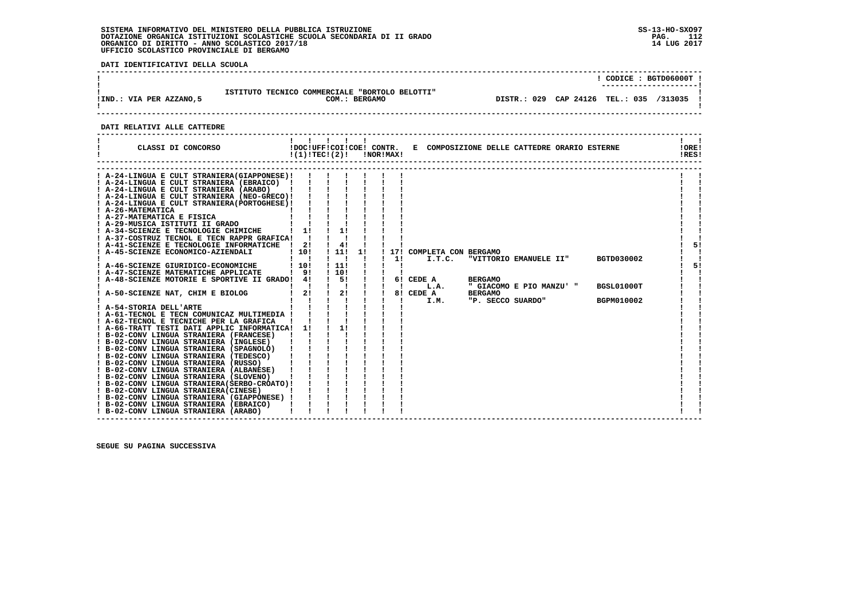**DATI IDENTIFICATIVI DELLA SCUOLA**

| ISTITUTO TECNICO COMMERCIALE "BORTOLO BELOTTI"<br>!IND.: VIA PER AZZANO,5<br>COM.: BERGAMO |  | CODICE: BGTD06000T !                    |
|--------------------------------------------------------------------------------------------|--|-----------------------------------------|
|                                                                                            |  | DISTR.: 029 CAP 24126 TEL.: 035 /313035 |

# **DATI RELATIVI ALLE CATTEDRE**

| CLASSI DI CONCORSO                                                                                                                                                                                                                                                                                                                                                                                                                                                                                                                                                                                                                                                                                                                                                                                                                                                                                                                                                                                                                                                                                                                                                                                                                                                                                                                                                           |                                                                                  | !(1)!TEC!(2)!                                                                                       | <b>!NOR!MAX!</b> |                                                                                        |                                  | !DOC!UFF!COI!COE! CONTR. E COMPOSIZIONE DELLE CATTEDRE ORARIO ESTERNE   |                                        | !ORE!<br>IRES! |
|------------------------------------------------------------------------------------------------------------------------------------------------------------------------------------------------------------------------------------------------------------------------------------------------------------------------------------------------------------------------------------------------------------------------------------------------------------------------------------------------------------------------------------------------------------------------------------------------------------------------------------------------------------------------------------------------------------------------------------------------------------------------------------------------------------------------------------------------------------------------------------------------------------------------------------------------------------------------------------------------------------------------------------------------------------------------------------------------------------------------------------------------------------------------------------------------------------------------------------------------------------------------------------------------------------------------------------------------------------------------------|----------------------------------------------------------------------------------|-----------------------------------------------------------------------------------------------------|------------------|----------------------------------------------------------------------------------------|----------------------------------|-------------------------------------------------------------------------|----------------------------------------|----------------|
| ! A-24-LINGUA E CULT STRANIERA(GIAPPONESE)!<br>! A-24-LINGUA E CULT STRANIERA (EBRAICO) !<br>! A-24-LINGUA E CULT STRANIERA (ARABO)<br>! A-24-LINGUA E CULT STRANIERA (NEO-GRECO)!<br>! A-24-LINGUA E CULT STRANIERA (PORTOGHESE) !<br>! A-26-MATEMATICA<br>! A-27-MATEMATICA E FISICA<br>! A-29-MUSICA ISTITUTI II GRADO<br>! A-34-SCIENZE E TECNOLOGIE CHIMICHE<br>! A-37-COSTRUZ TECNOL E TECN RAPPR GRAFICA!<br>! A-41-SCIENZE E TECNOLOGIE INFORMATICHE<br>! A-45-SCIENZE ECONOMICO-AZIENDALI<br>! A-46-SCIENZE GIURIDICO-ECONOMICHE<br>! A-47-SCIENZE MATEMATICHE APPLICATE<br>A-48-SCIENZE MOTORIE E SPORTIVE II GRADO! 4!<br>! A-50-SCIENZE NAT, CHIM E BIOLOG<br>A-54-STORIA DELL'ARTE<br>! A-61-TECNOL E TECN COMUNICAZ MULTIMEDIA !<br>! A-62-TECNOL E TECNICHE PER LA GRAFICA<br>! A-66-TRATT TESTI DATI APPLIC INFORMATICA! 1!<br>! B-02-CONV LINGUA STRANIERA (FRANCESE)<br>! B-02-CONV LINGUA STRANIERA (INGLESE)<br>! B-02-CONV LINGUA STRANIERA (SPAGNOLO)<br>! B-02-CONV LINGUA STRANIERA (TEDESCO)<br>! B-02-CONV LINGUA STRANIERA (RUSSO)<br>! B-02-CONV LINGUA STRANIERA (ALBANESE)<br>! B-02-CONV LINGUA STRANIERA (SLOVENO)<br>! B-02-CONV LINGUA STRANIERA (SERBO-CROATO) !<br>! B-02-CONV LINGUA STRANIERA(CINESE)<br>! B-02-CONV LINGUA STRANIERA (GIAPPONESE) !<br>! B-02-CONV LINGUA STRANIERA (EBRAICO)<br>! B-02-CONV LINGUA STRANIERA (ARABO) | $1 \quad 1!$<br>$\frac{1}{2}$<br>110!<br>-1<br>110!<br>191<br>$\mathbf{I}$<br>2! | 4!<br>1111<br>1!<br>- 1<br>$\mathbf{I}$<br>$\mathbf{I}$<br>111<br>110!<br>$\frac{1}{5}$<br>2!<br>11 | 171<br>11        | COMPLETA CON BERGAMO<br>I.T.C.<br>6! CEDE A<br>L.A.<br>$8!\overline{)}$ CEDE A<br>I.M. | <b>BERGAMO</b><br><b>BERGAMO</b> | "VITTORIO EMANUELE II"<br>" GIACOMO E PIO MANZU' "<br>"P. SECCO SUARDO" | BGTD030002<br>BGSL01000T<br>BGPM010002 | 51<br>5!       |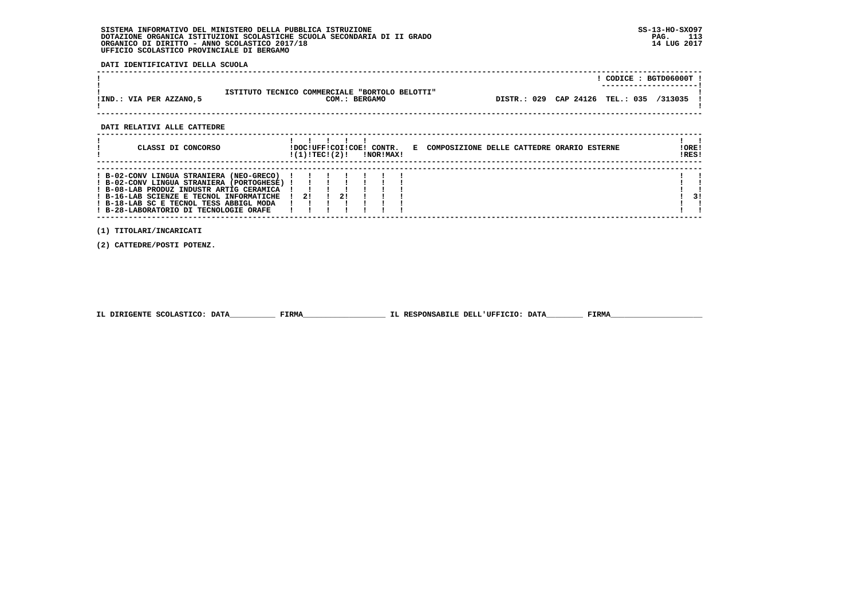**DATI IDENTIFICATIVI DELLA SCUOLA**

|                             |                                                                 |                                           | CODICE: BGTD06000T ! |  |
|-----------------------------|-----------------------------------------------------------------|-------------------------------------------|----------------------|--|
| !IND.: VIA PER AZZANO,5     | ISTITUTO TECNICO COMMERCIALE "BORTOLO BELOTTI"<br>COM.: BERGAMO | DISTR.: 029 CAP 24126 TEL.: 035 /313035 ! |                      |  |
| DATI RELATIVI ALLE CATTEDRE |                                                                 |                                           |                      |  |

 **------------------------------------------------------------------------------------------------------------------------------------**

| CLASSI DI CONCORSO                                                                                                                                                                                                                                                 | !DOC!UFF!COI!COE! CONTR.<br>!(1)!TECI(2)! |  | !NOR!MAX! | COMPOSIZIONE DELLE CATTEDRE ORARIO ESTERNE<br>E. | !ORE!<br>IRES! |    |
|--------------------------------------------------------------------------------------------------------------------------------------------------------------------------------------------------------------------------------------------------------------------|-------------------------------------------|--|-----------|--------------------------------------------------|----------------|----|
| ! B-02-CONV LINGUA STRANIERA (NEO-GRECO)<br>! B-02-CONV LINGUA STRANIERA (PORTOGHESE)<br>! B-08-LAB PRODUZ INDUSTR ARTIG CERAMICA<br>! B-16-LAB SCIENZE E TECNOL INFORMATICHE<br>! B-18-LAB SC E TECNOL TESS ABBIGL MODA<br>! B-28-LABORATORIO DI TECNOLOGIE ORAFE | 21                                        |  |           |                                                  |                | 31 |

 **------------------------------------------------------------------------------------------------------------------------------------**

 **(1) TITOLARI/INCARICATI**

 **(2) CATTEDRE/POSTI POTENZ.**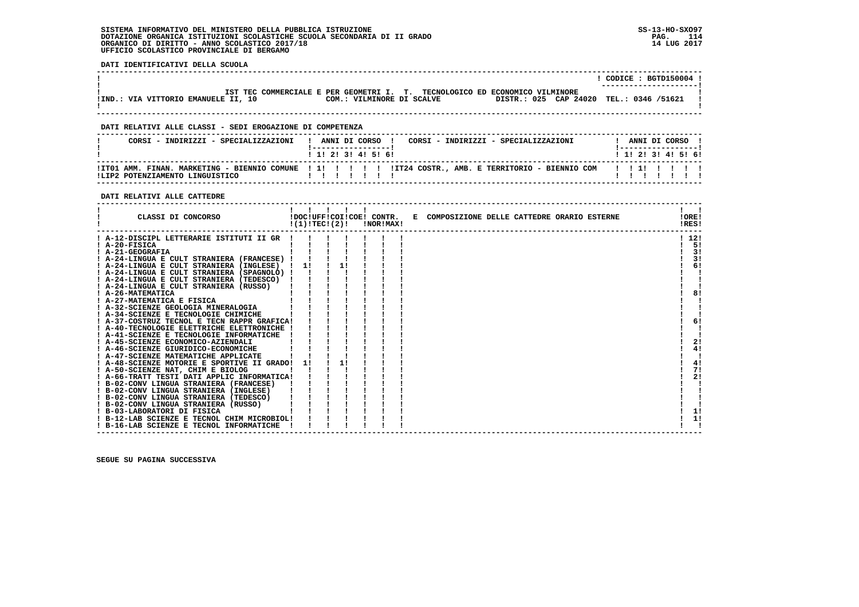**DATI IDENTIFICATIVI DELLA SCUOLA**

|                                     |                                                                             | CODICE: BGTD150004 !<br>--------------------- |
|-------------------------------------|-----------------------------------------------------------------------------|-----------------------------------------------|
|                                     | IST TEC COMMERCIALE E PER GEOMETRI I. T. TECNOLOGICO ED ECONOMICO VILMINORE |                                               |
| IND.: VIA VITTORIO EMANUELE II, 10! | DISTR.: 025 CAP 24020 TEL.: 0346 /51621<br>COM.: VILMINORE DI SCALVE        |                                               |
|                                     |                                                                             |                                               |

 **------------------------------------------------------------------------------------------------------------------------------------**

 **------------------------------------------------------------------------------------------------------------------------------------**

#### **DATI RELATIVI ALLE CLASSI - SEDI EROGAZIONE DI COMPETENZA**

| CORST - INDIRIZZI - SPECIALIZZAZIONI | I ANNIT DI CORSO I<br>CORST - INDIRIZZI - SPECIALIZZAZIONI<br>1 1 1 2 1 3 1 4 1 5 1 6 1 | ANNI DI CORSO<br>1 1 1 2 1 3 1 4 1 5 1 6 1 |
|--------------------------------------|-----------------------------------------------------------------------------------------|--------------------------------------------|
| ILIP2 POTENZIAMENTO LINGUISTICO      |                                                                                         |                                            |

#### **DATI RELATIVI ALLE CATTEDRE**

|                        | CLASSI DI CONCORSO                          | !(1)!TEC!(2)! |  | !DOC!UFF!COI!COE! CONTR.<br>!NOR!MAX! | E COMPOSIZIONE DELLE CATTEDRE ORARIO ESTERNE | !ORE!<br>!RES! |
|------------------------|---------------------------------------------|---------------|--|---------------------------------------|----------------------------------------------|----------------|
|                        | ! A-12-DISCIPL LETTERARIE ISTITUTI II GR    |               |  |                                       |                                              | ! 12!          |
| ! A-20-FISICA          |                                             |               |  |                                       |                                              | 51             |
| ! A-21-GEOGRAFIA       |                                             |               |  |                                       |                                              | 3!             |
|                        | ! A-24-LINGUA E CULT STRANIERA (FRANCESE)   |               |  |                                       |                                              | 3!             |
|                        | ! A-24-LINGUA E CULT STRANIERA (INGLESE)    | 11            |  |                                       |                                              | 6!             |
|                        | A-24-LINGUA E CULT STRANIERA (SPAGNOLO) !   |               |  |                                       |                                              |                |
|                        | ! A-24-LINGUA E CULT STRANIERA (TEDESCO)    |               |  |                                       |                                              |                |
|                        | ! A-24-LINGUA E CULT STRANIERA (RUSSO)      |               |  |                                       |                                              |                |
| <b>A-26-MATEMATICA</b> |                                             |               |  |                                       |                                              | 8!             |
|                        | A-27-MATEMATICA E FISICA                    |               |  |                                       |                                              |                |
|                        | A-32-SCIENZE GEOLOGIA MINERALOGIA           |               |  |                                       |                                              |                |
|                        | A-34-SCIENZE E TECNOLOGIE CHIMICHE          |               |  |                                       |                                              |                |
|                        | ! A-37-COSTRUZ TECNOL E TECN RAPPR GRAFICA! |               |  |                                       |                                              | 6!             |
|                        | A-40-TECNOLOGIE ELETTRICHE ELETTRONICHE !   |               |  |                                       |                                              |                |
|                        | ! A-41-SCIENZE E TECNOLOGIE INFORMATICHE    |               |  |                                       |                                              |                |
|                        | A-45-SCIENZE ECONOMICO-AZIENDALI            |               |  |                                       |                                              | 2!             |
|                        | ! A-46-SCIENZE GIURIDICO-ECONOMICHE         |               |  |                                       |                                              | 4!             |
|                        | ! A-47-SCIENZE MATEMATICHE APPLICATE        |               |  |                                       |                                              |                |
|                        | A-48-SCIENZE MOTORIE E SPORTIVE II GRADO!   |               |  |                                       |                                              | 4!             |
|                        | A-50-SCIENZE NAT, CHIM E BIOLOG             |               |  |                                       |                                              | 7!             |
|                        | ! A-66-TRATT TESTI DATI APPLIC INFORMATICA! |               |  |                                       |                                              | 2!             |
|                        | ! B-02-CONV LINGUA STRANIERA (FRANCESE)     |               |  |                                       |                                              |                |
|                        | ! B-02-CONV LINGUA STRANIERA (INGLESE)      |               |  |                                       |                                              |                |
|                        | ! B-02-CONV LINGUA STRANIERA (TEDESCO)      |               |  |                                       |                                              |                |
|                        | ! B-02-CONV LINGUA STRANIERA (RUSSO)        |               |  |                                       |                                              |                |
|                        | ! B-03-LABORATORI DI FISICA                 |               |  |                                       |                                              | 1!             |
|                        | ! B-12-LAB SCIENZE E TECNOL CHIM MICROBIOL! |               |  |                                       |                                              | 1!             |
|                        | ! B-16-LAB SCIENZE E TECNOL INFORMATICHE    |               |  |                                       |                                              |                |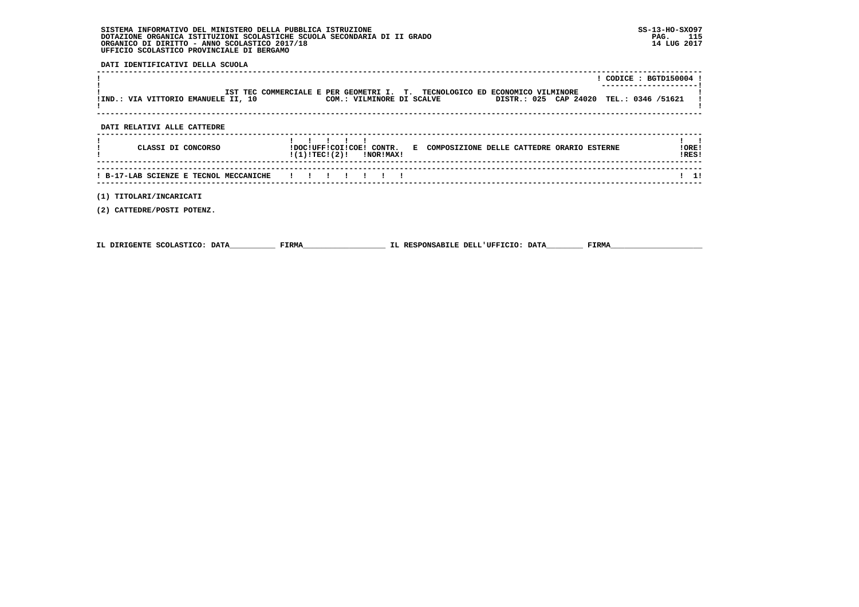**DATI IDENTIFICATIVI DELLA SCUOLA**

|                                        |                                                                                                          |                       |                   | $!$ CODICE : BGTD150004 ! |
|----------------------------------------|----------------------------------------------------------------------------------------------------------|-----------------------|-------------------|---------------------------|
| !IND.: VIA VITTORIO EMANUELE II, 10    | IST TEC COMMERCIALE E PER GEOMETRI I. T. TECNOLOGICO ED ECONOMICO VILMINORE<br>COM.: VILMINORE DI SCALVE | DISTR.: 025 CAP 24020 | TEL.: 0346 /51621 |                           |
| DATI RELATIVI ALLE CATTEDRE            |                                                                                                          |                       |                   |                           |
| CLASSI DI CONCORSO                     | !DOC!UFF!COI!COE! CONTR. E COMPOSIZIONE DELLE CATTEDRE ORARIO ESTERNE<br>$!(1)!TEC!(2)!$ $INORIMAX!$     |                       |                   | !ORE!<br>!RES!            |
| ! B-17-LAB SCIENZE E TECNOL MECCANICHE |                                                                                                          |                       |                   | $1 \quad 1!$              |
| (1) TITOLARI/INCARICATI                |                                                                                                          |                       |                   |                           |

 **(2) CATTEDRE/POSTI POTENZ.**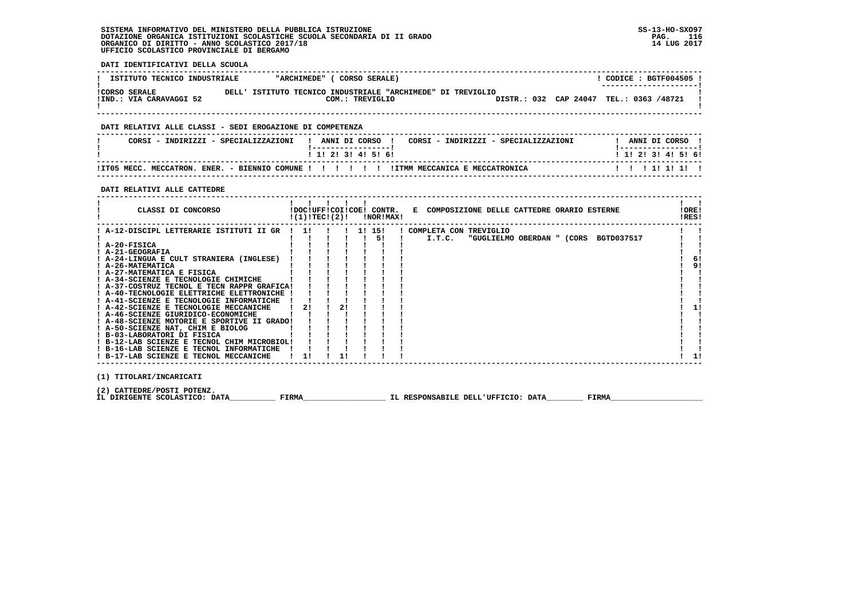**DATI IDENTIFICATIVI DELLA SCUOLA**

| ISTITUTO TECNICO INDUSTRIALE                    | "ARCHIMEDE"                                                 | CORSO SERALE)   |  |                                         | CODICE: BGTF004505 !<br>--------------------- |  |
|-------------------------------------------------|-------------------------------------------------------------|-----------------|--|-----------------------------------------|-----------------------------------------------|--|
| <b>!CORSO SERALE</b><br>!IND.: VIA CARAVAGGI 52 | DELL' ISTITUTO TECNICO INDUSTRIALE "ARCHIMEDE" DI TREVIGLIO | COM.: TREVIGLIO |  | DISTR.: 032 CAP 24047 TEL.: 0363 /48721 |                                               |  |

 **------------------------------------------------------------------------------------------------------------------------------------**

#### **DATI RELATIVI ALLE CLASSI - SEDI EROGAZIONE DI COMPETENZA**

| CORSI<br>- INDIRIZZI - SPECIALIZZAZIONI                         | ANNI DI CORSO<br>CORSI - INDIRIZZI - SPECIALIZZAZIONI | ANNI DI CORSO       |
|-----------------------------------------------------------------|-------------------------------------------------------|---------------------|
|                                                                 | ! 1! 2! 3! 4! 5! 6!                                   | ! 1! 2! 3! 4! 5! 6! |
| ITTO5 MECC.<br><b>ENER.</b><br>MECCATRON.<br>- BIENNIO COMINE ! | !ITMM MECCANICA E MECCATRONICA<br>.                   |                     |

 **------------------------------------------------------------------------------------------------------------------------------------**

#### **DATI RELATIVI ALLE CATTEDRE**

| CLASSI DI CONCORSO                                                                                                                                                                                                                                                                                                                                                                                                                                                                                                                                                                                                                                                                                      |           | !(1)!TEC!(2)! |  |        | !DOC!UFF!COI!COE! CONTR.<br>!NOR!MAX! | E COMPOSIZIONE DELLE CATTEDRE ORARIO ESTERNE                                | !ORE!<br>!RES! |
|---------------------------------------------------------------------------------------------------------------------------------------------------------------------------------------------------------------------------------------------------------------------------------------------------------------------------------------------------------------------------------------------------------------------------------------------------------------------------------------------------------------------------------------------------------------------------------------------------------------------------------------------------------------------------------------------------------|-----------|---------------|--|--------|---------------------------------------|-----------------------------------------------------------------------------|----------------|
| ! A-12-DISCIPL LETTERARIE ISTITUTI II GR<br>! A-20-FISICA<br>! A-21-GEOGRAFIA<br>! A-24-LINGUA E CULT STRANIERA (INGLESE)<br>! A-26-MATEMATICA<br>! A-27-MATEMATICA E FISICA<br>! A-34-SCIENZE E TECNOLOGIE CHIMICHE<br>! A-37-COSTRUZ TECNOL E TECN RAPPR GRAFICA!<br>! A-40-TECNOLOGIE ELETTRICHE ELETTRONICHE !<br>! A-41-SCIENZE E TECNOLOGIE INFORMATICHE<br>! A-42-SCIENZE E TECNOLOGIE MECCANICHE<br>! A-46-SCIENZE GIURIDICO-ECONOMICHE<br>! A-48-SCIENZE MOTORIE E SPORTIVE II GRADO!<br>! A-50-SCIENZE NAT, CHIM E BIOLOG<br>! B-03-LABORATORI DI FISICA<br>! B-12-LAB SCIENZE E TECNOL CHIM MICROBIOL!<br>! B-16-LAB SCIENZE E TECNOL INFORMATICHE<br>! B-17-LAB SCIENZE E TECNOL MECCANICHE | -11<br>21 |               |  | 1! 15! | 51                                    | ! COMPLETA CON TREVIGLIO<br>I.T.C.<br>"GUGLIELMO OBERDAN " (CORS BGTD037517 | 91             |
|                                                                                                                                                                                                                                                                                                                                                                                                                                                                                                                                                                                                                                                                                                         |           |               |  |        |                                       |                                                                             |                |

 **(1) TITOLARI/INCARICATI**

(2) CATTEDRE/POSTI POTENZ**.**<br>IL DIRIGENTE SCOLASTICO: DATA\_\_\_\_\_\_\_\_\_\_\_\_ FIRMA\_\_\_\_\_\_\_\_\_\_\_\_\_\_\_\_\_\_\_\_\_\_\_\_IL RESPONSABILE DELL'UFFICIO: DATA\_\_\_\_\_\_\_\_\_\_\_ FIRMA\_\_\_\_\_\_\_\_\_\_\_\_\_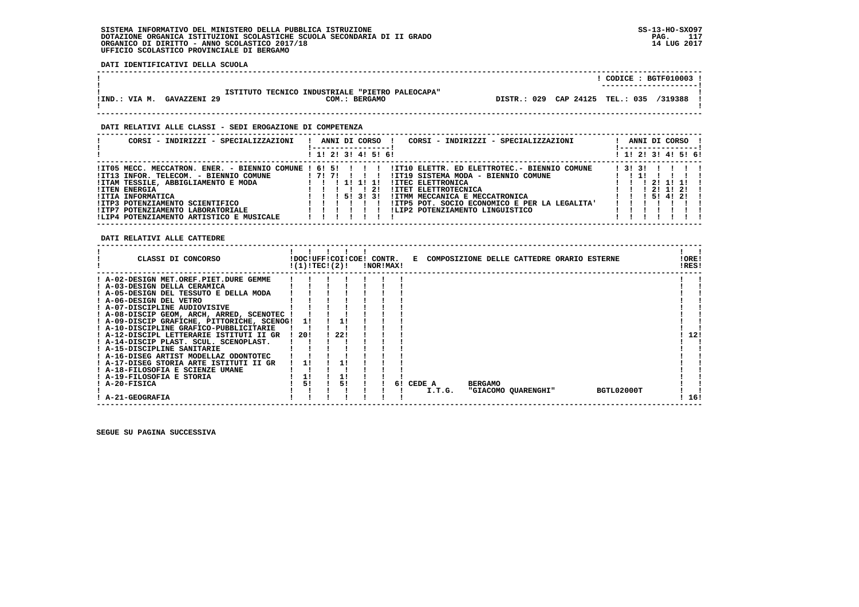**DATI IDENTIFICATIVI DELLA SCUOLA**

|                                                                                                          |                                           | $CODICE: BGTF010003$ ! |
|----------------------------------------------------------------------------------------------------------|-------------------------------------------|------------------------|
| ISTITUTO TECNICO INDUSTRIALE "PIETRO PALEOCAPA"<br><b>GAVAZZENI 29</b><br>IIND.: VIA M.<br>COM.: BERGAMO | DISTR.: 029 CAP 24125 TEL.: 035 /319388 ! |                        |
| DATI RELATIVI ALLE CLASSI - SEDI EROGAZIONE DI COMPETENZA                                                |                                           |                        |

# **------------------------------------------------------------------------------------------------------------------------------------ ! CORSI - INDIRIZZI - SPECIALIZZAZIONI ! ANNI DI CORSO ! CORSI - INDIRIZZI - SPECIALIZZAZIONI ! ANNI DI CORSO ! ! !-----------------! !-----------------! ! ! 1! 2! 3! 4! 5! 6! ! 1! 2! 3! 4! 5! 6!**1 1 2 2 1 3 1 4 1 5 1 6 1  **------------------------------------------------------------------------------------------------------------------------------------ !IT05 MECC. MECCATRON. ENER. - BIENNIO COMUNE ! 6! 5! ! ! ! !IT10 ELETTR. ED ELETTROTEC.- BIENNIO COMUNE ! 3! 3! ! ! ! ! !IT13 INFOR. TELECOM. - BIENNIO COMUNE ! 7! 7! ! ! ! !IT19 SISTEMA MODA - BIENNIO COMUNE ! ! 1! ! ! ! ! !ITAM TESSILE, ABBIGLIAMENTO E MODA ! ! ! 1! 1! 1! !ITEC ELETTRONICA ! ! ! 2! 1! 1! ! !ITEN ENERGIA ! ! ! ! ! 2! !ITET ELETTROTECNICA ! ! ! 2! 1! 2! ! !ITIA INFORMATICA ! ! ! 5! 3! 3! !ITMM MECCANICA E MECCATRONICA ! ! ! 5! 4! 2! ! !ITP3 POTENZIAMENTO SCIENTIFICO ! ! ! ! ! ! !ITP5 POT. SOCIO ECONOMICO E PER LA LEGALITA' ! ! ! ! ! ! ! !ITP7 POTENZIAMENTO LABORATORIALE ! ! ! ! ! ! !LIP2 POTENZIAMENTO LINGUISTICO ! ! ! ! ! ! ! !LIP4 POTENZIAMENTO ARTISTICO E MUSICALE ! ! ! ! ! ! ! ! ! ! ! ! ! !**

 **------------------------------------------------------------------------------------------------------------------------------------**

 **DATI RELATIVI ALLE CATTEDRE**

| CLASSI DI CONCORSO                          | !DOC!UFF!COI!COE! CONTR.<br>!(1)!TEC!(2)! |  |      | <b>!NOR!MAX!</b> |    | E COMPOSIZIONE DELLE CATTEDRE ORARIO ESTERNE |                |                     |            | !ORE!<br>!RES! |
|---------------------------------------------|-------------------------------------------|--|------|------------------|----|----------------------------------------------|----------------|---------------------|------------|----------------|
| ! A-02-DESIGN MET.OREF.PIET.DURE GEMME      |                                           |  |      |                  |    |                                              |                |                     |            |                |
| ! A-03-DESIGN DELLA CERAMICA                |                                           |  |      |                  |    |                                              |                |                     |            |                |
| A-05-DESIGN DEL TESSUTO E DELLA MODA        |                                           |  |      |                  |    |                                              |                |                     |            |                |
| ! A-06-DESIGN DEL VETRO                     |                                           |  |      |                  |    |                                              |                |                     |            |                |
| ! A-07-DISCIPLINE AUDIOVISIVE               |                                           |  |      |                  |    |                                              |                |                     |            |                |
| ! A-08-DISCIP GEOM, ARCH, ARRED, SCENOTEC   |                                           |  |      |                  |    |                                              |                |                     |            |                |
| ! A-09-DISCIP GRAFICHE, PITTORICHE, SCENOG! | 11                                        |  |      |                  |    |                                              |                |                     |            |                |
| ! A-10-DISCIPLINE GRAFICO-PUBBLICITARIE     |                                           |  |      |                  |    |                                              |                |                     |            |                |
| ! A-12-DISCIPL LETTERARIE ISTITUTI II GR    | - 20 !                                    |  | -22! |                  |    |                                              |                |                     |            | 12!            |
| ! A-14-DISCIP PLAST. SCUL. SCENOPLAST.      |                                           |  |      |                  |    |                                              |                |                     |            |                |
| ! A-15-DISCIPLINE SANITARIE                 |                                           |  |      |                  |    |                                              |                |                     |            |                |
| ! A-16-DISEG ARTIST MODELLAZ ODONTOTEC      |                                           |  |      |                  |    |                                              |                |                     |            |                |
| ! A-17-DISEG STORIA ARTE ISTITUTI II GR     |                                           |  |      |                  |    |                                              |                |                     |            |                |
| ! A-18-FILOSOFIA E SCIENZE UMANE            |                                           |  |      |                  |    |                                              |                |                     |            |                |
| ! A-19-FILOSOFIA E STORIA                   |                                           |  |      |                  |    |                                              |                |                     |            |                |
| ! A-20-FISICA                               | 51                                        |  | 51   |                  | 61 | CEDE A                                       | <b>BERGAMO</b> |                     |            |                |
|                                             |                                           |  |      |                  |    | I.T.G.                                       |                | "GIACOMO QUARENGHI" | BGTL02000T |                |
| <b>A-21-GEOGRAFIA</b>                       |                                           |  |      |                  |    |                                              |                |                     |            | 16!            |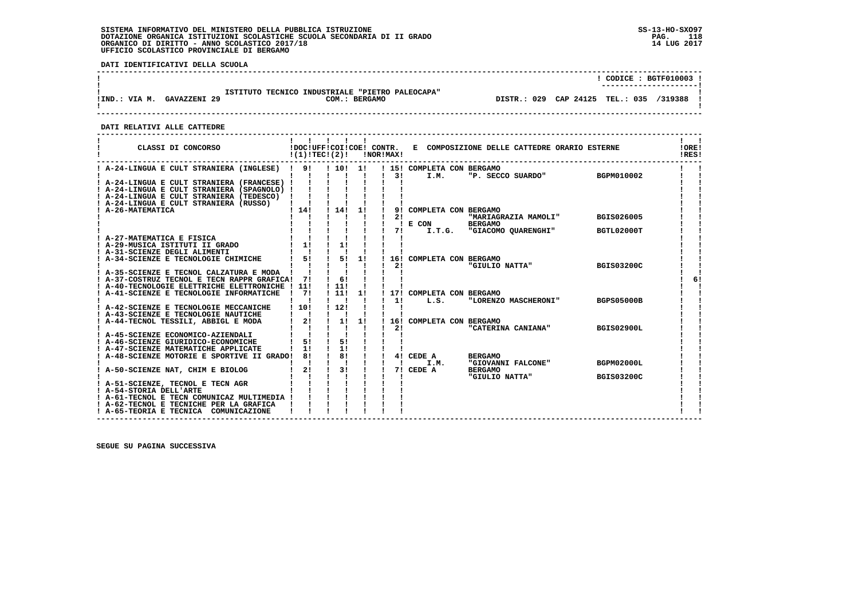**DATI IDENTIFICATIVI DELLA SCUOLA**

|               |                     |                                                 |               |                                         |  | CODICE: BGTF010003 ! |  |
|---------------|---------------------|-------------------------------------------------|---------------|-----------------------------------------|--|----------------------|--|
| IIND.: VIA M. | <b>GAVAZZENI 29</b> | ISTITUTO TECNICO INDUSTRIALE "PIETRO PALEOCAPA" | COM.: BERGAMO | DISTR.: 029 CAP 24125 TEL.: 035 /319388 |  |                      |  |

 **------------------------------------------------------------------------------------------------------------------------------------**

 **DATI RELATIVI ALLE CATTEDRE**

| CLASSI DI CONCORSO                                                                | !DOC!UFF!COI!COE! CONTR.<br>!(1)!TECI(2)! |                    |    | !NOR!MAX! |                            | E COMPOSIZIONE DELLE CATTEDRE ORARIO ESTERNE |                   | !ORE!<br>!RES! |
|-----------------------------------------------------------------------------------|-------------------------------------------|--------------------|----|-----------|----------------------------|----------------------------------------------|-------------------|----------------|
| ! A-24-LINGUA E CULT STRANIERA (INGLESE) ! 9!                                     |                                           | ! 10! 1!           |    |           | ! 15! COMPLETA CON BERGAMO |                                              |                   |                |
|                                                                                   |                                           |                    |    | 3 I       | I.M.                       | "P. SECCO SUARDO" BGPM010002                 |                   |                |
| ! A-24-LINGUA E CULT STRANIERA (FRANCESE) !                                       |                                           |                    |    |           |                            |                                              |                   |                |
| ! A-24-LINGUA E CULT STRANIERA (SPAGNOLO) !                                       |                                           |                    |    |           |                            |                                              |                   |                |
| ! A-24-LINGUA E CULT STRANIERA (TEDESCO) !                                        |                                           |                    |    |           |                            |                                              |                   |                |
| A-24-LINGUA E CULT STRANIERA (RUSSO)                                              |                                           |                    |    |           |                            |                                              |                   |                |
| <b>A-26-MATEMATICA</b>                                                            | 114!                                      | $1 \; 14!$         | 1! | 21        | 9! COMPLETA CON BERGAMO    |                                              | BGIS026005        |                |
|                                                                                   |                                           |                    |    |           | ! E COM                    | "MARIAGRAZIA MAMOLI"<br><b>BERGAMO</b>       |                   |                |
|                                                                                   |                                           |                    |    | 71        |                            | I.T.G. "GIACOMO OUARENGHI"                   | BGTL02000T        |                |
| A-27-MATEMATICA E FISICA                                                          |                                           |                    |    |           |                            |                                              |                   |                |
| ! A-29-MUSICA ISTITUTI II GRADO                                                   | 11                                        | 11                 |    |           |                            |                                              |                   |                |
| ! A-31-SCIENZE DEGLI ALIMENTI                                                     |                                           |                    |    |           |                            |                                              |                   |                |
| A-34-SCIENZE E TECNOLOGIE CHIMICHE                                                | 5!                                        | 5!                 | 1! |           | 16! COMPLETA CON BERGAMO   |                                              |                   |                |
|                                                                                   |                                           |                    |    | 21        |                            | "GIULIO NATTA"                               | <b>BGIS03200C</b> |                |
| A-35-SCIENZE E TECNOL CALZATURA E MODA !                                          |                                           |                    |    |           |                            |                                              |                   |                |
| ! A-37-COSTRUZ TECNOL E TECN RAPPR GRAFICA!                                       | 71                                        | 61                 |    |           |                            |                                              |                   | 6!             |
| A-40-TECNOLOGIE ELETTRICHE ELETTRONICHE ! 11!                                     |                                           | 111                |    |           |                            |                                              |                   |                |
| ! A-41-SCIENZE E TECNOLOGIE INFORMATICHE                                          | 71                                        | $\frac{1}{21}$     | 1! |           | 17! COMPLETA CON BERGAMO   |                                              |                   |                |
|                                                                                   |                                           |                    |    | 11        | L.S.                       | "LORENZO MASCHERONI"                         | <b>BGPS05000B</b> |                |
| A-42-SCIENZE E TECNOLOGIE MECCANICHE                                              | 1101                                      | 1121               |    |           |                            |                                              |                   |                |
| ! A-43-SCIENZE E TECNOLOGIE NAUTICHE                                              |                                           |                    |    |           |                            |                                              |                   |                |
| ! A-44-TECNOL TESSILI, ABBIGL E MODA                                              | 2!                                        | 11                 | 1! |           | 16! COMPLETA CON BERGAMO   |                                              |                   |                |
|                                                                                   |                                           |                    |    | 21        |                            | "CATERINA CANIANA"                           | <b>BGIS02900L</b> |                |
| ! A-45-SCIENZE ECONOMICO-AZIENDALI                                                |                                           |                    |    |           |                            |                                              |                   |                |
| ! A-46-SCIENZE GIURIDICO-ECONOMICHE                                               | 51<br>11                                  | 5!<br>1!           |    |           |                            |                                              |                   |                |
| ! A-47-SCIENZE MATEMATICHE APPLICATE<br>A-48-SCIENZE MOTORIE E SPORTIVE II GRADO! | 8!                                        | $\frac{1}{8}$      |    |           | 4! CEDE A                  | <b>BERGAMO</b>                               |                   |                |
|                                                                                   |                                           |                    |    |           | I.M.                       | "GIOVANNI FALCONE"                           | BGPM02000L        |                |
| ! A-50-SCIENZE NAT, CHIM E BIOLOG                                                 | 2!                                        | 3!<br>$\mathbf{I}$ |    |           | 7! CEDE A                  | <b>BERGAMO</b>                               |                   |                |
|                                                                                   |                                           |                    |    |           |                            | "GIULIO NATTA"                               | <b>BGIS03200C</b> |                |
| A-51-SCIENZE, TECNOL E TECN AGR                                                   |                                           |                    |    |           |                            |                                              |                   |                |
| ! A-54-STORIA DELL'ARTE                                                           |                                           |                    |    |           |                            |                                              |                   |                |
| ! A-61-TECNOL E TECN COMUNICAZ MULTIMEDIA !                                       |                                           |                    |    |           |                            |                                              |                   |                |
| ! A-62-TECNOL E TECNICHE PER LA GRAFICA                                           |                                           |                    |    |           |                            |                                              |                   |                |
| ! A-65-TEORIA E TECNICA COMUNICAZIONE                                             |                                           |                    |    |           |                            |                                              |                   |                |
|                                                                                   |                                           |                    |    |           |                            |                                              |                   |                |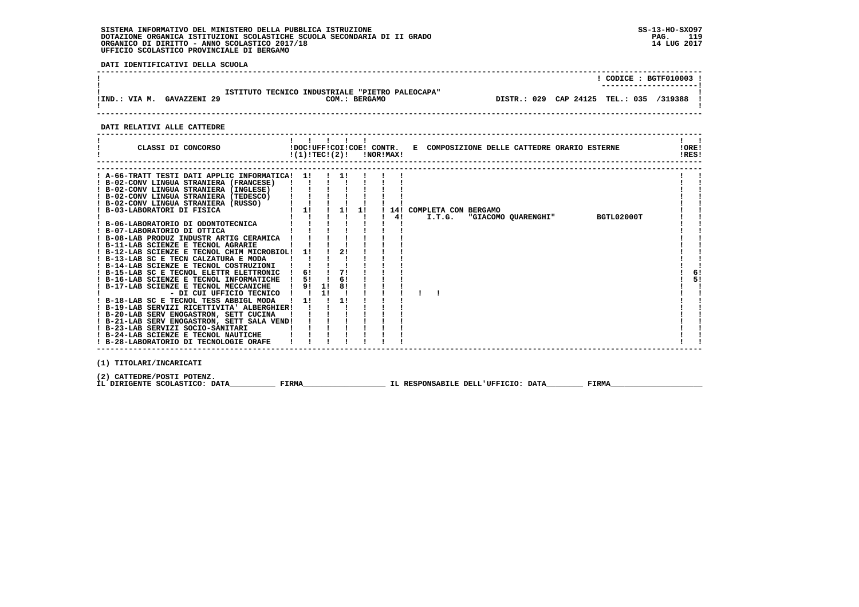**DATI IDENTIFICATIVI DELLA SCUOLA**

|               |              |                                                                  |             | CODICE: BGTF010003 !        |  |
|---------------|--------------|------------------------------------------------------------------|-------------|-----------------------------|--|
| !IND.: VIA M. | GAVAZZENI 29 | ISTITUTO TECNICO INDUSTRIALE "PIETRO PALEOCAPA"<br>COM.: BERGAMO | DISTR.: 029 | CAP 24125 TEL.: 035 /319388 |  |
|               |              |                                                                  |             |                             |  |

 **DATI RELATIVI ALLE CATTEDRE**

|                                                                                                                                                                                                                                                                                                                                                                                                                                                                                                                                                                                                                                                                                                                                                                                                                                                                                                                                                                   | 1 1 1 1 1<br>$!(1)!TEC!(2)!$ $INORIMAX!$            |                           |  |              | CLASSI DI CONCORSO           IDOC!UFF!COI!COE! CONTR.   E COMPOSIZIONE DELLE CATTEDRE ORARIO ESTERNE | !ORE!<br>IRES! |  |
|-------------------------------------------------------------------------------------------------------------------------------------------------------------------------------------------------------------------------------------------------------------------------------------------------------------------------------------------------------------------------------------------------------------------------------------------------------------------------------------------------------------------------------------------------------------------------------------------------------------------------------------------------------------------------------------------------------------------------------------------------------------------------------------------------------------------------------------------------------------------------------------------------------------------------------------------------------------------|-----------------------------------------------------|---------------------------|--|--------------|------------------------------------------------------------------------------------------------------|----------------|--|
| ! A-66-TRATT TESTI DATI APPLIC INFORMATICA! 1! !!!!<br>! B-02-CONV LINGUA STRANIERA (FRANCESE)<br>! B-02-CONV LINGUA STRANIERA (INGLESE)<br>! B-02-CONV LINGUA STRANIERA (TEDESCO)<br>$\frac{1}{1}$ (Uauu<br>! B-02-CONV LINGUA STRANIERA (RUSSO)<br>! B-03-LABORATORI DI FISICA<br>! B-11-LAB SCIENZE E TECNOL AGRARIE<br>! B-12-LAB SCIENZE E TECNOL CHIM MICROBIOL! 1!<br>! B-13-LAB SC E TECN CALZATURA E MODA<br>! B-14-LAB SCIENZE E TECNOL COSTRUZIONI ! !<br>! B-15-LAB SC E TECNOL ELETTR ELETTRONIC<br>! B-16-LAB SCIENZE E TECNOL INFORMATICHE<br>! B-17-LAB SCIENZE E TECNOL MECCANICHE   9! 1! 8!<br>- DI CUI UFFICIO TECNICO ! ! 1! !<br>! B-18-LAB SC E TECNOL TESS ABBIGL MODA<br>! B-19-LAB SERVIZI RICETTIVITA' ALBERGHIER! !!<br>! B-20-LAB SERV ENOGASTRON, SETT CUCINA<br>! B-21-LAB SERV ENOGASTRON, SETT SALA VEND!<br>! B-23-LAB SERVIZI SOCIO-SANITARI<br>! B-24-LAB SCIENZE E TECNOL NAUTICHE<br>! B-28-LABORATORIO DI TECNOLOGIE ORAFE | $\blacksquare$ 6! $\blacksquare$<br>5!<br>1 11 1 11 | $\frac{1}{2}$<br>71<br>6! |  | $1 \quad 41$ | "GIACOMO QUARENGHI" BGTL02000T<br>I.T.G.                                                             | 6!<br>5!       |  |
| (1) TITOLARI/INCARICATI                                                                                                                                                                                                                                                                                                                                                                                                                                                                                                                                                                                                                                                                                                                                                                                                                                                                                                                                           |                                                     |                           |  |              |                                                                                                      |                |  |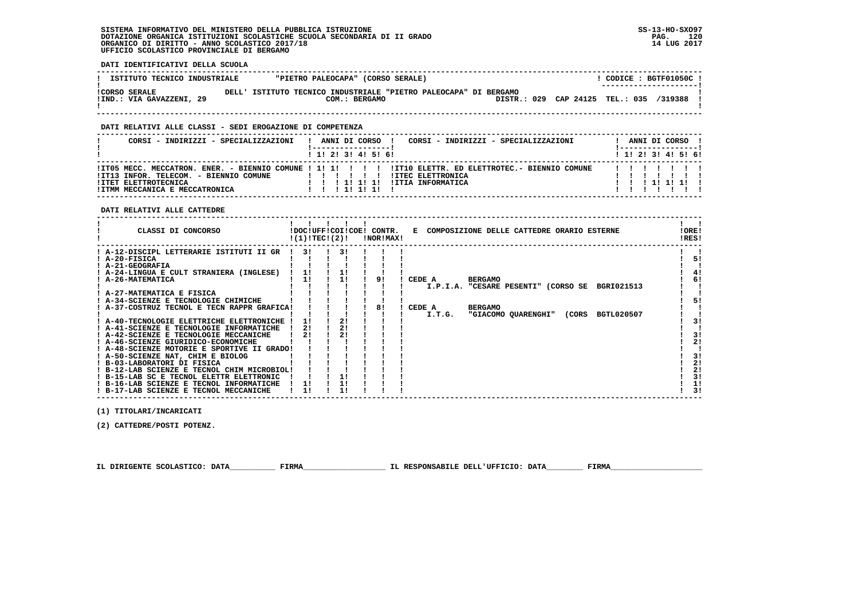**DATI IDENTIFICATIVI DELLA SCUOLA**

| ISTITUTO TECNICO INDUSTRIALE | "PIETRO PALEOCAPA" (CORSO SERALE)                                | CODICE: BGTF01050C!                     |
|------------------------------|------------------------------------------------------------------|-----------------------------------------|
|                              |                                                                  | ---------------------                   |
| <b>!CORSO SERALE</b>         | DELL' ISTITUTO TECNICO INDUSTRIALE "PIETRO PALEOCAPA" DI BERGAMO |                                         |
| !IND.: VIA GAVAZZENI, 29     | COM.: BERGAMO                                                    | DISTR.: 029 CAP 24125 TEL.: 035 /319388 |
|                              |                                                                  |                                         |

 **------------------------------------------------------------------------------------------------------------------------------------**

## **DATI RELATIVI ALLE CLASSI - SEDI EROGAZIONE DI COMPETENZA**

| CORSI - INDIRIZZI - SPECIALIZZAZIONI                                                             | CORSI - INDIRIZZI - SPECIALIZZAZIONI<br>ANNI DI CORSO                                                                                                                     |  | ANNI DI CORSO !              |  |
|--------------------------------------------------------------------------------------------------|---------------------------------------------------------------------------------------------------------------------------------------------------------------------------|--|------------------------------|--|
|                                                                                                  | 1 1! 2! 3! 4! 5! 6!                                                                                                                                                       |  | $1$ , 1!, 2!, 3!, 4!, 5!, 6! |  |
| !IT13 INFOR. TELECOM. - BIENNIO COMUNE<br>!ITET ELETTROTECNICA<br>!ITMM MECCANICA E MECCATRONICA | ITO5 MECC. MECCATRON. ENER. - BIENNIO COMUNE ! 1! 1! ! !! ITIO ELETTR. ED ELETTROTEC.- BIENNIO COMUNE<br><b>!ITEC ELETTRONICA</b><br>!ITIA INFORMATICA<br>11111<br>111111 |  | 1111111                      |  |

 **DATI RELATIVI ALLE CATTEDRE**

| CLASSI DI CONCORSO                          | !(1)!TEC!(2)! |    | !DOC!UFF!COI!COE! CONTR.<br>!NOR!MAX! | COMPOSIZIONE DELLE CATTEDRE ORARIO ESTERNE<br>Е             | !ORE!<br>!RES!       |
|---------------------------------------------|---------------|----|---------------------------------------|-------------------------------------------------------------|----------------------|
| ! A-12-DISCIPL LETTERARIE ISTITUTI II GR    | 31            | 31 |                                       |                                                             |                      |
| ! A-20-FISICA                               |               |    |                                       |                                                             | 5!                   |
| ! A-21-GEOGRAFIA                            |               |    |                                       |                                                             |                      |
| ! A-24-LINGUA E CULT STRANIERA (INGLESE)    | 1!            |    |                                       |                                                             | 41                   |
| <b>A-26-MATEMATICA</b>                      | 11            |    | 91                                    | <b>BERGAMO</b><br>CEDE A                                    | 61                   |
|                                             |               |    |                                       | I.P.I.A. "CESARE PESENTI" (CORSO SE<br>BGRI021513           |                      |
| ! A-27-MATEMATICA E FISICA                  |               |    |                                       |                                                             |                      |
| ! A-34-SCIENZE E TECNOLOGIE CHIMICHE        |               |    |                                       |                                                             | 51                   |
| ! A-37-COSTRUZ TECNOL E TECN RAPPR GRAFICA! |               |    | 81                                    | <b>BERGAMO</b><br>CEDE A                                    |                      |
|                                             |               |    |                                       | "GIACOMO QUARENGHI"<br><b>BGTL020507</b><br>I.T.G.<br>(CORS |                      |
| ! A-40-TECNOLOGIE ELETTRICHE ELETTRONICHE   |               | 21 |                                       |                                                             | 31                   |
| ! A-41-SCIENZE E TECNOLOGIE INFORMATICHE    | 21            |    |                                       |                                                             |                      |
| ! A-42-SCIENZE E TECNOLOGIE MECCANICHE      | 21            |    |                                       |                                                             | 3!                   |
| ! A-46-SCIENZE GIURIDICO-ECONOMICHE         |               |    |                                       |                                                             | 21                   |
| ! A-48-SCIENZE MOTORIE E SPORTIVE II GRADO! |               |    |                                       |                                                             |                      |
| ! A-50-SCIENZE NAT, CHIM E BIOLOG           |               |    |                                       |                                                             | 3!                   |
| ! B-03-LABORATORI DI FISICA                 |               |    |                                       |                                                             | 2!                   |
| ! B-12-LAB SCIENZE E TECNOL CHIM MICROBIOL! |               |    |                                       |                                                             | 2!                   |
| ! B-15-LAB SC E TECNOL ELETTR ELETTRONIC    |               |    |                                       |                                                             | 3!                   |
| ! B-16-LAB SCIENZE E TECNOL INFORMATICHE    |               |    |                                       |                                                             | 1!<br>3 <sub>1</sub> |
| ! B-17-LAB SCIENZE E TECNOL MECCANICHE      |               |    |                                       |                                                             |                      |

 **(1) TITOLARI/INCARICATI**

 **(2) CATTEDRE/POSTI POTENZ.**

 **IL DIRIGENTE SCOLASTICO: DATA\_\_\_\_\_\_\_\_\_\_ FIRMA\_\_\_\_\_\_\_\_\_\_\_\_\_\_\_\_\_\_ IL RESPONSABILE DELL'UFFICIO: DATA\_\_\_\_\_\_\_\_ FIRMA\_\_\_\_\_\_\_\_\_\_\_\_\_\_\_\_\_\_\_\_**

 **------------------------------------------------------------------------------------------------------------------------------------**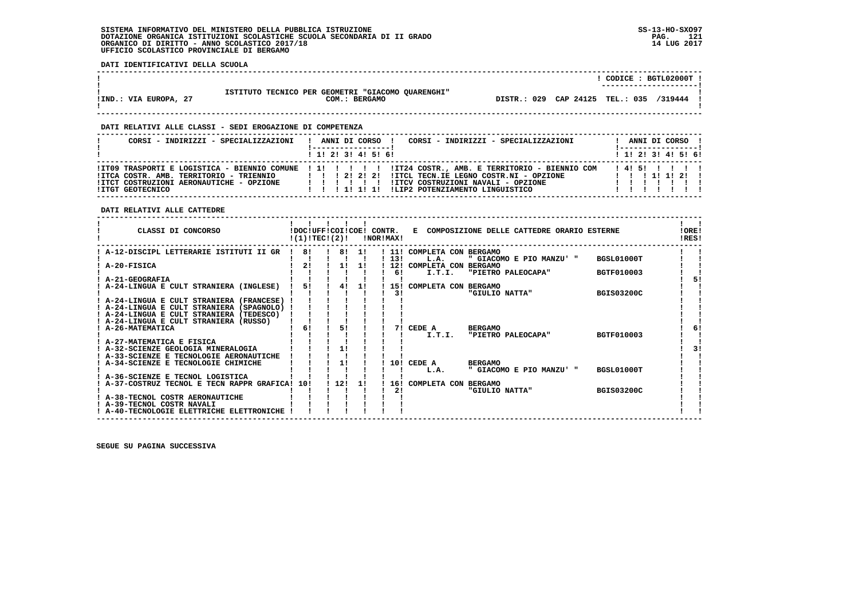**DATI IDENTIFICATIVI DELLA SCUOLA**

|                       |                                                   | $CODICE : BGTL02000T$ .                 |
|-----------------------|---------------------------------------------------|-----------------------------------------|
|                       |                                                   | ----------------------                  |
|                       | ISTITUTO TECNICO PER GEOMETRI "GIACOMO QUARENGHI" |                                         |
| !IND.: VIA EUROPA, 27 | COM.: BERGAMO                                     | DISTR.: 029 CAP 24125 TEL.: 035 /319444 |

 **------------------------------------------------------------------------------------------------------------------------------------**

 **------------------------------------------------------------------------------------------------------------------------------------**

#### **DATI RELATIVI ALLE CLASSI - SEDI EROGAZIONE DI COMPETENZA**

| CORSI - INDIRIZZI - SPECIALIZZAZIONI                                                                    | CORSI - INDIRIZZI - SPECIALIZZAZIONI<br>ANNI DI CORSO !                                                                                                                                                                                                                 |          |  | ANNI DI CORSO !       |  |
|---------------------------------------------------------------------------------------------------------|-------------------------------------------------------------------------------------------------------------------------------------------------------------------------------------------------------------------------------------------------------------------------|----------|--|-----------------------|--|
|                                                                                                         | $1$ , 1! 2! 3! 4! 5! 6!                                                                                                                                                                                                                                                 |          |  | $1$ 1! 2! 3! 4! 5! 6! |  |
| !ITCA COSTR. AMB. TERRITORIO - TRIENNIO<br>!ITCT COSTRUZIONI AERONAUTICHE - OPZIONE<br>!ITGT GEOTECNICO | ITO9 TRASPORTI E LOGISTICA - BIENNIO COMUNE ! 1! ! ! ! ! ! IT24 COSTR., AMB. E TERRITORIO - BIENNIO COM<br>!ITCL TECN.IE LEGNO COSTR.NI - OPZIONE<br>1 1 1 2 1 2 1 2 1<br>!ITCV COSTRUZIONI NAVALI - OPZIONE<br>.<br>ILIP2 POTENZIAMENTO LINGUISTICO<br>1 1 1 1 1 1 1 1 | 14151111 |  | 1 1 1 1 1 1 2 1       |  |

 **DATI RELATIVI ALLE CATTEDRE**

| CLASSI DI CONCORSO                            |    | !DOC!UFF!COI!COE! CONTR.<br>!(1)!TEC!(2)! |     | !NOR!MAX! |                      | E COMPOSIZIONE DELLE CATTEDRE ORARIO ESTERNE |                   | !ORE!<br>!RES! |
|-----------------------------------------------|----|-------------------------------------------|-----|-----------|----------------------|----------------------------------------------|-------------------|----------------|
| A-12-DISCIPL LETTERARIE ISTITUTI II GR        | 81 | 8!                                        | 11  | ! 11!     | COMPLETA CON BERGAMO |                                              |                   |                |
|                                               |    |                                           |     | 13!       | L.A.                 | " GIACOMO E PIO MANZU' "                     | BGSL01000T        |                |
| A-20-FISICA                                   | 2! | 11                                        | 11  | 12!       | COMPLETA CON         | <b>BERGAMO</b>                               |                   |                |
|                                               |    |                                           |     |           | I.T.I.<br>6!         | "PIETRO PALEOCAPA"                           | <b>BGTF010003</b> |                |
| A-21-GEOGRAFIA                                |    |                                           |     |           |                      |                                              |                   |                |
| A-24-LINGUA E CULT STRANIERA (INGLESE)        | 51 | 41                                        | 11  | 151       | COMPLETA CON BERGAMO |                                              |                   |                |
| ! A-24-LINGUA E CULT STRANIERA (FRANCESE)     |    |                                           |     |           | 31                   | "GIULIO NATTA"                               | <b>BGIS03200C</b> |                |
| ! A-24-LINGUA E CULT STRANIERA (SPAGNOLO)     |    |                                           |     |           |                      |                                              |                   |                |
| ! A-24-LINGUA E CULT STRANIERA (TEDESCO)      |    |                                           |     |           |                      |                                              |                   |                |
| A-24-LINGUA E CULT STRANIERA (RUSSO)          |    |                                           |     |           |                      |                                              |                   |                |
| ! A-26-MATEMATICA                             | 6! | 51                                        |     |           | CEDE A<br>71         | <b>BERGAMO</b>                               |                   | 6!             |
|                                               |    |                                           |     |           | I.T.I.               | "PIETRO PALEOCAPA"                           | BGTF010003        |                |
| A-27-MATEMATICA E FISICA                      |    |                                           |     |           |                      |                                              |                   |                |
| ! A-32-SCIENZE GEOLOGIA MINERALOGIA           |    | 11                                        |     |           |                      |                                              |                   |                |
| ! A-33-SCIENZE E TECNOLOGIE AERONAUTICHE      |    |                                           |     |           |                      |                                              |                   |                |
| : A-34-SCIENZE E TECNOLOGIE CHIMICHE          |    | 11                                        |     |           | 10! CEDE A           | <b>BERGAMO</b>                               |                   |                |
|                                               |    |                                           |     |           | L.A.                 | " GIACOMO E PIO MANZU' "                     | BGSL01000T        |                |
| A-36-SCIENZE E TECNOL LOGISTICA               |    |                                           |     |           |                      |                                              |                   |                |
| A-37-COSTRUZ TECNOL E TECN RAPPR GRAFICA! 10! |    | 112!                                      | -11 | 16!       | COMPLETA CON BERGAMO |                                              |                   |                |
|                                               |    |                                           |     |           | 21                   | "GIULIO NATTA"                               | <b>BGIS03200C</b> |                |
| A-38-TECNOL COSTR AERONAUTICHE                |    |                                           |     |           |                      |                                              |                   |                |
| ! A-39-TECNOL COSTR NAVALI                    |    |                                           |     |           |                      |                                              |                   |                |
| ! A-40-TECNOLOGIE ELETTRICHE ELETTRONICHE     |    |                                           |     |           |                      |                                              |                   |                |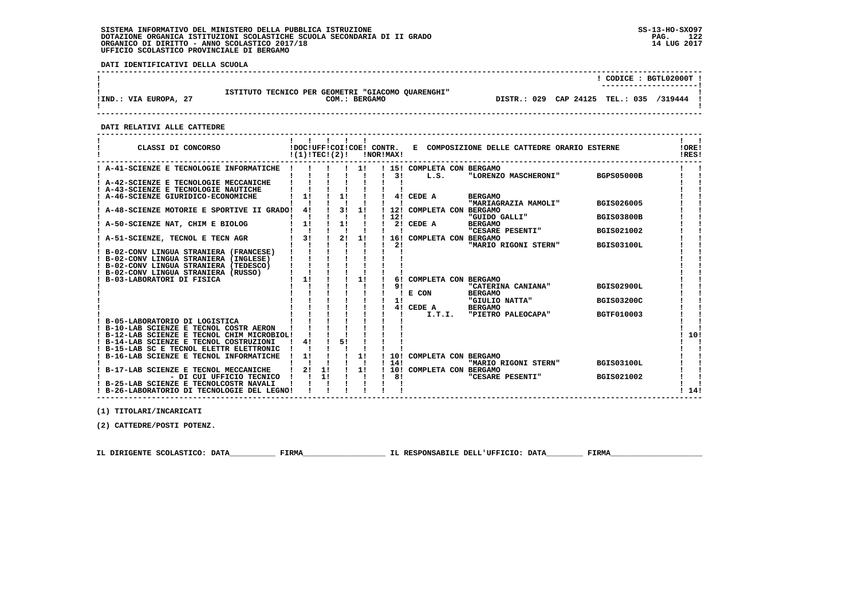**DATI IDENTIFICATIVI DELLA SCUOLA**

|                       |                                                                              | CODICE: BGTL02000T !<br>---------------------- |         |
|-----------------------|------------------------------------------------------------------------------|------------------------------------------------|---------|
| !IND.: VIA EUROPA, 27 | ISTITUTO TECNICO PER GEOMETRI "GIACOMO QUARENGHI"<br><b>BERGAMO</b><br>COM.: | CAP 24125 TEL.: 035<br>DISTR.: 029             | /319444 |

 **------------------------------------------------------------------------------------------------------------------------------------**

 **DATI RELATIVI ALLE CATTEDRE**

| CLASSI DI CONCORSO                          | !DOC!UFF!COI!COE! CONTR.<br>!(1)!TEC!(2)! |    |    |    | !NOR!MAX! |       |                                    | E COMPOSIZIONE DELLE CATTEDRE ORARIO ESTERNE |                   | !ORE!<br>!RES! |
|---------------------------------------------|-------------------------------------------|----|----|----|-----------|-------|------------------------------------|----------------------------------------------|-------------------|----------------|
| ! A-41-SCIENZE E TECNOLOGIE INFORMATICHE    |                                           |    |    | 11 |           | 3 I   | ! 15! COMPLETA CON BERGAMO<br>L.S. | "LORENZO MASCHERONI"                         | <b>BGPS05000B</b> |                |
| A-42-SCIENZE E TECNOLOGIE MECCANICHE        |                                           |    |    |    |           |       |                                    |                                              |                   |                |
| A-43-SCIENZE E TECNOLOGIE NAUTICHE          |                                           |    |    |    |           |       |                                    |                                              |                   |                |
| A-46-SCIENZE GIURIDICO-ECONOMICHE           | 11                                        |    | 11 |    |           |       | 4! CEDE A                          | <b>BERGAMO</b>                               |                   |                |
|                                             |                                           |    |    |    |           |       |                                    | "MARIAGRAZIA MAMOLI"                         | <b>BGIS026005</b> |                |
| A-48-SCIENZE MOTORIE E SPORTIVE II GRADO!   | 41                                        |    | 3! | 11 |           |       | 12! COMPLETA CON BERGAMO           |                                              |                   |                |
|                                             |                                           |    |    |    |           | 12!   |                                    | "GUIDO GALLI"                                | <b>BGIS03800B</b> |                |
| A-50-SCIENZE NAT, CHIM E BIOLOG             | 11                                        |    | 1! |    |           |       | 2! CEDE A                          | <b>BERGAMO</b>                               |                   |                |
|                                             |                                           |    |    |    |           |       |                                    | "CESARE PESENTI"                             | <b>BGIS021002</b> |                |
| A-51-SCIENZE, TECNOL E TECN AGR             | 31                                        |    | 2! | 1! |           |       | 16! COMPLETA CON BERGAMO           |                                              |                   |                |
|                                             |                                           |    |    |    |           | 21    |                                    | "MARIO RIGONI STERN"                         | <b>BGIS03100L</b> |                |
| B-02-CONV LINGUA STRANIERA (FRANCESE)       |                                           |    |    |    |           |       |                                    |                                              |                   |                |
| ! B-02-CONV LINGUA STRANIERA (INGLESE)      |                                           |    |    |    |           |       |                                    |                                              |                   |                |
| ! B-02-CONV LINGUA STRANIERA (TEDESCO)      |                                           |    |    |    |           |       |                                    |                                              |                   |                |
| B-02-CONV LINGUA STRANIERA (RUSSO)          |                                           |    |    |    |           |       |                                    |                                              |                   |                |
| B-03-LABORATORI DI FISICA                   | 1!                                        |    |    | 1! |           | 61    | COMPLETA CON BERGAMO               |                                              |                   |                |
|                                             |                                           |    |    |    |           | 91    | E CON                              | "CATERINA CANIANA"<br><b>BERGAMO</b>         | <b>BGIS02900L</b> |                |
|                                             |                                           |    |    |    |           | 1!    |                                    | "GIULIO NATTA"                               | <b>BGIS03200C</b> |                |
|                                             |                                           |    |    |    |           |       | 4! CEDE A                          | <b>BERGAMO</b>                               |                   |                |
|                                             |                                           |    |    |    |           |       | I.T.I.                             | "PIETRO PALEOCAPA"                           | <b>BGTF010003</b> |                |
| B-05-LABORATORIO DI LOGISTICA               |                                           |    |    |    |           |       |                                    |                                              |                   |                |
| ! B-10-LAB SCIENZE E TECNOL COSTR AERON     |                                           |    |    |    |           |       |                                    |                                              |                   |                |
| ! B-12-LAB SCIENZE E TECNOL CHIM MICROBIOL! |                                           |    |    |    |           |       |                                    |                                              |                   | 10!            |
| ! B-14-LAB SCIENZE E TECNOL COSTRUZIONI     | 4!                                        |    | 5! |    |           |       |                                    |                                              |                   |                |
| ! B-15-LAB SC E TECNOL ELETTR ELETTRONIC    |                                           |    |    |    |           |       |                                    |                                              |                   |                |
| B-16-LAB SCIENZE E TECNOL INFORMATICHE      | 1!                                        |    |    | 1! |           |       | 10! COMPLETA CON BERGAMO           |                                              |                   |                |
|                                             |                                           |    |    |    |           | ! 14! |                                    | "MARIO RIGONI STERN"                         | <b>BGIS03100L</b> |                |
| B-17-LAB SCIENZE E TECNOL MECCANICHE        | 2!                                        | 1! |    | 11 |           |       | ! 10! COMPLETA CON BERGAMO         |                                              |                   |                |
| - DI CUI UFFICIO TECNICO                    |                                           | 1! |    |    |           | 81    |                                    | "CESARE PESENTI"                             | <b>BGIS021002</b> |                |
| B-25-LAB SCIENZE E TECNOLCOSTR NAVALI       |                                           |    |    |    |           |       |                                    |                                              |                   |                |
| ! B-26-LABORATORIO DI TECNOLOGIE DEL LEGNO! |                                           |    |    |    |           |       |                                    |                                              |                   | 14!            |

 **------------------------------------------------------------------------------------------------------------------------------------**

 **(1) TITOLARI/INCARICATI**

 **(2) CATTEDRE/POSTI POTENZ.**